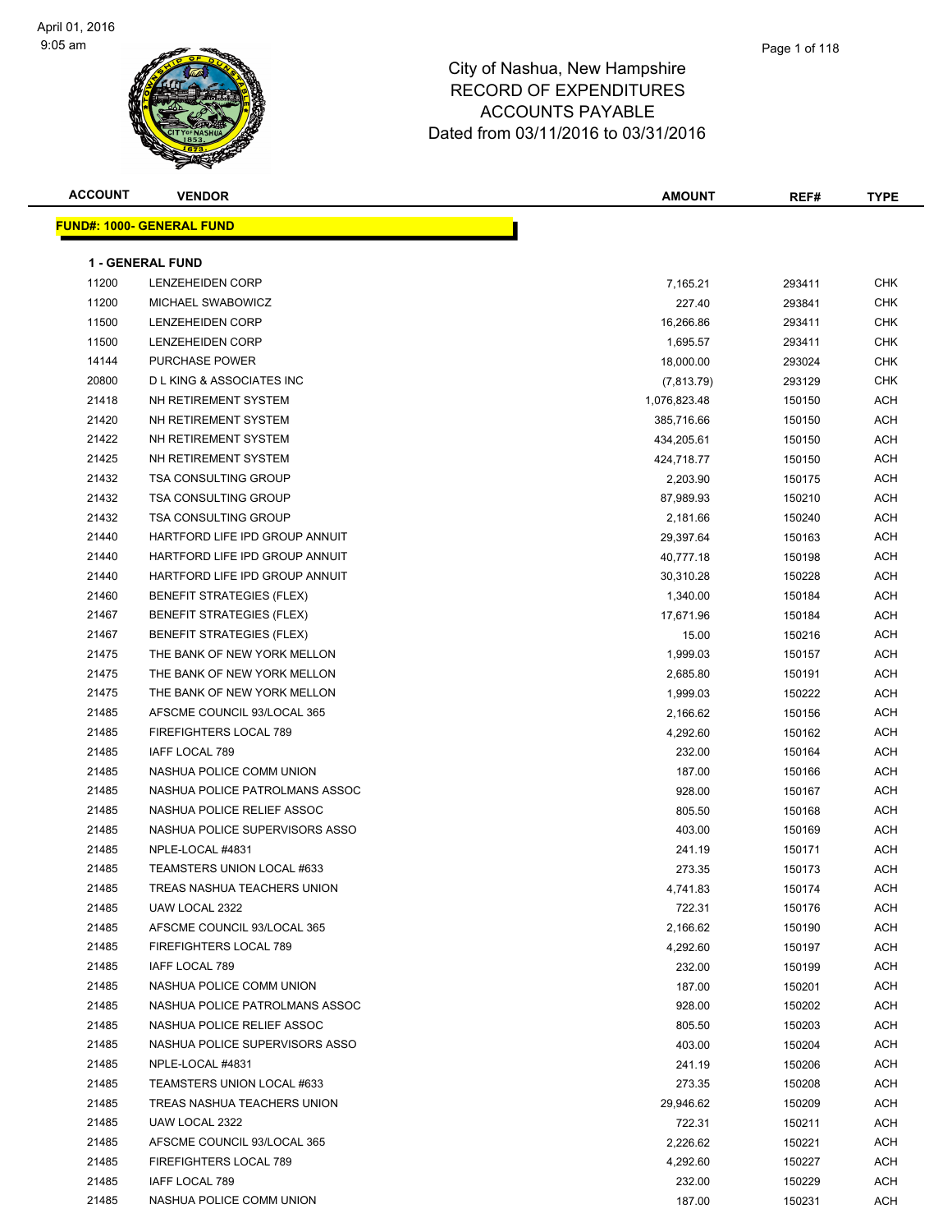#### Page 1 of 118

| <b>ACCOUNT</b> | <b>VENDOR</b>                      | <b>AMOUNT</b> | REF#   | <b>TYPE</b> |
|----------------|------------------------------------|---------------|--------|-------------|
|                | <b>FUND#: 1000- GENERAL FUND</b>   |               |        |             |
|                |                                    |               |        |             |
|                | <b>1 - GENERAL FUND</b>            |               |        |             |
| 11200          | LENZEHEIDEN CORP                   | 7,165.21      | 293411 | <b>CHK</b>  |
| 11200          | MICHAEL SWABOWICZ                  | 227.40        | 293841 | CHK         |
| 11500          | <b>LENZEHEIDEN CORP</b>            | 16,266.86     | 293411 | <b>CHK</b>  |
| 11500          | LENZEHEIDEN CORP                   | 1,695.57      | 293411 | <b>CHK</b>  |
| 14144          | PURCHASE POWER                     | 18,000.00     | 293024 | <b>CHK</b>  |
| 20800          | <b>DLKING &amp; ASSOCIATES INC</b> | (7, 813.79)   | 293129 | <b>CHK</b>  |
| 21418          | NH RETIREMENT SYSTEM               | 1,076,823.48  | 150150 | <b>ACH</b>  |
| 21420          | NH RETIREMENT SYSTEM               | 385,716.66    | 150150 | ACH         |
| 21422          | NH RETIREMENT SYSTEM               | 434,205.61    | 150150 | <b>ACH</b>  |
| 21425          | NH RETIREMENT SYSTEM               | 424,718.77    | 150150 | <b>ACH</b>  |
| 21432          | <b>TSA CONSULTING GROUP</b>        | 2,203.90      | 150175 | <b>ACH</b>  |
| 21432          | <b>TSA CONSULTING GROUP</b>        | 87,989.93     | 150210 | ACH         |
| 21432          | <b>TSA CONSULTING GROUP</b>        | 2,181.66      | 150240 | <b>ACH</b>  |
| 21440          | HARTFORD LIFE IPD GROUP ANNUIT     | 29,397.64     | 150163 | ACH         |
| 21440          | HARTFORD LIFE IPD GROUP ANNUIT     | 40,777.18     | 150198 | <b>ACH</b>  |
| 21440          | HARTFORD LIFE IPD GROUP ANNUIT     | 30,310.28     | 150228 | ACH         |
| 21460          | <b>BENEFIT STRATEGIES (FLEX)</b>   | 1,340.00      | 150184 | ACH         |
| 21467          | <b>BENEFIT STRATEGIES (FLEX)</b>   | 17,671.96     | 150184 | <b>ACH</b>  |
| 21467          | <b>BENEFIT STRATEGIES (FLEX)</b>   | 15.00         | 150216 | ACH         |
| 21475          | THE BANK OF NEW YORK MELLON        | 1,999.03      | 150157 | ACH         |
| 21475          | THE BANK OF NEW YORK MELLON        | 2,685.80      | 150191 | ACH         |
| 21475          | THE BANK OF NEW YORK MELLON        | 1,999.03      | 150222 | ACH         |
| 21485          | AFSCME COUNCIL 93/LOCAL 365        | 2,166.62      | 150156 | ACH         |
| 21485          | FIREFIGHTERS LOCAL 789             | 4,292.60      | 150162 | ACH         |
| 21485          | IAFF LOCAL 789                     | 232.00        | 150164 | ACH         |
| 21485          | NASHUA POLICE COMM UNION           | 187.00        | 150166 | ACH         |
| 21485          | NASHUA POLICE PATROLMANS ASSOC     | 928.00        | 150167 | ACH         |
| 21485          | NASHUA POLICE RELIEF ASSOC         | 805.50        | 150168 | ACH         |
| 21485          | NASHUA POLICE SUPERVISORS ASSO     | 403.00        | 150169 | <b>ACH</b>  |
| 21485          | NPLE-LOCAL #4831                   | 241.19        | 150171 | ACH         |
| 21485          | TEAMSTERS UNION LOCAL #633         | 273.35        | 150173 | <b>ACH</b>  |
| 21485          | TREAS NASHUA TEACHERS UNION        | 4,741.83      | 150174 | ACH         |
| 21485          | UAW LOCAL 2322                     | 722.31        | 150176 | ACH         |
| 21485          | AFSCME COUNCIL 93/LOCAL 365        | 2,166.62      | 150190 | ACH         |
| 21485          | FIREFIGHTERS LOCAL 789             | 4,292.60      | 150197 | ACH         |
| 21485          | IAFF LOCAL 789                     | 232.00        | 150199 | ACH         |
| 21485          | NASHUA POLICE COMM UNION           | 187.00        | 150201 | ACH         |
| 21485          | NASHUA POLICE PATROLMANS ASSOC     | 928.00        | 150202 | ACH         |
| 21485          | NASHUA POLICE RELIEF ASSOC         | 805.50        | 150203 | ACH         |
| 21485          | NASHUA POLICE SUPERVISORS ASSO     | 403.00        | 150204 | ACH         |
| 21485          | NPLE-LOCAL #4831                   | 241.19        | 150206 | ACH         |
| 21485          | TEAMSTERS UNION LOCAL #633         | 273.35        | 150208 | ACH         |
| 21485          | TREAS NASHUA TEACHERS UNION        | 29,946.62     | 150209 | ACH         |
| 21485          | UAW LOCAL 2322                     | 722.31        | 150211 | ACH         |
| 21485          | AFSCME COUNCIL 93/LOCAL 365        | 2,226.62      | 150221 | ACH         |
| 21485          | FIREFIGHTERS LOCAL 789             | 4,292.60      | 150227 | ACH         |
| 21485          | IAFF LOCAL 789                     | 232.00        | 150229 | ACH         |
| 21485          | NASHUA POLICE COMM UNION           | 187.00        | 150231 | ACH         |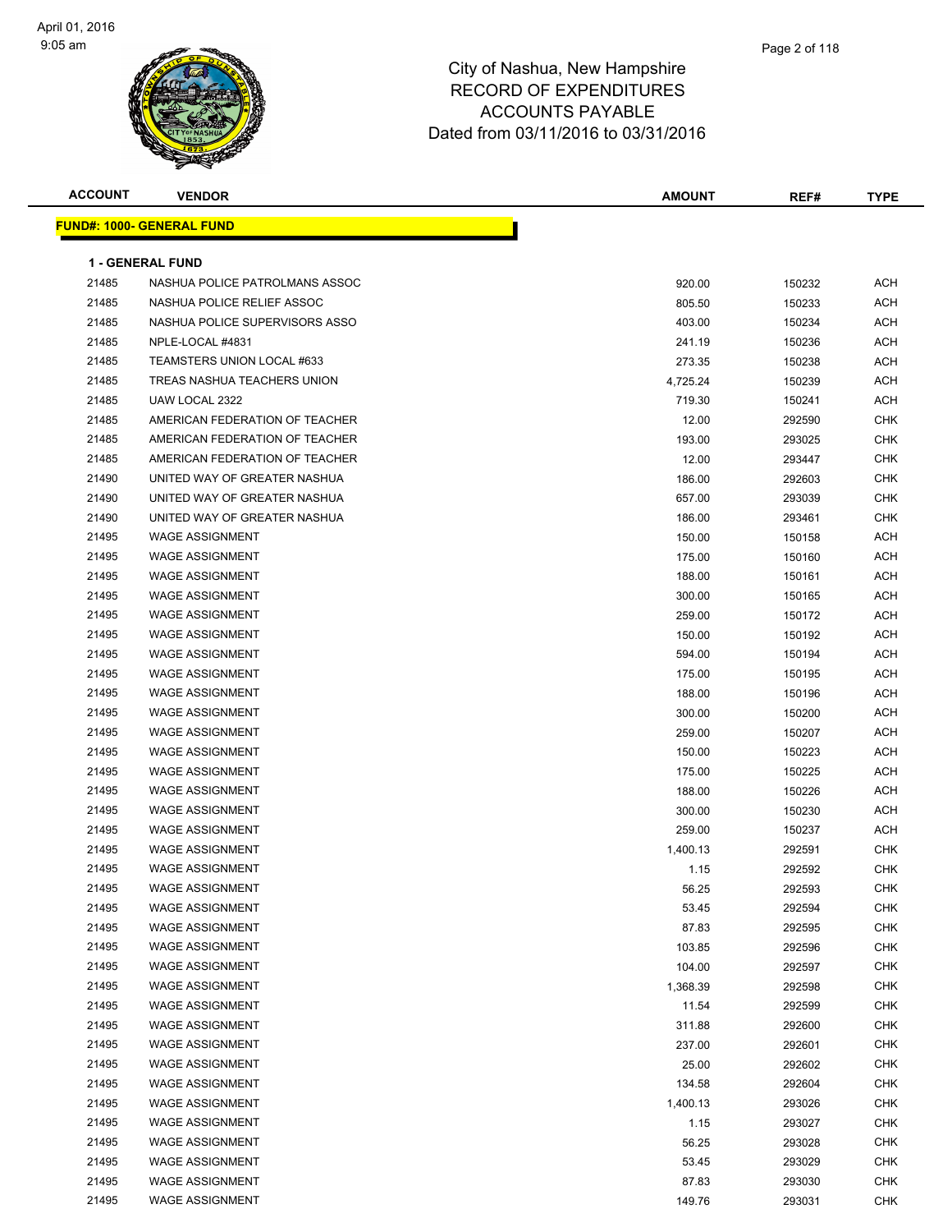

| <b>ACCOUNT</b> | <b>VENDOR</b>                    | <b>AMOUNT</b> | REF#   | <b>TYPE</b> |
|----------------|----------------------------------|---------------|--------|-------------|
|                | <b>FUND#: 1000- GENERAL FUND</b> |               |        |             |
|                |                                  |               |        |             |
|                | <b>1 - GENERAL FUND</b>          |               |        |             |
| 21485          | NASHUA POLICE PATROLMANS ASSOC   | 920.00        | 150232 | ACH         |
| 21485          | NASHUA POLICE RELIEF ASSOC       | 805.50        | 150233 | <b>ACH</b>  |
| 21485          | NASHUA POLICE SUPERVISORS ASSO   | 403.00        | 150234 | ACH         |
| 21485          | NPLE-LOCAL #4831                 | 241.19        | 150236 | ACH         |
| 21485          | TEAMSTERS UNION LOCAL #633       | 273.35        | 150238 | ACH         |
| 21485          | TREAS NASHUA TEACHERS UNION      | 4,725.24      | 150239 | ACH         |
| 21485          | UAW LOCAL 2322                   | 719.30        | 150241 | ACH         |
| 21485          | AMERICAN FEDERATION OF TEACHER   | 12.00         | 292590 | CHK         |
| 21485          | AMERICAN FEDERATION OF TEACHER   | 193.00        | 293025 | CHK         |
| 21485          | AMERICAN FEDERATION OF TEACHER   | 12.00         | 293447 | CHK         |
| 21490          | UNITED WAY OF GREATER NASHUA     | 186.00        | 292603 | <b>CHK</b>  |
| 21490          | UNITED WAY OF GREATER NASHUA     | 657.00        | 293039 | CHK         |
| 21490          | UNITED WAY OF GREATER NASHUA     | 186.00        | 293461 | CHK         |
| 21495          | <b>WAGE ASSIGNMENT</b>           | 150.00        | 150158 | ACH         |
| 21495          | <b>WAGE ASSIGNMENT</b>           | 175.00        | 150160 | ACH         |
| 21495          | <b>WAGE ASSIGNMENT</b>           | 188.00        | 150161 | ACH         |
| 21495          | <b>WAGE ASSIGNMENT</b>           | 300.00        | 150165 | ACH         |
| 21495          | <b>WAGE ASSIGNMENT</b>           | 259.00        | 150172 | ACH         |
| 21495          | <b>WAGE ASSIGNMENT</b>           | 150.00        | 150192 | ACH         |
| 21495          | <b>WAGE ASSIGNMENT</b>           | 594.00        | 150194 | ACH         |
| 21495          | <b>WAGE ASSIGNMENT</b>           | 175.00        | 150195 | ACH         |
| 21495          | <b>WAGE ASSIGNMENT</b>           | 188.00        | 150196 | ACH         |
| 21495          | <b>WAGE ASSIGNMENT</b>           | 300.00        | 150200 | ACH         |
| 21495          | <b>WAGE ASSIGNMENT</b>           | 259.00        | 150207 | <b>ACH</b>  |
| 21495          | <b>WAGE ASSIGNMENT</b>           | 150.00        | 150223 | ACH         |
| 21495          | <b>WAGE ASSIGNMENT</b>           | 175.00        | 150225 | ACH         |
| 21495          | <b>WAGE ASSIGNMENT</b>           | 188.00        | 150226 | ACH         |
| 21495          | <b>WAGE ASSIGNMENT</b>           | 300.00        | 150230 | ACH         |
| 21495          | <b>WAGE ASSIGNMENT</b>           | 259.00        | 150237 | ACH         |
| 21495          | <b>WAGE ASSIGNMENT</b>           | 1,400.13      | 292591 | CHK         |
| 21495          | <b>WAGE ASSIGNMENT</b>           | 1.15          | 292592 | CHK         |
| 21495          | <b>WAGE ASSIGNMENT</b>           | 56.25         | 292593 | CHK         |
| 21495          | <b>WAGE ASSIGNMENT</b>           | 53.45         | 292594 | <b>CHK</b>  |
| 21495          | <b>WAGE ASSIGNMENT</b>           | 87.83         | 292595 | <b>CHK</b>  |
| 21495          | <b>WAGE ASSIGNMENT</b>           | 103.85        | 292596 | <b>CHK</b>  |
| 21495          | WAGE ASSIGNMENT                  | 104.00        | 292597 | <b>CHK</b>  |
| 21495          | <b>WAGE ASSIGNMENT</b>           | 1,368.39      | 292598 | <b>CHK</b>  |
| 21495          | <b>WAGE ASSIGNMENT</b>           | 11.54         | 292599 | <b>CHK</b>  |
| 21495          | <b>WAGE ASSIGNMENT</b>           | 311.88        | 292600 | CHK         |
| 21495          | <b>WAGE ASSIGNMENT</b>           | 237.00        | 292601 | CHK         |
| 21495          | <b>WAGE ASSIGNMENT</b>           | 25.00         | 292602 | CHK         |
| 21495          | <b>WAGE ASSIGNMENT</b>           | 134.58        | 292604 | CHK         |
| 21495          | <b>WAGE ASSIGNMENT</b>           | 1,400.13      | 293026 | <b>CHK</b>  |
| 21495          | <b>WAGE ASSIGNMENT</b>           | 1.15          | 293027 | <b>CHK</b>  |
| 21495          | <b>WAGE ASSIGNMENT</b>           | 56.25         | 293028 | CHK         |
| 21495          | <b>WAGE ASSIGNMENT</b>           | 53.45         | 293029 | CHK         |
| 21495          | <b>WAGE ASSIGNMENT</b>           | 87.83         | 293030 | <b>CHK</b>  |
| 21495          | <b>WAGE ASSIGNMENT</b>           | 149.76        | 293031 | <b>CHK</b>  |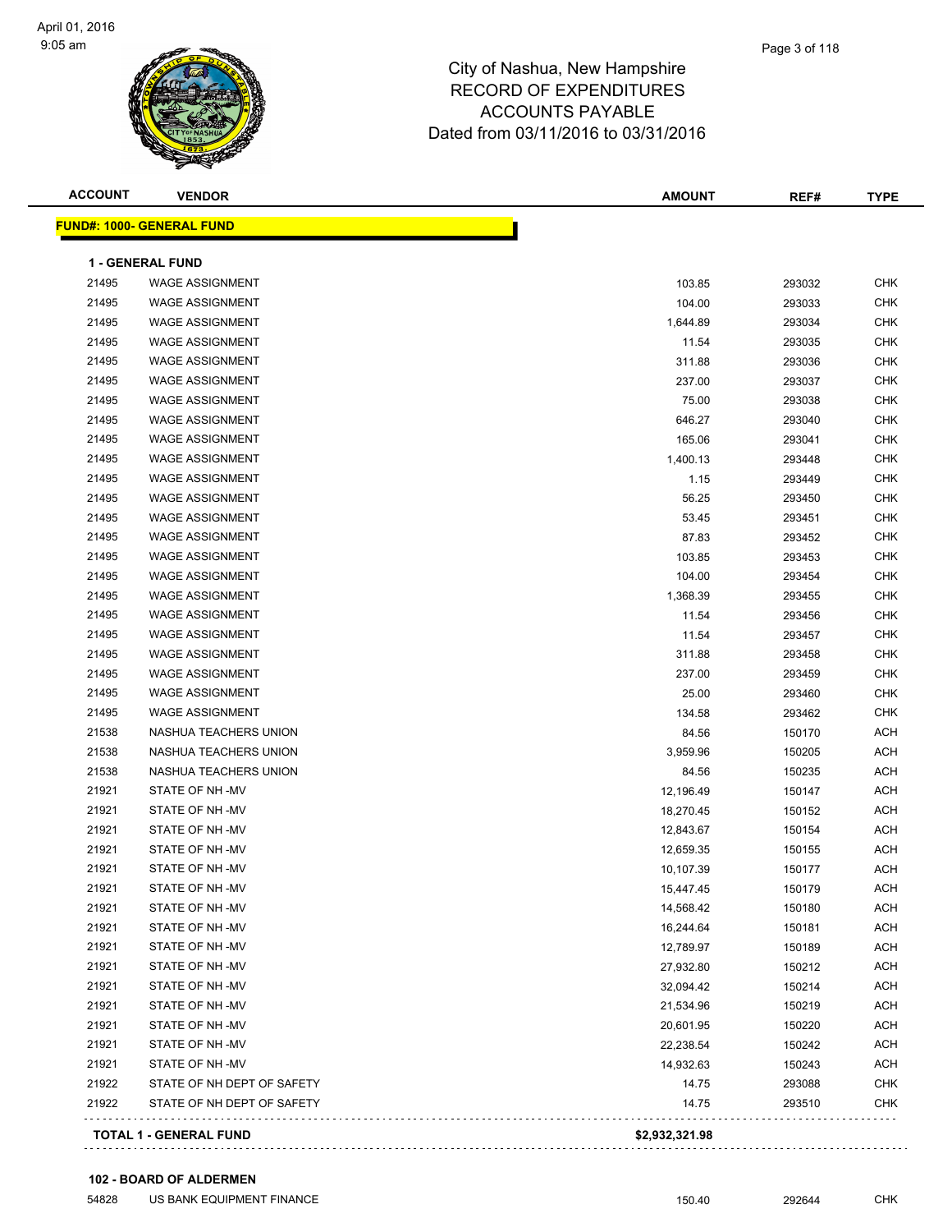#### Page 3 of 118

| <b>ACCOUNT</b> | <b>VENDOR</b>                    | <b>AMOUNT</b>  | REF#   | <b>TYPE</b> |
|----------------|----------------------------------|----------------|--------|-------------|
|                | <b>FUND#: 1000- GENERAL FUND</b> |                |        |             |
|                | <b>1 - GENERAL FUND</b>          |                |        |             |
| 21495          | <b>WAGE ASSIGNMENT</b>           | 103.85         | 293032 | <b>CHK</b>  |
| 21495          | <b>WAGE ASSIGNMENT</b>           | 104.00         | 293033 | <b>CHK</b>  |
| 21495          | <b>WAGE ASSIGNMENT</b>           | 1,644.89       | 293034 | <b>CHK</b>  |
| 21495          | <b>WAGE ASSIGNMENT</b>           | 11.54          | 293035 | <b>CHK</b>  |
| 21495          | <b>WAGE ASSIGNMENT</b>           | 311.88         | 293036 | <b>CHK</b>  |
| 21495          | <b>WAGE ASSIGNMENT</b>           | 237.00         | 293037 | <b>CHK</b>  |
| 21495          | <b>WAGE ASSIGNMENT</b>           | 75.00          | 293038 | <b>CHK</b>  |
| 21495          | <b>WAGE ASSIGNMENT</b>           | 646.27         | 293040 | <b>CHK</b>  |
| 21495          | <b>WAGE ASSIGNMENT</b>           | 165.06         | 293041 | <b>CHK</b>  |
| 21495          | <b>WAGE ASSIGNMENT</b>           | 1,400.13       | 293448 | <b>CHK</b>  |
| 21495          | <b>WAGE ASSIGNMENT</b>           | 1.15           | 293449 | <b>CHK</b>  |
| 21495          | <b>WAGE ASSIGNMENT</b>           | 56.25          | 293450 | <b>CHK</b>  |
| 21495          | <b>WAGE ASSIGNMENT</b>           | 53.45          | 293451 | <b>CHK</b>  |
| 21495          | <b>WAGE ASSIGNMENT</b>           | 87.83          | 293452 | <b>CHK</b>  |
| 21495          | <b>WAGE ASSIGNMENT</b>           | 103.85         | 293453 | <b>CHK</b>  |
| 21495          | <b>WAGE ASSIGNMENT</b>           | 104.00         | 293454 | <b>CHK</b>  |
| 21495          | <b>WAGE ASSIGNMENT</b>           | 1,368.39       | 293455 | <b>CHK</b>  |
| 21495          | <b>WAGE ASSIGNMENT</b>           | 11.54          | 293456 | <b>CHK</b>  |
| 21495          | <b>WAGE ASSIGNMENT</b>           | 11.54          | 293457 | <b>CHK</b>  |
| 21495          | <b>WAGE ASSIGNMENT</b>           | 311.88         | 293458 | <b>CHK</b>  |
| 21495          | <b>WAGE ASSIGNMENT</b>           | 237.00         | 293459 | <b>CHK</b>  |
| 21495          | <b>WAGE ASSIGNMENT</b>           | 25.00          | 293460 | <b>CHK</b>  |
| 21495          | <b>WAGE ASSIGNMENT</b>           | 134.58         | 293462 | <b>CHK</b>  |
| 21538          | NASHUA TEACHERS UNION            | 84.56          | 150170 | ACH         |
| 21538          | NASHUA TEACHERS UNION            | 3,959.96       | 150205 | <b>ACH</b>  |
| 21538          | NASHUA TEACHERS UNION            | 84.56          | 150235 | <b>ACH</b>  |
| 21921          | STATE OF NH-MV                   | 12,196.49      | 150147 | ACH         |
| 21921          | STATE OF NH-MV                   | 18,270.45      | 150152 | ACH         |
| 21921          | STATE OF NH-MV                   | 12,843.67      | 150154 | ACH         |
| 21921          | STATE OF NH-MV                   | 12,659.35      | 150155 | ACH         |
| 21921          | STATE OF NH-MV                   | 10,107.39      | 150177 | <b>ACH</b>  |
| 21921          | STATE OF NH-MV                   | 15,447.45      | 150179 | ACH         |
| 21921          | STATE OF NH-MV                   | 14,568.42      | 150180 | ACH         |
| 21921          | STATE OF NH-MV                   | 16,244.64      | 150181 | ACH         |
| 21921          | STATE OF NH-MV                   | 12,789.97      | 150189 | <b>ACH</b>  |
| 21921          | STATE OF NH-MV                   | 27,932.80      | 150212 | <b>ACH</b>  |
| 21921          | STATE OF NH-MV                   | 32,094.42      | 150214 | <b>ACH</b>  |
| 21921          | STATE OF NH-MV                   | 21,534.96      | 150219 | ACH         |
| 21921          | STATE OF NH-MV                   | 20,601.95      | 150220 | ACH         |
| 21921          | STATE OF NH-MV                   | 22,238.54      | 150242 | <b>ACH</b>  |
| 21921          | STATE OF NH-MV                   | 14,932.63      | 150243 | ACH         |
| 21922          | STATE OF NH DEPT OF SAFETY       | 14.75          | 293088 | CHK         |
| 21922          | STATE OF NH DEPT OF SAFETY       | 14.75          | 293510 | CHK         |
|                | <b>TOTAL 1 - GENERAL FUND</b>    | \$2,932,321.98 |        |             |
|                |                                  |                |        |             |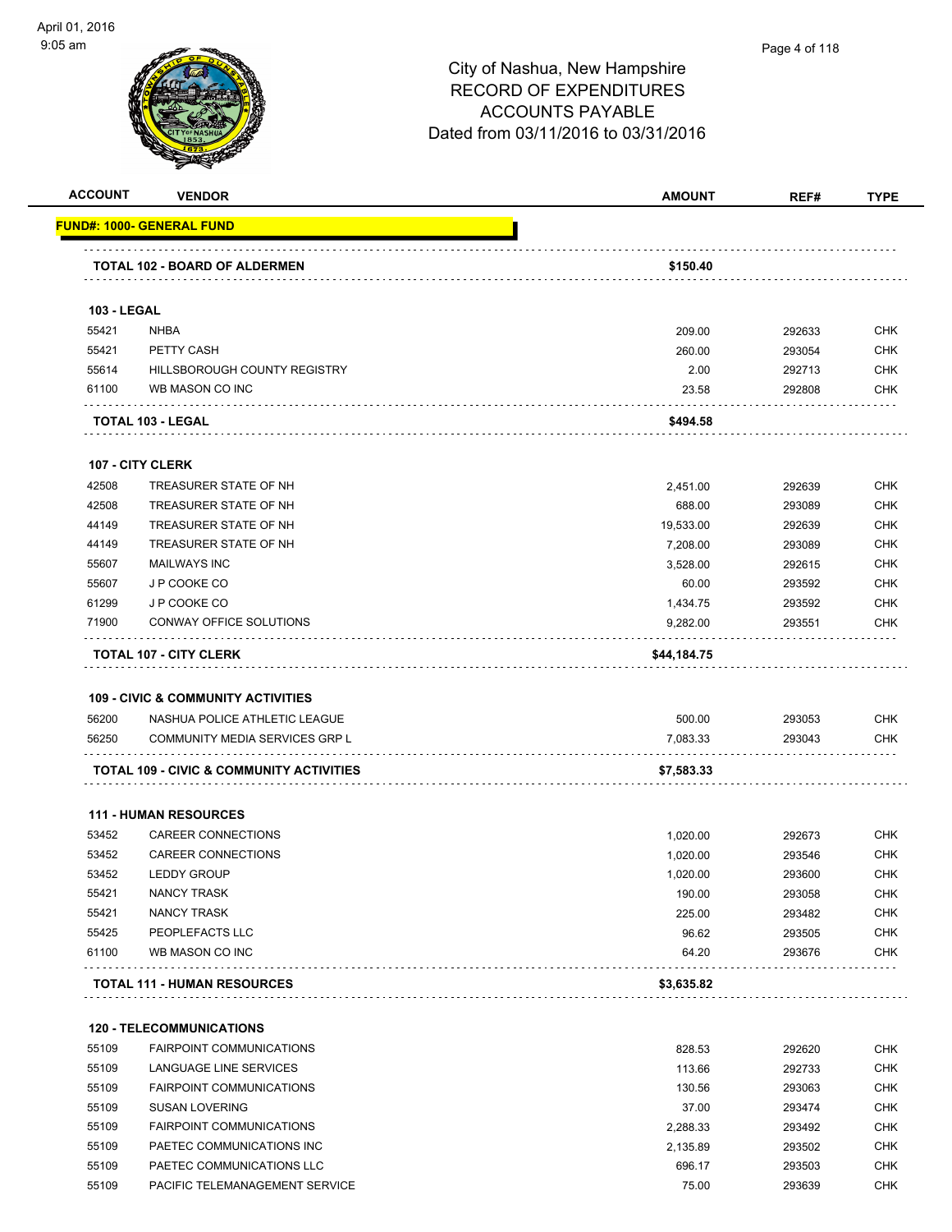

|                    | <b>VENDOR</b>                                          | <b>AMOUNT</b>        | REF#             | <b>TYPE</b>                                                                                                                                            |
|--------------------|--------------------------------------------------------|----------------------|------------------|--------------------------------------------------------------------------------------------------------------------------------------------------------|
|                    | <u> FUND#: 1000- GENERAL FUND</u>                      |                      |                  |                                                                                                                                                        |
|                    | TOTAL 102 - BOARD OF ALDERMEN                          | \$150.40             |                  |                                                                                                                                                        |
|                    |                                                        |                      |                  |                                                                                                                                                        |
| <b>103 - LEGAL</b> | <b>NHBA</b>                                            |                      |                  | <b>CHK</b>                                                                                                                                             |
| 55421              |                                                        | 209.00               | 292633           |                                                                                                                                                        |
| 55421              | PETTY CASH                                             | 260.00               | 293054           | <b>CHK</b>                                                                                                                                             |
| 55614<br>61100     | HILLSBOROUGH COUNTY REGISTRY<br>WB MASON CO INC        | 2.00<br>23.58        | 292713<br>292808 | <b>CHK</b><br><b>CHK</b>                                                                                                                               |
|                    | TOTAL 103 - LEGAL                                      | \$494.58             |                  |                                                                                                                                                        |
|                    | <b>107 - CITY CLERK</b>                                |                      |                  |                                                                                                                                                        |
| 42508              | TREASURER STATE OF NH                                  | 2,451.00             | 292639           | <b>CHK</b>                                                                                                                                             |
| 42508              | TREASURER STATE OF NH                                  | 688.00               | 293089           | <b>CHK</b>                                                                                                                                             |
| 44149              | TREASURER STATE OF NH                                  |                      |                  | <b>CHK</b>                                                                                                                                             |
| 44149              | TREASURER STATE OF NH                                  | 19,533.00            | 292639<br>293089 | <b>CHK</b>                                                                                                                                             |
|                    |                                                        | 7,208.00             |                  |                                                                                                                                                        |
| 55607              | <b>MAILWAYS INC</b>                                    | 3,528.00             | 292615           | <b>CHK</b>                                                                                                                                             |
| 55607              | J P COOKE CO                                           | 60.00                | 293592           | <b>CHK</b>                                                                                                                                             |
| 61299<br>71900     | J P COOKE CO<br>CONWAY OFFICE SOLUTIONS                | 1,434.75<br>9,282.00 | 293592<br>293551 | <b>CHK</b><br><b>CHK</b>                                                                                                                               |
|                    | <b>TOTAL 107 - CITY CLERK</b>                          | \$44,184.75          |                  |                                                                                                                                                        |
|                    |                                                        |                      |                  |                                                                                                                                                        |
|                    | <b>109 - CIVIC &amp; COMMUNITY ACTIVITIES</b>          |                      |                  |                                                                                                                                                        |
| 56200              | NASHUA POLICE ATHLETIC LEAGUE                          | 500.00               | 293053           | <b>CHK</b>                                                                                                                                             |
| 56250              | COMMUNITY MEDIA SERVICES GRP L                         | 7,083.33             | 293043           | CHK                                                                                                                                                    |
|                    | TOTAL 109 - CIVIC & COMMUNITY ACTIVITIES               | \$7,583.33           |                  |                                                                                                                                                        |
|                    | <b>111 - HUMAN RESOURCES</b>                           |                      |                  |                                                                                                                                                        |
| 53452              | <b>CAREER CONNECTIONS</b>                              | 1,020.00             | 292673           | <b>CHK</b>                                                                                                                                             |
| 53452              | <b>CAREER CONNECTIONS</b>                              | 1,020.00             | 293546           | <b>CHK</b>                                                                                                                                             |
|                    | <b>LEDDY GROUP</b>                                     | 1,020.00             |                  |                                                                                                                                                        |
| 53452              |                                                        |                      | 293600           |                                                                                                                                                        |
| 55421              | NANCY TRASK                                            | 190.00               | 293058           |                                                                                                                                                        |
| 55421              | <b>NANCY TRASK</b>                                     | 225.00               | 293482           |                                                                                                                                                        |
| 55425              | PEOPLEFACTS LLC                                        | 96.62                | 293505           |                                                                                                                                                        |
| 61100              | WB MASON CO INC                                        | 64.20                | 293676           |                                                                                                                                                        |
|                    | <b>TOTAL 111 - HUMAN RESOURCES</b>                     | \$3,635.82           |                  |                                                                                                                                                        |
|                    | <b>120 - TELECOMMUNICATIONS</b>                        |                      |                  |                                                                                                                                                        |
| 55109              | <b>FAIRPOINT COMMUNICATIONS</b>                        |                      |                  |                                                                                                                                                        |
| 55109              | LANGUAGE LINE SERVICES                                 | 828.53               | 292620           |                                                                                                                                                        |
|                    |                                                        | 113.66               | 292733           |                                                                                                                                                        |
| 55109              | <b>FAIRPOINT COMMUNICATIONS</b>                        | 130.56               | 293063           |                                                                                                                                                        |
| 55109              | <b>SUSAN LOVERING</b>                                  | 37.00                | 293474           |                                                                                                                                                        |
| 55109              | <b>FAIRPOINT COMMUNICATIONS</b>                        | 2,288.33             | 293492           |                                                                                                                                                        |
| 55109<br>55109     | PAETEC COMMUNICATIONS INC<br>PAETEC COMMUNICATIONS LLC | 2,135.89<br>696.17   | 293502<br>293503 | <b>CHK</b><br>CHK<br><b>CHK</b><br><b>CHK</b><br><b>CHK</b><br>CHK<br><b>CHK</b><br><b>CHK</b><br><b>CHK</b><br><b>CHK</b><br><b>CHK</b><br><b>CHK</b> |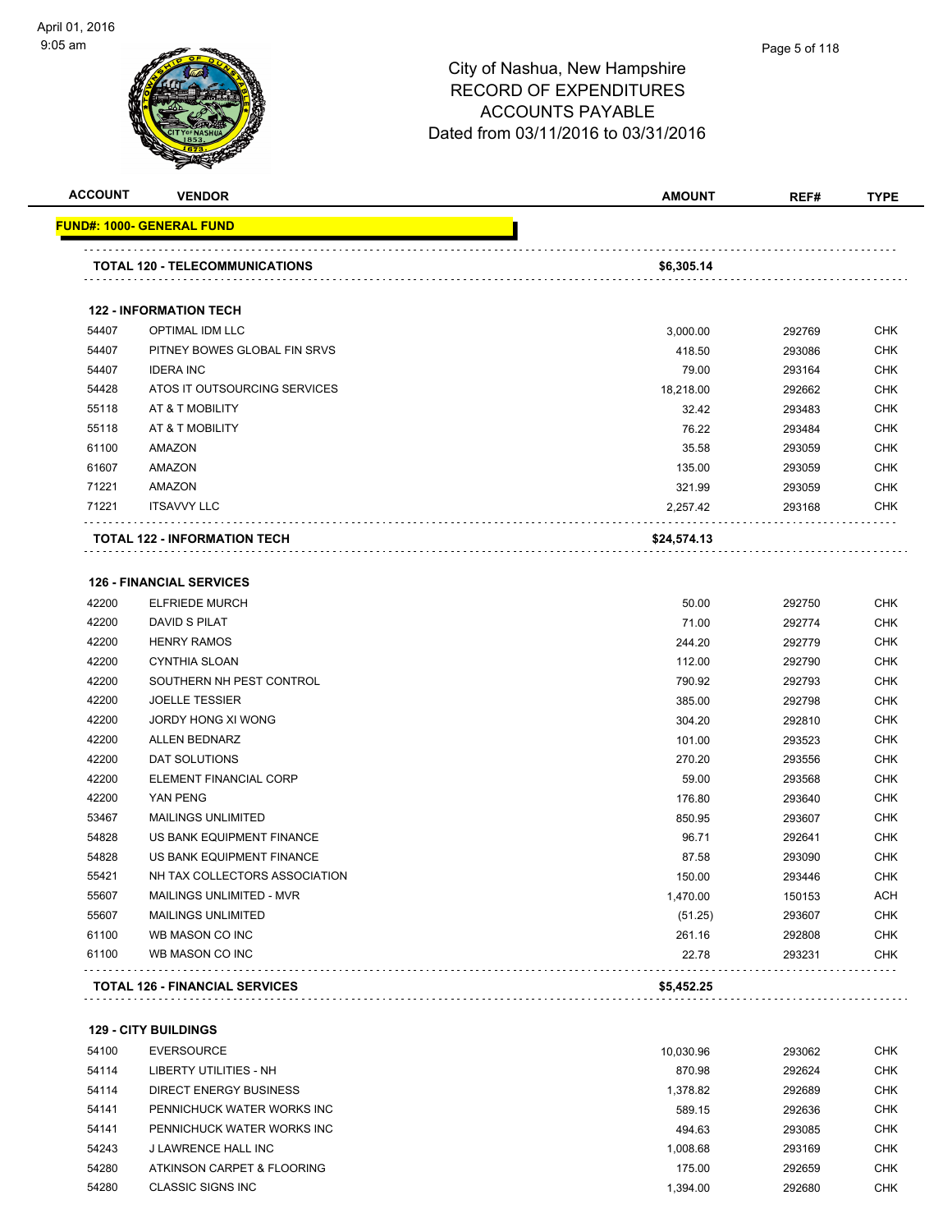

| <b>ACCOUNT</b> | <b>VENDOR</b>                                            | <b>AMOUNT</b> | REF#   | <b>TYPE</b> |
|----------------|----------------------------------------------------------|---------------|--------|-------------|
|                | <u> FUND#: 1000- GENERAL FUND</u>                        |               |        |             |
|                | <b>TOTAL 120 - TELECOMMUNICATIONS</b>                    | \$6,305.14    |        |             |
|                |                                                          |               |        |             |
|                | <b>122 - INFORMATION TECH</b>                            |               |        |             |
| 54407          | OPTIMAL IDM LLC                                          | 3,000.00      | 292769 | <b>CHK</b>  |
| 54407          | PITNEY BOWES GLOBAL FIN SRVS                             | 418.50        | 293086 | <b>CHK</b>  |
| 54407          | <b>IDERA INC</b>                                         | 79.00         | 293164 | <b>CHK</b>  |
| 54428          | ATOS IT OUTSOURCING SERVICES                             | 18,218.00     | 292662 | <b>CHK</b>  |
| 55118          | AT & T MOBILITY                                          | 32.42         | 293483 | <b>CHK</b>  |
| 55118          | AT & T MOBILITY                                          | 76.22         | 293484 | <b>CHK</b>  |
| 61100          | AMAZON                                                   | 35.58         | 293059 | CHK         |
| 61607          | <b>AMAZON</b>                                            | 135.00        | 293059 | <b>CHK</b>  |
| 71221          | <b>AMAZON</b>                                            | 321.99        | 293059 | <b>CHK</b>  |
| 71221          | <b>ITSAVVY LLC</b>                                       | 2,257.42      | 293168 | CHK         |
|                | <b>TOTAL 122 - INFORMATION TECH</b>                      | \$24,574.13   |        |             |
| 42200          | <b>126 - FINANCIAL SERVICES</b><br><b>ELFRIEDE MURCH</b> | 50.00         | 292750 | <b>CHK</b>  |
| 42200          | <b>DAVID S PILAT</b>                                     | 71.00         | 292774 | <b>CHK</b>  |
| 42200          | <b>HENRY RAMOS</b>                                       | 244.20        | 292779 | <b>CHK</b>  |
| 42200          | <b>CYNTHIA SLOAN</b>                                     | 112.00        | 292790 | <b>CHK</b>  |
| 42200          | SOUTHERN NH PEST CONTROL                                 | 790.92        | 292793 | <b>CHK</b>  |
| 42200          | <b>JOELLE TESSIER</b>                                    | 385.00        | 292798 | <b>CHK</b>  |
| 42200          | JORDY HONG XI WONG                                       | 304.20        | 292810 | <b>CHK</b>  |
| 42200          | <b>ALLEN BEDNARZ</b>                                     | 101.00        | 293523 | <b>CHK</b>  |
| 42200          | DAT SOLUTIONS                                            | 270.20        | 293556 | <b>CHK</b>  |
| 42200          | ELEMENT FINANCIAL CORP                                   | 59.00         | 293568 | <b>CHK</b>  |
| 42200          | YAN PENG                                                 | 176.80        | 293640 | <b>CHK</b>  |
| 53467          | <b>MAILINGS UNLIMITED</b>                                | 850.95        | 293607 | <b>CHK</b>  |
| 54828          | US BANK EQUIPMENT FINANCE                                | 96.71         | 292641 | <b>CHK</b>  |
| 54828          | US BANK EQUIPMENT FINANCE                                | 87.58         | 293090 | <b>CHK</b>  |
| 55421          | NH TAX COLLECTORS ASSOCIATION                            | 150.00        | 293446 | <b>CHK</b>  |
| 55607          | MAILINGS UNLIMITED - MVR                                 | 1,470.00      | 150153 | <b>ACH</b>  |
| 55607          | <b>MAILINGS UNLIMITED</b>                                | (51.25)       | 293607 | <b>CHK</b>  |
| 61100          | WB MASON CO INC                                          | 261.16        | 292808 | <b>CHK</b>  |
| 61100          | WB MASON CO INC                                          | 22.78         | 293231 | <b>CHK</b>  |
|                |                                                          |               |        |             |
|                | <b>TOTAL 126 - FINANCIAL SERVICES</b>                    | \$5,452.25    |        |             |

**129 - CITY BUILDINGS**

| 54100 | EVERSOURCE                 | 10.030.96 | 293062 | <b>CHK</b> |
|-------|----------------------------|-----------|--------|------------|
| 54114 | LIBERTY UTILITIES - NH     | 870.98    | 292624 | <b>CHK</b> |
| 54114 | DIRECT ENERGY BUSINESS     | 1.378.82  | 292689 | <b>CHK</b> |
| 54141 | PENNICHUCK WATER WORKS INC | 589.15    | 292636 | <b>CHK</b> |
| 54141 | PENNICHUCK WATER WORKS INC | 494.63    | 293085 | <b>CHK</b> |
| 54243 | J LAWRENCE HALL INC        | 1.008.68  | 293169 | <b>CHK</b> |
| 54280 | ATKINSON CARPET & FLOORING | 175.00    | 292659 | <b>CHK</b> |
| 54280 | CLASSIC SIGNS INC          | .394.00   | 292680 | <b>CHK</b> |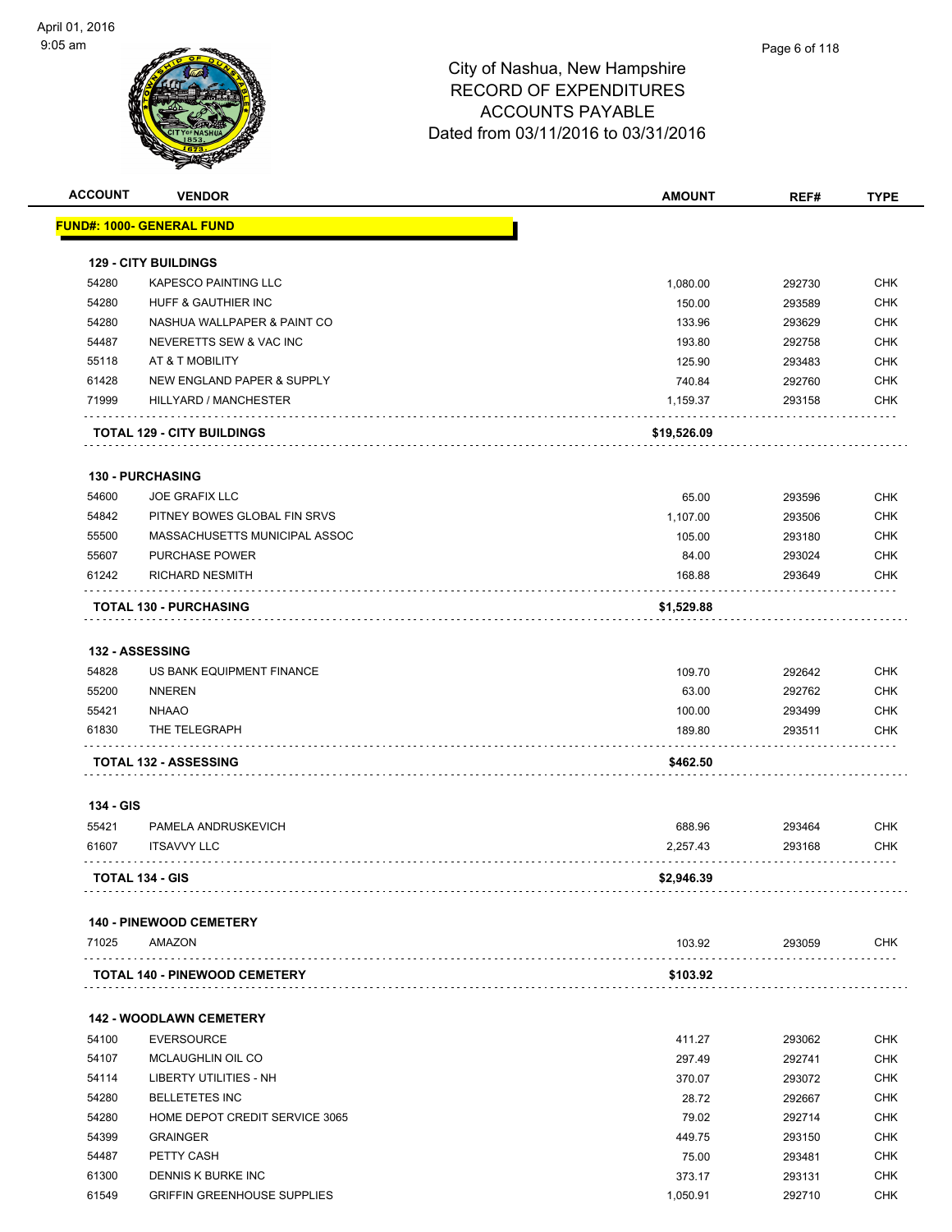| <b>ACCOUNT</b> | <b>VENDOR</b>                         | <b>AMOUNT</b> | REF#   | <b>TYPE</b> |
|----------------|---------------------------------------|---------------|--------|-------------|
|                | <b>FUND#: 1000- GENERAL FUND</b>      |               |        |             |
|                | <b>129 - CITY BUILDINGS</b>           |               |        |             |
| 54280          | <b>KAPESCO PAINTING LLC</b>           | 1,080.00      | 292730 | <b>CHK</b>  |
| 54280          | HUFF & GAUTHIER INC                   | 150.00        | 293589 | <b>CHK</b>  |
| 54280          | NASHUA WALLPAPER & PAINT CO           | 133.96        | 293629 | <b>CHK</b>  |
| 54487          | NEVERETTS SEW & VAC INC               | 193.80        | 292758 | <b>CHK</b>  |
| 55118          | AT & T MOBILITY                       | 125.90        | 293483 | <b>CHK</b>  |
| 61428          | <b>NEW ENGLAND PAPER &amp; SUPPLY</b> | 740.84        | 292760 | <b>CHK</b>  |
| 71999          | HILLYARD / MANCHESTER                 | 1,159.37      | 293158 | <b>CHK</b>  |
|                | <b>TOTAL 129 - CITY BUILDINGS</b>     | \$19,526.09   |        |             |
|                | <b>130 - PURCHASING</b>               |               |        |             |
| 54600          | <b>JOE GRAFIX LLC</b>                 | 65.00         | 293596 | <b>CHK</b>  |
| 54842          | PITNEY BOWES GLOBAL FIN SRVS          | 1,107.00      | 293506 | <b>CHK</b>  |
| 55500          | MASSACHUSETTS MUNICIPAL ASSOC         | 105.00        | 293180 | <b>CHK</b>  |
| 55607          | <b>PURCHASE POWER</b>                 | 84.00         | 293024 | <b>CHK</b>  |
| 61242          | <b>RICHARD NESMITH</b>                | 168.88        | 293649 | <b>CHK</b>  |
|                | <b>TOTAL 130 - PURCHASING</b>         | \$1,529.88    |        |             |
|                |                                       |               |        |             |
|                | 132 - ASSESSING                       |               |        |             |
| 54828          | US BANK EQUIPMENT FINANCE             | 109.70        | 292642 | <b>CHK</b>  |
| 55200          | <b>NNEREN</b>                         | 63.00         | 292762 | <b>CHK</b>  |
| 55421          | <b>NHAAO</b>                          | 100.00        | 293499 | <b>CHK</b>  |
| 61830          | THE TELEGRAPH                         | 189.80        | 293511 | <b>CHK</b>  |
|                | <b>TOTAL 132 - ASSESSING</b>          | \$462.50      |        |             |
| 134 - GIS      |                                       |               |        |             |
| 55421          | PAMELA ANDRUSKEVICH                   | 688.96        | 293464 | <b>CHK</b>  |
| 61607          | <b>ITSAVVY LLC</b>                    | 2,257.43      | 293168 | <b>CHK</b>  |
|                | <b>TOTAL 134 - GIS</b>                | \$2,946.39    |        |             |
|                | <b>140 - PINEWOOD CEMETERY</b>        |               |        |             |
| 71025          | AMAZON                                | 103.92        | 293059 | <b>CHK</b>  |
|                | <b>TOTAL 140 - PINEWOOD CEMETERY</b>  | \$103.92      |        |             |
|                |                                       |               |        |             |
|                | <b>142 - WOODLAWN CEMETERY</b>        |               |        |             |
| 54100          | <b>EVERSOURCE</b>                     | 411.27        | 293062 | <b>CHK</b>  |
| 54107          | MCLAUGHLIN OIL CO                     | 297.49        | 292741 | <b>CHK</b>  |
| 54114          | LIBERTY UTILITIES - NH                | 370.07        | 293072 | <b>CHK</b>  |
| 54280          | <b>BELLETETES INC</b>                 | 28.72         | 292667 | <b>CHK</b>  |
| 54280          | HOME DEPOT CREDIT SERVICE 3065        | 79.02         | 292714 | <b>CHK</b>  |
| 54399          | <b>GRAINGER</b>                       | 449.75        | 293150 | <b>CHK</b>  |
| 54487          | PETTY CASH                            | 75.00         | 293481 | CHK         |
| 61300          | DENNIS K BURKE INC                    | 373.17        | 293131 | <b>CHK</b>  |

61549 GRIFFIN GREENHOUSE SUPPLIES 1,050.91 292710 CHK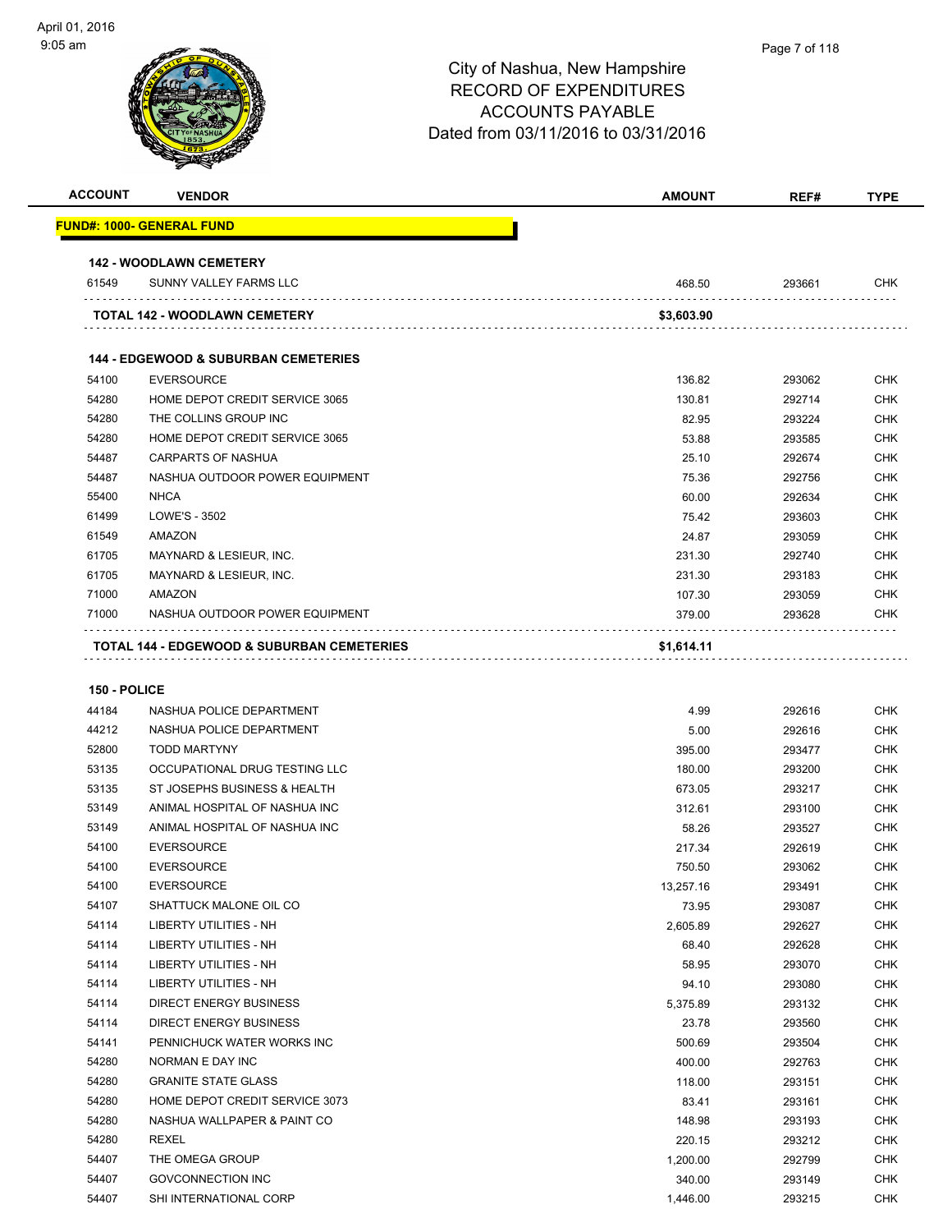|                |                                                       | City of Nashua, New Hampshire<br><b>RECORD OF EXPENDITURES</b><br><b>ACCOUNTS PAYABLE</b><br>Dated from 03/11/2016 to 03/31/2016 | Page / OT 118 |             |
|----------------|-------------------------------------------------------|----------------------------------------------------------------------------------------------------------------------------------|---------------|-------------|
| <b>ACCOUNT</b> | <b>VENDOR</b>                                         | <b>AMOUNT</b>                                                                                                                    | REF#          | <b>TYPE</b> |
|                | <b>FUND#: 1000- GENERAL FUND</b>                      |                                                                                                                                  |               |             |
|                | <b>142 - WOODLAWN CEMETERY</b>                        |                                                                                                                                  |               |             |
| 61549          | SUNNY VALLEY FARMS LLC                                | 468.50                                                                                                                           | 293661        | <b>CHK</b>  |
|                | <b>TOTAL 142 - WOODLAWN CEMETERY</b>                  | \$3,603.90                                                                                                                       |               |             |
|                | <b>144 - EDGEWOOD &amp; SUBURBAN CEMETERIES</b>       |                                                                                                                                  |               |             |
| 54100          | <b>EVERSOURCE</b>                                     | 136.82                                                                                                                           | 293062        | <b>CHK</b>  |
| 54280          | HOME DEPOT CREDIT SERVICE 3065                        | 130.81                                                                                                                           | 292714        | <b>CHK</b>  |
| 54280          | THE COLLINS GROUP INC                                 | 82.95                                                                                                                            | 293224        | <b>CHK</b>  |
| 54280          | HOME DEPOT CREDIT SERVICE 3065                        | 53.88                                                                                                                            | 293585        | <b>CHK</b>  |
| 54487          | <b>CARPARTS OF NASHUA</b>                             | 25.10                                                                                                                            | 292674        | <b>CHK</b>  |
| 54487          | NASHUA OUTDOOR POWER EQUIPMENT                        | 75.36                                                                                                                            | 292756        | <b>CHK</b>  |
| 55400          | <b>NHCA</b>                                           | 60.00                                                                                                                            | 292634        | <b>CHK</b>  |
| 61499          | <b>LOWE'S - 3502</b>                                  | 75.42                                                                                                                            | 293603        | <b>CHK</b>  |
| 61549          | <b>AMAZON</b>                                         | 24.87                                                                                                                            | 293059        | <b>CHK</b>  |
| 61705          | MAYNARD & LESIEUR, INC.                               | 231.30                                                                                                                           | 292740        | <b>CHK</b>  |
| 61705          | MAYNARD & LESIEUR, INC.                               | 231.30                                                                                                                           | 293183        | <b>CHK</b>  |
| 71000          | <b>AMAZON</b>                                         | 107.30                                                                                                                           | 293059        | <b>CHK</b>  |
| 71000          | NASHUA OUTDOOR POWER EQUIPMENT                        | 379.00                                                                                                                           | 293628        | <b>CHK</b>  |
|                | <b>TOTAL 144 - EDGEWOOD &amp; SUBURBAN CEMETERIES</b> | \$1,614.11                                                                                                                       |               |             |

#### **150 - POLICE**

| 44184 | NASHUA POLICE DEPARTMENT       | 4.99      | 292616 | <b>CHK</b> |
|-------|--------------------------------|-----------|--------|------------|
| 44212 | NASHUA POLICE DEPARTMENT       | 5.00      | 292616 | <b>CHK</b> |
| 52800 | <b>TODD MARTYNY</b>            | 395.00    | 293477 | <b>CHK</b> |
| 53135 | OCCUPATIONAL DRUG TESTING LLC  | 180.00    | 293200 | <b>CHK</b> |
| 53135 | ST JOSEPHS BUSINESS & HEALTH   | 673.05    | 293217 | <b>CHK</b> |
| 53149 | ANIMAL HOSPITAL OF NASHUA INC  | 312.61    | 293100 | <b>CHK</b> |
| 53149 | ANIMAL HOSPITAL OF NASHUA INC  | 58.26     | 293527 | <b>CHK</b> |
| 54100 | <b>EVERSOURCE</b>              | 217.34    | 292619 | <b>CHK</b> |
| 54100 | <b>EVERSOURCE</b>              | 750.50    | 293062 | <b>CHK</b> |
| 54100 | <b>EVERSOURCE</b>              | 13,257.16 | 293491 | <b>CHK</b> |
| 54107 | SHATTUCK MALONE OIL CO         | 73.95     | 293087 | <b>CHK</b> |
| 54114 | <b>LIBERTY UTILITIES - NH</b>  | 2,605.89  | 292627 | <b>CHK</b> |
| 54114 | <b>LIBERTY UTILITIES - NH</b>  | 68.40     | 292628 | <b>CHK</b> |
| 54114 | LIBERTY UTILITIES - NH         | 58.95     | 293070 | CHK        |
| 54114 | <b>LIBERTY UTILITIES - NH</b>  | 94.10     | 293080 | <b>CHK</b> |
| 54114 | <b>DIRECT ENERGY BUSINESS</b>  | 5,375.89  | 293132 | CHK        |
| 54114 | <b>DIRECT ENERGY BUSINESS</b>  | 23.78     | 293560 | <b>CHK</b> |
| 54141 | PENNICHUCK WATER WORKS INC     | 500.69    | 293504 | CHK        |
| 54280 | NORMAN E DAY INC               | 400.00    | 292763 | <b>CHK</b> |
| 54280 | <b>GRANITE STATE GLASS</b>     | 118.00    | 293151 | <b>CHK</b> |
| 54280 | HOME DEPOT CREDIT SERVICE 3073 | 83.41     | 293161 | <b>CHK</b> |
| 54280 | NASHUA WALLPAPER & PAINT CO    | 148.98    | 293193 | <b>CHK</b> |
| 54280 | <b>REXEL</b>                   | 220.15    | 293212 | <b>CHK</b> |
| 54407 | THE OMEGA GROUP                | 1,200.00  | 292799 | <b>CHK</b> |
| 54407 | <b>GOVCONNECTION INC</b>       | 340.00    | 293149 | <b>CHK</b> |
| 54407 | SHI INTERNATIONAL CORP         | 1.446.00  | 293215 | <b>CHK</b> |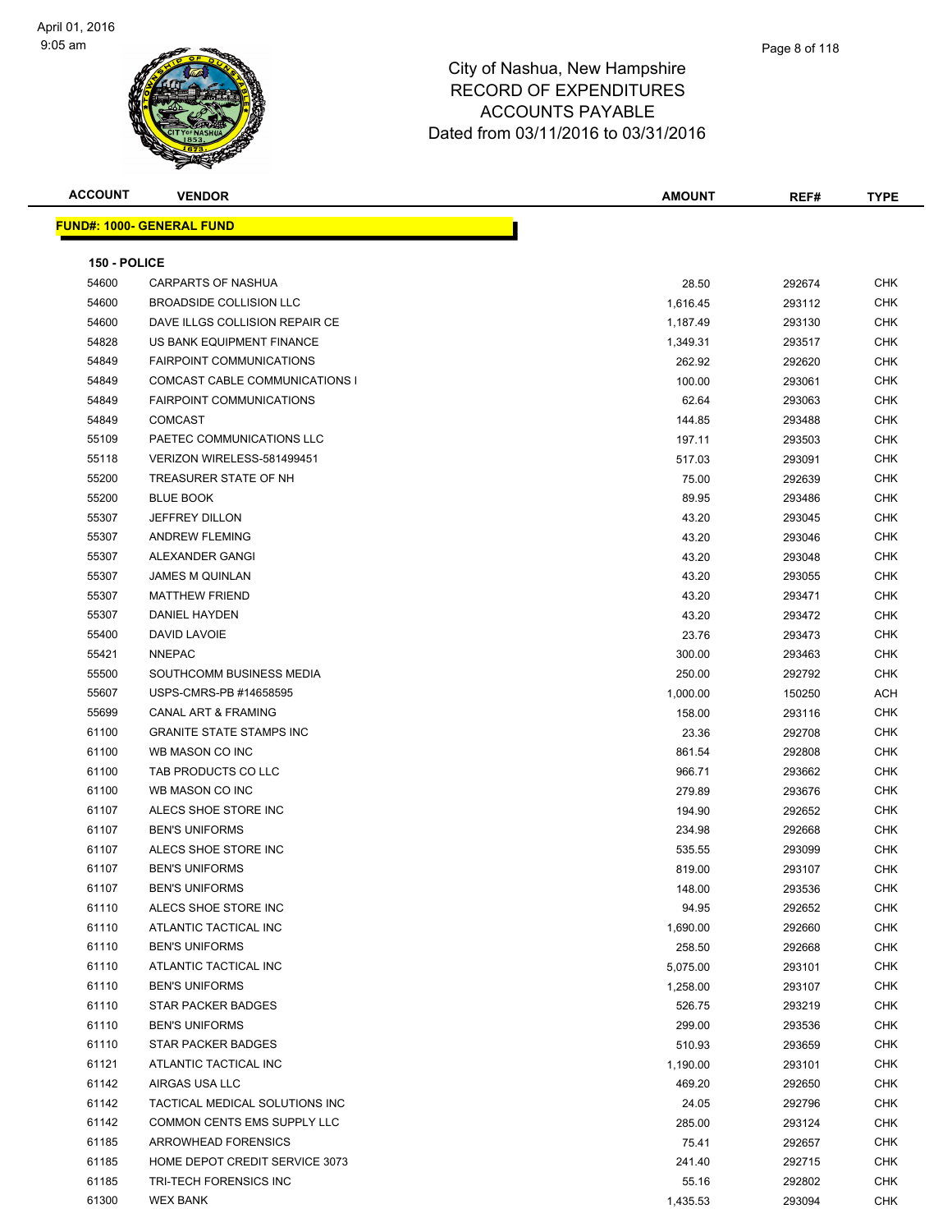| <b>ACCOUNT</b> | <b>VENDOR</b>                         | <b>AMOUNT</b> | REF#   | <b>TYPE</b> |
|----------------|---------------------------------------|---------------|--------|-------------|
|                | <b>FUND#: 1000- GENERAL FUND</b>      |               |        |             |
|                |                                       |               |        |             |
| 150 - POLICE   |                                       |               |        |             |
| 54600          | CARPARTS OF NASHUA                    | 28.50         | 292674 | <b>CHK</b>  |
| 54600          | <b>BROADSIDE COLLISION LLC</b>        | 1,616.45      | 293112 | CHK         |
| 54600          | DAVE ILLGS COLLISION REPAIR CE        | 1,187.49      | 293130 | <b>CHK</b>  |
| 54828          | US BANK EQUIPMENT FINANCE             | 1,349.31      | 293517 | <b>CHK</b>  |
| 54849          | <b>FAIRPOINT COMMUNICATIONS</b>       | 262.92        | 292620 | CHK         |
| 54849          | <b>COMCAST CABLE COMMUNICATIONS I</b> | 100.00        | 293061 | CHK         |
| 54849          | <b>FAIRPOINT COMMUNICATIONS</b>       | 62.64         | 293063 | CHK         |
| 54849          | <b>COMCAST</b>                        | 144.85        | 293488 | CHK         |
| 55109          | PAETEC COMMUNICATIONS LLC             | 197.11        | 293503 | <b>CHK</b>  |
| 55118          | VERIZON WIRELESS-581499451            | 517.03        | 293091 | CHK         |
| 55200          | TREASURER STATE OF NH                 | 75.00         | 292639 | CHK         |
| 55200          | <b>BLUE BOOK</b>                      | 89.95         | 293486 | <b>CHK</b>  |
| 55307          | <b>JEFFREY DILLON</b>                 | 43.20         | 293045 | CHK         |
| 55307          | <b>ANDREW FLEMING</b>                 | 43.20         | 293046 | CHK         |
| 55307          | ALEXANDER GANGI                       | 43.20         | 293048 | CHK         |
| 55307          | <b>JAMES M QUINLAN</b>                | 43.20         | 293055 | CHK         |
| 55307          | <b>MATTHEW FRIEND</b>                 | 43.20         | 293471 | CHK         |
| 55307          | DANIEL HAYDEN                         | 43.20         | 293472 | CHK         |
| 55400          | DAVID LAVOIE                          | 23.76         | 293473 | CHK         |
| 55421          | <b>NNEPAC</b>                         | 300.00        | 293463 | <b>CHK</b>  |
| 55500          | SOUTHCOMM BUSINESS MEDIA              | 250.00        | 292792 | CHK         |
| 55607          | USPS-CMRS-PB #14658595                | 1,000.00      | 150250 | <b>ACH</b>  |
| 55699          | <b>CANAL ART &amp; FRAMING</b>        | 158.00        | 293116 | <b>CHK</b>  |
| 61100          | <b>GRANITE STATE STAMPS INC</b>       | 23.36         | 292708 | CHK         |
| 61100          | WB MASON CO INC                       | 861.54        | 292808 | <b>CHK</b>  |
| 61100          | TAB PRODUCTS CO LLC                   | 966.71        | 293662 | <b>CHK</b>  |
| 61100          | WB MASON CO INC                       | 279.89        | 293676 | CHK         |
| 61107          | ALECS SHOE STORE INC                  | 194.90        | 292652 | CHK         |
| 61107          | <b>BEN'S UNIFORMS</b>                 | 234.98        | 292668 | CHK         |
| 61107          | ALECS SHOE STORE INC                  | 535.55        | 293099 | CHK         |
| 61107          | <b>BEN'S UNIFORMS</b>                 | 819.00        | 293107 | <b>CHK</b>  |
| 61107          | <b>BEN'S UNIFORMS</b>                 | 148.00        | 293536 | <b>CHK</b>  |
| 61110          | ALECS SHOE STORE INC                  | 94.95         | 292652 | <b>CHK</b>  |
| 61110          | ATLANTIC TACTICAL INC                 | 1,690.00      | 292660 | <b>CHK</b>  |
| 61110          | <b>BEN'S UNIFORMS</b>                 | 258.50        | 292668 | <b>CHK</b>  |
| 61110          | ATLANTIC TACTICAL INC                 | 5,075.00      | 293101 | <b>CHK</b>  |
| 61110          | <b>BEN'S UNIFORMS</b>                 | 1,258.00      | 293107 | CHK         |
| 61110          | <b>STAR PACKER BADGES</b>             | 526.75        | 293219 | CHK         |
| 61110          | <b>BEN'S UNIFORMS</b>                 | 299.00        | 293536 | <b>CHK</b>  |
| 61110          | <b>STAR PACKER BADGES</b>             | 510.93        | 293659 | <b>CHK</b>  |
| 61121          | ATLANTIC TACTICAL INC                 | 1,190.00      | 293101 | CHK         |
| 61142          | AIRGAS USA LLC                        | 469.20        | 292650 | <b>CHK</b>  |
| 61142          | TACTICAL MEDICAL SOLUTIONS INC        | 24.05         | 292796 | <b>CHK</b>  |
| 61142          | COMMON CENTS EMS SUPPLY LLC           | 285.00        | 293124 | <b>CHK</b>  |
| 61185          | ARROWHEAD FORENSICS                   | 75.41         | 292657 | <b>CHK</b>  |
| 61185          | HOME DEPOT CREDIT SERVICE 3073        | 241.40        | 292715 | CHK         |
| 61185          | TRI-TECH FORENSICS INC                | 55.16         | 292802 | CHK         |
| 61300          | <b>WEX BANK</b>                       | 1,435.53      | 293094 | CHK         |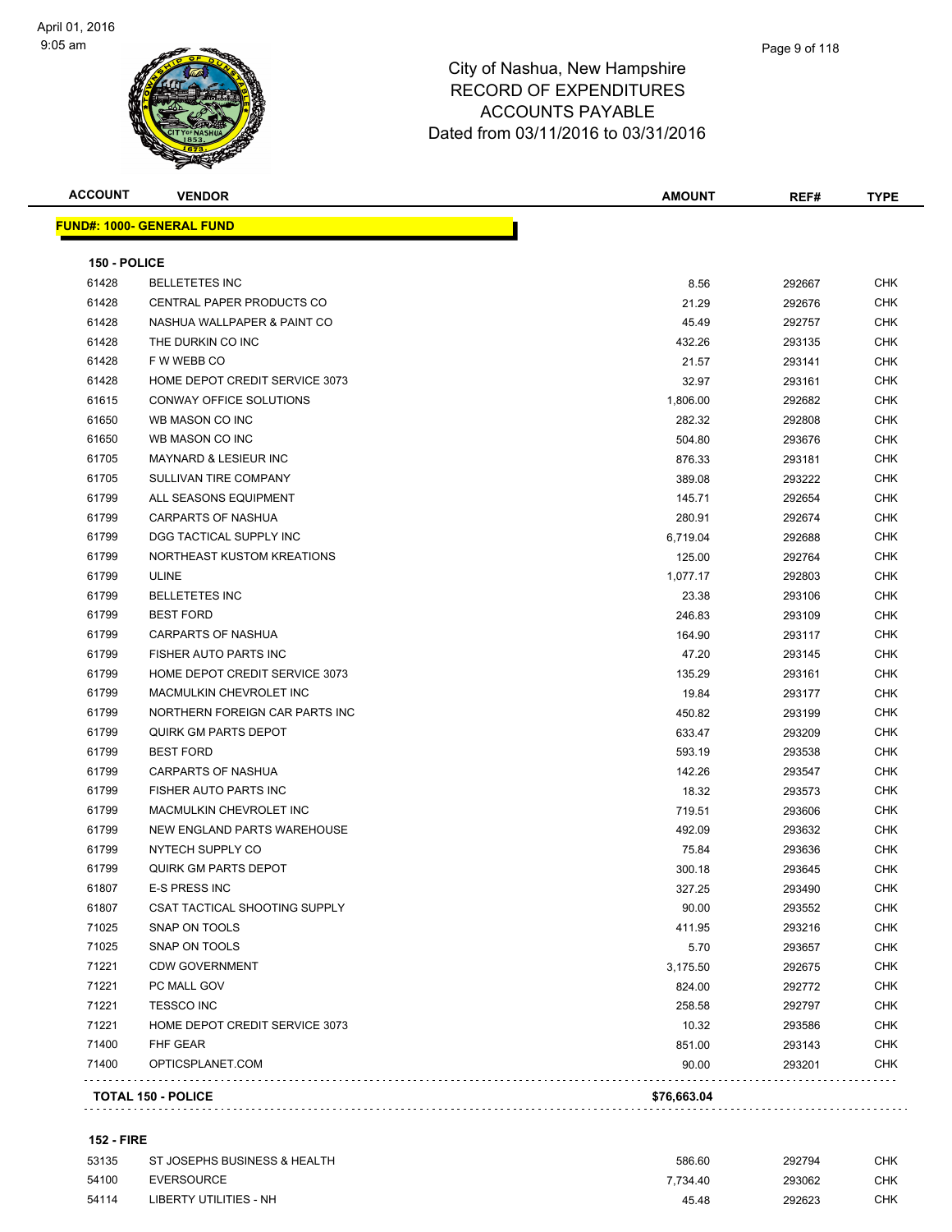

| <b>ACCOUNT</b> | <b>VENDOR</b>                    | <b>AMOUNT</b> | REF#   | <b>TYPE</b> |
|----------------|----------------------------------|---------------|--------|-------------|
|                | <b>FUND#: 1000- GENERAL FUND</b> |               |        |             |
| 150 - POLICE   |                                  |               |        |             |
| 61428          | <b>BELLETETES INC</b>            | 8.56          | 292667 | CHK         |
| 61428          | CENTRAL PAPER PRODUCTS CO        | 21.29         | 292676 | CHK         |
| 61428          | NASHUA WALLPAPER & PAINT CO      | 45.49         | 292757 | <b>CHK</b>  |
| 61428          | THE DURKIN CO INC                | 432.26        | 293135 | <b>CHK</b>  |
| 61428          | F W WEBB CO                      | 21.57         | 293141 | <b>CHK</b>  |
| 61428          | HOME DEPOT CREDIT SERVICE 3073   | 32.97         | 293161 | CHK         |
| 61615          | CONWAY OFFICE SOLUTIONS          | 1,806.00      | 292682 | <b>CHK</b>  |
| 61650          | WB MASON CO INC                  | 282.32        | 292808 | CHK         |
| 61650          | WB MASON CO INC                  | 504.80        | 293676 | <b>CHK</b>  |
| 61705          | <b>MAYNARD &amp; LESIEUR INC</b> | 876.33        | 293181 | <b>CHK</b>  |
| 61705          | SULLIVAN TIRE COMPANY            | 389.08        | 293222 | CHK         |
| 61799          | ALL SEASONS EQUIPMENT            | 145.71        | 292654 | <b>CHK</b>  |
| 61799          | CARPARTS OF NASHUA               | 280.91        | 292674 | <b>CHK</b>  |
| 61799          | DGG TACTICAL SUPPLY INC          | 6,719.04      | 292688 | <b>CHK</b>  |
| 61799          | NORTHEAST KUSTOM KREATIONS       | 125.00        | 292764 | <b>CHK</b>  |
| 61799          | <b>ULINE</b>                     | 1,077.17      | 292803 | CHK         |
| 61799          | <b>BELLETETES INC</b>            | 23.38         | 293106 | CHK         |
| 61799          | <b>BEST FORD</b>                 | 246.83        | 293109 | <b>CHK</b>  |
| 61799          | CARPARTS OF NASHUA               | 164.90        | 293117 | CHK         |
| 61799          | FISHER AUTO PARTS INC            | 47.20         | 293145 | CHK         |
| 61799          | HOME DEPOT CREDIT SERVICE 3073   | 135.29        | 293161 | CHK         |
| 61799          | MACMULKIN CHEVROLET INC          | 19.84         | 293177 | CHK         |
| 61799          | NORTHERN FOREIGN CAR PARTS INC   | 450.82        | 293199 | CHK         |
| 61799          | <b>QUIRK GM PARTS DEPOT</b>      | 633.47        | 293209 | <b>CHK</b>  |
| 61799          | <b>BEST FORD</b>                 | 593.19        | 293538 | <b>CHK</b>  |
| 61799          | <b>CARPARTS OF NASHUA</b>        | 142.26        | 293547 | CHK         |
| 61799          | FISHER AUTO PARTS INC            | 18.32         | 293573 | CHK         |
| 61799          | MACMULKIN CHEVROLET INC          | 719.51        | 293606 | CHK         |
| 61799          | NEW ENGLAND PARTS WAREHOUSE      | 492.09        | 293632 | <b>CHK</b>  |
| 61799          | NYTECH SUPPLY CO                 | 75.84         | 293636 | CHK         |
| 61799          | <b>QUIRK GM PARTS DEPOT</b>      | 300.18        | 293645 | CHK         |
| 61807          | E-S PRESS INC                    | 327.25        | 293490 | <b>CHK</b>  |
| 61807          | CSAT TACTICAL SHOOTING SUPPLY    | 90.00         | 293552 | CHK         |
| 71025          | <b>SNAP ON TOOLS</b>             | 411.95        | 293216 | <b>CHK</b>  |
| 71025          | SNAP ON TOOLS                    | 5.70          | 293657 | <b>CHK</b>  |
| 71221          | <b>CDW GOVERNMENT</b>            | 3,175.50      | 292675 | <b>CHK</b>  |
| 71221          | PC MALL GOV                      | 824.00        | 292772 | <b>CHK</b>  |
| 71221          | <b>TESSCO INC</b>                | 258.58        | 292797 | <b>CHK</b>  |
| 71221          | HOME DEPOT CREDIT SERVICE 3073   | 10.32         | 293586 | <b>CHK</b>  |
| 71400          | FHF GEAR                         | 851.00        | 293143 | <b>CHK</b>  |
| 71400          | OPTICSPLANET.COM                 | 90.00         | 293201 | CHK         |
|                | TOTAL 150 - POLICE               | \$76,663.04   |        |             |
|                |                                  |               |        |             |

#### **152 - FIRE**

| 53135 | ST JOSEPHS BUSINESS & HEALTH | 586.60   | 292794 | снк |
|-------|------------------------------|----------|--------|-----|
| 54100 | EVERSOURCE                   | 7.734.40 | 293062 | СНК |
| 54114 | LIBERTY UTILITIES - NH       | 45.48    | 292623 | СНК |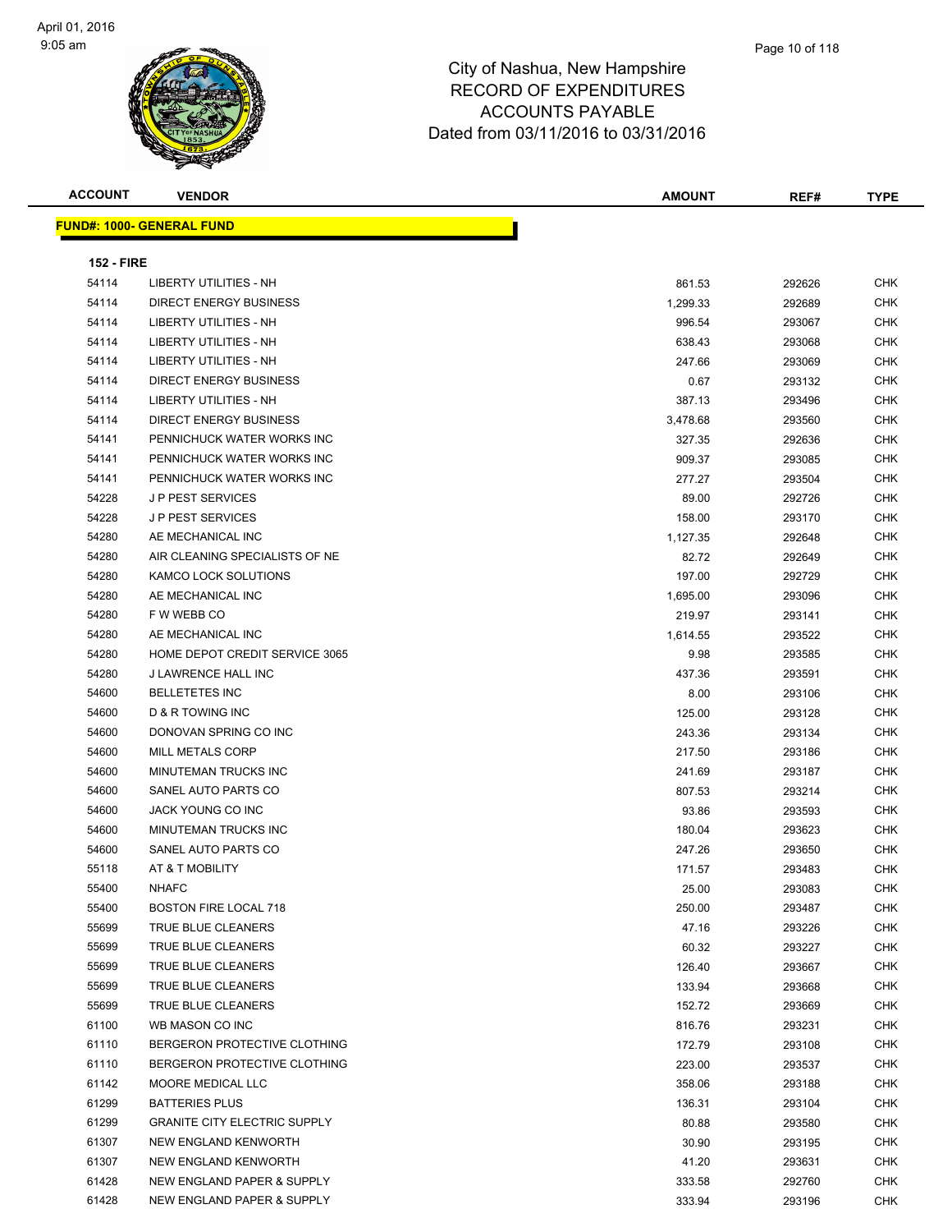#### Page 10 of 118

| <b>ACCOUNT</b>    | <b>VENDOR</b>                       | <b>AMOUNT</b> | REF#   | <b>TYPE</b> |
|-------------------|-------------------------------------|---------------|--------|-------------|
|                   | <b>FUND#: 1000- GENERAL FUND</b>    |               |        |             |
|                   |                                     |               |        |             |
| <b>152 - FIRE</b> |                                     |               |        |             |
| 54114             | <b>LIBERTY UTILITIES - NH</b>       | 861.53        | 292626 | CHK         |
| 54114             | <b>DIRECT ENERGY BUSINESS</b>       | 1,299.33      | 292689 | CHK         |
| 54114             | LIBERTY UTILITIES - NH              | 996.54        | 293067 | CHK         |
| 54114             | LIBERTY UTILITIES - NH              | 638.43        | 293068 | CHK         |
| 54114             | LIBERTY UTILITIES - NH              | 247.66        | 293069 | CHK         |
| 54114             | <b>DIRECT ENERGY BUSINESS</b>       | 0.67          | 293132 | <b>CHK</b>  |
| 54114             | <b>LIBERTY UTILITIES - NH</b>       | 387.13        | 293496 | <b>CHK</b>  |
| 54114             | <b>DIRECT ENERGY BUSINESS</b>       | 3,478.68      | 293560 | <b>CHK</b>  |
| 54141             | PENNICHUCK WATER WORKS INC          | 327.35        | 292636 | <b>CHK</b>  |
| 54141             | PENNICHUCK WATER WORKS INC          | 909.37        | 293085 | CHK         |
| 54141             | PENNICHUCK WATER WORKS INC          | 277.27        | 293504 | CHK         |
| 54228             | <b>JP PEST SERVICES</b>             | 89.00         | 292726 | CHK         |
| 54228             | <b>JP PEST SERVICES</b>             | 158.00        | 293170 | CHK         |
| 54280             | AE MECHANICAL INC                   | 1,127.35      | 292648 | CHK         |
| 54280             | AIR CLEANING SPECIALISTS OF NE      | 82.72         | 292649 | CHK         |
| 54280             | KAMCO LOCK SOLUTIONS                | 197.00        | 292729 | CHK         |
| 54280             | AE MECHANICAL INC                   | 1,695.00      | 293096 | <b>CHK</b>  |
| 54280             | F W WEBB CO                         | 219.97        | 293141 | CHK         |
| 54280             | AE MECHANICAL INC                   | 1,614.55      | 293522 | CHK         |
| 54280             | HOME DEPOT CREDIT SERVICE 3065      | 9.98          | 293585 | <b>CHK</b>  |
| 54280             | J LAWRENCE HALL INC                 | 437.36        | 293591 | CHK         |
| 54600             | <b>BELLETETES INC</b>               | 8.00          | 293106 | <b>CHK</b>  |
| 54600             | D & R TOWING INC                    | 125.00        | 293128 | <b>CHK</b>  |
| 54600             | DONOVAN SPRING CO INC               | 243.36        | 293134 | CHK         |
| 54600             | <b>MILL METALS CORP</b>             | 217.50        | 293186 | <b>CHK</b>  |
| 54600             | MINUTEMAN TRUCKS INC                | 241.69        | 293187 | <b>CHK</b>  |
| 54600             | SANEL AUTO PARTS CO                 | 807.53        | 293214 | CHK         |
| 54600             | JACK YOUNG CO INC                   | 93.86         | 293593 | <b>CHK</b>  |
| 54600             | <b>MINUTEMAN TRUCKS INC</b>         | 180.04        | 293623 | <b>CHK</b>  |
| 54600             | SANEL AUTO PARTS CO                 | 247.26        | 293650 | <b>CHK</b>  |
| 55118             | AT & T MOBILITY                     | 171.57        | 293483 | <b>CHK</b>  |
| 55400             | <b>NHAFC</b>                        | 25.00         | 293083 | CHK         |
| 55400             | <b>BOSTON FIRE LOCAL 718</b>        | 250.00        | 293487 | CHK         |
| 55699             | TRUE BLUE CLEANERS                  | 47.16         | 293226 | CHK         |
| 55699             | TRUE BLUE CLEANERS                  | 60.32         | 293227 | <b>CHK</b>  |
| 55699             | TRUE BLUE CLEANERS                  | 126.40        | 293667 | CHK         |
| 55699             | TRUE BLUE CLEANERS                  | 133.94        | 293668 | <b>CHK</b>  |
| 55699             | TRUE BLUE CLEANERS                  | 152.72        | 293669 | <b>CHK</b>  |
| 61100             | WB MASON CO INC                     | 816.76        | 293231 | <b>CHK</b>  |
| 61110             | BERGERON PROTECTIVE CLOTHING        | 172.79        | 293108 | <b>CHK</b>  |
| 61110             | BERGERON PROTECTIVE CLOTHING        | 223.00        | 293537 | <b>CHK</b>  |
| 61142             | MOORE MEDICAL LLC                   | 358.06        | 293188 | <b>CHK</b>  |
| 61299             | <b>BATTERIES PLUS</b>               | 136.31        | 293104 | <b>CHK</b>  |
| 61299             | <b>GRANITE CITY ELECTRIC SUPPLY</b> | 80.88         | 293580 | CHK         |
| 61307             | NEW ENGLAND KENWORTH                | 30.90         | 293195 | CHK         |
| 61307             | NEW ENGLAND KENWORTH                | 41.20         | 293631 | <b>CHK</b>  |
| 61428             | NEW ENGLAND PAPER & SUPPLY          | 333.58        | 292760 | CHK         |
| 61428             | NEW ENGLAND PAPER & SUPPLY          | 333.94        | 293196 | CHK         |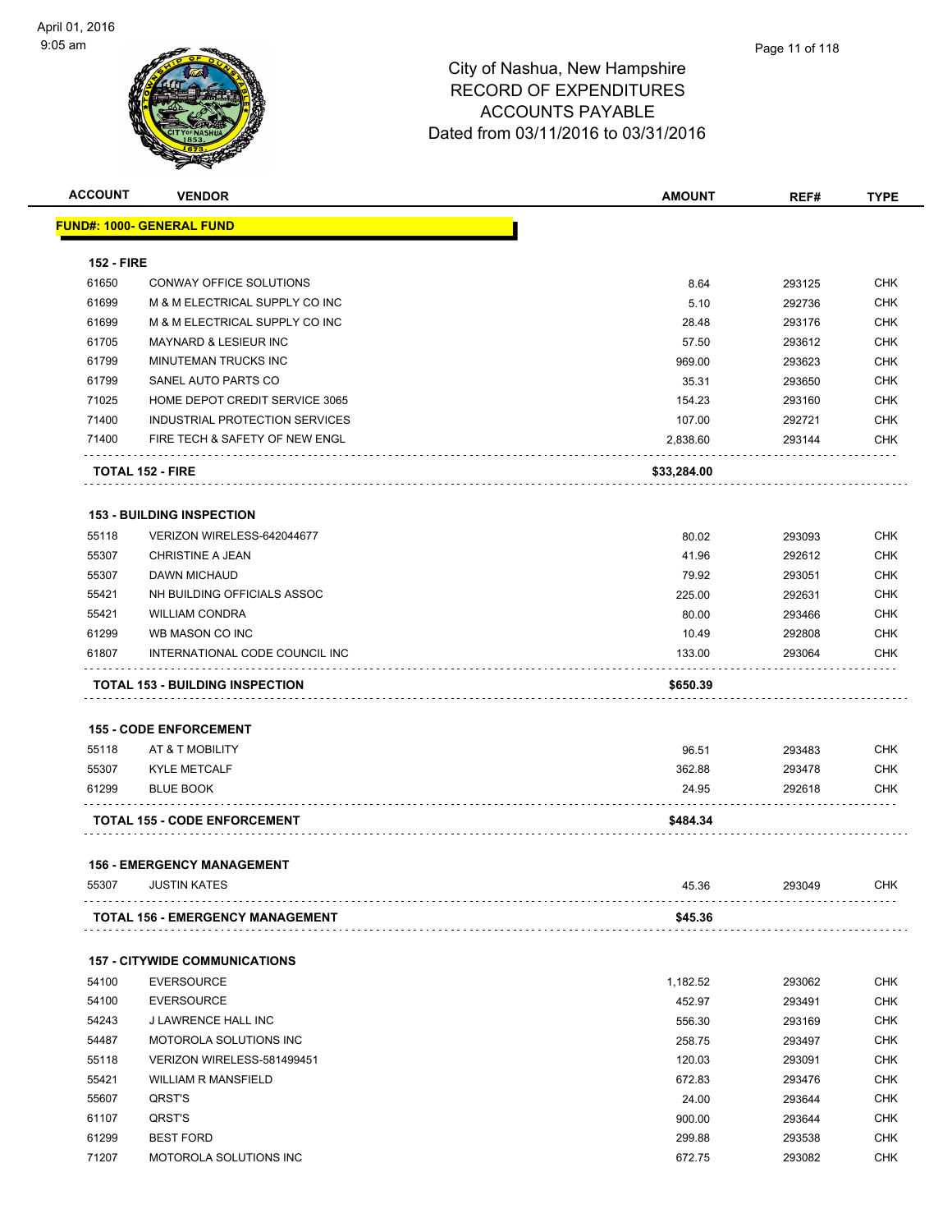

| <b>ACCOUNT</b>    | <b>VENDOR</b>                           | <b>AMOUNT</b> | REF#   | <b>TYPE</b> |
|-------------------|-----------------------------------------|---------------|--------|-------------|
|                   | <b>FUND#: 1000- GENERAL FUND</b>        |               |        |             |
|                   |                                         |               |        |             |
| <b>152 - FIRE</b> |                                         |               |        |             |
| 61650             | <b>CONWAY OFFICE SOLUTIONS</b>          | 8.64          | 293125 | <b>CHK</b>  |
| 61699             | M & M ELECTRICAL SUPPLY CO INC          | 5.10          | 292736 | <b>CHK</b>  |
| 61699             | M & M ELECTRICAL SUPPLY CO INC          | 28.48         | 293176 | CHK         |
| 61705             | <b>MAYNARD &amp; LESIEUR INC</b>        | 57.50         | 293612 | <b>CHK</b>  |
| 61799             | MINUTEMAN TRUCKS INC                    | 969.00        | 293623 | CHK         |
| 61799             | SANEL AUTO PARTS CO                     | 35.31         | 293650 | CHK         |
| 71025             | HOME DEPOT CREDIT SERVICE 3065          | 154.23        | 293160 | CHK         |
| 71400             | INDUSTRIAL PROTECTION SERVICES          | 107.00        | 292721 | CHK         |
| 71400             | FIRE TECH & SAFETY OF NEW ENGL          | 2,838.60      | 293144 | CHK         |
|                   | <b>TOTAL 152 - FIRE</b>                 | \$33,284.00   |        |             |
|                   | <b>153 - BUILDING INSPECTION</b>        |               |        |             |
| 55118             | VERIZON WIRELESS-642044677              | 80.02         | 293093 | <b>CHK</b>  |
| 55307             | <b>CHRISTINE A JEAN</b>                 | 41.96         | 292612 | CHK         |
| 55307             | <b>DAWN MICHAUD</b>                     | 79.92         | 293051 | <b>CHK</b>  |
| 55421             | NH BUILDING OFFICIALS ASSOC             | 225.00        | 292631 | CHK         |
| 55421             | <b>WILLIAM CONDRA</b>                   | 80.00         | 293466 | CHK         |
| 61299             | WB MASON CO INC                         | 10.49         | 292808 | CHK         |
| 61807             | INTERNATIONAL CODE COUNCIL INC          | 133.00        | 293064 | CHK         |
|                   | <b>TOTAL 153 - BUILDING INSPECTION</b>  | \$650.39      |        |             |
|                   |                                         |               |        |             |
|                   | <b>155 - CODE ENFORCEMENT</b>           |               |        |             |
| 55118             | AT & T MOBILITY                         | 96.51         | 293483 | CHK         |
| 55307             | <b>KYLE METCALF</b>                     | 362.88        | 293478 | <b>CHK</b>  |
| 61299             | <b>BLUE BOOK</b>                        | 24.95         | 292618 | CHK         |
|                   | <b>TOTAL 155 - CODE ENFORCEMENT</b>     | \$484.34      |        |             |
|                   |                                         |               |        |             |
|                   | <b>156 - EMERGENCY MANAGEMENT</b>       |               |        |             |
| 55307             | <b>JUSTIN KATES</b>                     | 45.36         | 293049 | <b>CHK</b>  |
|                   | <b>TOTAL 156 - EMERGENCY MANAGEMENT</b> | \$45.36       |        |             |
|                   | <b>157 - CITYWIDE COMMUNICATIONS</b>    |               |        |             |
| 54100             | <b>EVERSOURCE</b>                       | 1,182.52      | 293062 | CHK         |
| 54100             | <b>EVERSOURCE</b>                       | 452.97        | 293491 | <b>CHK</b>  |
| 54243             | J LAWRENCE HALL INC                     | 556.30        | 293169 | <b>CHK</b>  |
| 54487             | MOTOROLA SOLUTIONS INC                  | 258.75        | 293497 | <b>CHK</b>  |
| 55118             | VERIZON WIRELESS-581499451              | 120.03        | 293091 | <b>CHK</b>  |
| 55421             | <b>WILLIAM R MANSFIELD</b>              | 672.83        | 293476 | <b>CHK</b>  |
| 55607             | QRST'S                                  | 24.00         | 293644 | <b>CHK</b>  |
| 61107             | QRST'S                                  | 900.00        | 293644 | <b>CHK</b>  |
| 61299             | <b>BEST FORD</b>                        | 299.88        | 293538 | <b>CHK</b>  |
| 71207             | MOTOROLA SOLUTIONS INC                  | 672.75        | 293082 | CHK         |
|                   |                                         |               |        |             |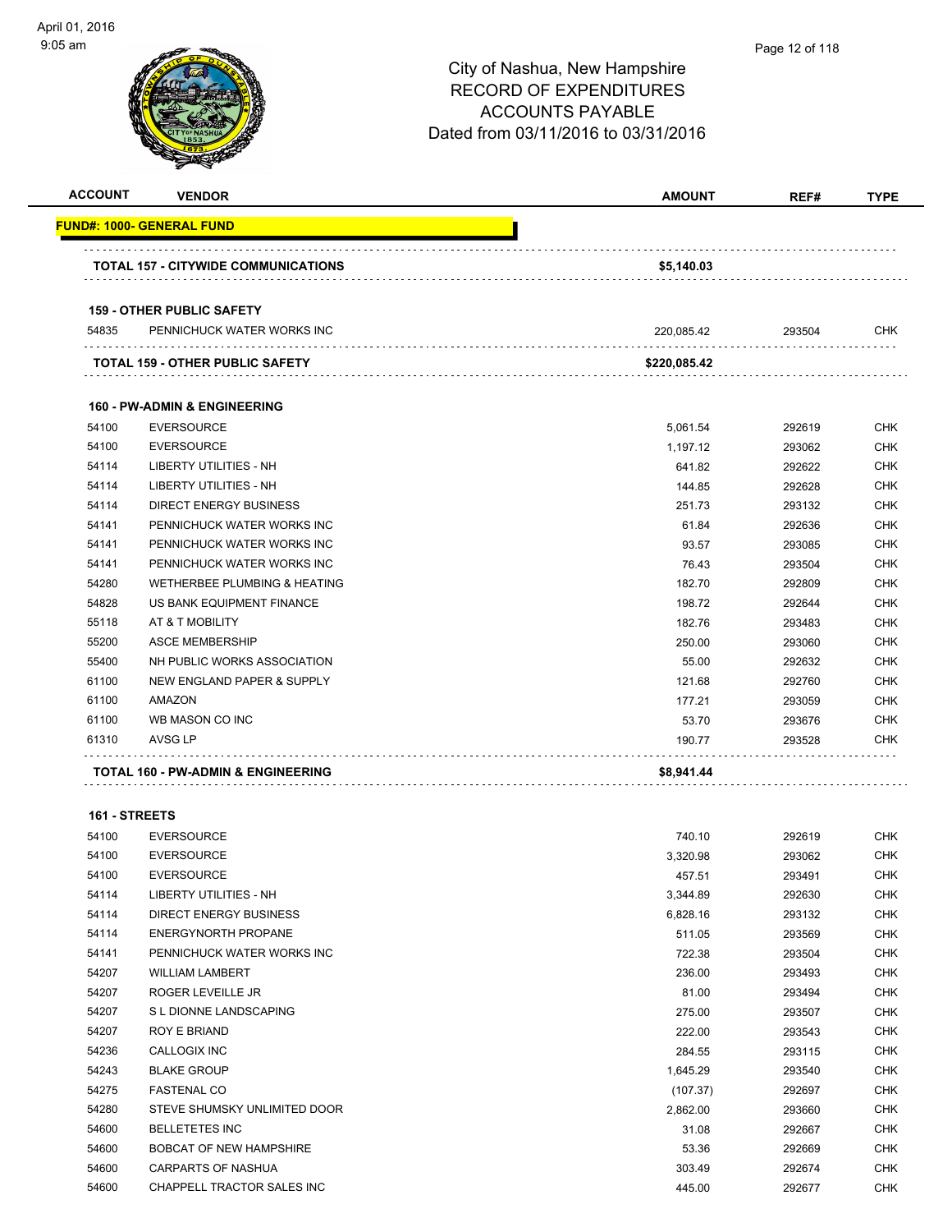-

| )5 am          |                                               | City of Nashua, New Hampshire<br><b>RECORD OF EXPENDITURES</b><br><b>ACCOUNTS PAYABLE</b><br>Dated from 03/11/2016 to 03/31/2016 | Page 12 of 118 |             |
|----------------|-----------------------------------------------|----------------------------------------------------------------------------------------------------------------------------------|----------------|-------------|
| <b>ACCOUNT</b> | <b>VENDOR</b>                                 | <b>AMOUNT</b>                                                                                                                    | REF#           | <b>TYPE</b> |
|                | <u> FUND#: 1000- GENERAL FUND</u>             |                                                                                                                                  |                |             |
|                | <b>TOTAL 157 - CITYWIDE COMMUNICATIONS</b>    | \$5,140.03                                                                                                                       |                |             |
|                | <b>159 - OTHER PUBLIC SAFETY</b>              |                                                                                                                                  |                |             |
| 54835          | PENNICHUCK WATER WORKS INC                    | 220,085.42                                                                                                                       | 293504         | CHK         |
|                | TOTAL 159 - OTHER PUBLIC SAFETY               | \$220,085.42                                                                                                                     |                |             |
|                | <b>160 - PW-ADMIN &amp; ENGINEERING</b>       |                                                                                                                                  |                |             |
| 54100          | <b>EVERSOURCE</b>                             | 5,061.54                                                                                                                         | 292619         | <b>CHK</b>  |
| 54100          | <b>EVERSOURCE</b>                             | 1,197.12                                                                                                                         | 293062         | <b>CHK</b>  |
| 54114          | <b>LIBERTY UTILITIES - NH</b>                 | 641.82                                                                                                                           | 292622         | <b>CHK</b>  |
| 54114          | <b>LIBERTY UTILITIES - NH</b>                 | 144.85                                                                                                                           | 292628         | <b>CHK</b>  |
| 54114          | <b>DIRECT ENERGY BUSINESS</b>                 | 251.73                                                                                                                           | 293132         | <b>CHK</b>  |
| 54141          | PENNICHUCK WATER WORKS INC                    | 61.84                                                                                                                            | 292636         | <b>CHK</b>  |
| 54141          | PENNICHUCK WATER WORKS INC                    | 93.57                                                                                                                            | 293085         | <b>CHK</b>  |
| 54141          | PENNICHUCK WATER WORKS INC                    | 76.43                                                                                                                            | 293504         | <b>CHK</b>  |
| 54280          | <b>WETHERBEE PLUMBING &amp; HEATING</b>       | 182.70                                                                                                                           | 292809         | <b>CHK</b>  |
| 54828          | US BANK EQUIPMENT FINANCE                     | 198.72                                                                                                                           | 292644         | <b>CHK</b>  |
| 55118          | AT & T MOBILITY                               | 182.76                                                                                                                           | 293483         | <b>CHK</b>  |
| 55200          | <b>ASCE MEMBERSHIP</b>                        | 250.00                                                                                                                           | 293060         | <b>CHK</b>  |
| 55400          | NH PUBLIC WORKS ASSOCIATION                   | 55.00                                                                                                                            | 292632         | <b>CHK</b>  |
| 61100          | NEW ENGLAND PAPER & SUPPLY                    | 121.68                                                                                                                           | 292760         | <b>CHK</b>  |
| 61100          | AMAZON                                        | 177.21                                                                                                                           | 293059         | <b>CHK</b>  |
| 61100          | WB MASON CO INC                               | 53.70                                                                                                                            | 293676         | <b>CHK</b>  |
| 61310          | AVSG LP                                       | 190.77                                                                                                                           | 293528         | <b>CHK</b>  |
|                | <b>TOTAL 160 - PW-ADMIN &amp; ENGINEERING</b> | \$8,941.44                                                                                                                       |                |             |

**161 - STREETS**

| 54100 | <b>EVERSOURCE</b>                 | 740.10   | 292619 | <b>CHK</b> |
|-------|-----------------------------------|----------|--------|------------|
| 54100 | <b>EVERSOURCE</b>                 | 3,320.98 | 293062 | <b>CHK</b> |
| 54100 | <b>EVERSOURCE</b>                 | 457.51   | 293491 | <b>CHK</b> |
| 54114 | <b>LIBERTY UTILITIES - NH</b>     | 3,344.89 | 292630 | <b>CHK</b> |
| 54114 | <b>DIRECT ENERGY BUSINESS</b>     | 6,828.16 | 293132 | <b>CHK</b> |
| 54114 | ENERGYNORTH PROPANE               | 511.05   | 293569 | CHK        |
| 54141 | PENNICHUCK WATER WORKS INC        | 722.38   | 293504 | <b>CHK</b> |
| 54207 | <b>WILLIAM LAMBERT</b>            | 236.00   | 293493 | <b>CHK</b> |
| 54207 | <b>ROGER LEVEILLE JR</b>          | 81.00    | 293494 | <b>CHK</b> |
| 54207 | S L DIONNE LANDSCAPING            | 275.00   | 293507 | <b>CHK</b> |
| 54207 | <b>ROY E BRIAND</b>               | 222.00   | 293543 | <b>CHK</b> |
| 54236 | CALLOGIX INC                      | 284.55   | 293115 | <b>CHK</b> |
| 54243 | <b>BLAKE GROUP</b>                | 1,645.29 | 293540 | <b>CHK</b> |
| 54275 | <b>FASTENAL CO</b>                | (107.37) | 292697 | <b>CHK</b> |
| 54280 | STEVE SHUMSKY UNLIMITED DOOR      | 2,862.00 | 293660 | <b>CHK</b> |
| 54600 | <b>BELLETETES INC</b>             | 31.08    | 292667 | <b>CHK</b> |
| 54600 | <b>BOBCAT OF NEW HAMPSHIRE</b>    | 53.36    | 292669 | <b>CHK</b> |
| 54600 | <b>CARPARTS OF NASHUA</b>         | 303.49   | 292674 | <b>CHK</b> |
| 54600 | <b>CHAPPELL TRACTOR SALES INC</b> | 445.00   | 292677 | <b>CHK</b> |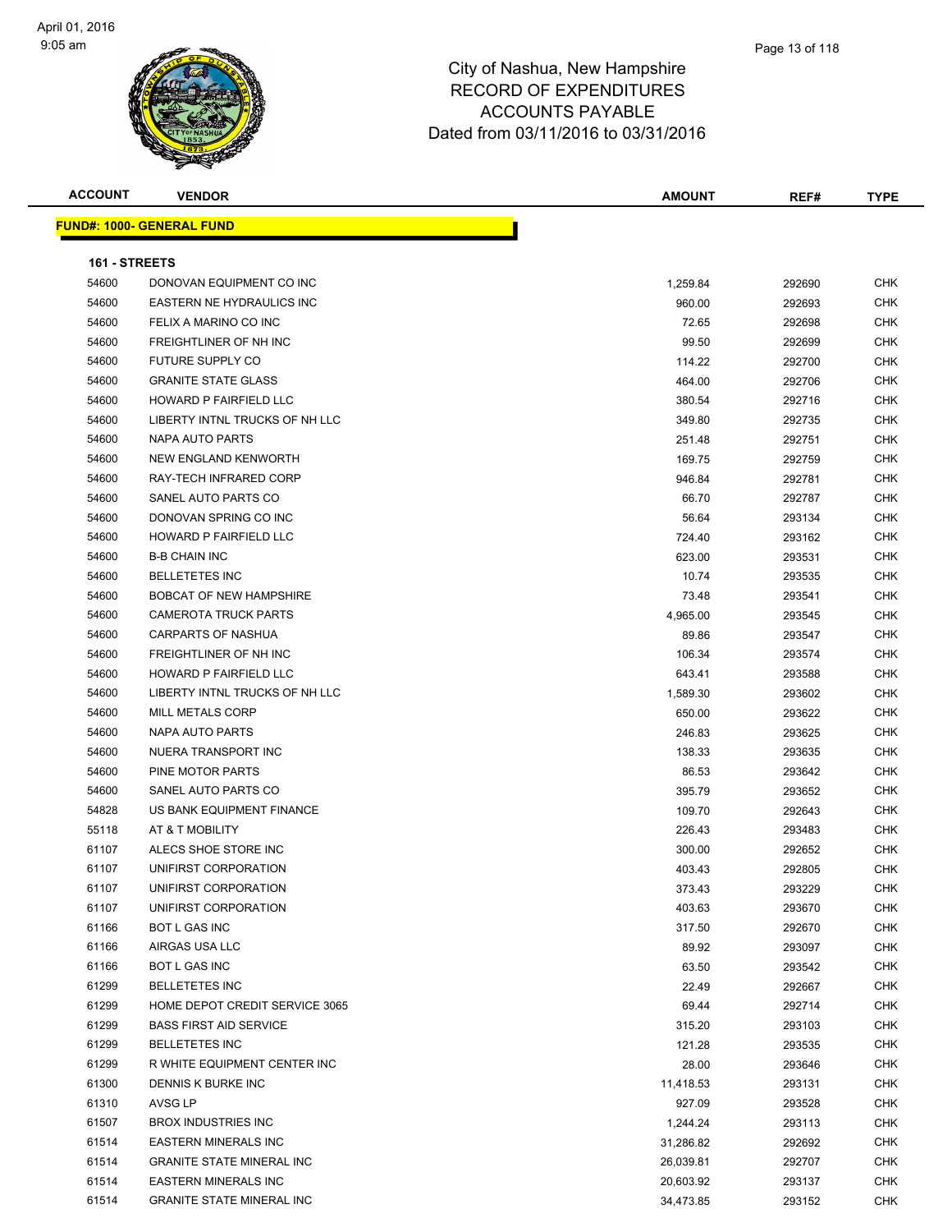| <b>ACCOUNT</b>       | <b>VENDOR</b>                     | <b>AMOUNT</b> | REF#   | <b>TYPE</b> |
|----------------------|-----------------------------------|---------------|--------|-------------|
|                      | <u> FUND#: 1000- GENERAL FUND</u> |               |        |             |
|                      |                                   |               |        |             |
| <b>161 - STREETS</b> |                                   |               |        |             |
| 54600                | DONOVAN EQUIPMENT CO INC          | 1,259.84      | 292690 | <b>CHK</b>  |
| 54600                | EASTERN NE HYDRAULICS INC         | 960.00        | 292693 | <b>CHK</b>  |
| 54600                | FELIX A MARINO CO INC             | 72.65         | 292698 | <b>CHK</b>  |
| 54600                | FREIGHTLINER OF NH INC            | 99.50         | 292699 | <b>CHK</b>  |
| 54600                | <b>FUTURE SUPPLY CO</b>           | 114.22        | 292700 | <b>CHK</b>  |
| 54600                | <b>GRANITE STATE GLASS</b>        | 464.00        | 292706 | <b>CHK</b>  |
| 54600                | <b>HOWARD P FAIRFIELD LLC</b>     | 380.54        | 292716 | <b>CHK</b>  |
| 54600                | LIBERTY INTNL TRUCKS OF NH LLC    | 349.80        | 292735 | <b>CHK</b>  |
| 54600                | NAPA AUTO PARTS                   | 251.48        | 292751 | <b>CHK</b>  |
| 54600                | NEW ENGLAND KENWORTH              | 169.75        | 292759 | CHK         |
| 54600                | RAY-TECH INFRARED CORP            | 946.84        | 292781 | CHK         |
| 54600                | SANEL AUTO PARTS CO               | 66.70         | 292787 | <b>CHK</b>  |
| 54600                | DONOVAN SPRING CO INC             | 56.64         | 293134 | CHK         |
| 54600                | HOWARD P FAIRFIELD LLC            | 724.40        | 293162 | <b>CHK</b>  |
| 54600                | <b>B-B CHAIN INC</b>              | 623.00        | 293531 | CHK         |
| 54600                | <b>BELLETETES INC</b>             | 10.74         | 293535 | <b>CHK</b>  |
| 54600                | <b>BOBCAT OF NEW HAMPSHIRE</b>    | 73.48         | 293541 | <b>CHK</b>  |
| 54600                | <b>CAMEROTA TRUCK PARTS</b>       | 4,965.00      | 293545 | <b>CHK</b>  |
| 54600                | <b>CARPARTS OF NASHUA</b>         | 89.86         | 293547 | <b>CHK</b>  |
| 54600                | FREIGHTLINER OF NH INC            | 106.34        | 293574 | <b>CHK</b>  |
| 54600                | HOWARD P FAIRFIELD LLC            | 643.41        | 293588 | CHK         |
| 54600                | LIBERTY INTNL TRUCKS OF NH LLC    | 1,589.30      | 293602 | <b>CHK</b>  |
| 54600                | <b>MILL METALS CORP</b>           | 650.00        | 293622 | <b>CHK</b>  |
| 54600                | NAPA AUTO PARTS                   | 246.83        | 293625 | <b>CHK</b>  |
| 54600                | NUERA TRANSPORT INC               | 138.33        | 293635 | <b>CHK</b>  |
| 54600                | PINE MOTOR PARTS                  | 86.53         | 293642 | <b>CHK</b>  |
| 54600                | SANEL AUTO PARTS CO               | 395.79        | 293652 | <b>CHK</b>  |
| 54828                | US BANK EQUIPMENT FINANCE         | 109.70        | 292643 | <b>CHK</b>  |
| 55118                | AT & T MOBILITY                   | 226.43        | 293483 | <b>CHK</b>  |
| 61107                | ALECS SHOE STORE INC              | 300.00        | 292652 | <b>CHK</b>  |
| 61107                | UNIFIRST CORPORATION              | 403.43        | 292805 | <b>CHK</b>  |
| 61107                | UNIFIRST CORPORATION              | 373.43        | 293229 | <b>CHK</b>  |
| 61107                | UNIFIRST CORPORATION              | 403.63        | 293670 | <b>CHK</b>  |
| 61166                | <b>BOT L GAS INC</b>              | 317.50        | 292670 | <b>CHK</b>  |
| 61166                | AIRGAS USA LLC                    | 89.92         | 293097 | <b>CHK</b>  |
| 61166                | <b>BOT L GAS INC</b>              | 63.50         | 293542 | <b>CHK</b>  |
| 61299                | <b>BELLETETES INC</b>             | 22.49         | 292667 | CHK         |
| 61299                | HOME DEPOT CREDIT SERVICE 3065    | 69.44         | 292714 | CHK         |
| 61299                | <b>BASS FIRST AID SERVICE</b>     | 315.20        | 293103 | <b>CHK</b>  |
| 61299                | <b>BELLETETES INC</b>             | 121.28        | 293535 | CHK         |
| 61299                | R WHITE EQUIPMENT CENTER INC      | 28.00         | 293646 | CHK         |
| 61300                | DENNIS K BURKE INC                | 11,418.53     | 293131 | <b>CHK</b>  |
| 61310                | AVSG LP                           | 927.09        | 293528 | CHK         |
| 61507                | <b>BROX INDUSTRIES INC</b>        | 1,244.24      | 293113 | <b>CHK</b>  |
| 61514                | <b>EASTERN MINERALS INC</b>       | 31,286.82     | 292692 | <b>CHK</b>  |
| 61514                | <b>GRANITE STATE MINERAL INC</b>  | 26,039.81     | 292707 | CHK         |
| 61514                | <b>EASTERN MINERALS INC</b>       | 20,603.92     | 293137 | CHK         |
| 61514                | <b>GRANITE STATE MINERAL INC</b>  | 34,473.85     | 293152 | CHK         |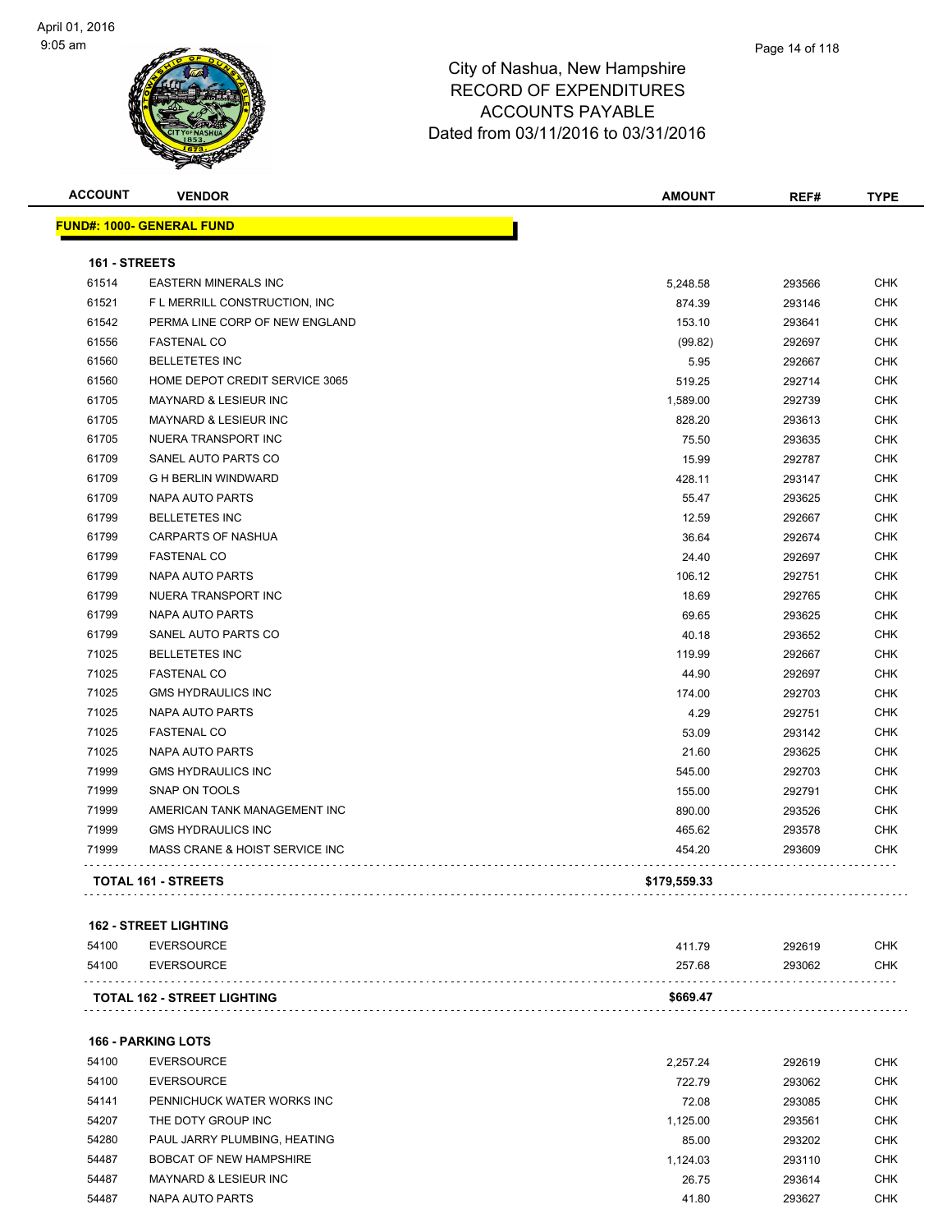

| <b>ACCOUNT</b> | <b>VENDOR</b>                     | <b>AMOUNT</b> | REF#   | <b>TYPE</b> |
|----------------|-----------------------------------|---------------|--------|-------------|
|                | <u> FUND#: 1000- GENERAL FUND</u> |               |        |             |
| 161 - STREETS  |                                   |               |        |             |
| 61514          | <b>EASTERN MINERALS INC</b>       | 5,248.58      | 293566 | <b>CHK</b>  |
| 61521          | F L MERRILL CONSTRUCTION, INC.    | 874.39        | 293146 | <b>CHK</b>  |
| 61542          | PERMA LINE CORP OF NEW ENGLAND    | 153.10        | 293641 | <b>CHK</b>  |
| 61556          | <b>FASTENAL CO</b>                | (99.82)       | 292697 | <b>CHK</b>  |
| 61560          | <b>BELLETETES INC</b>             | 5.95          | 292667 | <b>CHK</b>  |
| 61560          | HOME DEPOT CREDIT SERVICE 3065    | 519.25        | 292714 | <b>CHK</b>  |
| 61705          | <b>MAYNARD &amp; LESIEUR INC</b>  | 1,589.00      | 292739 | <b>CHK</b>  |
| 61705          | MAYNARD & LESIEUR INC             | 828.20        | 293613 | <b>CHK</b>  |
| 61705          | NUERA TRANSPORT INC               | 75.50         | 293635 | <b>CHK</b>  |
| 61709          | SANEL AUTO PARTS CO               | 15.99         | 292787 | <b>CHK</b>  |
| 61709          | <b>G H BERLIN WINDWARD</b>        | 428.11        | 293147 | <b>CHK</b>  |
| 61709          | NAPA AUTO PARTS                   | 55.47         | 293625 | <b>CHK</b>  |
| 61799          | <b>BELLETETES INC</b>             | 12.59         | 292667 | <b>CHK</b>  |
| 61799          | <b>CARPARTS OF NASHUA</b>         | 36.64         | 292674 | <b>CHK</b>  |
| 61799          | <b>FASTENAL CO</b>                | 24.40         | 292697 | <b>CHK</b>  |
| 61799          | NAPA AUTO PARTS                   | 106.12        | 292751 | <b>CHK</b>  |
| 61799          | NUERA TRANSPORT INC               | 18.69         | 292765 | <b>CHK</b>  |
| 61799          | <b>NAPA AUTO PARTS</b>            | 69.65         | 293625 | <b>CHK</b>  |
| 61799          | SANEL AUTO PARTS CO               | 40.18         | 293652 | <b>CHK</b>  |
| 71025          | <b>BELLETETES INC</b>             | 119.99        | 292667 | <b>CHK</b>  |
| 71025          | <b>FASTENAL CO</b>                | 44.90         | 292697 | <b>CHK</b>  |
| 71025          | <b>GMS HYDRAULICS INC</b>         | 174.00        | 292703 | <b>CHK</b>  |
| 71025          | NAPA AUTO PARTS                   | 4.29          | 292751 | <b>CHK</b>  |
| 71025          | <b>FASTENAL CO</b>                | 53.09         | 293142 | <b>CHK</b>  |
| 71025          | <b>NAPA AUTO PARTS</b>            | 21.60         | 293625 | <b>CHK</b>  |
| 71999          | <b>GMS HYDRAULICS INC</b>         | 545.00        | 292703 | <b>CHK</b>  |
| 71999          | <b>SNAP ON TOOLS</b>              | 155.00        | 292791 | <b>CHK</b>  |
| 71999          | AMERICAN TANK MANAGEMENT INC      | 890.00        | 293526 | <b>CHK</b>  |
| 71999          | <b>GMS HYDRAULICS INC</b>         | 465.62        | 293578 | <b>CHK</b>  |
| 71999          | MASS CRANE & HOIST SERVICE INC    | 454.20        | 293609 | <b>CHK</b>  |
|                | TOTAL 161 - STREETS               | \$179,559.33  |        |             |

#### **162 - STREET LIGHTING**

| 54100<br>54100 | EVERSOURCE<br>EVERSOURCE           | 41179<br>257.68 | 292619<br>293062 | <b>CHK</b><br><b>CHK</b> |
|----------------|------------------------------------|-----------------|------------------|--------------------------|
|                |                                    |                 |                  |                          |
|                | <b>TOTAL 162 - STREET LIGHTING</b> | \$669.47        |                  |                          |

**166 - PARKING LOTS**

| 54100 | <b>EVERSOURCE</b>            | 2.257.24 | 292619 | <b>CHK</b> |
|-------|------------------------------|----------|--------|------------|
| 54100 | <b>EVERSOURCE</b>            | 722.79   | 293062 | <b>CHK</b> |
| 54141 | PENNICHUCK WATER WORKS INC   | 72.08    | 293085 | <b>CHK</b> |
| 54207 | THE DOTY GROUP INC           | 1.125.00 | 293561 | <b>CHK</b> |
| 54280 | PAUL JARRY PLUMBING. HEATING | 85.00    | 293202 | <b>CHK</b> |
| 54487 | BOBCAT OF NEW HAMPSHIRE      | 1.124.03 | 293110 | <b>CHK</b> |
| 54487 | MAYNARD & LESIEUR INC        | 26.75    | 293614 | <b>CHK</b> |
| 54487 | NAPA AUTO PARTS              | 41.80    | 293627 | <b>CHK</b> |
|       |                              |          |        |            |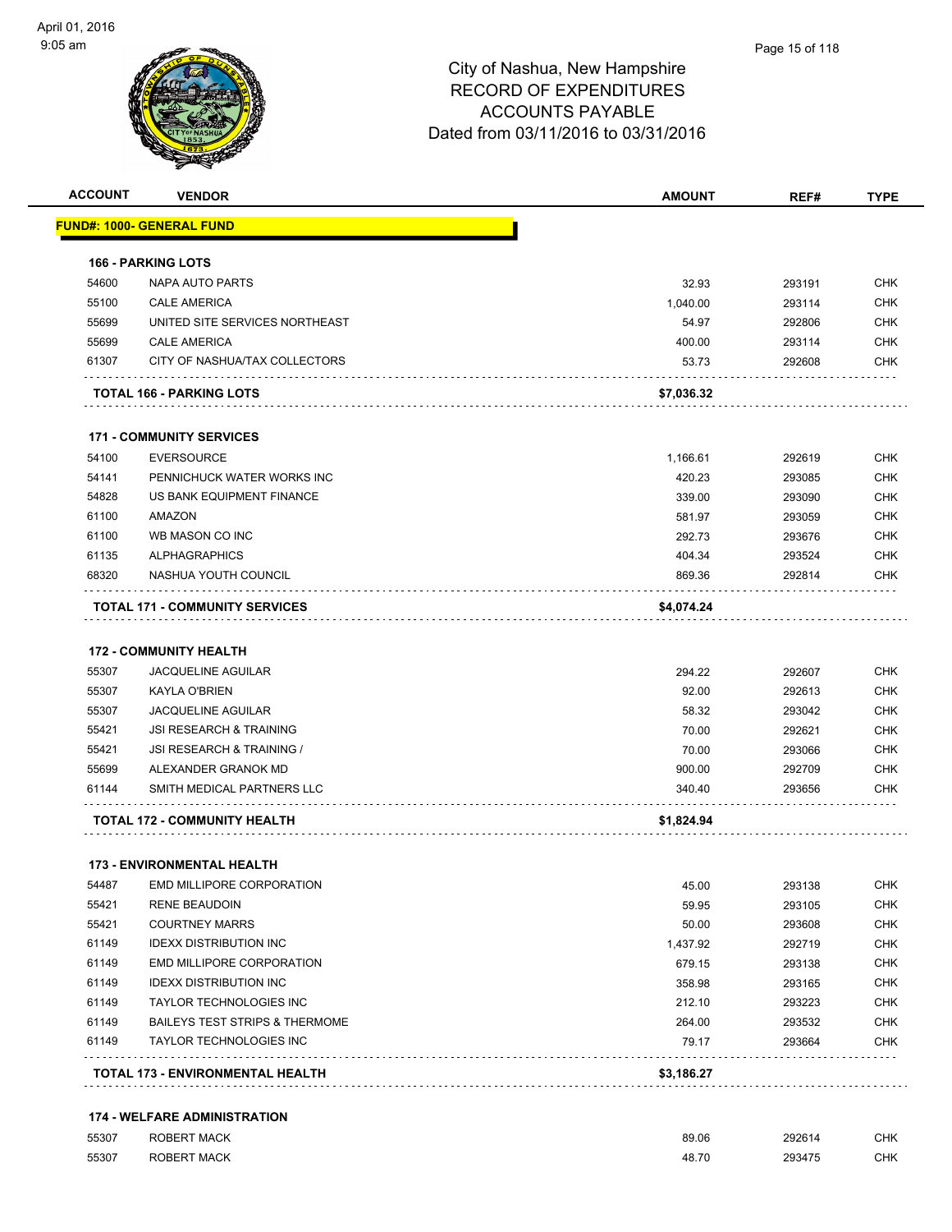| <b>ACCOUNT</b> | <b>VENDOR</b>                             | <b>AMOUNT</b> | REF#   | <b>TYPE</b> |
|----------------|-------------------------------------------|---------------|--------|-------------|
|                | <u> FUND#: 1000- GENERAL FUND</u>         |               |        |             |
|                | <b>166 - PARKING LOTS</b>                 |               |        |             |
| 54600          | NAPA AUTO PARTS                           | 32.93         | 293191 | <b>CHK</b>  |
| 55100          | <b>CALE AMERICA</b>                       | 1,040.00      | 293114 | <b>CHK</b>  |
| 55699          | UNITED SITE SERVICES NORTHEAST            | 54.97         | 292806 | CHK         |
| 55699          | <b>CALE AMERICA</b>                       | 400.00        | 293114 | CHK         |
| 61307          | CITY OF NASHUA/TAX COLLECTORS             | 53.73         | 292608 | CHK         |
|                | TOTAL 166 - PARKING LOTS                  | \$7,036.32    |        |             |
|                | <b>171 - COMMUNITY SERVICES</b>           |               |        |             |
| 54100          | <b>EVERSOURCE</b>                         | 1,166.61      | 292619 | CHK         |
| 54141          | PENNICHUCK WATER WORKS INC                | 420.23        | 293085 | <b>CHK</b>  |
| 54828          | US BANK EQUIPMENT FINANCE                 | 339.00        | 293090 | CHK         |
| 61100          | <b>AMAZON</b>                             | 581.97        | 293059 | CHK         |
| 61100          | WB MASON CO INC                           | 292.73        | 293676 | <b>CHK</b>  |
| 61135          | <b>ALPHAGRAPHICS</b>                      | 404.34        | 293524 | CHK         |
| 68320          | NASHUA YOUTH COUNCIL                      | 869.36        | 292814 | CHK         |
|                | <b>TOTAL 171 - COMMUNITY SERVICES</b>     | \$4,074.24    |        |             |
|                | <b>172 - COMMUNITY HEALTH</b>             |               |        |             |
| 55307          | <b>JACQUELINE AGUILAR</b>                 | 294.22        | 292607 | <b>CHK</b>  |
| 55307          | <b>KAYLA O'BRIEN</b>                      | 92.00         | 292613 | CHK         |
| 55307          | <b>JACQUELINE AGUILAR</b>                 | 58.32         | 293042 | CHK         |
| 55421          | <b>JSI RESEARCH &amp; TRAINING</b>        | 70.00         | 292621 | CHK         |
| 55421          | JSI RESEARCH & TRAINING /                 | 70.00         | 293066 | CHK         |
| 55699          | ALEXANDER GRANOK MD                       | 900.00        | 292709 | <b>CHK</b>  |
| 61144          | SMITH MEDICAL PARTNERS LLC                | 340.40        | 293656 | CHK         |
|                | <b>TOTAL 172 - COMMUNITY HEALTH</b>       | \$1,824.94    |        |             |
|                | <b>173 - ENVIRONMENTAL HEALTH</b>         |               |        |             |
| 54487          | <b>EMD MILLIPORE CORPORATION</b>          | 45.00         | 293138 | CHK         |
| 55421          | <b>RENE BEAUDOIN</b>                      | 59.95         | 293105 | CHK         |
| 55421          | <b>COURTNEY MARRS</b>                     | 50.00         | 293608 | <b>CHK</b>  |
| 61149          | <b>IDEXX DISTRIBUTION INC</b>             | 1,437.92      | 292719 | <b>CHK</b>  |
| 61149          | EMD MILLIPORE CORPORATION                 | 679.15        | 293138 | CHK         |
| 61149          | <b>IDEXX DISTRIBUTION INC</b>             | 358.98        | 293165 | CHK         |
| 61149          | TAYLOR TECHNOLOGIES INC                   | 212.10        | 293223 | CHK         |
| 61149          | <b>BAILEYS TEST STRIPS &amp; THERMOME</b> | 264.00        | 293532 | CHK         |
| 61149          | <b>TAYLOR TECHNOLOGIES INC</b>            | 79.17         | 293664 | <b>CHK</b>  |
|                | TOTAL 173 - ENVIRONMENTAL HEALTH          | \$3,186.27    |        |             |

| 55307 | <b>ROBERT MACK</b> | 89.06 | 292614 | <b>CHK</b> |
|-------|--------------------|-------|--------|------------|
| 55307 | <b>ROBERT MACK</b> | 48.70 | 293475 | <b>CHK</b> |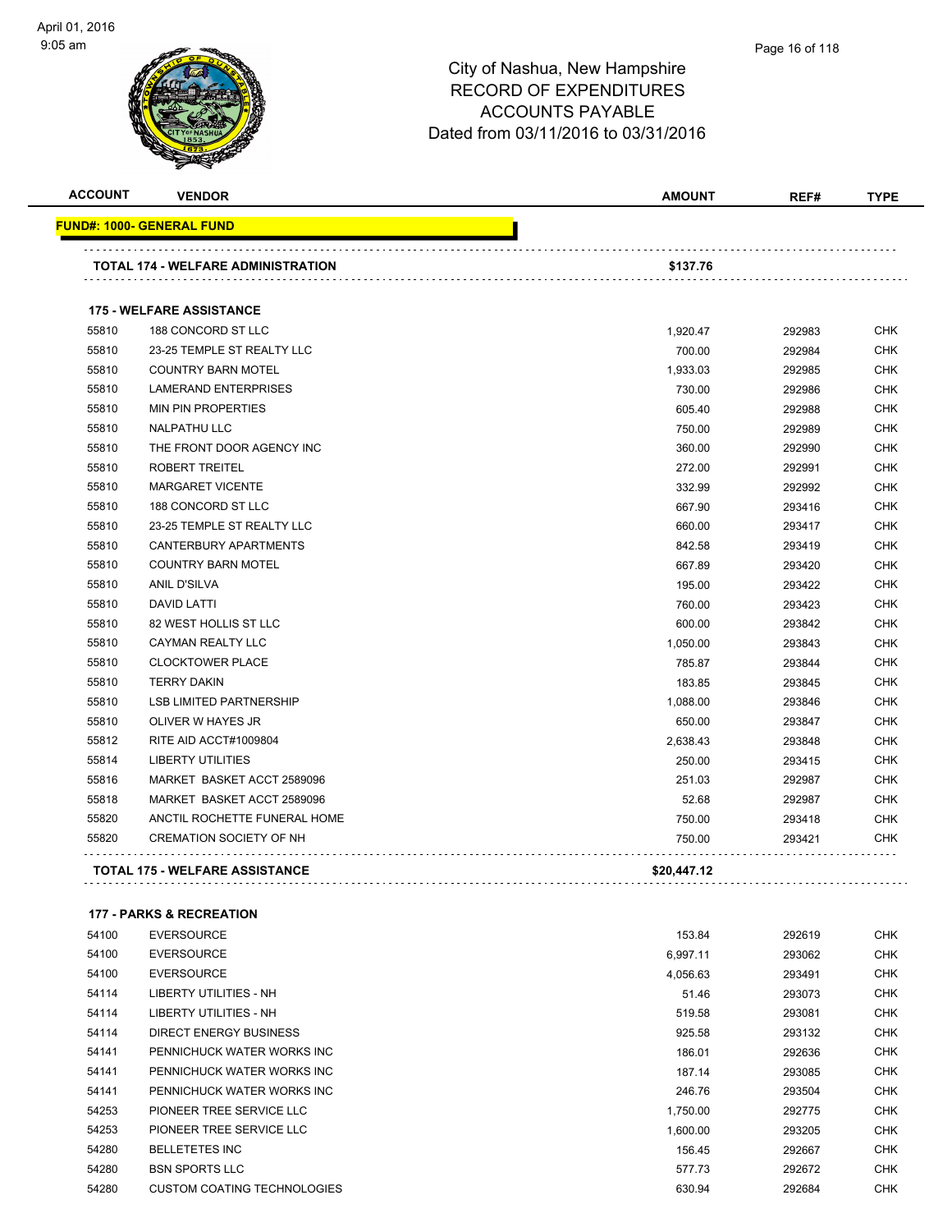

#### Page 16 of 118

| <b>ACCOUNT</b> | <b>VENDOR</b>                             | <b>AMOUNT</b> | REF#   | <b>TYPE</b> |
|----------------|-------------------------------------------|---------------|--------|-------------|
|                | <u> FUND#: 1000- GENERAL FUND</u>         |               |        |             |
|                | <b>TOTAL 174 - WELFARE ADMINISTRATION</b> | \$137.76      |        |             |
|                |                                           |               |        |             |
|                | <b>175 - WELFARE ASSISTANCE</b>           |               |        |             |
| 55810          | 188 CONCORD ST LLC                        | 1,920.47      | 292983 | <b>CHK</b>  |
| 55810          | 23-25 TEMPLE ST REALTY LLC                | 700.00        | 292984 | <b>CHK</b>  |
| 55810          | <b>COUNTRY BARN MOTEL</b>                 | 1,933.03      | 292985 | <b>CHK</b>  |
| 55810          | <b>LAMERAND ENTERPRISES</b>               | 730.00        | 292986 | <b>CHK</b>  |
| 55810          | <b>MIN PIN PROPERTIES</b>                 | 605.40        | 292988 | <b>CHK</b>  |
| 55810          | <b>NALPATHU LLC</b>                       | 750.00        | 292989 | <b>CHK</b>  |
| 55810          | THE FRONT DOOR AGENCY INC                 | 360.00        | 292990 | <b>CHK</b>  |
| 55810          | <b>ROBERT TREITEL</b>                     | 272.00        | 292991 | <b>CHK</b>  |
| 55810          | <b>MARGARET VICENTE</b>                   | 332.99        | 292992 | <b>CHK</b>  |
| 55810          | 188 CONCORD ST LLC                        | 667.90        | 293416 | <b>CHK</b>  |
| 55810          | 23-25 TEMPLE ST REALTY LLC                | 660.00        | 293417 | <b>CHK</b>  |
| 55810          | CANTERBURY APARTMENTS                     | 842.58        | 293419 | <b>CHK</b>  |
| 55810          | <b>COUNTRY BARN MOTEL</b>                 | 667.89        | 293420 | <b>CHK</b>  |
| 55810          | <b>ANIL D'SILVA</b>                       | 195.00        | 293422 | <b>CHK</b>  |
| 55810          | <b>DAVID LATTI</b>                        | 760.00        | 293423 | <b>CHK</b>  |
| 55810          | 82 WEST HOLLIS ST LLC                     | 600.00        | 293842 | <b>CHK</b>  |
| 55810          | CAYMAN REALTY LLC                         | 1,050.00      | 293843 | <b>CHK</b>  |
| 55810          | <b>CLOCKTOWER PLACE</b>                   | 785.87        | 293844 | <b>CHK</b>  |
| 55810          | <b>TERRY DAKIN</b>                        | 183.85        | 293845 | <b>CHK</b>  |
| 55810          | <b>LSB LIMITED PARTNERSHIP</b>            | 1,088.00      | 293846 | <b>CHK</b>  |
| 55810          | OLIVER W HAYES JR                         | 650.00        | 293847 | <b>CHK</b>  |
| 55812          | RITE AID ACCT#1009804                     | 2,638.43      | 293848 | <b>CHK</b>  |
| 55814          | <b>LIBERTY UTILITIES</b>                  | 250.00        | 293415 | <b>CHK</b>  |
| 55816          | MARKET BASKET ACCT 2589096                | 251.03        | 292987 | <b>CHK</b>  |
| 55818          | MARKET BASKET ACCT 2589096                | 52.68         | 292987 | <b>CHK</b>  |
| 55820          | ANCTIL ROCHETTE FUNERAL HOME              | 750.00        | 293418 | <b>CHK</b>  |
| 55820          | <b>CREMATION SOCIETY OF NH</b>            | 750.00        | 293421 | <b>CHK</b>  |
|                |                                           |               |        |             |
|                | TOTAL 175 - WELFARE ASSISTANCE            | \$20,447.12   |        |             |
|                | <b>177 - PARKS &amp; RECREATION</b>       |               |        |             |
| 54100          | <b>EVERSOURCE</b>                         | 153.84        | 292619 | <b>CHK</b>  |
| 54100          | <b>EVERSOURCE</b>                         | 6,997.11      | 293062 | <b>CHK</b>  |

| <b>04100</b> | EVERSUURUE                         | 0,997.11 | 293062 | UHN        |
|--------------|------------------------------------|----------|--------|------------|
| 54100        | <b>EVERSOURCE</b>                  | 4,056.63 | 293491 | <b>CHK</b> |
| 54114        | LIBERTY UTILITIES - NH             | 51.46    | 293073 | <b>CHK</b> |
| 54114        | LIBERTY UTILITIES - NH             | 519.58   | 293081 | <b>CHK</b> |
| 54114        | DIRECT ENERGY BUSINESS             | 925.58   | 293132 | <b>CHK</b> |
| 54141        | PENNICHUCK WATER WORKS INC         | 186.01   | 292636 | <b>CHK</b> |
| 54141        | PENNICHUCK WATER WORKS INC         | 187.14   | 293085 | <b>CHK</b> |
| 54141        | PENNICHUCK WATER WORKS INC         | 246.76   | 293504 | <b>CHK</b> |
| 54253        | PIONEER TREE SERVICE LLC           | 1,750.00 | 292775 | <b>CHK</b> |
| 54253        | PIONEER TREE SERVICE LLC           | 1,600.00 | 293205 | <b>CHK</b> |
| 54280        | <b>BELLETETES INC</b>              | 156.45   | 292667 | <b>CHK</b> |
| 54280        | <b>BSN SPORTS LLC</b>              | 577.73   | 292672 | <b>CHK</b> |
| 54280        | <b>CUSTOM COATING TECHNOLOGIES</b> | 630.94   | 292684 | <b>CHK</b> |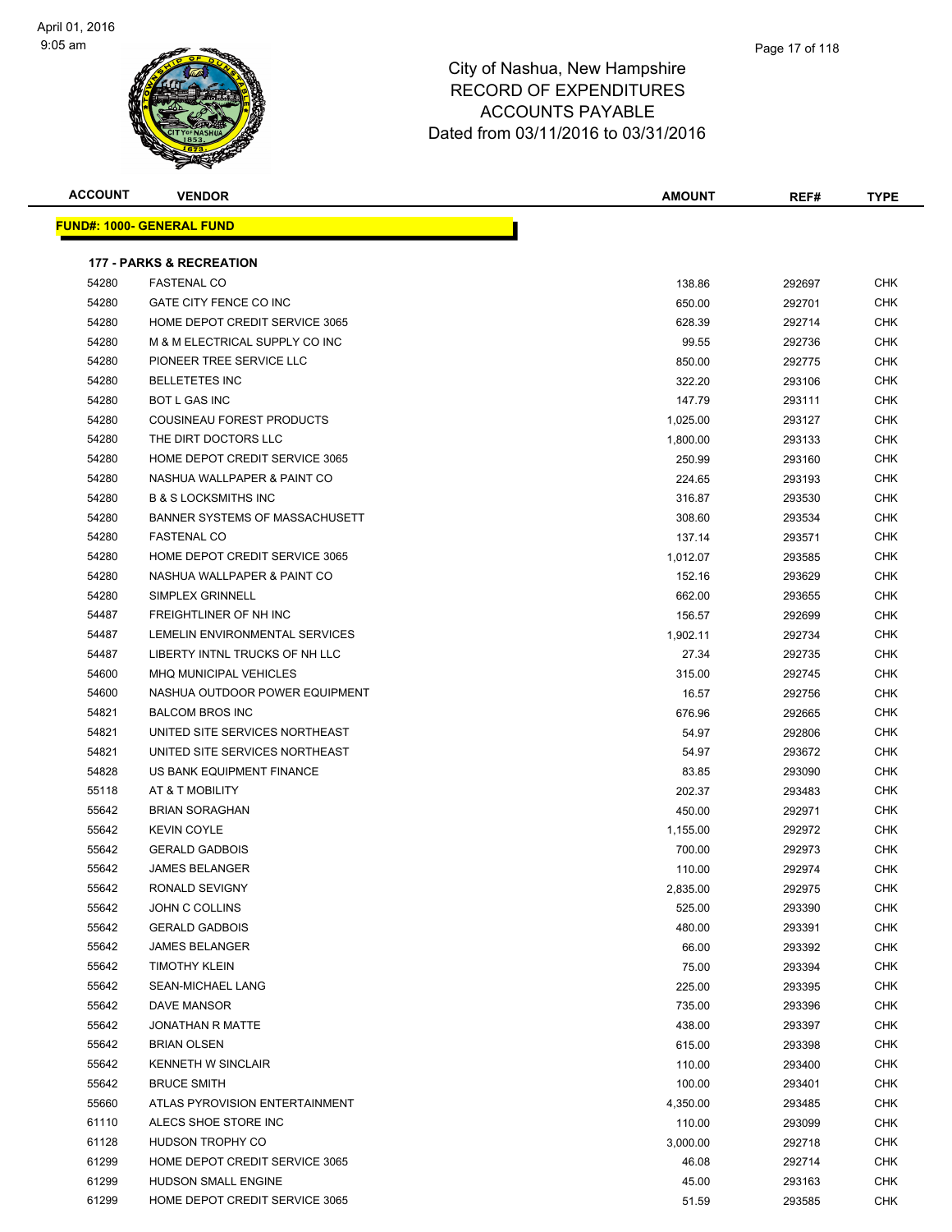

| <b>ACCOUNT</b> | <b>VENDOR</b>                         | <b>AMOUNT</b> | REF#   | TYPE       |
|----------------|---------------------------------------|---------------|--------|------------|
|                | <u> FUND#: 1000- GENERAL FUND</u>     |               |        |            |
|                |                                       |               |        |            |
|                | <b>177 - PARKS &amp; RECREATION</b>   |               |        |            |
| 54280          | <b>FASTENAL CO</b>                    | 138.86        | 292697 | <b>CHK</b> |
| 54280          | GATE CITY FENCE CO INC                | 650.00        | 292701 | <b>CHK</b> |
| 54280          | HOME DEPOT CREDIT SERVICE 3065        | 628.39        | 292714 | <b>CHK</b> |
| 54280          | M & M ELECTRICAL SUPPLY CO INC        | 99.55         | 292736 | <b>CHK</b> |
| 54280          | PIONEER TREE SERVICE LLC              | 850.00        | 292775 | <b>CHK</b> |
| 54280          | <b>BELLETETES INC</b>                 | 322.20        | 293106 | <b>CHK</b> |
| 54280          | <b>BOT L GAS INC</b>                  | 147.79        | 293111 | <b>CHK</b> |
| 54280          | COUSINEAU FOREST PRODUCTS             | 1,025.00      | 293127 | CHK        |
| 54280          | THE DIRT DOCTORS LLC                  | 1,800.00      | 293133 | <b>CHK</b> |
| 54280          | HOME DEPOT CREDIT SERVICE 3065        | 250.99        | 293160 | <b>CHK</b> |
| 54280          | NASHUA WALLPAPER & PAINT CO           | 224.65        | 293193 | <b>CHK</b> |
| 54280          | <b>B &amp; S LOCKSMITHS INC</b>       | 316.87        | 293530 | <b>CHK</b> |
| 54280          | <b>BANNER SYSTEMS OF MASSACHUSETT</b> | 308.60        | 293534 | <b>CHK</b> |
| 54280          | <b>FASTENAL CO</b>                    | 137.14        | 293571 | <b>CHK</b> |
| 54280          | HOME DEPOT CREDIT SERVICE 3065        | 1,012.07      | 293585 | <b>CHK</b> |
| 54280          | NASHUA WALLPAPER & PAINT CO           | 152.16        | 293629 | <b>CHK</b> |
| 54280          | SIMPLEX GRINNELL                      | 662.00        | 293655 | <b>CHK</b> |
| 54487          | FREIGHTLINER OF NH INC                | 156.57        | 292699 | <b>CHK</b> |
| 54487          | LEMELIN ENVIRONMENTAL SERVICES        | 1,902.11      | 292734 | CHK        |
| 54487          | LIBERTY INTNL TRUCKS OF NH LLC        | 27.34         | 292735 | <b>CHK</b> |
| 54600          | <b>MHQ MUNICIPAL VEHICLES</b>         | 315.00        | 292745 | CHK        |
| 54600          | NASHUA OUTDOOR POWER EQUIPMENT        | 16.57         | 292756 | <b>CHK</b> |
| 54821          | <b>BALCOM BROS INC</b>                | 676.96        | 292665 | <b>CHK</b> |
| 54821          | UNITED SITE SERVICES NORTHEAST        | 54.97         | 292806 | CHK        |
| 54821          | UNITED SITE SERVICES NORTHEAST        | 54.97         | 293672 | CHK        |
| 54828          | US BANK EQUIPMENT FINANCE             | 83.85         | 293090 | CHK        |
| 55118          | AT & T MOBILITY                       | 202.37        | 293483 | <b>CHK</b> |
| 55642          | <b>BRIAN SORAGHAN</b>                 | 450.00        | 292971 | <b>CHK</b> |
| 55642          | <b>KEVIN COYLE</b>                    | 1,155.00      | 292972 | CHK        |
| 55642          | <b>GERALD GADBOIS</b>                 | 700.00        | 292973 | CHK        |
| 55642          | <b>JAMES BELANGER</b>                 | 110.00        | 292974 | CHK        |
| 55642          | RONALD SEVIGNY                        | 2,835.00      | 292975 | <b>CHK</b> |
| 55642          | JOHN C COLLINS                        | 525.00        | 293390 | <b>CHK</b> |
| 55642          | <b>GERALD GADBOIS</b>                 | 480.00        | 293391 | <b>CHK</b> |
| 55642          | <b>JAMES BELANGER</b>                 | 66.00         | 293392 | CHK        |
| 55642          | <b>TIMOTHY KLEIN</b>                  | 75.00         | 293394 | <b>CHK</b> |
| 55642          | SEAN-MICHAEL LANG                     | 225.00        | 293395 | <b>CHK</b> |
| 55642          | DAVE MANSOR                           | 735.00        | 293396 | <b>CHK</b> |
| 55642          | <b>JONATHAN R MATTE</b>               | 438.00        | 293397 | <b>CHK</b> |
| 55642          | <b>BRIAN OLSEN</b>                    | 615.00        | 293398 | CHK        |
| 55642          | KENNETH W SINCLAIR                    | 110.00        | 293400 | <b>CHK</b> |
| 55642          | <b>BRUCE SMITH</b>                    | 100.00        | 293401 | <b>CHK</b> |
| 55660          | ATLAS PYROVISION ENTERTAINMENT        | 4,350.00      | 293485 | <b>CHK</b> |
| 61110          | ALECS SHOE STORE INC                  | 110.00        | 293099 | <b>CHK</b> |
| 61128          | HUDSON TROPHY CO                      | 3,000.00      | 292718 | <b>CHK</b> |
| 61299          | HOME DEPOT CREDIT SERVICE 3065        | 46.08         | 292714 | <b>CHK</b> |
| 61299          | HUDSON SMALL ENGINE                   | 45.00         | 293163 | <b>CHK</b> |
| 61299          | HOME DEPOT CREDIT SERVICE 3065        | 51.59         | 293585 | <b>CHK</b> |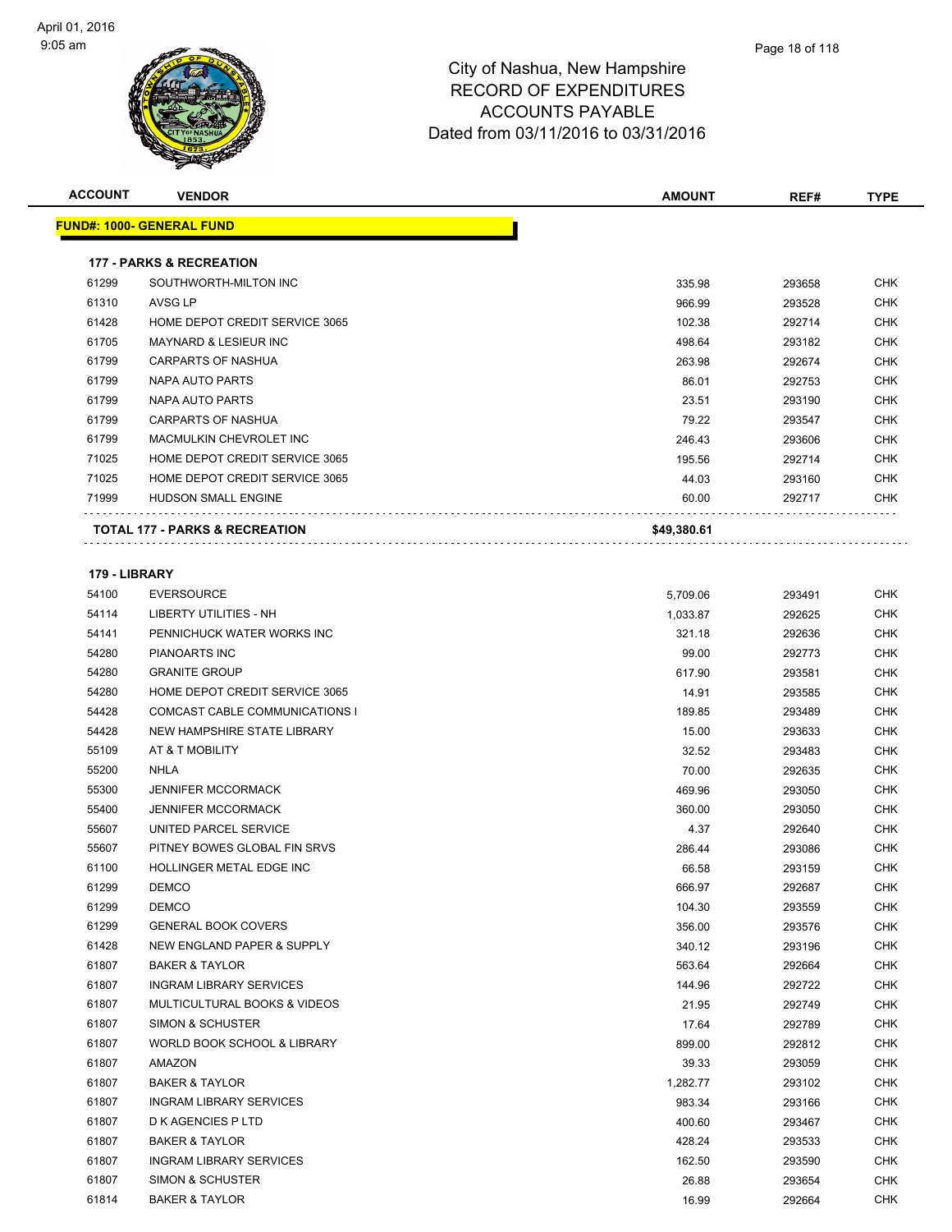**FUND#:** 



#### City of Nashua, New Hampshire RECORD OF EXPENDITURES ACCOUNTS PAYABLE Dated from 03/11/2016 to 03/31/2016

| ACCOUNT       | <b>VENDOR</b>                             | <b>AMOUNT</b> | REF#   | <b>TYPE</b> |
|---------------|-------------------------------------------|---------------|--------|-------------|
|               | <u> JND#: 1000- GENERAL FUND</u>          |               |        |             |
|               | <b>177 - PARKS &amp; RECREATION</b>       |               |        |             |
| 61299         | SOUTHWORTH-MILTON INC                     | 335.98        | 293658 | <b>CHK</b>  |
| 61310         | AVSG LP                                   | 966.99        | 293528 | <b>CHK</b>  |
| 61428         | HOME DEPOT CREDIT SERVICE 3065            | 102.38        | 292714 | <b>CHK</b>  |
| 61705         | <b>MAYNARD &amp; LESIEUR INC</b>          | 498.64        | 293182 | <b>CHK</b>  |
| 61799         | <b>CARPARTS OF NASHUA</b>                 | 263.98        | 292674 | <b>CHK</b>  |
| 61799         | NAPA AUTO PARTS                           | 86.01         | 292753 | <b>CHK</b>  |
| 61799         | NAPA AUTO PARTS                           | 23.51         | 293190 | <b>CHK</b>  |
| 61799         | <b>CARPARTS OF NASHUA</b>                 | 79.22         | 293547 | <b>CHK</b>  |
| 61799         | MACMULKIN CHEVROLET INC                   | 246.43        | 293606 | <b>CHK</b>  |
| 71025         | HOME DEPOT CREDIT SERVICE 3065            | 195.56        | 292714 | <b>CHK</b>  |
| 71025         | HOME DEPOT CREDIT SERVICE 3065            | 44.03         | 293160 | <b>CHK</b>  |
| 71999         | <b>HUDSON SMALL ENGINE</b>                | 60.00         | 292717 | CHK         |
|               | <b>TOTAL 177 - PARKS &amp; RECREATION</b> | \$49,380.61   |        |             |
|               |                                           |               |        |             |
| 179 - LIBRARY |                                           |               |        |             |
| 54100         | <b>EVERSOURCE</b>                         | 5,709.06      | 293491 | <b>CHK</b>  |
| 54114         | LIBERTY UTILITIES - NH                    | 1,033.87      | 292625 | <b>CHK</b>  |
| 54141         | PENNICHUCK WATER WORKS INC                | 321.18        | 292636 | <b>CHK</b>  |
| 54280         | <b>PIANOARTS INC</b>                      | 99.00         | 292773 | <b>CHK</b>  |
| 54280         | <b>GRANITE GROUP</b>                      | 617.90        | 293581 | <b>CHK</b>  |
| 54280         | HOME DEPOT CREDIT SERVICE 3065            | 14.91         | 293585 | <b>CHK</b>  |
| 54428         | COMCAST CABLE COMMUNICATIONS I            | 189.85        | 293489 | <b>CHK</b>  |
| 54428         | NEW HAMPSHIRE STATE LIBRARY               | 15.00         | 293633 | <b>CHK</b>  |
| 55109         | AT & T MOBILITY                           | 32.52         | 293483 | <b>CHK</b>  |
| 55200         | NHLA                                      | 70.00         | 292635 | <b>CHK</b>  |
| 55300         | <b>JENNIFER MCCORMACK</b>                 | 469.96        | 293050 | <b>CHK</b>  |
| 55400         | <b>JENNIFER MCCORMACK</b>                 | 360.00        | 293050 | <b>CHK</b>  |
| 55607         | UNITED PARCEL SERVICE                     | 4.37          | 292640 | <b>CHK</b>  |
| 55607         | PITNEY BOWES GLOBAL FIN SRVS              | 286.44        | 293086 | <b>CHK</b>  |
| 61100         | HOLLINGER METAL EDGE INC                  | 66.58         | 293159 | <b>CHK</b>  |
| 61299         | <b>DEMCO</b>                              | 666.97        | 292687 | <b>CHK</b>  |
| 61299         | <b>DEMCO</b>                              | 104.30        | 293559 | <b>CHK</b>  |
| 61299         | <b>GENERAL BOOK COVERS</b>                | 356.00        | 293576 | <b>CHK</b>  |
| 61428         | NEW ENGLAND PAPER & SUPPLY                | 340.12        | 293196 | <b>CHK</b>  |
| 61807         | <b>BAKER &amp; TAYLOR</b>                 | 563.64        | 292664 | <b>CHK</b>  |
| 61807         | <b>INGRAM LIBRARY SERVICES</b>            | 144.96        | 292722 | <b>CHK</b>  |
| 61807         | MULTICULTURAL BOOKS & VIDEOS              | 21.95         | 292749 | <b>CHK</b>  |
| 61807         | <b>SIMON &amp; SCHUSTER</b>               | 17.64         | 292789 | <b>CHK</b>  |
| 61807         | WORLD BOOK SCHOOL & LIBRARY               | 899.00        | 292812 | <b>CHK</b>  |
| 61807         | AMAZON                                    | 39.33         | 293059 | <b>CHK</b>  |
| 61807         | <b>BAKER &amp; TAYLOR</b>                 | 1,282.77      | 293102 | <b>CHK</b>  |

 INGRAM LIBRARY SERVICES 983.34 293166 CHK D K AGENCIES P LTD 400.60 293467 CHK BAKER & TAYLOR 428.24 293533 CHK INGRAM LIBRARY SERVICES 162.50 293590 CHK SIMON & SCHUSTER 26.88 293654 CHK BAKER & TAYLOR 16.99 292664 CHK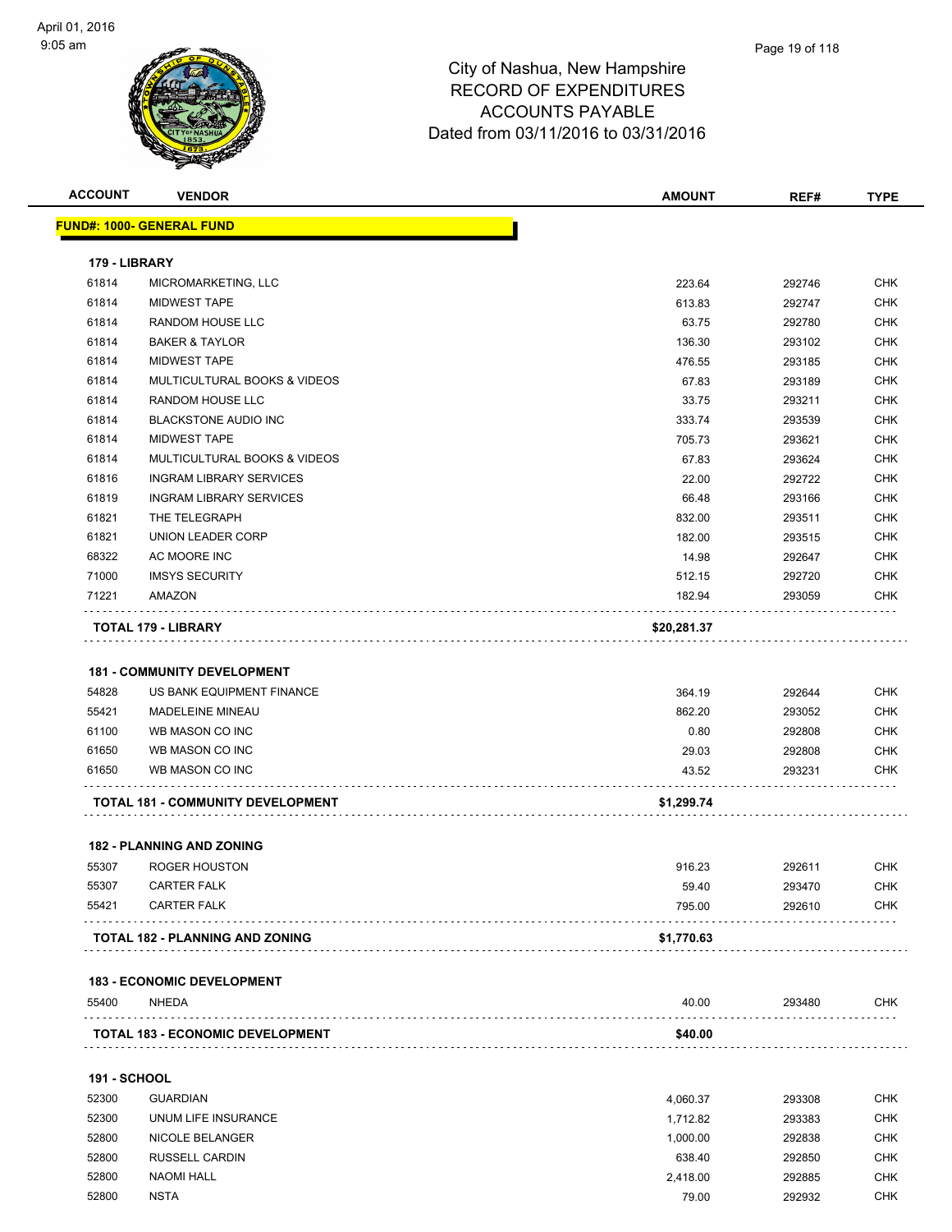

| <b>ACCOUNT</b>      | <b>VENDOR</b>                           | <b>AMOUNT</b> | REF#   | <b>TYPE</b> |
|---------------------|-----------------------------------------|---------------|--------|-------------|
|                     | <b>FUND#: 1000- GENERAL FUND</b>        |               |        |             |
| 179 - LIBRARY       |                                         |               |        |             |
| 61814               | MICROMARKETING, LLC                     | 223.64        | 292746 | CHK         |
| 61814               | <b>MIDWEST TAPE</b>                     | 613.83        | 292747 | <b>CHK</b>  |
| 61814               | RANDOM HOUSE LLC                        | 63.75         | 292780 | <b>CHK</b>  |
| 61814               | <b>BAKER &amp; TAYLOR</b>               | 136.30        | 293102 | CHK         |
| 61814               | <b>MIDWEST TAPE</b>                     | 476.55        | 293185 | CHK         |
| 61814               | MULTICULTURAL BOOKS & VIDEOS            | 67.83         | 293189 | <b>CHK</b>  |
| 61814               | RANDOM HOUSE LLC                        | 33.75         | 293211 | <b>CHK</b>  |
| 61814               | <b>BLACKSTONE AUDIO INC</b>             | 333.74        | 293539 | <b>CHK</b>  |
| 61814               | <b>MIDWEST TAPE</b>                     | 705.73        | 293621 | CHK         |
| 61814               | MULTICULTURAL BOOKS & VIDEOS            | 67.83         | 293624 | CHK         |
| 61816               | <b>INGRAM LIBRARY SERVICES</b>          | 22.00         | 292722 | CHK         |
| 61819               | <b>INGRAM LIBRARY SERVICES</b>          | 66.48         | 293166 | CHK         |
| 61821               | THE TELEGRAPH                           | 832.00        | 293511 | <b>CHK</b>  |
| 61821               | UNION LEADER CORP                       | 182.00        | 293515 | <b>CHK</b>  |
| 68322               | AC MOORE INC                            | 14.98         | 292647 | CHK         |
| 71000               | <b>IMSYS SECURITY</b>                   | 512.15        | 292720 | CHK         |
| 71221               | AMAZON                                  | 182.94        | 293059 | CHK         |
|                     | TOTAL 179 - LIBRARY                     | \$20,281.37   |        |             |
|                     |                                         |               |        |             |
|                     | <b>181 - COMMUNITY DEVELOPMENT</b>      |               |        |             |
| 54828               | US BANK EQUIPMENT FINANCE               | 364.19        | 292644 | <b>CHK</b>  |
| 55421               | <b>MADELEINE MINEAU</b>                 | 862.20        | 293052 | CHK         |
| 61100               | WB MASON CO INC                         | 0.80          | 292808 | CHK         |
| 61650               | WB MASON CO INC                         | 29.03         | 292808 | <b>CHK</b>  |
| 61650               | WB MASON CO INC                         | 43.52         | 293231 | CHK         |
|                     | TOTAL 181 - COMMUNITY DEVELOPMENT       | \$1,299.74    |        |             |
|                     |                                         |               |        |             |
|                     | <b>182 - PLANNING AND ZONING</b>        |               |        |             |
| 55307               | <b>ROGER HOUSTON</b>                    | 916.23        | 292611 | <b>CHK</b>  |
| 55307               | <b>CARTER FALK</b>                      | 59.40         | 293470 | CHK         |
| 55421               | <b>CARTER FALK</b>                      | 795.00        | 292610 | CHK         |
|                     | <b>TOTAL 182 - PLANNING AND ZONING</b>  | \$1,770.63    |        |             |
|                     |                                         |               |        |             |
|                     | <b>183 - ECONOMIC DEVELOPMENT</b>       |               |        |             |
| 55400               | NHEDA                                   | 40.00         | 293480 | <b>CHK</b>  |
|                     | <b>TOTAL 183 - ECONOMIC DEVELOPMENT</b> | \$40.00       |        |             |
| <b>191 - SCHOOL</b> |                                         |               |        |             |
| 52300               | <b>GUARDIAN</b>                         | 4,060.37      | 293308 | <b>CHK</b>  |
| 52300               | UNUM LIFE INSURANCE                     | 1,712.82      | 293383 | CHK         |
|                     |                                         |               |        |             |

| 52300 | <b>GUARDIAN</b>       | 4,060.37 | 293308 | <b>CHK</b> |
|-------|-----------------------|----------|--------|------------|
| 52300 | UNUM LIFE INSURANCE   | 1.712.82 | 293383 | <b>CHK</b> |
| 52800 | NICOLE BELANGER       | 1.000.00 | 292838 | <b>CHK</b> |
| 52800 | <b>RUSSELL CARDIN</b> | 638.40   | 292850 | <b>CHK</b> |
| 52800 | NAOMI HALL            | 2.418.00 | 292885 | <b>CHK</b> |
| 52800 | <b>NSTA</b>           | 79.00    | 292932 | <b>CHK</b> |
|       |                       |          |        |            |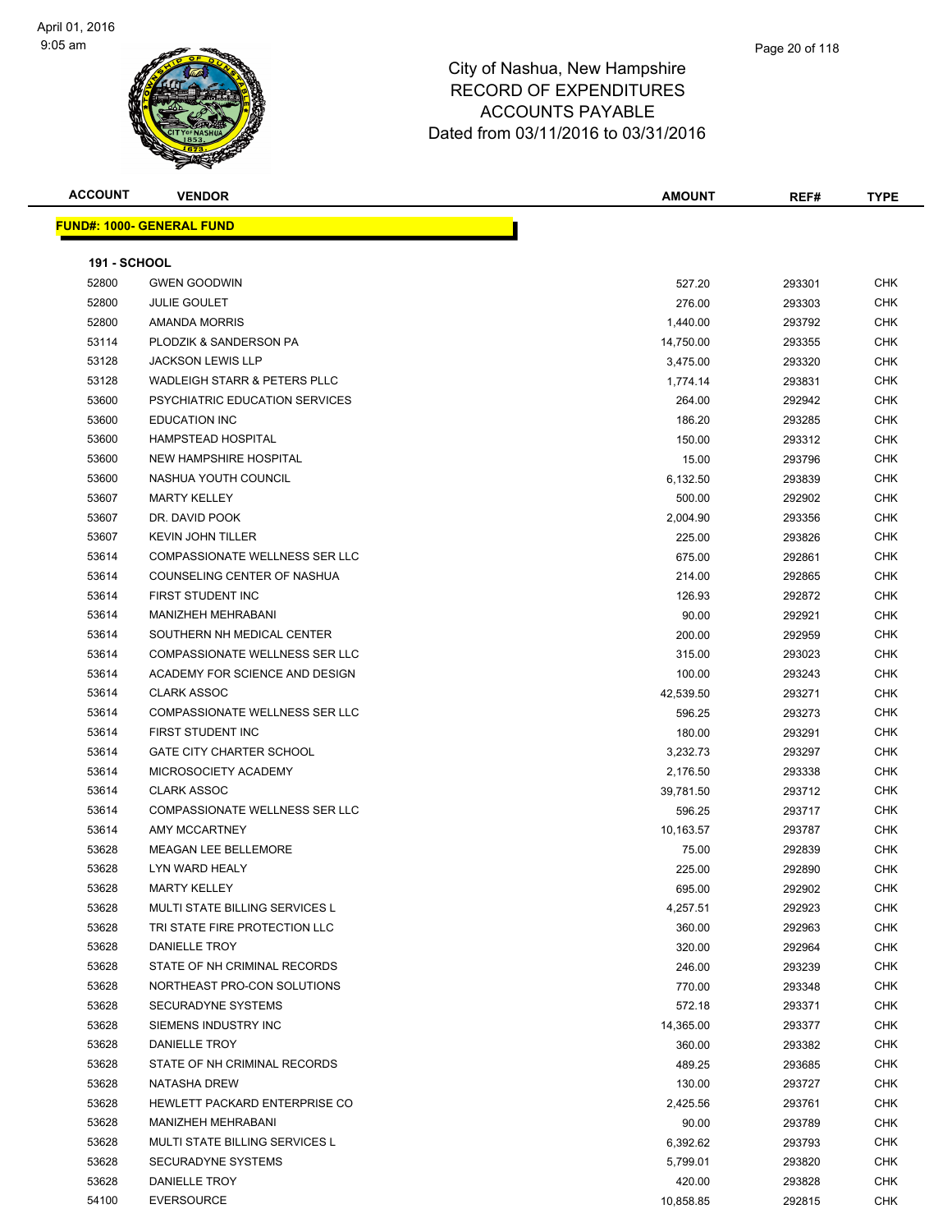

| <b>ACCOUNT</b>      | <b>VENDOR</b>                           | <b>AMOUNT</b> | REF#   | <b>TYPE</b> |
|---------------------|-----------------------------------------|---------------|--------|-------------|
|                     | <u> FUND#: 1000- GENERAL FUND</u>       |               |        |             |
|                     |                                         |               |        |             |
| <b>191 - SCHOOL</b> |                                         |               |        |             |
| 52800               | <b>GWEN GOODWIN</b>                     | 527.20        | 293301 | <b>CHK</b>  |
| 52800               | <b>JULIE GOULET</b>                     | 276.00        | 293303 | <b>CHK</b>  |
| 52800               | AMANDA MORRIS                           | 1,440.00      | 293792 | <b>CHK</b>  |
| 53114               | PLODZIK & SANDERSON PA                  | 14,750.00     | 293355 | <b>CHK</b>  |
| 53128               | <b>JACKSON LEWIS LLP</b>                | 3,475.00      | 293320 | <b>CHK</b>  |
| 53128               | <b>WADLEIGH STARR &amp; PETERS PLLC</b> | 1,774.14      | 293831 | <b>CHK</b>  |
| 53600               | PSYCHIATRIC EDUCATION SERVICES          | 264.00        | 292942 | <b>CHK</b>  |
| 53600               | <b>EDUCATION INC</b>                    | 186.20        | 293285 | <b>CHK</b>  |
| 53600               | <b>HAMPSTEAD HOSPITAL</b>               | 150.00        | 293312 | <b>CHK</b>  |
| 53600               | <b>NEW HAMPSHIRE HOSPITAL</b>           | 15.00         | 293796 | <b>CHK</b>  |
| 53600               | NASHUA YOUTH COUNCIL                    | 6,132.50      | 293839 | CHK         |
| 53607               | <b>MARTY KELLEY</b>                     | 500.00        | 292902 | <b>CHK</b>  |
| 53607               | DR. DAVID POOK                          | 2,004.90      | 293356 | <b>CHK</b>  |
| 53607               | <b>KEVIN JOHN TILLER</b>                | 225.00        | 293826 | <b>CHK</b>  |
| 53614               | <b>COMPASSIONATE WELLNESS SER LLC</b>   | 675.00        | 292861 | <b>CHK</b>  |
| 53614               | COUNSELING CENTER OF NASHUA             | 214.00        | 292865 | <b>CHK</b>  |
| 53614               | FIRST STUDENT INC                       | 126.93        | 292872 | CHK         |
| 53614               | <b>MANIZHEH MEHRABANI</b>               | 90.00         | 292921 | <b>CHK</b>  |
| 53614               | SOUTHERN NH MEDICAL CENTER              | 200.00        | 292959 | <b>CHK</b>  |
| 53614               | <b>COMPASSIONATE WELLNESS SER LLC</b>   | 315.00        | 293023 | <b>CHK</b>  |
| 53614               | ACADEMY FOR SCIENCE AND DESIGN          | 100.00        | 293243 | <b>CHK</b>  |
| 53614               | <b>CLARK ASSOC</b>                      | 42,539.50     | 293271 | <b>CHK</b>  |
| 53614               | <b>COMPASSIONATE WELLNESS SER LLC</b>   | 596.25        | 293273 | <b>CHK</b>  |
| 53614               | FIRST STUDENT INC                       | 180.00        | 293291 | <b>CHK</b>  |
| 53614               | <b>GATE CITY CHARTER SCHOOL</b>         | 3,232.73      | 293297 | <b>CHK</b>  |
| 53614               | MICROSOCIETY ACADEMY                    | 2,176.50      | 293338 | <b>CHK</b>  |
| 53614               | <b>CLARK ASSOC</b>                      | 39,781.50     | 293712 | <b>CHK</b>  |
| 53614               | <b>COMPASSIONATE WELLNESS SER LLC</b>   | 596.25        | 293717 | <b>CHK</b>  |
| 53614               | AMY MCCARTNEY                           | 10,163.57     | 293787 | <b>CHK</b>  |
| 53628               | <b>MEAGAN LEE BELLEMORE</b>             | 75.00         | 292839 | <b>CHK</b>  |
| 53628               | LYN WARD HEALY                          | 225.00        | 292890 | <b>CHK</b>  |
| 53628               | <b>MARTY KELLEY</b>                     | 695.00        | 292902 | <b>CHK</b>  |
| 53628               | MULTI STATE BILLING SERVICES L          | 4,257.51      | 292923 | <b>CHK</b>  |
| 53628               | TRI STATE FIRE PROTECTION LLC           | 360.00        | 292963 | <b>CHK</b>  |
| 53628               | DANIELLE TROY                           | 320.00        | 292964 | <b>CHK</b>  |
| 53628               | STATE OF NH CRIMINAL RECORDS            | 246.00        | 293239 | <b>CHK</b>  |
| 53628               | NORTHEAST PRO-CON SOLUTIONS             | 770.00        | 293348 | <b>CHK</b>  |
| 53628               | SECURADYNE SYSTEMS                      | 572.18        | 293371 | <b>CHK</b>  |
| 53628               | SIEMENS INDUSTRY INC                    | 14,365.00     | 293377 | <b>CHK</b>  |
| 53628               | DANIELLE TROY                           | 360.00        | 293382 | <b>CHK</b>  |
| 53628               | STATE OF NH CRIMINAL RECORDS            | 489.25        | 293685 | <b>CHK</b>  |
| 53628               | NATASHA DREW                            | 130.00        | 293727 | <b>CHK</b>  |
| 53628               | HEWLETT PACKARD ENTERPRISE CO           | 2,425.56      | 293761 | <b>CHK</b>  |
| 53628               | MANIZHEH MEHRABANI                      | 90.00         | 293789 | <b>CHK</b>  |
| 53628               | MULTI STATE BILLING SERVICES L          | 6,392.62      | 293793 | <b>CHK</b>  |
| 53628               | <b>SECURADYNE SYSTEMS</b>               | 5,799.01      | 293820 | <b>CHK</b>  |
| 53628               | DANIELLE TROY                           | 420.00        | 293828 | <b>CHK</b>  |
| 54100               | <b>EVERSOURCE</b>                       | 10,858.85     | 292815 | <b>CHK</b>  |
|                     |                                         |               |        |             |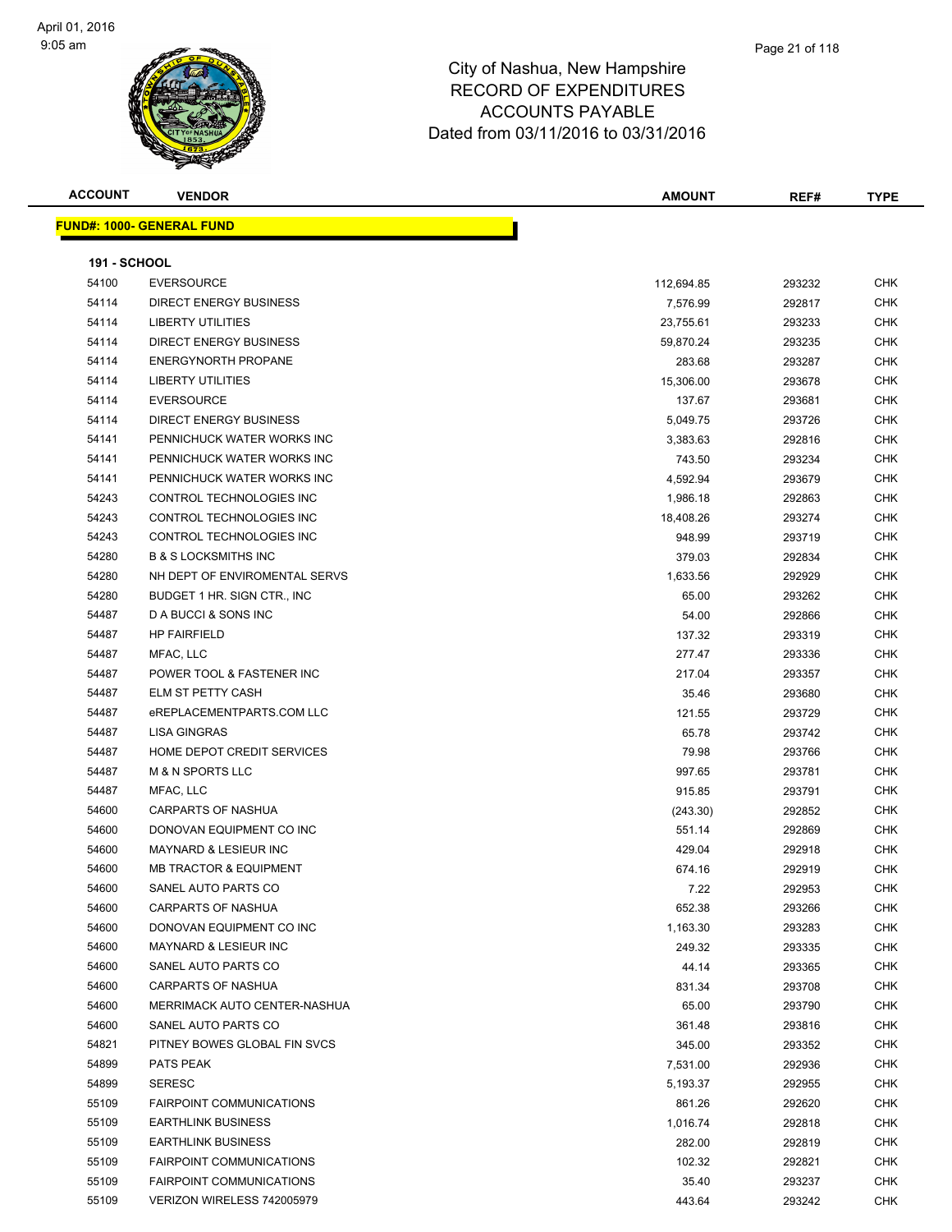

| <b>ACCOUNT</b>      | <b>VENDOR</b>                     | <b>AMOUNT</b> | REF#   | <b>TYPE</b> |
|---------------------|-----------------------------------|---------------|--------|-------------|
|                     | <b>FUND#: 1000- GENERAL FUND</b>  |               |        |             |
| <b>191 - SCHOOL</b> |                                   |               |        |             |
| 54100               | <b>EVERSOURCE</b>                 | 112,694.85    | 293232 | <b>CHK</b>  |
| 54114               | <b>DIRECT ENERGY BUSINESS</b>     | 7,576.99      | 292817 | <b>CHK</b>  |
| 54114               | LIBERTY UTILITIES                 | 23,755.61     | 293233 | <b>CHK</b>  |
| 54114               | <b>DIRECT ENERGY BUSINESS</b>     | 59,870.24     | 293235 | <b>CHK</b>  |
| 54114               | <b>ENERGYNORTH PROPANE</b>        | 283.68        | 293287 | <b>CHK</b>  |
| 54114               | <b>LIBERTY UTILITIES</b>          | 15,306.00     | 293678 | <b>CHK</b>  |
| 54114               | <b>EVERSOURCE</b>                 | 137.67        | 293681 | <b>CHK</b>  |
| 54114               | DIRECT ENERGY BUSINESS            | 5,049.75      | 293726 | <b>CHK</b>  |
| 54141               | PENNICHUCK WATER WORKS INC        | 3,383.63      | 292816 | <b>CHK</b>  |
| 54141               | PENNICHUCK WATER WORKS INC        | 743.50        | 293234 | <b>CHK</b>  |
| 54141               | PENNICHUCK WATER WORKS INC        | 4,592.94      | 293679 | <b>CHK</b>  |
| 54243               | CONTROL TECHNOLOGIES INC          | 1,986.18      | 292863 | <b>CHK</b>  |
| 54243               | CONTROL TECHNOLOGIES INC          | 18,408.26     | 293274 | <b>CHK</b>  |
| 54243               | CONTROL TECHNOLOGIES INC          | 948.99        | 293719 | <b>CHK</b>  |
| 54280               | <b>B &amp; S LOCKSMITHS INC</b>   | 379.03        | 292834 | <b>CHK</b>  |
| 54280               | NH DEPT OF ENVIROMENTAL SERVS     | 1,633.56      | 292929 | <b>CHK</b>  |
| 54280               | BUDGET 1 HR. SIGN CTR., INC       | 65.00         | 293262 | <b>CHK</b>  |
| 54487               | D A BUCCI & SONS INC              | 54.00         | 292866 | <b>CHK</b>  |
| 54487               | <b>HP FAIRFIELD</b>               | 137.32        | 293319 | <b>CHK</b>  |
| 54487               | MFAC, LLC                         | 277.47        | 293336 | <b>CHK</b>  |
| 54487               | POWER TOOL & FASTENER INC         | 217.04        | 293357 | <b>CHK</b>  |
| 54487               | ELM ST PETTY CASH                 | 35.46         | 293680 | <b>CHK</b>  |
| 54487               | eREPLACEMENTPARTS.COM LLC         | 121.55        | 293729 | <b>CHK</b>  |
| 54487               | <b>LISA GINGRAS</b>               | 65.78         | 293742 | <b>CHK</b>  |
| 54487               | HOME DEPOT CREDIT SERVICES        | 79.98         | 293766 | <b>CHK</b>  |
| 54487               | <b>M &amp; N SPORTS LLC</b>       | 997.65        | 293781 | <b>CHK</b>  |
| 54487               | MFAC, LLC                         | 915.85        | 293791 | <b>CHK</b>  |
| 54600               | CARPARTS OF NASHUA                | (243.30)      | 292852 | <b>CHK</b>  |
| 54600               | DONOVAN EQUIPMENT CO INC          | 551.14        | 292869 | <b>CHK</b>  |
| 54600               | <b>MAYNARD &amp; LESIEUR INC</b>  | 429.04        | 292918 | <b>CHK</b>  |
| 54600               | <b>MB TRACTOR &amp; EQUIPMENT</b> | 674.16        | 292919 | <b>CHK</b>  |
| 54600               | SANEL AUTO PARTS CO               | 7.22          | 292953 | CHK         |
| 54600               | <b>CARPARTS OF NASHUA</b>         | 652.38        | 293266 | CHK         |
| 54600               | DONOVAN EQUIPMENT CO INC          | 1,163.30      | 293283 | <b>CHK</b>  |
| 54600               | MAYNARD & LESIEUR INC             | 249.32        | 293335 | <b>CHK</b>  |
| 54600               | SANEL AUTO PARTS CO               | 44.14         | 293365 | <b>CHK</b>  |
| 54600               | <b>CARPARTS OF NASHUA</b>         | 831.34        | 293708 | <b>CHK</b>  |
| 54600               | MERRIMACK AUTO CENTER-NASHUA      | 65.00         | 293790 | <b>CHK</b>  |
| 54600               | SANEL AUTO PARTS CO               | 361.48        | 293816 | <b>CHK</b>  |
| 54821               | PITNEY BOWES GLOBAL FIN SVCS      | 345.00        | 293352 | <b>CHK</b>  |
| 54899               | PATS PEAK                         | 7,531.00      | 292936 | CHK         |
| 54899               | <b>SERESC</b>                     | 5,193.37      | 292955 | <b>CHK</b>  |
| 55109               | <b>FAIRPOINT COMMUNICATIONS</b>   | 861.26        | 292620 | <b>CHK</b>  |
| 55109               | <b>EARTHLINK BUSINESS</b>         | 1,016.74      | 292818 | <b>CHK</b>  |
| 55109               | <b>EARTHLINK BUSINESS</b>         | 282.00        | 292819 | <b>CHK</b>  |
| 55109               | <b>FAIRPOINT COMMUNICATIONS</b>   | 102.32        | 292821 | <b>CHK</b>  |
| 55109               | FAIRPOINT COMMUNICATIONS          | 35.40         | 293237 | <b>CHK</b>  |
| 55109               | VERIZON WIRELESS 742005979        | 443.64        | 293242 | <b>CHK</b>  |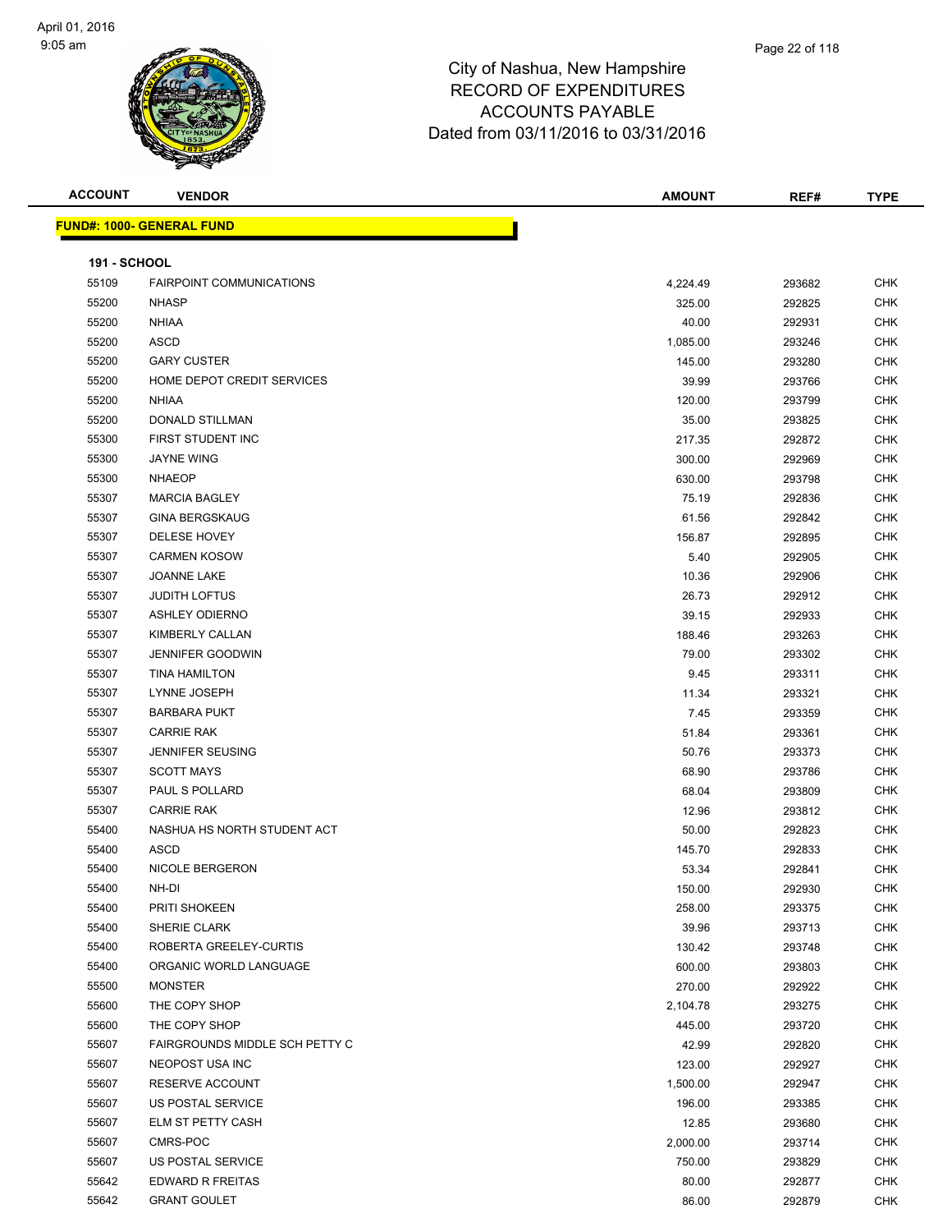

| <b>ACCOUNT</b>      | <b>VENDOR</b>                     | AMOUNT   | REF#   | <b>TYPE</b> |
|---------------------|-----------------------------------|----------|--------|-------------|
|                     | <u> FUND#: 1000- GENERAL FUND</u> |          |        |             |
|                     |                                   |          |        |             |
| <b>191 - SCHOOL</b> |                                   |          |        |             |
| 55109               | <b>FAIRPOINT COMMUNICATIONS</b>   | 4,224.49 | 293682 | <b>CHK</b>  |
| 55200               | <b>NHASP</b>                      | 325.00   | 292825 | <b>CHK</b>  |
| 55200               | <b>NHIAA</b>                      | 40.00    | 292931 | <b>CHK</b>  |
| 55200               | <b>ASCD</b>                       | 1,085.00 | 293246 | <b>CHK</b>  |
| 55200               | <b>GARY CUSTER</b>                | 145.00   | 293280 | <b>CHK</b>  |
| 55200               | HOME DEPOT CREDIT SERVICES        | 39.99    | 293766 | <b>CHK</b>  |
| 55200               | <b>NHIAA</b>                      | 120.00   | 293799 | <b>CHK</b>  |
| 55200               | <b>DONALD STILLMAN</b>            | 35.00    | 293825 | <b>CHK</b>  |
| 55300               | FIRST STUDENT INC                 | 217.35   | 292872 | <b>CHK</b>  |
| 55300               | <b>JAYNE WING</b>                 | 300.00   | 292969 | <b>CHK</b>  |
| 55300               | <b>NHAEOP</b>                     | 630.00   | 293798 | <b>CHK</b>  |
| 55307               | <b>MARCIA BAGLEY</b>              | 75.19    | 292836 | <b>CHK</b>  |
| 55307               | <b>GINA BERGSKAUG</b>             | 61.56    | 292842 | <b>CHK</b>  |
| 55307               | DELESE HOVEY                      | 156.87   | 292895 | <b>CHK</b>  |
| 55307               | <b>CARMEN KOSOW</b>               | 5.40     | 292905 | CHK         |
| 55307               | JOANNE LAKE                       | 10.36    | 292906 | <b>CHK</b>  |
| 55307               | <b>JUDITH LOFTUS</b>              | 26.73    | 292912 | <b>CHK</b>  |
| 55307               | <b>ASHLEY ODIERNO</b>             | 39.15    | 292933 | <b>CHK</b>  |
| 55307               | KIMBERLY CALLAN                   | 188.46   | 293263 | <b>CHK</b>  |
| 55307               | <b>JENNIFER GOODWIN</b>           | 79.00    | 293302 | <b>CHK</b>  |
| 55307               | <b>TINA HAMILTON</b>              | 9.45     | 293311 | <b>CHK</b>  |
| 55307               | LYNNE JOSEPH                      | 11.34    | 293321 | <b>CHK</b>  |
| 55307               | <b>BARBARA PUKT</b>               | 7.45     | 293359 | <b>CHK</b>  |
| 55307               | <b>CARRIE RAK</b>                 | 51.84    | 293361 | <b>CHK</b>  |
| 55307               | <b>JENNIFER SEUSING</b>           | 50.76    | 293373 | <b>CHK</b>  |
| 55307               | <b>SCOTT MAYS</b>                 | 68.90    | 293786 | <b>CHK</b>  |
| 55307               | PAUL S POLLARD                    | 68.04    | 293809 | <b>CHK</b>  |
| 55307               | <b>CARRIE RAK</b>                 | 12.96    | 293812 | <b>CHK</b>  |
| 55400               | NASHUA HS NORTH STUDENT ACT       | 50.00    | 292823 | <b>CHK</b>  |
| 55400               | ASCD                              | 145.70   | 292833 | <b>CHK</b>  |
| 55400               | NICOLE BERGERON                   | 53.34    | 292841 | <b>CHK</b>  |
| 55400               | NH-DI                             | 150.00   | 292930 | CHK         |
| 55400               | PRITI SHOKEEN                     | 258.00   | 293375 | <b>CHK</b>  |
| 55400               | SHERIE CLARK                      | 39.96    | 293713 | <b>CHK</b>  |
| 55400               | ROBERTA GREELEY-CURTIS            | 130.42   | 293748 | <b>CHK</b>  |
| 55400               | ORGANIC WORLD LANGUAGE            | 600.00   | 293803 | <b>CHK</b>  |
| 55500               | <b>MONSTER</b>                    | 270.00   | 292922 | <b>CHK</b>  |
| 55600               | THE COPY SHOP                     | 2,104.78 | 293275 | <b>CHK</b>  |
| 55600               | THE COPY SHOP                     | 445.00   | 293720 | <b>CHK</b>  |
| 55607               | FAIRGROUNDS MIDDLE SCH PETTY C    | 42.99    | 292820 | <b>CHK</b>  |
| 55607               | NEOPOST USA INC                   | 123.00   | 292927 | <b>CHK</b>  |
| 55607               | RESERVE ACCOUNT                   | 1,500.00 | 292947 | <b>CHK</b>  |
| 55607               | US POSTAL SERVICE                 | 196.00   | 293385 | <b>CHK</b>  |
| 55607               | ELM ST PETTY CASH                 | 12.85    | 293680 | <b>CHK</b>  |
| 55607               | CMRS-POC                          | 2,000.00 | 293714 | <b>CHK</b>  |
| 55607               | US POSTAL SERVICE                 | 750.00   | 293829 | <b>CHK</b>  |
| 55642               | EDWARD R FREITAS                  | 80.00    | 292877 | <b>CHK</b>  |
| 55642               | <b>GRANT GOULET</b>               | 86.00    | 292879 | <b>CHK</b>  |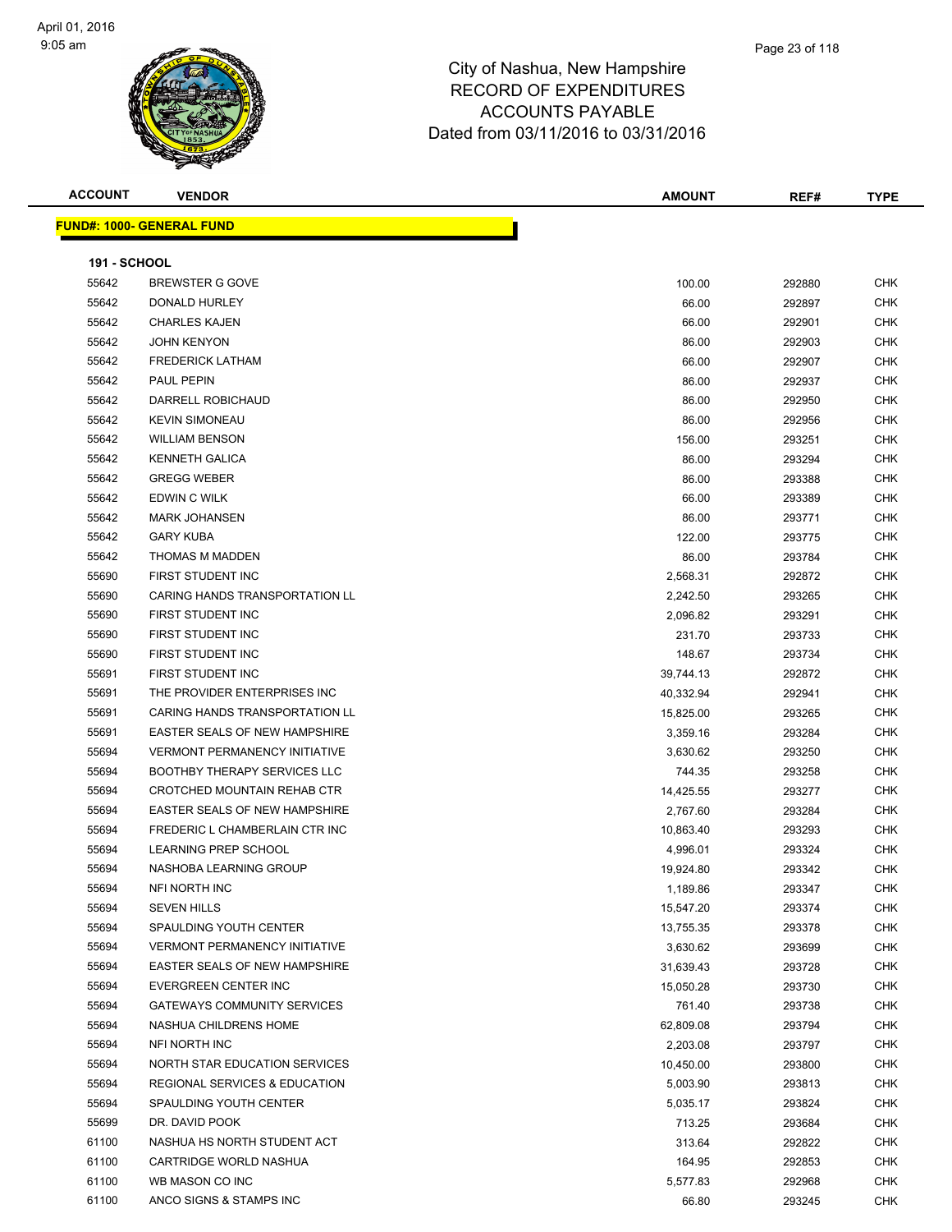#### Page 23 of 118

| <b>ACCOUNT</b>      | <b>VENDOR</b>                         | <b>AMOUNT</b> | REF#   | <b>TYPE</b> |
|---------------------|---------------------------------------|---------------|--------|-------------|
|                     | <b>FUND#: 1000- GENERAL FUND</b>      |               |        |             |
| <b>191 - SCHOOL</b> |                                       |               |        |             |
| 55642               | <b>BREWSTER G GOVE</b>                | 100.00        | 292880 | <b>CHK</b>  |
| 55642               | DONALD HURLEY                         | 66.00         | 292897 | <b>CHK</b>  |
| 55642               | <b>CHARLES KAJEN</b>                  | 66.00         | 292901 | <b>CHK</b>  |
| 55642               | <b>JOHN KENYON</b>                    | 86.00         | 292903 | <b>CHK</b>  |
| 55642               | <b>FREDERICK LATHAM</b>               | 66.00         | 292907 | <b>CHK</b>  |
| 55642               | <b>PAUL PEPIN</b>                     | 86.00         | 292937 | <b>CHK</b>  |
| 55642               | DARRELL ROBICHAUD                     | 86.00         | 292950 | <b>CHK</b>  |
| 55642               | <b>KEVIN SIMONEAU</b>                 | 86.00         | 292956 | <b>CHK</b>  |
| 55642               | <b>WILLIAM BENSON</b>                 | 156.00        | 293251 | <b>CHK</b>  |
| 55642               | <b>KENNETH GALICA</b>                 | 86.00         | 293294 | <b>CHK</b>  |
| 55642               | <b>GREGG WEBER</b>                    | 86.00         | 293388 | <b>CHK</b>  |
| 55642               | EDWIN C WILK                          | 66.00         | 293389 | <b>CHK</b>  |
| 55642               | <b>MARK JOHANSEN</b>                  | 86.00         | 293771 | <b>CHK</b>  |
| 55642               | <b>GARY KUBA</b>                      | 122.00        | 293775 | <b>CHK</b>  |
| 55642               | THOMAS M MADDEN                       | 86.00         | 293784 | <b>CHK</b>  |
| 55690               | FIRST STUDENT INC                     | 2,568.31      | 292872 | <b>CHK</b>  |
| 55690               | <b>CARING HANDS TRANSPORTATION LL</b> | 2,242.50      | 293265 | <b>CHK</b>  |
| 55690               | FIRST STUDENT INC                     | 2,096.82      | 293291 | <b>CHK</b>  |
| 55690               | FIRST STUDENT INC                     | 231.70        | 293733 | <b>CHK</b>  |
| 55690               | FIRST STUDENT INC                     | 148.67        | 293734 | <b>CHK</b>  |
| 55691               | FIRST STUDENT INC                     | 39,744.13     | 292872 | <b>CHK</b>  |
| 55691               | THE PROVIDER ENTERPRISES INC          | 40,332.94     | 292941 | <b>CHK</b>  |
| 55691               | CARING HANDS TRANSPORTATION LL        | 15,825.00     | 293265 | <b>CHK</b>  |
| 55691               | EASTER SEALS OF NEW HAMPSHIRE         | 3,359.16      | 293284 | <b>CHK</b>  |
| 55694               | <b>VERMONT PERMANENCY INITIATIVE</b>  | 3,630.62      | 293250 | <b>CHK</b>  |
| 55694               | <b>BOOTHBY THERAPY SERVICES LLC</b>   | 744.35        | 293258 | <b>CHK</b>  |
| 55694               | CROTCHED MOUNTAIN REHAB CTR           | 14,425.55     | 293277 | <b>CHK</b>  |
| 55694               | EASTER SEALS OF NEW HAMPSHIRE         | 2,767.60      | 293284 | <b>CHK</b>  |
| 55694               | FREDERIC L CHAMBERLAIN CTR INC        | 10,863.40     | 293293 | <b>CHK</b>  |
| 55694               | <b>LEARNING PREP SCHOOL</b>           | 4,996.01      | 293324 | <b>CHK</b>  |
| 55694               | NASHOBA LEARNING GROUP                | 19,924.80     | 293342 | <b>CHK</b>  |
| 55694               | NFI NORTH INC                         | 1,189.86      | 293347 | <b>CHK</b>  |
| 55694               | <b>SEVEN HILLS</b>                    | 15,547.20     | 293374 | <b>CHK</b>  |
| 55694               | SPAULDING YOUTH CENTER                | 13,755.35     | 293378 | CHK         |
| 55694               | <b>VERMONT PERMANENCY INITIATIVE</b>  | 3,630.62      | 293699 | <b>CHK</b>  |
| 55694               | EASTER SEALS OF NEW HAMPSHIRE         | 31,639.43     | 293728 | <b>CHK</b>  |
| 55694               | EVERGREEN CENTER INC                  | 15,050.28     | 293730 | <b>CHK</b>  |
| 55694               | <b>GATEWAYS COMMUNITY SERVICES</b>    | 761.40        | 293738 | <b>CHK</b>  |
| 55694               | NASHUA CHILDRENS HOME                 | 62,809.08     | 293794 | <b>CHK</b>  |
| 55694               | NFI NORTH INC                         | 2,203.08      | 293797 | <b>CHK</b>  |
| 55694               | NORTH STAR EDUCATION SERVICES         | 10,450.00     | 293800 | <b>CHK</b>  |
| 55694               | REGIONAL SERVICES & EDUCATION         | 5,003.90      | 293813 | <b>CHK</b>  |
| 55694               | SPAULDING YOUTH CENTER                | 5,035.17      | 293824 | <b>CHK</b>  |
| 55699               | DR. DAVID POOK                        | 713.25        | 293684 | <b>CHK</b>  |
| 61100               | NASHUA HS NORTH STUDENT ACT           | 313.64        | 292822 | <b>CHK</b>  |
| 61100               | CARTRIDGE WORLD NASHUA                | 164.95        | 292853 | <b>CHK</b>  |
| 61100               | WB MASON CO INC                       | 5,577.83      | 292968 | <b>CHK</b>  |
| 61100               | ANCO SIGNS & STAMPS INC               | 66.80         | 293245 | CHK         |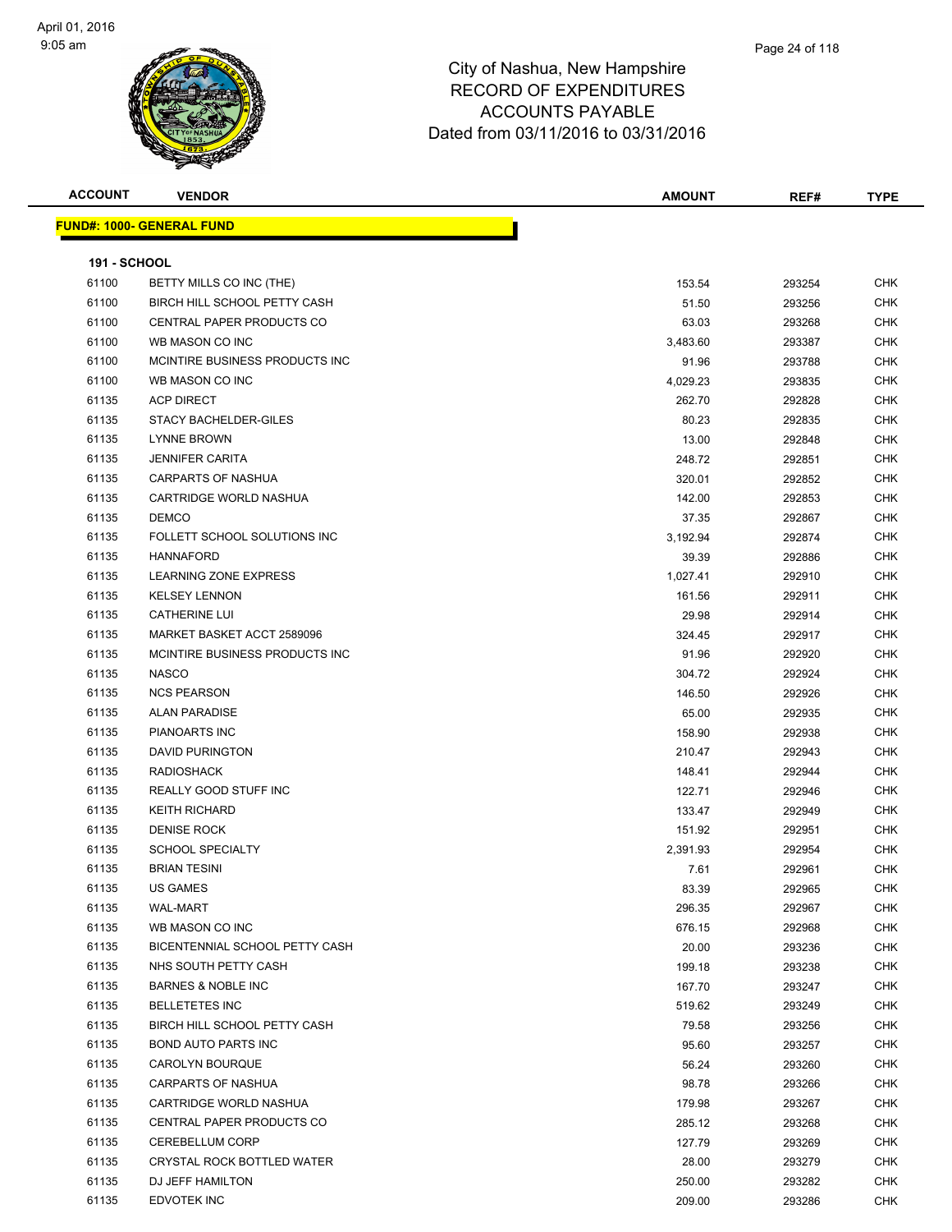| <b>ACCOUNT</b>      | <b>VENDOR</b>                    | <b>AMOUNT</b>     | REF#             | <b>TYPE</b> |
|---------------------|----------------------------------|-------------------|------------------|-------------|
|                     | <b>FUND#: 1000- GENERAL FUND</b> |                   |                  |             |
| <b>191 - SCHOOL</b> |                                  |                   |                  |             |
| 61100               | BETTY MILLS CO INC (THE)         | 153.54            | 293254           | <b>CHK</b>  |
| 61100               | BIRCH HILL SCHOOL PETTY CASH     | 51.50             | 293256           | <b>CHK</b>  |
| 61100               | CENTRAL PAPER PRODUCTS CO        | 63.03             | 293268           | CHK         |
| 61100               | WB MASON CO INC                  | 3,483.60          | 293387           | CHK         |
| 61100               | MCINTIRE BUSINESS PRODUCTS INC.  | 91.96             | 293788           | CHK         |
| 61100               | WB MASON CO INC                  | 4,029.23          | 293835           | CHK         |
| 61135               | <b>ACP DIRECT</b>                | 262.70            | 292828           | <b>CHK</b>  |
| 61135               | STACY BACHELDER-GILES            | 80.23             | 292835           | <b>CHK</b>  |
| 61135               | <b>LYNNE BROWN</b>               | 13.00             | 292848           | CHK         |
| 61135               | <b>JENNIFER CARITA</b>           | 248.72            | 292851           | <b>CHK</b>  |
| 61135               | <b>CARPARTS OF NASHUA</b>        | 320.01            | 292852           | CHK         |
| 61135               | CARTRIDGE WORLD NASHUA           | 142.00            | 292853           | CHK         |
| 61135               | <b>DEMCO</b>                     | 37.35             | 292867           | CHK         |
| 61135               | FOLLETT SCHOOL SOLUTIONS INC     | 3,192.94          | 292874           | CHK         |
| 61135               | <b>HANNAFORD</b>                 |                   |                  | CHK         |
| 61135               | <b>LEARNING ZONE EXPRESS</b>     | 39.39<br>1,027.41 | 292886           | CHK         |
| 61135               | <b>KELSEY LENNON</b>             |                   | 292910           | <b>CHK</b>  |
| 61135               | <b>CATHERINE LUI</b>             | 161.56<br>29.98   | 292911<br>292914 | CHK         |
| 61135               | MARKET BASKET ACCT 2589096       | 324.45            | 292917           | <b>CHK</b>  |
| 61135               | MCINTIRE BUSINESS PRODUCTS INC   | 91.96             | 292920           | <b>CHK</b>  |
| 61135               | <b>NASCO</b>                     | 304.72            | 292924           | <b>CHK</b>  |
| 61135               | <b>NCS PEARSON</b>               | 146.50            | 292926           | CHK         |
| 61135               | <b>ALAN PARADISE</b>             | 65.00             | 292935           | <b>CHK</b>  |
| 61135               | PIANOARTS INC                    | 158.90            | 292938           | <b>CHK</b>  |
| 61135               | <b>DAVID PURINGTON</b>           | 210.47            | 292943           | CHK         |
| 61135               | <b>RADIOSHACK</b>                | 148.41            | 292944           | CHK         |
| 61135               | REALLY GOOD STUFF INC            | 122.71            | 292946           | CHK         |
| 61135               | <b>KEITH RICHARD</b>             | 133.47            | 292949           | <b>CHK</b>  |
| 61135               | <b>DENISE ROCK</b>               | 151.92            | 292951           | CHK         |
| 61135               | <b>SCHOOL SPECIALTY</b>          | 2,391.93          | 292954           | <b>CHK</b>  |
| 61135               | <b>BRIAN TESINI</b>              | 7.61              | 292961           | CHK         |
| 61135               | <b>US GAMES</b>                  | 83.39             | 292965           | <b>CHK</b>  |
| 61135               | WAL-MART                         | 296.35            | 292967           | CHK         |
| 61135               | WB MASON CO INC                  | 676.15            | 292968           | <b>CHK</b>  |
| 61135               | BICENTENNIAL SCHOOL PETTY CASH   | 20.00             | 293236           | <b>CHK</b>  |
| 61135               | NHS SOUTH PETTY CASH             | 199.18            | 293238           | CHK         |
| 61135               | <b>BARNES &amp; NOBLE INC</b>    | 167.70            | 293247           | <b>CHK</b>  |
| 61135               | <b>BELLETETES INC</b>            | 519.62            | 293249           | CHK         |
| 61135               | BIRCH HILL SCHOOL PETTY CASH     | 79.58             | 293256           | CHK         |
| 61135               | <b>BOND AUTO PARTS INC</b>       | 95.60             | 293257           | <b>CHK</b>  |
| 61135               | CAROLYN BOURQUE                  | 56.24             | 293260           | CHK         |
| 61135               | <b>CARPARTS OF NASHUA</b>        | 98.78             | 293266           | <b>CHK</b>  |
| 61135               | CARTRIDGE WORLD NASHUA           | 179.98            | 293267           | <b>CHK</b>  |
| 61135               | CENTRAL PAPER PRODUCTS CO        | 285.12            | 293268           | CHK         |
| 61135               | <b>CEREBELLUM CORP</b>           | 127.79            | 293269           | CHK         |
| 61135               | CRYSTAL ROCK BOTTLED WATER       | 28.00             | 293279           | CHK         |
| 61135               | DJ JEFF HAMILTON                 | 250.00            | 293282           | CHK         |
| 61135               | EDVOTEK INC                      | 209.00            | 293286           | <b>CHK</b>  |
|                     |                                  |                   |                  |             |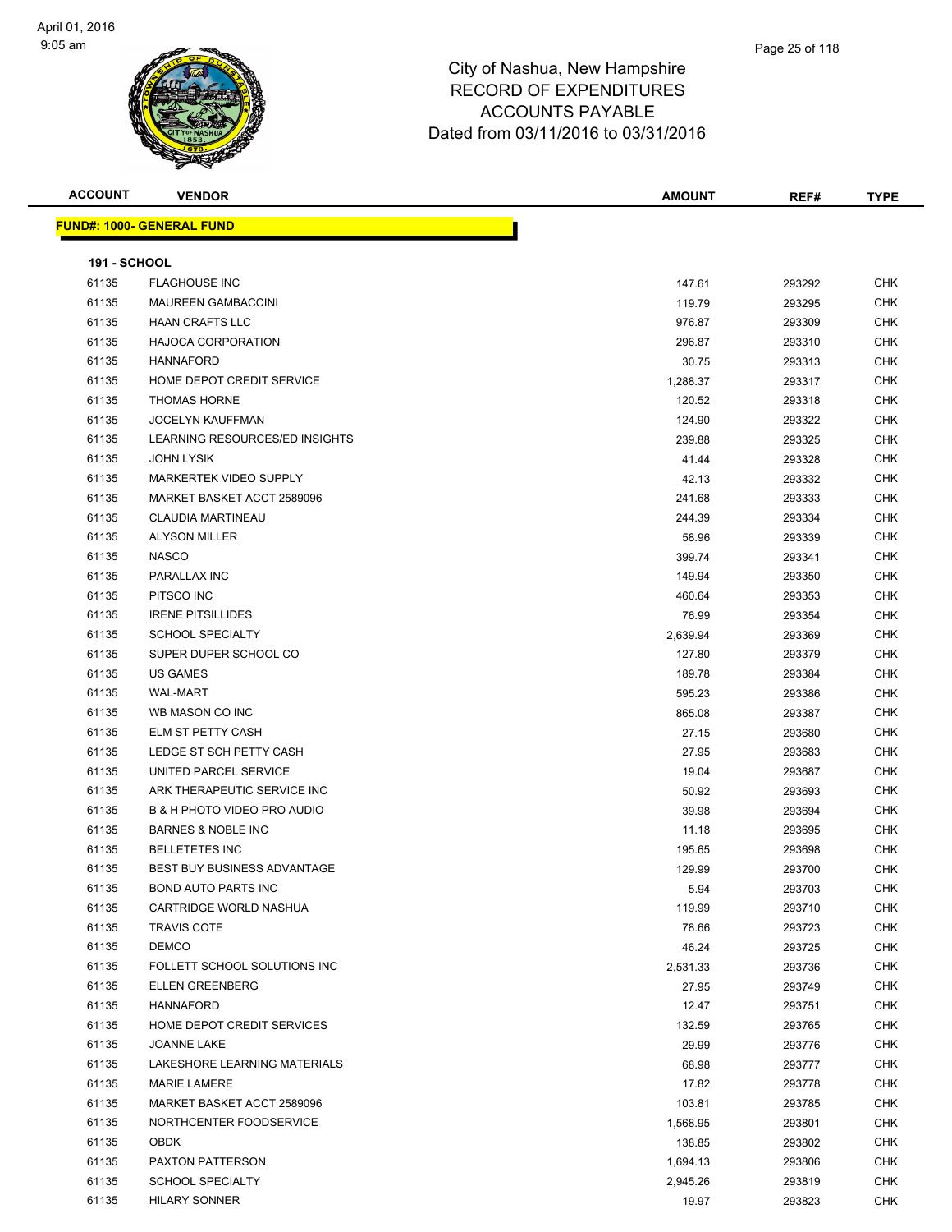

| <b>ACCOUNT</b>      | <b>VENDOR</b>                      | AMOUNT   | REF#   | <b>TYPE</b> |
|---------------------|------------------------------------|----------|--------|-------------|
|                     | <b>FUND#: 1000- GENERAL FUND</b>   |          |        |             |
|                     |                                    |          |        |             |
| <b>191 - SCHOOL</b> |                                    |          |        |             |
| 61135               | <b>FLAGHOUSE INC</b>               | 147.61   | 293292 | <b>CHK</b>  |
| 61135               | <b>MAUREEN GAMBACCINI</b>          | 119.79   | 293295 | <b>CHK</b>  |
| 61135               | <b>HAAN CRAFTS LLC</b>             | 976.87   | 293309 | <b>CHK</b>  |
| 61135               | <b>HAJOCA CORPORATION</b>          | 296.87   | 293310 | <b>CHK</b>  |
| 61135               | <b>HANNAFORD</b>                   | 30.75    | 293313 | <b>CHK</b>  |
| 61135               | HOME DEPOT CREDIT SERVICE          | 1,288.37 | 293317 | <b>CHK</b>  |
| 61135               | <b>THOMAS HORNE</b>                | 120.52   | 293318 | <b>CHK</b>  |
| 61135               | <b>JOCELYN KAUFFMAN</b>            | 124.90   | 293322 | <b>CHK</b>  |
| 61135               | LEARNING RESOURCES/ED INSIGHTS     | 239.88   | 293325 | <b>CHK</b>  |
| 61135               | <b>JOHN LYSIK</b>                  | 41.44    | 293328 | <b>CHK</b>  |
| 61135               | MARKERTEK VIDEO SUPPLY             | 42.13    | 293332 | <b>CHK</b>  |
| 61135               | MARKET BASKET ACCT 2589096         | 241.68   | 293333 | <b>CHK</b>  |
| 61135               | <b>CLAUDIA MARTINEAU</b>           | 244.39   | 293334 | <b>CHK</b>  |
| 61135               | <b>ALYSON MILLER</b>               | 58.96    | 293339 | <b>CHK</b>  |
| 61135               | <b>NASCO</b>                       | 399.74   | 293341 | <b>CHK</b>  |
| 61135               | PARALLAX INC                       | 149.94   | 293350 | CHK         |
| 61135               | PITSCO INC                         | 460.64   | 293353 | <b>CHK</b>  |
| 61135               | <b>IRENE PITSILLIDES</b>           | 76.99    | 293354 | <b>CHK</b>  |
| 61135               | <b>SCHOOL SPECIALTY</b>            | 2,639.94 | 293369 | CHK         |
| 61135               | SUPER DUPER SCHOOL CO              | 127.80   | 293379 | <b>CHK</b>  |
| 61135               | <b>US GAMES</b>                    | 189.78   | 293384 | <b>CHK</b>  |
| 61135               | <b>WAL-MART</b>                    | 595.23   | 293386 | <b>CHK</b>  |
| 61135               | WB MASON CO INC                    | 865.08   | 293387 | <b>CHK</b>  |
| 61135               | ELM ST PETTY CASH                  | 27.15    | 293680 | <b>CHK</b>  |
| 61135               | LEDGE ST SCH PETTY CASH            | 27.95    | 293683 | <b>CHK</b>  |
| 61135               | UNITED PARCEL SERVICE              | 19.04    | 293687 | <b>CHK</b>  |
| 61135               | ARK THERAPEUTIC SERVICE INC        | 50.92    | 293693 | <b>CHK</b>  |
| 61135               | B & H PHOTO VIDEO PRO AUDIO        | 39.98    | 293694 | <b>CHK</b>  |
| 61135               | <b>BARNES &amp; NOBLE INC</b>      | 11.18    | 293695 | <b>CHK</b>  |
| 61135               | <b>BELLETETES INC</b>              | 195.65   | 293698 | <b>CHK</b>  |
| 61135               | <b>BEST BUY BUSINESS ADVANTAGE</b> | 129.99   | 293700 | CHK         |
| 61135               | BOND AUTO PARTS INC                | 5.94     | 293703 | <b>CHK</b>  |
| 61135               | CARTRIDGE WORLD NASHUA             | 119.99   | 293710 | <b>CHK</b>  |
| 61135               | <b>TRAVIS COTE</b>                 | 78.66    | 293723 | <b>CHK</b>  |
| 61135               | <b>DEMCO</b>                       | 46.24    | 293725 | <b>CHK</b>  |
| 61135               | FOLLETT SCHOOL SOLUTIONS INC       | 2,531.33 | 293736 | <b>CHK</b>  |
| 61135               | <b>ELLEN GREENBERG</b>             | 27.95    | 293749 | <b>CHK</b>  |
| 61135               | <b>HANNAFORD</b>                   | 12.47    | 293751 | <b>CHK</b>  |
| 61135               | HOME DEPOT CREDIT SERVICES         | 132.59   | 293765 | <b>CHK</b>  |
| 61135               | <b>JOANNE LAKE</b>                 | 29.99    | 293776 | <b>CHK</b>  |
| 61135               | LAKESHORE LEARNING MATERIALS       | 68.98    | 293777 | <b>CHK</b>  |
| 61135               | <b>MARIE LAMERE</b>                | 17.82    | 293778 | <b>CHK</b>  |
| 61135               | MARKET BASKET ACCT 2589096         | 103.81   | 293785 | <b>CHK</b>  |
| 61135               | NORTHCENTER FOODSERVICE            | 1,568.95 | 293801 | <b>CHK</b>  |
| 61135               | <b>OBDK</b>                        | 138.85   | 293802 | <b>CHK</b>  |
| 61135               | PAXTON PATTERSON                   | 1,694.13 | 293806 | <b>CHK</b>  |
| 61135               | <b>SCHOOL SPECIALTY</b>            | 2,945.26 | 293819 | <b>CHK</b>  |
| 61135               | <b>HILARY SONNER</b>               | 19.97    | 293823 | <b>CHK</b>  |
|                     |                                    |          |        |             |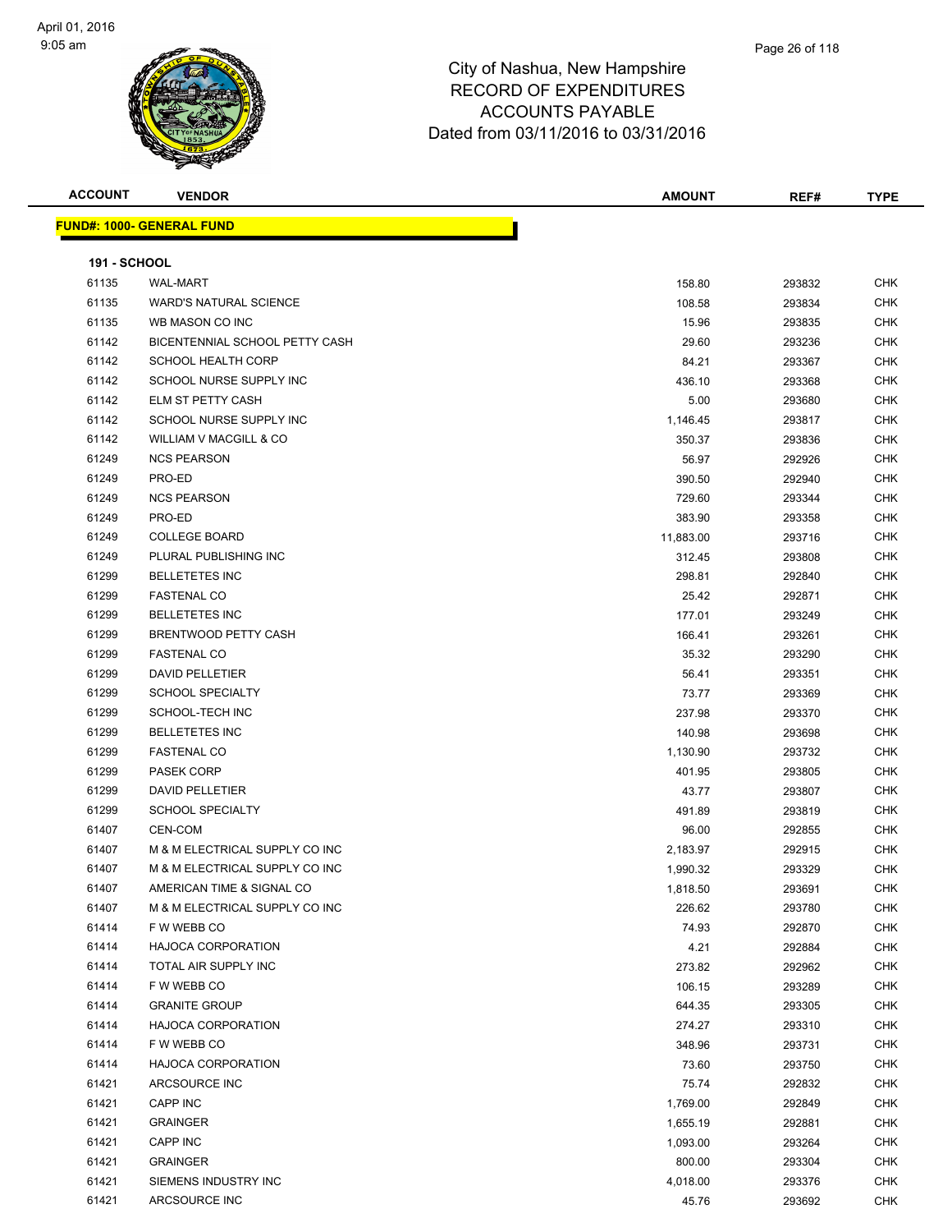

| <b>ACCOUNT</b>      | <b>VENDOR</b>                     | <b>AMOUNT</b> | REF#   | <b>TYPE</b> |
|---------------------|-----------------------------------|---------------|--------|-------------|
|                     | <u> FUND#: 1000- GENERAL FUND</u> |               |        |             |
|                     |                                   |               |        |             |
| <b>191 - SCHOOL</b> |                                   |               |        |             |
| 61135               | <b>WAL-MART</b>                   | 158.80        | 293832 | <b>CHK</b>  |
| 61135               | <b>WARD'S NATURAL SCIENCE</b>     | 108.58        | 293834 | <b>CHK</b>  |
| 61135               | WB MASON CO INC                   | 15.96         | 293835 | <b>CHK</b>  |
| 61142               | BICENTENNIAL SCHOOL PETTY CASH    | 29.60         | 293236 | <b>CHK</b>  |
| 61142               | <b>SCHOOL HEALTH CORP</b>         | 84.21         | 293367 | <b>CHK</b>  |
| 61142               | SCHOOL NURSE SUPPLY INC           | 436.10        | 293368 | <b>CHK</b>  |
| 61142               | ELM ST PETTY CASH                 | 5.00          | 293680 | <b>CHK</b>  |
| 61142               | SCHOOL NURSE SUPPLY INC           | 1,146.45      | 293817 | <b>CHK</b>  |
| 61142               | WILLIAM V MACGILL & CO            | 350.37        | 293836 | <b>CHK</b>  |
| 61249               | <b>NCS PEARSON</b>                | 56.97         | 292926 | <b>CHK</b>  |
| 61249               | PRO-ED                            | 390.50        | 292940 | <b>CHK</b>  |
| 61249               | <b>NCS PEARSON</b>                | 729.60        | 293344 | <b>CHK</b>  |
| 61249               | PRO-ED                            | 383.90        | 293358 | <b>CHK</b>  |
| 61249               | <b>COLLEGE BOARD</b>              | 11,883.00     | 293716 | <b>CHK</b>  |
| 61249               | PLURAL PUBLISHING INC             | 312.45        | 293808 | <b>CHK</b>  |
| 61299               | <b>BELLETETES INC</b>             | 298.81        | 292840 | <b>CHK</b>  |
| 61299               | <b>FASTENAL CO</b>                | 25.42         | 292871 | <b>CHK</b>  |
| 61299               | <b>BELLETETES INC</b>             | 177.01        | 293249 | <b>CHK</b>  |
| 61299               | BRENTWOOD PETTY CASH              | 166.41        | 293261 | <b>CHK</b>  |
| 61299               | <b>FASTENAL CO</b>                | 35.32         | 293290 | <b>CHK</b>  |
| 61299               | <b>DAVID PELLETIER</b>            | 56.41         | 293351 | <b>CHK</b>  |
| 61299               | <b>SCHOOL SPECIALTY</b>           | 73.77         | 293369 | <b>CHK</b>  |
| 61299               | SCHOOL-TECH INC                   | 237.98        | 293370 | <b>CHK</b>  |
| 61299               | <b>BELLETETES INC</b>             | 140.98        | 293698 | <b>CHK</b>  |
| 61299               | <b>FASTENAL CO</b>                | 1,130.90      | 293732 | <b>CHK</b>  |
| 61299               | PASEK CORP                        | 401.95        | 293805 | <b>CHK</b>  |
| 61299               | <b>DAVID PELLETIER</b>            | 43.77         | 293807 | <b>CHK</b>  |
| 61299               | <b>SCHOOL SPECIALTY</b>           | 491.89        | 293819 | <b>CHK</b>  |
| 61407               | CEN-COM                           | 96.00         | 292855 | <b>CHK</b>  |
| 61407               | M & M ELECTRICAL SUPPLY CO INC    | 2,183.97      | 292915 | <b>CHK</b>  |
| 61407               | M & M ELECTRICAL SUPPLY CO INC    | 1,990.32      | 293329 | <b>CHK</b>  |
| 61407               | AMERICAN TIME & SIGNAL CO         | 1,818.50      | 293691 | <b>CHK</b>  |
| 61407               | M & M ELECTRICAL SUPPLY CO INC    | 226.62        | 293780 | <b>CHK</b>  |
| 61414               | F W WEBB CO                       | 74.93         | 292870 | <b>CHK</b>  |
| 61414               | <b>HAJOCA CORPORATION</b>         | 4.21          | 292884 | <b>CHK</b>  |
| 61414               | TOTAL AIR SUPPLY INC              | 273.82        | 292962 | <b>CHK</b>  |
| 61414               | F W WEBB CO                       | 106.15        | 293289 | <b>CHK</b>  |
| 61414               | <b>GRANITE GROUP</b>              | 644.35        | 293305 | CHK         |
| 61414               | <b>HAJOCA CORPORATION</b>         | 274.27        | 293310 | <b>CHK</b>  |
| 61414               | F W WEBB CO                       | 348.96        | 293731 | <b>CHK</b>  |
| 61414               | <b>HAJOCA CORPORATION</b>         | 73.60         | 293750 | <b>CHK</b>  |
| 61421               | ARCSOURCE INC                     | 75.74         | 292832 | <b>CHK</b>  |
| 61421               | CAPP INC                          | 1,769.00      | 292849 | <b>CHK</b>  |
| 61421               | <b>GRAINGER</b>                   | 1,655.19      | 292881 | <b>CHK</b>  |
| 61421               | CAPP INC                          | 1,093.00      | 293264 | <b>CHK</b>  |
| 61421               | <b>GRAINGER</b>                   | 800.00        | 293304 | CHK         |
| 61421               | SIEMENS INDUSTRY INC              | 4,018.00      | 293376 | CHK         |
| 61421               | ARCSOURCE INC                     | 45.76         | 293692 | <b>CHK</b>  |
|                     |                                   |               |        |             |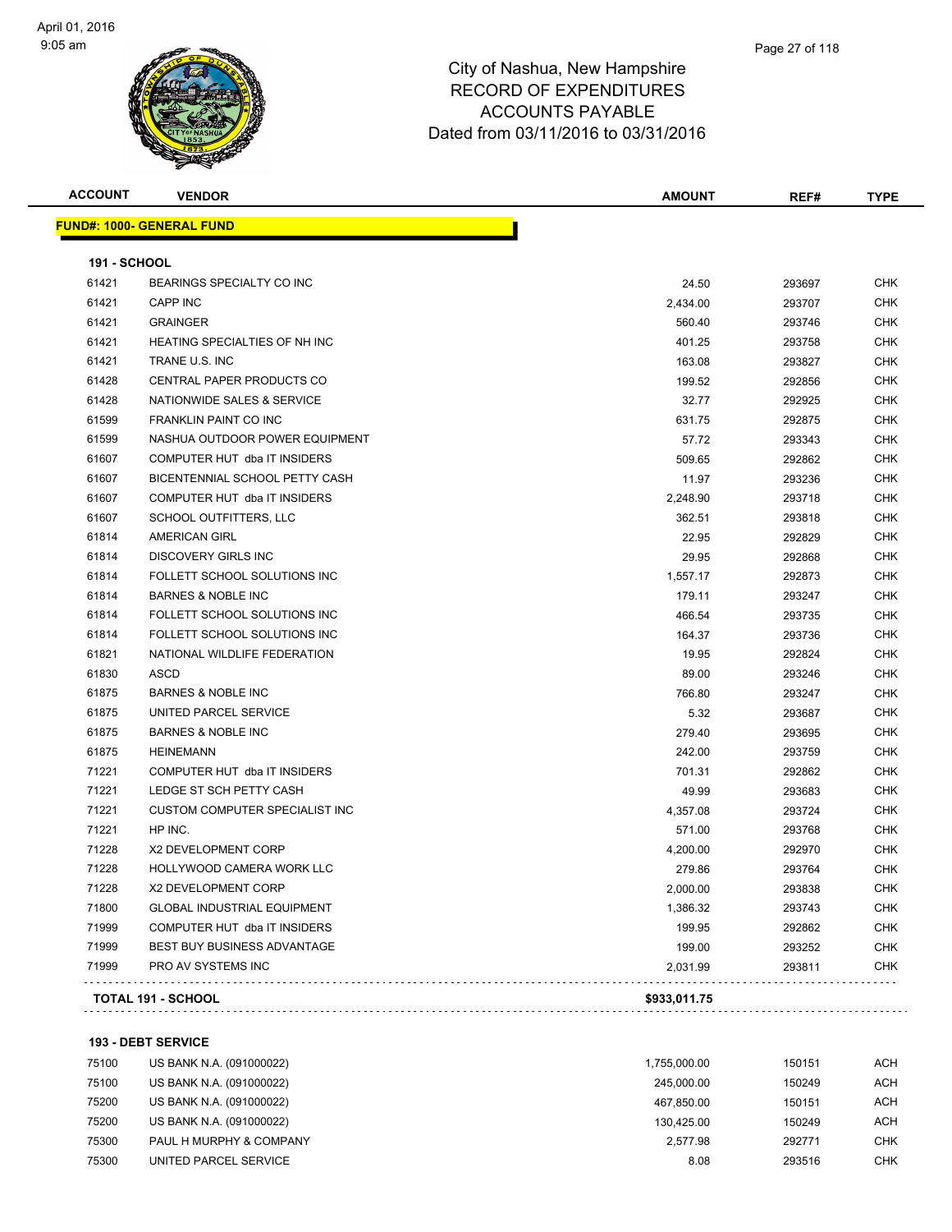

| <b>ACCOUNT</b>      | <b>VENDOR</b>                      | <b>AMOUNT</b> | REF#   | <b>TYPE</b> |
|---------------------|------------------------------------|---------------|--------|-------------|
|                     | <b>FUND#: 1000- GENERAL FUND</b>   |               |        |             |
| <b>191 - SCHOOL</b> |                                    |               |        |             |
| 61421               | BEARINGS SPECIALTY CO INC          | 24.50         | 293697 | CHK         |
| 61421               | CAPP INC                           | 2,434.00      | 293707 | CHK         |
| 61421               | <b>GRAINGER</b>                    | 560.40        | 293746 | CHK         |
| 61421               | HEATING SPECIALTIES OF NH INC      | 401.25        | 293758 | <b>CHK</b>  |
| 61421               | TRANE U.S. INC                     | 163.08        | 293827 | <b>CHK</b>  |
| 61428               | <b>CENTRAL PAPER PRODUCTS CO</b>   | 199.52        | 292856 | CHK         |
| 61428               | NATIONWIDE SALES & SERVICE         | 32.77         | 292925 | <b>CHK</b>  |
| 61599               | FRANKLIN PAINT CO INC              | 631.75        | 292875 | CHK         |
| 61599               | NASHUA OUTDOOR POWER EQUIPMENT     | 57.72         | 293343 | <b>CHK</b>  |
| 61607               | COMPUTER HUT dba IT INSIDERS       | 509.65        | 292862 | <b>CHK</b>  |
| 61607               | BICENTENNIAL SCHOOL PETTY CASH     | 11.97         | 293236 | CHK         |
| 61607               | COMPUTER HUT dba IT INSIDERS       | 2,248.90      | 293718 | CHK         |
| 61607               | SCHOOL OUTFITTERS, LLC             | 362.51        | 293818 | CHK         |
| 61814               | <b>AMERICAN GIRL</b>               | 22.95         | 292829 | <b>CHK</b>  |
| 61814               | <b>DISCOVERY GIRLS INC</b>         | 29.95         | 292868 | <b>CHK</b>  |
| 61814               | FOLLETT SCHOOL SOLUTIONS INC       | 1,557.17      | 292873 | <b>CHK</b>  |
| 61814               | <b>BARNES &amp; NOBLE INC</b>      | 179.11        | 293247 | <b>CHK</b>  |
| 61814               | FOLLETT SCHOOL SOLUTIONS INC       | 466.54        | 293735 | <b>CHK</b>  |
| 61814               | FOLLETT SCHOOL SOLUTIONS INC       | 164.37        | 293736 | <b>CHK</b>  |
| 61821               | NATIONAL WILDLIFE FEDERATION       | 19.95         | 292824 | <b>CHK</b>  |
| 61830               | ASCD                               | 89.00         | 293246 | <b>CHK</b>  |
| 61875               | <b>BARNES &amp; NOBLE INC</b>      | 766.80        | 293247 | <b>CHK</b>  |
| 61875               | UNITED PARCEL SERVICE              | 5.32          | 293687 | <b>CHK</b>  |
| 61875               | <b>BARNES &amp; NOBLE INC</b>      | 279.40        | 293695 | <b>CHK</b>  |
| 61875               | <b>HEINEMANN</b>                   | 242.00        | 293759 | <b>CHK</b>  |
| 71221               | COMPUTER HUT dba IT INSIDERS       | 701.31        | 292862 | <b>CHK</b>  |
| 71221               | LEDGE ST SCH PETTY CASH            | 49.99         | 293683 | <b>CHK</b>  |
| 71221               | CUSTOM COMPUTER SPECIALIST INC     | 4,357.08      | 293724 | CHK         |
| 71221               | HP INC.                            | 571.00        | 293768 | <b>CHK</b>  |
| 71228               | X2 DEVELOPMENT CORP                | 4,200.00      | 292970 | CHK         |
| 71228               | HOLLYWOOD CAMERA WORK LLC          | 279.86        | 293764 | <b>CHK</b>  |
| 71228               | X2 DEVELOPMENT CORP                | 2,000.00      | 293838 | <b>CHK</b>  |
| 71800               | <b>GLOBAL INDUSTRIAL EQUIPMENT</b> | 1,386.32      | 293743 | <b>CHK</b>  |
| 71999               | COMPUTER HUT dba IT INSIDERS       | 199.95        | 292862 | <b>CHK</b>  |
| 71999               | BEST BUY BUSINESS ADVANTAGE        | 199.00        | 293252 | CHK         |
| 71999               | PRO AV SYSTEMS INC                 | 2,031.99      | 293811 | <b>CHK</b>  |
|                     | TOTAL 191 - SCHOOL                 | \$933,011.75  |        |             |

**193 - DEBT SERVICE**

| 75100 | US BANK N.A. (091000022) | 1.755.000.00 | 150151 | ACH        |
|-------|--------------------------|--------------|--------|------------|
| 75100 | US BANK N.A. (091000022) | 245.000.00   | 150249 | <b>ACH</b> |
| 75200 | US BANK N.A. (091000022) | 467.850.00   | 150151 | <b>ACH</b> |
| 75200 | US BANK N.A. (091000022) | 130.425.00   | 150249 | <b>ACH</b> |
| 75300 | PAUL H MURPHY & COMPANY  | 2.577.98     | 292771 | <b>CHK</b> |
| 75300 | UNITED PARCEL SERVICE    | 8.08         | 293516 | <b>CHK</b> |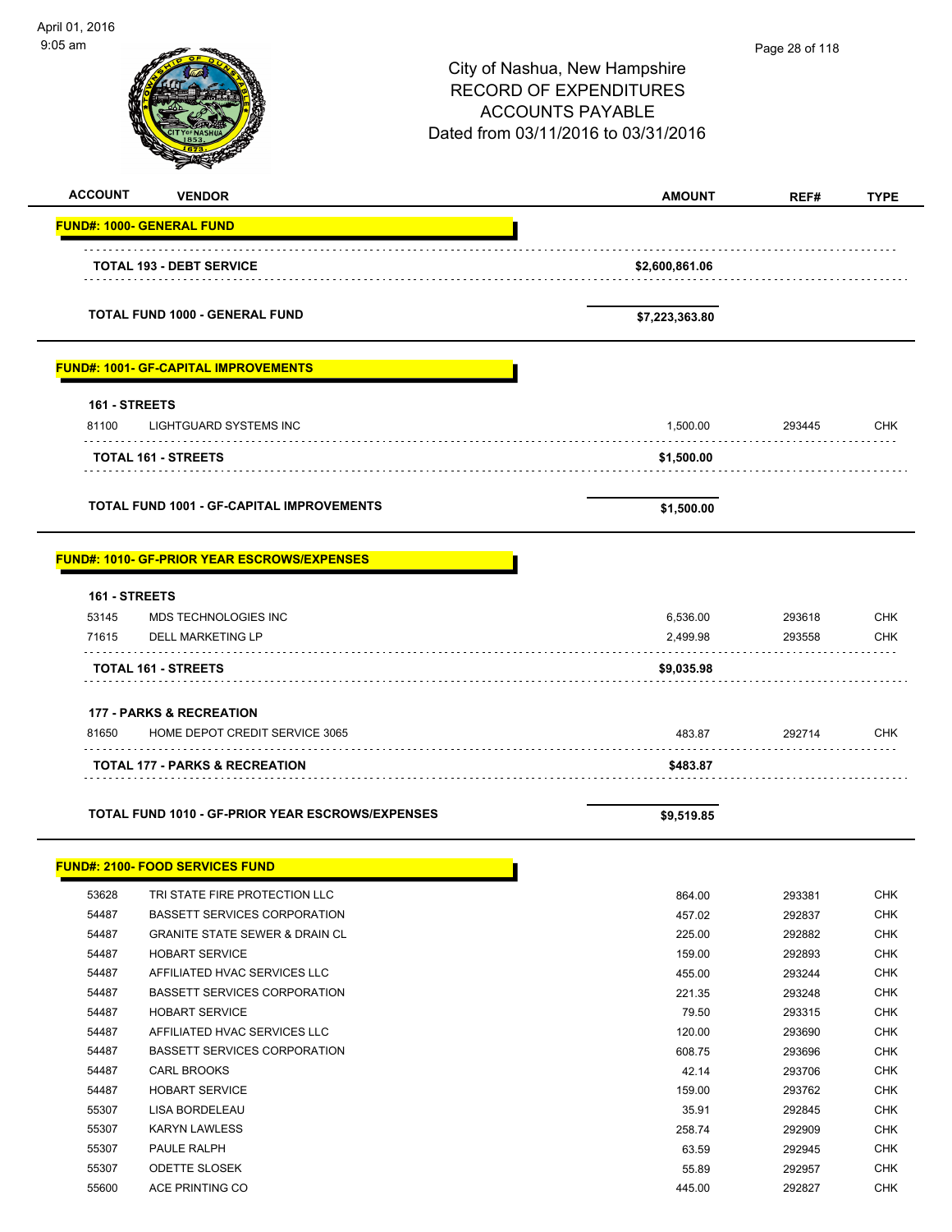| April 01, 2016<br>$9:05$ am |                                                         | City of Nashua, New Hampshire<br><b>RECORD OF EXPENDITURES</b><br><b>ACCOUNTS PAYABLE</b><br>Dated from 03/11/2016 to 03/31/2016 | Page 28 of 118   |                          |
|-----------------------------|---------------------------------------------------------|----------------------------------------------------------------------------------------------------------------------------------|------------------|--------------------------|
| <b>ACCOUNT</b>              | <b>VENDOR</b>                                           | <b>AMOUNT</b>                                                                                                                    | REF#             | <b>TYPE</b>              |
|                             | <b>FUND#: 1000- GENERAL FUND</b>                        |                                                                                                                                  |                  |                          |
|                             | <b>TOTAL 193 - DEBT SERVICE</b>                         | \$2,600,861.06                                                                                                                   |                  |                          |
|                             | <b>TOTAL FUND 1000 - GENERAL FUND</b>                   | \$7,223,363.80                                                                                                                   |                  |                          |
|                             | <b>FUND#: 1001- GF-CAPITAL IMPROVEMENTS</b>             |                                                                                                                                  |                  |                          |
| 161 - STREETS<br>81100      | <b>LIGHTGUARD SYSTEMS INC</b>                           | 1,500.00                                                                                                                         | 293445           | <b>CHK</b>               |
|                             | <b>TOTAL 161 - STREETS</b>                              | \$1,500.00                                                                                                                       |                  |                          |
|                             | <b>TOTAL FUND 1001 - GF-CAPITAL IMPROVEMENTS</b>        | \$1,500.00                                                                                                                       |                  |                          |
|                             | <b>FUND#: 1010- GF-PRIOR YEAR ESCROWS/EXPENSES</b>      |                                                                                                                                  |                  |                          |
| 161 - STREETS               |                                                         |                                                                                                                                  |                  |                          |
| 53145<br>71615              | MDS TECHNOLOGIES INC<br><b>DELL MARKETING LP</b>        | 6,536.00<br>2,499.98                                                                                                             | 293618<br>293558 | <b>CHK</b><br><b>CHK</b> |
|                             | TOTAL 161 - STREETS                                     | \$9,035.98                                                                                                                       |                  |                          |
|                             | <b>177 - PARKS &amp; RECREATION</b>                     |                                                                                                                                  |                  |                          |
| 81650                       | HOME DEPOT CREDIT SERVICE 3065                          | 483.87                                                                                                                           | 292714           | CHK                      |
|                             | <b>TOTAL 177 - PARKS &amp; RECREATION</b>               | \$483.87                                                                                                                         |                  |                          |
|                             | <b>TOTAL FUND 1010 - GF-PRIOR YEAR ESCROWS/EXPENSES</b> | \$9,519.85                                                                                                                       |                  |                          |
|                             | <b>FUND#: 2100- FOOD SERVICES FUND</b>                  |                                                                                                                                  |                  |                          |
| 53628                       | TRI STATE FIRE PROTECTION LLC                           | 864.00                                                                                                                           | 293381           | <b>CHK</b>               |
| 54487                       | <b>BASSETT SERVICES CORPORATION</b>                     | 457.02                                                                                                                           | 292837           | CHK                      |
| 54487                       | <b>GRANITE STATE SEWER &amp; DRAIN CL</b>               | 225.00                                                                                                                           | 292882           | <b>CHK</b>               |
| 54487<br>54487              | <b>HOBART SERVICE</b><br>AFFILIATED HVAC SERVICES LLC   | 159.00<br>455.00                                                                                                                 | 292893<br>293244 | <b>CHK</b><br><b>CHK</b> |
| 54487                       | <b>BASSETT SERVICES CORPORATION</b>                     | 221.35                                                                                                                           | 293248           | <b>CHK</b>               |
| 54487                       | <b>HOBART SERVICE</b>                                   | 79.50                                                                                                                            | 293315           | <b>CHK</b>               |
| 54487                       | AFFILIATED HVAC SERVICES LLC                            | 120.00                                                                                                                           | 293690           | <b>CHK</b>               |
| 54487                       | <b>BASSETT SERVICES CORPORATION</b>                     | 608.75                                                                                                                           | 293696           | <b>CHK</b>               |
| 54487                       | <b>CARL BROOKS</b>                                      | 42.14                                                                                                                            | 293706           | <b>CHK</b>               |
| 54487                       | <b>HOBART SERVICE</b>                                   | 159.00                                                                                                                           | 293762           | <b>CHK</b>               |
| 55307                       | LISA BORDELEAU                                          | 35.91                                                                                                                            | 292845           | <b>CHK</b>               |
| 55307                       | <b>KARYN LAWLESS</b>                                    | 258.74                                                                                                                           | 292909           | <b>CHK</b>               |
| 55307                       | PAULE RALPH                                             | 63.59                                                                                                                            | 292945           | <b>CHK</b>               |
| 55307                       | <b>ODETTE SLOSEK</b>                                    | 55.89                                                                                                                            | 292957           | <b>CHK</b>               |
| 55600                       | ACE PRINTING CO                                         | 445.00                                                                                                                           | 292827           | <b>CHK</b>               |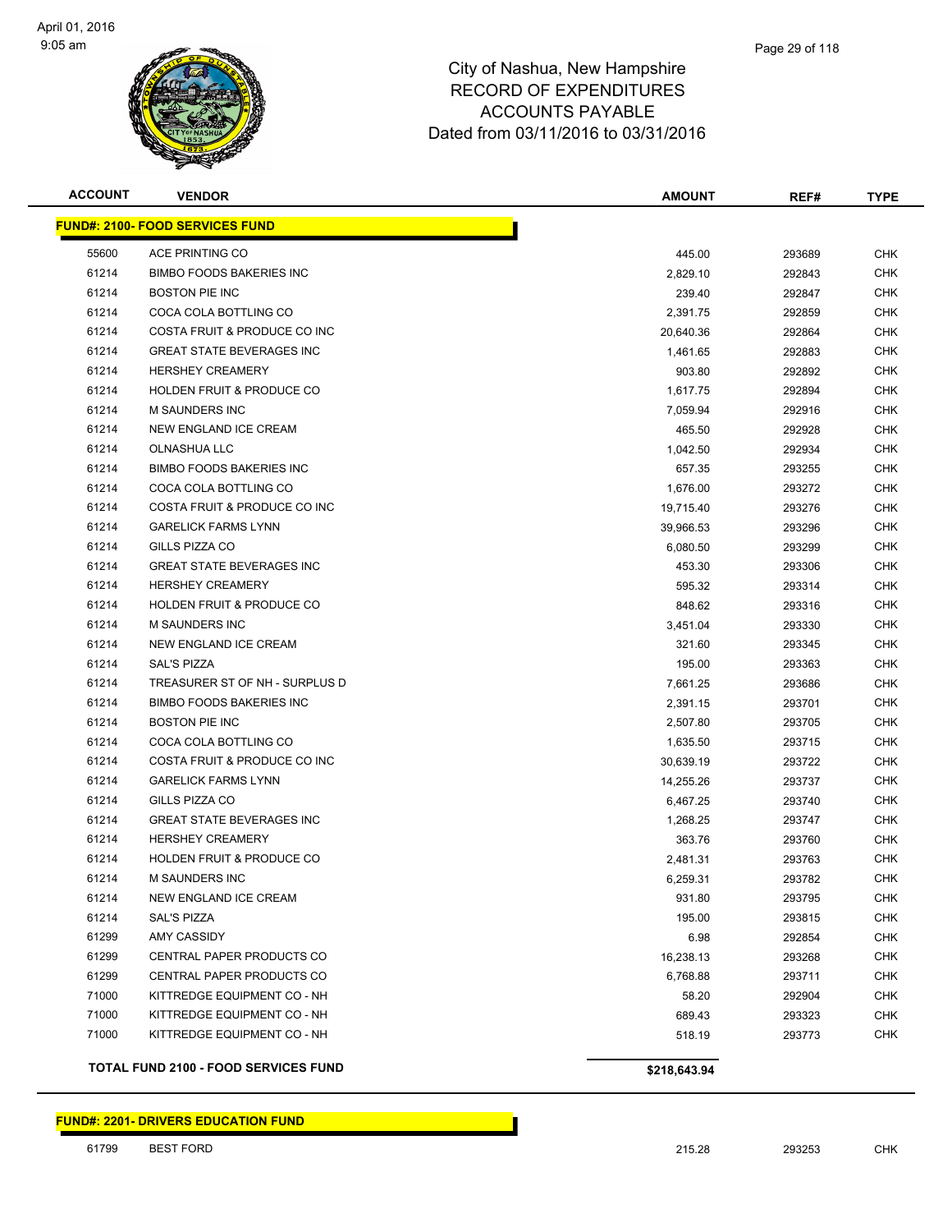

| <b>ACCOUNT</b> | <b>VENDOR</b>                               | <b>AMOUNT</b> | REF#   | <b>TYPE</b> |
|----------------|---------------------------------------------|---------------|--------|-------------|
|                | <b>FUND#: 2100- FOOD SERVICES FUND</b>      |               |        |             |
| 55600          | ACE PRINTING CO                             | 445.00        | 293689 | <b>CHK</b>  |
| 61214          | <b>BIMBO FOODS BAKERIES INC</b>             | 2,829.10      | 292843 | <b>CHK</b>  |
| 61214          | <b>BOSTON PIE INC</b>                       | 239.40        | 292847 | <b>CHK</b>  |
| 61214          | COCA COLA BOTTLING CO                       | 2,391.75      | 292859 | <b>CHK</b>  |
| 61214          | COSTA FRUIT & PRODUCE CO INC                | 20,640.36     | 292864 | <b>CHK</b>  |
| 61214          | <b>GREAT STATE BEVERAGES INC</b>            | 1,461.65      | 292883 | <b>CHK</b>  |
| 61214          | <b>HERSHEY CREAMERY</b>                     | 903.80        | 292892 | <b>CHK</b>  |
| 61214          | <b>HOLDEN FRUIT &amp; PRODUCE CO</b>        | 1,617.75      | 292894 | <b>CHK</b>  |
| 61214          | <b>M SAUNDERS INC</b>                       | 7,059.94      | 292916 | <b>CHK</b>  |
| 61214          | NEW ENGLAND ICE CREAM                       | 465.50        | 292928 | <b>CHK</b>  |
| 61214          | OLNASHUA LLC                                | 1,042.50      | 292934 | <b>CHK</b>  |
| 61214          | <b>BIMBO FOODS BAKERIES INC</b>             | 657.35        | 293255 | <b>CHK</b>  |
| 61214          | COCA COLA BOTTLING CO                       | 1,676.00      | 293272 | <b>CHK</b>  |
| 61214          | COSTA FRUIT & PRODUCE CO INC                | 19,715.40     | 293276 | <b>CHK</b>  |
| 61214          | <b>GARELICK FARMS LYNN</b>                  | 39,966.53     | 293296 | <b>CHK</b>  |
| 61214          | GILLS PIZZA CO                              | 6,080.50      | 293299 | <b>CHK</b>  |
| 61214          | <b>GREAT STATE BEVERAGES INC</b>            | 453.30        | 293306 | <b>CHK</b>  |
| 61214          | <b>HERSHEY CREAMERY</b>                     | 595.32        | 293314 | <b>CHK</b>  |
| 61214          | <b>HOLDEN FRUIT &amp; PRODUCE CO</b>        | 848.62        | 293316 | <b>CHK</b>  |
| 61214          | <b>M SAUNDERS INC</b>                       | 3,451.04      | 293330 | <b>CHK</b>  |
| 61214          | NEW ENGLAND ICE CREAM                       | 321.60        | 293345 | <b>CHK</b>  |
| 61214          | <b>SAL'S PIZZA</b>                          | 195.00        | 293363 | <b>CHK</b>  |
| 61214          | TREASURER ST OF NH - SURPLUS D              | 7,661.25      | 293686 | <b>CHK</b>  |
| 61214          | <b>BIMBO FOODS BAKERIES INC</b>             | 2,391.15      | 293701 | <b>CHK</b>  |
| 61214          | <b>BOSTON PIE INC</b>                       | 2,507.80      | 293705 | <b>CHK</b>  |
| 61214          | COCA COLA BOTTLING CO                       | 1,635.50      | 293715 | <b>CHK</b>  |
| 61214          | COSTA FRUIT & PRODUCE CO INC                | 30,639.19     | 293722 | <b>CHK</b>  |
| 61214          | <b>GARELICK FARMS LYNN</b>                  | 14,255.26     | 293737 | <b>CHK</b>  |
| 61214          | GILLS PIZZA CO                              | 6,467.25      | 293740 | <b>CHK</b>  |
| 61214          | <b>GREAT STATE BEVERAGES INC</b>            | 1,268.25      | 293747 | <b>CHK</b>  |
| 61214          | <b>HERSHEY CREAMERY</b>                     | 363.76        | 293760 | <b>CHK</b>  |
| 61214          | <b>HOLDEN FRUIT &amp; PRODUCE CO</b>        | 2,481.31      | 293763 | <b>CHK</b>  |
| 61214          | <b>M SAUNDERS INC</b>                       | 6,259.31      | 293782 | <b>CHK</b>  |
| 61214          | NEW ENGLAND ICE CREAM                       | 931.80        | 293795 | <b>CHK</b>  |
| 61214          | <b>SAL'S PIZZA</b>                          | 195.00        | 293815 | <b>CHK</b>  |
| 61299          | AMY CASSIDY                                 | 6.98          | 292854 | <b>CHK</b>  |
| 61299          | CENTRAL PAPER PRODUCTS CO                   | 16,238.13     | 293268 | <b>CHK</b>  |
| 61299          | CENTRAL PAPER PRODUCTS CO                   | 6,768.88      | 293711 | <b>CHK</b>  |
| 71000          | KITTREDGE EQUIPMENT CO - NH                 | 58.20         | 292904 | <b>CHK</b>  |
| 71000          | KITTREDGE EQUIPMENT CO - NH                 | 689.43        | 293323 | <b>CHK</b>  |
| 71000          | KITTREDGE EQUIPMENT CO - NH                 | 518.19        | 293773 | <b>CHK</b>  |
|                | <b>TOTAL FUND 2100 - FOOD SERVICES FUND</b> | \$218,643.94  |        |             |

**FUND#: 2201- DRIVERS EDUCATION FUND**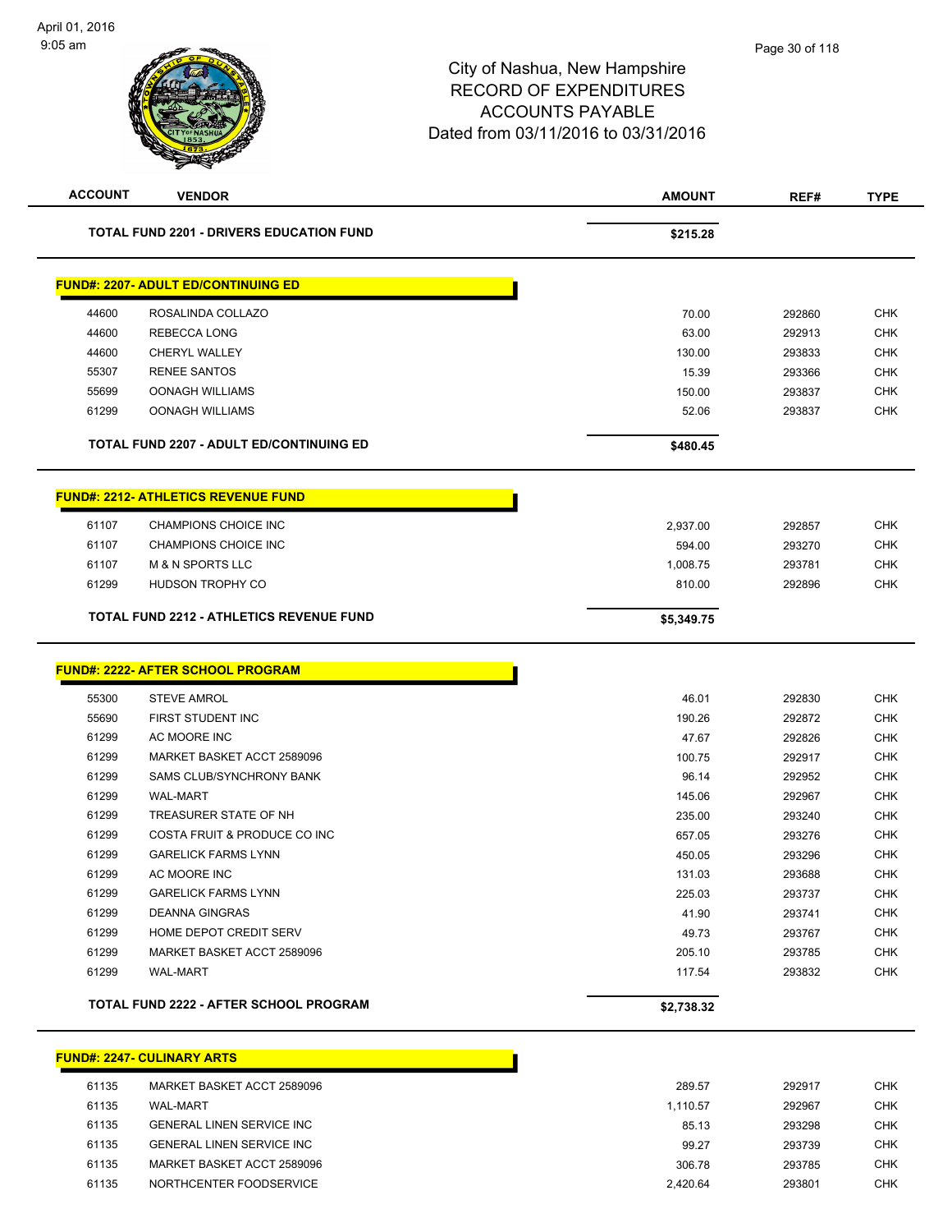| <b>ACCOUNT</b> | <b>VENDOR</b>                                   | <b>AMOUNT</b>      | REF#             | <b>TYPE</b> |
|----------------|-------------------------------------------------|--------------------|------------------|-------------|
|                | <b>TOTAL FUND 2201 - DRIVERS EDUCATION FUND</b> | \$215.28           |                  |             |
|                | <b>FUND#: 2207- ADULT ED/CONTINUING ED</b>      |                    |                  |             |
| 44600          | ROSALINDA COLLAZO                               | 70.00              | 292860           | <b>CHK</b>  |
| 44600          | REBECCA LONG                                    | 63.00              | 292913           | <b>CHK</b>  |
| 44600          | <b>CHERYL WALLEY</b>                            | 130.00             | 293833           | <b>CHK</b>  |
| 55307          | <b>RENEE SANTOS</b>                             | 15.39              | 293366           | <b>CHK</b>  |
| 55699          | <b>OONAGH WILLIAMS</b>                          | 150.00             | 293837           | <b>CHK</b>  |
| 61299          | <b>OONAGH WILLIAMS</b>                          | 52.06              | 293837           | <b>CHK</b>  |
|                | <b>TOTAL FUND 2207 - ADULT ED/CONTINUING ED</b> | \$480.45           |                  |             |
|                | <u> FUND#: 2212- ATHLETICS REVENUE FUND</u>     |                    |                  |             |
|                | <b>CHAMPIONS CHOICE INC</b>                     |                    |                  | <b>CHK</b>  |
| 61107<br>61107 | <b>CHAMPIONS CHOICE INC</b>                     | 2,937.00           | 292857<br>293270 | <b>CHK</b>  |
| 61107          | <b>M &amp; N SPORTS LLC</b>                     | 594.00<br>1,008.75 | 293781           | <b>CHK</b>  |
| 61299          | HUDSON TROPHY CO                                | 810.00             | 292896           | <b>CHK</b>  |
|                | <b>TOTAL FUND 2212 - ATHLETICS REVENUE FUND</b> | \$5,349.75         |                  |             |
|                |                                                 |                    |                  |             |
|                | <u> FUND#: 2222- AFTER SCHOOL PROGRAM</u>       |                    |                  |             |
| 55300          | <b>STEVE AMROL</b>                              | 46.01              | 292830           | <b>CHK</b>  |
| 55690          | <b>FIRST STUDENT INC</b>                        | 190.26             | 292872           | <b>CHK</b>  |
| 61299          | AC MOORE INC                                    | 47.67              | 292826           | <b>CHK</b>  |
| 61299          | MARKET BASKET ACCT 2589096                      | 100.75             | 292917           | <b>CHK</b>  |
| 61299          | SAMS CLUB/SYNCHRONY BANK                        | 96.14              | 292952           | <b>CHK</b>  |
| 61299          | <b>WAL-MART</b>                                 | 145.06             | 292967           | <b>CHK</b>  |
| 61299          | TREASURER STATE OF NH                           | 235.00             | 293240           | <b>CHK</b>  |
| 61299          | COSTA FRUIT & PRODUCE CO INC                    | 657.05             | 293276           | <b>CHK</b>  |
| 61299          | <b>GARELICK FARMS LYNN</b>                      | 450.05             | 293296           | <b>CHK</b>  |
| 61299          | AC MOORE INC                                    | 131.03             | 293688           | <b>CHK</b>  |
| 61299          | <b>GARELICK FARMS LYNN</b>                      | 225.03             | 293737           | CHK         |
| 61299          | <b>DEANNA GINGRAS</b>                           | 41.90              | 293741           | <b>CHK</b>  |
| 61299          | HOME DEPOT CREDIT SERV                          | 49.73              | 293767           | <b>CHK</b>  |
| 61299          | MARKET BASKET ACCT 2589096                      | 205.10             | 293785           | <b>CHK</b>  |
| 61299          | <b>WAL-MART</b>                                 | 117.54             | 293832           | <b>CHK</b>  |
|                | TOTAL FUND 2222 - AFTER SCHOOL PROGRAM          | \$2,738.32         |                  |             |
|                | <u> FUND#: 2247- CULINARY ARTS</u>              |                    |                  |             |
| 61135          | MARKET BASKET ACCT 2589096                      | 289.57             | 292917           | <b>CHK</b>  |
| 61135          | <b>WAL-MART</b>                                 | 1,110.57           | 292967           | <b>CHK</b>  |
| 61135          | <b>GENERAL LINEN SERVICE INC</b>                | 85.13              | 293298           | <b>CHK</b>  |
| 61135          | <b>GENERAL LINEN SERVICE INC</b>                | 99.27              | 293739           | <b>CHK</b>  |
| 61135          | MARKET BASKET ACCT 2589096                      | 306.78             | 293785           | <b>CHK</b>  |
| 61135          | NORTHCENTER FOODSERVICE                         | 2,420.64           | 293801           | <b>CHK</b>  |
|                |                                                 |                    |                  |             |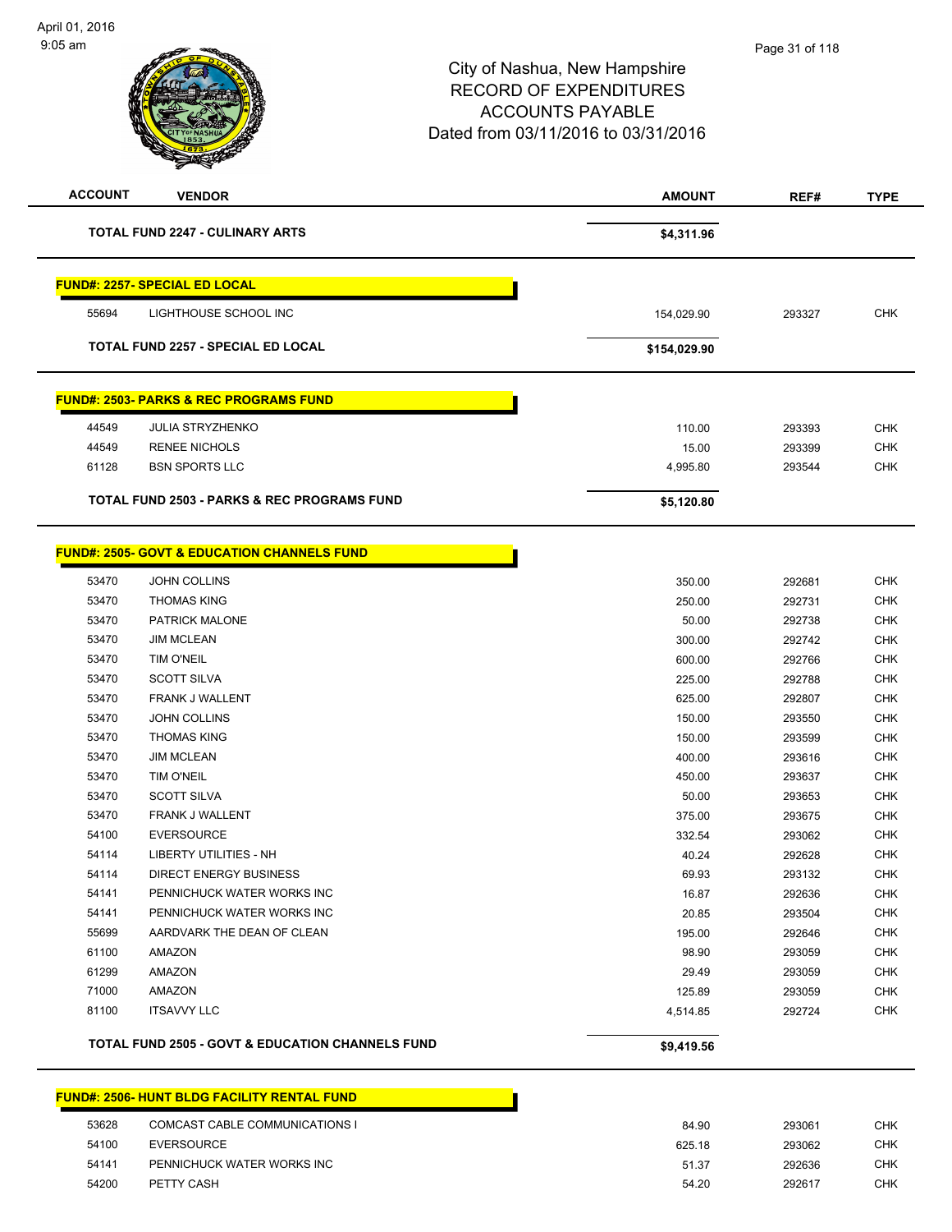| <b>ACCOUNT</b> | <b>VENDOR</b>                                               | <b>AMOUNT</b> | REF#   | <b>TYPE</b> |
|----------------|-------------------------------------------------------------|---------------|--------|-------------|
|                | TOTAL FUND 2247 - CULINARY ARTS                             | \$4,311.96    |        |             |
|                | <b>FUND#: 2257- SPECIAL ED LOCAL</b>                        |               |        |             |
| 55694          | LIGHTHOUSE SCHOOL INC                                       | 154,029.90    | 293327 | <b>CHK</b>  |
|                | <b>TOTAL FUND 2257 - SPECIAL ED LOCAL</b>                   | \$154,029.90  |        |             |
|                | <b>FUND#: 2503- PARKS &amp; REC PROGRAMS FUND</b>           |               |        |             |
| 44549          | <b>JULIA STRYZHENKO</b>                                     | 110.00        | 293393 | <b>CHK</b>  |
| 44549          | <b>RENEE NICHOLS</b>                                        | 15.00         | 293399 | <b>CHK</b>  |
| 61128          | <b>BSN SPORTS LLC</b>                                       | 4,995.80      | 293544 | <b>CHK</b>  |
|                | TOTAL FUND 2503 - PARKS & REC PROGRAMS FUND                 | \$5,120.80    |        |             |
|                |                                                             |               |        |             |
|                | <b>FUND#: 2505- GOVT &amp; EDUCATION CHANNELS FUND</b>      |               |        |             |
| 53470          | <b>JOHN COLLINS</b>                                         | 350.00        | 292681 | <b>CHK</b>  |
| 53470          | <b>THOMAS KING</b>                                          | 250.00        | 292731 | <b>CHK</b>  |
| 53470          | <b>PATRICK MALONE</b>                                       | 50.00         | 292738 | <b>CHK</b>  |
| 53470          | <b>JIM MCLEAN</b>                                           | 300.00        | 292742 | <b>CHK</b>  |
| 53470          | TIM O'NEIL                                                  | 600.00        | 292766 | <b>CHK</b>  |
| 53470          | <b>SCOTT SILVA</b>                                          | 225.00        | 292788 | <b>CHK</b>  |
| 53470          | <b>FRANK J WALLENT</b>                                      | 625.00        | 292807 | <b>CHK</b>  |
| 53470          | <b>JOHN COLLINS</b>                                         | 150.00        | 293550 | <b>CHK</b>  |
| 53470          | <b>THOMAS KING</b>                                          | 150.00        | 293599 | <b>CHK</b>  |
| 53470          | <b>JIM MCLEAN</b>                                           | 400.00        | 293616 | <b>CHK</b>  |
| 53470          | TIM O'NEIL                                                  | 450.00        | 293637 | <b>CHK</b>  |
| 53470          | <b>SCOTT SILVA</b>                                          | 50.00         | 293653 | <b>CHK</b>  |
| 53470          | FRANK J WALLENT                                             | 375.00        | 293675 | <b>CHK</b>  |
| 54100          | <b>EVERSOURCE</b>                                           | 332.54        | 293062 | <b>CHK</b>  |
| 54114          | <b>LIBERTY UTILITIES - NH</b>                               | 40.24         | 292628 | CHK         |
| 54114          | DIRECT ENERGY BUSINESS                                      | 69.93         | 293132 | <b>CHK</b>  |
| 54141          | PENNICHUCK WATER WORKS INC                                  | 16.87         | 292636 | CHK         |
| 54141          | PENNICHUCK WATER WORKS INC                                  | 20.85         | 293504 | CHK         |
| 55699          | AARDVARK THE DEAN OF CLEAN                                  | 195.00        | 292646 | CHK         |
| 61100          | AMAZON                                                      | 98.90         | 293059 | CHK         |
| 61299          | AMAZON                                                      | 29.49         | 293059 | <b>CHK</b>  |
| 71000          | AMAZON                                                      | 125.89        | 293059 | <b>CHK</b>  |
| 81100          | <b>ITSAVVY LLC</b>                                          | 4,514.85      | 292724 | <b>CHK</b>  |
|                | <b>TOTAL FUND 2505 - GOVT &amp; EDUCATION CHANNELS FUND</b> | \$9,419.56    |        |             |
|                |                                                             |               |        |             |

#### **FUND#: 2506- HUNT BLDG FACILITY RENTAL FUND**

| 53628 | COMCAST CABLE COMMUNICATIONS I | 84.90  | 293061 | CHK |
|-------|--------------------------------|--------|--------|-----|
| 54100 | EVERSOURCE                     | 625.18 | 293062 | CHK |
| 54141 | PENNICHUCK WATER WORKS INC     | 51.37  | 292636 | CHK |
| 54200 | PETTY CASH                     | 54.20  | 292617 | CHK |
|       |                                |        |        |     |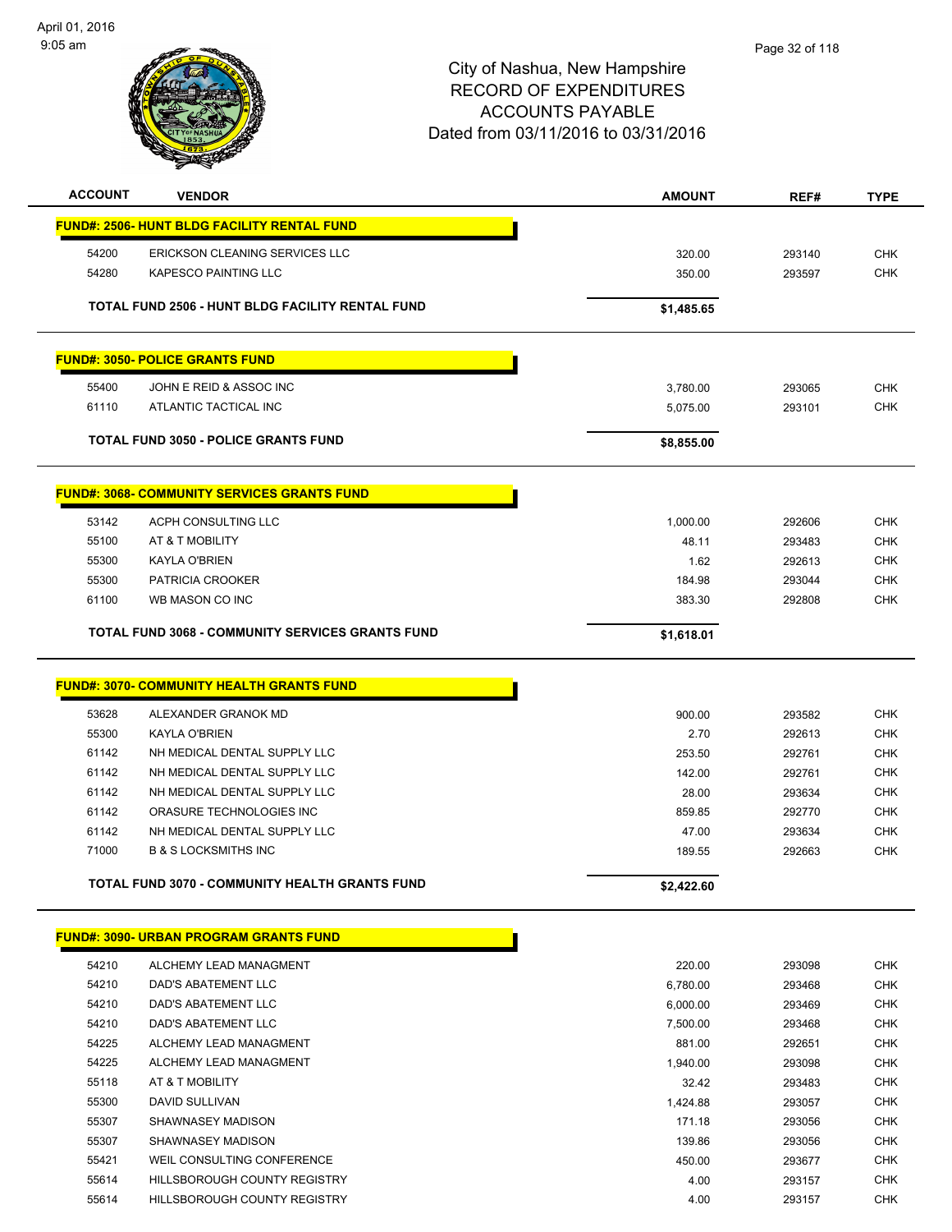

| <b>ACCOUNT</b> | <b>VENDOR</b>                                           | <b>AMOUNT</b> | REF#   | <b>TYPE</b> |
|----------------|---------------------------------------------------------|---------------|--------|-------------|
|                | <b>FUND#: 2506- HUNT BLDG FACILITY RENTAL FUND</b>      |               |        |             |
| 54200          | ERICKSON CLEANING SERVICES LLC                          | 320.00        | 293140 | <b>CHK</b>  |
| 54280          | <b>KAPESCO PAINTING LLC</b>                             | 350.00        | 293597 | CHK         |
|                |                                                         |               |        |             |
|                | TOTAL FUND 2506 - HUNT BLDG FACILITY RENTAL FUND        | \$1,485.65    |        |             |
|                | <b>FUND#: 3050- POLICE GRANTS FUND</b>                  |               |        |             |
| 55400          | JOHN E REID & ASSOC INC                                 | 3,780.00      | 293065 | <b>CHK</b>  |
| 61110          | ATLANTIC TACTICAL INC                                   | 5,075.00      | 293101 | <b>CHK</b>  |
|                |                                                         |               |        |             |
|                | <b>TOTAL FUND 3050 - POLICE GRANTS FUND</b>             | \$8,855.00    |        |             |
|                | <b>FUND#: 3068- COMMUNITY SERVICES GRANTS FUND</b>      |               |        |             |
| 53142          | ACPH CONSULTING LLC                                     | 1,000.00      | 292606 | <b>CHK</b>  |
| 55100          | AT & T MOBILITY                                         | 48.11         | 293483 | <b>CHK</b>  |
| 55300          | KAYLA O'BRIEN                                           | 1.62          | 292613 | <b>CHK</b>  |
| 55300          | PATRICIA CROOKER                                        | 184.98        | 293044 | <b>CHK</b>  |
| 61100          | WB MASON CO INC                                         | 383.30        | 292808 | <b>CHK</b>  |
|                |                                                         |               |        |             |
|                | <b>TOTAL FUND 3068 - COMMUNITY SERVICES GRANTS FUND</b> | \$1,618.01    |        |             |
|                | <b>FUND#: 3070- COMMUNITY HEALTH GRANTS FUND</b>        |               |        |             |
| 53628          | ALEXANDER GRANOK MD                                     | 900.00        | 293582 | <b>CHK</b>  |
| 55300          | KAYLA O'BRIEN                                           | 2.70          | 292613 | <b>CHK</b>  |
| 61142          | NH MEDICAL DENTAL SUPPLY LLC                            | 253.50        | 292761 | <b>CHK</b>  |
| 61142          | NH MEDICAL DENTAL SUPPLY LLC                            | 142.00        | 292761 | CHK         |
| 61142          | NH MEDICAL DENTAL SUPPLY LLC                            | 28.00         | 293634 | <b>CHK</b>  |
| 61142          | ORASURE TECHNOLOGIES INC                                | 859.85        | 292770 | <b>CHK</b>  |
| 61142          | NH MEDICAL DENTAL SUPPLY LLC                            | 47.00         | 293634 | <b>CHK</b>  |
| 71000          | <b>B &amp; S LOCKSMITHS INC</b>                         | 189.55        | 292663 | <b>CHK</b>  |
|                | TOTAL FUND 3070 - COMMUNITY HEALTH GRANTS FUND          | \$2,422.60    |        |             |
|                | <b>FUND#: 3090- URBAN PROGRAM GRANTS FUND</b>           |               |        |             |
| 54210          | ALCHEMY LEAD MANAGMENT                                  | 220.00        | 293098 | <b>CHK</b>  |
| 54210          | DAD'S ABATEMENT LLC                                     | 6,780.00      | 293468 | <b>CHK</b>  |
| 54210          | DAD'S ABATEMENT LLC                                     | 6,000.00      | 293469 | <b>CHK</b>  |
| 54210          | <b>DAD'S ABATEMENT LLC</b>                              | 7,500.00      | 293468 | <b>CHK</b>  |
| 54225          | ALCHEMY LEAD MANAGMENT                                  | 881.00        | 292651 | CHK         |
| 54225          | ALCHEMY LEAD MANAGMENT                                  | 1,940.00      | 293098 | <b>CHK</b>  |
| 55118          | AT & T MOBILITY                                         | 32.42         | 293483 | <b>CHK</b>  |
| 55300          | DAVID SULLIVAN                                          | 1,424.88      | 293057 | CHK         |
| 55307          | SHAWNASEY MADISON                                       | 171.18        | 293056 | <b>CHK</b>  |
| 55307          | SHAWNASEY MADISON                                       | 139.86        | 293056 | CHK         |
| 55421          | WEIL CONSULTING CONFERENCE                              | 450.00        | 293677 | CHK         |
| 55614          | HILLSBOROUGH COUNTY REGISTRY                            | 4.00          | 293157 | <b>CHK</b>  |
| 55614          | HILLSBOROUGH COUNTY REGISTRY                            | 4.00          | 293157 | <b>CHK</b>  |
|                |                                                         |               |        |             |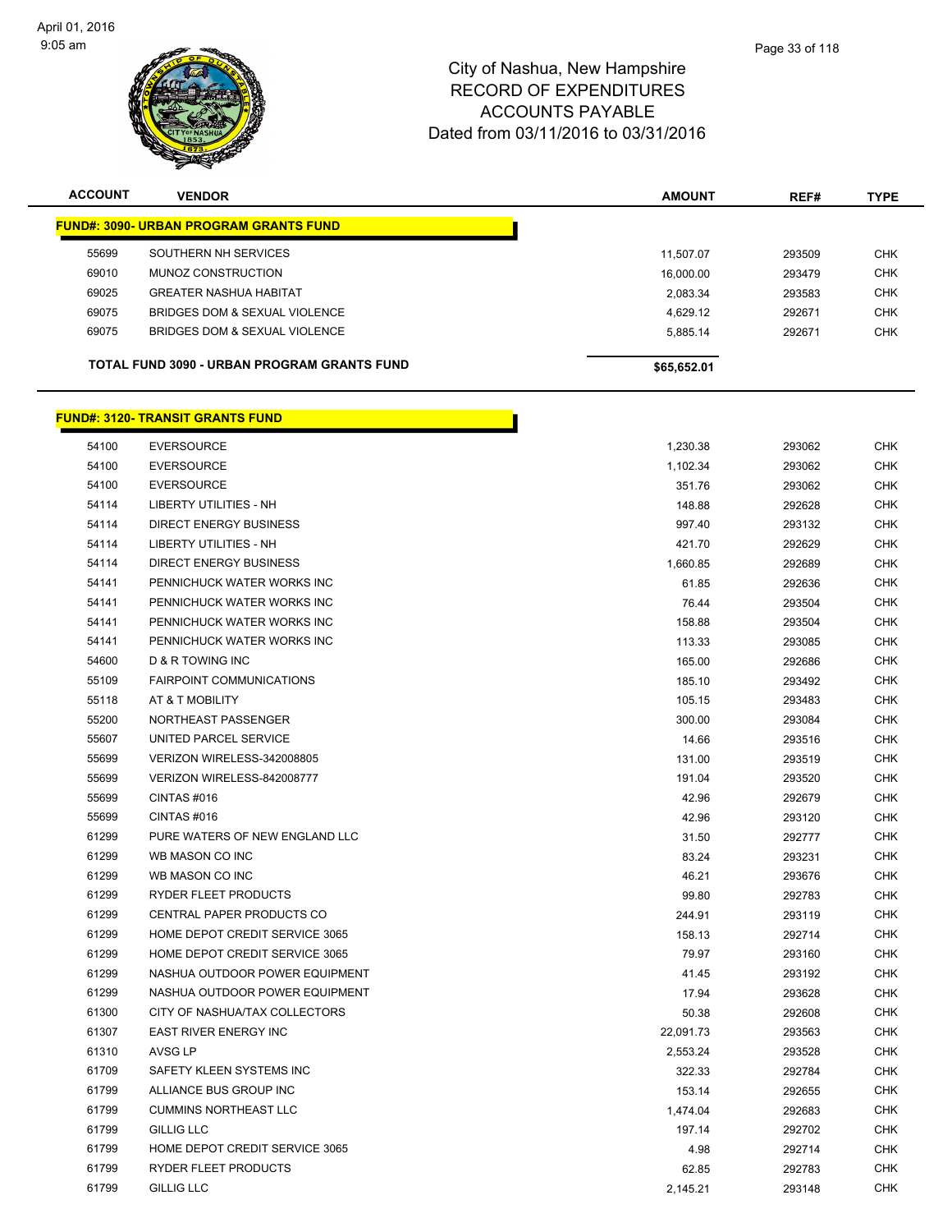

| <b>ACCOUNT</b>                          | <b>VENDOR</b>                                      | <b>AMOUNT</b> | REF#   | <b>TYPE</b> |
|-----------------------------------------|----------------------------------------------------|---------------|--------|-------------|
|                                         | <b>FUND#: 3090- URBAN PROGRAM GRANTS FUND</b>      |               |        |             |
| 55699                                   | SOUTHERN NH SERVICES                               | 11.507.07     | 293509 | <b>CHK</b>  |
| 69010                                   | MUNOZ CONSTRUCTION                                 | 16.000.00     | 293479 | <b>CHK</b>  |
| 69025                                   | <b>GREATER NASHUA HABITAT</b>                      | 2,083.34      | 293583 | <b>CHK</b>  |
| 69075                                   | BRIDGES DOM & SEXUAL VIOLENCE                      | 4,629.12      | 292671 | <b>CHK</b>  |
| 69075                                   | BRIDGES DOM & SEXUAL VIOLENCE                      | 5,885.14      | 292671 | <b>CHK</b>  |
|                                         | <b>TOTAL FUND 3090 - URBAN PROGRAM GRANTS FUND</b> | \$65,652.01   |        |             |
| <b>FUND#: 3120- TRANSIT GRANTS FUND</b> |                                                    |               |        |             |

| 54100 | <b>EVERSOURCE</b>               | 1,230.38  | 293062 | <b>CHK</b> |
|-------|---------------------------------|-----------|--------|------------|
| 54100 | <b>EVERSOURCE</b>               | 1,102.34  | 293062 | <b>CHK</b> |
| 54100 | <b>EVERSOURCE</b>               | 351.76    | 293062 | <b>CHK</b> |
| 54114 | <b>LIBERTY UTILITIES - NH</b>   | 148.88    | 292628 | <b>CHK</b> |
| 54114 | <b>DIRECT ENERGY BUSINESS</b>   | 997.40    | 293132 | <b>CHK</b> |
| 54114 | <b>LIBERTY UTILITIES - NH</b>   | 421.70    | 292629 | <b>CHK</b> |
| 54114 | <b>DIRECT ENERGY BUSINESS</b>   | 1,660.85  | 292689 | <b>CHK</b> |
| 54141 | PENNICHUCK WATER WORKS INC      | 61.85     | 292636 | <b>CHK</b> |
| 54141 | PENNICHUCK WATER WORKS INC      | 76.44     | 293504 | <b>CHK</b> |
| 54141 | PENNICHUCK WATER WORKS INC      | 158.88    | 293504 | <b>CHK</b> |
| 54141 | PENNICHUCK WATER WORKS INC      | 113.33    | 293085 | <b>CHK</b> |
| 54600 | D & R TOWING INC                | 165.00    | 292686 | <b>CHK</b> |
| 55109 | <b>FAIRPOINT COMMUNICATIONS</b> | 185.10    | 293492 | <b>CHK</b> |
| 55118 | AT & T MOBILITY                 | 105.15    | 293483 | <b>CHK</b> |
| 55200 | NORTHEAST PASSENGER             | 300.00    | 293084 | <b>CHK</b> |
| 55607 | UNITED PARCEL SERVICE           | 14.66     | 293516 | <b>CHK</b> |
| 55699 | VERIZON WIRELESS-342008805      | 131.00    | 293519 | <b>CHK</b> |
| 55699 | VERIZON WIRELESS-842008777      | 191.04    | 293520 | <b>CHK</b> |
| 55699 | CINTAS#016                      | 42.96     | 292679 | <b>CHK</b> |
| 55699 | CINTAS#016                      | 42.96     | 293120 | <b>CHK</b> |
| 61299 | PURE WATERS OF NEW ENGLAND LLC  | 31.50     | 292777 | <b>CHK</b> |
| 61299 | WB MASON CO INC                 | 83.24     | 293231 | <b>CHK</b> |
| 61299 | WB MASON CO INC                 | 46.21     | 293676 | <b>CHK</b> |
| 61299 | RYDER FLEET PRODUCTS            | 99.80     | 292783 | <b>CHK</b> |
| 61299 | CENTRAL PAPER PRODUCTS CO       | 244.91    | 293119 | <b>CHK</b> |
| 61299 | HOME DEPOT CREDIT SERVICE 3065  | 158.13    | 292714 | <b>CHK</b> |
| 61299 | HOME DEPOT CREDIT SERVICE 3065  | 79.97     | 293160 | <b>CHK</b> |
| 61299 | NASHUA OUTDOOR POWER EQUIPMENT  | 41.45     | 293192 | <b>CHK</b> |
| 61299 | NASHUA OUTDOOR POWER EQUIPMENT  | 17.94     | 293628 | <b>CHK</b> |
| 61300 | CITY OF NASHUA/TAX COLLECTORS   | 50.38     | 292608 | <b>CHK</b> |
| 61307 | <b>EAST RIVER ENERGY INC</b>    | 22,091.73 | 293563 | <b>CHK</b> |
| 61310 | AVSG LP                         | 2,553.24  | 293528 | <b>CHK</b> |
| 61709 | SAFETY KLEEN SYSTEMS INC        | 322.33    | 292784 | <b>CHK</b> |
| 61799 | ALLIANCE BUS GROUP INC          | 153.14    | 292655 | <b>CHK</b> |
| 61799 | <b>CUMMINS NORTHEAST LLC</b>    | 1,474.04  | 292683 | <b>CHK</b> |
| 61799 | <b>GILLIG LLC</b>               | 197.14    | 292702 | <b>CHK</b> |
| 61799 | HOME DEPOT CREDIT SERVICE 3065  | 4.98      | 292714 | <b>CHK</b> |
| 61799 | <b>RYDER FLEET PRODUCTS</b>     | 62.85     | 292783 | <b>CHK</b> |
| 61799 | <b>GILLIG LLC</b>               | 2,145.21  | 293148 | <b>CHK</b> |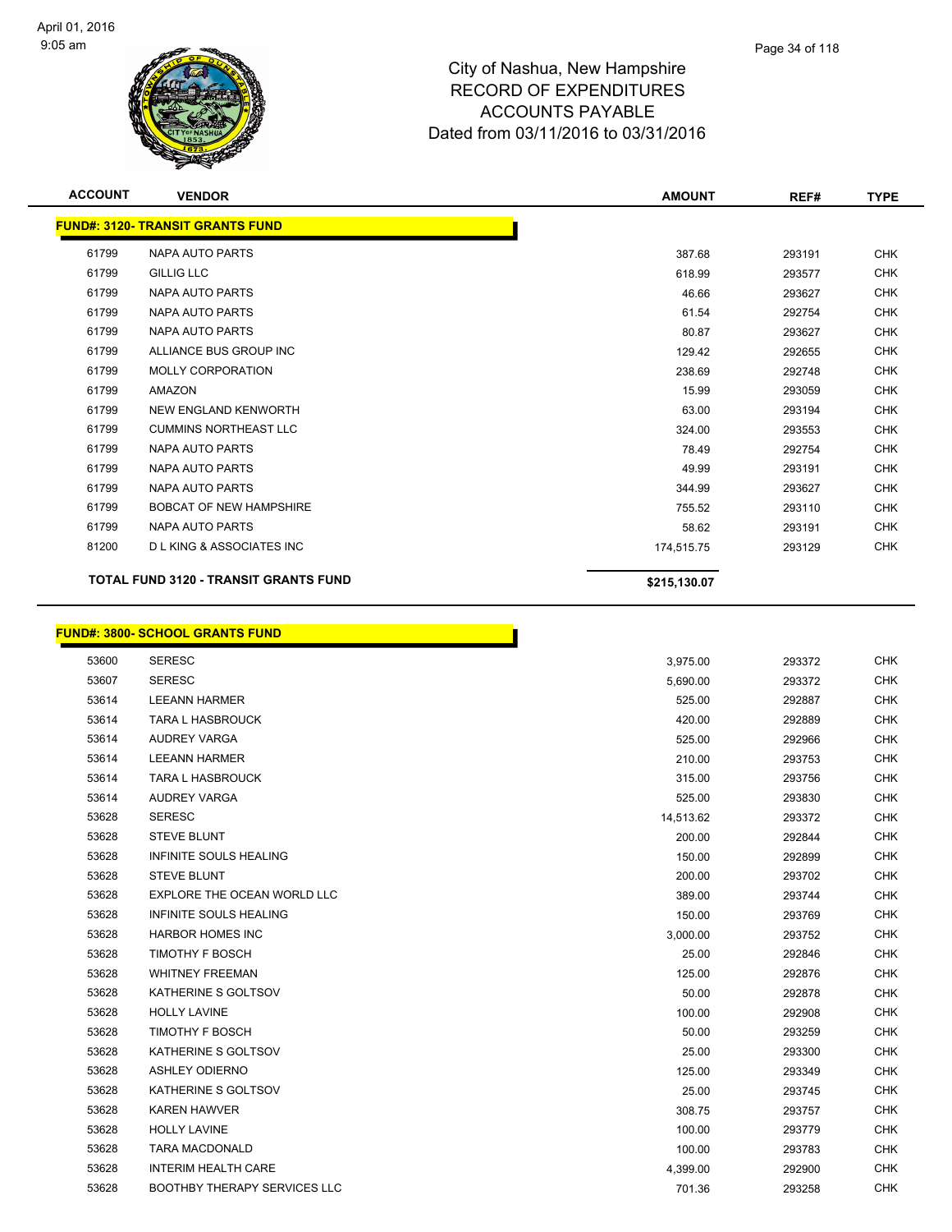$\overline{\phantom{0}}$ 



| <b>ACCOUNT</b> | <b>VENDOR</b>                                | <b>AMOUNT</b> | REF#   | <b>TYPE</b> |
|----------------|----------------------------------------------|---------------|--------|-------------|
|                | <b>FUND#: 3120- TRANSIT GRANTS FUND</b>      |               |        |             |
| 61799          | <b>NAPA AUTO PARTS</b>                       | 387.68        | 293191 | <b>CHK</b>  |
| 61799          | <b>GILLIG LLC</b>                            | 618.99        | 293577 | <b>CHK</b>  |
| 61799          | <b>NAPA AUTO PARTS</b>                       | 46.66         | 293627 | <b>CHK</b>  |
| 61799          | NAPA AUTO PARTS                              | 61.54         | 292754 | <b>CHK</b>  |
| 61799          | <b>NAPA AUTO PARTS</b>                       | 80.87         | 293627 | CHK         |
| 61799          | ALLIANCE BUS GROUP INC                       | 129.42        | 292655 | <b>CHK</b>  |
| 61799          | MOLLY CORPORATION                            | 238.69        | 292748 | <b>CHK</b>  |
| 61799          | <b>AMAZON</b>                                | 15.99         | 293059 | CHK         |
| 61799          | NEW ENGLAND KENWORTH                         | 63.00         | 293194 | <b>CHK</b>  |
| 61799          | <b>CUMMINS NORTHEAST LLC</b>                 | 324.00        | 293553 | CHK         |
| 61799          | <b>NAPA AUTO PARTS</b>                       | 78.49         | 292754 | <b>CHK</b>  |
| 61799          | <b>NAPA AUTO PARTS</b>                       | 49.99         | 293191 | <b>CHK</b>  |
| 61799          | <b>NAPA AUTO PARTS</b>                       | 344.99        | 293627 | <b>CHK</b>  |
| 61799          | <b>BOBCAT OF NEW HAMPSHIRE</b>               | 755.52        | 293110 | <b>CHK</b>  |
| 61799          | <b>NAPA AUTO PARTS</b>                       | 58.62         | 293191 | <b>CHK</b>  |
| 81200          | <b>DLKING &amp; ASSOCIATES INC</b>           | 174,515.75    | 293129 | <b>CHK</b>  |
|                | <b>TOTAL FUND 3120 - TRANSIT GRANTS FUND</b> | \$215,130.07  |        |             |
|                | <b>FUND#: 3800- SCHOOL GRANTS FUND</b>       |               |        |             |
| 53600          | <b>SERESC</b>                                | 3,975.00      | 293372 | <b>CHK</b>  |
| 53607          | <b>SERESC</b>                                | 5,690.00      | 293372 | <b>CHK</b>  |
| 53614          | <b>LEEANN HARMER</b>                         | 525.00        | 292887 | <b>CHK</b>  |
| 53614          | <b>TARA L HASBROUCK</b>                      | 420.00        | 292889 | <b>CHK</b>  |
| 53614          | AUDREY VARGA                                 | 525.00        | 292966 | <b>CHK</b>  |
| 53614          | <b>LEEANN HARMER</b>                         | 210.00        | 293753 | <b>CHK</b>  |
| 53614          | <b>TARA L HASBROUCK</b>                      | 315.00        | 293756 | <b>CHK</b>  |
| 53614          | <b>AUDREY VARGA</b>                          | 525.00        | 293830 | <b>CHK</b>  |
| 53628          | <b>SERESC</b>                                | 14,513.62     | 293372 | <b>CHK</b>  |
| 53628          | <b>STEVE BLUNT</b>                           | 200.00        | 292844 | <b>CHK</b>  |
| 53628          | <b>INFINITE SOULS HEALING</b>                | 150.00        | 292899 | <b>CHK</b>  |

| 53628 | <b>SERESC</b>                       | 14,513.62 | 293372 | <b>CHK</b> |
|-------|-------------------------------------|-----------|--------|------------|
| 53628 | STEVE BLUNT                         | 200.00    | 292844 | <b>CHK</b> |
| 53628 | <b>INFINITE SOULS HEALING</b>       | 150.00    | 292899 | <b>CHK</b> |
| 53628 | <b>STEVE BLUNT</b>                  | 200.00    | 293702 | <b>CHK</b> |
| 53628 | EXPLORE THE OCEAN WORLD LLC         | 389.00    | 293744 | <b>CHK</b> |
| 53628 | <b>INFINITE SOULS HEALING</b>       | 150.00    | 293769 | <b>CHK</b> |
| 53628 | <b>HARBOR HOMES INC</b>             | 3,000.00  | 293752 | <b>CHK</b> |
| 53628 | <b>TIMOTHY F BOSCH</b>              | 25.00     | 292846 | <b>CHK</b> |
| 53628 | <b>WHITNEY FREEMAN</b>              | 125.00    | 292876 | <b>CHK</b> |
| 53628 | KATHERINE S GOLTSOV                 | 50.00     | 292878 | <b>CHK</b> |
| 53628 | <b>HOLLY LAVINE</b>                 | 100.00    | 292908 | <b>CHK</b> |
| 53628 | <b>TIMOTHY F BOSCH</b>              | 50.00     | 293259 | <b>CHK</b> |
| 53628 | KATHERINE S GOLTSOV                 | 25.00     | 293300 | <b>CHK</b> |
| 53628 | ASHLEY ODIERNO                      | 125.00    | 293349 | <b>CHK</b> |
| 53628 | KATHERINE S GOLTSOV                 | 25.00     | 293745 | <b>CHK</b> |
| 53628 | <b>KAREN HAWVER</b>                 | 308.75    | 293757 | <b>CHK</b> |
| 53628 | <b>HOLLY LAVINE</b>                 | 100.00    | 293779 | <b>CHK</b> |
| 53628 | <b>TARA MACDONALD</b>               | 100.00    | 293783 | <b>CHK</b> |
| 53628 | <b>INTERIM HEALTH CARE</b>          | 4,399.00  | 292900 | <b>CHK</b> |
| 53628 | <b>BOOTHBY THERAPY SERVICES LLC</b> | 701.36    | 293258 | <b>CHK</b> |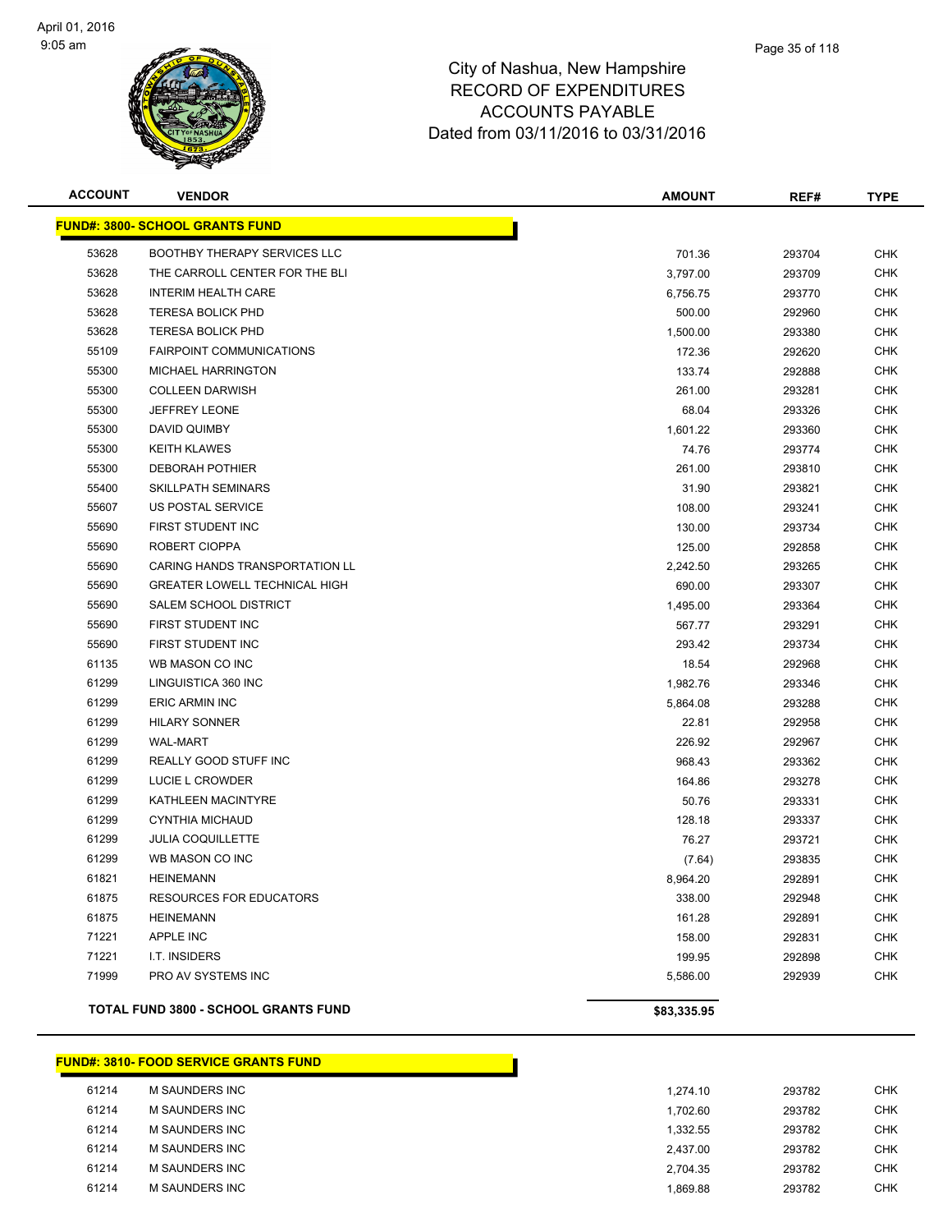

| <b>ACCOUNT</b> | <b>VENDOR</b>                               | <b>AMOUNT</b> | REF#   | <b>TYPE</b> |
|----------------|---------------------------------------------|---------------|--------|-------------|
|                | <b>FUND#: 3800- SCHOOL GRANTS FUND</b>      |               |        |             |
| 53628          | BOOTHBY THERAPY SERVICES LLC                | 701.36        | 293704 | <b>CHK</b>  |
| 53628          | THE CARROLL CENTER FOR THE BLI              | 3,797.00      | 293709 | <b>CHK</b>  |
| 53628          | INTERIM HEALTH CARE                         | 6,756.75      | 293770 | <b>CHK</b>  |
| 53628          | <b>TERESA BOLICK PHD</b>                    | 500.00        | 292960 | <b>CHK</b>  |
| 53628          | <b>TERESA BOLICK PHD</b>                    | 1,500.00      | 293380 | <b>CHK</b>  |
| 55109          | <b>FAIRPOINT COMMUNICATIONS</b>             | 172.36        | 292620 | <b>CHK</b>  |
| 55300          | <b>MICHAEL HARRINGTON</b>                   | 133.74        | 292888 | <b>CHK</b>  |
| 55300          | <b>COLLEEN DARWISH</b>                      | 261.00        | 293281 | <b>CHK</b>  |
| 55300          | <b>JEFFREY LEONE</b>                        | 68.04         | 293326 | <b>CHK</b>  |
| 55300          | DAVID QUIMBY                                | 1,601.22      | 293360 | <b>CHK</b>  |
| 55300          | <b>KEITH KLAWES</b>                         | 74.76         | 293774 | <b>CHK</b>  |
| 55300          | <b>DEBORAH POTHIER</b>                      | 261.00        | 293810 | <b>CHK</b>  |
| 55400          | SKILLPATH SEMINARS                          | 31.90         | 293821 | <b>CHK</b>  |
| 55607          | <b>US POSTAL SERVICE</b>                    | 108.00        | 293241 | <b>CHK</b>  |
| 55690          | FIRST STUDENT INC                           | 130.00        | 293734 | <b>CHK</b>  |
| 55690          | ROBERT CIOPPA                               | 125.00        | 292858 | <b>CHK</b>  |
| 55690          | CARING HANDS TRANSPORTATION LL              | 2,242.50      | 293265 | <b>CHK</b>  |
| 55690          | <b>GREATER LOWELL TECHNICAL HIGH</b>        | 690.00        | 293307 | <b>CHK</b>  |
| 55690          | <b>SALEM SCHOOL DISTRICT</b>                | 1,495.00      | 293364 | <b>CHK</b>  |
| 55690          | FIRST STUDENT INC                           | 567.77        | 293291 | <b>CHK</b>  |
| 55690          | FIRST STUDENT INC                           | 293.42        | 293734 | <b>CHK</b>  |
| 61135          | WB MASON CO INC                             | 18.54         | 292968 | <b>CHK</b>  |
| 61299          | LINGUISTICA 360 INC                         | 1,982.76      | 293346 | <b>CHK</b>  |
| 61299          | <b>ERIC ARMIN INC</b>                       | 5,864.08      | 293288 | <b>CHK</b>  |
| 61299          | <b>HILARY SONNER</b>                        | 22.81         | 292958 | <b>CHK</b>  |
| 61299          | <b>WAL-MART</b>                             | 226.92        | 292967 | <b>CHK</b>  |
| 61299          | REALLY GOOD STUFF INC                       | 968.43        | 293362 | <b>CHK</b>  |
| 61299          | LUCIE L CROWDER                             | 164.86        | 293278 | <b>CHK</b>  |
| 61299          | KATHLEEN MACINTYRE                          | 50.76         | 293331 | CHK         |
| 61299          | <b>CYNTHIA MICHAUD</b>                      | 128.18        | 293337 | <b>CHK</b>  |
| 61299          | <b>JULIA COQUILLETTE</b>                    | 76.27         | 293721 | <b>CHK</b>  |
| 61299          | WB MASON CO INC                             | (7.64)        | 293835 | <b>CHK</b>  |
| 61821          | <b>HEINEMANN</b>                            | 8,964.20      | 292891 | <b>CHK</b>  |
| 61875          | <b>RESOURCES FOR EDUCATORS</b>              | 338.00        | 292948 | <b>CHK</b>  |
| 61875          | <b>HEINEMANN</b>                            | 161.28        | 292891 | <b>CHK</b>  |
| 71221          | APPLE INC                                   | 158.00        | 292831 | <b>CHK</b>  |
| 71221          | I.T. INSIDERS                               | 199.95        | 292898 | <b>CHK</b>  |
| 71999          | PRO AV SYSTEMS INC                          | 5,586.00      | 292939 | <b>CHK</b>  |
|                | <b>TOTAL FUND 3800 - SCHOOL GRANTS FUND</b> | \$83,335.95   |        |             |

#### **FUND#: 3810- FOOD SERVICE GRANTS FUND**

| 61214 | M SAUNDERS INC        | 1.274.10 | 293782 | <b>CHK</b> |
|-------|-----------------------|----------|--------|------------|
| 61214 | <b>M SAUNDERS INC</b> | 1.702.60 | 293782 | <b>CHK</b> |
| 61214 | M SAUNDERS INC        | 1.332.55 | 293782 | <b>CHK</b> |
| 61214 | M SAUNDERS INC        | 2.437.00 | 293782 | <b>CHK</b> |
| 61214 | M SAUNDERS INC        | 2.704.35 | 293782 | <b>CHK</b> |
| 61214 | <b>M SAUNDERS INC</b> | 869.88   | 293782 | <b>CHK</b> |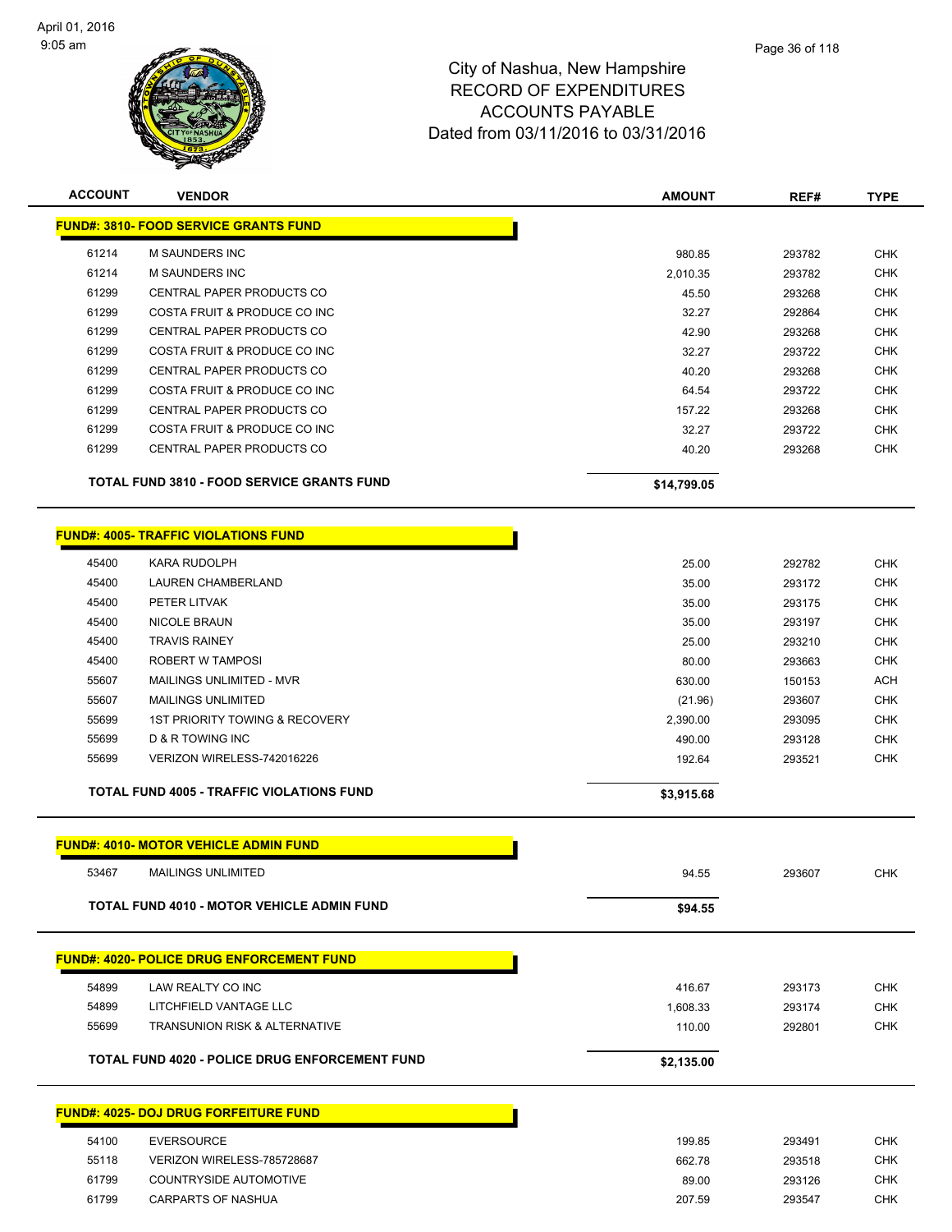

| <b>ACCOUNT</b>                               | <b>VENDOR</b>                                         | <b>AMOUNT</b>   | REF#   | <b>TYPE</b>              |  |  |  |  |
|----------------------------------------------|-------------------------------------------------------|-----------------|--------|--------------------------|--|--|--|--|
| <b>FUND#: 3810- FOOD SERVICE GRANTS FUND</b> |                                                       |                 |        |                          |  |  |  |  |
| 61214                                        | M SAUNDERS INC                                        | 980.85          | 293782 | <b>CHK</b>               |  |  |  |  |
| 61214                                        | <b>M SAUNDERS INC</b>                                 | 2,010.35        | 293782 | <b>CHK</b>               |  |  |  |  |
| 61299                                        | CENTRAL PAPER PRODUCTS CO                             | 45.50           | 293268 | CHK                      |  |  |  |  |
| 61299                                        | COSTA FRUIT & PRODUCE CO INC                          | 32.27           | 292864 | <b>CHK</b>               |  |  |  |  |
| 61299                                        | CENTRAL PAPER PRODUCTS CO                             | 42.90           | 293268 | <b>CHK</b>               |  |  |  |  |
| 61299                                        | COSTA FRUIT & PRODUCE CO INC                          | 32.27           | 293722 | <b>CHK</b>               |  |  |  |  |
| 61299                                        | <b>CENTRAL PAPER PRODUCTS CO</b>                      | 40.20           | 293268 | <b>CHK</b>               |  |  |  |  |
| 61299                                        | COSTA FRUIT & PRODUCE CO INC                          | 64.54           | 293722 | <b>CHK</b>               |  |  |  |  |
| 61299                                        | CENTRAL PAPER PRODUCTS CO                             | 157.22          | 293268 | <b>CHK</b>               |  |  |  |  |
| 61299                                        | COSTA FRUIT & PRODUCE CO INC                          | 32.27           | 293722 | <b>CHK</b>               |  |  |  |  |
| 61299                                        | CENTRAL PAPER PRODUCTS CO                             | 40.20           | 293268 | <b>CHK</b>               |  |  |  |  |
|                                              | <b>TOTAL FUND 3810 - FOOD SERVICE GRANTS FUND</b>     | \$14,799.05     |        |                          |  |  |  |  |
|                                              | <b>FUND#: 4005- TRAFFIC VIOLATIONS FUND</b>           |                 |        |                          |  |  |  |  |
| 45400                                        | <b>KARA RUDOLPH</b>                                   | 25.00           | 292782 | <b>CHK</b>               |  |  |  |  |
| 45400                                        | <b>LAUREN CHAMBERLAND</b>                             | 35.00           | 293172 | <b>CHK</b>               |  |  |  |  |
| 45400                                        | PETER LITVAK                                          | 35.00           | 293175 | <b>CHK</b>               |  |  |  |  |
| 45400                                        | <b>NICOLE BRAUN</b>                                   | 35.00           | 293197 | CHK                      |  |  |  |  |
| 45400                                        | <b>TRAVIS RAINEY</b>                                  | 25.00           | 293210 | <b>CHK</b>               |  |  |  |  |
| 45400                                        | ROBERT W TAMPOSI                                      | 80.00           | 293663 | CHK                      |  |  |  |  |
| 55607                                        | MAILINGS UNLIMITED - MVR                              | 630.00          | 150153 | <b>ACH</b>               |  |  |  |  |
| 55607                                        | <b>MAILINGS UNLIMITED</b>                             | (21.96)         | 293607 | <b>CHK</b>               |  |  |  |  |
| 55699                                        | <b>1ST PRIORITY TOWING &amp; RECOVERY</b>             | 2,390.00        | 293095 | <b>CHK</b>               |  |  |  |  |
| 55699                                        | D & R TOWING INC                                      | 490.00          | 293128 | <b>CHK</b>               |  |  |  |  |
| 55699                                        | VERIZON WIRELESS-742016226                            | 192.64          | 293521 | CHK                      |  |  |  |  |
|                                              | <b>TOTAL FUND 4005 - TRAFFIC VIOLATIONS FUND</b>      | \$3,915.68      |        |                          |  |  |  |  |
| <b>FUND#: 4010- MOTOR VEHICLE ADMIN FUND</b> |                                                       |                 |        |                          |  |  |  |  |
| 53467                                        | <b>MAILINGS UNLIMITED</b>                             | 94.55           | 293607 | CHK                      |  |  |  |  |
|                                              | <b>TOTAL FUND 4010 - MOTOR VEHICLE ADMIN FUND</b>     | \$94.55         |        |                          |  |  |  |  |
|                                              | <b>FUND#: 4020- POLICE DRUG ENFORCEMENT FUND</b>      |                 |        |                          |  |  |  |  |
| 54899                                        | LAW REALTY CO INC                                     | 416.67          | 293173 | CHK                      |  |  |  |  |
| 54899                                        | LITCHFIELD VANTAGE LLC                                | 1,608.33        | 293174 | <b>CHK</b>               |  |  |  |  |
| 55699                                        | <b>TRANSUNION RISK &amp; ALTERNATIVE</b>              | 110.00          | 292801 | <b>CHK</b>               |  |  |  |  |
|                                              | <b>TOTAL FUND 4020 - POLICE DRUG ENFORCEMENT FUND</b> | \$2,135.00      |        |                          |  |  |  |  |
| <b>FUND#: 4025- DOJ DRUG FORFEITURE FUND</b> |                                                       |                 |        |                          |  |  |  |  |
|                                              |                                                       |                 |        |                          |  |  |  |  |
| 54100                                        | <b>EVERSOURCE</b>                                     | 199.85          | 293491 | <b>CHK</b>               |  |  |  |  |
| 55118<br>61799                               | VERIZON WIRELESS-785728687                            | 662.78          | 293518 | <b>CHK</b>               |  |  |  |  |
| 61799                                        | COUNTRYSIDE AUTOMOTIVE<br>CARPARTS OF NASHUA          | 89.00<br>207.59 | 293126 | <b>CHK</b><br><b>CHK</b> |  |  |  |  |
|                                              |                                                       |                 | 293547 |                          |  |  |  |  |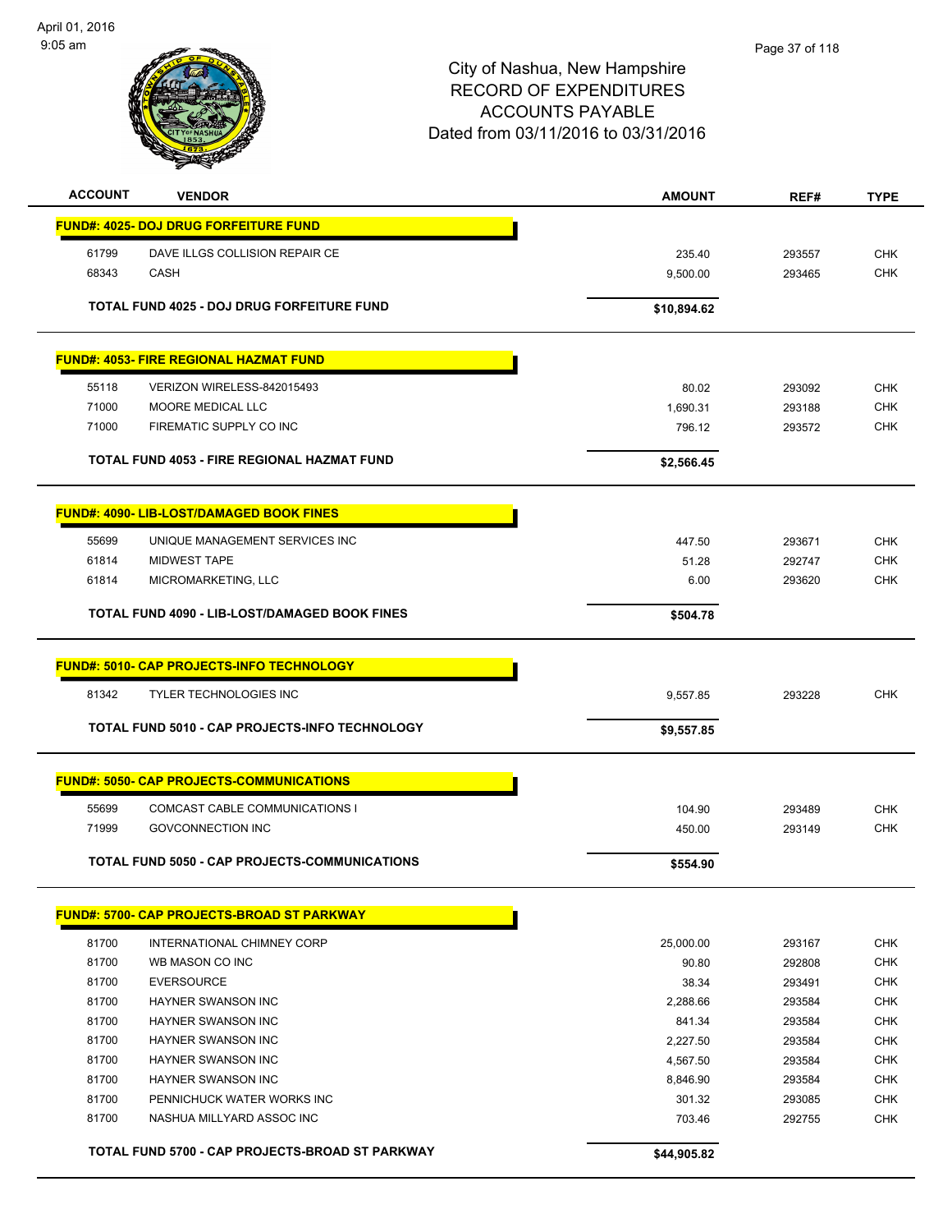

| <b>ACCOUNT</b> | <b>VENDOR</b>                                         | <b>AMOUNT</b>   | REF#             | <b>TYPE</b>              |
|----------------|-------------------------------------------------------|-----------------|------------------|--------------------------|
|                | <b>FUND#: 4025- DOJ DRUG FORFEITURE FUND</b>          |                 |                  |                          |
| 61799          | DAVE ILLGS COLLISION REPAIR CE                        | 235.40          | 293557           | <b>CHK</b>               |
| 68343          | <b>CASH</b>                                           | 9,500.00        | 293465           | <b>CHK</b>               |
|                |                                                       |                 |                  |                          |
|                | TOTAL FUND 4025 - DOJ DRUG FORFEITURE FUND            | \$10,894.62     |                  |                          |
|                | <b>FUND#: 4053- FIRE REGIONAL HAZMAT FUND</b>         |                 |                  |                          |
|                |                                                       |                 |                  |                          |
| 55118          | VERIZON WIRELESS-842015493                            | 80.02           | 293092           | <b>CHK</b>               |
| 71000          | MOORE MEDICAL LLC                                     | 1,690.31        | 293188           | <b>CHK</b>               |
| 71000          | FIREMATIC SUPPLY CO INC                               | 796.12          | 293572           | <b>CHK</b>               |
|                | TOTAL FUND 4053 - FIRE REGIONAL HAZMAT FUND           | \$2,566.45      |                  |                          |
|                | <b>FUND#: 4090- LIB-LOST/DAMAGED BOOK FINES</b>       |                 |                  |                          |
|                |                                                       |                 |                  |                          |
| 55699<br>61814 | UNIQUE MANAGEMENT SERVICES INC<br><b>MIDWEST TAPE</b> | 447.50<br>51.28 | 293671<br>292747 | <b>CHK</b><br><b>CHK</b> |
| 61814          | MICROMARKETING, LLC                                   | 6.00            | 293620           | <b>CHK</b>               |
|                |                                                       |                 |                  |                          |
|                | TOTAL FUND 4090 - LIB-LOST/DAMAGED BOOK FINES         | \$504.78        |                  |                          |
|                | <b>FUND#: 5010- CAP PROJECTS-INFO TECHNOLOGY</b>      |                 |                  |                          |
| 81342          | TYLER TECHNOLOGIES INC                                | 9,557.85        | 293228           | <b>CHK</b>               |
|                | TOTAL FUND 5010 - CAP PROJECTS-INFO TECHNOLOGY        | \$9,557.85      |                  |                          |
|                |                                                       |                 |                  |                          |
|                | <b>FUND#: 5050- CAP PROJECTS-COMMUNICATIONS</b>       |                 |                  |                          |
| 55699          | <b>COMCAST CABLE COMMUNICATIONS I</b>                 | 104.90          | 293489           | <b>CHK</b>               |
| 71999          | <b>GOVCONNECTION INC</b>                              | 450.00          | 293149           | <b>CHK</b>               |
|                | <b>TOTAL FUND 5050 - CAP PROJECTS-COMMUNICATIONS</b>  |                 |                  |                          |
|                |                                                       | \$554.90        |                  |                          |
|                | <b>FUND#: 5700- CAP PROJECTS-BROAD ST PARKWAY</b>     |                 |                  |                          |
| 81700          | INTERNATIONAL CHIMNEY CORP                            | 25,000.00       | 293167           | <b>CHK</b>               |
| 81700          | WB MASON CO INC                                       | 90.80           | 292808           | <b>CHK</b>               |
| 81700          | <b>EVERSOURCE</b>                                     | 38.34           | 293491           | <b>CHK</b>               |
| 81700          | HAYNER SWANSON INC                                    | 2,288.66        | 293584           | <b>CHK</b>               |
| 81700          | <b>HAYNER SWANSON INC</b>                             | 841.34          | 293584           | <b>CHK</b>               |
| 81700          | <b>HAYNER SWANSON INC</b>                             | 2,227.50        | 293584           | <b>CHK</b>               |
| 81700          | HAYNER SWANSON INC                                    | 4,567.50        | 293584           | <b>CHK</b>               |
| 81700          | HAYNER SWANSON INC                                    | 8,846.90        | 293584           | CHK                      |
| 81700          | PENNICHUCK WATER WORKS INC                            | 301.32          | 293085           | <b>CHK</b>               |
| 81700          | NASHUA MILLYARD ASSOC INC                             | 703.46          | 292755           | <b>CHK</b>               |
|                | TOTAL FUND 5700 - CAP PROJECTS-BROAD ST PARKWAY       | \$44,905.82     |                  |                          |
|                |                                                       |                 |                  |                          |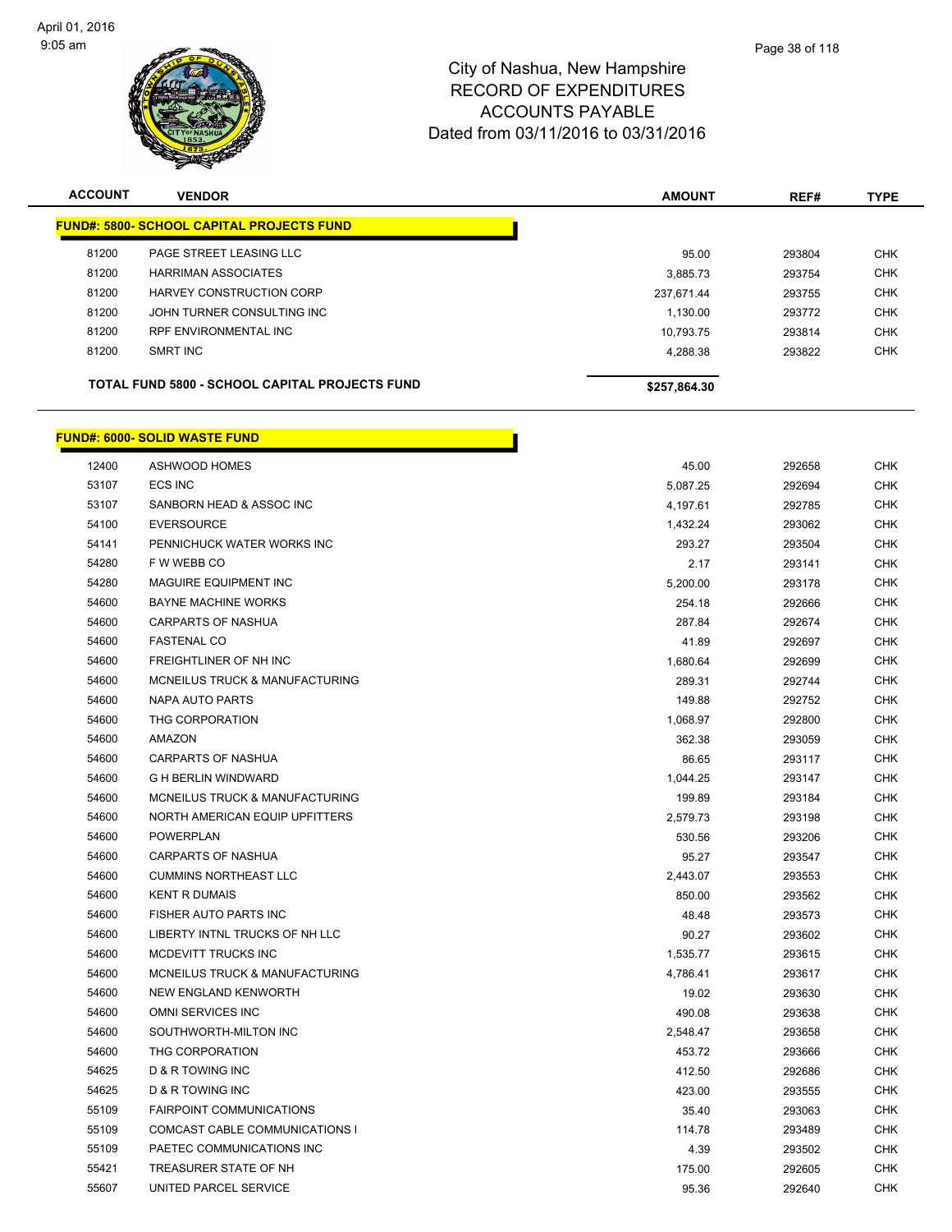

| <b>ACCOUNT</b> | <b>VENDOR</b>                                         | <b>AMOUNT</b> | REF#   | <b>TYPE</b> |
|----------------|-------------------------------------------------------|---------------|--------|-------------|
|                | <b>FUND#: 5800- SCHOOL CAPITAL PROJECTS FUND</b>      |               |        |             |
| 81200          | PAGE STREET LEASING LLC                               | 95.00         | 293804 | <b>CHK</b>  |
| 81200          | <b>HARRIMAN ASSOCIATES</b>                            | 3.885.73      | 293754 | <b>CHK</b>  |
| 81200          | HARVEY CONSTRUCTION CORP                              | 237.671.44    | 293755 | <b>CHK</b>  |
| 81200          | JOHN TURNER CONSULTING INC                            | 1.130.00      | 293772 | <b>CHK</b>  |
| 81200          | RPF ENVIRONMENTAL INC                                 | 10.793.75     | 293814 | <b>CHK</b>  |
| 81200          | SMRT INC                                              | 4.288.38      | 293822 | <b>CHK</b>  |
|                | <b>TOTAL FUND 5800 - SCHOOL CAPITAL PROJECTS FUND</b> | \$257,864.30  |        |             |

#### **FUND#: 6000- SOLID WASTE FUND**

| 12400 | <b>ASHWOOD HOMES</b>                      | 45.00    | 292658 | <b>CHK</b> |
|-------|-------------------------------------------|----------|--------|------------|
| 53107 | <b>ECS INC</b>                            | 5,087.25 | 292694 | <b>CHK</b> |
| 53107 | SANBORN HEAD & ASSOC INC                  | 4,197.61 | 292785 | <b>CHK</b> |
| 54100 | <b>EVERSOURCE</b>                         | 1,432.24 | 293062 | <b>CHK</b> |
| 54141 | PENNICHUCK WATER WORKS INC                | 293.27   | 293504 | <b>CHK</b> |
| 54280 | F W WEBB CO                               | 2.17     | 293141 | <b>CHK</b> |
| 54280 | <b>MAGUIRE EQUIPMENT INC</b>              | 5,200.00 | 293178 | <b>CHK</b> |
| 54600 | <b>BAYNE MACHINE WORKS</b>                | 254.18   | 292666 | <b>CHK</b> |
| 54600 | <b>CARPARTS OF NASHUA</b>                 | 287.84   | 292674 | <b>CHK</b> |
| 54600 | <b>FASTENAL CO</b>                        | 41.89    | 292697 | <b>CHK</b> |
| 54600 | FREIGHTLINER OF NH INC                    | 1,680.64 | 292699 | <b>CHK</b> |
| 54600 | <b>MCNEILUS TRUCK &amp; MANUFACTURING</b> | 289.31   | 292744 | <b>CHK</b> |
| 54600 | <b>NAPA AUTO PARTS</b>                    | 149.88   | 292752 | <b>CHK</b> |
| 54600 | THG CORPORATION                           | 1,068.97 | 292800 | <b>CHK</b> |
| 54600 | AMAZON                                    | 362.38   | 293059 | <b>CHK</b> |
| 54600 | <b>CARPARTS OF NASHUA</b>                 | 86.65    | 293117 | <b>CHK</b> |
| 54600 | <b>G H BERLIN WINDWARD</b>                | 1,044.25 | 293147 | <b>CHK</b> |
| 54600 | MCNEILUS TRUCK & MANUFACTURING            | 199.89   | 293184 | <b>CHK</b> |
| 54600 | NORTH AMERICAN EQUIP UPFITTERS            | 2,579.73 | 293198 | <b>CHK</b> |
| 54600 | <b>POWERPLAN</b>                          | 530.56   | 293206 | <b>CHK</b> |
| 54600 | <b>CARPARTS OF NASHUA</b>                 | 95.27    | 293547 | <b>CHK</b> |
| 54600 | <b>CUMMINS NORTHEAST LLC</b>              | 2,443.07 | 293553 | <b>CHK</b> |
| 54600 | <b>KENT R DUMAIS</b>                      | 850.00   | 293562 | <b>CHK</b> |
| 54600 | FISHER AUTO PARTS INC                     | 48.48    | 293573 | <b>CHK</b> |
| 54600 | LIBERTY INTNL TRUCKS OF NH LLC            | 90.27    | 293602 | <b>CHK</b> |
| 54600 | <b>MCDEVITT TRUCKS INC</b>                | 1,535.77 | 293615 | <b>CHK</b> |
| 54600 | <b>MCNEILUS TRUCK &amp; MANUFACTURING</b> | 4,786.41 | 293617 | <b>CHK</b> |
| 54600 | NEW ENGLAND KENWORTH                      | 19.02    | 293630 | <b>CHK</b> |
| 54600 | OMNI SERVICES INC                         | 490.08   | 293638 | <b>CHK</b> |
| 54600 | SOUTHWORTH-MILTON INC                     | 2,548.47 | 293658 | <b>CHK</b> |
| 54600 | THG CORPORATION                           | 453.72   | 293666 | <b>CHK</b> |
| 54625 | D & R TOWING INC                          | 412.50   | 292686 | <b>CHK</b> |
| 54625 | D & R TOWING INC                          | 423.00   | 293555 | <b>CHK</b> |
| 55109 | <b>FAIRPOINT COMMUNICATIONS</b>           | 35.40    | 293063 | <b>CHK</b> |
| 55109 | COMCAST CABLE COMMUNICATIONS I            | 114.78   | 293489 | <b>CHK</b> |
| 55109 | PAETEC COMMUNICATIONS INC                 | 4.39     | 293502 | CHK        |
| 55421 | TREASURER STATE OF NH                     | 175.00   | 292605 | <b>CHK</b> |
| 55607 | UNITED PARCEL SERVICE                     | 95.36    | 292640 | <b>CHK</b> |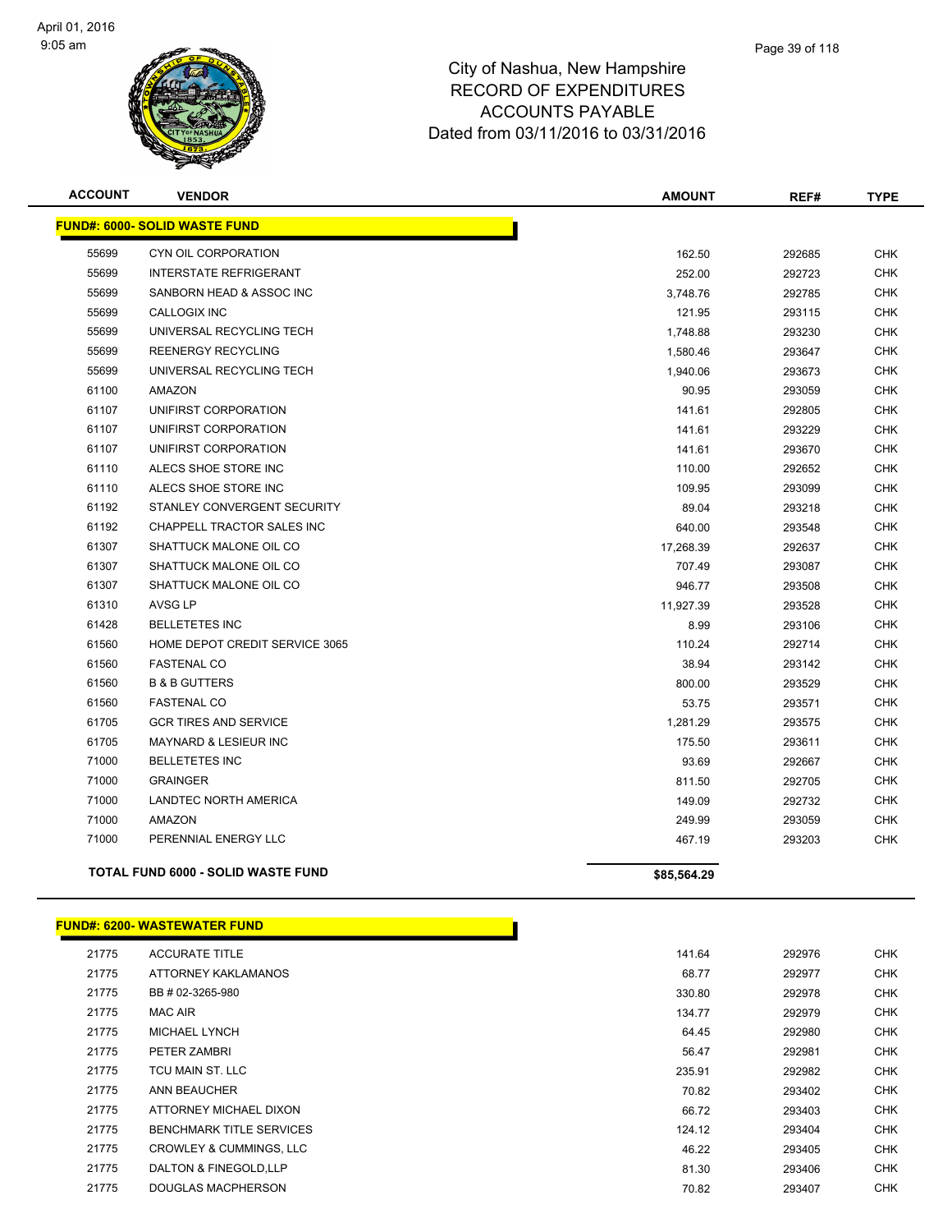

| <b>ACCOUNT</b> | <b>VENDOR</b>                             | <b>AMOUNT</b> | REF#   | <b>TYPE</b> |
|----------------|-------------------------------------------|---------------|--------|-------------|
|                | <b>FUND#: 6000- SOLID WASTE FUND</b>      |               |        |             |
| 55699          | CYN OIL CORPORATION                       | 162.50        | 292685 | <b>CHK</b>  |
| 55699          | <b>INTERSTATE REFRIGERANT</b>             | 252.00        | 292723 | <b>CHK</b>  |
| 55699          | SANBORN HEAD & ASSOC INC                  | 3,748.76      | 292785 | <b>CHK</b>  |
| 55699          | <b>CALLOGIX INC</b>                       | 121.95        | 293115 | <b>CHK</b>  |
| 55699          | UNIVERSAL RECYCLING TECH                  | 1,748.88      | 293230 | <b>CHK</b>  |
| 55699          | <b>REENERGY RECYCLING</b>                 | 1,580.46      | 293647 | <b>CHK</b>  |
| 55699          | UNIVERSAL RECYCLING TECH                  | 1,940.06      | 293673 | <b>CHK</b>  |
| 61100          | <b>AMAZON</b>                             | 90.95         | 293059 | <b>CHK</b>  |
| 61107          | UNIFIRST CORPORATION                      | 141.61        | 292805 | <b>CHK</b>  |
| 61107          | UNIFIRST CORPORATION                      | 141.61        | 293229 | <b>CHK</b>  |
| 61107          | UNIFIRST CORPORATION                      | 141.61        | 293670 | <b>CHK</b>  |
| 61110          | ALECS SHOE STORE INC                      | 110.00        | 292652 | <b>CHK</b>  |
| 61110          | ALECS SHOE STORE INC                      | 109.95        | 293099 | <b>CHK</b>  |
| 61192          | STANLEY CONVERGENT SECURITY               | 89.04         | 293218 | <b>CHK</b>  |
| 61192          | CHAPPELL TRACTOR SALES INC                | 640.00        | 293548 | <b>CHK</b>  |
| 61307          | SHATTUCK MALONE OIL CO                    | 17,268.39     | 292637 | <b>CHK</b>  |
| 61307          | SHATTUCK MALONE OIL CO                    | 707.49        | 293087 | <b>CHK</b>  |
| 61307          | SHATTUCK MALONE OIL CO                    | 946.77        | 293508 | <b>CHK</b>  |
| 61310          | <b>AVSG LP</b>                            | 11,927.39     | 293528 | <b>CHK</b>  |
| 61428          | <b>BELLETETES INC</b>                     | 8.99          | 293106 | <b>CHK</b>  |
| 61560          | HOME DEPOT CREDIT SERVICE 3065            | 110.24        | 292714 | <b>CHK</b>  |
| 61560          | <b>FASTENAL CO</b>                        | 38.94         | 293142 | <b>CHK</b>  |
| 61560          | <b>B &amp; B GUTTERS</b>                  | 800.00        | 293529 | <b>CHK</b>  |
| 61560          | <b>FASTENAL CO</b>                        | 53.75         | 293571 | <b>CHK</b>  |
| 61705          | <b>GCR TIRES AND SERVICE</b>              | 1,281.29      | 293575 | <b>CHK</b>  |
| 61705          | <b>MAYNARD &amp; LESIEUR INC</b>          | 175.50        | 293611 | <b>CHK</b>  |
| 71000          | <b>BELLETETES INC</b>                     | 93.69         | 292667 | <b>CHK</b>  |
| 71000          | <b>GRAINGER</b>                           | 811.50        | 292705 | <b>CHK</b>  |
| 71000          | LANDTEC NORTH AMERICA                     | 149.09        | 292732 | <b>CHK</b>  |
| 71000          | AMAZON                                    | 249.99        | 293059 | <b>CHK</b>  |
| 71000          | PERENNIAL ENERGY LLC                      | 467.19        | 293203 | <b>CHK</b>  |
|                | <b>TOTAL FUND 6000 - SOLID WASTE FUND</b> | \$85,564.29   |        |             |

#### **FUND#: 6200- WASTEWATER FUND**

| 21775 | <b>ACCURATE TITLE</b>              | 141.64 | 292976 | <b>CHK</b> |
|-------|------------------------------------|--------|--------|------------|
| 21775 | ATTORNEY KAKLAMANOS                | 68.77  | 292977 | <b>CHK</b> |
| 21775 | BB # 02-3265-980                   | 330.80 | 292978 | <b>CHK</b> |
| 21775 | <b>MAC AIR</b>                     | 134.77 | 292979 | <b>CHK</b> |
| 21775 | <b>MICHAEL LYNCH</b>               | 64.45  | 292980 | <b>CHK</b> |
| 21775 | PETER ZAMBRI                       | 56.47  | 292981 | <b>CHK</b> |
| 21775 | TCU MAIN ST. LLC                   | 235.91 | 292982 | <b>CHK</b> |
| 21775 | ANN BEAUCHER                       | 70.82  | 293402 | <b>CHK</b> |
| 21775 | ATTORNEY MICHAEL DIXON             | 66.72  | 293403 | <b>CHK</b> |
| 21775 | <b>BENCHMARK TITLE SERVICES</b>    | 124.12 | 293404 | <b>CHK</b> |
| 21775 | <b>CROWLEY &amp; CUMMINGS, LLC</b> | 46.22  | 293405 | <b>CHK</b> |
| 21775 | DALTON & FINEGOLD, LLP             | 81.30  | 293406 | <b>CHK</b> |
| 21775 | <b>DOUGLAS MACPHERSON</b>          | 70.82  | 293407 | <b>CHK</b> |
|       |                                    |        |        |            |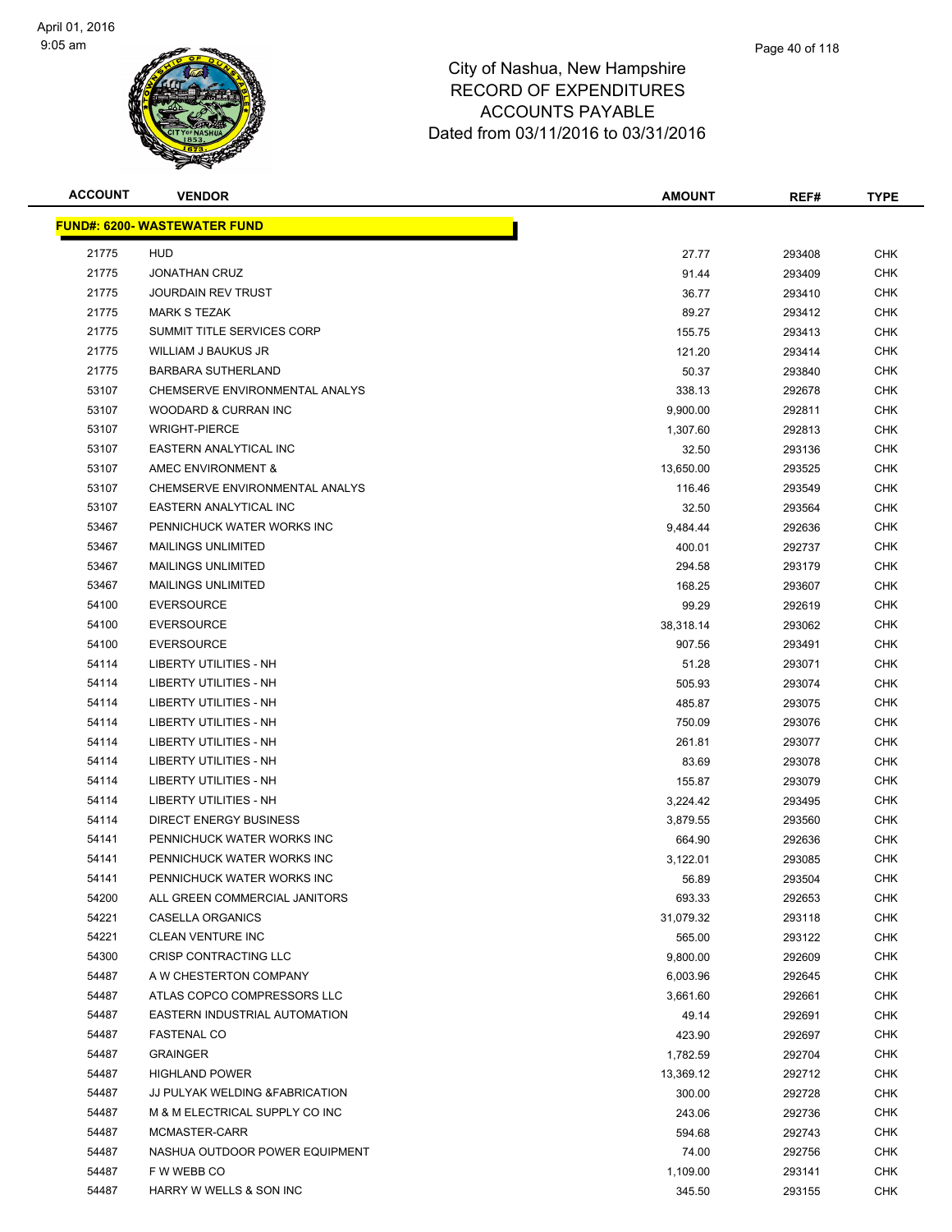

| <b>ACCOUNT</b> | <b>VENDOR</b>                        | <b>AMOUNT</b> | REF#   | <b>TYPE</b> |
|----------------|--------------------------------------|---------------|--------|-------------|
|                | <u> FUND#: 6200- WASTEWATER FUND</u> |               |        |             |
| 21775          | <b>HUD</b>                           | 27.77         | 293408 | <b>CHK</b>  |
| 21775          | <b>JONATHAN CRUZ</b>                 | 91.44         | 293409 | <b>CHK</b>  |
| 21775          | <b>JOURDAIN REV TRUST</b>            | 36.77         | 293410 | <b>CHK</b>  |
| 21775          | <b>MARK S TEZAK</b>                  | 89.27         | 293412 | <b>CHK</b>  |
| 21775          | SUMMIT TITLE SERVICES CORP           | 155.75        | 293413 | <b>CHK</b>  |
| 21775          | WILLIAM J BAUKUS JR                  | 121.20        | 293414 | <b>CHK</b>  |
| 21775          | <b>BARBARA SUTHERLAND</b>            | 50.37         | 293840 | <b>CHK</b>  |
| 53107          | CHEMSERVE ENVIRONMENTAL ANALYS       | 338.13        | 292678 | <b>CHK</b>  |
| 53107          | WOODARD & CURRAN INC                 | 9,900.00      | 292811 | <b>CHK</b>  |
| 53107          | <b>WRIGHT-PIERCE</b>                 | 1,307.60      | 292813 | <b>CHK</b>  |
| 53107          | EASTERN ANALYTICAL INC               | 32.50         | 293136 | <b>CHK</b>  |
| 53107          | AMEC ENVIRONMENT &                   | 13,650.00     | 293525 | <b>CHK</b>  |
| 53107          | CHEMSERVE ENVIRONMENTAL ANALYS       | 116.46        | 293549 | <b>CHK</b>  |
| 53107          | EASTERN ANALYTICAL INC               | 32.50         | 293564 | <b>CHK</b>  |
| 53467          | PENNICHUCK WATER WORKS INC           | 9,484.44      | 292636 | <b>CHK</b>  |
| 53467          | <b>MAILINGS UNLIMITED</b>            | 400.01        | 292737 | <b>CHK</b>  |
| 53467          | <b>MAILINGS UNLIMITED</b>            | 294.58        | 293179 | <b>CHK</b>  |
| 53467          | <b>MAILINGS UNLIMITED</b>            | 168.25        | 293607 | <b>CHK</b>  |
| 54100          | <b>EVERSOURCE</b>                    | 99.29         | 292619 | <b>CHK</b>  |
| 54100          | <b>EVERSOURCE</b>                    | 38,318.14     | 293062 | <b>CHK</b>  |
| 54100          | <b>EVERSOURCE</b>                    | 907.56        | 293491 | <b>CHK</b>  |
| 54114          | <b>LIBERTY UTILITIES - NH</b>        | 51.28         | 293071 | <b>CHK</b>  |
| 54114          | LIBERTY UTILITIES - NH               | 505.93        | 293074 | CHK         |
| 54114          | LIBERTY UTILITIES - NH               | 485.87        | 293075 | <b>CHK</b>  |
| 54114          | <b>LIBERTY UTILITIES - NH</b>        | 750.09        | 293076 | <b>CHK</b>  |
| 54114          | <b>LIBERTY UTILITIES - NH</b>        | 261.81        | 293077 | <b>CHK</b>  |
| 54114          | LIBERTY UTILITIES - NH               | 83.69         | 293078 | <b>CHK</b>  |
| 54114          | LIBERTY UTILITIES - NH               | 155.87        | 293079 | <b>CHK</b>  |
| 54114          | <b>LIBERTY UTILITIES - NH</b>        | 3,224.42      | 293495 | CHK         |
| 54114          | <b>DIRECT ENERGY BUSINESS</b>        | 3,879.55      | 293560 | <b>CHK</b>  |
| 54141          | PENNICHUCK WATER WORKS INC           | 664.90        | 292636 | <b>CHK</b>  |
| 54141          | PENNICHUCK WATER WORKS INC           | 3,122.01      | 293085 | <b>CHK</b>  |
| 54141          | PENNICHUCK WATER WORKS INC           | 56.89         | 293504 | <b>CHK</b>  |
| 54200          | ALL GREEN COMMERCIAL JANITORS        | 693.33        | 292653 | <b>CHK</b>  |
| 54221          | <b>CASELLA ORGANICS</b>              | 31,079.32     | 293118 | <b>CHK</b>  |
| 54221          | <b>CLEAN VENTURE INC</b>             | 565.00        | 293122 | <b>CHK</b>  |
| 54300          | <b>CRISP CONTRACTING LLC</b>         | 9,800.00      | 292609 | <b>CHK</b>  |
| 54487          | A W CHESTERTON COMPANY               | 6,003.96      | 292645 | <b>CHK</b>  |
| 54487          | ATLAS COPCO COMPRESSORS LLC          | 3,661.60      | 292661 | <b>CHK</b>  |
| 54487          | EASTERN INDUSTRIAL AUTOMATION        | 49.14         | 292691 | CHK         |
| 54487          | <b>FASTENAL CO</b>                   | 423.90        | 292697 | <b>CHK</b>  |
| 54487          | <b>GRAINGER</b>                      | 1,782.59      | 292704 | <b>CHK</b>  |
| 54487          | <b>HIGHLAND POWER</b>                | 13,369.12     | 292712 | <b>CHK</b>  |
| 54487          | JJ PULYAK WELDING & FABRICATION      | 300.00        | 292728 | <b>CHK</b>  |
| 54487          | M & M ELECTRICAL SUPPLY CO INC       | 243.06        | 292736 | <b>CHK</b>  |
| 54487          | MCMASTER-CARR                        | 594.68        | 292743 | <b>CHK</b>  |
| 54487          | NASHUA OUTDOOR POWER EQUIPMENT       | 74.00         | 292756 | <b>CHK</b>  |
| 54487          | F W WEBB CO                          | 1,109.00      | 293141 | <b>CHK</b>  |
| 54487          | HARRY W WELLS & SON INC              | 345.50        | 293155 | <b>CHK</b>  |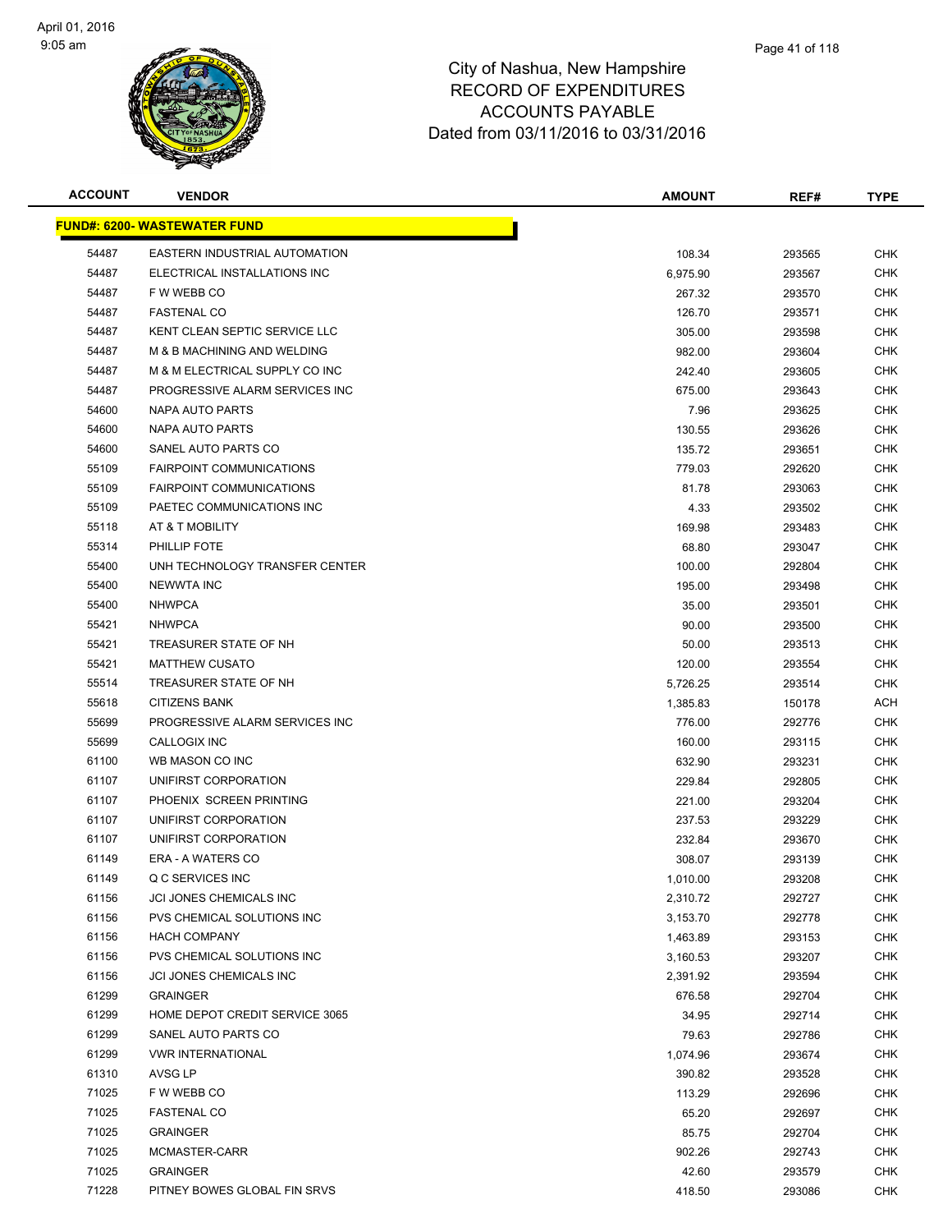

| <b>ACCOUNT</b> | <b>VENDOR</b>                        | <b>AMOUNT</b> | REF#   | <b>TYPE</b> |
|----------------|--------------------------------------|---------------|--------|-------------|
|                | <u> FUND#: 6200- WASTEWATER FUND</u> |               |        |             |
| 54487          | EASTERN INDUSTRIAL AUTOMATION        | 108.34        | 293565 | <b>CHK</b>  |
| 54487          | ELECTRICAL INSTALLATIONS INC         | 6,975.90      | 293567 | <b>CHK</b>  |
| 54487          | F W WEBB CO                          | 267.32        | 293570 | <b>CHK</b>  |
| 54487          | <b>FASTENAL CO</b>                   | 126.70        | 293571 | <b>CHK</b>  |
| 54487          | KENT CLEAN SEPTIC SERVICE LLC        | 305.00        | 293598 | <b>CHK</b>  |
| 54487          | M & B MACHINING AND WELDING          | 982.00        | 293604 | <b>CHK</b>  |
| 54487          | M & M ELECTRICAL SUPPLY CO INC       | 242.40        | 293605 | CHK         |
| 54487          | PROGRESSIVE ALARM SERVICES INC       | 675.00        | 293643 | <b>CHK</b>  |
| 54600          | NAPA AUTO PARTS                      | 7.96          | 293625 | CHK         |
| 54600          | NAPA AUTO PARTS                      | 130.55        | 293626 | CHK         |
| 54600          | SANEL AUTO PARTS CO                  | 135.72        | 293651 | <b>CHK</b>  |
| 55109          | FAIRPOINT COMMUNICATIONS             | 779.03        | 292620 | <b>CHK</b>  |
| 55109          | <b>FAIRPOINT COMMUNICATIONS</b>      | 81.78         | 293063 | CHK         |
| 55109          | PAETEC COMMUNICATIONS INC            | 4.33          | 293502 | <b>CHK</b>  |
| 55118          | AT & T MOBILITY                      | 169.98        | 293483 | <b>CHK</b>  |
| 55314          | PHILLIP FOTE                         | 68.80         | 293047 | <b>CHK</b>  |
| 55400          | UNH TECHNOLOGY TRANSFER CENTER       | 100.00        | 292804 | <b>CHK</b>  |
| 55400          | <b>NEWWTA INC</b>                    | 195.00        | 293498 | <b>CHK</b>  |
| 55400          | <b>NHWPCA</b>                        | 35.00         | 293501 | <b>CHK</b>  |
| 55421          | <b>NHWPCA</b>                        | 90.00         | 293500 | <b>CHK</b>  |
| 55421          | TREASURER STATE OF NH                | 50.00         | 293513 | <b>CHK</b>  |
| 55421          | <b>MATTHEW CUSATO</b>                | 120.00        | 293554 | <b>CHK</b>  |
| 55514          | TREASURER STATE OF NH                | 5,726.25      | 293514 | CHK         |
| 55618          | <b>CITIZENS BANK</b>                 | 1,385.83      | 150178 | <b>ACH</b>  |
| 55699          | PROGRESSIVE ALARM SERVICES INC       | 776.00        | 292776 | <b>CHK</b>  |
| 55699          | CALLOGIX INC                         | 160.00        | 293115 | <b>CHK</b>  |
| 61100          | WB MASON CO INC                      | 632.90        | 293231 | <b>CHK</b>  |
| 61107          | UNIFIRST CORPORATION                 | 229.84        | 292805 | <b>CHK</b>  |
| 61107          | PHOENIX SCREEN PRINTING              | 221.00        | 293204 | CHK         |
| 61107          | UNIFIRST CORPORATION                 | 237.53        | 293229 | <b>CHK</b>  |
| 61107          | UNIFIRST CORPORATION                 | 232.84        | 293670 | CHK         |
| 61149          | ERA - A WATERS CO                    | 308.07        | 293139 | <b>CHK</b>  |
| 61149          | Q C SERVICES INC                     | 1,010.00      | 293208 | <b>CHK</b>  |
| 61156          | JCI JONES CHEMICALS INC              | 2,310.72      | 292727 | <b>CHK</b>  |
| 61156          | PVS CHEMICAL SOLUTIONS INC           | 3,153.70      | 292778 | <b>CHK</b>  |
| 61156          | <b>HACH COMPANY</b>                  | 1,463.89      | 293153 | <b>CHK</b>  |
| 61156          | PVS CHEMICAL SOLUTIONS INC           | 3,160.53      | 293207 | <b>CHK</b>  |
| 61156          | JCI JONES CHEMICALS INC              | 2,391.92      | 293594 | <b>CHK</b>  |
| 61299          | <b>GRAINGER</b>                      | 676.58        | 292704 | <b>CHK</b>  |
| 61299          | HOME DEPOT CREDIT SERVICE 3065       | 34.95         | 292714 | <b>CHK</b>  |
| 61299          | SANEL AUTO PARTS CO                  | 79.63         | 292786 | <b>CHK</b>  |
| 61299          | <b>VWR INTERNATIONAL</b>             | 1,074.96      | 293674 | <b>CHK</b>  |
| 61310          | AVSG LP                              | 390.82        | 293528 | <b>CHK</b>  |
| 71025          | F W WEBB CO                          | 113.29        | 292696 | <b>CHK</b>  |
| 71025          | <b>FASTENAL CO</b>                   | 65.20         | 292697 | <b>CHK</b>  |
| 71025          | <b>GRAINGER</b>                      | 85.75         | 292704 | <b>CHK</b>  |
| 71025          | MCMASTER-CARR                        | 902.26        | 292743 | <b>CHK</b>  |
| 71025          | <b>GRAINGER</b>                      | 42.60         | 293579 | <b>CHK</b>  |
| 71228          | PITNEY BOWES GLOBAL FIN SRVS         | 418.50        | 293086 | <b>CHK</b>  |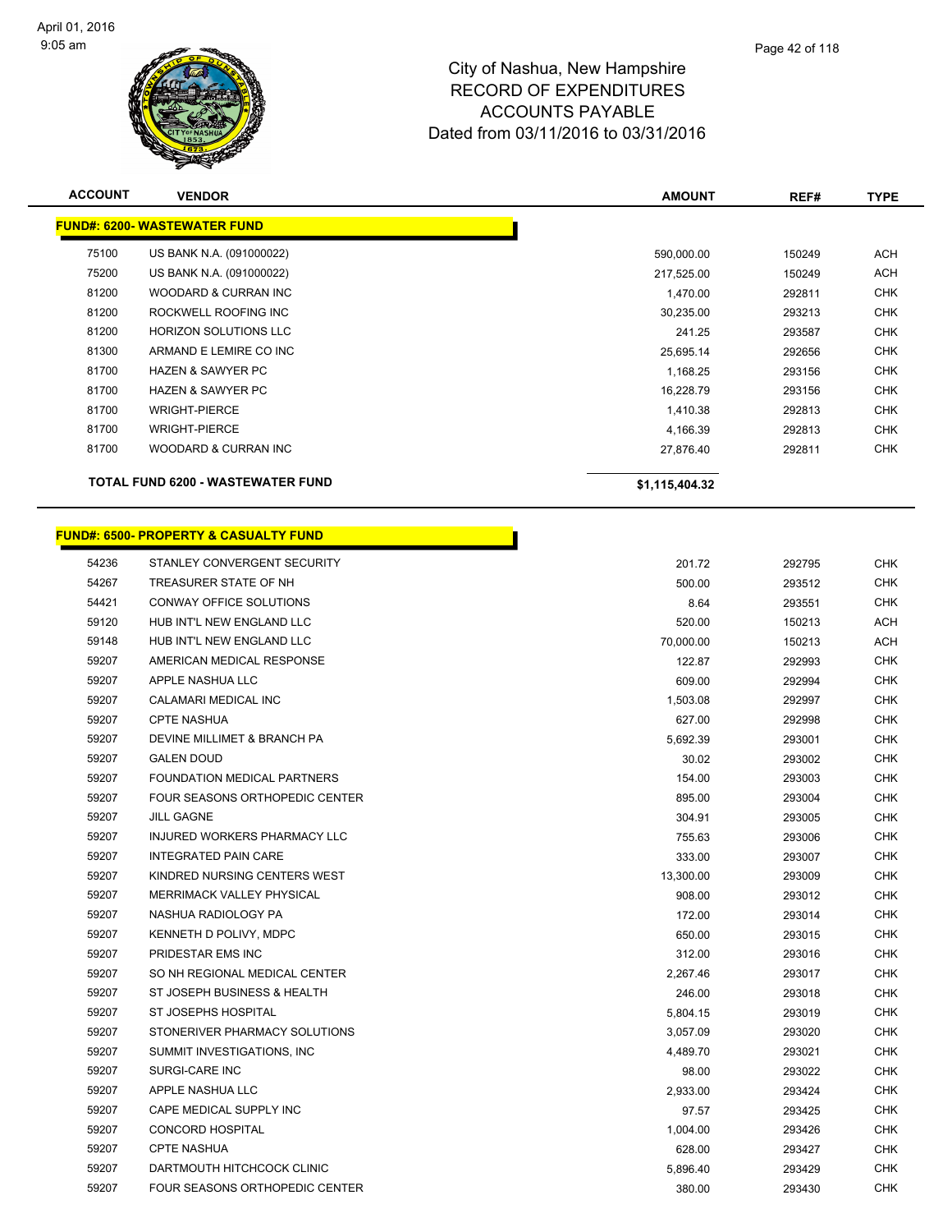

| <b>ACCOUNT</b>                           | <b>VENDOR</b>                                    | <b>AMOUNT</b>  | REF#   | <b>TYPE</b> |
|------------------------------------------|--------------------------------------------------|----------------|--------|-------------|
|                                          | <b>FUND#: 6200- WASTEWATER FUND</b>              |                |        |             |
| 75100                                    | US BANK N.A. (091000022)                         | 590,000.00     | 150249 | <b>ACH</b>  |
| 75200                                    | US BANK N.A. (091000022)                         | 217,525.00     | 150249 | <b>ACH</b>  |
| 81200                                    | WOODARD & CURRAN INC                             | 1,470.00       | 292811 | <b>CHK</b>  |
| 81200                                    | ROCKWELL ROOFING INC                             | 30,235.00      | 293213 | <b>CHK</b>  |
| 81200                                    | <b>HORIZON SOLUTIONS LLC</b>                     | 241.25         | 293587 | <b>CHK</b>  |
| 81300                                    | ARMAND E LEMIRE CO INC                           | 25,695.14      | 292656 | <b>CHK</b>  |
| 81700                                    | <b>HAZEN &amp; SAWYER PC</b>                     | 1,168.25       | 293156 | <b>CHK</b>  |
| 81700                                    | <b>HAZEN &amp; SAWYER PC</b>                     | 16,228.79      | 293156 | <b>CHK</b>  |
| 81700                                    | <b>WRIGHT-PIERCE</b>                             | 1,410.38       | 292813 | <b>CHK</b>  |
| 81700                                    | <b>WRIGHT-PIERCE</b>                             | 4,166.39       | 292813 | <b>CHK</b>  |
| 81700                                    | WOODARD & CURRAN INC                             | 27,876.40      | 292811 | <b>CHK</b>  |
| <b>TOTAL FUND 6200 - WASTEWATER FUND</b> |                                                  | \$1,115,404.32 |        |             |
|                                          | <b>FUND#: 6500- PROPERTY &amp; CASUALTY FUND</b> |                |        |             |
|                                          |                                                  |                |        |             |
| 54236                                    | STANLEY CONVERGENT SECURITY                      | 201.72         | 292795 | <b>CHK</b>  |
| 54267                                    | TREASURER STATE OF NH                            | 500.00         | 293512 | <b>CHK</b>  |
| 54421                                    | CONWAY OFFICE SOLUTIONS                          | 8.64           | 293551 | <b>CHK</b>  |
| 59120                                    | HUB INT'L NEW ENGLAND LLC                        | 520.00         | 150213 | <b>ACH</b>  |
| 59148                                    | HUB INT'L NEW ENGLAND LLC                        | 70,000.00      | 150213 | ACH         |
| 59207                                    | AMERICAN MEDICAL RESPONSE                        | 122.87         | 292993 | <b>CHK</b>  |
| 59207                                    | APPLE NASHUA LLC                                 | 609.00         | 292994 | <b>CHK</b>  |
| 59207                                    | CALAMARI MEDICAL INC                             | 1,503.08       | 292997 | <b>CHK</b>  |
| 59207                                    | <b>CPTE NASHUA</b>                               | 627.00         | 292998 | <b>CHK</b>  |
| 59207                                    | DEVINE MILLIMET & BRANCH PA                      | 5,692.39       | 293001 | <b>CHK</b>  |
| 59207                                    | <b>GALEN DOUD</b>                                | 30.02          | 293002 | <b>CHK</b>  |
| 59207                                    | FOUNDATION MEDICAL PARTNERS                      | 154.00         | 293003 | <b>CHK</b>  |
| 59207                                    | FOUR SEASONS ORTHOPEDIC CENTER                   | 895.00         | 293004 | <b>CHK</b>  |
| 59207                                    | <b>JILL GAGNE</b>                                | 304.91         | 293005 | <b>CHK</b>  |
| 59207                                    | INJURED WORKERS PHARMACY LLC                     | 755.63         | 293006 | <b>CHK</b>  |
| 59207                                    | <b>INTEGRATED PAIN CARE</b>                      | 333.00         | 293007 | <b>CHK</b>  |
| 59207                                    | KINDRED NURSING CENTERS WEST                     | 13,300.00      | 293009 | <b>CHK</b>  |
| 59207                                    | <b>MERRIMACK VALLEY PHYSICAL</b>                 | 908.00         | 293012 | <b>CHK</b>  |
| 59207                                    | NASHUA RADIOLOGY PA                              | 172.00         | 293014 | <b>CHK</b>  |
| 59207                                    | KENNETH D POLIVY, MDPC                           | 650.00         | 293015 | <b>CHK</b>  |
| 59207                                    | PRIDESTAR EMS INC                                | 312.00         | 293016 | <b>CHK</b>  |

 SO NH REGIONAL MEDICAL CENTER 2,267.46 293017 CHK ST JOSEPH BUSINESS & HEALTH 246.00 293018 CHK ST JOSEPHS HOSPITAL 5,804.15 293019 CHK STONERIVER PHARMACY SOLUTIONS 3,057.09 293020 CHK SUMMIT INVESTIGATIONS, INC 4,489.70 293021 CHK SURGI-CARE INC 98.00 293022 CHK APPLE NASHUA LLC 2,933.00 293424 CHK CAPE MEDICAL SUPPLY INC 97.57 293425 CHK CONCORD HOSPITAL 1,004.00 293426 CHK CPTE NASHUA 628.00 293427 CHK 59207 DARTMOUTH HITCHCOCK CLINIC CONTROL CONTROL CONTROL CONTROL CONTROL CONTROL CONTROL CONTROL CONTROL CONTR<br>5,896.40 293429 CHK FOUR SEASONS ORTHOPEDIC CENTER 380.00 293430 CHK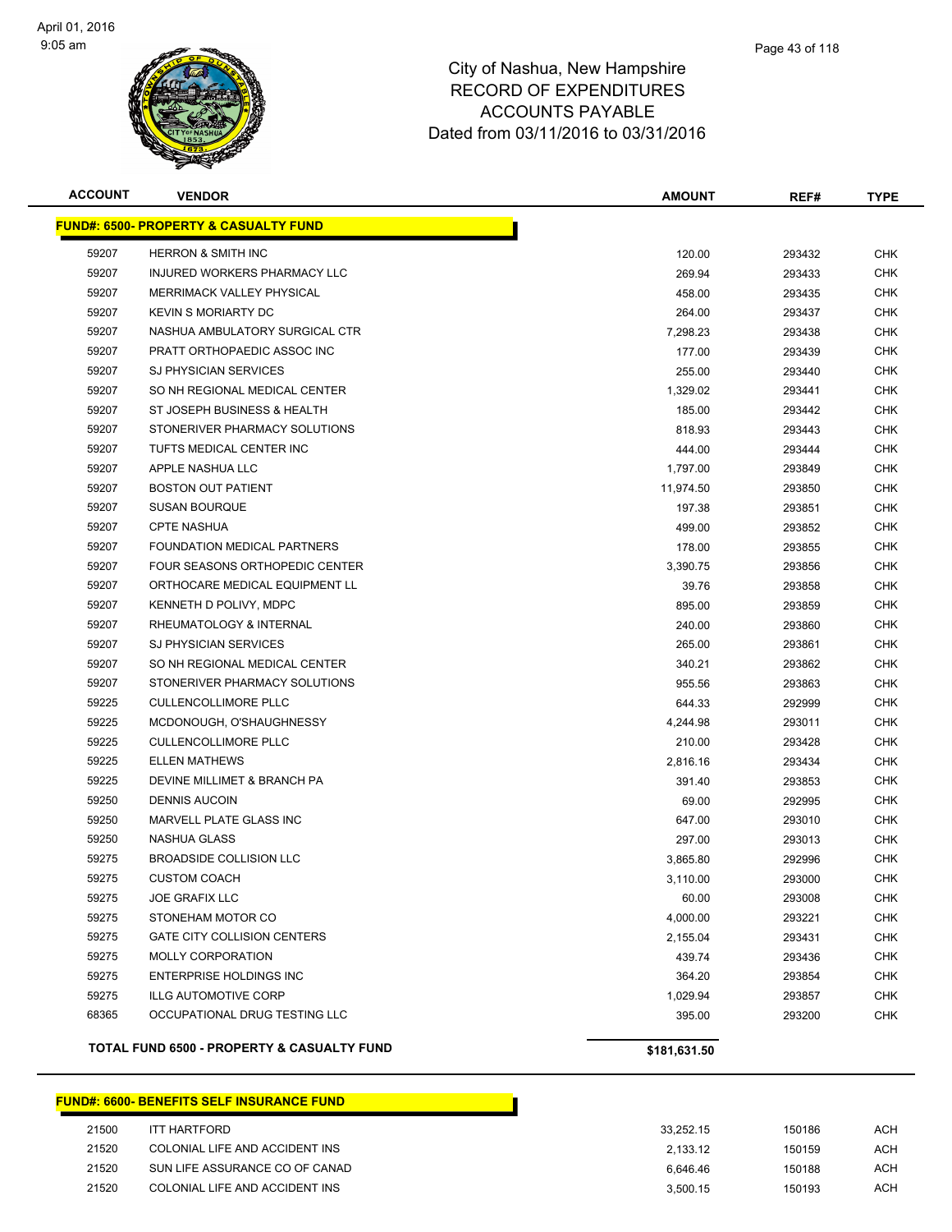

| <b>ACCOUNT</b> | <b>VENDOR</b>                                    | <b>AMOUNT</b> | REF#   | <b>TYPE</b> |
|----------------|--------------------------------------------------|---------------|--------|-------------|
|                | <b>FUND#: 6500- PROPERTY &amp; CASUALTY FUND</b> |               |        |             |
| 59207          | <b>HERRON &amp; SMITH INC</b>                    | 120.00        | 293432 | <b>CHK</b>  |
| 59207          | INJURED WORKERS PHARMACY LLC                     | 269.94        | 293433 | CHK         |
| 59207          | MERRIMACK VALLEY PHYSICAL                        | 458.00        | 293435 | CHK         |
| 59207          | <b>KEVIN S MORIARTY DC</b>                       | 264.00        | 293437 | CHK         |
| 59207          | NASHUA AMBULATORY SURGICAL CTR                   | 7,298.23      | 293438 | CHK         |
| 59207          | PRATT ORTHOPAEDIC ASSOC INC                      | 177.00        | 293439 | <b>CHK</b>  |
| 59207          | <b>SJ PHYSICIAN SERVICES</b>                     | 255.00        | 293440 | <b>CHK</b>  |
| 59207          | SO NH REGIONAL MEDICAL CENTER                    | 1,329.02      | 293441 | <b>CHK</b>  |
| 59207          | ST JOSEPH BUSINESS & HEALTH                      | 185.00        | 293442 | <b>CHK</b>  |
| 59207          | STONERIVER PHARMACY SOLUTIONS                    | 818.93        | 293443 | CHK         |
| 59207          | TUFTS MEDICAL CENTER INC                         | 444.00        | 293444 | CHK         |
| 59207          | APPLE NASHUA LLC                                 | 1,797.00      | 293849 | <b>CHK</b>  |
| 59207          | <b>BOSTON OUT PATIENT</b>                        | 11,974.50     | 293850 | CHK         |
| 59207          | <b>SUSAN BOURQUE</b>                             | 197.38        | 293851 | CHK         |
| 59207          | <b>CPTE NASHUA</b>                               | 499.00        | 293852 | CHK         |
| 59207          | FOUNDATION MEDICAL PARTNERS                      | 178.00        | 293855 | CHK         |
| 59207          | FOUR SEASONS ORTHOPEDIC CENTER                   | 3,390.75      | 293856 | <b>CHK</b>  |
| 59207          | ORTHOCARE MEDICAL EQUIPMENT LL                   | 39.76         | 293858 | <b>CHK</b>  |
| 59207          | KENNETH D POLIVY, MDPC                           | 895.00        | 293859 | <b>CHK</b>  |
| 59207          | RHEUMATOLOGY & INTERNAL                          | 240.00        | 293860 | <b>CHK</b>  |
| 59207          | SJ PHYSICIAN SERVICES                            | 265.00        | 293861 | CHK         |
| 59207          | SO NH REGIONAL MEDICAL CENTER                    | 340.21        | 293862 | <b>CHK</b>  |
| 59207          | STONERIVER PHARMACY SOLUTIONS                    | 955.56        | 293863 | CHK         |
| 59225          | <b>CULLENCOLLIMORE PLLC</b>                      | 644.33        | 292999 | CHK         |
| 59225          | MCDONOUGH, O'SHAUGHNESSY                         | 4,244.98      | 293011 | CHK         |
| 59225          | <b>CULLENCOLLIMORE PLLC</b>                      | 210.00        | 293428 | CHK         |
| 59225          | <b>ELLEN MATHEWS</b>                             | 2,816.16      | 293434 | CHK         |
| 59225          | DEVINE MILLIMET & BRANCH PA                      | 391.40        | 293853 | <b>CHK</b>  |
| 59250          | <b>DENNIS AUCOIN</b>                             | 69.00         | 292995 | <b>CHK</b>  |
| 59250          | MARVELL PLATE GLASS INC                          | 647.00        | 293010 | CHK         |
| 59250          | NASHUA GLASS                                     | 297.00        | 293013 | CHK         |
| 59275          | BROADSIDE COLLISION LLC                          | 3,865.80      | 292996 | CHK         |
| 59275          | <b>CUSTOM COACH</b>                              | 3,110.00      | 293000 | <b>CHK</b>  |
| 59275          | JOE GRAFIX LLC                                   | 60.00         | 293008 | <b>CHK</b>  |
| 59275          | STONEHAM MOTOR CO                                | 4,000.00      | 293221 | <b>CHK</b>  |
| 59275          | GATE CITY COLLISION CENTERS                      | 2,155.04      | 293431 | <b>CHK</b>  |
| 59275          | <b>MOLLY CORPORATION</b>                         | 439.74        | 293436 | <b>CHK</b>  |
| 59275          | <b>ENTERPRISE HOLDINGS INC</b>                   | 364.20        | 293854 | <b>CHK</b>  |
| 59275          | <b>ILLG AUTOMOTIVE CORP</b>                      | 1,029.94      | 293857 | <b>CHK</b>  |
| 68365          | OCCUPATIONAL DRUG TESTING LLC                    | 395.00        | 293200 | <b>CHK</b>  |
|                | TOTAL FUND 6500 - PROPERTY & CASUALTY FUND       | \$181,631.50  |        |             |

#### **FUND#: 6600- BENEFITS SELF INSURANCE FUND**

| 21500 | ITT HARTFORD                   | 33.252.15 | 150186 | ACH |
|-------|--------------------------------|-----------|--------|-----|
| 21520 | COLONIAL LIFE AND ACCIDENT INS | 2.133.12  | 150159 | ACH |
| 21520 | SUN LIFE ASSURANCE CO OF CANAD | 6.646.46  | 150188 | ACH |
| 21520 | COLONIAL LIFE AND ACCIDENT INS | 3.500.15  | 150193 | ACH |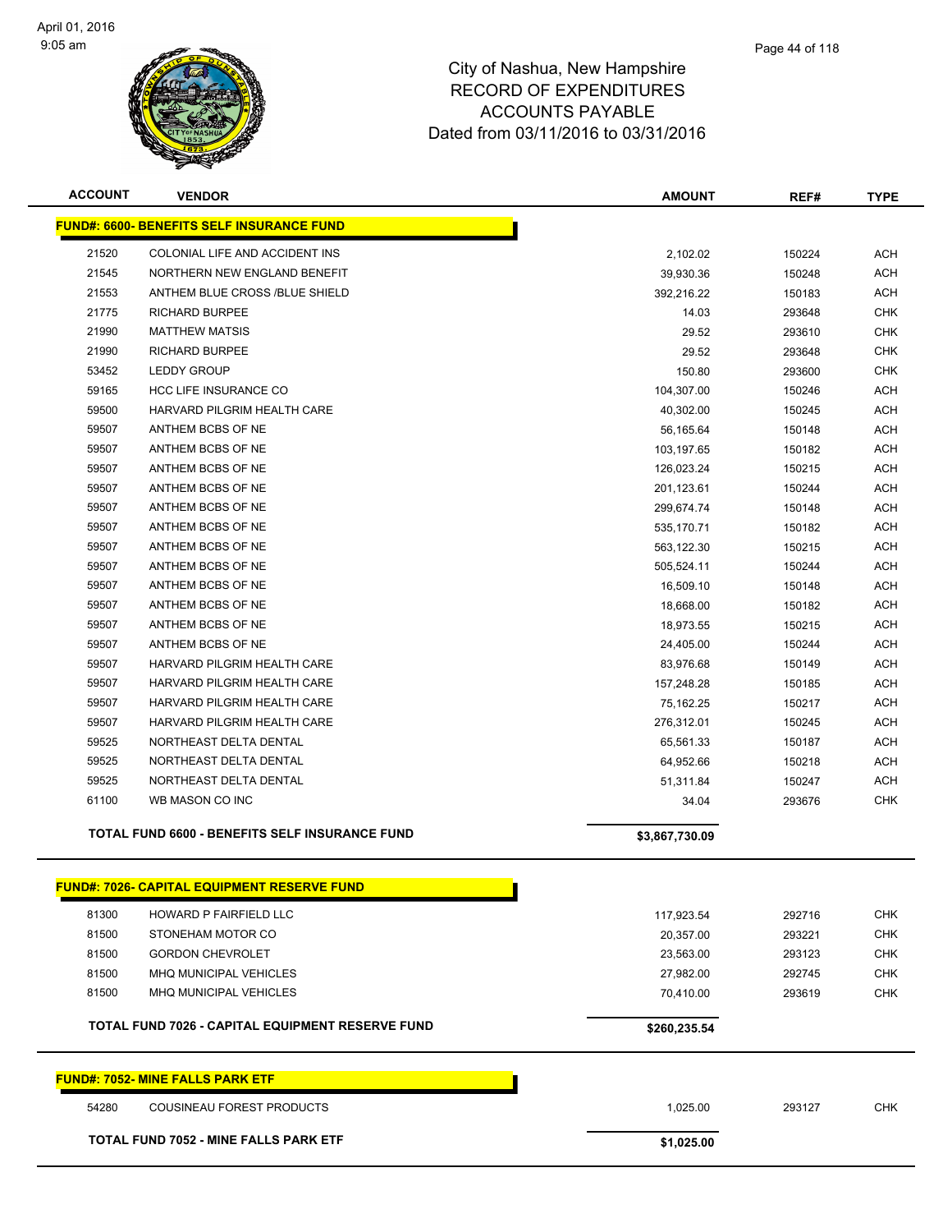

| <b>ACCOUNT</b> | <b>VENDOR</b>                                         | <b>AMOUNT</b>  | REF#   | <b>TYPE</b> |
|----------------|-------------------------------------------------------|----------------|--------|-------------|
|                | <b>FUND#: 6600- BENEFITS SELF INSURANCE FUND</b>      |                |        |             |
| 21520          | COLONIAL LIFE AND ACCIDENT INS                        | 2,102.02       | 150224 | <b>ACH</b>  |
| 21545          | NORTHERN NEW ENGLAND BENEFIT                          | 39,930.36      | 150248 | <b>ACH</b>  |
| 21553          | ANTHEM BLUE CROSS /BLUE SHIELD                        | 392,216.22     | 150183 | <b>ACH</b>  |
| 21775          | <b>RICHARD BURPEE</b>                                 | 14.03          | 293648 | <b>CHK</b>  |
| 21990          | <b>MATTHEW MATSIS</b>                                 | 29.52          | 293610 | <b>CHK</b>  |
| 21990          | <b>RICHARD BURPEE</b>                                 | 29.52          | 293648 | <b>CHK</b>  |
| 53452          | <b>LEDDY GROUP</b>                                    | 150.80         | 293600 | <b>CHK</b>  |
| 59165          | <b>HCC LIFE INSURANCE CO</b>                          | 104,307.00     | 150246 | <b>ACH</b>  |
| 59500          | HARVARD PILGRIM HEALTH CARE                           | 40,302.00      | 150245 | <b>ACH</b>  |
| 59507          | ANTHEM BCBS OF NE                                     | 56,165.64      | 150148 | <b>ACH</b>  |
| 59507          | ANTHEM BCBS OF NE                                     | 103,197.65     | 150182 | <b>ACH</b>  |
| 59507          | ANTHEM BCBS OF NE                                     | 126,023.24     | 150215 | <b>ACH</b>  |
| 59507          | ANTHEM BCBS OF NE                                     | 201,123.61     | 150244 | <b>ACH</b>  |
| 59507          | ANTHEM BCBS OF NE                                     | 299,674.74     | 150148 | <b>ACH</b>  |
| 59507          | ANTHEM BCBS OF NE                                     | 535,170.71     | 150182 | <b>ACH</b>  |
| 59507          | ANTHEM BCBS OF NE                                     | 563,122.30     | 150215 | <b>ACH</b>  |
| 59507          | ANTHEM BCBS OF NE                                     | 505,524.11     | 150244 | <b>ACH</b>  |
| 59507          | ANTHEM BCBS OF NE                                     | 16,509.10      | 150148 | <b>ACH</b>  |
| 59507          | ANTHEM BCBS OF NE                                     | 18,668.00      | 150182 | <b>ACH</b>  |
| 59507          | ANTHEM BCBS OF NE                                     | 18,973.55      | 150215 | <b>ACH</b>  |
| 59507          | ANTHEM BCBS OF NE                                     | 24,405.00      | 150244 | <b>ACH</b>  |
| 59507          | HARVARD PILGRIM HEALTH CARE                           | 83,976.68      | 150149 | <b>ACH</b>  |
| 59507          | HARVARD PILGRIM HEALTH CARE                           | 157,248.28     | 150185 | <b>ACH</b>  |
| 59507          | HARVARD PILGRIM HEALTH CARE                           | 75,162.25      | 150217 | <b>ACH</b>  |
| 59507          | HARVARD PILGRIM HEALTH CARE                           | 276,312.01     | 150245 | <b>ACH</b>  |
| 59525          | NORTHEAST DELTA DENTAL                                | 65,561.33      | 150187 | <b>ACH</b>  |
| 59525          | NORTHEAST DELTA DENTAL                                | 64,952.66      | 150218 | <b>ACH</b>  |
| 59525          | NORTHEAST DELTA DENTAL                                | 51,311.84      | 150247 | <b>ACH</b>  |
| 61100          | WB MASON CO INC                                       | 34.04          | 293676 | <b>CHK</b>  |
|                | <b>TOTAL FUND 6600 - BENEFITS SELF INSURANCE FUND</b> | \$3,867,730.09 |        |             |
|                | <b>FUND#: 7026- CAPITAL EQUIPMENT RESERVE FUND</b>    |                |        |             |
| 81300          | HOWARD P FAIRFIELD LLC                                | 117,923.54     | 292716 | <b>CHK</b>  |
| 81500          | STONEHAM MOTOR CO                                     | 20,357.00      | 293221 | <b>CHK</b>  |
| 81500          | <b>GORDON CHEVROLET</b>                               | 23,563.00      | 293123 | <b>CHK</b>  |
| 81500          | MHQ MUNICIPAL VEHICLES                                | 27,982.00      | 292745 | <b>CHK</b>  |
| 81500          | MHQ MUNICIPAL VEHICLES                                | 70,410.00      | 293619 | <b>CHK</b>  |
|                | TOTAL FUND 7026 - CAPITAL EQUIPMENT RESERVE FUND      | \$260,235.54   |        |             |
|                | <b>FUND#: 7052- MINE FALLS PARK ETF</b>               |                |        |             |
| 54280          | COUSINEAU FOREST PRODUCTS                             | 1,025.00       | 293127 | <b>CHK</b>  |
|                | <b>TOTAL FUND 7052 - MINE FALLS PARK ETF</b>          | \$1,025.00     |        |             |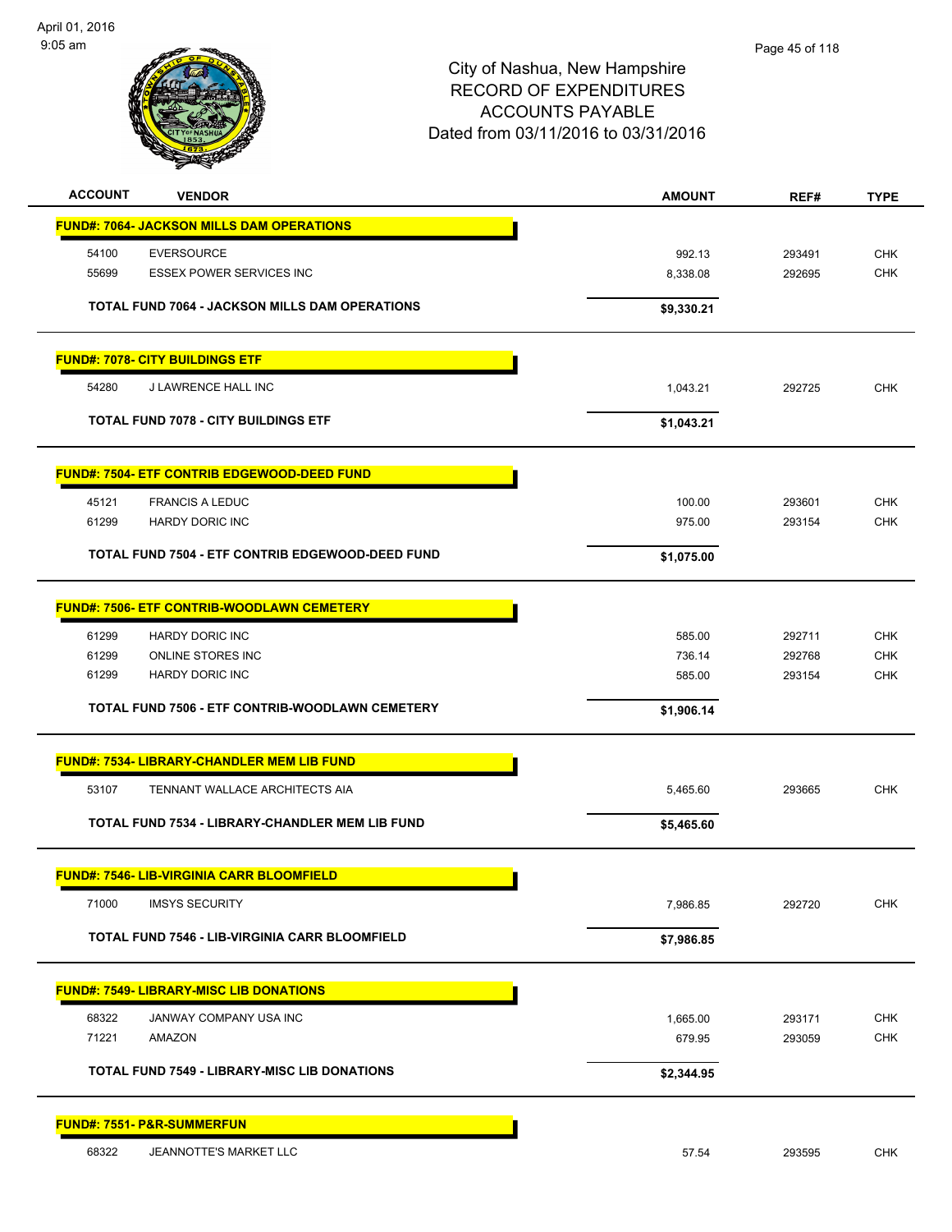

| <b>ACCOUNT</b><br><b>VENDOR</b>                    |                                                       | <b>AMOUNT</b> | REF#   | <b>TYPE</b> |
|----------------------------------------------------|-------------------------------------------------------|---------------|--------|-------------|
| <b>FUND#: 7064- JACKSON MILLS DAM OPERATIONS</b>   |                                                       |               |        |             |
| <b>EVERSOURCE</b><br>54100                         |                                                       | 992.13        | 293491 | <b>CHK</b>  |
| 55699<br><b>ESSEX POWER SERVICES INC</b>           |                                                       | 8,338.08      | 292695 | <b>CHK</b>  |
|                                                    | <b>TOTAL FUND 7064 - JACKSON MILLS DAM OPERATIONS</b> | \$9,330.21    |        |             |
| <b>FUND#: 7078- CITY BUILDINGS ETF</b>             |                                                       |               |        |             |
| 54280<br><b>J LAWRENCE HALL INC</b>                |                                                       | 1,043.21      | 292725 | <b>CHK</b>  |
| <b>TOTAL FUND 7078 - CITY BUILDINGS ETF</b>        |                                                       | \$1,043.21    |        |             |
| <b>FUND#: 7504- ETF CONTRIB EDGEWOOD-DEED FUND</b> |                                                       |               |        |             |
| 45121<br><b>FRANCIS A LEDUC</b>                    |                                                       | 100.00        | 293601 | <b>CHK</b>  |
| 61299<br><b>HARDY DORIC INC</b>                    |                                                       | 975.00        | 293154 | <b>CHK</b>  |
|                                                    | TOTAL FUND 7504 - ETF CONTRIB EDGEWOOD-DEED FUND      | \$1,075.00    |        |             |
| <b>FUND#: 7506- ETF CONTRIB-WOODLAWN CEMETERY</b>  |                                                       |               |        |             |
| 61299<br><b>HARDY DORIC INC</b>                    |                                                       | 585.00        | 292711 | <b>CHK</b>  |
| 61299<br>ONLINE STORES INC                         |                                                       | 736.14        | 292768 | <b>CHK</b>  |
| <b>HARDY DORIC INC</b><br>61299                    |                                                       | 585.00        | 293154 | <b>CHK</b>  |
|                                                    | TOTAL FUND 7506 - ETF CONTRIB-WOODLAWN CEMETERY       | \$1,906.14    |        |             |
| <b>FUND#: 7534- LIBRARY-CHANDLER MEM LIB FUND</b>  |                                                       |               |        |             |
| 53107                                              | TENNANT WALLACE ARCHITECTS AIA                        | 5,465.60      | 293665 | <b>CHK</b>  |
|                                                    | TOTAL FUND 7534 - LIBRARY-CHANDLER MEM LIB FUND       | \$5,465.60    |        |             |
| <b>FUND#: 7546- LIB-VIRGINIA CARR BLOOMFIELD</b>   |                                                       |               |        |             |
| 71000<br><b>IMSYS SECURITY</b>                     |                                                       | 7,986.85      | 292720 | <b>CHK</b>  |
|                                                    | <b>TOTAL FUND 7546 - LIB-VIRGINIA CARR BLOOMFIELD</b> | \$7,986.85    |        |             |
| <b>FUND#: 7549- LIBRARY-MISC LIB DONATIONS</b>     |                                                       |               |        |             |
| 68322<br>JANWAY COMPANY USA INC                    |                                                       | 1,665.00      | 293171 | <b>CHK</b>  |
| 71221<br>AMAZON                                    |                                                       | 679.95        | 293059 | CHK         |
|                                                    | <b>TOTAL FUND 7549 - LIBRARY-MISC LIB DONATIONS</b>   | \$2,344.95    |        |             |
| <b>FUND#: 7551- P&amp;R-SUMMERFUN</b>              |                                                       |               |        |             |
| JEANNOTTE'S MARKET LLC<br>68322                    |                                                       | 57.54         | 293595 | <b>CHK</b>  |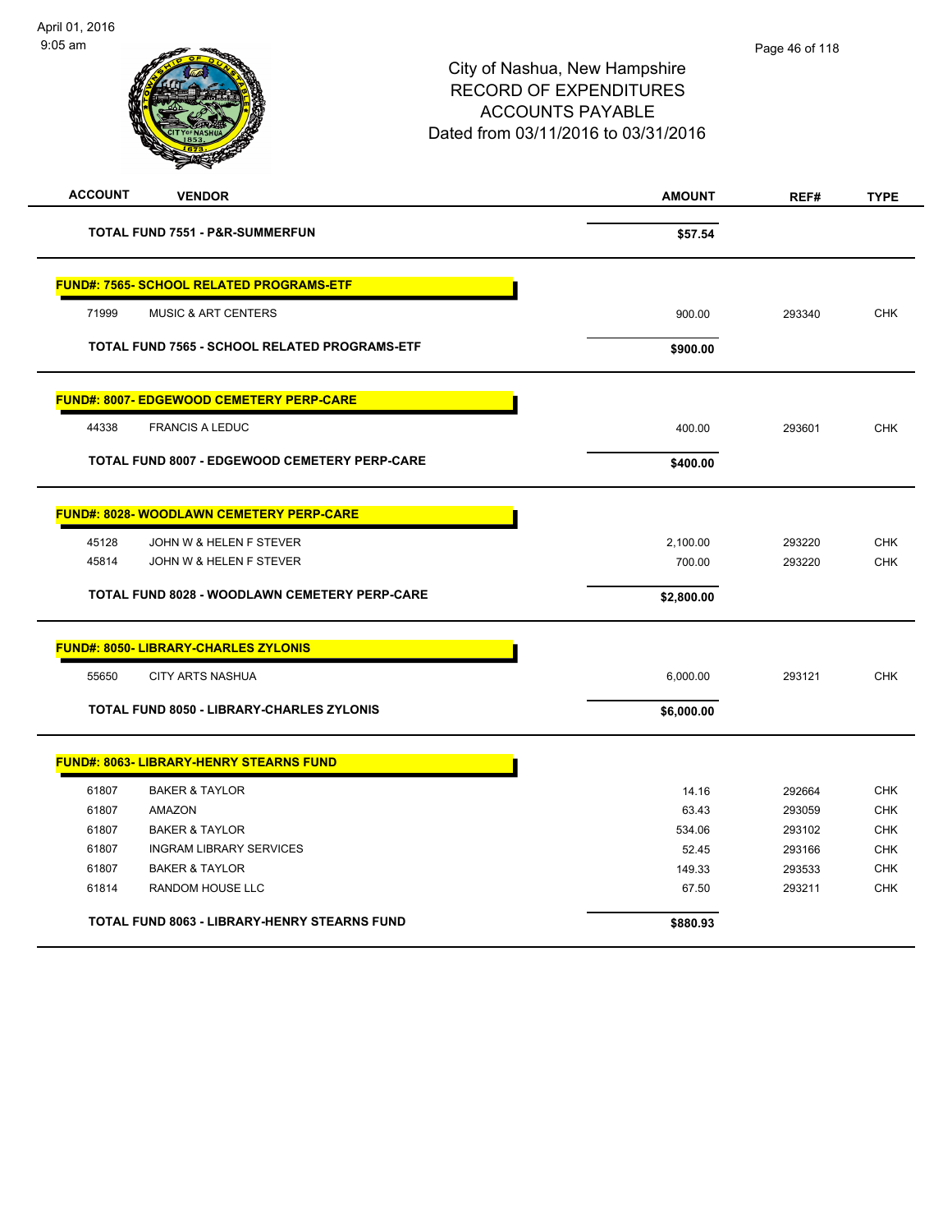| <b>ACCOUNT</b><br><b>VENDOR</b>                      | <b>AMOUNT</b> | REF#   | <b>TYPE</b> |
|------------------------------------------------------|---------------|--------|-------------|
| <b>TOTAL FUND 7551 - P&amp;R-SUMMERFUN</b>           | \$57.54       |        |             |
| <b>FUND#: 7565- SCHOOL RELATED PROGRAMS-ETF</b>      |               |        |             |
| 71999<br><b>MUSIC &amp; ART CENTERS</b>              | 900.00        | 293340 | <b>CHK</b>  |
| <b>TOTAL FUND 7565 - SCHOOL RELATED PROGRAMS-ETF</b> | \$900.00      |        |             |
| <b>FUND#: 8007- EDGEWOOD CEMETERY PERP-CARE</b>      |               |        |             |
| 44338<br><b>FRANCIS A LEDUC</b>                      | 400.00        | 293601 | <b>CHK</b>  |
| <b>TOTAL FUND 8007 - EDGEWOOD CEMETERY PERP-CARE</b> | \$400.00      |        |             |
| <b>FUND#: 8028- WOODLAWN CEMETERY PERP-CARE</b>      |               |        |             |
| 45128<br>JOHN W & HELEN F STEVER                     | 2,100.00      | 293220 | <b>CHK</b>  |
| 45814<br>JOHN W & HELEN F STEVER                     | 700.00        | 293220 | <b>CHK</b>  |
| <b>TOTAL FUND 8028 - WOODLAWN CEMETERY PERP-CARE</b> | \$2,800.00    |        |             |
| <b>FUND#: 8050- LIBRARY-CHARLES ZYLONIS</b>          |               |        |             |
| <b>CITY ARTS NASHUA</b><br>55650                     | 6,000.00      | 293121 | <b>CHK</b>  |
| <b>TOTAL FUND 8050 - LIBRARY-CHARLES ZYLONIS</b>     | \$6,000.00    |        |             |
| <b>FUND#: 8063- LIBRARY-HENRY STEARNS FUND</b>       |               |        |             |
| 61807<br><b>BAKER &amp; TAYLOR</b>                   | 14.16         | 292664 | <b>CHK</b>  |
| 61807<br><b>AMAZON</b>                               | 63.43         | 293059 | <b>CHK</b>  |
| 61807<br><b>BAKER &amp; TAYLOR</b>                   | 534.06        | 293102 | <b>CHK</b>  |
| 61807<br><b>INGRAM LIBRARY SERVICES</b>              | 52.45         | 293166 | <b>CHK</b>  |
| 61807<br><b>BAKER &amp; TAYLOR</b>                   | 149.33        | 293533 | <b>CHK</b>  |
| 61814<br>RANDOM HOUSE LLC                            | 67.50         | 293211 | <b>CHK</b>  |
| TOTAL FUND 8063 - LIBRARY-HENRY STEARNS FUND         | \$880.93      |        |             |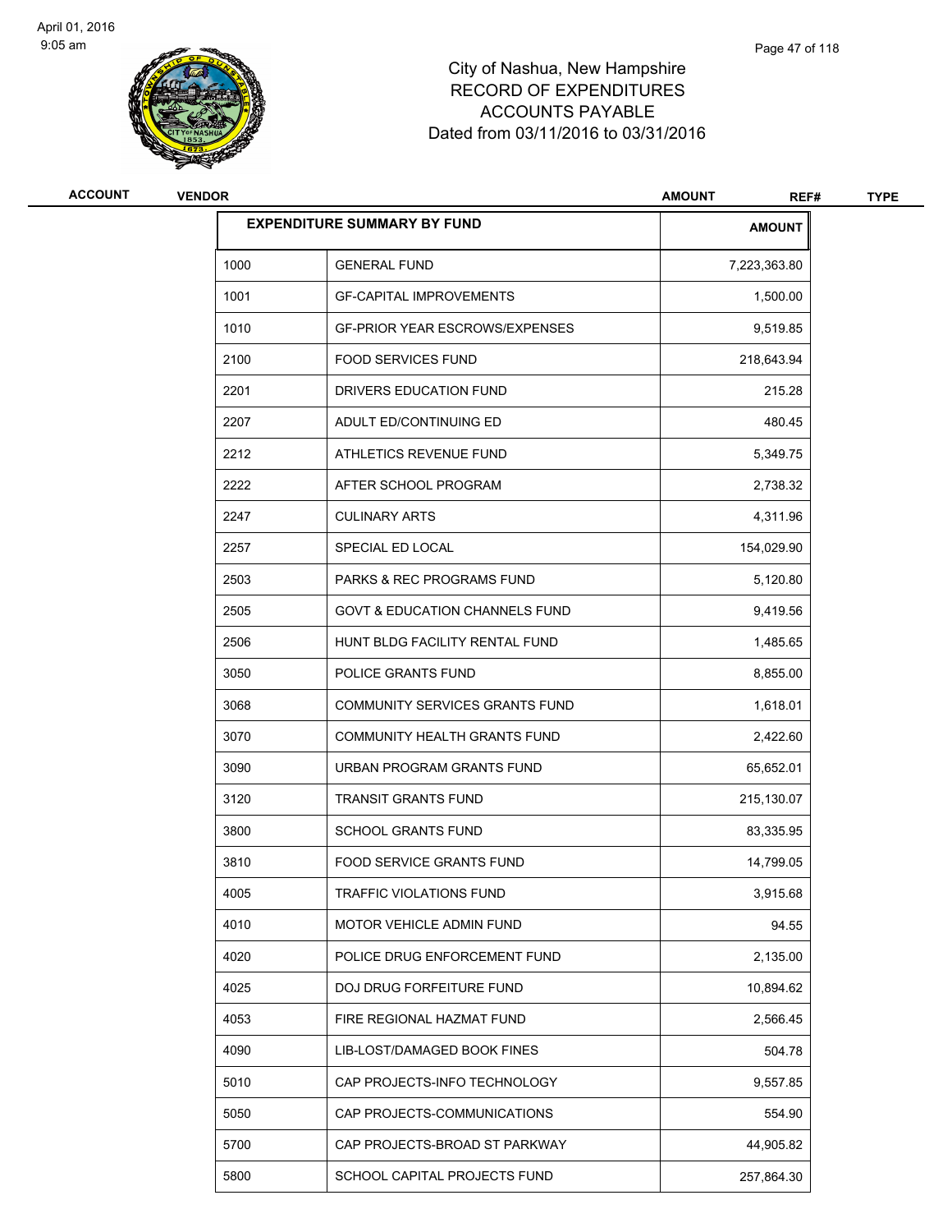

| ACCOUNT | <b>VENDOR</b> | <b>AMOUNT</b><br>REF#                     |               |  |  |  |  |
|---------|---------------|-------------------------------------------|---------------|--|--|--|--|
|         |               | <b>EXPENDITURE SUMMARY BY FUND</b>        | <b>AMOUNT</b> |  |  |  |  |
|         | 1000          | <b>GENERAL FUND</b>                       | 7,223,363.80  |  |  |  |  |
|         | 1001          | <b>GF-CAPITAL IMPROVEMENTS</b>            | 1,500.00      |  |  |  |  |
|         | 1010          | <b>GF-PRIOR YEAR ESCROWS/EXPENSES</b>     | 9,519.85      |  |  |  |  |
|         | 2100          | <b>FOOD SERVICES FUND</b>                 | 218,643.94    |  |  |  |  |
|         | 2201          | DRIVERS EDUCATION FUND                    | 215.28        |  |  |  |  |
|         | 2207          | ADULT ED/CONTINUING ED                    | 480.45        |  |  |  |  |
|         | 2212          | ATHLETICS REVENUE FUND                    | 5,349.75      |  |  |  |  |
|         | 2222          | AFTER SCHOOL PROGRAM                      | 2,738.32      |  |  |  |  |
|         | 2247          | <b>CULINARY ARTS</b>                      | 4,311.96      |  |  |  |  |
|         | 2257          | SPECIAL ED LOCAL                          | 154,029.90    |  |  |  |  |
|         | 2503          | <b>PARKS &amp; REC PROGRAMS FUND</b>      | 5,120.80      |  |  |  |  |
|         | 2505          | <b>GOVT &amp; EDUCATION CHANNELS FUND</b> | 9,419.56      |  |  |  |  |
|         | 2506          | HUNT BLDG FACILITY RENTAL FUND            | 1,485.65      |  |  |  |  |
|         | 3050          | POLICE GRANTS FUND                        | 8,855.00      |  |  |  |  |
|         | 3068          | COMMUNITY SERVICES GRANTS FUND            | 1,618.01      |  |  |  |  |
|         | 3070          | COMMUNITY HEALTH GRANTS FUND              | 2,422.60      |  |  |  |  |
|         | 3090          | URBAN PROGRAM GRANTS FUND                 | 65,652.01     |  |  |  |  |
|         | 3120          | <b>TRANSIT GRANTS FUND</b>                | 215,130.07    |  |  |  |  |
|         | 3800          | <b>SCHOOL GRANTS FUND</b>                 | 83,335.95     |  |  |  |  |
|         | 3810          | <b>FOOD SERVICE GRANTS FUND</b>           | 14,799.05     |  |  |  |  |
|         | 4005          | TRAFFIC VIOLATIONS FUND                   | 3,915.68      |  |  |  |  |
|         | 4010          | MOTOR VEHICLE ADMIN FUND                  | 94.55         |  |  |  |  |
|         | 4020          | POLICE DRUG ENFORCEMENT FUND              | 2,135.00      |  |  |  |  |
|         | 4025          | DOJ DRUG FORFEITURE FUND                  | 10,894.62     |  |  |  |  |
|         | 4053          | FIRE REGIONAL HAZMAT FUND                 | 2,566.45      |  |  |  |  |
|         | 4090          | LIB-LOST/DAMAGED BOOK FINES               | 504.78        |  |  |  |  |
|         | 5010          | CAP PROJECTS-INFO TECHNOLOGY              | 9,557.85      |  |  |  |  |
|         | 5050          | CAP PROJECTS-COMMUNICATIONS               | 554.90        |  |  |  |  |
|         | 5700          | CAP PROJECTS-BROAD ST PARKWAY             | 44,905.82     |  |  |  |  |
|         | 5800          | SCHOOL CAPITAL PROJECTS FUND              | 257,864.30    |  |  |  |  |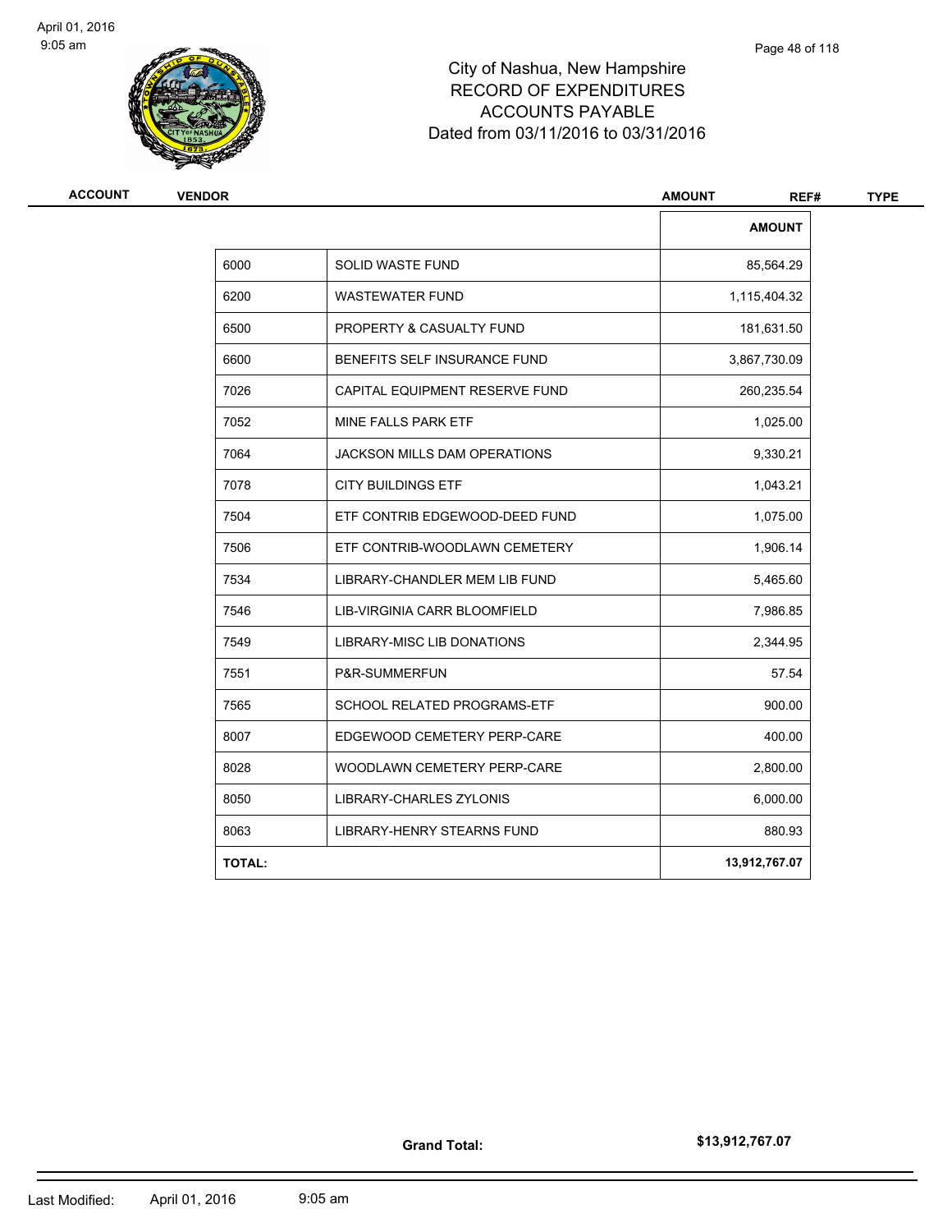

| <b>ACCOUNT</b> | <b>VENDOR</b> |                                    | <b>AMOUNT</b><br>REF# | <b>TYPE</b> |  |
|----------------|---------------|------------------------------------|-----------------------|-------------|--|
|                |               |                                    | <b>AMOUNT</b>         |             |  |
|                | 6000          | <b>SOLID WASTE FUND</b>            | 85,564.29             |             |  |
|                | 6200          | <b>WASTEWATER FUND</b>             | 1,115,404.32          |             |  |
|                | 6500          | PROPERTY & CASUALTY FUND           | 181,631.50            |             |  |
|                | 6600          | BENEFITS SELF INSURANCE FUND       | 3,867,730.09          |             |  |
|                | 7026          | CAPITAL EQUIPMENT RESERVE FUND     | 260,235.54            |             |  |
|                | 7052          | MINE FALLS PARK ETF                | 1,025.00              |             |  |
|                | 7064          | JACKSON MILLS DAM OPERATIONS       | 9,330.21              |             |  |
|                | 7078          | <b>CITY BUILDINGS ETF</b>          | 1,043.21              |             |  |
|                | 7504          | ETF CONTRIB EDGEWOOD-DEED FUND     | 1,075.00              |             |  |
|                | 7506          | ETF CONTRIB-WOODLAWN CEMETERY      | 1,906.14              |             |  |
|                | 7534          | LIBRARY-CHANDLER MEM LIB FUND      | 5,465.60              |             |  |
|                | 7546          | LIB-VIRGINIA CARR BLOOMFIELD       | 7,986.85              |             |  |
|                | 7549          | LIBRARY-MISC LIB DONATIONS         | 2,344.95              |             |  |
|                | 7551          | P&R-SUMMERFUN                      | 57.54                 |             |  |
|                | 7565          | <b>SCHOOL RELATED PROGRAMS-ETF</b> | 900.00                |             |  |
|                | 8007          | EDGEWOOD CEMETERY PERP-CARE        | 400.00                |             |  |
|                | 8028          | WOODLAWN CEMETERY PERP-CARE        | 2,800.00              |             |  |
|                | 8050          | LIBRARY-CHARLES ZYLONIS            | 6,000.00              |             |  |
|                | 8063          | LIBRARY-HENRY STEARNS FUND         | 880.93                |             |  |
|                | <b>TOTAL:</b> |                                    | 13,912,767.07         |             |  |

**\$13,912,767.07**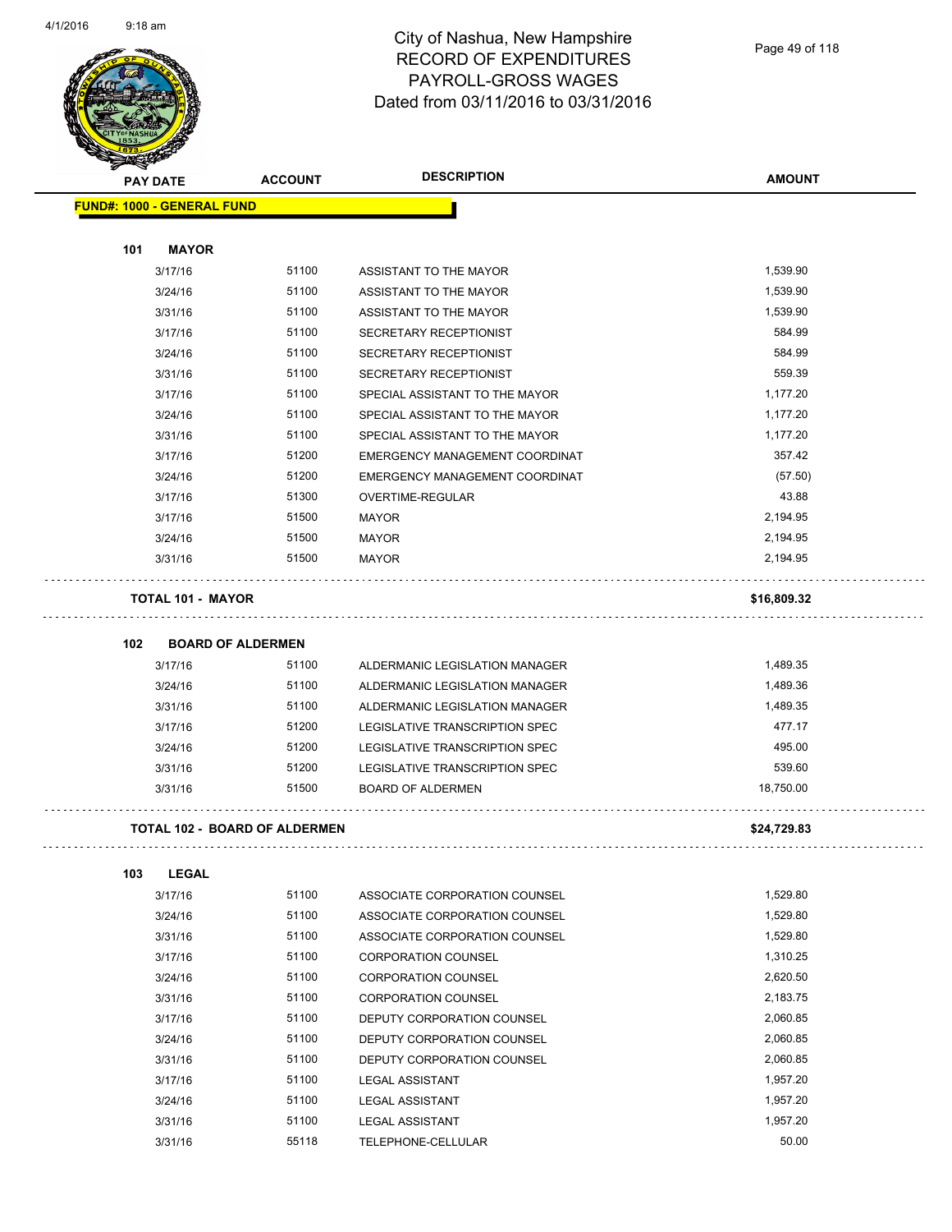

| <b>PAY DATE</b>                   | <b>ACCOUNT</b>                       | <b>DESCRIPTION</b>             | <b>AMOUNT</b> |
|-----------------------------------|--------------------------------------|--------------------------------|---------------|
| <b>FUND#: 1000 - GENERAL FUND</b> |                                      |                                |               |
|                                   |                                      |                                |               |
| 101<br><b>MAYOR</b>               |                                      |                                |               |
| 3/17/16                           | 51100                                | ASSISTANT TO THE MAYOR         | 1,539.90      |
| 3/24/16                           | 51100                                | ASSISTANT TO THE MAYOR         | 1,539.90      |
| 3/31/16                           | 51100                                | ASSISTANT TO THE MAYOR         | 1,539.90      |
| 3/17/16                           | 51100                                | SECRETARY RECEPTIONIST         | 584.99        |
| 3/24/16                           | 51100                                | SECRETARY RECEPTIONIST         | 584.99        |
| 3/31/16                           | 51100                                | SECRETARY RECEPTIONIST         | 559.39        |
| 3/17/16                           | 51100                                | SPECIAL ASSISTANT TO THE MAYOR | 1,177.20      |
| 3/24/16                           | 51100                                | SPECIAL ASSISTANT TO THE MAYOR | 1,177.20      |
| 3/31/16                           | 51100                                | SPECIAL ASSISTANT TO THE MAYOR | 1,177.20      |
| 3/17/16                           | 51200                                | EMERGENCY MANAGEMENT COORDINAT | 357.42        |
| 3/24/16                           | 51200                                | EMERGENCY MANAGEMENT COORDINAT | (57.50)       |
| 3/17/16                           | 51300                                | OVERTIME-REGULAR               | 43.88         |
| 3/17/16                           | 51500                                | MAYOR                          | 2,194.95      |
| 3/24/16                           | 51500                                | <b>MAYOR</b>                   | 2,194.95      |
| 3/31/16                           | 51500                                | <b>MAYOR</b>                   | 2,194.95      |
| <b>TOTAL 101 - MAYOR</b>          |                                      |                                | \$16,809.32   |
|                                   |                                      |                                |               |
| 102                               | <b>BOARD OF ALDERMEN</b>             |                                |               |
| 3/17/16                           | 51100                                | ALDERMANIC LEGISLATION MANAGER | 1,489.35      |
| 3/24/16                           | 51100                                | ALDERMANIC LEGISLATION MANAGER | 1,489.36      |
| 3/31/16                           | 51100                                | ALDERMANIC LEGISLATION MANAGER | 1,489.35      |
| 3/17/16                           | 51200                                | LEGISLATIVE TRANSCRIPTION SPEC | 477.17        |
| 3/24/16                           | 51200                                | LEGISLATIVE TRANSCRIPTION SPEC | 495.00        |
| 3/31/16                           | 51200                                | LEGISLATIVE TRANSCRIPTION SPEC | 539.60        |
| 3/31/16                           | 51500                                | <b>BOARD OF ALDERMEN</b>       | 18,750.00     |
|                                   | <b>TOTAL 102 - BOARD OF ALDERMEN</b> |                                | \$24,729.83   |
| 103<br><b>LEGAL</b>               |                                      |                                |               |
| 3/17/16                           | 51100                                | ASSOCIATE CORPORATION COUNSEL  | 1,529.80      |
| 3/24/16                           | 51100                                | ASSOCIATE CORPORATION COUNSEL  | 1,529.80      |
| 3/31/16                           | 51100                                | ASSOCIATE CORPORATION COUNSEL  | 1,529.80      |
| 3/17/16                           | 51100                                | <b>CORPORATION COUNSEL</b>     | 1,310.25      |
| 3/24/16                           | 51100                                | <b>CORPORATION COUNSEL</b>     | 2,620.50      |
| 3/31/16                           | 51100                                | <b>CORPORATION COUNSEL</b>     | 2,183.75      |
| 3/17/16                           | 51100                                | DEPUTY CORPORATION COUNSEL     | 2,060.85      |
| 3/24/16                           | 51100                                | DEPUTY CORPORATION COUNSEL     | 2,060.85      |
| 3/31/16                           | 51100                                | DEPUTY CORPORATION COUNSEL     | 2,060.85      |
| 3/17/16                           | 51100                                | <b>LEGAL ASSISTANT</b>         | 1,957.20      |
| 3/24/16                           | 51100                                |                                | 1,957.20      |
|                                   |                                      | <b>LEGAL ASSISTANT</b>         |               |

3/31/16 51100 LEGAL ASSISTANT 1,957.20 3/31/16 55118 TELEPHONE-CELLULAR 50.00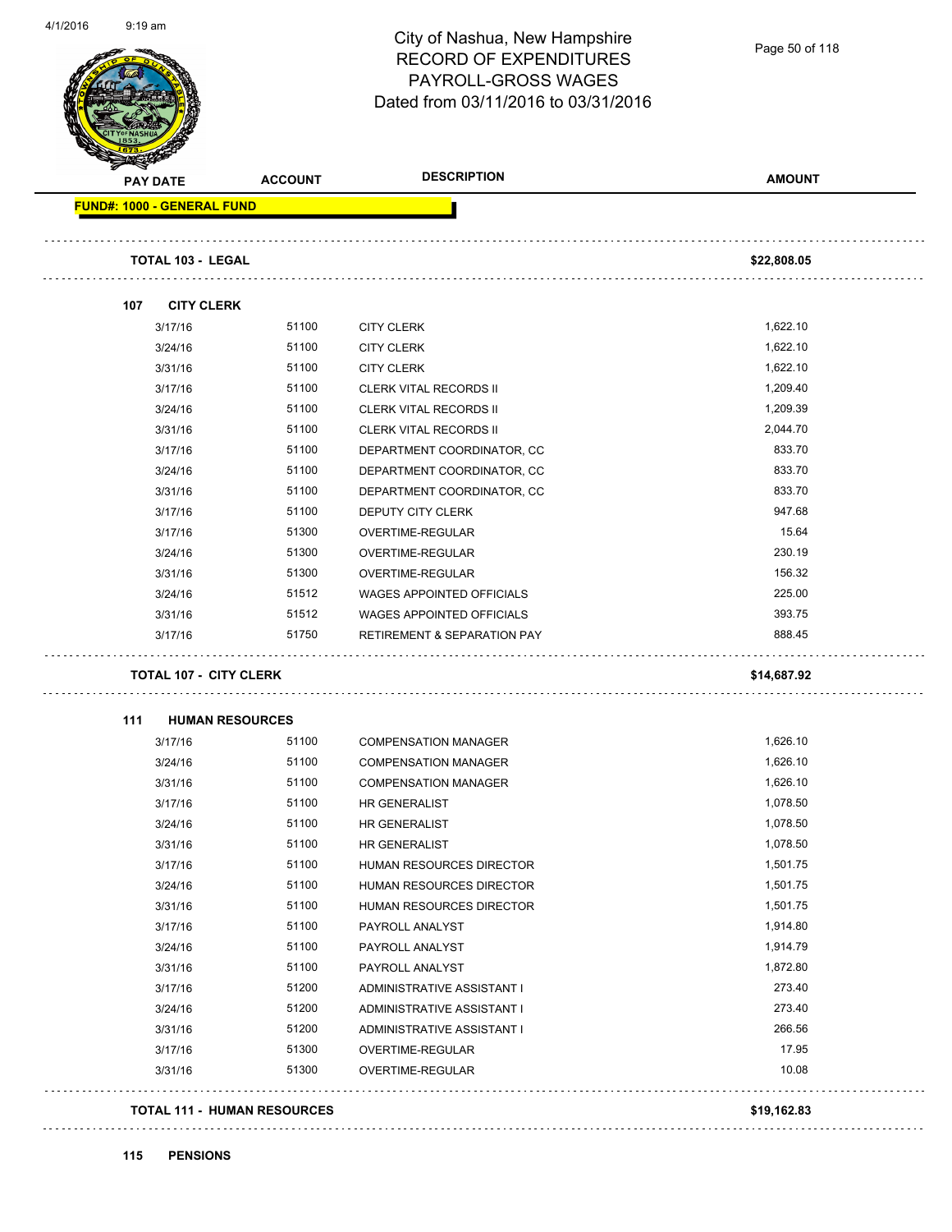Page 50 of 118

| <b>PAY DATE</b>                   | <b>ACCOUNT</b>                | <b>DESCRIPTION</b>                     | <b>AMOUNT</b> |
|-----------------------------------|-------------------------------|----------------------------------------|---------------|
| <b>FUND#: 1000 - GENERAL FUND</b> |                               |                                        |               |
| <b>TOTAL 103 - LEGAL</b>          |                               |                                        | \$22,808.05   |
| 107                               | <b>CITY CLERK</b>             |                                        |               |
| 3/17/16                           | 51100                         | <b>CITY CLERK</b>                      | 1,622.10      |
| 3/24/16                           | 51100                         | <b>CITY CLERK</b>                      | 1,622.10      |
| 3/31/16                           | 51100                         | <b>CITY CLERK</b>                      | 1,622.10      |
| 3/17/16                           | 51100                         | <b>CLERK VITAL RECORDS II</b>          | 1,209.40      |
| 3/24/16                           | 51100                         | <b>CLERK VITAL RECORDS II</b>          | 1,209.39      |
| 3/31/16                           | 51100                         | <b>CLERK VITAL RECORDS II</b>          | 2,044.70      |
| 3/17/16                           | 51100                         | DEPARTMENT COORDINATOR, CC             | 833.70        |
| 3/24/16                           | 51100                         | DEPARTMENT COORDINATOR, CC             | 833.70        |
| 3/31/16                           | 51100                         | DEPARTMENT COORDINATOR, CC             | 833.70        |
| 3/17/16                           | 51100                         | DEPUTY CITY CLERK                      | 947.68        |
| 3/17/16                           | 51300                         | OVERTIME-REGULAR                       | 15.64         |
| 3/24/16                           | 51300                         | OVERTIME-REGULAR                       | 230.19        |
| 3/31/16                           | 51300                         | OVERTIME-REGULAR                       | 156.32        |
| 3/24/16                           | 51512                         | <b>WAGES APPOINTED OFFICIALS</b>       | 225.00        |
| 3/31/16                           | 51512                         | <b>WAGES APPOINTED OFFICIALS</b>       | 393.75        |
| 3/17/16                           | 51750                         | <b>RETIREMENT &amp; SEPARATION PAY</b> | 888.45        |
|                                   | <b>TOTAL 107 - CITY CLERK</b> |                                        | \$14,687.92   |
| 111                               | <b>HUMAN RESOURCES</b>        |                                        |               |
| 3/17/16                           | 51100                         | <b>COMPENSATION MANAGER</b>            | 1,626.10      |
| 3/24/16                           | 51100                         | <b>COMPENSATION MANAGER</b>            | 1,626.10      |
| 3/31/16                           | 51100                         | <b>COMPENSATION MANAGER</b>            | 1,626.10      |
| 3/17/16                           | 51100                         | HR GENERALIST                          | 1,078.50      |
| 3/24/16                           | 51100                         | HR GENERALIST                          | 1,078.50      |
| 3/31/16                           | 51100                         | HR GENERALIST                          | 1,078.50      |
| 3/17/16                           | 51100                         | HUMAN RESOURCES DIRECTOR               | 1,501.75      |
| 3/24/16                           | 51100                         | HUMAN RESOURCES DIRECTOR               | 1,501.75      |
| 3/31/16                           | 51100                         | HUMAN RESOURCES DIRECTOR               | 1,501.75      |
| 3/17/16                           | 51100                         | PAYROLL ANALYST                        | 1,914.80      |
| 3/24/16                           | 51100                         | PAYROLL ANALYST                        | 1,914.79      |
| 3/31/16                           | 51100                         | PAYROLL ANALYST                        | 1,872.80      |
|                                   | 51200                         | ADMINISTRATIVE ASSISTANT I             | 273.40        |
| 3/17/16                           | 51200                         | ADMINISTRATIVE ASSISTANT I             | 273.40        |
| 3/24/16                           |                               | ADMINISTRATIVE ASSISTANT I             | 266.56        |
| 3/31/16                           | 51200                         |                                        | 17.95         |
| 3/17/16                           | 51300                         | OVERTIME-REGULAR                       |               |
| 3/31/16                           | 51300                         | OVERTIME-REGULAR                       | 10.08         |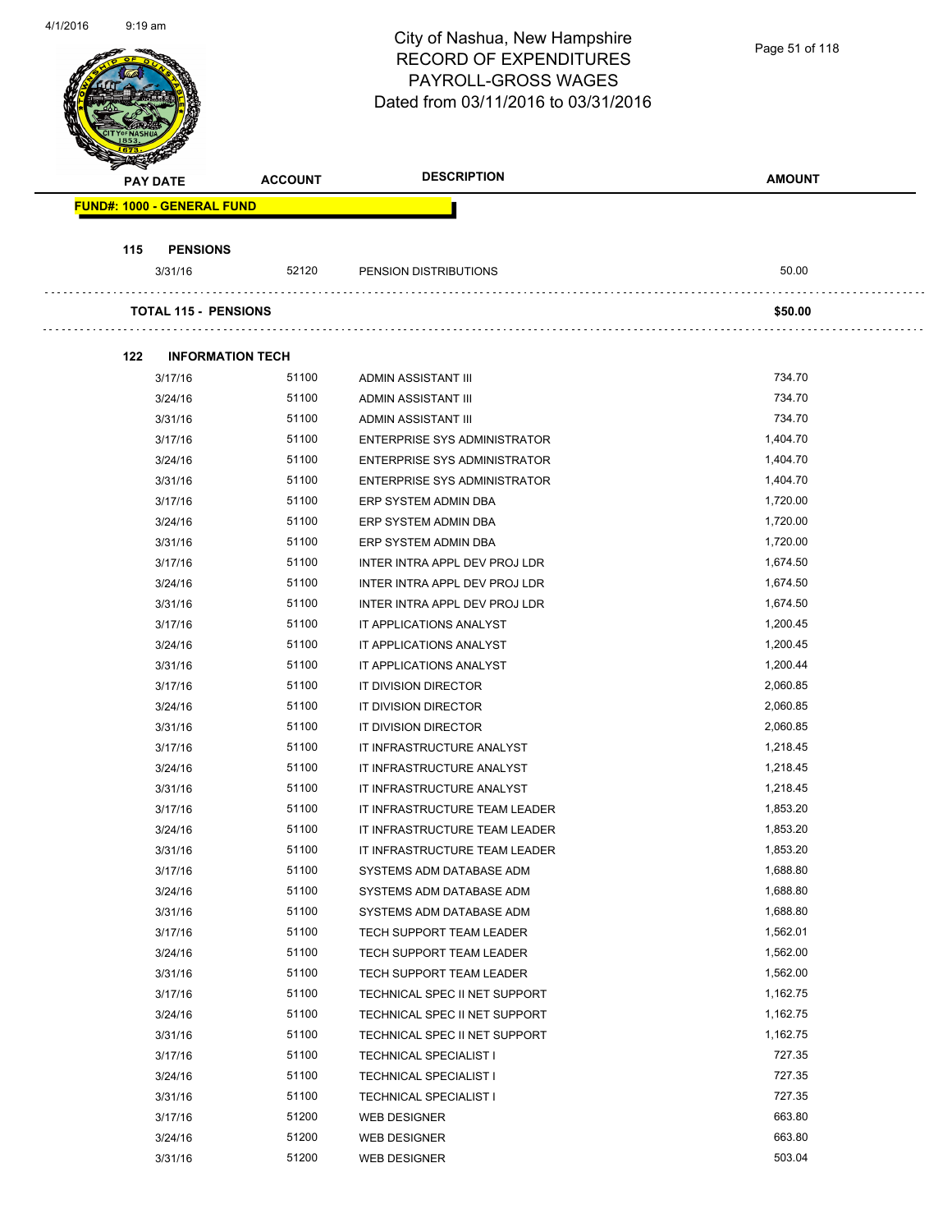City of Nashua, New Hampshire Page 51 of 118RECORD OF EXPENDITURES PAYROLL-GROSS WAGES Dated from 03/11/2016 to 03/31/2016 **PAY DATE ACCOUNT DESCRIPTION AMOUNT FUND#: 1000 - GENERAL FUND 115 PENSIONS** 3/31/16 52120 PENSION DISTRIBUTIONS 50.00 **TOTAL 115 - PENSIONS \$50.00 122 INFORMATION TECH** 3/17/16 51100 ADMIN ASSISTANT III 734.70 3/24/16 51100 ADMIN ASSISTANT III 734.70 3/31/16 51100 ADMIN ASSISTANT III 734.70 3/17/16 51100 ENTERPRISE SYS ADMINISTRATOR 1,404.70 3/24/16 51100 ENTERPRISE SYS ADMINISTRATOR 1,404.70 3/31/16 51100 ENTERPRISE SYS ADMINISTRATOR 1,404.70 3/17/16 51100 ERP SYSTEM ADMIN DBA 1,720.00 3/24/16 51100 ERP SYSTEM ADMIN DBA 1,720.00 3/31/16 51100 ERP SYSTEM ADMIN DBA 1,720.00 3/17/16 51100 INTER INTRA APPL DEV PROJ LDR 1,674.50 3/24/16 51100 INTER INTRA APPL DEV PROJ LDR 1,674.50 3/31/16 51100 INTER INTRA APPL DEV PROJ LDR 1,674.50 3/17/16 51100 IT APPLICATIONS ANALYST 1,200.45 3/24/16 51100 IT APPLICATIONS ANALYST 1,200.45 3/31/16 51100 IT APPLICATIONS ANALYST 1,200.44 3/17/16 51100 IT DIVISION DIRECTOR 2,060.85 3/24/16 51100 IT DIVISION DIRECTOR 2,060.85 3/31/16 51100 IT DIVISION DIRECTOR 2,060.85 3/17/16 51100 IT INFRASTRUCTURE ANALYST 1,218.45 3/24/16 51100 IT INFRASTRUCTURE ANALYST 1,218.45 3/31/16 51100 IT INFRASTRUCTURE ANALYST 1,218.45 3/17/16 51100 IT INFRASTRUCTURE TEAM LEADER 1,853.20 3/24/16 51100 IT INFRASTRUCTURE TEAM LEADER 1,853.20 3/31/16 51100 IT INFRASTRUCTURE TEAM LEADER 1,853.20 3/17/16 51100 SYSTEMS ADM DATABASE ADM SAND 1,688.80 3/24/16 51100 SYSTEMS ADM DATABASE ADM 1,688.80 3/31/16 51100 SYSTEMS ADM DATABASE ADM 1,688.80 3/17/16 51100 TECH SUPPORT TEAM LEADER 1,562.01 3/24/16 51100 TECH SUPPORT TEAM LEADER 1,562.00 3/31/16 51100 TECH SUPPORT TEAM LEADER 1,562.00 3/17/16 51100 TECHNICAL SPEC II NET SUPPORT 1,162.75 3/24/16 51100 TECHNICAL SPEC II NET SUPPORT 1,162.75 3/31/16 51100 TECHNICAL SPEC II NET SUPPORT 1,162.75

> 3/17/16 51100 TECHNICAL SPECIALIST I 727.35 3/24/16 51100 TECHNICAL SPECIALIST I 727.35 3/31/16 51100 TECHNICAL SPECIALIST I 727.35 3/17/16 51200 WEB DESIGNER 663.80 3/24/16 51200 WEB DESIGNER 663.80 3/31/16 51200 WEB DESIGNER 503.04

4/1/2016 9:19 am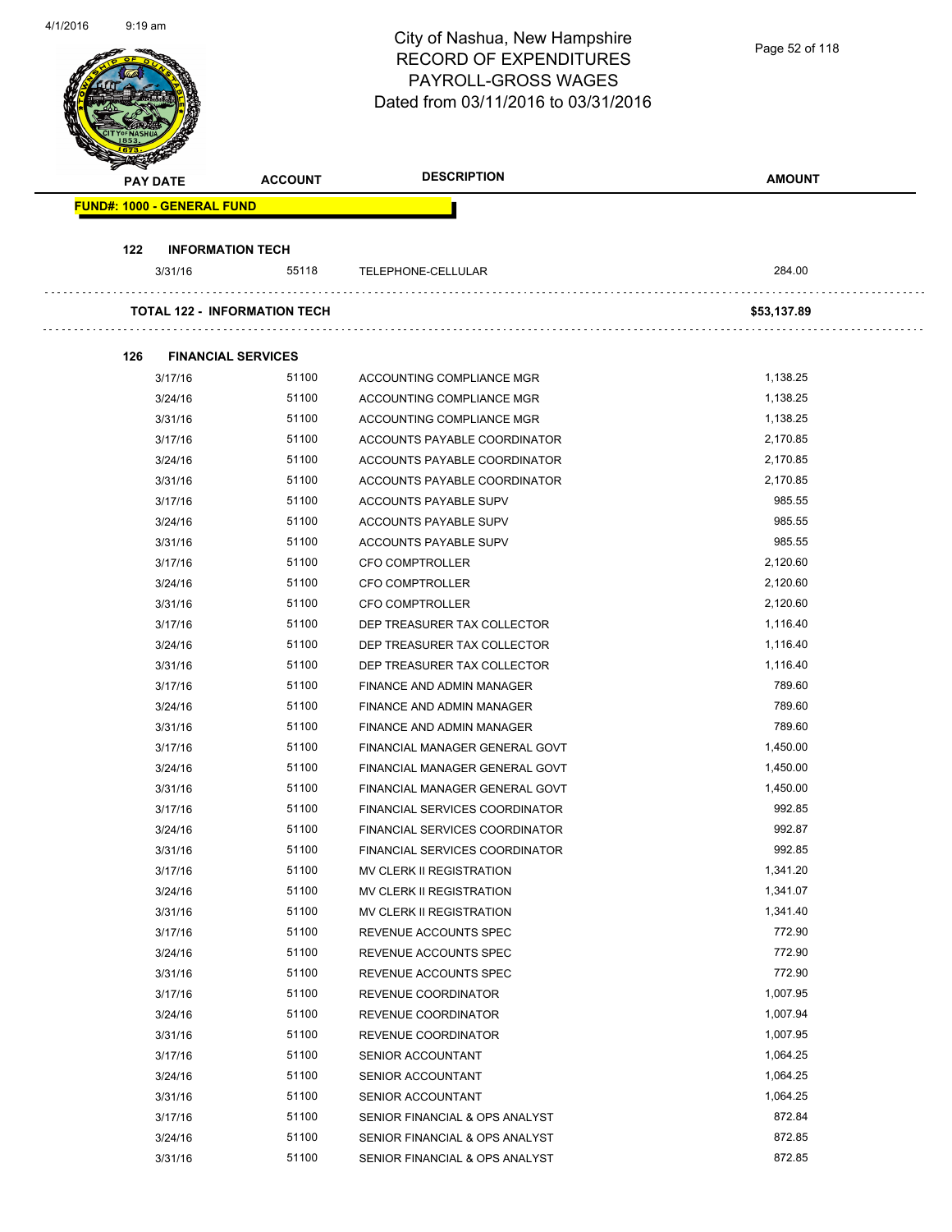| 4/1/2010 | a: ia sui       |                                   |                                     | City of Nashua, New Hampshire<br><b>RECORD OF EXPENDITURES</b><br>PAYROLL-GROSS WAGES<br>Dated from 03/11/2016 to 03/31/2016 | Page 52 of 118       |
|----------|-----------------|-----------------------------------|-------------------------------------|------------------------------------------------------------------------------------------------------------------------------|----------------------|
|          | <b>PAY DATE</b> |                                   | <b>ACCOUNT</b>                      | <b>DESCRIPTION</b>                                                                                                           | <b>AMOUNT</b>        |
|          |                 | <b>FUND#: 1000 - GENERAL FUND</b> |                                     |                                                                                                                              |                      |
|          |                 |                                   |                                     |                                                                                                                              |                      |
|          | 122             | <b>INFORMATION TECH</b>           |                                     |                                                                                                                              |                      |
|          |                 | 3/31/16                           | 55118                               | TELEPHONE-CELLULAR                                                                                                           | 284.00               |
|          |                 |                                   | <b>TOTAL 122 - INFORMATION TECH</b> |                                                                                                                              | \$53,137.89          |
|          | 126             | <b>FINANCIAL SERVICES</b>         |                                     |                                                                                                                              |                      |
|          |                 | 3/17/16                           | 51100                               | ACCOUNTING COMPLIANCE MGR                                                                                                    | 1,138.25             |
|          |                 | 3/24/16                           | 51100                               | ACCOUNTING COMPLIANCE MGR                                                                                                    | 1,138.25             |
|          |                 | 3/31/16                           | 51100                               | ACCOUNTING COMPLIANCE MGR                                                                                                    | 1,138.25             |
|          |                 | 3/17/16                           | 51100                               | ACCOUNTS PAYABLE COORDINATOR                                                                                                 | 2,170.85             |
|          |                 | 3/24/16                           | 51100                               | ACCOUNTS PAYABLE COORDINATOR                                                                                                 | 2,170.85             |
|          |                 | 3/31/16                           | 51100                               | ACCOUNTS PAYABLE COORDINATOR                                                                                                 | 2,170.85             |
|          |                 | 3/17/16                           | 51100                               | ACCOUNTS PAYABLE SUPV                                                                                                        | 985.55               |
|          |                 | 3/24/16                           | 51100                               | ACCOUNTS PAYABLE SUPV                                                                                                        | 985.55               |
|          |                 | 3/31/16                           | 51100                               | ACCOUNTS PAYABLE SUPV                                                                                                        | 985.55               |
|          |                 | 3/17/16                           | 51100                               | <b>CFO COMPTROLLER</b>                                                                                                       | 2,120.60             |
|          |                 | 3/24/16                           | 51100                               | <b>CFO COMPTROLLER</b>                                                                                                       | 2,120.60             |
|          |                 | 3/31/16                           | 51100                               | <b>CFO COMPTROLLER</b>                                                                                                       | 2,120.60             |
|          |                 | 3/17/16                           | 51100                               | DEP TREASURER TAX COLLECTOR                                                                                                  | 1,116.40             |
|          |                 | 3/24/16                           | 51100                               | DEP TREASURER TAX COLLECTOR                                                                                                  | 1,116.40             |
|          |                 | 3/31/16                           | 51100                               | DEP TREASURER TAX COLLECTOR                                                                                                  | 1,116.40             |
|          |                 | 3/17/16                           | 51100                               | FINANCE AND ADMIN MANAGER                                                                                                    | 789.60               |
|          |                 | 3/24/16                           | 51100                               | FINANCE AND ADMIN MANAGER                                                                                                    | 789.60               |
|          |                 | 3/31/16                           | 51100                               | FINANCE AND ADMIN MANAGER                                                                                                    | 789.60               |
|          |                 | 3/17/16                           | 51100                               | FINANCIAL MANAGER GENERAL GOVT                                                                                               | 1,450.00             |
|          |                 | 3/24/16                           | 51100                               | FINANCIAL MANAGER GENERAL GOVT                                                                                               | 1,450.00             |
|          |                 | 3/31/16                           | 51100                               | FINANCIAL MANAGER GENERAL GOVT                                                                                               | 1,450.00             |
|          |                 | 3/17/16                           | 51100                               | FINANCIAL SERVICES COORDINATOR                                                                                               | 992.85               |
|          |                 | 3/24/16                           | 51100                               | FINANCIAL SERVICES COORDINATOR                                                                                               | 992.87               |
|          |                 | 3/31/16                           | 51100                               | FINANCIAL SERVICES COORDINATOR                                                                                               | 992.85               |
|          |                 | 3/17/16                           | 51100                               | MV CLERK II REGISTRATION                                                                                                     | 1,341.20             |
|          |                 | 3/24/16                           | 51100                               | MV CLERK II REGISTRATION                                                                                                     | 1,341.07             |
|          |                 | 3/31/16                           | 51100                               | MV CLERK II REGISTRATION                                                                                                     | 1,341.40             |
|          |                 | 3/17/16                           | 51100                               | REVENUE ACCOUNTS SPEC                                                                                                        | 772.90               |
|          |                 | 3/24/16                           | 51100                               | REVENUE ACCOUNTS SPEC                                                                                                        | 772.90               |
|          |                 | 3/31/16                           | 51100                               | REVENUE ACCOUNTS SPEC                                                                                                        | 772.90               |
|          |                 | 3/17/16                           | 51100                               | REVENUE COORDINATOR                                                                                                          | 1,007.95             |
|          |                 | 3/24/16                           | 51100                               | REVENUE COORDINATOR                                                                                                          | 1,007.94             |
|          |                 | 3/31/16                           | 51100<br>51100                      | REVENUE COORDINATOR                                                                                                          | 1,007.95<br>1,064.25 |
|          |                 | 3/17/16                           | 51100                               | SENIOR ACCOUNTANT                                                                                                            | 1,064.25             |
|          |                 | 3/24/16                           | 51100                               | SENIOR ACCOUNTANT                                                                                                            | 1,064.25             |
|          |                 | 3/31/16                           | 51100                               | SENIOR ACCOUNTANT                                                                                                            | 872.84               |
|          |                 | 3/17/16                           | 51100                               | SENIOR FINANCIAL & OPS ANALYST                                                                                               | 872.85               |
|          |                 | 3/24/16                           | 51100                               | SENIOR FINANCIAL & OPS ANALYST<br>SENIOR FINANCIAL & OPS ANALYST                                                             | 872.85               |
|          |                 | 3/31/16                           |                                     |                                                                                                                              |                      |

4/1/2016 9:19 am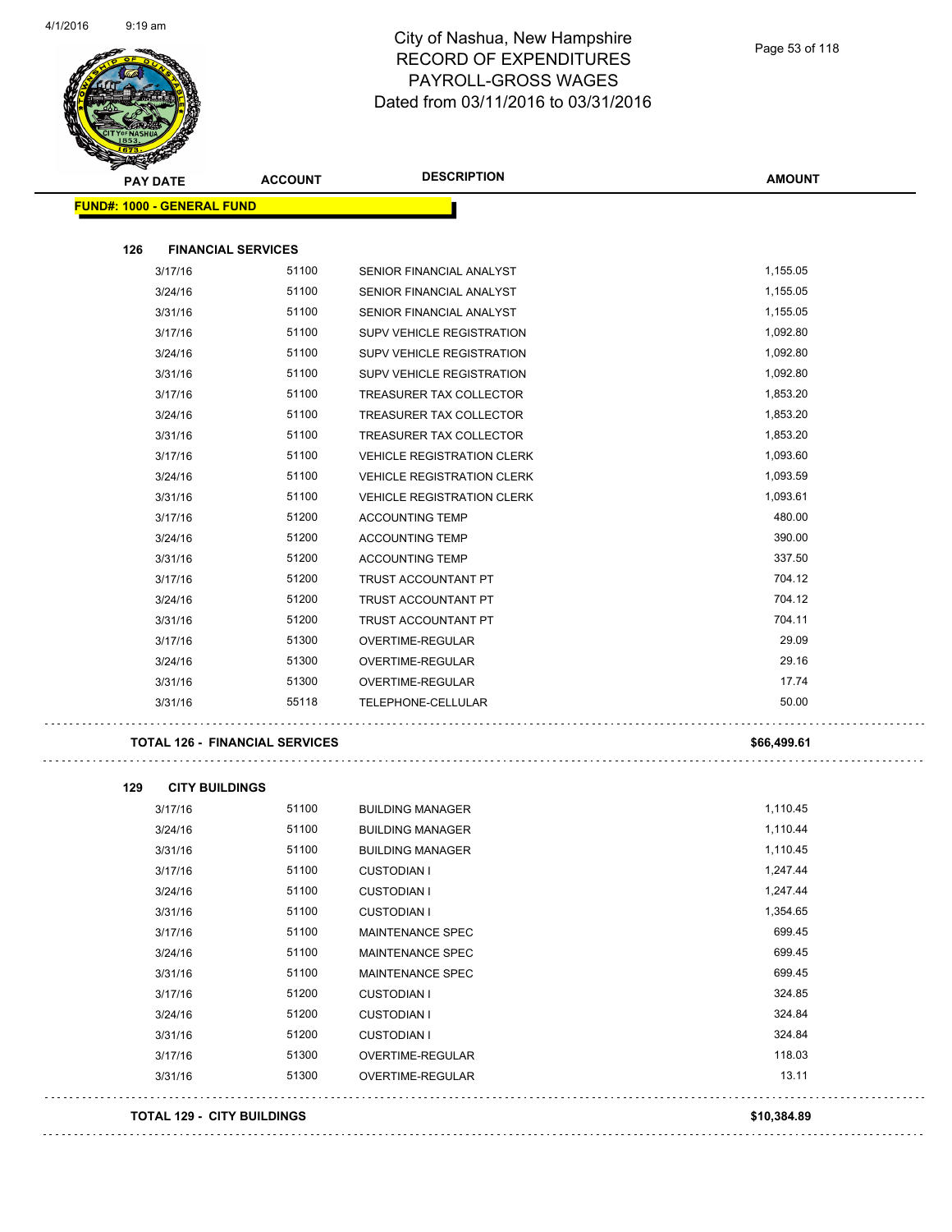

| <b>PAY DATE</b>                   | <b>ACCOUNT</b>                        | <b>DESCRIPTION</b>                | <b>AMOUNT</b> |
|-----------------------------------|---------------------------------------|-----------------------------------|---------------|
| <b>FUND#: 1000 - GENERAL FUND</b> |                                       |                                   |               |
|                                   |                                       |                                   |               |
| 126                               | <b>FINANCIAL SERVICES</b>             |                                   |               |
| 3/17/16                           | 51100                                 | SENIOR FINANCIAL ANALYST          | 1,155.05      |
| 3/24/16                           | 51100                                 | SENIOR FINANCIAL ANALYST          | 1,155.05      |
| 3/31/16                           | 51100                                 | SENIOR FINANCIAL ANALYST          | 1,155.05      |
| 3/17/16                           | 51100                                 | SUPV VEHICLE REGISTRATION         | 1,092.80      |
| 3/24/16                           | 51100                                 | SUPV VEHICLE REGISTRATION         | 1,092.80      |
| 3/31/16                           | 51100                                 | SUPV VEHICLE REGISTRATION         | 1,092.80      |
| 3/17/16                           | 51100                                 | TREASURER TAX COLLECTOR           | 1,853.20      |
| 3/24/16                           | 51100                                 | TREASURER TAX COLLECTOR           | 1,853.20      |
| 3/31/16                           | 51100                                 | TREASURER TAX COLLECTOR           | 1,853.20      |
| 3/17/16                           | 51100                                 | <b>VEHICLE REGISTRATION CLERK</b> | 1,093.60      |
| 3/24/16                           | 51100                                 | <b>VEHICLE REGISTRATION CLERK</b> | 1,093.59      |
| 3/31/16                           | 51100                                 | <b>VEHICLE REGISTRATION CLERK</b> | 1,093.61      |
| 3/17/16                           | 51200                                 | <b>ACCOUNTING TEMP</b>            | 480.00        |
| 3/24/16                           | 51200                                 | <b>ACCOUNTING TEMP</b>            | 390.00        |
| 3/31/16                           | 51200                                 | <b>ACCOUNTING TEMP</b>            | 337.50        |
| 3/17/16                           | 51200                                 | TRUST ACCOUNTANT PT               | 704.12        |
| 3/24/16                           | 51200                                 | TRUST ACCOUNTANT PT               | 704.12        |
| 3/31/16                           | 51200                                 | TRUST ACCOUNTANT PT               | 704.11        |
| 3/17/16                           | 51300                                 | OVERTIME-REGULAR                  | 29.09         |
| 3/24/16                           | 51300                                 | OVERTIME-REGULAR                  | 29.16         |
| 3/31/16                           | 51300                                 | OVERTIME-REGULAR                  | 17.74         |
| 3/31/16                           | 55118                                 | TELEPHONE-CELLULAR                | 50.00         |
|                                   |                                       |                                   |               |
|                                   | <b>TOTAL 126 - FINANCIAL SERVICES</b> |                                   | \$66,499.61   |
| <b>CITY BUILDINGS</b><br>129      |                                       |                                   |               |
| 3/17/16                           | 51100                                 | <b>BUILDING MANAGER</b>           | 1,110.45      |
| 3/24/16                           | 51100                                 | <b>BUILDING MANAGER</b>           | 1,110.44      |
| 3/31/16                           | 51100                                 | <b>BUILDING MANAGER</b>           | 1,110.45      |
| 3/17/16                           | 51100                                 | <b>CUSTODIAN I</b>                | 1,247.44      |
| 3/24/16                           | 51100                                 | <b>CUSTODIAN I</b>                | 1,247.44      |
| 3/31/16                           | 51100                                 | <b>CUSTODIAN I</b>                | 1,354.65      |
| 3/17/16                           | 51100                                 | MAINTENANCE SPEC                  | 699.45        |
| 3/24/16                           | 51100                                 | MAINTENANCE SPEC                  | 699.45        |
| 3/31/16                           | 51100                                 | MAINTENANCE SPEC                  | 699.45        |
| 3/17/16                           | 51200                                 | <b>CUSTODIAN I</b>                | 324.85        |
| 3/24/16                           | 51200                                 | <b>CUSTODIAN I</b>                | 324.84        |
| 3/31/16                           | 51200                                 | <b>CUSTODIAN I</b>                | 324.84        |
| 3/17/16                           | 51300                                 | OVERTIME-REGULAR                  | 118.03        |

3/31/16 51300 OVERTIME-REGULAR 13.11

#### **TOTAL 129 - CITY BUILDINGS \$10,384.89**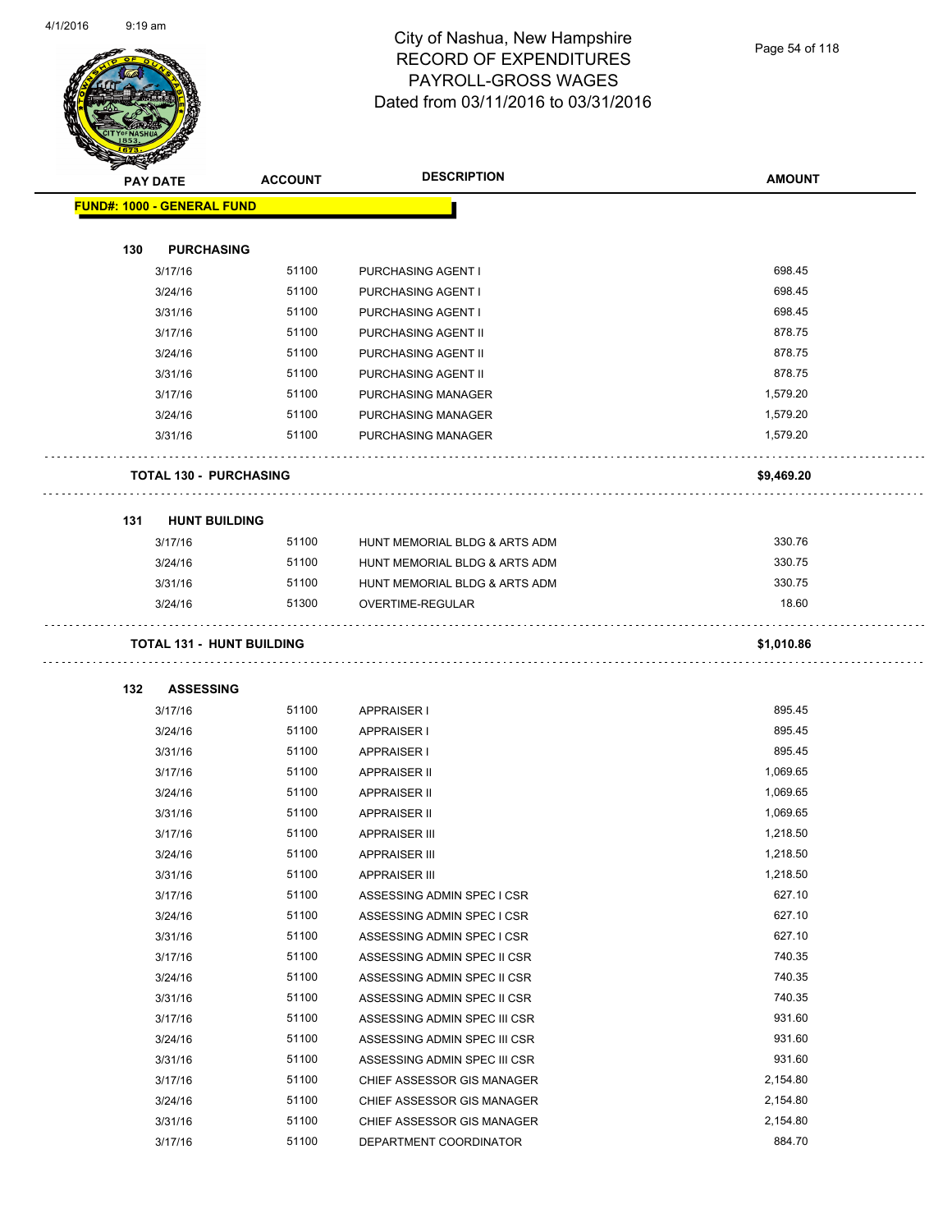

| $\tilde{\phantom{a}}$ | <b>PAY DATE</b>                   | <b>DESCRIPTION</b><br><b>ACCOUNT</b> |                               | <b>AMOUNT</b> |
|-----------------------|-----------------------------------|--------------------------------------|-------------------------------|---------------|
|                       | <b>FUND#: 1000 - GENERAL FUND</b> |                                      |                               |               |
| 130                   | <b>PURCHASING</b>                 |                                      |                               |               |
|                       | 3/17/16                           | 51100                                | PURCHASING AGENT I            | 698.45        |
|                       | 3/24/16                           | 51100                                | PURCHASING AGENT I            | 698.45        |
|                       | 3/31/16                           | 51100                                | PURCHASING AGENT I            | 698.45        |
|                       | 3/17/16                           | 51100                                | PURCHASING AGENT II           | 878.75        |
|                       | 3/24/16                           | 51100                                | PURCHASING AGENT II           | 878.75        |
|                       | 3/31/16                           | 51100                                | PURCHASING AGENT II           | 878.75        |
|                       | 3/17/16                           | 51100                                | PURCHASING MANAGER            | 1,579.20      |
|                       | 3/24/16                           | 51100                                | PURCHASING MANAGER            | 1,579.20      |
|                       | 3/31/16                           | 51100                                | PURCHASING MANAGER            | 1,579.20      |
|                       | <b>TOTAL 130 - PURCHASING</b>     |                                      |                               | \$9,469.20    |
| 131                   | <b>HUNT BUILDING</b>              |                                      |                               |               |
|                       | 3/17/16                           | 51100                                | HUNT MEMORIAL BLDG & ARTS ADM | 330.76        |
|                       | 3/24/16                           | 51100                                | HUNT MEMORIAL BLDG & ARTS ADM | 330.75        |
|                       | 3/31/16                           | 51100                                | HUNT MEMORIAL BLDG & ARTS ADM | 330.75        |
|                       | 3/24/16                           | 51300                                | OVERTIME-REGULAR              | 18.60         |
|                       | <b>TOTAL 131 - HUNT BUILDING</b>  |                                      |                               | \$1,010.86    |
| 132                   | <b>ASSESSING</b>                  |                                      |                               |               |
|                       | 3/17/16                           | 51100                                | <b>APPRAISER I</b>            | 895.45        |
|                       | 3/24/16                           | 51100                                | <b>APPRAISER I</b>            | 895.45        |
|                       | 3/31/16                           | 51100                                | <b>APPRAISER I</b>            | 895.45        |
|                       | 3/17/16                           | 51100                                | <b>APPRAISER II</b>           | 1,069.65      |
|                       | 3/24/16                           | 51100                                | <b>APPRAISER II</b>           | 1,069.65      |
|                       | 3/31/16                           | 51100                                | <b>APPRAISER II</b>           | 1,069.65      |
|                       | 3/17/16                           | 51100                                | <b>APPRAISER III</b>          | 1,218.50      |
|                       | 3/24/16                           | 51100                                | <b>APPRAISER III</b>          | 1,218.50      |
|                       | 3/31/16                           | 51100                                | <b>APPRAISER III</b>          | 1,218.50      |
|                       | 3/17/16                           | 51100                                | ASSESSING ADMIN SPEC I CSR    | 627.10        |
|                       | 3/24/16                           | 51100                                | ASSESSING ADMIN SPEC I CSR    | 627.10        |
|                       | 3/31/16                           | 51100                                | ASSESSING ADMIN SPEC I CSR    | 627.10        |
|                       | 3/17/16                           | 51100                                | ASSESSING ADMIN SPEC II CSR   | 740.35        |
|                       | 3/24/16                           | 51100                                | ASSESSING ADMIN SPEC II CSR   | 740.35        |
|                       | 3/31/16                           | 51100                                | ASSESSING ADMIN SPEC II CSR   | 740.35        |
|                       | 3/17/16                           | 51100                                | ASSESSING ADMIN SPEC III CSR  | 931.60        |
|                       | 3/24/16                           | 51100                                | ASSESSING ADMIN SPEC III CSR  | 931.60        |
|                       | 3/31/16                           | 51100                                | ASSESSING ADMIN SPEC III CSR  | 931.60        |
|                       | 3/17/16                           | 51100                                | CHIEF ASSESSOR GIS MANAGER    | 2,154.80      |
|                       | 3/24/16                           | 51100                                | CHIEF ASSESSOR GIS MANAGER    | 2,154.80      |
|                       | 3/31/16                           | 51100                                | CHIEF ASSESSOR GIS MANAGER    | 2,154.80      |
|                       | 3/17/16                           | 51100                                | DEPARTMENT COORDINATOR        | 884.70        |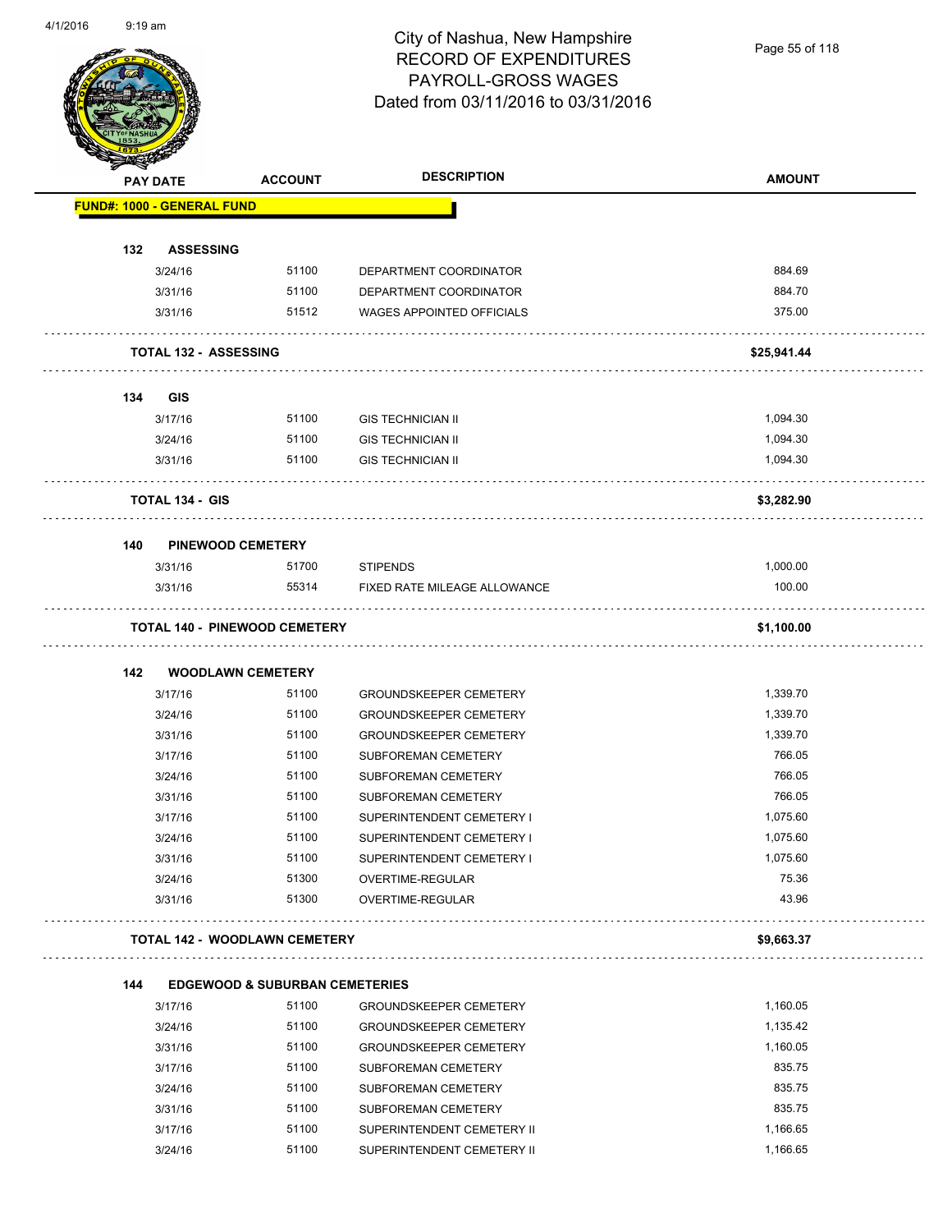Page 55 of 118

| <b>STATERS</b> |                                   |                                                    |                                  |               |
|----------------|-----------------------------------|----------------------------------------------------|----------------------------------|---------------|
|                | <b>PAY DATE</b>                   | <b>ACCOUNT</b>                                     | <b>DESCRIPTION</b>               | <b>AMOUNT</b> |
|                | <b>FUND#: 1000 - GENERAL FUND</b> |                                                    |                                  |               |
|                |                                   |                                                    |                                  |               |
| 132            | <b>ASSESSING</b>                  |                                                    |                                  |               |
|                | 3/24/16                           | 51100                                              | DEPARTMENT COORDINATOR           | 884.69        |
|                | 3/31/16                           | 51100                                              | DEPARTMENT COORDINATOR           | 884.70        |
|                | 3/31/16                           | 51512                                              | <b>WAGES APPOINTED OFFICIALS</b> | 375.00        |
|                | <b>TOTAL 132 - ASSESSING</b>      |                                                    |                                  | \$25,941.44   |
| 134            | <b>GIS</b>                        |                                                    |                                  |               |
|                | 3/17/16                           | 51100                                              | <b>GIS TECHNICIAN II</b>         | 1,094.30      |
|                | 3/24/16                           | 51100                                              | <b>GIS TECHNICIAN II</b>         | 1,094.30      |
|                | 3/31/16                           | 51100                                              | <b>GIS TECHNICIAN II</b>         | 1,094.30      |
|                | <b>TOTAL 134 - GIS</b>            |                                                    |                                  | \$3,282.90    |
| 140            |                                   | <b>PINEWOOD CEMETERY</b>                           |                                  |               |
|                | 3/31/16                           | 51700                                              | <b>STIPENDS</b>                  | 1,000.00      |
|                | 3/31/16                           | 55314                                              | FIXED RATE MILEAGE ALLOWANCE     | 100.00        |
|                |                                   | <b>TOTAL 140 - PINEWOOD CEMETERY</b>               |                                  | \$1,100.00    |
|                |                                   |                                                    |                                  |               |
| 142            | 3/17/16                           | <b>WOODLAWN CEMETERY</b><br>51100                  | <b>GROUNDSKEEPER CEMETERY</b>    | 1,339.70      |
|                | 3/24/16                           | 51100                                              | <b>GROUNDSKEEPER CEMETERY</b>    | 1,339.70      |
|                | 3/31/16                           | 51100                                              | <b>GROUNDSKEEPER CEMETERY</b>    | 1,339.70      |
|                | 3/17/16                           | 51100                                              | <b>SUBFOREMAN CEMETERY</b>       | 766.05        |
|                | 3/24/16                           | 51100                                              | SUBFOREMAN CEMETERY              | 766.05        |
|                | 3/31/16                           | 51100                                              | SUBFOREMAN CEMETERY              | 766.05        |
|                | 3/17/16                           | 51100                                              | SUPERINTENDENT CEMETERY I        | 1,075.60      |
|                | 3/24/16                           | 51100                                              | SUPERINTENDENT CEMETERY I        | 1,075.60      |
|                |                                   | 51100                                              | SUPERINTENDENT CEMETERY I        | 1,075.60      |
|                | 3/31/16<br>3/24/16                | 51300                                              | OVERTIME-REGULAR                 | 75.36         |
|                | 3/31/16                           | 51300                                              | OVERTIME-REGULAR                 | 43.96         |
|                |                                   | <b>TOTAL 142 - WOODLAWN CEMETERY</b>               |                                  | \$9,663.37    |
|                |                                   |                                                    |                                  |               |
| 144            |                                   | <b>EDGEWOOD &amp; SUBURBAN CEMETERIES</b><br>51100 |                                  | 1,160.05      |
|                | 3/17/16                           |                                                    | <b>GROUNDSKEEPER CEMETERY</b>    |               |
|                | 3/24/16                           | 51100                                              | <b>GROUNDSKEEPER CEMETERY</b>    | 1,135.42      |
|                | 3/31/16                           | 51100                                              | <b>GROUNDSKEEPER CEMETERY</b>    | 1,160.05      |
|                | 3/17/16                           | 51100                                              | SUBFOREMAN CEMETERY              | 835.75        |
|                | 3/24/16                           | 51100                                              | SUBFOREMAN CEMETERY              | 835.75        |
|                | 3/31/16                           | 51100                                              | SUBFOREMAN CEMETERY              | 835.75        |
|                | 3/17/16                           | 51100                                              | SUPERINTENDENT CEMETERY II       | 1,166.65      |
|                | 3/24/16                           | 51100                                              | SUPERINTENDENT CEMETERY II       | 1,166.65      |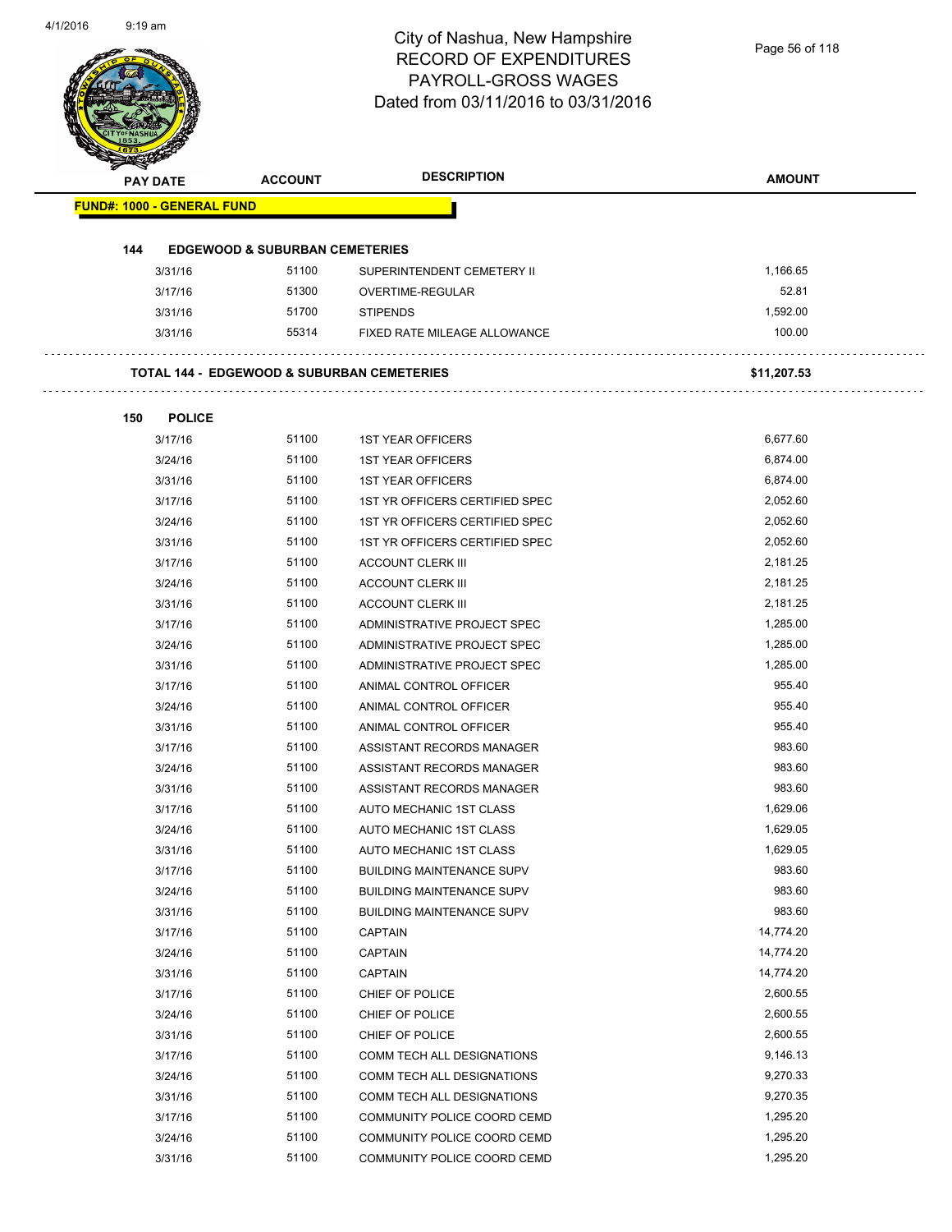| <b>PAY DATE</b>                   | <b>ACCOUNT</b>                                        | <b>DESCRIPTION</b>               | <b>AMOUNT</b> |
|-----------------------------------|-------------------------------------------------------|----------------------------------|---------------|
| <b>FUND#: 1000 - GENERAL FUND</b> |                                                       |                                  |               |
| 144                               | <b>EDGEWOOD &amp; SUBURBAN CEMETERIES</b>             |                                  |               |
| 3/31/16                           | 51100                                                 | SUPERINTENDENT CEMETERY II       | 1,166.65      |
| 3/17/16                           | 51300                                                 | OVERTIME-REGULAR                 | 52.81         |
| 3/31/16                           | 51700                                                 | <b>STIPENDS</b>                  | 1,592.00      |
| 3/31/16                           | 55314                                                 | FIXED RATE MILEAGE ALLOWANCE     | 100.00        |
|                                   | <b>TOTAL 144 - EDGEWOOD &amp; SUBURBAN CEMETERIES</b> |                                  | \$11,207.53   |
| 150<br><b>POLICE</b>              |                                                       |                                  |               |
| 3/17/16                           | 51100                                                 | <b>1ST YEAR OFFICERS</b>         | 6,677.60      |
| 3/24/16                           | 51100                                                 | <b>1ST YEAR OFFICERS</b>         | 6,874.00      |
| 3/31/16                           | 51100                                                 | <b>1ST YEAR OFFICERS</b>         | 6,874.00      |
| 3/17/16                           | 51100                                                 | 1ST YR OFFICERS CERTIFIED SPEC   | 2,052.60      |
| 3/24/16                           | 51100                                                 | 1ST YR OFFICERS CERTIFIED SPEC   | 2,052.60      |
| 3/31/16                           | 51100                                                 | 1ST YR OFFICERS CERTIFIED SPEC   | 2,052.60      |
| 3/17/16                           | 51100                                                 | <b>ACCOUNT CLERK III</b>         | 2,181.25      |
| 3/24/16                           | 51100                                                 | <b>ACCOUNT CLERK III</b>         | 2,181.25      |
| 3/31/16                           | 51100                                                 | <b>ACCOUNT CLERK III</b>         | 2,181.25      |
| 3/17/16                           | 51100                                                 | ADMINISTRATIVE PROJECT SPEC      | 1,285.00      |
| 3/24/16                           | 51100                                                 | ADMINISTRATIVE PROJECT SPEC      | 1,285.00      |
| 3/31/16                           | 51100                                                 | ADMINISTRATIVE PROJECT SPEC      | 1,285.00      |
| 3/17/16                           | 51100                                                 | ANIMAL CONTROL OFFICER           | 955.40        |
| 3/24/16                           | 51100                                                 | ANIMAL CONTROL OFFICER           | 955.40        |
| 3/31/16                           | 51100                                                 | ANIMAL CONTROL OFFICER           | 955.40        |
| 3/17/16                           | 51100                                                 | ASSISTANT RECORDS MANAGER        | 983.60        |
| 3/24/16                           | 51100                                                 | ASSISTANT RECORDS MANAGER        | 983.60        |
| 3/31/16                           | 51100                                                 | ASSISTANT RECORDS MANAGER        | 983.60        |
| 3/17/16                           | 51100                                                 | AUTO MECHANIC 1ST CLASS          | 1,629.06      |
| 3/24/16                           | 51100                                                 | AUTO MECHANIC 1ST CLASS          | 1,629.05      |
| 3/31/16                           | 51100                                                 | AUTO MECHANIC 1ST CLASS          | 1,629.05      |
| 3/17/16                           | 51100                                                 | <b>BUILDING MAINTENANCE SUPV</b> | 983.60        |
| 3/24/16                           | 51100                                                 | <b>BUILDING MAINTENANCE SUPV</b> | 983.60        |
| 3/31/16                           | 51100                                                 | <b>BUILDING MAINTENANCE SUPV</b> | 983.60        |
| 3/17/16                           | 51100                                                 | <b>CAPTAIN</b>                   | 14,774.20     |
| 3/24/16                           | 51100                                                 | <b>CAPTAIN</b>                   | 14,774.20     |
| 3/31/16                           | 51100                                                 | <b>CAPTAIN</b>                   | 14,774.20     |
| 3/17/16                           | 51100                                                 | CHIEF OF POLICE                  | 2,600.55      |
| 3/24/16                           | 51100                                                 | CHIEF OF POLICE                  | 2,600.55      |
| 3/31/16                           | 51100                                                 | CHIEF OF POLICE                  | 2,600.55      |
| 3/17/16                           | 51100                                                 | COMM TECH ALL DESIGNATIONS       | 9,146.13      |
| 3/24/16                           | 51100                                                 | COMM TECH ALL DESIGNATIONS       | 9,270.33      |
| 3/31/16                           | 51100                                                 | COMM TECH ALL DESIGNATIONS       | 9,270.35      |
| 3/17/16                           | 51100                                                 | COMMUNITY POLICE COORD CEMD      | 1,295.20      |
| 3/24/16                           | 51100                                                 | COMMUNITY POLICE COORD CEMD      | 1,295.20      |
| 3/31/16                           | 51100                                                 | COMMUNITY POLICE COORD CEMD      | 1,295.20      |
|                                   |                                                       |                                  |               |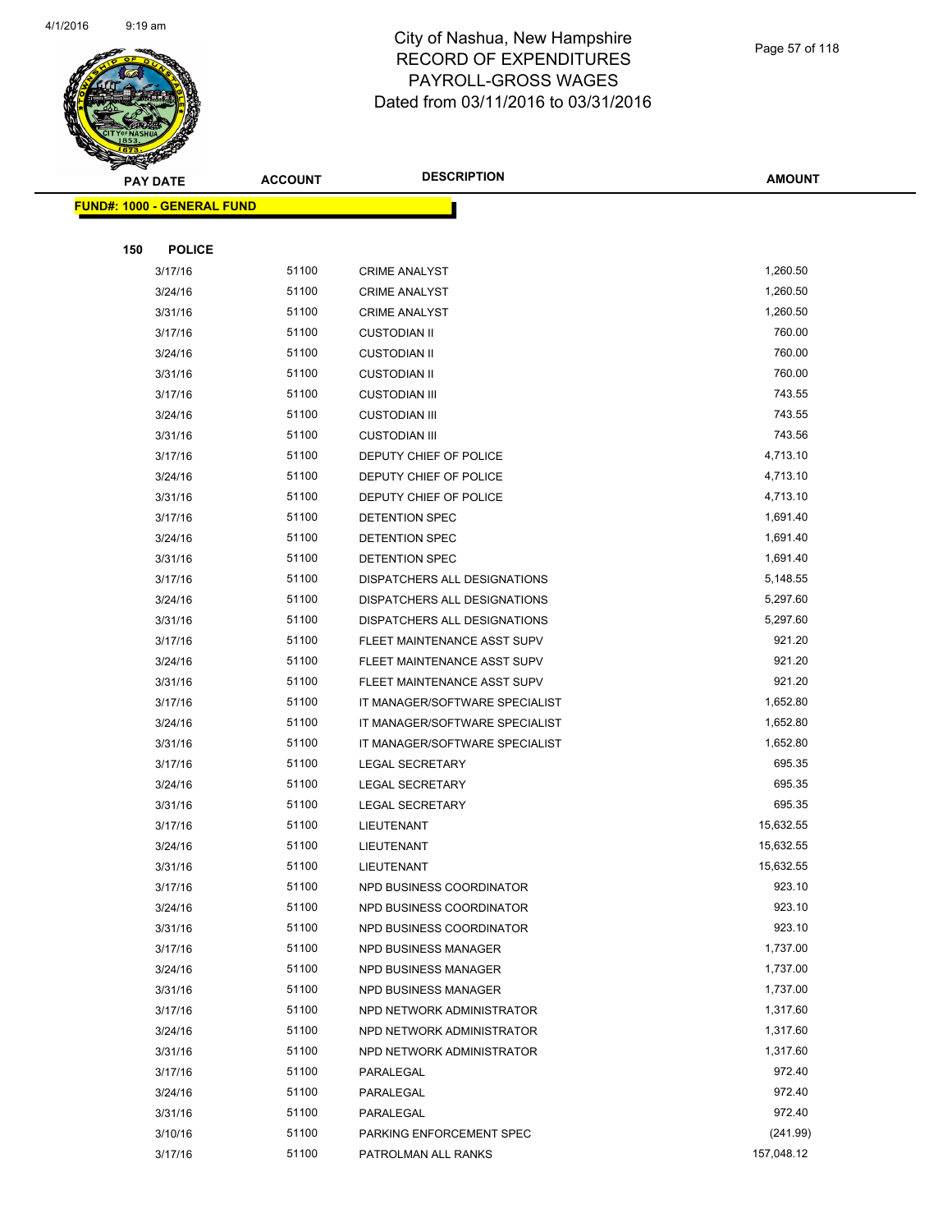

Page 57 of 118

|     | <b>PAY DATE</b>                    | <b>ACCOUNT</b> | <b>DESCRIPTION</b>             | <b>AMOUNT</b> |
|-----|------------------------------------|----------------|--------------------------------|---------------|
|     | <u> FUND#: 1000 - GENERAL FUND</u> |                |                                |               |
|     |                                    |                |                                |               |
| 150 | <b>POLICE</b>                      |                |                                |               |
|     | 3/17/16                            | 51100          | <b>CRIME ANALYST</b>           | 1,260.50      |
|     | 3/24/16                            | 51100          | <b>CRIME ANALYST</b>           | 1,260.50      |
|     | 3/31/16                            | 51100          | <b>CRIME ANALYST</b>           | 1,260.50      |
|     | 3/17/16                            | 51100          | <b>CUSTODIAN II</b>            | 760.00        |
|     | 3/24/16                            | 51100          | <b>CUSTODIAN II</b>            | 760.00        |
|     | 3/31/16                            | 51100          | <b>CUSTODIAN II</b>            | 760.00        |
|     | 3/17/16                            | 51100          | <b>CUSTODIAN III</b>           | 743.55        |
|     | 3/24/16                            | 51100          | <b>CUSTODIAN III</b>           | 743.55        |
|     | 3/31/16                            | 51100          | <b>CUSTODIAN III</b>           | 743.56        |
|     | 3/17/16                            | 51100          | DEPUTY CHIEF OF POLICE         | 4,713.10      |
|     | 3/24/16                            | 51100          | DEPUTY CHIEF OF POLICE         | 4,713.10      |
|     | 3/31/16                            | 51100          | DEPUTY CHIEF OF POLICE         | 4,713.10      |
|     | 3/17/16                            | 51100          | DETENTION SPEC                 | 1,691.40      |
|     | 3/24/16                            | 51100          | DETENTION SPEC                 | 1,691.40      |
|     | 3/31/16                            | 51100          | DETENTION SPEC                 | 1,691.40      |
|     | 3/17/16                            | 51100          | DISPATCHERS ALL DESIGNATIONS   | 5,148.55      |
|     | 3/24/16                            | 51100          | DISPATCHERS ALL DESIGNATIONS   | 5,297.60      |
|     | 3/31/16                            | 51100          | DISPATCHERS ALL DESIGNATIONS   | 5,297.60      |
|     | 3/17/16                            | 51100          | FLEET MAINTENANCE ASST SUPV    | 921.20        |
|     | 3/24/16                            | 51100          | FLEET MAINTENANCE ASST SUPV    | 921.20        |
|     | 3/31/16                            | 51100          | FLEET MAINTENANCE ASST SUPV    | 921.20        |
|     | 3/17/16                            | 51100          | IT MANAGER/SOFTWARE SPECIALIST | 1,652.80      |
|     | 3/24/16                            | 51100          | IT MANAGER/SOFTWARE SPECIALIST | 1,652.80      |
|     | 3/31/16                            | 51100          | IT MANAGER/SOFTWARE SPECIALIST | 1,652.80      |
|     | 3/17/16                            | 51100          | <b>LEGAL SECRETARY</b>         | 695.35        |
|     | 3/24/16                            | 51100          | <b>LEGAL SECRETARY</b>         | 695.35        |
|     | 3/31/16                            | 51100          | <b>LEGAL SECRETARY</b>         | 695.35        |
|     | 3/17/16                            | 51100          | LIEUTENANT                     | 15,632.55     |
|     | 3/24/16                            | 51100          | LIEUTENANT                     | 15,632.55     |
|     | 3/31/16                            | 51100          | LIEUTENANT                     | 15,632.55     |
|     | 3/17/16                            | 51100          | NPD BUSINESS COORDINATOR       | 923.10        |
|     | 3/24/16                            | 51100          | NPD BUSINESS COORDINATOR       | 923.10        |
|     | 3/31/16                            | 51100          | NPD BUSINESS COORDINATOR       | 923.10        |
|     | 3/17/16                            | 51100          | <b>NPD BUSINESS MANAGER</b>    | 1,737.00      |
|     | 3/24/16                            | 51100          | NPD BUSINESS MANAGER           | 1,737.00      |
|     | 3/31/16                            | 51100          | NPD BUSINESS MANAGER           | 1,737.00      |
|     | 3/17/16                            | 51100          | NPD NETWORK ADMINISTRATOR      | 1,317.60      |
|     | 3/24/16                            | 51100          | NPD NETWORK ADMINISTRATOR      | 1,317.60      |
|     | 3/31/16                            | 51100          | NPD NETWORK ADMINISTRATOR      | 1,317.60      |
|     | 3/17/16                            | 51100          | PARALEGAL                      | 972.40        |
|     | 3/24/16                            | 51100          | PARALEGAL                      | 972.40        |
|     | 3/31/16                            | 51100          | PARALEGAL                      | 972.40        |
|     | 3/10/16                            | 51100          | PARKING ENFORCEMENT SPEC       | (241.99)      |
|     | 3/17/16                            | 51100          | PATROLMAN ALL RANKS            | 157,048.12    |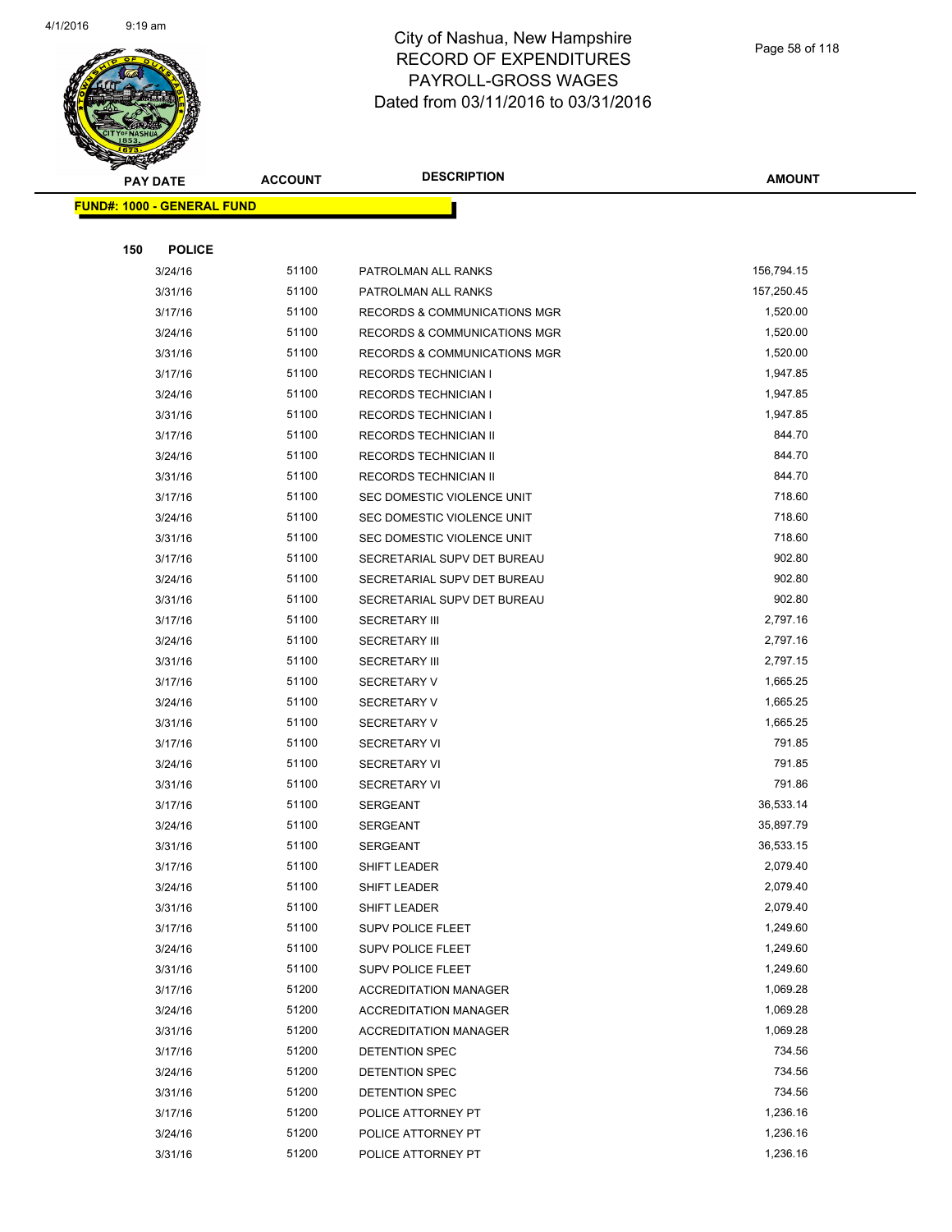

|     | <b>PAY DATE</b>                   | <b>ACCOUNT</b> | <b>DESCRIPTION</b>                       | <b>AMOUNT</b>    |
|-----|-----------------------------------|----------------|------------------------------------------|------------------|
|     | <b>FUND#: 1000 - GENERAL FUND</b> |                |                                          |                  |
|     |                                   |                |                                          |                  |
| 150 | <b>POLICE</b>                     |                |                                          |                  |
|     | 3/24/16                           | 51100          | PATROLMAN ALL RANKS                      | 156,794.15       |
|     | 3/31/16                           | 51100          | PATROLMAN ALL RANKS                      | 157,250.45       |
|     | 3/17/16                           | 51100          | RECORDS & COMMUNICATIONS MGR             | 1,520.00         |
|     | 3/24/16                           | 51100          | RECORDS & COMMUNICATIONS MGR             | 1,520.00         |
|     | 3/31/16                           | 51100          | RECORDS & COMMUNICATIONS MGR             | 1,520.00         |
|     | 3/17/16                           | 51100          | <b>RECORDS TECHNICIAN I</b>              | 1,947.85         |
|     | 3/24/16                           | 51100          | <b>RECORDS TECHNICIAN I</b>              | 1,947.85         |
|     | 3/31/16                           | 51100          | <b>RECORDS TECHNICIAN I</b>              | 1,947.85         |
|     | 3/17/16                           | 51100          | RECORDS TECHNICIAN II                    | 844.70           |
|     | 3/24/16                           | 51100          | RECORDS TECHNICIAN II                    | 844.70           |
|     | 3/31/16                           | 51100          | RECORDS TECHNICIAN II                    | 844.70           |
|     | 3/17/16                           | 51100          | SEC DOMESTIC VIOLENCE UNIT               | 718.60           |
|     | 3/24/16                           | 51100          | SEC DOMESTIC VIOLENCE UNIT               | 718.60           |
|     | 3/31/16                           | 51100          | SEC DOMESTIC VIOLENCE UNIT               | 718.60           |
|     | 3/17/16                           | 51100          | SECRETARIAL SUPV DET BUREAU              | 902.80           |
|     | 3/24/16                           | 51100          | SECRETARIAL SUPV DET BUREAU              | 902.80           |
|     | 3/31/16                           | 51100          | SECRETARIAL SUPV DET BUREAU              | 902.80           |
|     | 3/17/16                           | 51100          | <b>SECRETARY III</b>                     | 2,797.16         |
|     | 3/24/16                           | 51100          | <b>SECRETARY III</b>                     | 2,797.16         |
|     | 3/31/16                           | 51100          | <b>SECRETARY III</b>                     | 2,797.15         |
|     | 3/17/16                           | 51100          | <b>SECRETARY V</b>                       | 1,665.25         |
|     | 3/24/16                           | 51100          | <b>SECRETARY V</b>                       | 1,665.25         |
|     | 3/31/16                           | 51100          | <b>SECRETARY V</b>                       | 1,665.25         |
|     | 3/17/16                           | 51100          | <b>SECRETARY VI</b>                      | 791.85           |
|     | 3/24/16                           | 51100          | <b>SECRETARY VI</b>                      | 791.85           |
|     | 3/31/16                           | 51100          | <b>SECRETARY VI</b>                      | 791.86           |
|     | 3/17/16                           | 51100          | <b>SERGEANT</b>                          | 36,533.14        |
|     | 3/24/16                           | 51100          | <b>SERGEANT</b>                          | 35,897.79        |
|     | 3/31/16                           | 51100          | <b>SERGEANT</b>                          | 36,533.15        |
|     | 3/17/16                           | 51100          | <b>SHIFT LEADER</b>                      | 2,079.40         |
|     | 3/24/16                           | 51100          | SHIFT LEADER                             | 2,079.40         |
|     | 3/31/16                           | 51100          | SHIFT LEADER                             | 2,079.40         |
|     | 3/17/16                           | 51100          | <b>SUPV POLICE FLEET</b>                 | 1,249.60         |
|     | 3/24/16                           | 51100          | SUPV POLICE FLEET                        | 1,249.60         |
|     | 3/31/16                           | 51100          | <b>SUPV POLICE FLEET</b>                 | 1,249.60         |
|     | 3/17/16                           | 51200          | <b>ACCREDITATION MANAGER</b>             | 1,069.28         |
|     | 3/24/16                           | 51200          | <b>ACCREDITATION MANAGER</b>             | 1,069.28         |
|     | 3/31/16                           | 51200          | <b>ACCREDITATION MANAGER</b>             | 1,069.28         |
|     | 3/17/16                           | 51200          | DETENTION SPEC                           | 734.56<br>734.56 |
|     | 3/24/16                           | 51200<br>51200 | DETENTION SPEC                           | 734.56           |
|     | 3/31/16<br>3/17/16                | 51200          | DETENTION SPEC                           | 1,236.16         |
|     | 3/24/16                           | 51200          | POLICE ATTORNEY PT<br>POLICE ATTORNEY PT | 1,236.16         |
|     | 3/31/16                           | 51200          | POLICE ATTORNEY PT                       | 1,236.16         |
|     |                                   |                |                                          |                  |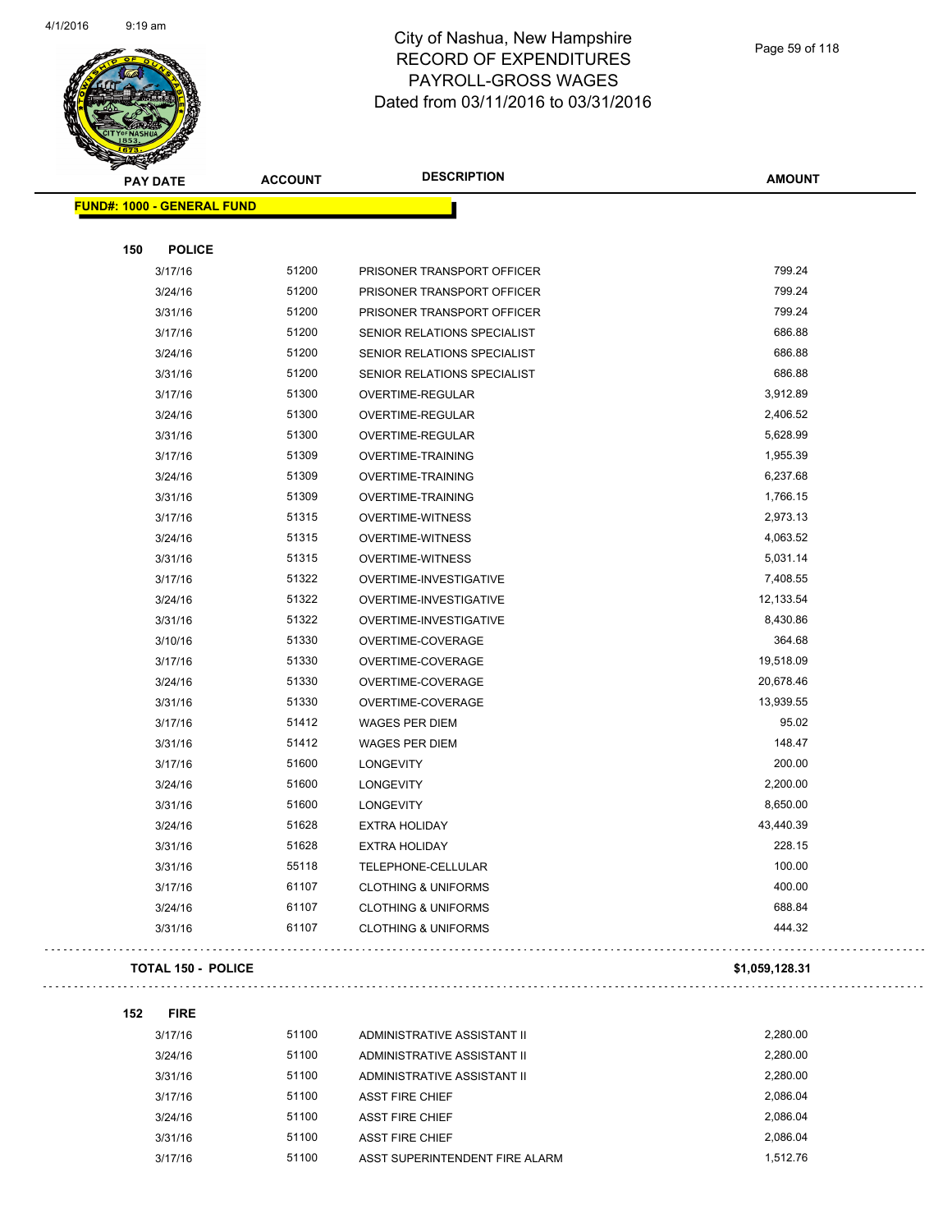

| <b>PAY DATE</b>                   | <b>ACCOUNT</b> | <b>DESCRIPTION</b>             | <b>AMOUNT</b>  |
|-----------------------------------|----------------|--------------------------------|----------------|
| <b>FUND#: 1000 - GENERAL FUND</b> |                |                                |                |
|                                   |                |                                |                |
| 150<br><b>POLICE</b>              |                |                                |                |
| 3/17/16                           | 51200          | PRISONER TRANSPORT OFFICER     | 799.24         |
| 3/24/16                           | 51200          | PRISONER TRANSPORT OFFICER     | 799.24         |
| 3/31/16                           | 51200          | PRISONER TRANSPORT OFFICER     | 799.24         |
| 3/17/16                           | 51200          | SENIOR RELATIONS SPECIALIST    | 686.88         |
| 3/24/16                           | 51200          | SENIOR RELATIONS SPECIALIST    | 686.88         |
| 3/31/16                           | 51200          | SENIOR RELATIONS SPECIALIST    | 686.88         |
| 3/17/16                           | 51300          | OVERTIME-REGULAR               | 3,912.89       |
| 3/24/16                           | 51300          | OVERTIME-REGULAR               | 2,406.52       |
| 3/31/16                           | 51300          | OVERTIME-REGULAR               | 5,628.99       |
| 3/17/16                           | 51309          | <b>OVERTIME-TRAINING</b>       | 1,955.39       |
| 3/24/16                           | 51309          | <b>OVERTIME-TRAINING</b>       | 6,237.68       |
| 3/31/16                           | 51309          | <b>OVERTIME-TRAINING</b>       | 1,766.15       |
| 3/17/16                           | 51315          | <b>OVERTIME-WITNESS</b>        | 2,973.13       |
| 3/24/16                           | 51315          | <b>OVERTIME-WITNESS</b>        | 4,063.52       |
| 3/31/16                           | 51315          | OVERTIME-WITNESS               | 5,031.14       |
| 3/17/16                           | 51322          | OVERTIME-INVESTIGATIVE         | 7,408.55       |
| 3/24/16                           | 51322          | OVERTIME-INVESTIGATIVE         | 12,133.54      |
| 3/31/16                           | 51322          | OVERTIME-INVESTIGATIVE         | 8,430.86       |
| 3/10/16                           | 51330          | OVERTIME-COVERAGE              | 364.68         |
| 3/17/16                           | 51330          | OVERTIME-COVERAGE              | 19,518.09      |
| 3/24/16                           | 51330          | OVERTIME-COVERAGE              | 20,678.46      |
| 3/31/16                           | 51330          | OVERTIME-COVERAGE              | 13,939.55      |
| 3/17/16                           | 51412          | <b>WAGES PER DIEM</b>          | 95.02          |
| 3/31/16                           | 51412          | <b>WAGES PER DIEM</b>          | 148.47         |
| 3/17/16                           | 51600          | <b>LONGEVITY</b>               | 200.00         |
| 3/24/16                           | 51600          | <b>LONGEVITY</b>               | 2,200.00       |
| 3/31/16                           | 51600          | <b>LONGEVITY</b>               | 8,650.00       |
| 3/24/16                           | 51628          | <b>EXTRA HOLIDAY</b>           | 43,440.39      |
| 3/31/16                           | 51628          | <b>EXTRA HOLIDAY</b>           | 228.15         |
| 3/31/16                           | 55118          | TELEPHONE-CELLULAR             | 100.00         |
| 3/17/16                           | 61107          | <b>CLOTHING &amp; UNIFORMS</b> | 400.00         |
| 3/24/16                           | 61107          | <b>CLOTHING &amp; UNIFORMS</b> | 688.84         |
| 3/31/16                           | 61107          | <b>CLOTHING &amp; UNIFORMS</b> | 444.32         |
| <b>TOTAL 150 - POLICE</b>         |                |                                | \$1,059,128.31 |

| 152 | <b>FIRE</b> |       |                                |          |
|-----|-------------|-------|--------------------------------|----------|
|     | 3/17/16     | 51100 | ADMINISTRATIVE ASSISTANT II    | 2,280.00 |
|     | 3/24/16     | 51100 | ADMINISTRATIVE ASSISTANT II    | 2.280.00 |
|     | 3/31/16     | 51100 | ADMINISTRATIVE ASSISTANT II    | 2.280.00 |
|     | 3/17/16     | 51100 | <b>ASST FIRE CHIEF</b>         | 2,086.04 |
|     | 3/24/16     | 51100 | <b>ASST FIRE CHIEF</b>         | 2,086.04 |
|     | 3/31/16     | 51100 | <b>ASST FIRE CHIEF</b>         | 2.086.04 |
|     | 3/17/16     | 51100 | ASST SUPERINTENDENT FIRE ALARM | 1.512.76 |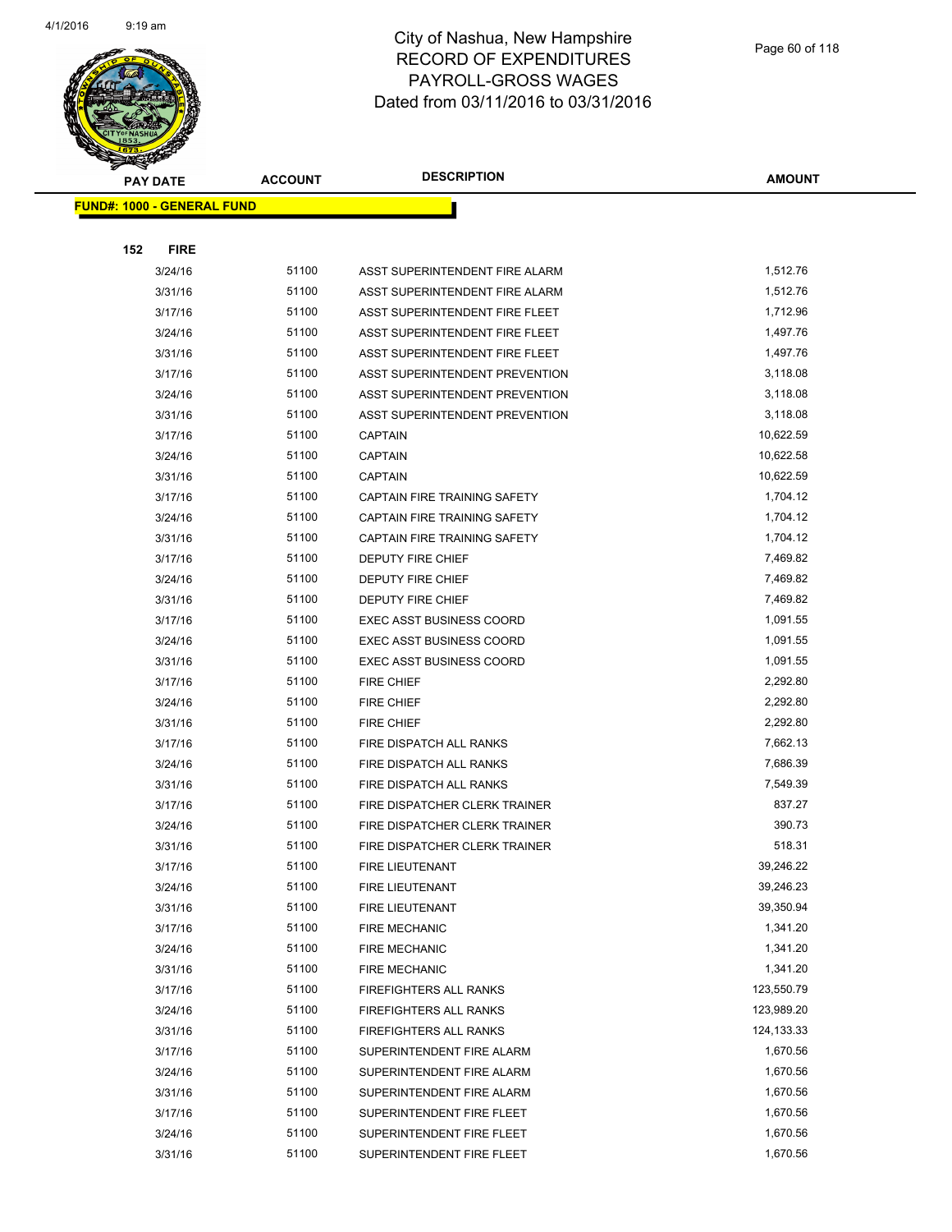

|     | <b>PAY DATE</b>                   | <b>ACCOUNT</b> | <b>DESCRIPTION</b>                    | <b>AMOUNT</b> |
|-----|-----------------------------------|----------------|---------------------------------------|---------------|
|     | <b>FUND#: 1000 - GENERAL FUND</b> |                |                                       |               |
|     |                                   |                |                                       |               |
| 152 | <b>FIRE</b>                       |                |                                       |               |
|     | 3/24/16                           | 51100          | ASST SUPERINTENDENT FIRE ALARM        | 1,512.76      |
|     | 3/31/16                           | 51100          | ASST SUPERINTENDENT FIRE ALARM        | 1,512.76      |
|     | 3/17/16                           | 51100          | ASST SUPERINTENDENT FIRE FLEET        | 1,712.96      |
|     | 3/24/16                           | 51100          | ASST SUPERINTENDENT FIRE FLEET        | 1,497.76      |
|     | 3/31/16                           | 51100          | ASST SUPERINTENDENT FIRE FLEET        | 1,497.76      |
|     | 3/17/16                           | 51100          | <b>ASST SUPERINTENDENT PREVENTION</b> | 3,118.08      |
|     | 3/24/16                           | 51100          | ASST SUPERINTENDENT PREVENTION        | 3,118.08      |
|     | 3/31/16                           | 51100          | ASST SUPERINTENDENT PREVENTION        | 3,118.08      |
|     | 3/17/16                           | 51100          | <b>CAPTAIN</b>                        | 10,622.59     |
|     | 3/24/16                           | 51100          | <b>CAPTAIN</b>                        | 10,622.58     |
|     | 3/31/16                           | 51100          | <b>CAPTAIN</b>                        | 10,622.59     |
|     | 3/17/16                           | 51100          | <b>CAPTAIN FIRE TRAINING SAFETY</b>   | 1,704.12      |
|     | 3/24/16                           | 51100          | CAPTAIN FIRE TRAINING SAFETY          | 1,704.12      |
|     | 3/31/16                           | 51100          | CAPTAIN FIRE TRAINING SAFETY          | 1,704.12      |
|     | 3/17/16                           | 51100          | DEPUTY FIRE CHIEF                     | 7,469.82      |
|     | 3/24/16                           | 51100          | DEPUTY FIRE CHIEF                     | 7,469.82      |
|     | 3/31/16                           | 51100          | DEPUTY FIRE CHIEF                     | 7,469.82      |
|     | 3/17/16                           | 51100          | <b>EXEC ASST BUSINESS COORD</b>       | 1,091.55      |
|     | 3/24/16                           | 51100          | <b>EXEC ASST BUSINESS COORD</b>       | 1,091.55      |
|     | 3/31/16                           | 51100          | <b>EXEC ASST BUSINESS COORD</b>       | 1,091.55      |
|     | 3/17/16                           | 51100          | FIRE CHIEF                            | 2,292.80      |
|     | 3/24/16                           | 51100          | <b>FIRE CHIEF</b>                     | 2,292.80      |
|     | 3/31/16                           | 51100          | <b>FIRE CHIEF</b>                     | 2,292.80      |
|     | 3/17/16                           | 51100          | FIRE DISPATCH ALL RANKS               | 7,662.13      |
|     | 3/24/16                           | 51100          | FIRE DISPATCH ALL RANKS               | 7,686.39      |
|     | 3/31/16                           | 51100          | FIRE DISPATCH ALL RANKS               | 7,549.39      |
|     | 3/17/16                           | 51100          | FIRE DISPATCHER CLERK TRAINER         | 837.27        |
|     | 3/24/16                           | 51100          | FIRE DISPATCHER CLERK TRAINER         | 390.73        |
|     | 3/31/16                           | 51100          | FIRE DISPATCHER CLERK TRAINER         | 518.31        |
|     | 3/17/16                           | 51100          | <b>FIRE LIEUTENANT</b>                | 39,246.22     |
|     | 3/24/16                           | 51100          | FIRE LIEUTENANT                       | 39,246.23     |
|     | 3/31/16                           | 51100          | FIRE LIEUTENANT                       | 39,350.94     |
|     | 3/17/16                           | 51100          | <b>FIRE MECHANIC</b>                  | 1,341.20      |
|     | 3/24/16                           | 51100          | <b>FIRE MECHANIC</b>                  | 1,341.20      |
|     | 3/31/16                           | 51100          | <b>FIRE MECHANIC</b>                  | 1,341.20      |
|     | 3/17/16                           | 51100          | FIREFIGHTERS ALL RANKS                | 123,550.79    |
|     | 3/24/16                           | 51100          | FIREFIGHTERS ALL RANKS                | 123,989.20    |
|     | 3/31/16                           | 51100          | FIREFIGHTERS ALL RANKS                | 124,133.33    |
|     | 3/17/16                           | 51100          | SUPERINTENDENT FIRE ALARM             | 1,670.56      |
|     | 3/24/16                           | 51100          | SUPERINTENDENT FIRE ALARM             | 1,670.56      |
|     | 3/31/16                           | 51100          | SUPERINTENDENT FIRE ALARM             | 1,670.56      |
|     | 3/17/16                           | 51100          | SUPERINTENDENT FIRE FLEET             | 1,670.56      |
|     | 3/24/16                           | 51100          | SUPERINTENDENT FIRE FLEET             | 1,670.56      |
|     | 3/31/16                           | 51100          | SUPERINTENDENT FIRE FLEET             | 1,670.56      |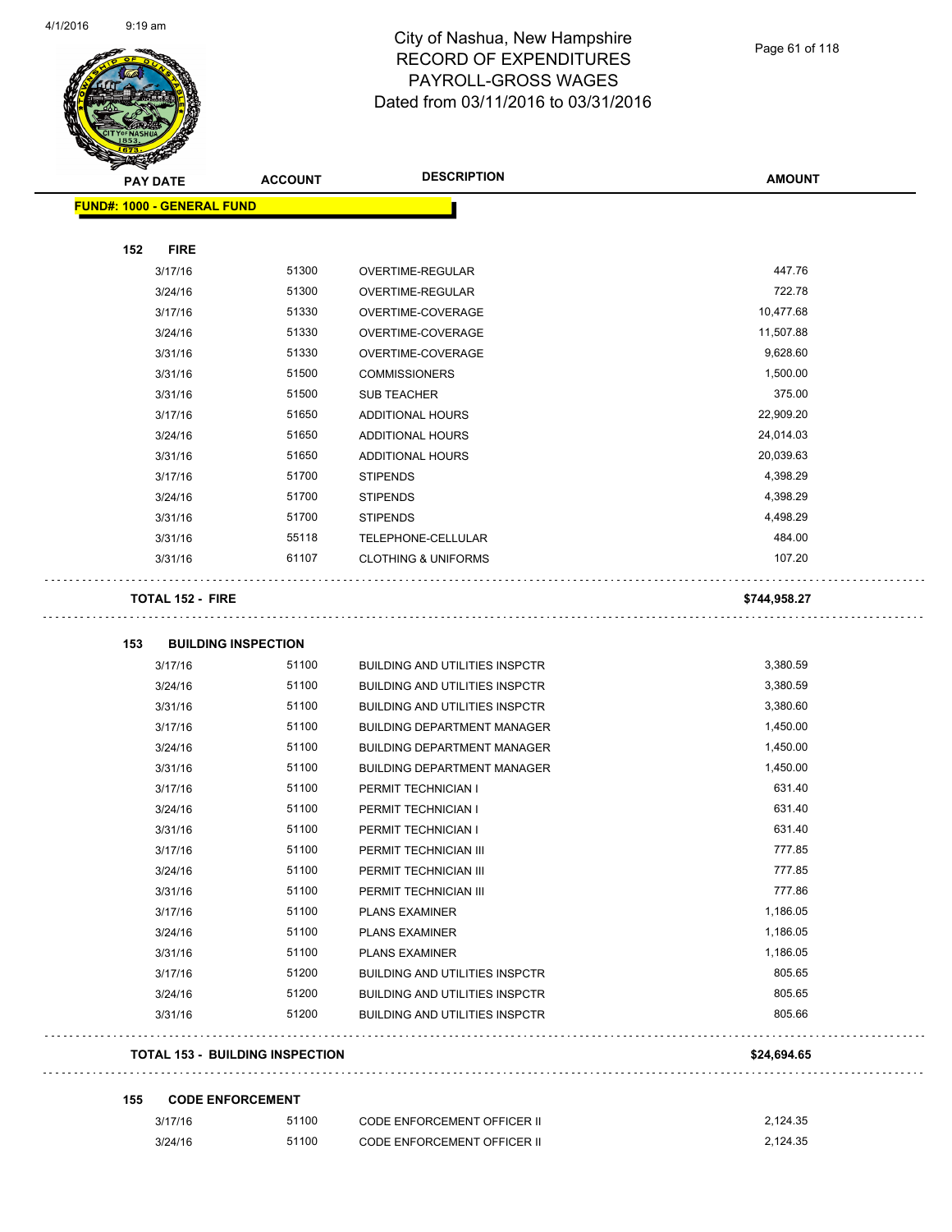

Page 61 of 118

| T<br>$\tilde{\phantom{a}}$<br><b>PAY DATE</b> | <b>ACCOUNT</b> | <b>DESCRIPTION</b>                    | <b>AMOUNT</b> |
|-----------------------------------------------|----------------|---------------------------------------|---------------|
| FUND#: 1000 - GENERAL FUND                    |                |                                       |               |
| <b>FIRE</b><br>152                            |                |                                       |               |
| 3/17/16                                       | 51300          | OVERTIME-REGULAR                      | 447.76        |
| 3/24/16                                       | 51300          | OVERTIME-REGULAR                      | 722.78        |
| 3/17/16                                       | 51330          | OVERTIME-COVERAGE                     | 10,477.68     |
| 3/24/16                                       | 51330          | OVERTIME-COVERAGE                     | 11,507.88     |
| 3/31/16                                       | 51330          | OVERTIME-COVERAGE                     | 9,628.60      |
| 3/31/16                                       | 51500          | <b>COMMISSIONERS</b>                  | 1,500.00      |
| 3/31/16                                       | 51500          | <b>SUB TEACHER</b>                    | 375.00        |
| 3/17/16                                       | 51650          | ADDITIONAL HOURS                      | 22,909.20     |
| 3/24/16                                       | 51650          | ADDITIONAL HOURS                      | 24,014.03     |
| 3/31/16                                       | 51650          | ADDITIONAL HOURS                      | 20,039.63     |
| 3/17/16                                       | 51700          | <b>STIPENDS</b>                       | 4,398.29      |
| 3/24/16                                       | 51700          | <b>STIPENDS</b>                       | 4,398.29      |
| 3/31/16                                       | 51700          | <b>STIPENDS</b>                       | 4,498.29      |
| 3/31/16                                       | 55118          | TELEPHONE-CELLULAR                    | 484.00        |
| 3/31/16                                       | 61107          | <b>CLOTHING &amp; UNIFORMS</b>        | 107.20        |
| <b>TOTAL 152 - FIRE</b>                       |                |                                       | \$744,958.27  |
|                                               |                |                                       |               |
| 153<br><b>BUILDING INSPECTION</b>             |                |                                       |               |
| 3/17/16                                       | 51100          | <b>BUILDING AND UTILITIES INSPCTR</b> | 3,380.59      |
| 3/24/16                                       | 51100          | <b>BUILDING AND UTILITIES INSPCTR</b> | 3,380.59      |
| 3/31/16                                       | 51100          | <b>BUILDING AND UTILITIES INSPCTR</b> | 3,380.60      |
| 3/17/16                                       | 51100          | <b>BUILDING DEPARTMENT MANAGER</b>    | 1,450.00      |
| 3/24/16                                       | 51100          | <b>BUILDING DEPARTMENT MANAGER</b>    | 1,450.00      |
| 3/31/16                                       | 51100          | <b>BUILDING DEPARTMENT MANAGER</b>    | 1,450.00      |
| 3/17/16                                       | 51100          | PERMIT TECHNICIAN I                   | 631.40        |
| 3/24/16                                       | 51100          | PERMIT TECHNICIAN I                   | 631.40        |
| 3/31/16                                       | 51100          | PERMIT TECHNICIAN I                   | 631.40        |
| 3/17/16                                       | 51100          | PERMIT TECHNICIAN III                 | 777.85        |
| 3/24/16                                       | 51100          | PERMIT TECHNICIAN III                 | 777.85        |
| 3/31/16                                       | 51100          | PERMIT TECHNICIAN III                 | 777.86        |
| 3/17/16                                       | 51100          | <b>PLANS EXAMINER</b>                 | 1,186.05      |
| 3/24/16                                       | 51100          | <b>PLANS EXAMINER</b>                 | 1,186.05      |
| 3/31/16                                       | 51100          | <b>PLANS EXAMINER</b>                 | 1,186.05      |
| 3/17/16                                       | 51200          | <b>BUILDING AND UTILITIES INSPCTR</b> | 805.65        |
| 3/24/16                                       | 51200          | <b>BUILDING AND UTILITIES INSPCTR</b> | 805.65        |
| 3/31/16                                       | 51200          | <b>BUILDING AND UTILITIES INSPCTR</b> | 805.66        |
| <b>TOTAL 153 - BUILDING INSPECTION</b>        |                |                                       | \$24,694.65   |
|                                               |                |                                       |               |
| <b>CODE ENFORCEMENT</b><br>155                |                |                                       |               |

| 3/17/16 | 51100 | <b>CODE ENFORCEMENT OFFICER II</b> | 2.124.35 |
|---------|-------|------------------------------------|----------|
| 3/24/16 | 51100 | <b>CODE ENFORCEMENT OFFICER II</b> | 2.124.35 |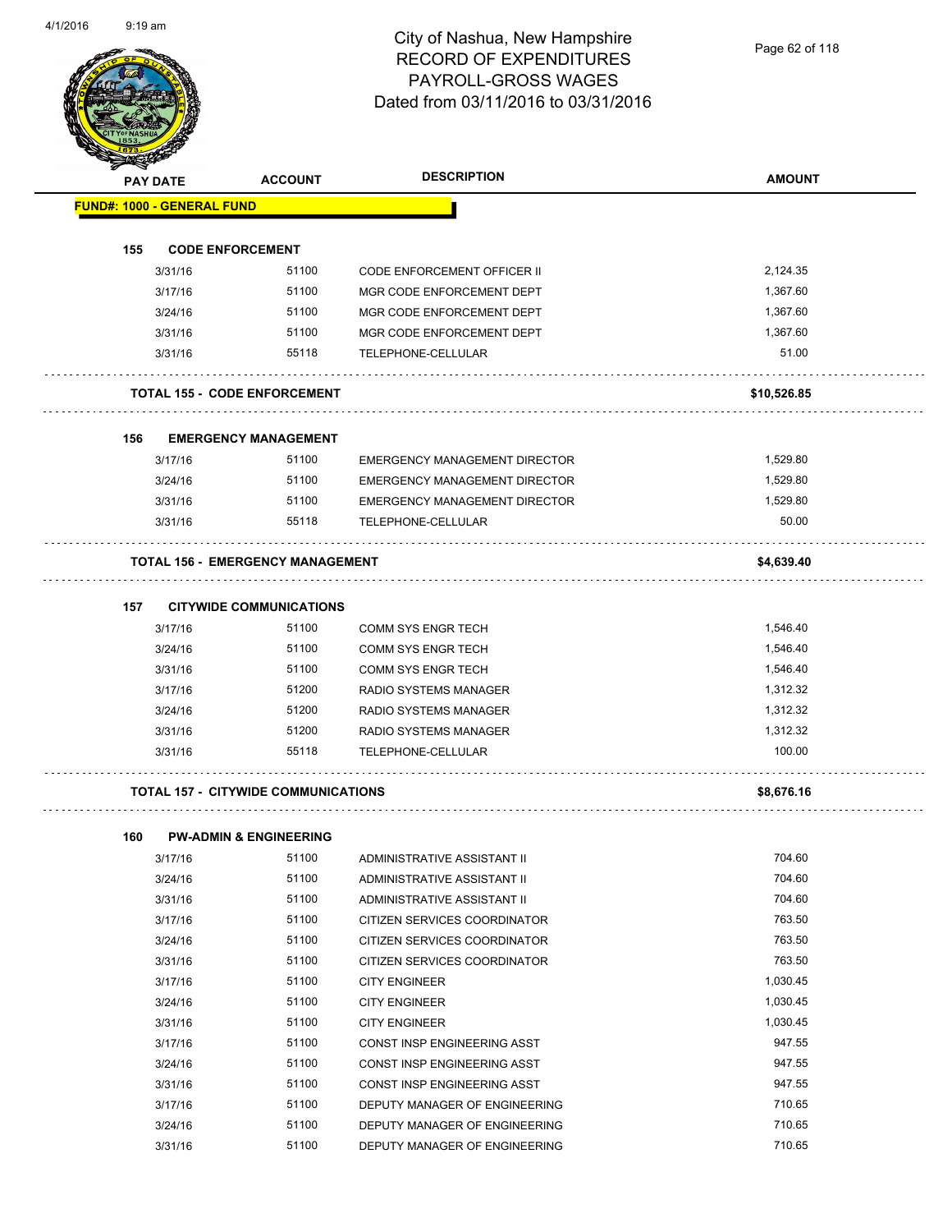Page 62 of 118

| PAY DATE                          | <b>ACCOUNT</b>                             | <b>DESCRIPTION</b>                   | <b>AMOUNT</b> |
|-----------------------------------|--------------------------------------------|--------------------------------------|---------------|
| <b>FUND#: 1000 - GENERAL FUND</b> |                                            |                                      |               |
| 155                               | <b>CODE ENFORCEMENT</b>                    |                                      |               |
| 3/31/16                           | 51100                                      | CODE ENFORCEMENT OFFICER II          | 2,124.35      |
| 3/17/16                           | 51100                                      | MGR CODE ENFORCEMENT DEPT            | 1,367.60      |
| 3/24/16                           | 51100                                      | MGR CODE ENFORCEMENT DEPT            | 1,367.60      |
| 3/31/16                           | 51100                                      | MGR CODE ENFORCEMENT DEPT            | 1,367.60      |
| 3/31/16                           | 55118                                      | TELEPHONE-CELLULAR                   | 51.00         |
|                                   | <b>TOTAL 155 - CODE ENFORCEMENT</b>        |                                      | \$10,526.85   |
| 156                               | <b>EMERGENCY MANAGEMENT</b>                |                                      |               |
| 3/17/16                           | 51100                                      | <b>EMERGENCY MANAGEMENT DIRECTOR</b> | 1,529.80      |
| 3/24/16                           | 51100                                      | <b>EMERGENCY MANAGEMENT DIRECTOR</b> | 1,529.80      |
| 3/31/16                           | 51100                                      | EMERGENCY MANAGEMENT DIRECTOR        | 1,529.80      |
| 3/31/16                           | 55118                                      | TELEPHONE-CELLULAR                   | 50.00         |
|                                   | <b>TOTAL 156 - EMERGENCY MANAGEMENT</b>    |                                      | \$4,639.40    |
| 157                               | <b>CITYWIDE COMMUNICATIONS</b>             |                                      |               |
| 3/17/16                           | 51100                                      | COMM SYS ENGR TECH                   | 1,546.40      |
| 3/24/16                           | 51100                                      | <b>COMM SYS ENGR TECH</b>            | 1,546.40      |
| 3/31/16                           | 51100                                      | COMM SYS ENGR TECH                   | 1,546.40      |
| 3/17/16                           | 51200                                      | RADIO SYSTEMS MANAGER                | 1,312.32      |
| 3/24/16                           | 51200                                      | RADIO SYSTEMS MANAGER                | 1,312.32      |
| 3/31/16                           | 51200                                      | RADIO SYSTEMS MANAGER                | 1,312.32      |
| 3/31/16                           | 55118                                      | TELEPHONE-CELLULAR                   | 100.00        |
|                                   | <b>TOTAL 157 - CITYWIDE COMMUNICATIONS</b> |                                      | \$8,676.16    |
| 160                               | <b>PW-ADMIN &amp; ENGINEERING</b>          |                                      |               |
| 3/17/16                           | 51100                                      | ADMINISTRATIVE ASSISTANT II          | 704.60        |
| 3/24/16                           | 51100                                      | ADMINISTRATIVE ASSISTANT II          | 704.60        |
| 3/31/16                           | 51100                                      | ADMINISTRATIVE ASSISTANT II          | 704.60        |
| 3/17/16                           | 51100                                      | CITIZEN SERVICES COORDINATOR         | 763.50        |
| 3/24/16                           | 51100                                      | CITIZEN SERVICES COORDINATOR         | 763.50        |
| 3/31/16                           | 51100                                      | CITIZEN SERVICES COORDINATOR         | 763.50        |
| 3/17/16                           | 51100                                      | <b>CITY ENGINEER</b>                 | 1,030.45      |
| 3/24/16                           | 51100                                      | <b>CITY ENGINEER</b>                 | 1,030.45      |
| 3/31/16                           | 51100                                      | <b>CITY ENGINEER</b>                 | 1,030.45      |
| 3/17/16                           | 51100                                      | CONST INSP ENGINEERING ASST          | 947.55        |
| 3/24/16                           | 51100                                      | CONST INSP ENGINEERING ASST          | 947.55        |
| 3/31/16                           | 51100                                      | CONST INSP ENGINEERING ASST          | 947.55        |

3/17/16 51100 DEPUTY MANAGER OF ENGINEERING 710.65 3/24/16 51100 DEPUTY MANAGER OF ENGINEERING 710.65 3/31/16 51100 DEPUTY MANAGER OF ENGINEERING 710.65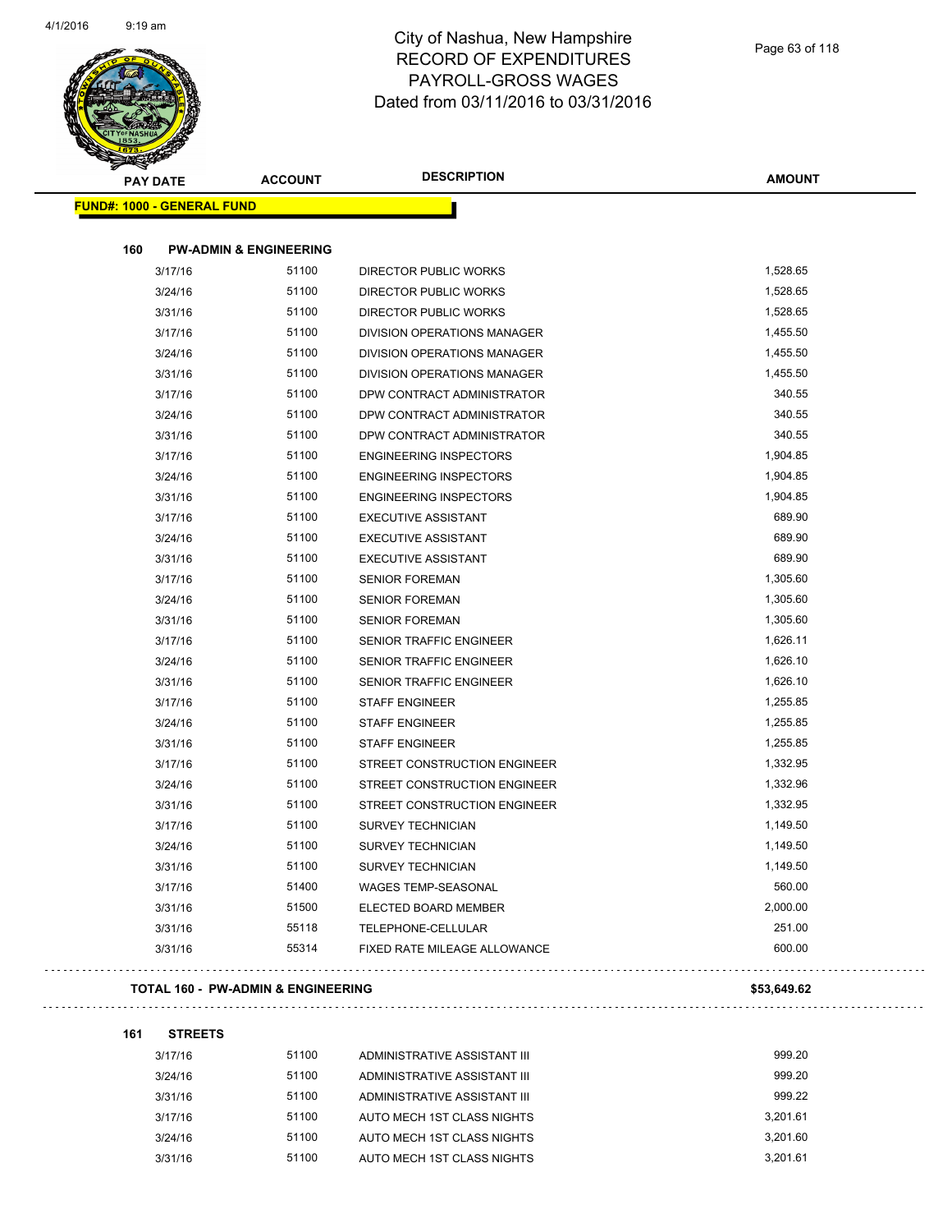

| <b>CONTRACTOR</b><br><b>PAY DATE</b> | <b>ACCOUNT</b>                    | <b>DESCRIPTION</b>             | <b>AMOUNT</b> |
|--------------------------------------|-----------------------------------|--------------------------------|---------------|
| <b>FUND#: 1000 - GENERAL FUND</b>    |                                   |                                |               |
| 160                                  | <b>PW-ADMIN &amp; ENGINEERING</b> |                                |               |
| 3/17/16                              | 51100                             | DIRECTOR PUBLIC WORKS          | 1,528.65      |
| 3/24/16                              | 51100                             | DIRECTOR PUBLIC WORKS          | 1,528.65      |
| 3/31/16                              | 51100                             | DIRECTOR PUBLIC WORKS          | 1,528.65      |
| 3/17/16                              | 51100                             | DIVISION OPERATIONS MANAGER    | 1,455.50      |
| 3/24/16                              | 51100                             | DIVISION OPERATIONS MANAGER    | 1,455.50      |
| 3/31/16                              | 51100                             | DIVISION OPERATIONS MANAGER    | 1,455.50      |
| 3/17/16                              | 51100                             | DPW CONTRACT ADMINISTRATOR     | 340.55        |
| 3/24/16                              | 51100                             | DPW CONTRACT ADMINISTRATOR     | 340.55        |
| 3/31/16                              | 51100                             | DPW CONTRACT ADMINISTRATOR     | 340.55        |
| 3/17/16                              | 51100                             | <b>ENGINEERING INSPECTORS</b>  | 1,904.85      |
| 3/24/16                              | 51100                             | <b>ENGINEERING INSPECTORS</b>  | 1,904.85      |
| 3/31/16                              | 51100                             | <b>ENGINEERING INSPECTORS</b>  | 1,904.85      |
| 3/17/16                              | 51100                             | <b>EXECUTIVE ASSISTANT</b>     | 689.90        |
| 3/24/16                              | 51100                             | <b>EXECUTIVE ASSISTANT</b>     | 689.90        |
| 3/31/16                              | 51100                             | <b>EXECUTIVE ASSISTANT</b>     | 689.90        |
| 3/17/16                              | 51100                             | <b>SENIOR FOREMAN</b>          | 1,305.60      |
| 3/24/16                              | 51100                             | <b>SENIOR FOREMAN</b>          | 1,305.60      |
| 3/31/16                              | 51100                             | <b>SENIOR FOREMAN</b>          | 1,305.60      |
| 3/17/16                              | 51100                             | <b>SENIOR TRAFFIC ENGINEER</b> | 1,626.11      |
| 3/24/16                              | 51100                             | <b>SENIOR TRAFFIC ENGINEER</b> | 1,626.10      |
| 3/31/16                              | 51100                             | <b>SENIOR TRAFFIC ENGINEER</b> | 1,626.10      |
| 3/17/16                              | 51100                             | <b>STAFF ENGINEER</b>          | 1,255.85      |
| 3/24/16                              | 51100                             | <b>STAFF ENGINEER</b>          | 1,255.85      |
| 3/31/16                              | 51100                             | <b>STAFF ENGINEER</b>          | 1,255.85      |
| 3/17/16                              | 51100                             | STREET CONSTRUCTION ENGINEER   | 1,332.95      |
| 3/24/16                              | 51100                             | STREET CONSTRUCTION ENGINEER   | 1,332.96      |
| 3/31/16                              | 51100                             | STREET CONSTRUCTION ENGINEER   | 1,332.95      |
| 3/17/16                              | 51100                             | <b>SURVEY TECHNICIAN</b>       | 1,149.50      |
| 3/24/16                              | 51100                             | <b>SURVEY TECHNICIAN</b>       | 1,149.50      |
| 3/31/16                              | 51100                             | <b>SURVEY TECHNICIAN</b>       | 1,149.50      |
| 3/17/16                              | 51400                             | WAGES TEMP-SEASONAL            | 560.00        |
| 3/31/16                              | 51500                             | ELECTED BOARD MEMBER           | 2,000.00      |
| 3/31/16                              | 55118                             | TELEPHONE-CELLULAR             | 251.00        |
| 3/31/16                              | 55314                             | FIXED RATE MILEAGE ALLOWANCE   | 600.00        |

#### **TOTAL 160 - PW-ADMIN & ENGINEERING \$53,649.62**

**161 STREETS** 3/17/16 51100 ADMINISTRATIVE ASSISTANT III 999.20 3/24/16 51100 ADMINISTRATIVE ASSISTANT III 999.20 3/31/16 51100 ADMINISTRATIVE ASSISTANT III 999.22 3/17/16 51100 AUTO MECH 1ST CLASS NIGHTS 3,201.61 3/24/16 51100 AUTO MECH 1ST CLASS NIGHTS 3,201.60 3/31/16 51100 AUTO MECH 1ST CLASS NIGHTS 3,201.61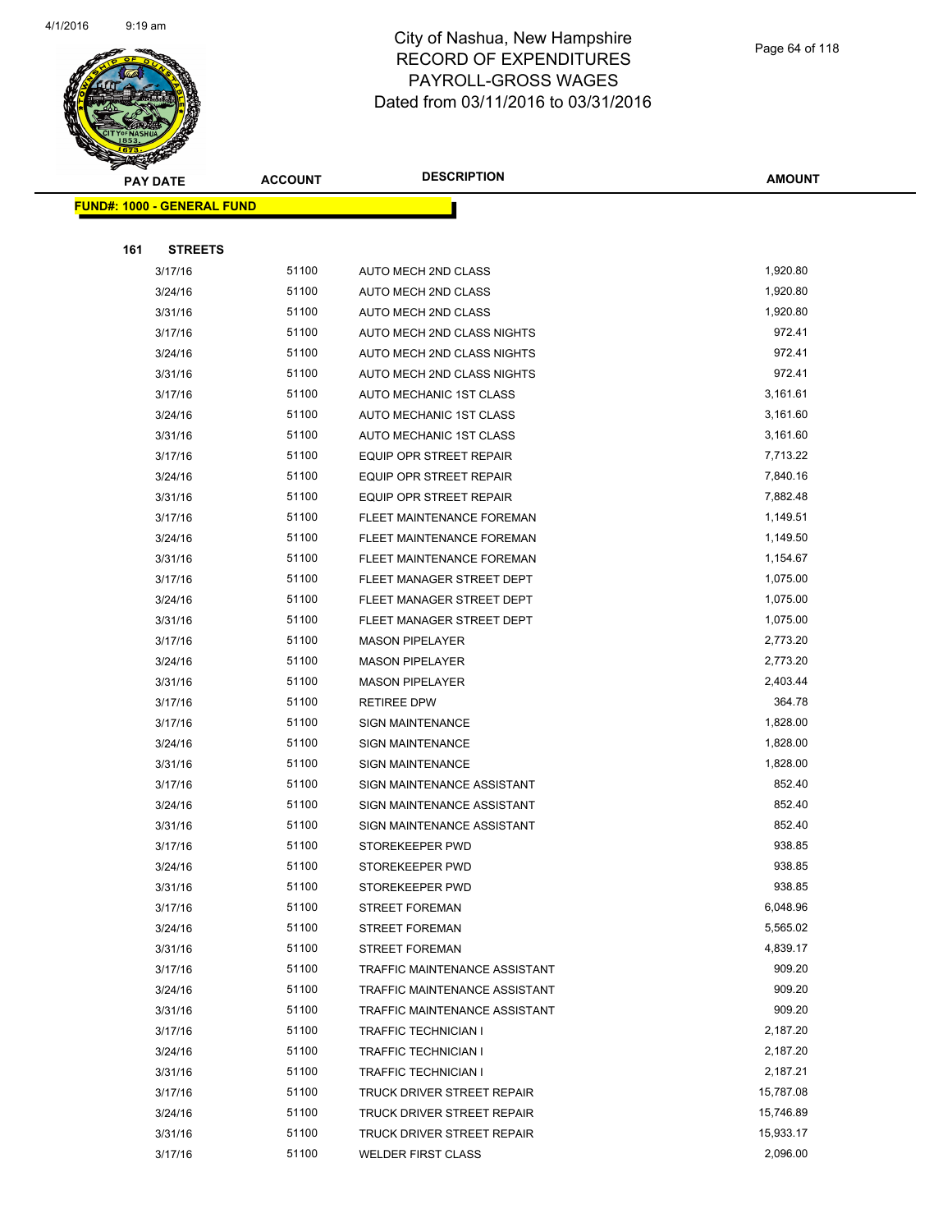

|     | <b>PAY DATE</b>                    | <b>ACCOUNT</b> | <b>DESCRIPTION</b>             | <b>AMOUNT</b> |
|-----|------------------------------------|----------------|--------------------------------|---------------|
|     | <u> FUND#: 1000 - GENERAL FUND</u> |                |                                |               |
|     |                                    |                |                                |               |
| 161 | <b>STREETS</b>                     |                |                                |               |
|     | 3/17/16                            | 51100          | AUTO MECH 2ND CLASS            | 1,920.80      |
|     | 3/24/16                            | 51100          | <b>AUTO MECH 2ND CLASS</b>     | 1,920.80      |
|     | 3/31/16                            | 51100          | AUTO MECH 2ND CLASS            | 1,920.80      |
|     | 3/17/16                            | 51100          | AUTO MECH 2ND CLASS NIGHTS     | 972.41        |
|     | 3/24/16                            | 51100          | AUTO MECH 2ND CLASS NIGHTS     | 972.41        |
|     | 3/31/16                            | 51100          | AUTO MECH 2ND CLASS NIGHTS     | 972.41        |
|     | 3/17/16                            | 51100          | AUTO MECHANIC 1ST CLASS        | 3,161.61      |
|     | 3/24/16                            | 51100          | AUTO MECHANIC 1ST CLASS        | 3,161.60      |
|     | 3/31/16                            | 51100          | AUTO MECHANIC 1ST CLASS        | 3,161.60      |
|     | 3/17/16                            | 51100          | <b>EQUIP OPR STREET REPAIR</b> | 7,713.22      |
|     | 3/24/16                            | 51100          | EQUIP OPR STREET REPAIR        | 7,840.16      |
|     | 3/31/16                            | 51100          | EQUIP OPR STREET REPAIR        | 7,882.48      |
|     | 3/17/16                            | 51100          | FLEET MAINTENANCE FOREMAN      | 1,149.51      |
|     | 3/24/16                            | 51100          | FLEET MAINTENANCE FOREMAN      | 1,149.50      |
|     | 3/31/16                            | 51100          | FLEET MAINTENANCE FOREMAN      | 1,154.67      |
|     | 3/17/16                            | 51100          | FLEET MANAGER STREET DEPT      | 1,075.00      |
|     | 3/24/16                            | 51100          | FLEET MANAGER STREET DEPT      | 1,075.00      |
|     | 3/31/16                            | 51100          | FLEET MANAGER STREET DEPT      | 1,075.00      |
|     | 3/17/16                            | 51100          | <b>MASON PIPELAYER</b>         | 2,773.20      |
|     | 3/24/16                            | 51100          | <b>MASON PIPELAYER</b>         | 2,773.20      |
|     | 3/31/16                            | 51100          | <b>MASON PIPELAYER</b>         | 2,403.44      |
|     | 3/17/16                            | 51100          | <b>RETIREE DPW</b>             | 364.78        |
|     | 3/17/16                            | 51100          | <b>SIGN MAINTENANCE</b>        | 1,828.00      |
|     | 3/24/16                            | 51100          | <b>SIGN MAINTENANCE</b>        | 1,828.00      |
|     | 3/31/16                            | 51100          | <b>SIGN MAINTENANCE</b>        | 1,828.00      |
|     | 3/17/16                            | 51100          | SIGN MAINTENANCE ASSISTANT     | 852.40        |
|     | 3/24/16                            | 51100          | SIGN MAINTENANCE ASSISTANT     | 852.40        |
|     | 3/31/16                            | 51100          | SIGN MAINTENANCE ASSISTANT     | 852.40        |
|     | 3/17/16                            | 51100          | STOREKEEPER PWD                | 938.85        |
|     | 3/24/16                            | 51100          | STOREKEEPER PWD                | 938.85        |
|     | 3/31/16                            | 51100          | STOREKEEPER PWD                | 938.85        |
|     | 3/17/16                            | 51100          | <b>STREET FOREMAN</b>          | 6,048.96      |
|     | 3/24/16                            | 51100          | <b>STREET FOREMAN</b>          | 5,565.02      |
|     | 3/31/16                            | 51100          | <b>STREET FOREMAN</b>          | 4,839.17      |
|     | 3/17/16                            | 51100          | TRAFFIC MAINTENANCE ASSISTANT  | 909.20        |
|     | 3/24/16                            | 51100          | TRAFFIC MAINTENANCE ASSISTANT  | 909.20        |
|     | 3/31/16                            | 51100          | TRAFFIC MAINTENANCE ASSISTANT  | 909.20        |
|     | 3/17/16                            | 51100          | TRAFFIC TECHNICIAN I           | 2,187.20      |
|     | 3/24/16                            | 51100          | TRAFFIC TECHNICIAN I           | 2,187.20      |
|     | 3/31/16                            | 51100          | TRAFFIC TECHNICIAN I           | 2,187.21      |
|     | 3/17/16                            | 51100          | TRUCK DRIVER STREET REPAIR     | 15,787.08     |
|     | 3/24/16                            | 51100          | TRUCK DRIVER STREET REPAIR     | 15,746.89     |
|     | 3/31/16                            | 51100          | TRUCK DRIVER STREET REPAIR     | 15,933.17     |
|     | 3/17/16                            | 51100          | <b>WELDER FIRST CLASS</b>      | 2,096.00      |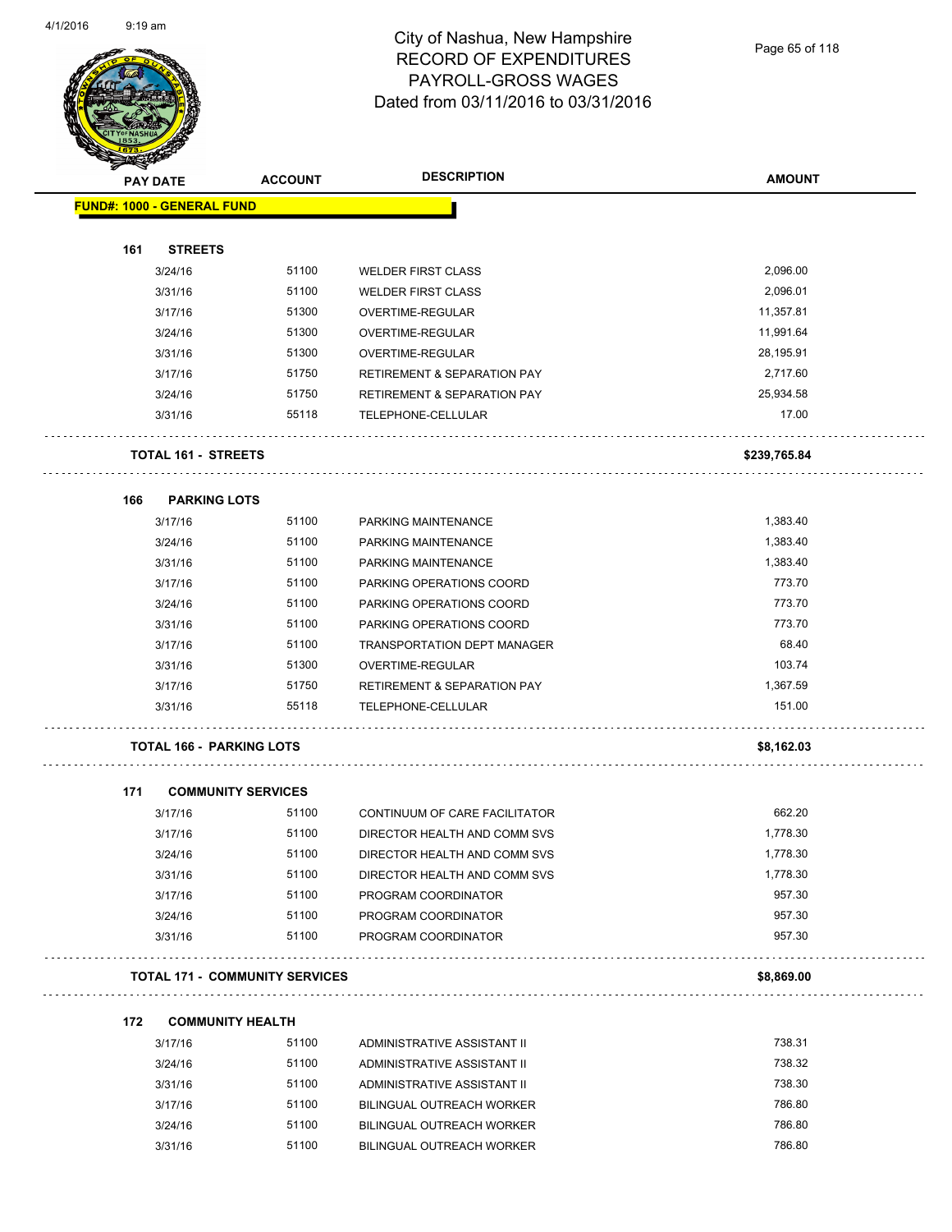

Page 65 of 118

| <b>PAY DATE</b>                   | <b>ACCOUNT</b>                        | <b>DESCRIPTION</b>                     | <b>AMOUNT</b> |
|-----------------------------------|---------------------------------------|----------------------------------------|---------------|
| <b>FUND#: 1000 - GENERAL FUND</b> |                                       |                                        |               |
|                                   |                                       |                                        |               |
| 161<br><b>STREETS</b>             |                                       |                                        |               |
| 3/24/16                           | 51100                                 | <b>WELDER FIRST CLASS</b>              | 2,096.00      |
| 3/31/16                           | 51100                                 | <b>WELDER FIRST CLASS</b>              | 2,096.01      |
| 3/17/16                           | 51300                                 | OVERTIME-REGULAR                       | 11,357.81     |
| 3/24/16                           | 51300                                 | OVERTIME-REGULAR                       | 11,991.64     |
| 3/31/16                           | 51300                                 | OVERTIME-REGULAR                       | 28,195.91     |
| 3/17/16                           | 51750                                 | <b>RETIREMENT &amp; SEPARATION PAY</b> | 2,717.60      |
| 3/24/16                           | 51750                                 | <b>RETIREMENT &amp; SEPARATION PAY</b> | 25,934.58     |
| 3/31/16                           | 55118                                 | TELEPHONE-CELLULAR                     | 17.00         |
| <b>TOTAL 161 - STREETS</b>        |                                       |                                        | \$239,765.84  |
| <b>PARKING LOTS</b><br>166        |                                       |                                        |               |
| 3/17/16                           | 51100                                 | PARKING MAINTENANCE                    | 1,383.40      |
| 3/24/16                           | 51100                                 | PARKING MAINTENANCE                    | 1,383.40      |
| 3/31/16                           | 51100                                 | PARKING MAINTENANCE                    | 1,383.40      |
| 3/17/16                           | 51100                                 | PARKING OPERATIONS COORD               | 773.70        |
| 3/24/16                           | 51100                                 | PARKING OPERATIONS COORD               | 773.70        |
| 3/31/16                           | 51100                                 | PARKING OPERATIONS COORD               | 773.70        |
| 3/17/16                           | 51100                                 | <b>TRANSPORTATION DEPT MANAGER</b>     | 68.40         |
| 3/31/16                           | 51300                                 | OVERTIME-REGULAR                       | 103.74        |
| 3/17/16                           | 51750                                 | <b>RETIREMENT &amp; SEPARATION PAY</b> | 1,367.59      |
| 3/31/16                           | 55118                                 | TELEPHONE-CELLULAR                     | 151.00        |
| <b>TOTAL 166 - PARKING LOTS</b>   |                                       |                                        | \$8,162.03    |
| 171                               | <b>COMMUNITY SERVICES</b>             |                                        |               |
| 3/17/16                           | 51100                                 | CONTINUUM OF CARE FACILITATOR          | 662.20        |
| 3/17/16                           | 51100                                 | DIRECTOR HEALTH AND COMM SVS           | 1,778.30      |
| 3/24/16                           | 51100                                 | DIRECTOR HEALTH AND COMM SVS           | 1,778.30      |
| 3/31/16                           | 51100                                 | DIRECTOR HEALTH AND COMM SVS           | 1,778.30      |
| 3/17/16                           | 51100                                 | PROGRAM COORDINATOR                    | 957.30        |
| 3/24/16                           | 51100                                 | PROGRAM COORDINATOR                    | 957.30        |
| 3/31/16                           | 51100                                 | PROGRAM COORDINATOR                    | 957.30        |
|                                   | <b>TOTAL 171 - COMMUNITY SERVICES</b> |                                        | \$8,869.00    |
| 172                               | <b>COMMUNITY HEALTH</b>               |                                        |               |
| 3/17/16                           | 51100                                 | ADMINISTRATIVE ASSISTANT II            | 738.31        |
| 3/24/16                           | 51100                                 | ADMINISTRATIVE ASSISTANT II            | 738.32        |

| <i><u>JIIIII</u></i> | .     | ADIVILIVO LIVATIVE AUULUTAIVI II |        |
|----------------------|-------|----------------------------------|--------|
| 3/24/16              | 51100 | ADMINISTRATIVE ASSISTANT II      | 738.32 |
| 3/31/16              | 51100 | ADMINISTRATIVE ASSISTANT II      | 738.30 |
| 3/17/16              | 51100 | BILINGUAL OUTREACH WORKER        | 786.80 |
| 3/24/16              | 51100 | BILINGUAL OUTREACH WORKER        | 786.80 |
| 3/31/16              | 51100 | BILINGUAL OUTREACH WORKER        | 786.80 |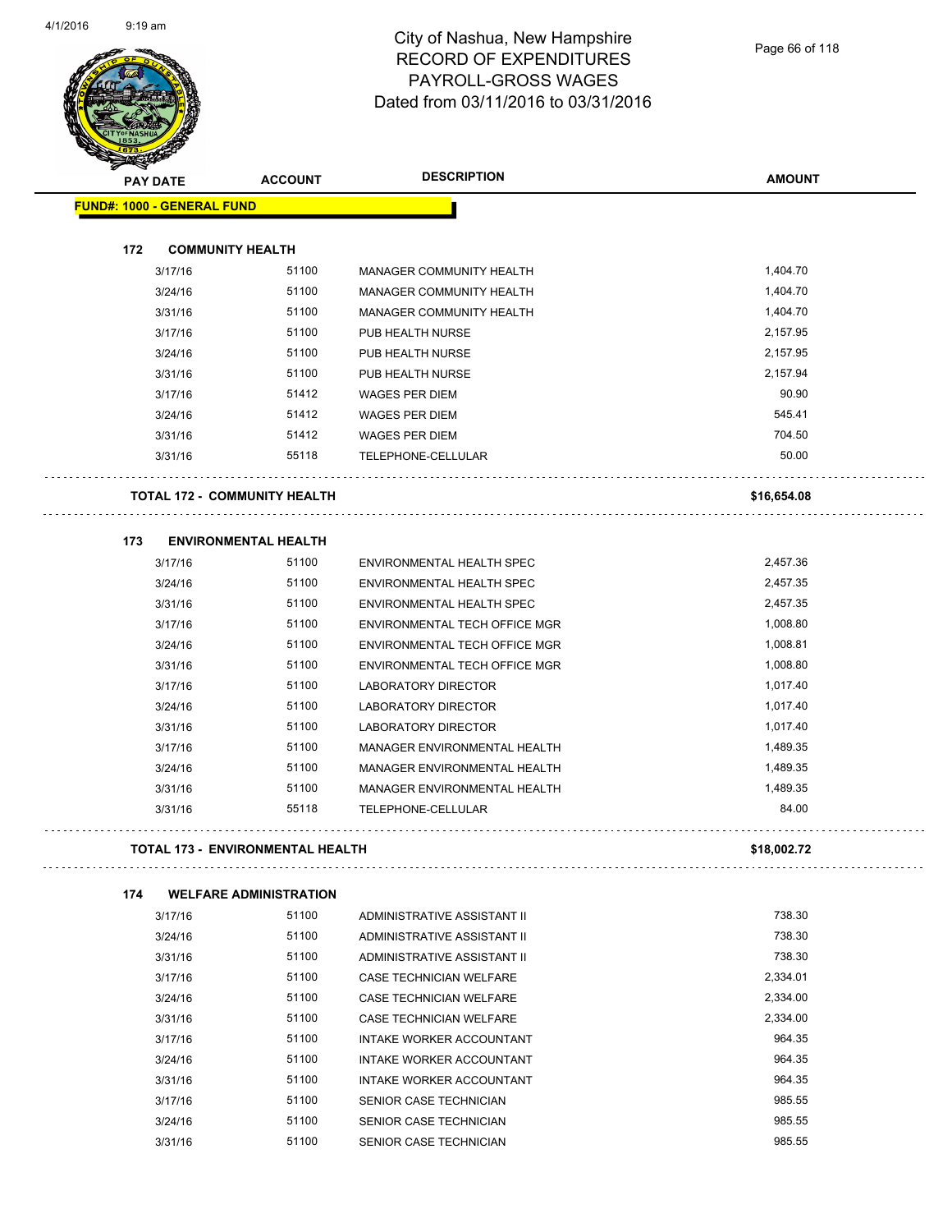$\overline{a}$ 



| Ð<br>☞<br><b>PAY DATE</b>         | <b>ACCOUNT</b>                          | <b>DESCRIPTION</b>                                | <b>AMOUNT</b>     |
|-----------------------------------|-----------------------------------------|---------------------------------------------------|-------------------|
| <b>FUND#: 1000 - GENERAL FUND</b> |                                         |                                                   |                   |
|                                   |                                         |                                                   |                   |
| 172                               | <b>COMMUNITY HEALTH</b><br>51100        |                                                   | 1,404.70          |
| 3/17/16                           | 51100                                   | MANAGER COMMUNITY HEALTH                          | 1,404.70          |
| 3/24/16                           |                                         | MANAGER COMMUNITY HEALTH                          |                   |
| 3/31/16                           | 51100                                   | MANAGER COMMUNITY HEALTH                          | 1,404.70          |
| 3/17/16                           | 51100<br>51100                          | PUB HEALTH NURSE                                  | 2,157.95          |
| 3/24/16                           |                                         | PUB HEALTH NURSE                                  | 2,157.95          |
| 3/31/16                           | 51100                                   | PUB HEALTH NURSE                                  | 2,157.94<br>90.90 |
| 3/17/16                           | 51412                                   | <b>WAGES PER DIEM</b>                             |                   |
| 3/24/16                           | 51412                                   | <b>WAGES PER DIEM</b>                             | 545.41            |
| 3/31/16                           | 51412                                   | <b>WAGES PER DIEM</b>                             | 704.50            |
| 3/31/16                           | 55118                                   | TELEPHONE-CELLULAR                                | 50.00             |
|                                   | <b>TOTAL 172 - COMMUNITY HEALTH</b>     |                                                   | \$16,654.08       |
|                                   |                                         |                                                   |                   |
| 173<br>3/17/16                    | <b>ENVIRONMENTAL HEALTH</b><br>51100    | ENVIRONMENTAL HEALTH SPEC                         | 2,457.36          |
| 3/24/16                           | 51100                                   | ENVIRONMENTAL HEALTH SPEC                         | 2,457.35          |
| 3/31/16                           | 51100                                   | ENVIRONMENTAL HEALTH SPEC                         | 2,457.35          |
| 3/17/16                           | 51100                                   | ENVIRONMENTAL TECH OFFICE MGR                     | 1,008.80          |
| 3/24/16                           | 51100                                   | ENVIRONMENTAL TECH OFFICE MGR                     | 1,008.81          |
| 3/31/16                           | 51100                                   | ENVIRONMENTAL TECH OFFICE MGR                     | 1,008.80          |
|                                   | 51100                                   |                                                   | 1,017.40          |
| 3/17/16<br>3/24/16                | 51100                                   | LABORATORY DIRECTOR<br><b>LABORATORY DIRECTOR</b> | 1,017.40          |
| 3/31/16                           | 51100                                   | LABORATORY DIRECTOR                               | 1,017.40          |
| 3/17/16                           | 51100                                   | MANAGER ENVIRONMENTAL HEALTH                      | 1,489.35          |
| 3/24/16                           | 51100                                   | MANAGER ENVIRONMENTAL HEALTH                      | 1,489.35          |
| 3/31/16                           | 51100                                   | MANAGER ENVIRONMENTAL HEALTH                      | 1,489.35          |
| 3/31/16                           | 55118                                   | TELEPHONE-CELLULAR                                | 84.00             |
|                                   |                                         |                                                   |                   |
|                                   | <b>TOTAL 173 - ENVIRONMENTAL HEALTH</b> |                                                   | \$18,002.72       |
| 174                               | <b>WELFARE ADMINISTRATION</b>           |                                                   |                   |
| $914714C$                         | <b>51100</b>                            | A DMINIOTO A TIME A OCIOTANIT II                  | 720.20            |

| 3/17/16 | 51100 | ADMINISTRATIVE ASSISTANT II    | 738.30   |
|---------|-------|--------------------------------|----------|
| 3/24/16 | 51100 | ADMINISTRATIVE ASSISTANT II    | 738.30   |
| 3/31/16 | 51100 | ADMINISTRATIVE ASSISTANT II    | 738.30   |
| 3/17/16 | 51100 | CASE TECHNICIAN WELFARE        | 2,334.01 |
| 3/24/16 | 51100 | <b>CASE TECHNICIAN WELFARE</b> | 2.334.00 |
| 3/31/16 | 51100 | CASE TECHNICIAN WELFARE        | 2.334.00 |
| 3/17/16 | 51100 | INTAKE WORKER ACCOUNTANT       | 964.35   |
| 3/24/16 | 51100 | INTAKE WORKER ACCOUNTANT       | 964.35   |
| 3/31/16 | 51100 | INTAKE WORKER ACCOUNTANT       | 964.35   |
| 3/17/16 | 51100 | SENIOR CASE TECHNICIAN         | 985.55   |
| 3/24/16 | 51100 | SENIOR CASE TECHNICIAN         | 985.55   |
| 3/31/16 | 51100 | <b>SENIOR CASE TECHNICIAN</b>  | 985.55   |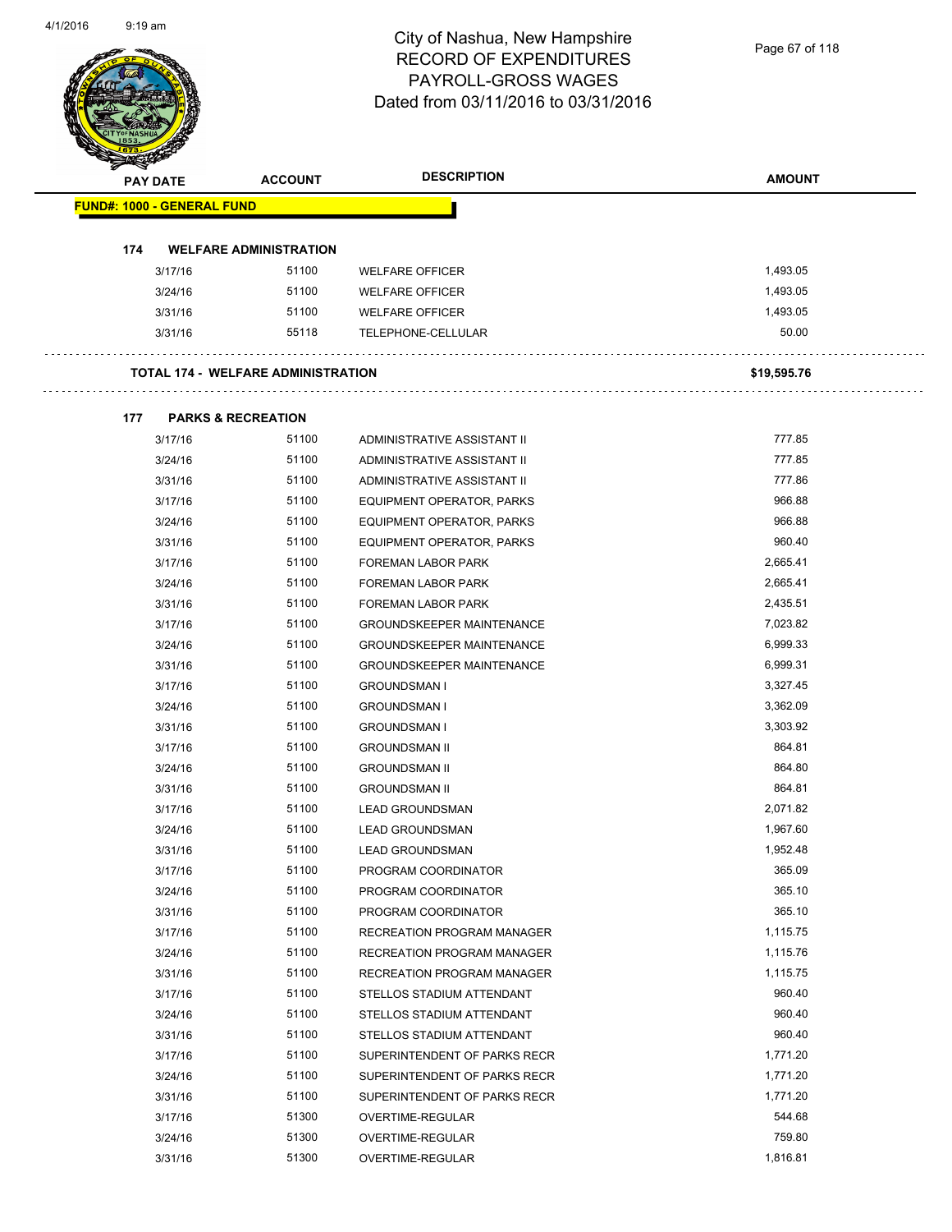| <b>PAY DATE</b>                   | <b>ACCOUNT</b>                            | <b>DESCRIPTION</b>               | <b>AMOUNT</b> |
|-----------------------------------|-------------------------------------------|----------------------------------|---------------|
| <b>FUND#: 1000 - GENERAL FUND</b> |                                           |                                  |               |
|                                   |                                           |                                  |               |
| 174                               | <b>WELFARE ADMINISTRATION</b>             |                                  |               |
| 3/17/16                           | 51100                                     | <b>WELFARE OFFICER</b>           | 1,493.05      |
| 3/24/16                           | 51100                                     | <b>WELFARE OFFICER</b>           | 1,493.05      |
| 3/31/16                           | 51100                                     | <b>WELFARE OFFICER</b>           | 1,493.05      |
| 3/31/16                           | 55118                                     | TELEPHONE-CELLULAR               | 50.00         |
|                                   | <b>TOTAL 174 - WELFARE ADMINISTRATION</b> |                                  | \$19,595.76   |
| 177                               | <b>PARKS &amp; RECREATION</b>             |                                  |               |
| 3/17/16                           | 51100                                     | ADMINISTRATIVE ASSISTANT II      | 777.85        |
| 3/24/16                           | 51100                                     | ADMINISTRATIVE ASSISTANT II      | 777.85        |
| 3/31/16                           | 51100                                     | ADMINISTRATIVE ASSISTANT II      | 777.86        |
| 3/17/16                           | 51100                                     | <b>EQUIPMENT OPERATOR, PARKS</b> | 966.88        |
| 3/24/16                           | 51100                                     | EQUIPMENT OPERATOR, PARKS        | 966.88        |
| 3/31/16                           | 51100                                     | EQUIPMENT OPERATOR, PARKS        | 960.40        |
| 3/17/16                           | 51100                                     | FOREMAN LABOR PARK               | 2,665.41      |
| 3/24/16                           | 51100                                     | <b>FOREMAN LABOR PARK</b>        | 2,665.41      |
| 3/31/16                           | 51100                                     | FOREMAN LABOR PARK               | 2,435.51      |
| 3/17/16                           | 51100                                     | <b>GROUNDSKEEPER MAINTENANCE</b> | 7,023.82      |
| 3/24/16                           | 51100                                     | <b>GROUNDSKEEPER MAINTENANCE</b> | 6,999.33      |
| 3/31/16                           | 51100                                     | <b>GROUNDSKEEPER MAINTENANCE</b> | 6,999.31      |
| 3/17/16                           | 51100                                     | <b>GROUNDSMAN I</b>              | 3,327.45      |
| 3/24/16                           | 51100                                     | <b>GROUNDSMAN I</b>              | 3,362.09      |
| 3/31/16                           | 51100                                     | <b>GROUNDSMAN I</b>              | 3,303.92      |
| 3/17/16                           | 51100                                     | <b>GROUNDSMAN II</b>             | 864.81        |
| 3/24/16                           | 51100                                     | <b>GROUNDSMAN II</b>             | 864.80        |
| 3/31/16                           | 51100                                     | <b>GROUNDSMAN II</b>             | 864.81        |
| 3/17/16                           | 51100                                     | <b>LEAD GROUNDSMAN</b>           | 2,071.82      |
| 3/24/16                           | 51100                                     | <b>LEAD GROUNDSMAN</b>           | 1,967.60      |
| 3/31/16                           | 51100                                     | <b>LEAD GROUNDSMAN</b>           | 1,952.48      |
| 3/17/16                           | 51100                                     | PROGRAM COORDINATOR              | 365.09        |
| 3/24/16                           | 51100                                     | PROGRAM COORDINATOR              | 365.10        |
| 3/31/16                           | 51100                                     | PROGRAM COORDINATOR              | 365.10        |
| 3/17/16                           | 51100                                     | RECREATION PROGRAM MANAGER       | 1,115.75      |
| 3/24/16                           | 51100                                     | RECREATION PROGRAM MANAGER       | 1,115.76      |
| 3/31/16                           | 51100                                     | RECREATION PROGRAM MANAGER       | 1,115.75      |
| 3/17/16                           | 51100                                     | STELLOS STADIUM ATTENDANT        | 960.40        |
| 3/24/16                           | 51100                                     | STELLOS STADIUM ATTENDANT        | 960.40        |
| 3/31/16                           | 51100                                     | STELLOS STADIUM ATTENDANT        | 960.40        |
| 3/17/16                           | 51100                                     | SUPERINTENDENT OF PARKS RECR     | 1,771.20      |
| 3/24/16                           | 51100                                     | SUPERINTENDENT OF PARKS RECR     | 1,771.20      |
| 3/31/16                           | 51100                                     | SUPERINTENDENT OF PARKS RECR     | 1,771.20      |
| 3/17/16                           | 51300                                     | OVERTIME-REGULAR                 | 544.68        |
| 3/24/16                           | 51300                                     | OVERTIME-REGULAR                 | 759.80        |
| 3/31/16                           | 51300                                     | OVERTIME-REGULAR                 | 1,816.81      |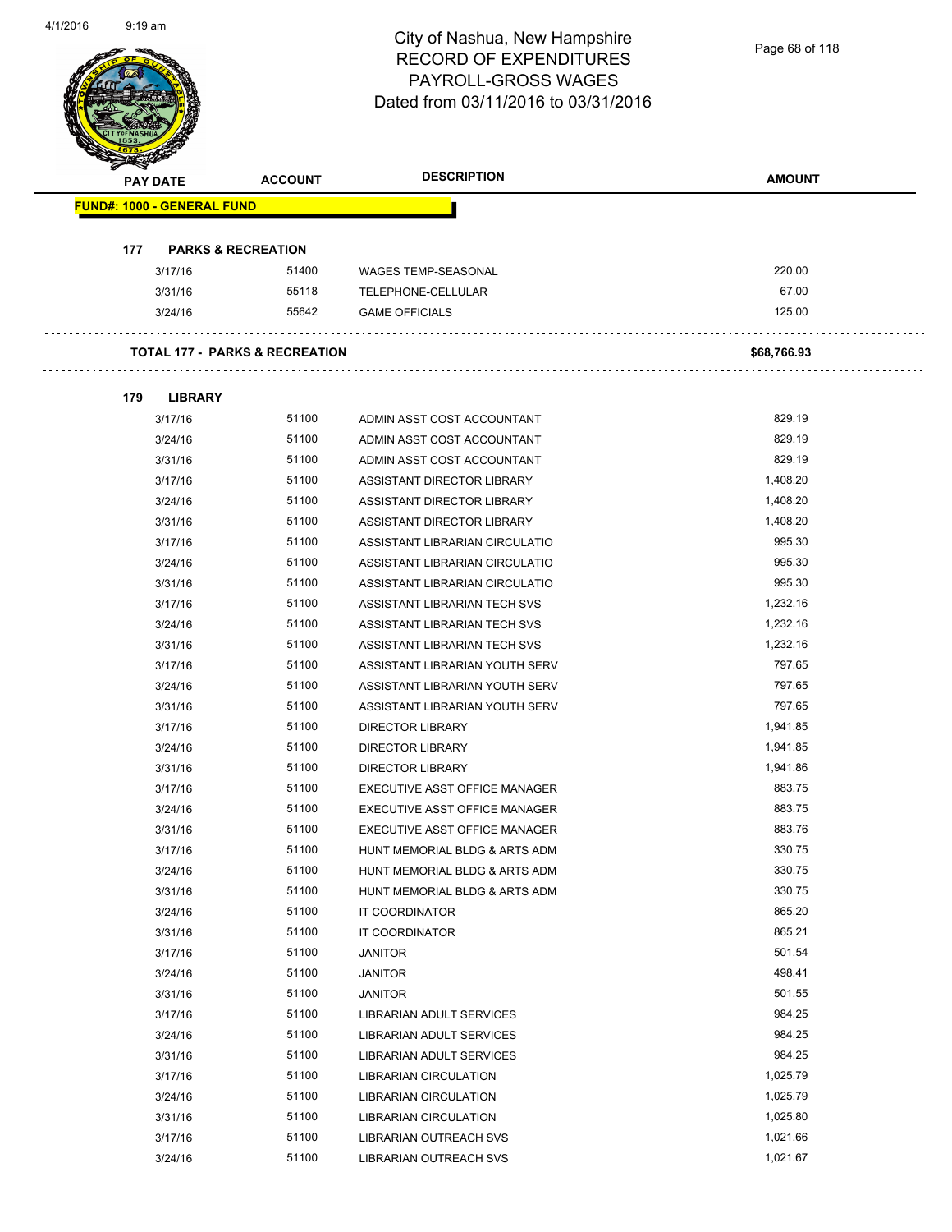|     | <b>PAY DATE</b>                   | <b>ACCOUNT</b>                            | <b>DESCRIPTION</b>             | <b>AMOUNT</b>   |
|-----|-----------------------------------|-------------------------------------------|--------------------------------|-----------------|
|     | <b>FUND#: 1000 - GENERAL FUND</b> |                                           |                                |                 |
|     |                                   |                                           |                                |                 |
| 177 | <b>PARKS &amp; RECREATION</b>     |                                           |                                |                 |
|     | 3/17/16                           | 51400                                     | <b>WAGES TEMP-SEASONAL</b>     | 220.00<br>67.00 |
|     | 3/31/16                           | 55118<br>55642                            | TELEPHONE-CELLULAR             | 125.00          |
|     | 3/24/16                           |                                           | <b>GAME OFFICIALS</b>          |                 |
|     |                                   | <b>TOTAL 177 - PARKS &amp; RECREATION</b> |                                | \$68,766.93     |
| 179 | <b>LIBRARY</b>                    |                                           |                                |                 |
|     | 3/17/16                           | 51100                                     | ADMIN ASST COST ACCOUNTANT     | 829.19          |
|     | 3/24/16                           | 51100                                     | ADMIN ASST COST ACCOUNTANT     | 829.19          |
|     | 3/31/16                           | 51100                                     | ADMIN ASST COST ACCOUNTANT     | 829.19          |
|     | 3/17/16                           | 51100                                     | ASSISTANT DIRECTOR LIBRARY     | 1,408.20        |
|     | 3/24/16                           | 51100                                     | ASSISTANT DIRECTOR LIBRARY     | 1,408.20        |
|     | 3/31/16                           | 51100                                     | ASSISTANT DIRECTOR LIBRARY     | 1,408.20        |
|     | 3/17/16                           | 51100                                     | ASSISTANT LIBRARIAN CIRCULATIO | 995.30          |
|     | 3/24/16                           | 51100                                     | ASSISTANT LIBRARIAN CIRCULATIO | 995.30          |
|     | 3/31/16                           | 51100                                     | ASSISTANT LIBRARIAN CIRCULATIO | 995.30          |
|     | 3/17/16                           | 51100                                     | ASSISTANT LIBRARIAN TECH SVS   | 1,232.16        |
|     | 3/24/16                           | 51100                                     | ASSISTANT LIBRARIAN TECH SVS   | 1,232.16        |
|     | 3/31/16                           | 51100                                     | ASSISTANT LIBRARIAN TECH SVS   | 1,232.16        |
|     | 3/17/16                           | 51100                                     | ASSISTANT LIBRARIAN YOUTH SERV | 797.65          |
|     | 3/24/16                           | 51100                                     | ASSISTANT LIBRARIAN YOUTH SERV | 797.65          |
|     | 3/31/16                           | 51100                                     | ASSISTANT LIBRARIAN YOUTH SERV | 797.65          |
|     | 3/17/16                           | 51100                                     | <b>DIRECTOR LIBRARY</b>        | 1,941.85        |
|     | 3/24/16                           | 51100                                     | <b>DIRECTOR LIBRARY</b>        | 1,941.85        |
|     | 3/31/16                           | 51100                                     | <b>DIRECTOR LIBRARY</b>        | 1,941.86        |
|     | 3/17/16                           | 51100                                     | EXECUTIVE ASST OFFICE MANAGER  | 883.75          |
|     | 3/24/16                           | 51100                                     | EXECUTIVE ASST OFFICE MANAGER  | 883.75          |
|     | 3/31/16                           | 51100                                     | EXECUTIVE ASST OFFICE MANAGER  | 883.76          |
|     | 3/17/16                           | 51100                                     | HUNT MEMORIAL BLDG & ARTS ADM  | 330.75          |
|     | 3/24/16                           | 51100                                     | HUNT MEMORIAL BLDG & ARTS ADM  | 330.75          |
|     | 3/31/16                           | 51100                                     | HUNT MEMORIAL BLDG & ARTS ADM  | 330.75          |
|     | 3/24/16                           | 51100                                     | IT COORDINATOR                 | 865.20          |
|     | 3/31/16                           | 51100                                     | IT COORDINATOR                 | 865.21          |
|     | 3/17/16                           | 51100                                     | <b>JANITOR</b>                 | 501.54          |
|     | 3/24/16                           | 51100                                     | <b>JANITOR</b>                 | 498.41          |
|     | 3/31/16                           | 51100                                     | <b>JANITOR</b>                 | 501.55          |
|     | 3/17/16                           | 51100                                     | LIBRARIAN ADULT SERVICES       | 984.25          |
|     | 3/24/16                           | 51100                                     | LIBRARIAN ADULT SERVICES       | 984.25          |
|     | 3/31/16                           | 51100                                     | LIBRARIAN ADULT SERVICES       | 984.25          |
|     | 3/17/16                           | 51100                                     | LIBRARIAN CIRCULATION          | 1,025.79        |
|     | 3/24/16                           | 51100                                     | LIBRARIAN CIRCULATION          | 1,025.79        |
|     | 3/31/16                           | 51100                                     | LIBRARIAN CIRCULATION          | 1,025.80        |
|     | 3/17/16                           | 51100                                     | LIBRARIAN OUTREACH SVS         | 1,021.66        |
|     | 3/24/16                           | 51100                                     | LIBRARIAN OUTREACH SVS         | 1,021.67        |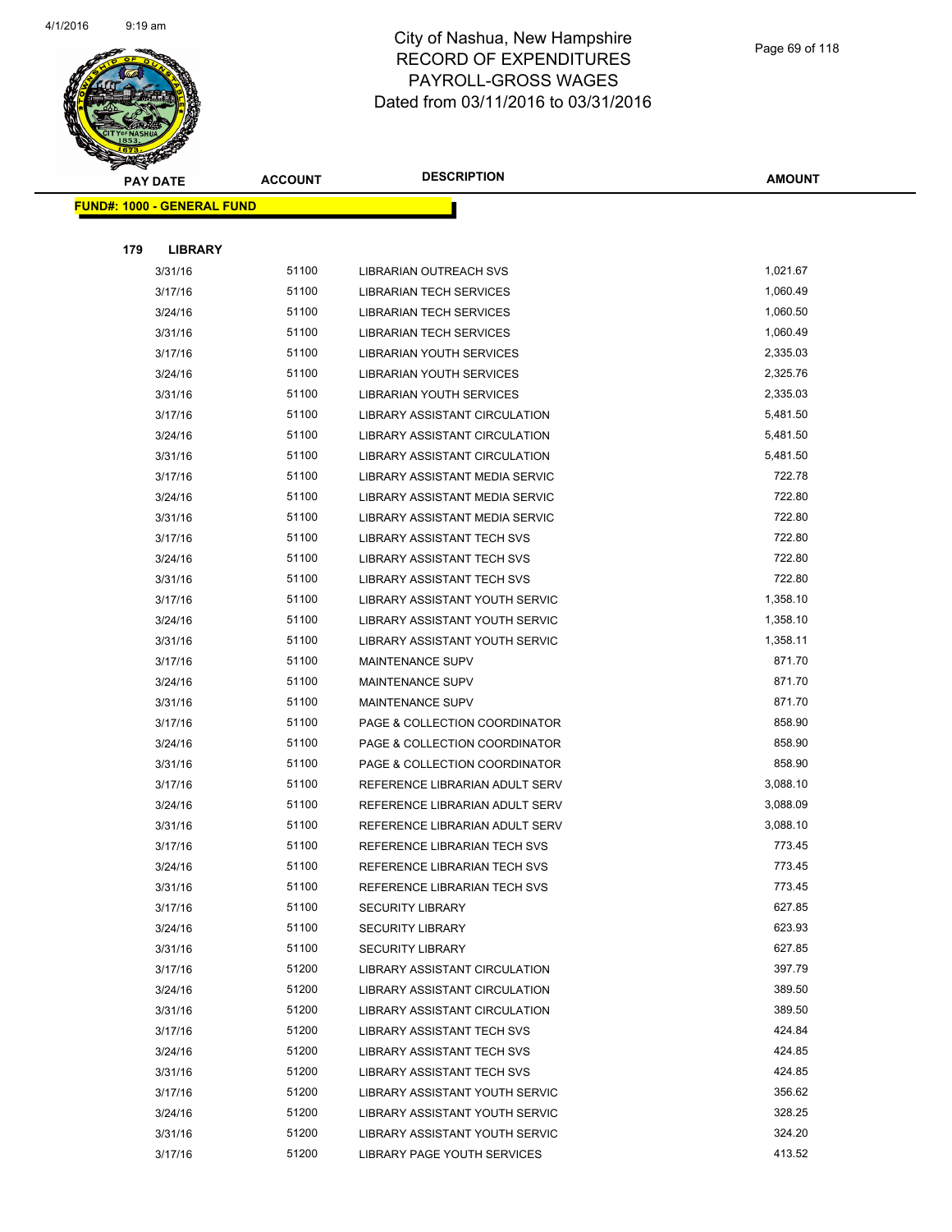

**AMOUNT**

|     | <u> FUND#: 1000 - GENERAL FUND</u> |       |                                      |          |
|-----|------------------------------------|-------|--------------------------------------|----------|
|     |                                    |       |                                      |          |
| 179 | <b>LIBRARY</b>                     |       |                                      |          |
|     | 3/31/16                            | 51100 | LIBRARIAN OUTREACH SVS               | 1,021.67 |
|     | 3/17/16                            | 51100 | <b>LIBRARIAN TECH SERVICES</b>       | 1,060.49 |
|     | 3/24/16                            | 51100 | LIBRARIAN TECH SERVICES              | 1,060.50 |
|     | 3/31/16                            | 51100 | <b>LIBRARIAN TECH SERVICES</b>       | 1,060.49 |
|     | 3/17/16                            | 51100 | LIBRARIAN YOUTH SERVICES             | 2,335.03 |
|     | 3/24/16                            | 51100 | <b>LIBRARIAN YOUTH SERVICES</b>      | 2,325.76 |
|     | 3/31/16                            | 51100 | LIBRARIAN YOUTH SERVICES             | 2,335.03 |
|     | 3/17/16                            | 51100 | <b>LIBRARY ASSISTANT CIRCULATION</b> | 5,481.50 |
|     | 3/24/16                            | 51100 | LIBRARY ASSISTANT CIRCULATION        | 5,481.50 |
|     | 3/31/16                            | 51100 | LIBRARY ASSISTANT CIRCULATION        | 5,481.50 |
|     | 3/17/16                            | 51100 | LIBRARY ASSISTANT MEDIA SERVIC       | 722.78   |
|     | 3/24/16                            | 51100 | LIBRARY ASSISTANT MEDIA SERVIC       | 722.80   |
|     | 3/31/16                            | 51100 | LIBRARY ASSISTANT MEDIA SERVIC       | 722.80   |
|     | 3/17/16                            | 51100 | LIBRARY ASSISTANT TECH SVS           | 722.80   |
|     | 3/24/16                            | 51100 | <b>LIBRARY ASSISTANT TECH SVS</b>    | 722.80   |
|     | 3/31/16                            | 51100 | <b>LIBRARY ASSISTANT TECH SVS</b>    | 722.80   |
|     | 3/17/16                            | 51100 | LIBRARY ASSISTANT YOUTH SERVIC       | 1,358.10 |
|     | 3/24/16                            | 51100 | LIBRARY ASSISTANT YOUTH SERVIC       | 1,358.10 |
|     | 3/31/16                            | 51100 | LIBRARY ASSISTANT YOUTH SERVIC       | 1,358.11 |
|     | 3/17/16                            | 51100 | <b>MAINTENANCE SUPV</b>              | 871.70   |
|     | 3/24/16                            | 51100 | <b>MAINTENANCE SUPV</b>              | 871.70   |
|     | 3/31/16                            | 51100 | MAINTENANCE SUPV                     | 871.70   |
|     | 3/17/16                            | 51100 | PAGE & COLLECTION COORDINATOR        | 858.90   |
|     | 3/24/16                            | 51100 | PAGE & COLLECTION COORDINATOR        | 858.90   |
|     | 3/31/16                            | 51100 | PAGE & COLLECTION COORDINATOR        | 858.90   |
|     | 3/17/16                            | 51100 | REFERENCE LIBRARIAN ADULT SERV       | 3,088.10 |
|     | 3/24/16                            | 51100 | REFERENCE LIBRARIAN ADULT SERV       | 3,088.09 |
|     | 3/31/16                            | 51100 | REFERENCE LIBRARIAN ADULT SERV       | 3,088.10 |
|     | 3/17/16                            | 51100 | REFERENCE LIBRARIAN TECH SVS         | 773.45   |
|     | 3/24/16                            | 51100 | REFERENCE LIBRARIAN TECH SVS         | 773.45   |
|     | 3/31/16                            | 51100 | REFERENCE LIBRARIAN TECH SVS         | 773.45   |
|     | 3/17/16                            | 51100 | <b>SECURITY LIBRARY</b>              | 627.85   |
|     | 3/24/16                            | 51100 | <b>SECURITY LIBRARY</b>              | 623.93   |
|     | 3/31/16                            | 51100 | <b>SECURITY LIBRARY</b>              | 627.85   |
|     | 3/17/16                            | 51200 | LIBRARY ASSISTANT CIRCULATION        | 397.79   |
|     | 3/24/16                            | 51200 | <b>LIBRARY ASSISTANT CIRCULATION</b> | 389.50   |
|     | 3/31/16                            | 51200 | LIBRARY ASSISTANT CIRCULATION        | 389.50   |
|     | 3/17/16                            | 51200 | LIBRARY ASSISTANT TECH SVS           | 424.84   |
|     | 3/24/16                            | 51200 | LIBRARY ASSISTANT TECH SVS           | 424.85   |
|     | 3/31/16                            | 51200 | LIBRARY ASSISTANT TECH SVS           | 424.85   |
|     | 3/17/16                            | 51200 | LIBRARY ASSISTANT YOUTH SERVIC       | 356.62   |
|     | 3/24/16                            | 51200 | LIBRARY ASSISTANT YOUTH SERVIC       | 328.25   |
|     | 3/31/16                            | 51200 | LIBRARY ASSISTANT YOUTH SERVIC       | 324.20   |
|     | 3/17/16                            | 51200 | LIBRARY PAGE YOUTH SERVICES          | 413.52   |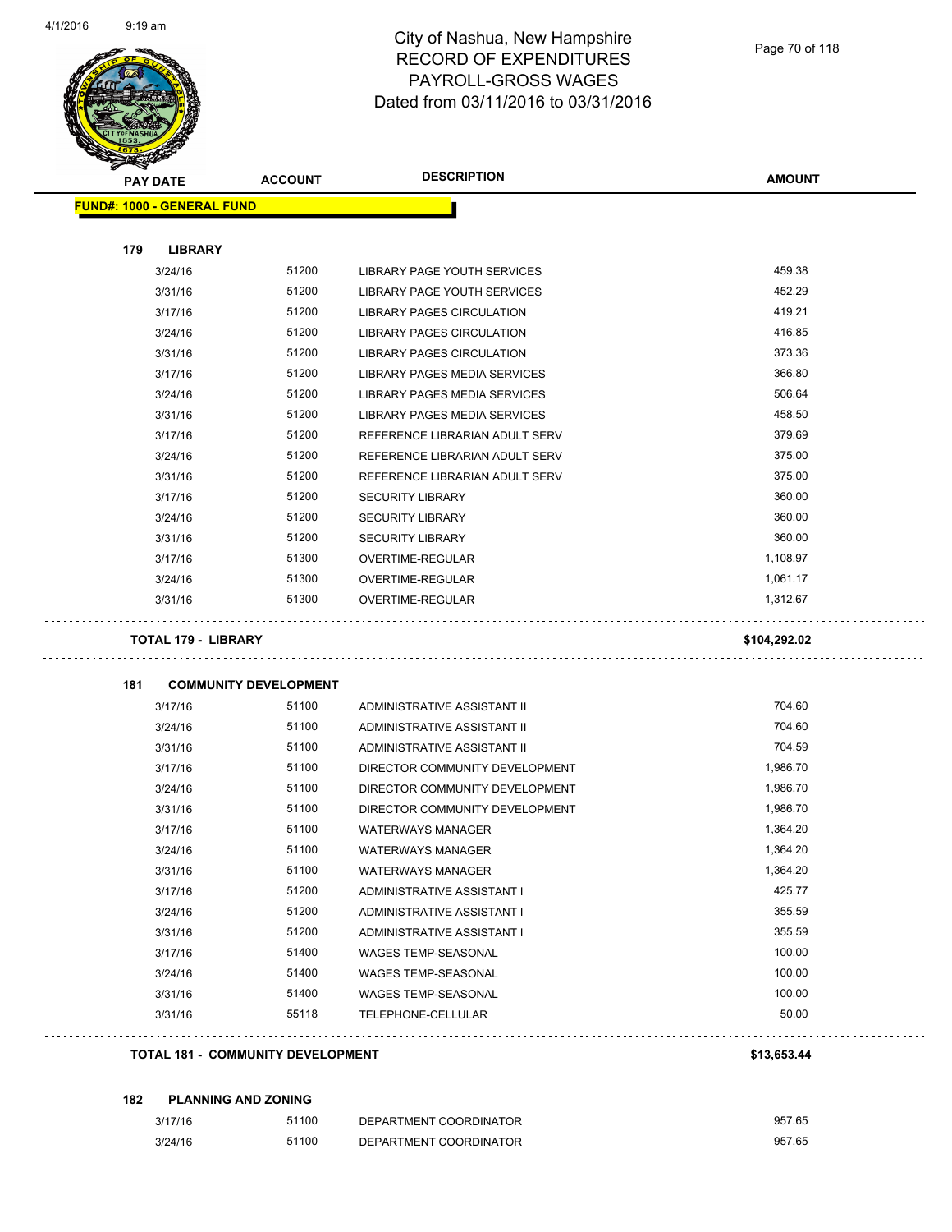$\Box$ 

 $\Box$ 



| <b>PAY DATE</b>                          | <b>ACCOUNT</b>               | <b>DESCRIPTION</b>                                         | <b>AMOUNT</b>        |
|------------------------------------------|------------------------------|------------------------------------------------------------|----------------------|
| <b>FUND#: 1000 - GENERAL FUND</b>        |                              |                                                            |                      |
|                                          |                              |                                                            |                      |
| 179<br><b>LIBRARY</b><br>3/24/16         | 51200                        |                                                            | 459.38               |
| 3/31/16                                  | 51200                        | LIBRARY PAGE YOUTH SERVICES<br>LIBRARY PAGE YOUTH SERVICES | 452.29               |
| 3/17/16                                  | 51200                        |                                                            | 419.21               |
|                                          |                              | LIBRARY PAGES CIRCULATION                                  | 416.85               |
| 3/24/16                                  | 51200                        | <b>LIBRARY PAGES CIRCULATION</b>                           | 373.36               |
| 3/31/16                                  | 51200                        | LIBRARY PAGES CIRCULATION                                  | 366.80               |
| 3/17/16                                  | 51200                        | LIBRARY PAGES MEDIA SERVICES                               |                      |
| 3/24/16                                  | 51200                        | LIBRARY PAGES MEDIA SERVICES                               | 506.64               |
| 3/31/16                                  | 51200                        | LIBRARY PAGES MEDIA SERVICES                               | 458.50               |
| 3/17/16                                  | 51200                        | REFERENCE LIBRARIAN ADULT SERV                             | 379.69               |
| 3/24/16                                  | 51200                        | REFERENCE LIBRARIAN ADULT SERV                             | 375.00               |
| 3/31/16                                  | 51200                        | REFERENCE LIBRARIAN ADULT SERV                             | 375.00               |
| 3/17/16                                  | 51200                        | <b>SECURITY LIBRARY</b>                                    | 360.00               |
| 3/24/16                                  | 51200                        | <b>SECURITY LIBRARY</b>                                    | 360.00               |
| 3/31/16                                  | 51200                        | <b>SECURITY LIBRARY</b>                                    | 360.00               |
| 3/17/16                                  | 51300                        | OVERTIME-REGULAR                                           | 1,108.97             |
| 3/24/16                                  | 51300<br>51300               | OVERTIME-REGULAR                                           | 1,061.17<br>1,312.67 |
| 3/31/16<br><b>TOTAL 179 - LIBRARY</b>    |                              | <b>OVERTIME-REGULAR</b>                                    | \$104,292.02         |
| 181                                      | <b>COMMUNITY DEVELOPMENT</b> |                                                            |                      |
| 3/17/16                                  | 51100                        | ADMINISTRATIVE ASSISTANT II                                | 704.60               |
| 3/24/16                                  | 51100                        | ADMINISTRATIVE ASSISTANT II                                | 704.60               |
| 3/31/16                                  | 51100                        | ADMINISTRATIVE ASSISTANT II                                | 704.59               |
| 3/17/16                                  | 51100                        | DIRECTOR COMMUNITY DEVELOPMENT                             | 1,986.70             |
| 3/24/16                                  | 51100                        | DIRECTOR COMMUNITY DEVELOPMENT                             | 1,986.70             |
| 3/31/16                                  | 51100                        | DIRECTOR COMMUNITY DEVELOPMENT                             | 1,986.70             |
| 3/17/16                                  | 51100                        | <b>WATERWAYS MANAGER</b>                                   | 1,364.20             |
| 3/24/16                                  | 51100                        | <b>WATERWAYS MANAGER</b>                                   | 1,364.20             |
| 3/31/16                                  | 51100                        | WATERWAYS MANAGER                                          | 1,364.20             |
| 3/17/16                                  | 51200                        | ADMINISTRATIVE ASSISTANT I                                 | 425.77               |
| 3/24/16                                  | 51200                        | ADMINISTRATIVE ASSISTANT I                                 | 355.59               |
| 3/31/16                                  | 51200                        | ADMINISTRATIVE ASSISTANT I                                 | 355.59               |
| 3/17/16                                  | 51400                        | WAGES TEMP-SEASONAL                                        | 100.00               |
| 3/24/16                                  | 51400                        | WAGES TEMP-SEASONAL                                        | 100.00               |
| 3/31/16                                  | 51400                        | <b>WAGES TEMP-SEASONAL</b>                                 | 100.00               |
| 3/31/16                                  | 55118                        | TELEPHONE-CELLULAR                                         | 50.00                |
| <b>TOTAL 181 - COMMUNITY DEVELOPMENT</b> |                              | \$13,653.44                                                |                      |
| 182                                      | <b>PLANNING AND ZONING</b>   |                                                            |                      |
|                                          |                              |                                                            |                      |

| 3/17/16 | 51100 | DEPARTMENT COORDINATOR | 957.65 |
|---------|-------|------------------------|--------|
| 3/24/16 | 51100 | DEPARTMENT COORDINATOR | 957.65 |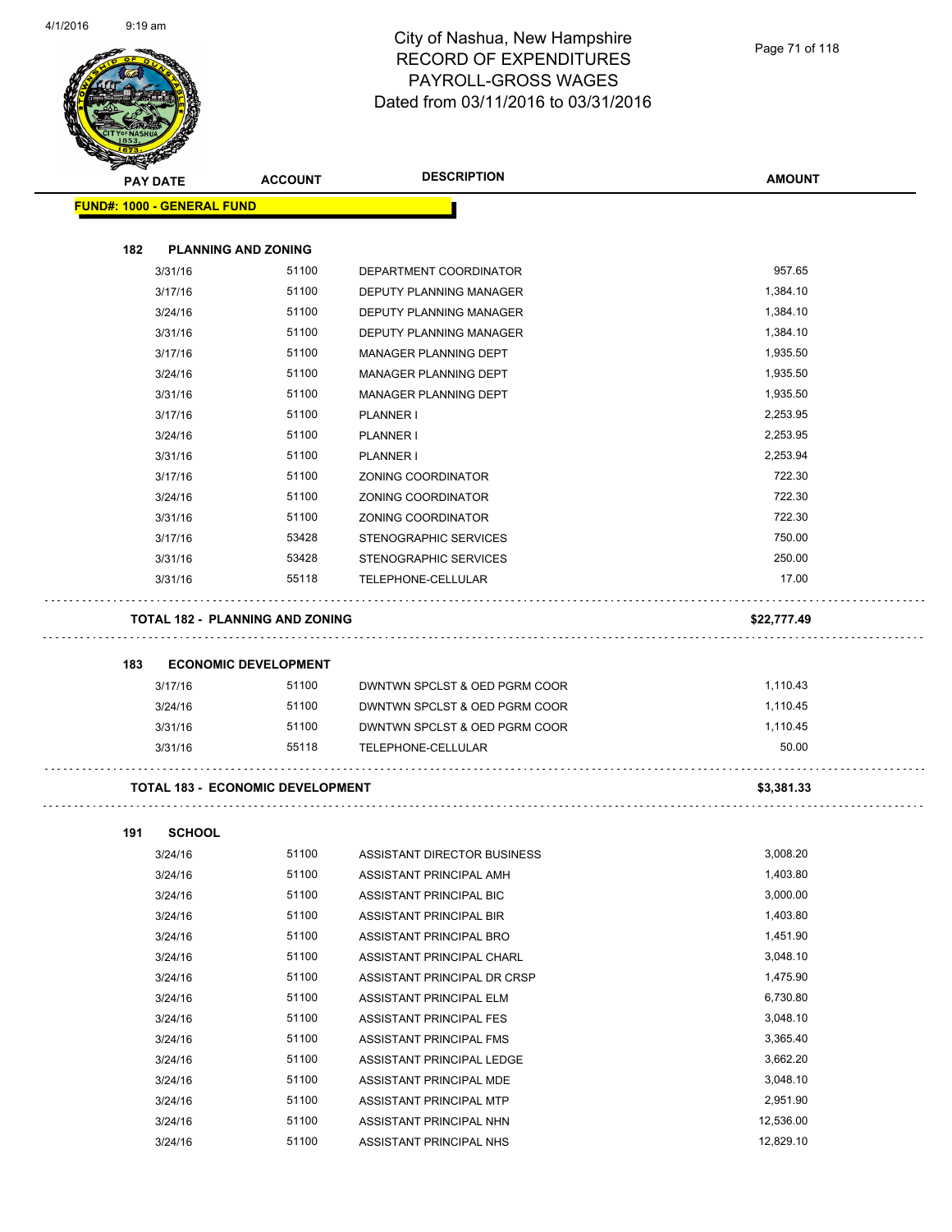

| <b>STATERS</b> |                                         |                             |                               |               |
|----------------|-----------------------------------------|-----------------------------|-------------------------------|---------------|
|                | <b>PAY DATE</b>                         | <b>ACCOUNT</b>              | <b>DESCRIPTION</b>            | <b>AMOUNT</b> |
|                | <b>FUND#: 1000 - GENERAL FUND</b>       |                             |                               |               |
|                |                                         |                             |                               |               |
| 182            | <b>PLANNING AND ZONING</b>              |                             |                               |               |
|                | 3/31/16                                 | 51100                       | DEPARTMENT COORDINATOR        | 957.65        |
|                | 3/17/16                                 | 51100                       | DEPUTY PLANNING MANAGER       | 1,384.10      |
|                | 3/24/16                                 | 51100                       | DEPUTY PLANNING MANAGER       | 1,384.10      |
|                | 3/31/16                                 | 51100                       | DEPUTY PLANNING MANAGER       | 1,384.10      |
|                | 3/17/16                                 | 51100                       | MANAGER PLANNING DEPT         | 1,935.50      |
|                | 3/24/16                                 | 51100                       | MANAGER PLANNING DEPT         | 1,935.50      |
|                | 3/31/16                                 | 51100                       | MANAGER PLANNING DEPT         | 1,935.50      |
|                | 3/17/16                                 | 51100                       | PLANNER I                     | 2,253.95      |
|                | 3/24/16                                 | 51100                       | PLANNER I                     | 2,253.95      |
|                | 3/31/16                                 | 51100                       | PLANNER I                     | 2,253.94      |
|                | 3/17/16                                 | 51100                       | ZONING COORDINATOR            | 722.30        |
|                | 3/24/16                                 | 51100                       | ZONING COORDINATOR            | 722.30        |
|                | 3/31/16                                 | 51100                       | ZONING COORDINATOR            | 722.30        |
|                | 3/17/16                                 | 53428                       | STENOGRAPHIC SERVICES         | 750.00        |
|                | 3/31/16                                 | 53428                       | STENOGRAPHIC SERVICES         | 250.00        |
|                | 3/31/16                                 | 55118                       | TELEPHONE-CELLULAR            | 17.00         |
|                |                                         |                             |                               |               |
|                | <b>TOTAL 182 - PLANNING AND ZONING</b>  |                             |                               | \$22,777.49   |
| 183            |                                         | <b>ECONOMIC DEVELOPMENT</b> |                               |               |
|                | 3/17/16                                 | 51100                       | DWNTWN SPCLST & OED PGRM COOR | 1,110.43      |
|                | 3/24/16                                 | 51100                       | DWNTWN SPCLST & OED PGRM COOR | 1,110.45      |
|                | 3/31/16                                 | 51100                       | DWNTWN SPCLST & OED PGRM COOR | 1,110.45      |
|                | 3/31/16                                 | 55118                       | TELEPHONE-CELLULAR            | 50.00         |
|                | <b>TOTAL 183 - ECONOMIC DEVELOPMENT</b> |                             |                               | \$3,381.33    |
|                |                                         |                             |                               |               |
| 191            | <b>SCHOOL</b>                           |                             |                               |               |
|                | 3/24/16                                 | 51100                       | ASSISTANT DIRECTOR BUSINESS   | 3,008.20      |
|                | 3/24/16                                 | 51100                       | ASSISTANT PRINCIPAL AMH       | 1,403.80      |
|                | 3/24/16                                 | 51100                       | ASSISTANT PRINCIPAL BIC       | 3,000.00      |
|                | 3/24/16                                 | 51100                       | ASSISTANT PRINCIPAL BIR       | 1,403.80      |
|                | 3/24/16                                 | 51100                       | ASSISTANT PRINCIPAL BRO       | 1,451.90      |
|                | 3/24/16                                 | 51100                       | ASSISTANT PRINCIPAL CHARL     | 3,048.10      |
|                | 3/24/16                                 | 51100                       | ASSISTANT PRINCIPAL DR CRSP   | 1,475.90      |
|                | 3/24/16                                 | 51100                       | ASSISTANT PRINCIPAL ELM       | 6,730.80      |
|                | 3/24/16                                 | 51100                       | ASSISTANT PRINCIPAL FES       | 3,048.10      |
|                | 3/24/16                                 | 51100                       | ASSISTANT PRINCIPAL FMS       | 3,365.40      |
|                | 3/24/16                                 | 51100                       | ASSISTANT PRINCIPAL LEDGE     | 3,662.20      |
|                | 3/24/16                                 | 51100                       | ASSISTANT PRINCIPAL MDE       | 3,048.10      |
|                | 3/24/16                                 | 51100                       | ASSISTANT PRINCIPAL MTP       | 2,951.90      |
|                | 3/24/16                                 | 51100                       | ASSISTANT PRINCIPAL NHN       | 12,536.00     |

3/24/16 51100 ASSISTANT PRINCIPAL NHS 12,829.10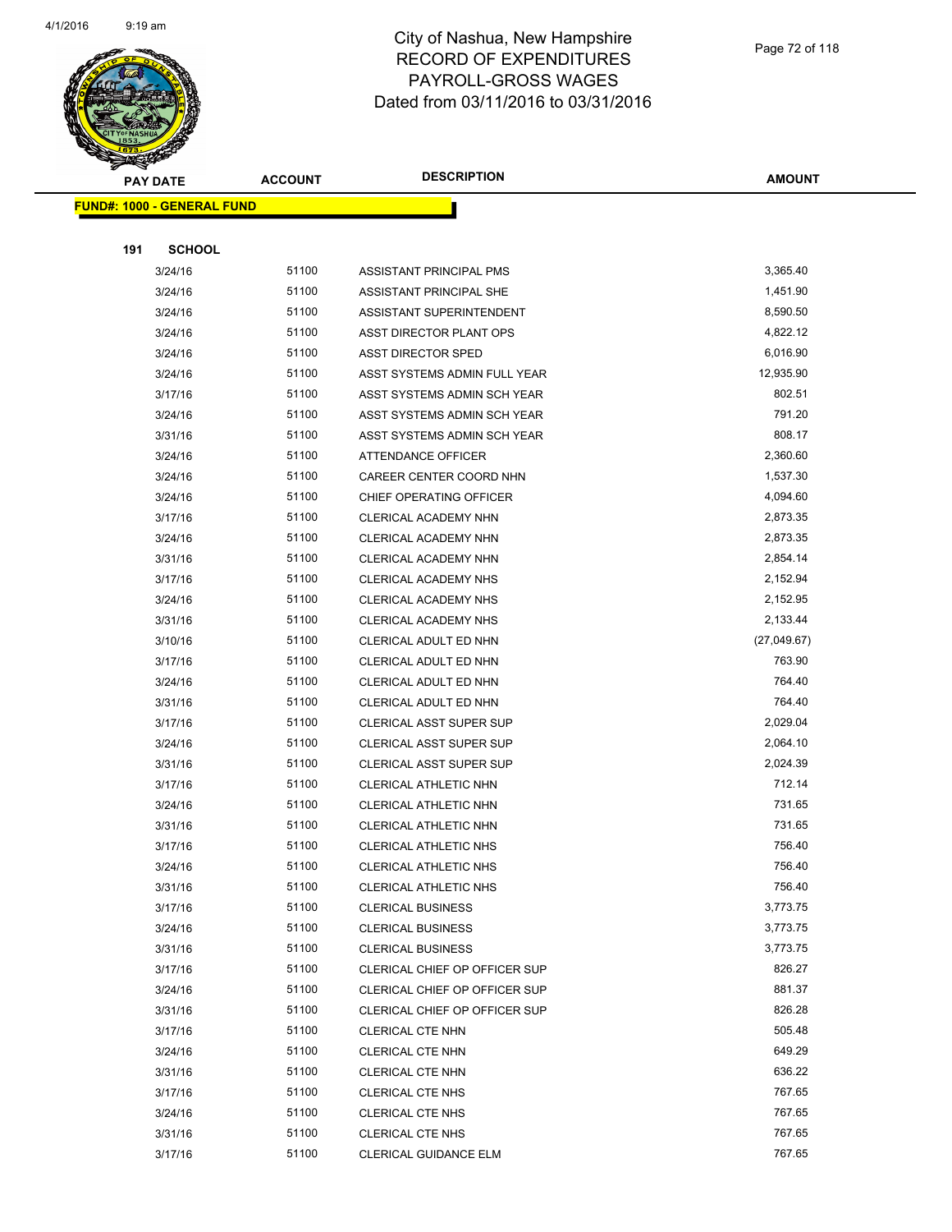

**AMOUNT**

|     | <b>FUND#: 1000 - GENERAL FUND</b> |                |                                                   |                  |
|-----|-----------------------------------|----------------|---------------------------------------------------|------------------|
|     |                                   |                |                                                   |                  |
| 191 | <b>SCHOOL</b>                     |                |                                                   |                  |
|     | 3/24/16                           | 51100          | ASSISTANT PRINCIPAL PMS                           | 3,365.40         |
|     | 3/24/16                           | 51100          | ASSISTANT PRINCIPAL SHE                           | 1,451.90         |
|     | 3/24/16                           | 51100          | ASSISTANT SUPERINTENDENT                          | 8,590.50         |
|     | 3/24/16                           | 51100          | ASST DIRECTOR PLANT OPS                           | 4,822.12         |
|     | 3/24/16                           | 51100          | <b>ASST DIRECTOR SPED</b>                         | 6,016.90         |
|     | 3/24/16                           | 51100          | ASST SYSTEMS ADMIN FULL YEAR                      | 12,935.90        |
|     | 3/17/16                           | 51100          | ASST SYSTEMS ADMIN SCH YEAR                       | 802.51           |
|     | 3/24/16                           | 51100          | ASST SYSTEMS ADMIN SCH YEAR                       | 791.20           |
|     | 3/31/16                           | 51100          | ASST SYSTEMS ADMIN SCH YEAR                       | 808.17           |
|     | 3/24/16                           | 51100          | ATTENDANCE OFFICER                                | 2,360.60         |
|     | 3/24/16                           | 51100          | CAREER CENTER COORD NHN                           | 1,537.30         |
|     | 3/24/16                           | 51100          | CHIEF OPERATING OFFICER                           | 4,094.60         |
|     | 3/17/16                           | 51100          | CLERICAL ACADEMY NHN                              | 2,873.35         |
|     | 3/24/16                           | 51100          | CLERICAL ACADEMY NHN                              | 2,873.35         |
|     | 3/31/16                           | 51100          | CLERICAL ACADEMY NHN                              | 2,854.14         |
|     | 3/17/16                           | 51100          | CLERICAL ACADEMY NHS                              | 2,152.94         |
|     | 3/24/16                           | 51100          | <b>CLERICAL ACADEMY NHS</b>                       | 2,152.95         |
|     | 3/31/16                           | 51100          | <b>CLERICAL ACADEMY NHS</b>                       | 2,133.44         |
|     | 3/10/16                           | 51100          | CLERICAL ADULT ED NHN                             | (27,049.67)      |
|     | 3/17/16                           | 51100          | CLERICAL ADULT ED NHN                             | 763.90           |
|     | 3/24/16                           | 51100          | CLERICAL ADULT ED NHN                             | 764.40           |
|     | 3/31/16                           | 51100          | CLERICAL ADULT ED NHN                             | 764.40           |
|     | 3/17/16                           | 51100          | <b>CLERICAL ASST SUPER SUP</b>                    | 2,029.04         |
|     | 3/24/16                           | 51100          | <b>CLERICAL ASST SUPER SUP</b>                    | 2,064.10         |
|     | 3/31/16                           | 51100          | <b>CLERICAL ASST SUPER SUP</b>                    | 2,024.39         |
|     | 3/17/16                           | 51100          | CLERICAL ATHLETIC NHN                             | 712.14           |
|     | 3/24/16                           | 51100          | CLERICAL ATHLETIC NHN                             | 731.65           |
|     | 3/31/16                           | 51100          | CLERICAL ATHLETIC NHN                             | 731.65           |
|     | 3/17/16                           | 51100          | <b>CLERICAL ATHLETIC NHS</b>                      | 756.40           |
|     | 3/24/16                           | 51100<br>51100 | CLERICAL ATHLETIC NHS                             | 756.40<br>756.40 |
|     | 3/31/16                           | 51100          | CLERICAL ATHLETIC NHS<br><b>CLERICAL BUSINESS</b> | 3,773.75         |
|     | 3/17/16<br>3/24/16                | 51100          | <b>CLERICAL BUSINESS</b>                          | 3,773.75         |
|     | 3/31/16                           | 51100          | <b>CLERICAL BUSINESS</b>                          | 3,773.75         |
|     | 3/17/16                           | 51100          | CLERICAL CHIEF OP OFFICER SUP                     | 826.27           |
|     | 3/24/16                           | 51100          | CLERICAL CHIEF OP OFFICER SUP                     | 881.37           |
|     | 3/31/16                           | 51100          | CLERICAL CHIEF OP OFFICER SUP                     | 826.28           |
|     | 3/17/16                           | 51100          | <b>CLERICAL CTE NHN</b>                           | 505.48           |
|     | 3/24/16                           | 51100          | CLERICAL CTE NHN                                  | 649.29           |
|     | 3/31/16                           | 51100          | <b>CLERICAL CTE NHN</b>                           | 636.22           |
|     | 3/17/16                           | 51100          | <b>CLERICAL CTE NHS</b>                           | 767.65           |
|     | 3/24/16                           | 51100          | <b>CLERICAL CTE NHS</b>                           | 767.65           |
|     | 3/31/16                           | 51100          | <b>CLERICAL CTE NHS</b>                           | 767.65           |
|     | 3/17/16                           | 51100          | CLERICAL GUIDANCE ELM                             | 767.65           |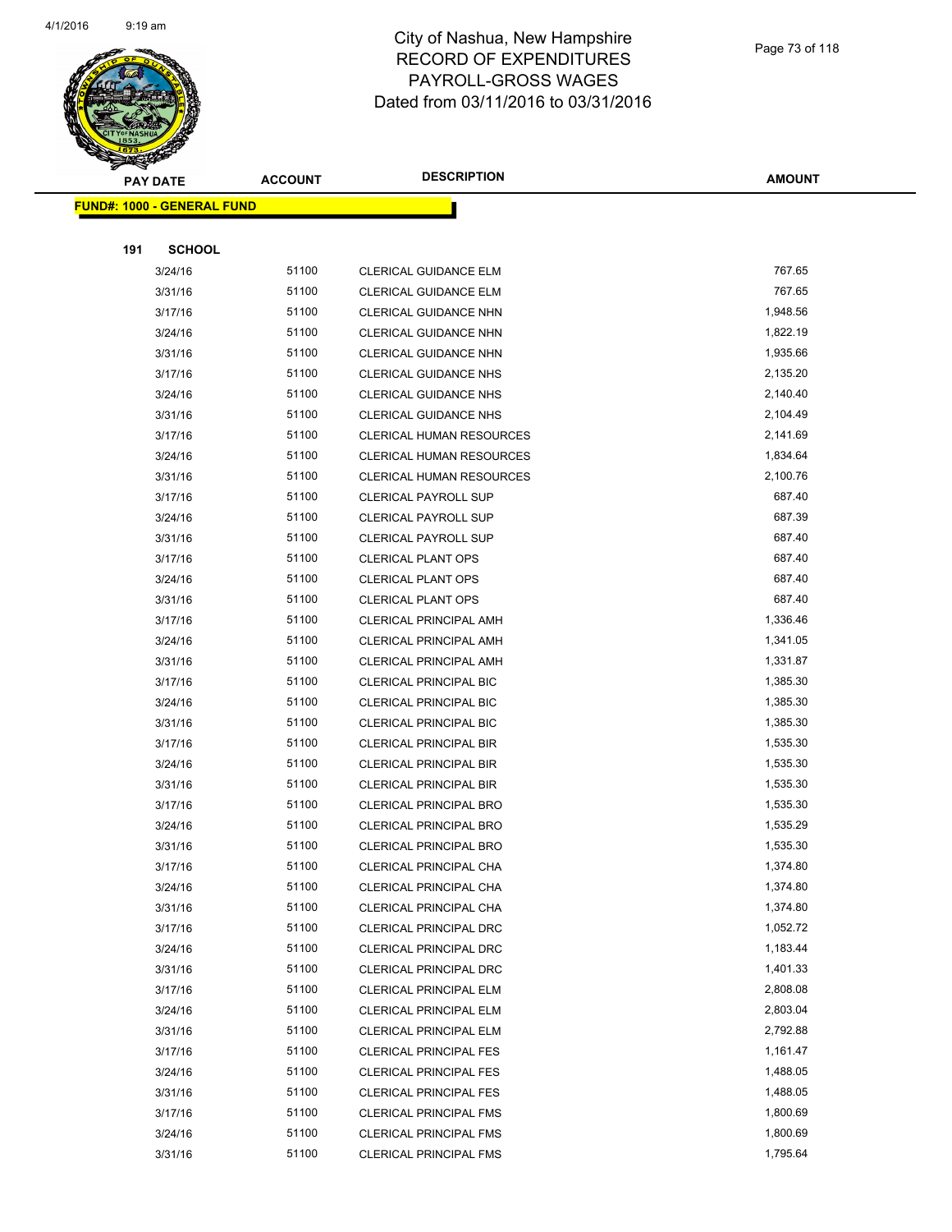

|     | <u> FUND#: 1000 - GENERAL FUND</u> |       |                                 |          |
|-----|------------------------------------|-------|---------------------------------|----------|
|     |                                    |       |                                 |          |
| 191 | <b>SCHOOL</b>                      |       |                                 |          |
|     | 3/24/16                            | 51100 | CLERICAL GUIDANCE ELM           | 767.65   |
|     | 3/31/16                            | 51100 | <b>CLERICAL GUIDANCE ELM</b>    | 767.65   |
|     | 3/17/16                            | 51100 | CLERICAL GUIDANCE NHN           | 1,948.56 |
|     | 3/24/16                            | 51100 | CLERICAL GUIDANCE NHN           | 1,822.19 |
|     | 3/31/16                            | 51100 | CLERICAL GUIDANCE NHN           | 1,935.66 |
|     | 3/17/16                            | 51100 | <b>CLERICAL GUIDANCE NHS</b>    | 2,135.20 |
|     | 3/24/16                            | 51100 | <b>CLERICAL GUIDANCE NHS</b>    | 2,140.40 |
|     | 3/31/16                            | 51100 | <b>CLERICAL GUIDANCE NHS</b>    | 2,104.49 |
|     | 3/17/16                            | 51100 | <b>CLERICAL HUMAN RESOURCES</b> | 2,141.69 |
|     | 3/24/16                            | 51100 | CLERICAL HUMAN RESOURCES        | 1,834.64 |
|     | 3/31/16                            | 51100 | <b>CLERICAL HUMAN RESOURCES</b> | 2,100.76 |
|     | 3/17/16                            | 51100 | <b>CLERICAL PAYROLL SUP</b>     | 687.40   |
|     | 3/24/16                            | 51100 | <b>CLERICAL PAYROLL SUP</b>     | 687.39   |
|     | 3/31/16                            | 51100 | <b>CLERICAL PAYROLL SUP</b>     | 687.40   |
|     | 3/17/16                            | 51100 | <b>CLERICAL PLANT OPS</b>       | 687.40   |
|     | 3/24/16                            | 51100 | <b>CLERICAL PLANT OPS</b>       | 687.40   |
|     | 3/31/16                            | 51100 | <b>CLERICAL PLANT OPS</b>       | 687.40   |
|     | 3/17/16                            | 51100 | <b>CLERICAL PRINCIPAL AMH</b>   | 1,336.46 |
|     | 3/24/16                            | 51100 | CLERICAL PRINCIPAL AMH          | 1,341.05 |
|     | 3/31/16                            | 51100 | CLERICAL PRINCIPAL AMH          | 1,331.87 |
|     | 3/17/16                            | 51100 | CLERICAL PRINCIPAL BIC          | 1,385.30 |
|     | 3/24/16                            | 51100 | <b>CLERICAL PRINCIPAL BIC</b>   | 1,385.30 |
|     | 3/31/16                            | 51100 | CLERICAL PRINCIPAL BIC          | 1,385.30 |
|     | 3/17/16                            | 51100 | <b>CLERICAL PRINCIPAL BIR</b>   | 1,535.30 |
|     | 3/24/16                            | 51100 | CLERICAL PRINCIPAL BIR          | 1,535.30 |
|     | 3/31/16                            | 51100 | <b>CLERICAL PRINCIPAL BIR</b>   | 1,535.30 |
|     | 3/17/16                            | 51100 | <b>CLERICAL PRINCIPAL BRO</b>   | 1,535.30 |
|     | 3/24/16                            | 51100 | CLERICAL PRINCIPAL BRO          | 1,535.29 |
|     | 3/31/16                            | 51100 | <b>CLERICAL PRINCIPAL BRO</b>   | 1,535.30 |
|     | 3/17/16                            | 51100 | CLERICAL PRINCIPAL CHA          | 1,374.80 |
|     | 3/24/16                            | 51100 | CLERICAL PRINCIPAL CHA          | 1,374.80 |
|     | 3/31/16                            | 51100 | CLERICAL PRINCIPAL CHA          | 1,374.80 |
|     | 3/17/16                            | 51100 | CLERICAL PRINCIPAL DRC          | 1,052.72 |
|     | 3/24/16                            | 51100 | CLERICAL PRINCIPAL DRC          | 1,183.44 |
|     | 3/31/16                            | 51100 | CLERICAL PRINCIPAL DRC          | 1,401.33 |
|     | 3/17/16                            | 51100 | CLERICAL PRINCIPAL ELM          | 2,808.08 |
|     | 3/24/16                            | 51100 | <b>CLERICAL PRINCIPAL ELM</b>   | 2,803.04 |
|     | 3/31/16                            | 51100 | CLERICAL PRINCIPAL ELM          | 2,792.88 |
|     | 3/17/16                            | 51100 | <b>CLERICAL PRINCIPAL FES</b>   | 1,161.47 |
|     | 3/24/16                            | 51100 | <b>CLERICAL PRINCIPAL FES</b>   | 1,488.05 |
|     | 3/31/16                            | 51100 | <b>CLERICAL PRINCIPAL FES</b>   | 1,488.05 |
|     | 3/17/16                            | 51100 | <b>CLERICAL PRINCIPAL FMS</b>   | 1,800.69 |
|     | 3/24/16                            | 51100 | <b>CLERICAL PRINCIPAL FMS</b>   | 1,800.69 |
|     | 3/31/16                            | 51100 | CLERICAL PRINCIPAL FMS          | 1,795.64 |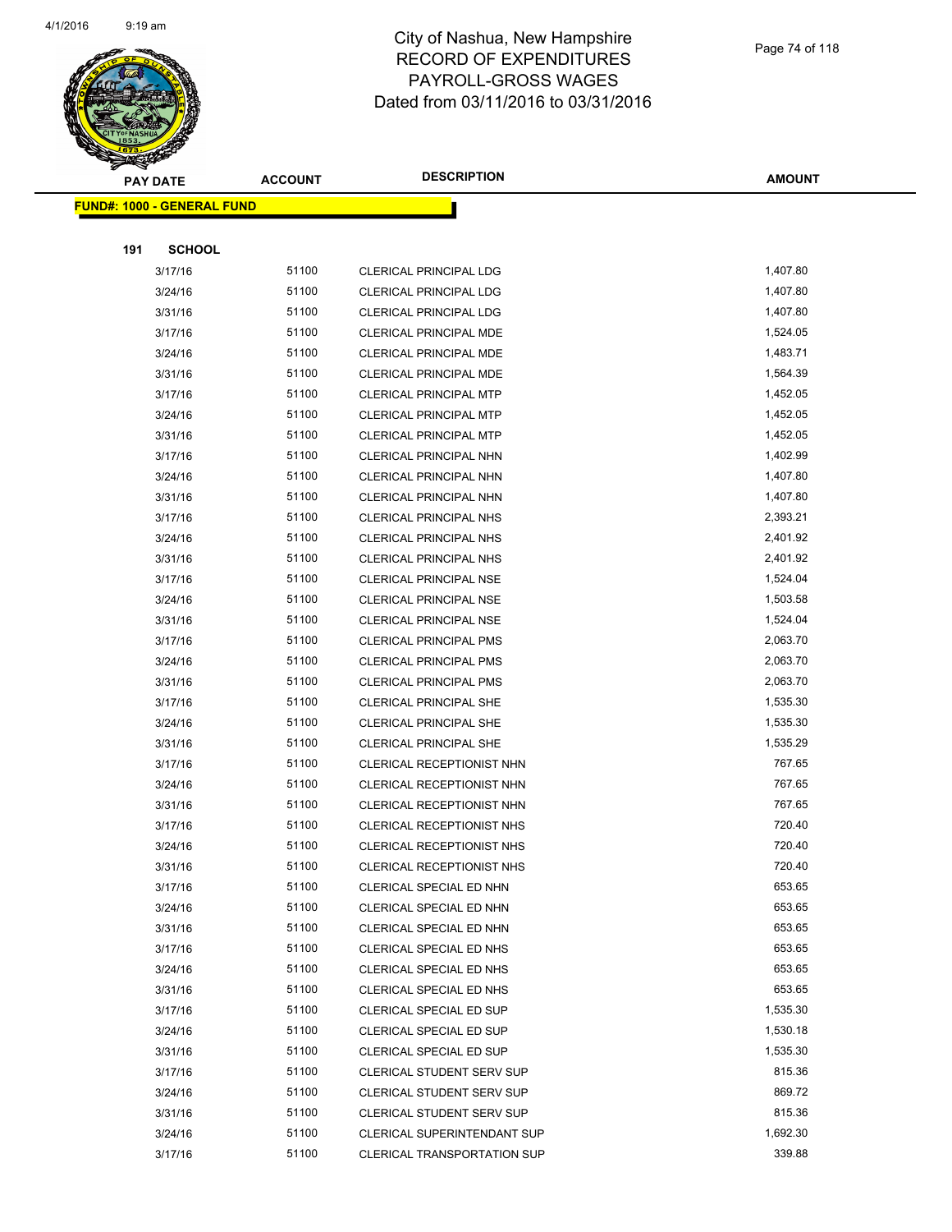

| <b>FUND#: 1000 - GENERAL FUND</b> |                |                                                    |                  |
|-----------------------------------|----------------|----------------------------------------------------|------------------|
|                                   |                |                                                    |                  |
| 191<br><b>SCHOOL</b>              |                |                                                    |                  |
| 3/17/16                           | 51100          | <b>CLERICAL PRINCIPAL LDG</b>                      | 1,407.80         |
| 3/24/16                           | 51100          | <b>CLERICAL PRINCIPAL LDG</b>                      | 1,407.80         |
| 3/31/16                           | 51100          | <b>CLERICAL PRINCIPAL LDG</b>                      | 1,407.80         |
| 3/17/16                           | 51100          | CLERICAL PRINCIPAL MDE                             | 1,524.05         |
| 3/24/16                           | 51100          | <b>CLERICAL PRINCIPAL MDE</b>                      | 1,483.71         |
| 3/31/16                           | 51100          | CLERICAL PRINCIPAL MDE                             | 1,564.39         |
| 3/17/16                           | 51100          | <b>CLERICAL PRINCIPAL MTP</b>                      | 1,452.05         |
| 3/24/16                           | 51100          | CLERICAL PRINCIPAL MTP                             | 1,452.05         |
| 3/31/16                           | 51100          | CLERICAL PRINCIPAL MTP                             | 1,452.05         |
| 3/17/16                           | 51100          | CLERICAL PRINCIPAL NHN                             | 1,402.99         |
| 3/24/16                           | 51100          | CLERICAL PRINCIPAL NHN                             | 1,407.80         |
| 3/31/16                           | 51100          | CLERICAL PRINCIPAL NHN                             | 1,407.80         |
| 3/17/16                           | 51100          | <b>CLERICAL PRINCIPAL NHS</b>                      | 2,393.21         |
| 3/24/16                           | 51100          | CLERICAL PRINCIPAL NHS                             | 2,401.92         |
| 3/31/16                           | 51100          | <b>CLERICAL PRINCIPAL NHS</b>                      | 2,401.92         |
| 3/17/16                           | 51100          | <b>CLERICAL PRINCIPAL NSE</b>                      | 1,524.04         |
| 3/24/16                           | 51100          | <b>CLERICAL PRINCIPAL NSE</b>                      | 1,503.58         |
| 3/31/16                           | 51100          | CLERICAL PRINCIPAL NSE                             | 1,524.04         |
| 3/17/16                           | 51100          | <b>CLERICAL PRINCIPAL PMS</b>                      | 2,063.70         |
| 3/24/16                           | 51100          | CLERICAL PRINCIPAL PMS                             | 2,063.70         |
| 3/31/16                           | 51100          | <b>CLERICAL PRINCIPAL PMS</b>                      | 2,063.70         |
| 3/17/16                           | 51100          | <b>CLERICAL PRINCIPAL SHE</b>                      | 1,535.30         |
| 3/24/16                           | 51100          | <b>CLERICAL PRINCIPAL SHE</b>                      | 1,535.30         |
| 3/31/16                           | 51100          | CLERICAL PRINCIPAL SHE                             | 1,535.29         |
| 3/17/16                           | 51100          | CLERICAL RECEPTIONIST NHN                          | 767.65           |
| 3/24/16                           | 51100          | CLERICAL RECEPTIONIST NHN                          | 767.65           |
| 3/31/16                           | 51100          | CLERICAL RECEPTIONIST NHN                          | 767.65           |
| 3/17/16                           | 51100          | <b>CLERICAL RECEPTIONIST NHS</b>                   | 720.40           |
| 3/24/16                           | 51100          | CLERICAL RECEPTIONIST NHS                          | 720.40           |
| 3/31/16                           | 51100          | CLERICAL RECEPTIONIST NHS                          | 720.40           |
| 3/17/16                           | 51100          | CLERICAL SPECIAL ED NHN                            | 653.65           |
| 3/24/16                           | 51100          | CLERICAL SPECIAL ED NHN                            | 653.65           |
| 3/31/16                           | 51100          | CLERICAL SPECIAL ED NHN                            | 653.65           |
| 3/17/16                           | 51100          | CLERICAL SPECIAL ED NHS                            | 653.65           |
| 3/24/16                           | 51100          | CLERICAL SPECIAL ED NHS                            | 653.65<br>653.65 |
| 3/31/16                           | 51100<br>51100 | CLERICAL SPECIAL ED NHS<br>CLERICAL SPECIAL ED SUP | 1,535.30         |
| 3/17/16<br>3/24/16                | 51100          | CLERICAL SPECIAL ED SUP                            | 1,530.18         |
| 3/31/16                           | 51100          | CLERICAL SPECIAL ED SUP                            | 1,535.30         |
|                                   | 51100          | CLERICAL STUDENT SERV SUP                          | 815.36           |
| 3/17/16<br>3/24/16                | 51100          | <b>CLERICAL STUDENT SERV SUP</b>                   | 869.72           |
| 3/31/16                           | 51100          | CLERICAL STUDENT SERV SUP                          | 815.36           |
| 3/24/16                           | 51100          | CLERICAL SUPERINTENDANT SUP                        | 1,692.30         |
| 3/17/16                           | 51100          | CLERICAL TRANSPORTATION SUP                        | 339.88           |
|                                   |                |                                                    |                  |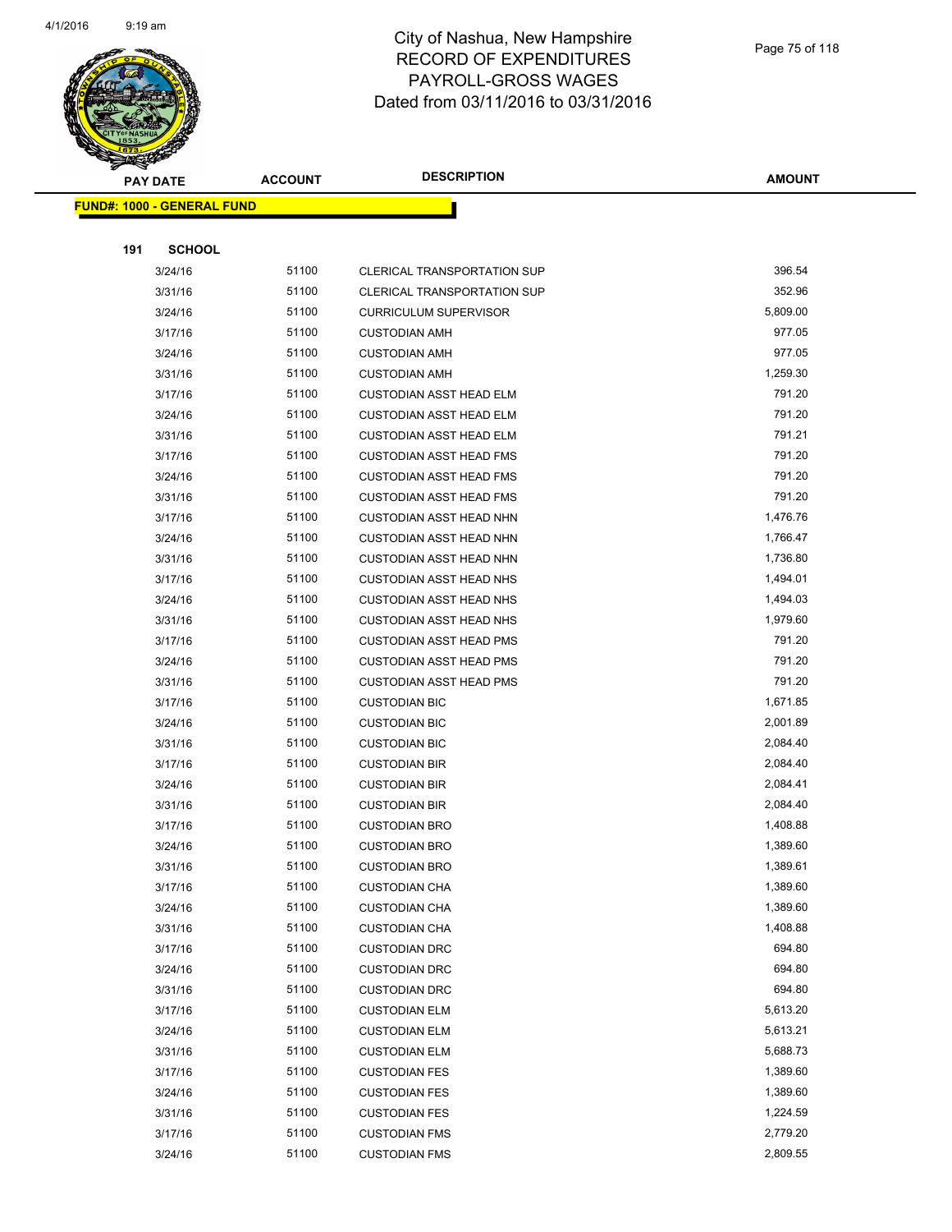

|     | <u> FUND#: 1000 - GENERAL FUND</u> |       |                                                                          |                      |
|-----|------------------------------------|-------|--------------------------------------------------------------------------|----------------------|
| 191 | <b>SCHOOL</b>                      |       |                                                                          |                      |
|     |                                    | 51100 |                                                                          | 396.54               |
|     | 3/24/16<br>3/31/16                 | 51100 | <b>CLERICAL TRANSPORTATION SUP</b><br><b>CLERICAL TRANSPORTATION SUP</b> | 352.96               |
|     | 3/24/16                            | 51100 | <b>CURRICULUM SUPERVISOR</b>                                             | 5,809.00             |
|     | 3/17/16                            | 51100 | <b>CUSTODIAN AMH</b>                                                     | 977.05               |
|     | 3/24/16                            | 51100 | <b>CUSTODIAN AMH</b>                                                     | 977.05               |
|     | 3/31/16                            | 51100 | <b>CUSTODIAN AMH</b>                                                     | 1,259.30             |
|     | 3/17/16                            | 51100 | <b>CUSTODIAN ASST HEAD ELM</b>                                           | 791.20               |
|     | 3/24/16                            | 51100 | <b>CUSTODIAN ASST HEAD ELM</b>                                           | 791.20               |
|     | 3/31/16                            | 51100 | <b>CUSTODIAN ASST HEAD ELM</b>                                           | 791.21               |
|     | 3/17/16                            | 51100 | <b>CUSTODIAN ASST HEAD FMS</b>                                           | 791.20               |
|     | 3/24/16                            | 51100 | <b>CUSTODIAN ASST HEAD FMS</b>                                           | 791.20               |
|     | 3/31/16                            | 51100 | <b>CUSTODIAN ASST HEAD FMS</b>                                           | 791.20               |
|     | 3/17/16                            | 51100 | <b>CUSTODIAN ASST HEAD NHN</b>                                           | 1,476.76             |
|     | 3/24/16                            | 51100 | <b>CUSTODIAN ASST HEAD NHN</b>                                           | 1,766.47             |
|     | 3/31/16                            | 51100 | <b>CUSTODIAN ASST HEAD NHN</b>                                           | 1,736.80             |
|     | 3/17/16                            | 51100 | <b>CUSTODIAN ASST HEAD NHS</b>                                           | 1,494.01             |
|     | 3/24/16                            | 51100 | <b>CUSTODIAN ASST HEAD NHS</b>                                           | 1,494.03             |
|     | 3/31/16                            | 51100 | <b>CUSTODIAN ASST HEAD NHS</b>                                           | 1,979.60             |
|     | 3/17/16                            | 51100 | <b>CUSTODIAN ASST HEAD PMS</b>                                           | 791.20               |
|     | 3/24/16                            | 51100 | <b>CUSTODIAN ASST HEAD PMS</b>                                           | 791.20               |
|     | 3/31/16                            | 51100 | <b>CUSTODIAN ASST HEAD PMS</b>                                           | 791.20               |
|     | 3/17/16                            | 51100 | <b>CUSTODIAN BIC</b>                                                     | 1,671.85             |
|     | 3/24/16                            | 51100 | <b>CUSTODIAN BIC</b>                                                     | 2,001.89             |
|     | 3/31/16                            | 51100 | <b>CUSTODIAN BIC</b>                                                     | 2,084.40             |
|     | 3/17/16                            | 51100 | <b>CUSTODIAN BIR</b>                                                     | 2,084.40             |
|     | 3/24/16                            | 51100 | <b>CUSTODIAN BIR</b>                                                     | 2,084.41             |
|     | 3/31/16                            | 51100 | <b>CUSTODIAN BIR</b>                                                     | 2,084.40             |
|     | 3/17/16                            | 51100 | <b>CUSTODIAN BRO</b>                                                     | 1,408.88             |
|     | 3/24/16                            | 51100 | <b>CUSTODIAN BRO</b>                                                     | 1,389.60             |
|     | 3/31/16                            | 51100 | <b>CUSTODIAN BRO</b>                                                     | 1,389.61             |
|     | 3/17/16                            | 51100 | <b>CUSTODIAN CHA</b>                                                     | 1,389.60             |
|     | 3/24/16                            | 51100 | <b>CUSTODIAN CHA</b>                                                     | 1,389.60             |
|     | 3/31/16                            | 51100 | <b>CUSTODIAN CHA</b>                                                     | 1,408.88             |
|     | 3/17/16                            | 51100 | <b>CUSTODIAN DRC</b>                                                     | 694.80               |
|     | 3/24/16                            | 51100 | <b>CUSTODIAN DRC</b>                                                     | 694.80               |
|     | 3/31/16                            | 51100 | <b>CUSTODIAN DRC</b>                                                     | 694.80               |
|     | 3/17/16                            | 51100 | <b>CUSTODIAN ELM</b>                                                     | 5,613.20             |
|     | 3/24/16                            | 51100 | <b>CUSTODIAN ELM</b>                                                     | 5,613.21             |
|     | 3/31/16                            | 51100 | <b>CUSTODIAN ELM</b>                                                     | 5,688.73             |
|     | 3/17/16                            | 51100 | <b>CUSTODIAN FES</b>                                                     | 1,389.60             |
|     | 3/24/16                            | 51100 | <b>CUSTODIAN FES</b>                                                     | 1,389.60             |
|     | 3/31/16                            | 51100 | <b>CUSTODIAN FES</b>                                                     | 1,224.59             |
|     | 3/17/16                            | 51100 | <b>CUSTODIAN FMS</b>                                                     | 2,779.20<br>2,809.55 |
|     | 3/24/16                            | 51100 | <b>CUSTODIAN FMS</b>                                                     |                      |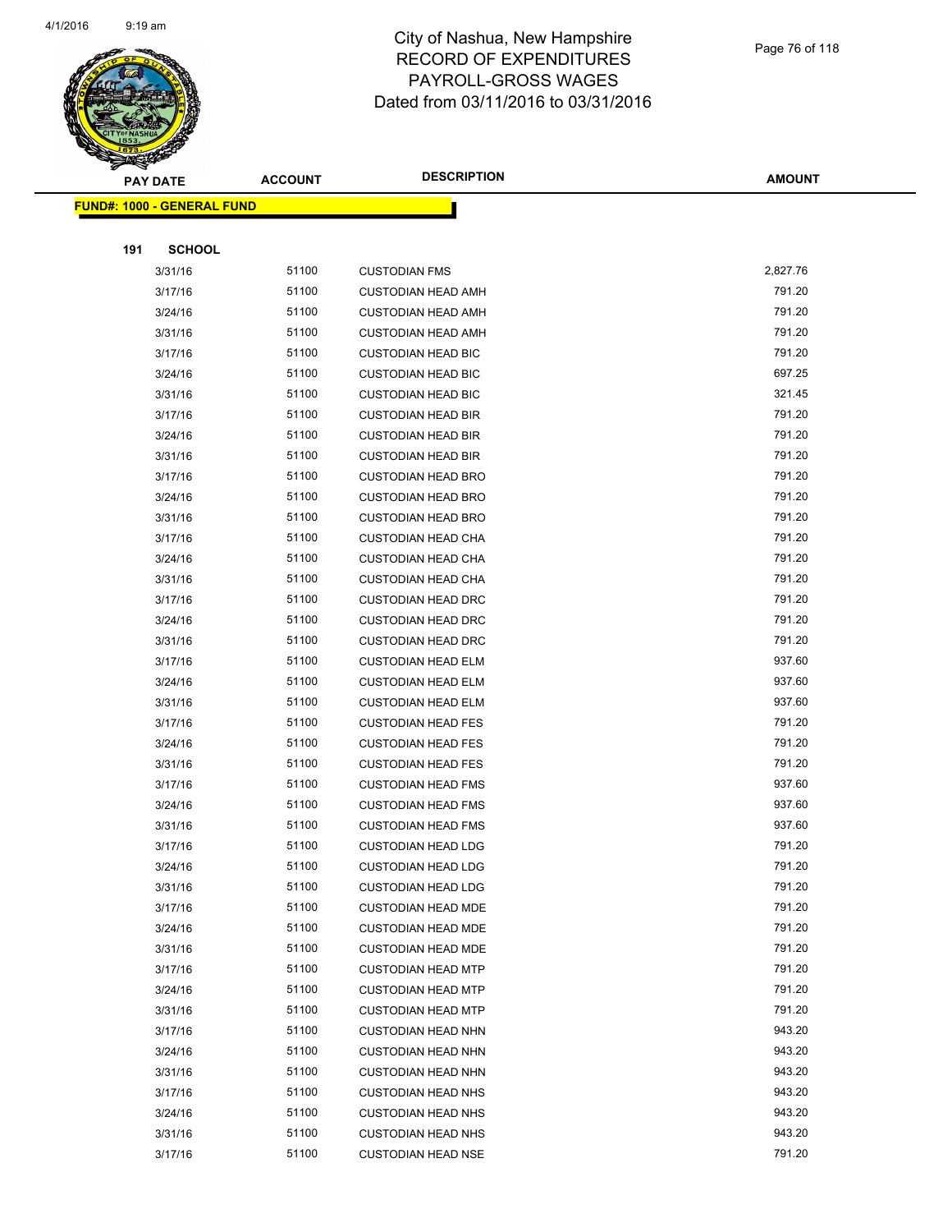

|     | <u> FUND#: 1000 - GENERAL FUND</u> |       |                           |          |
|-----|------------------------------------|-------|---------------------------|----------|
|     |                                    |       |                           |          |
| 191 | <b>SCHOOL</b>                      |       |                           |          |
|     | 3/31/16                            | 51100 | <b>CUSTODIAN FMS</b>      | 2,827.76 |
|     | 3/17/16                            | 51100 | <b>CUSTODIAN HEAD AMH</b> | 791.20   |
|     | 3/24/16                            | 51100 | <b>CUSTODIAN HEAD AMH</b> | 791.20   |
|     | 3/31/16                            | 51100 | <b>CUSTODIAN HEAD AMH</b> | 791.20   |
|     | 3/17/16                            | 51100 | <b>CUSTODIAN HEAD BIC</b> | 791.20   |
|     | 3/24/16                            | 51100 | <b>CUSTODIAN HEAD BIC</b> | 697.25   |
|     | 3/31/16                            | 51100 | <b>CUSTODIAN HEAD BIC</b> | 321.45   |
|     | 3/17/16                            | 51100 | <b>CUSTODIAN HEAD BIR</b> | 791.20   |
|     | 3/24/16                            | 51100 | <b>CUSTODIAN HEAD BIR</b> | 791.20   |
|     | 3/31/16                            | 51100 | <b>CUSTODIAN HEAD BIR</b> | 791.20   |
|     | 3/17/16                            | 51100 | <b>CUSTODIAN HEAD BRO</b> | 791.20   |
|     | 3/24/16                            | 51100 | <b>CUSTODIAN HEAD BRO</b> | 791.20   |
|     | 3/31/16                            | 51100 | <b>CUSTODIAN HEAD BRO</b> | 791.20   |
|     | 3/17/16                            | 51100 | <b>CUSTODIAN HEAD CHA</b> | 791.20   |
|     | 3/24/16                            | 51100 | <b>CUSTODIAN HEAD CHA</b> | 791.20   |
|     | 3/31/16                            | 51100 | <b>CUSTODIAN HEAD CHA</b> | 791.20   |
|     | 3/17/16                            | 51100 | <b>CUSTODIAN HEAD DRC</b> | 791.20   |
|     | 3/24/16                            | 51100 | <b>CUSTODIAN HEAD DRC</b> | 791.20   |
|     | 3/31/16                            | 51100 | <b>CUSTODIAN HEAD DRC</b> | 791.20   |
|     | 3/17/16                            | 51100 | <b>CUSTODIAN HEAD ELM</b> | 937.60   |
|     | 3/24/16                            | 51100 | <b>CUSTODIAN HEAD ELM</b> | 937.60   |
|     | 3/31/16                            | 51100 | <b>CUSTODIAN HEAD ELM</b> | 937.60   |
|     | 3/17/16                            | 51100 | <b>CUSTODIAN HEAD FES</b> | 791.20   |
|     | 3/24/16                            | 51100 | <b>CUSTODIAN HEAD FES</b> | 791.20   |
|     | 3/31/16                            | 51100 | <b>CUSTODIAN HEAD FES</b> | 791.20   |
|     | 3/17/16                            | 51100 | <b>CUSTODIAN HEAD FMS</b> | 937.60   |
|     | 3/24/16                            | 51100 | <b>CUSTODIAN HEAD FMS</b> | 937.60   |
|     | 3/31/16                            | 51100 | <b>CUSTODIAN HEAD FMS</b> | 937.60   |
|     | 3/17/16                            | 51100 | <b>CUSTODIAN HEAD LDG</b> | 791.20   |
|     | 3/24/16                            | 51100 | <b>CUSTODIAN HEAD LDG</b> | 791.20   |
|     | 3/31/16                            | 51100 | <b>CUSTODIAN HEAD LDG</b> | 791.20   |
|     | 3/17/16                            | 51100 | <b>CUSTODIAN HEAD MDE</b> | 791.20   |
|     | 3/24/16                            | 51100 | <b>CUSTODIAN HEAD MDE</b> | 791.20   |
|     | 3/31/16                            | 51100 | <b>CUSTODIAN HEAD MDE</b> | 791.20   |
|     | 3/17/16                            | 51100 | <b>CUSTODIAN HEAD MTP</b> | 791.20   |
|     | 3/24/16                            | 51100 | <b>CUSTODIAN HEAD MTP</b> | 791.20   |
|     | 3/31/16                            | 51100 | <b>CUSTODIAN HEAD MTP</b> | 791.20   |
|     | 3/17/16                            | 51100 | <b>CUSTODIAN HEAD NHN</b> | 943.20   |
|     | 3/24/16                            | 51100 | <b>CUSTODIAN HEAD NHN</b> | 943.20   |
|     | 3/31/16                            | 51100 | <b>CUSTODIAN HEAD NHN</b> | 943.20   |
|     | 3/17/16                            | 51100 | <b>CUSTODIAN HEAD NHS</b> | 943.20   |
|     | 3/24/16                            | 51100 | <b>CUSTODIAN HEAD NHS</b> | 943.20   |
|     | 3/31/16                            | 51100 | <b>CUSTODIAN HEAD NHS</b> | 943.20   |
|     | 3/17/16                            | 51100 | <b>CUSTODIAN HEAD NSE</b> | 791.20   |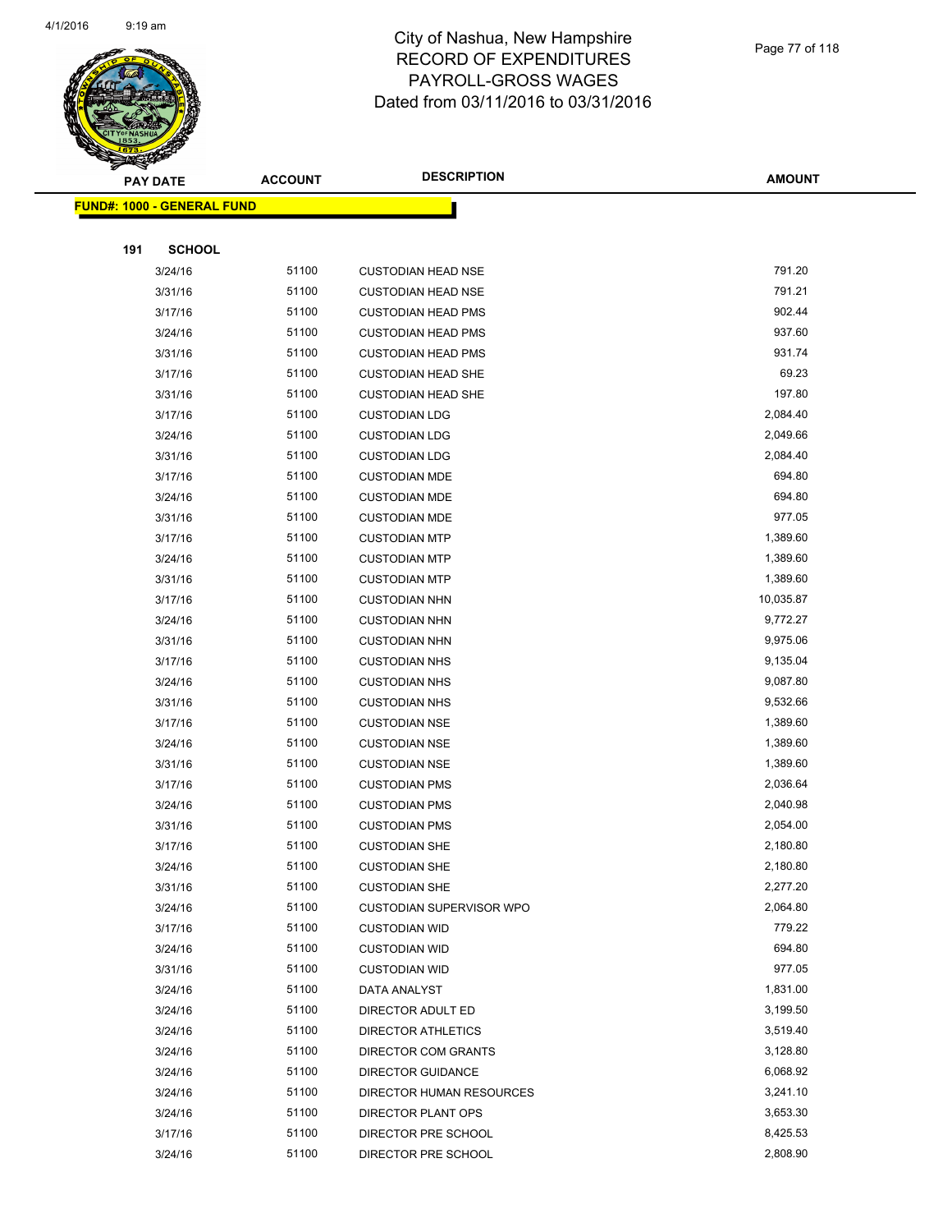

#### Page 77 of 118

|     | <b>PAY DATE</b>                    | <b>ACCOUNT</b> | <b>DESCRIPTION</b>         | <b>AMOUNT</b> |
|-----|------------------------------------|----------------|----------------------------|---------------|
|     | <u> FUND#: 1000 - GENERAL FUND</u> |                |                            |               |
|     |                                    |                |                            |               |
| 191 | <b>SCHOOL</b>                      |                |                            |               |
|     | 3/24/16                            | 51100          | <b>CUSTODIAN HEAD NSE</b>  | 791.20        |
|     | 3/31/16                            | 51100          | <b>CUSTODIAN HEAD NSE</b>  | 791.21        |
|     | 3/17/16                            | 51100          | <b>CUSTODIAN HEAD PMS</b>  | 902.44        |
|     | 3/24/16                            | 51100          | <b>CUSTODIAN HEAD PMS</b>  | 937.60        |
|     | 3/31/16                            | 51100          | <b>CUSTODIAN HEAD PMS</b>  | 931.74        |
|     | 3/17/16                            | 51100          | <b>CUSTODIAN HEAD SHE</b>  | 69.23         |
|     | 3/31/16                            | 51100          | <b>CUSTODIAN HEAD SHE</b>  | 197.80        |
|     | 3/17/16                            | 51100          | <b>CUSTODIAN LDG</b>       | 2,084.40      |
|     | 3/24/16                            | 51100          | <b>CUSTODIAN LDG</b>       | 2,049.66      |
|     | 3/31/16                            | 51100          | <b>CUSTODIAN LDG</b>       | 2,084.40      |
|     | 3/17/16                            | 51100          | <b>CUSTODIAN MDE</b>       | 694.80        |
|     | 3/24/16                            | 51100          | <b>CUSTODIAN MDE</b>       | 694.80        |
|     | 3/31/16                            | 51100          | <b>CUSTODIAN MDE</b>       | 977.05        |
|     | 3/17/16                            | 51100          | <b>CUSTODIAN MTP</b>       | 1,389.60      |
|     | 3/24/16                            | 51100          | <b>CUSTODIAN MTP</b>       | 1,389.60      |
|     | 3/31/16                            | 51100          | <b>CUSTODIAN MTP</b>       | 1,389.60      |
|     | 3/17/16                            | 51100          | <b>CUSTODIAN NHN</b>       | 10,035.87     |
|     | 3/24/16                            | 51100          | <b>CUSTODIAN NHN</b>       | 9,772.27      |
|     | 3/31/16                            | 51100          | <b>CUSTODIAN NHN</b>       | 9,975.06      |
|     | 3/17/16                            | 51100          | <b>CUSTODIAN NHS</b>       | 9,135.04      |
|     | 3/24/16                            | 51100          | <b>CUSTODIAN NHS</b>       | 9,087.80      |
|     | 3/31/16                            | 51100          | <b>CUSTODIAN NHS</b>       | 9,532.66      |
|     | 3/17/16                            | 51100          | <b>CUSTODIAN NSE</b>       | 1,389.60      |
|     | 3/24/16                            | 51100          | <b>CUSTODIAN NSE</b>       | 1,389.60      |
|     | 3/31/16                            | 51100          | <b>CUSTODIAN NSE</b>       | 1,389.60      |
|     | 3/17/16                            | 51100          | <b>CUSTODIAN PMS</b>       | 2,036.64      |
|     | 3/24/16                            | 51100          | <b>CUSTODIAN PMS</b>       | 2,040.98      |
|     | 3/31/16                            | 51100          | <b>CUSTODIAN PMS</b>       | 2,054.00      |
|     | 3/17/16                            | 51100          | <b>CUSTODIAN SHE</b>       | 2,180.80      |
|     | 3/24/16                            | 51100          | <b>CUSTODIAN SHE</b>       | 2,180.80      |
|     | 3/31/16                            | 51100          | <b>CUSTODIAN SHE</b>       | 2,277.20      |
|     | 3/24/16                            | 51100          | CUSTODIAN SUPERVISOR WPO   | 2,064.80      |
|     | 3/17/16                            | 51100          | <b>CUSTODIAN WID</b>       | 779.22        |
|     | 3/24/16                            | 51100          | <b>CUSTODIAN WID</b>       | 694.80        |
|     | 3/31/16                            | 51100          | <b>CUSTODIAN WID</b>       | 977.05        |
|     | 3/24/16                            | 51100          | DATA ANALYST               | 1,831.00      |
|     | 3/24/16                            | 51100          | DIRECTOR ADULT ED          | 3,199.50      |
|     | 3/24/16                            | 51100          | DIRECTOR ATHLETICS         | 3,519.40      |
|     | 3/24/16                            | 51100          | <b>DIRECTOR COM GRANTS</b> | 3,128.80      |
|     | 3/24/16                            | 51100          | <b>DIRECTOR GUIDANCE</b>   | 6,068.92      |
|     | 3/24/16                            | 51100          | DIRECTOR HUMAN RESOURCES   | 3,241.10      |
|     | 3/24/16                            | 51100          | DIRECTOR PLANT OPS         | 3,653.30      |
|     | 3/17/16                            | 51100          | DIRECTOR PRE SCHOOL        | 8,425.53      |
|     | 3/24/16                            | 51100          | DIRECTOR PRE SCHOOL        | 2,808.90      |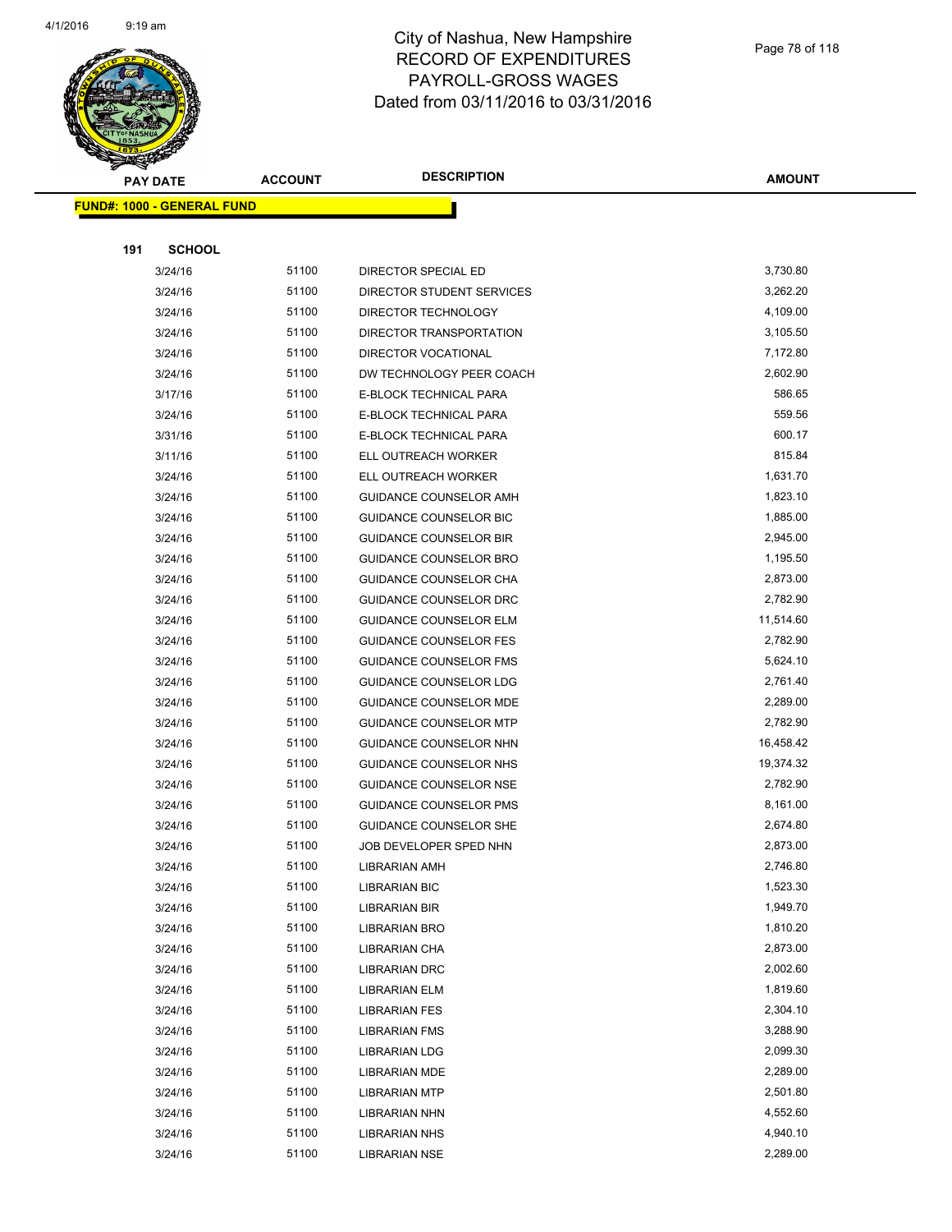

|     | <u> FUND#: 1000 - GENERAL FUND</u> |       |                               |           |
|-----|------------------------------------|-------|-------------------------------|-----------|
|     |                                    |       |                               |           |
| 191 | <b>SCHOOL</b>                      |       |                               |           |
|     | 3/24/16                            | 51100 | DIRECTOR SPECIAL ED           | 3,730.80  |
|     | 3/24/16                            | 51100 | DIRECTOR STUDENT SERVICES     | 3,262.20  |
|     | 3/24/16                            | 51100 | DIRECTOR TECHNOLOGY           | 4,109.00  |
|     | 3/24/16                            | 51100 | DIRECTOR TRANSPORTATION       | 3,105.50  |
|     | 3/24/16                            | 51100 | DIRECTOR VOCATIONAL           | 7,172.80  |
|     | 3/24/16                            | 51100 | DW TECHNOLOGY PEER COACH      | 2,602.90  |
|     | 3/17/16                            | 51100 | E-BLOCK TECHNICAL PARA        | 586.65    |
|     | 3/24/16                            | 51100 | E-BLOCK TECHNICAL PARA        | 559.56    |
|     | 3/31/16                            | 51100 | E-BLOCK TECHNICAL PARA        | 600.17    |
|     | 3/11/16                            | 51100 | ELL OUTREACH WORKER           | 815.84    |
|     | 3/24/16                            | 51100 | ELL OUTREACH WORKER           | 1,631.70  |
|     | 3/24/16                            | 51100 | GUIDANCE COUNSELOR AMH        | 1,823.10  |
|     | 3/24/16                            | 51100 | GUIDANCE COUNSELOR BIC        | 1,885.00  |
|     | 3/24/16                            | 51100 | <b>GUIDANCE COUNSELOR BIR</b> | 2,945.00  |
|     | 3/24/16                            | 51100 | <b>GUIDANCE COUNSELOR BRO</b> | 1,195.50  |
|     | 3/24/16                            | 51100 | <b>GUIDANCE COUNSELOR CHA</b> | 2,873.00  |
|     | 3/24/16                            | 51100 | GUIDANCE COUNSELOR DRC        | 2,782.90  |
|     | 3/24/16                            | 51100 | <b>GUIDANCE COUNSELOR ELM</b> | 11,514.60 |
|     | 3/24/16                            | 51100 | <b>GUIDANCE COUNSELOR FES</b> | 2,782.90  |
|     | 3/24/16                            | 51100 | <b>GUIDANCE COUNSELOR FMS</b> | 5,624.10  |
|     | 3/24/16                            | 51100 | <b>GUIDANCE COUNSELOR LDG</b> | 2,761.40  |
|     | 3/24/16                            | 51100 | <b>GUIDANCE COUNSELOR MDE</b> | 2,289.00  |
|     | 3/24/16                            | 51100 | <b>GUIDANCE COUNSELOR MTP</b> | 2,782.90  |
|     | 3/24/16                            | 51100 | GUIDANCE COUNSELOR NHN        | 16,458.42 |
|     | 3/24/16                            | 51100 | <b>GUIDANCE COUNSELOR NHS</b> | 19,374.32 |
|     | 3/24/16                            | 51100 | <b>GUIDANCE COUNSELOR NSE</b> | 2,782.90  |
|     | 3/24/16                            | 51100 | <b>GUIDANCE COUNSELOR PMS</b> | 8,161.00  |
|     | 3/24/16                            | 51100 | <b>GUIDANCE COUNSELOR SHE</b> | 2,674.80  |
|     | 3/24/16                            | 51100 | JOB DEVELOPER SPED NHN        | 2,873.00  |
|     | 3/24/16                            | 51100 | <b>LIBRARIAN AMH</b>          | 2,746.80  |
|     | 3/24/16                            | 51100 | LIBRARIAN BIC                 | 1,523.30  |
|     | 3/24/16                            | 51100 | <b>LIBRARIAN BIR</b>          | 1,949.70  |
|     | 3/24/16                            | 51100 | LIBRARIAN BRO                 | 1,810.20  |
|     | 3/24/16                            | 51100 | LIBRARIAN CHA                 | 2,873.00  |
|     | 3/24/16                            | 51100 | LIBRARIAN DRC                 | 2,002.60  |
|     | 3/24/16                            | 51100 | LIBRARIAN ELM                 | 1,819.60  |
|     | 3/24/16                            | 51100 | <b>LIBRARIAN FES</b>          | 2,304.10  |
|     | 3/24/16                            | 51100 | <b>LIBRARIAN FMS</b>          | 3,288.90  |
|     | 3/24/16                            | 51100 | LIBRARIAN LDG                 | 2,099.30  |
|     | 3/24/16                            | 51100 | LIBRARIAN MDE                 | 2,289.00  |
|     | 3/24/16                            | 51100 | <b>LIBRARIAN MTP</b>          | 2,501.80  |
|     | 3/24/16                            | 51100 | LIBRARIAN NHN                 | 4,552.60  |
|     | 3/24/16                            | 51100 | <b>LIBRARIAN NHS</b>          | 4,940.10  |
|     | 3/24/16                            | 51100 | LIBRARIAN NSE                 | 2,289.00  |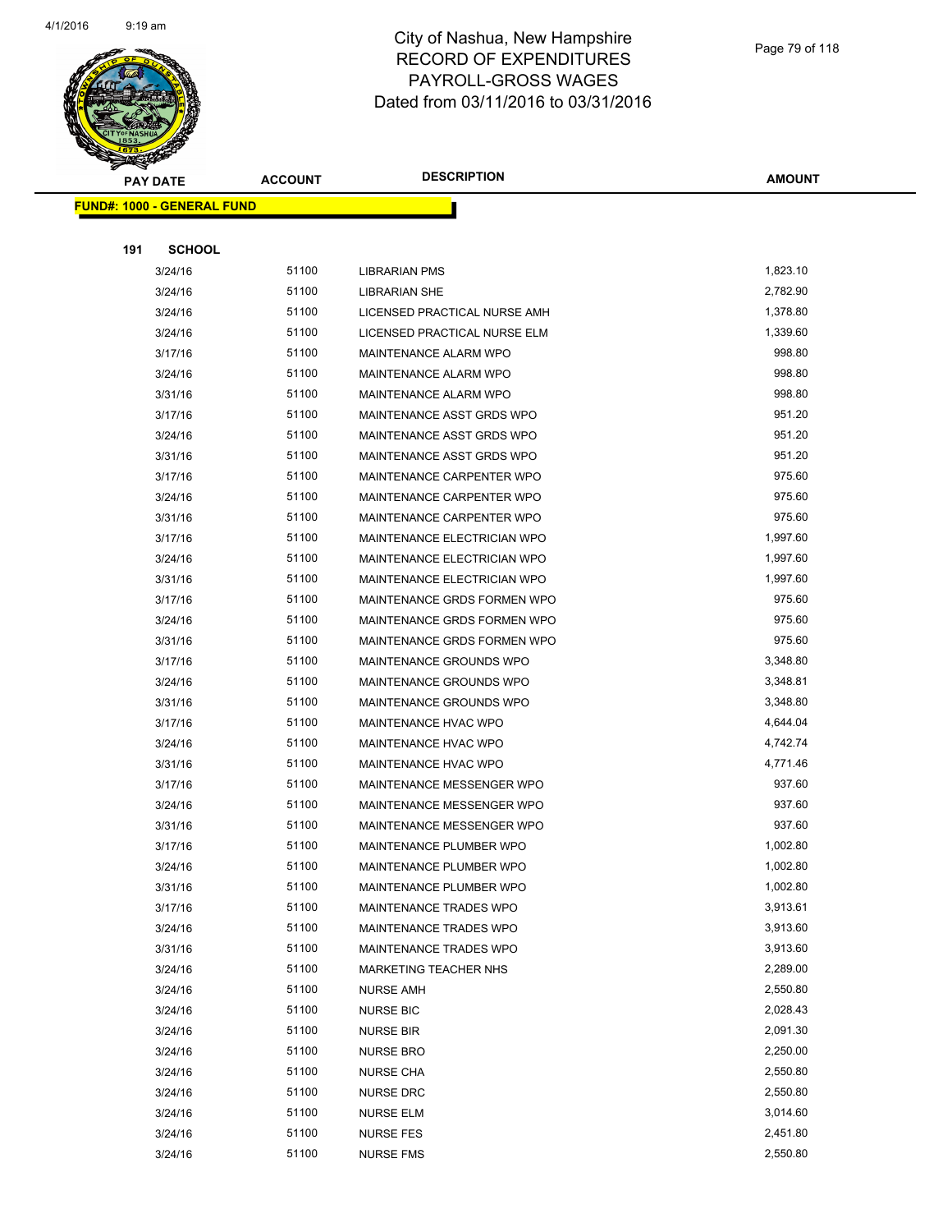

|     | <u> FUND#: 1000 - GENERAL FUND</u> |       |                                    |          |  |
|-----|------------------------------------|-------|------------------------------------|----------|--|
|     |                                    |       |                                    |          |  |
| 191 | <b>SCHOOL</b>                      |       |                                    |          |  |
|     | 3/24/16                            | 51100 | LIBRARIAN PMS                      | 1,823.10 |  |
|     | 3/24/16                            | 51100 | <b>LIBRARIAN SHE</b>               | 2,782.90 |  |
|     | 3/24/16                            | 51100 | LICENSED PRACTICAL NURSE AMH       | 1,378.80 |  |
|     | 3/24/16                            | 51100 | LICENSED PRACTICAL NURSE ELM       | 1,339.60 |  |
|     | 3/17/16                            | 51100 | MAINTENANCE ALARM WPO              | 998.80   |  |
|     | 3/24/16                            | 51100 | MAINTENANCE ALARM WPO              | 998.80   |  |
|     | 3/31/16                            | 51100 | MAINTENANCE ALARM WPO              | 998.80   |  |
|     | 3/17/16                            | 51100 | MAINTENANCE ASST GRDS WPO          | 951.20   |  |
|     | 3/24/16                            | 51100 | MAINTENANCE ASST GRDS WPO          | 951.20   |  |
|     | 3/31/16                            | 51100 | MAINTENANCE ASST GRDS WPO          | 951.20   |  |
|     | 3/17/16                            | 51100 | MAINTENANCE CARPENTER WPO          | 975.60   |  |
|     | 3/24/16                            | 51100 | MAINTENANCE CARPENTER WPO          | 975.60   |  |
|     | 3/31/16                            | 51100 | MAINTENANCE CARPENTER WPO          | 975.60   |  |
|     | 3/17/16                            | 51100 | MAINTENANCE ELECTRICIAN WPO        | 1,997.60 |  |
|     | 3/24/16                            | 51100 | MAINTENANCE ELECTRICIAN WPO        | 1,997.60 |  |
|     | 3/31/16                            | 51100 | <b>MAINTENANCE ELECTRICIAN WPO</b> | 1,997.60 |  |
|     | 3/17/16                            | 51100 | MAINTENANCE GRDS FORMEN WPO        | 975.60   |  |
|     | 3/24/16                            | 51100 | MAINTENANCE GRDS FORMEN WPO        | 975.60   |  |
|     | 3/31/16                            | 51100 | MAINTENANCE GRDS FORMEN WPO        | 975.60   |  |
|     | 3/17/16                            | 51100 | MAINTENANCE GROUNDS WPO            | 3,348.80 |  |
|     | 3/24/16                            | 51100 | MAINTENANCE GROUNDS WPO            | 3,348.81 |  |
|     | 3/31/16                            | 51100 | MAINTENANCE GROUNDS WPO            | 3,348.80 |  |
|     | 3/17/16                            | 51100 | MAINTENANCE HVAC WPO               | 4,644.04 |  |
|     | 3/24/16                            | 51100 | MAINTENANCE HVAC WPO               | 4,742.74 |  |
|     | 3/31/16                            | 51100 | <b>MAINTENANCE HVAC WPO</b>        | 4,771.46 |  |
|     | 3/17/16                            | 51100 | MAINTENANCE MESSENGER WPO          | 937.60   |  |
|     | 3/24/16                            | 51100 | MAINTENANCE MESSENGER WPO          | 937.60   |  |
|     | 3/31/16                            | 51100 | MAINTENANCE MESSENGER WPO          | 937.60   |  |
|     | 3/17/16                            | 51100 | MAINTENANCE PLUMBER WPO            | 1,002.80 |  |
|     | 3/24/16                            | 51100 | MAINTENANCE PLUMBER WPO            | 1,002.80 |  |
|     | 3/31/16                            | 51100 | MAINTENANCE PLUMBER WPO            | 1,002.80 |  |
|     | 3/17/16                            | 51100 | MAINTENANCE TRADES WPO             | 3,913.61 |  |
|     | 3/24/16                            | 51100 | MAINTENANCE TRADES WPO             | 3,913.60 |  |
|     | 3/31/16                            | 51100 | MAINTENANCE TRADES WPO             | 3,913.60 |  |
|     | 3/24/16                            | 51100 | MARKETING TEACHER NHS              | 2,289.00 |  |
|     | 3/24/16                            | 51100 | <b>NURSE AMH</b>                   | 2,550.80 |  |
|     | 3/24/16                            | 51100 | <b>NURSE BIC</b>                   | 2,028.43 |  |
|     | 3/24/16                            | 51100 | <b>NURSE BIR</b>                   | 2,091.30 |  |
|     | 3/24/16                            | 51100 | <b>NURSE BRO</b>                   | 2,250.00 |  |
|     | 3/24/16                            | 51100 | <b>NURSE CHA</b>                   | 2,550.80 |  |
|     | 3/24/16                            | 51100 | <b>NURSE DRC</b>                   | 2,550.80 |  |
|     | 3/24/16                            | 51100 | <b>NURSE ELM</b>                   | 3,014.60 |  |
|     | 3/24/16                            | 51100 | <b>NURSE FES</b>                   | 2,451.80 |  |
|     | 3/24/16                            | 51100 | <b>NURSE FMS</b>                   | 2,550.80 |  |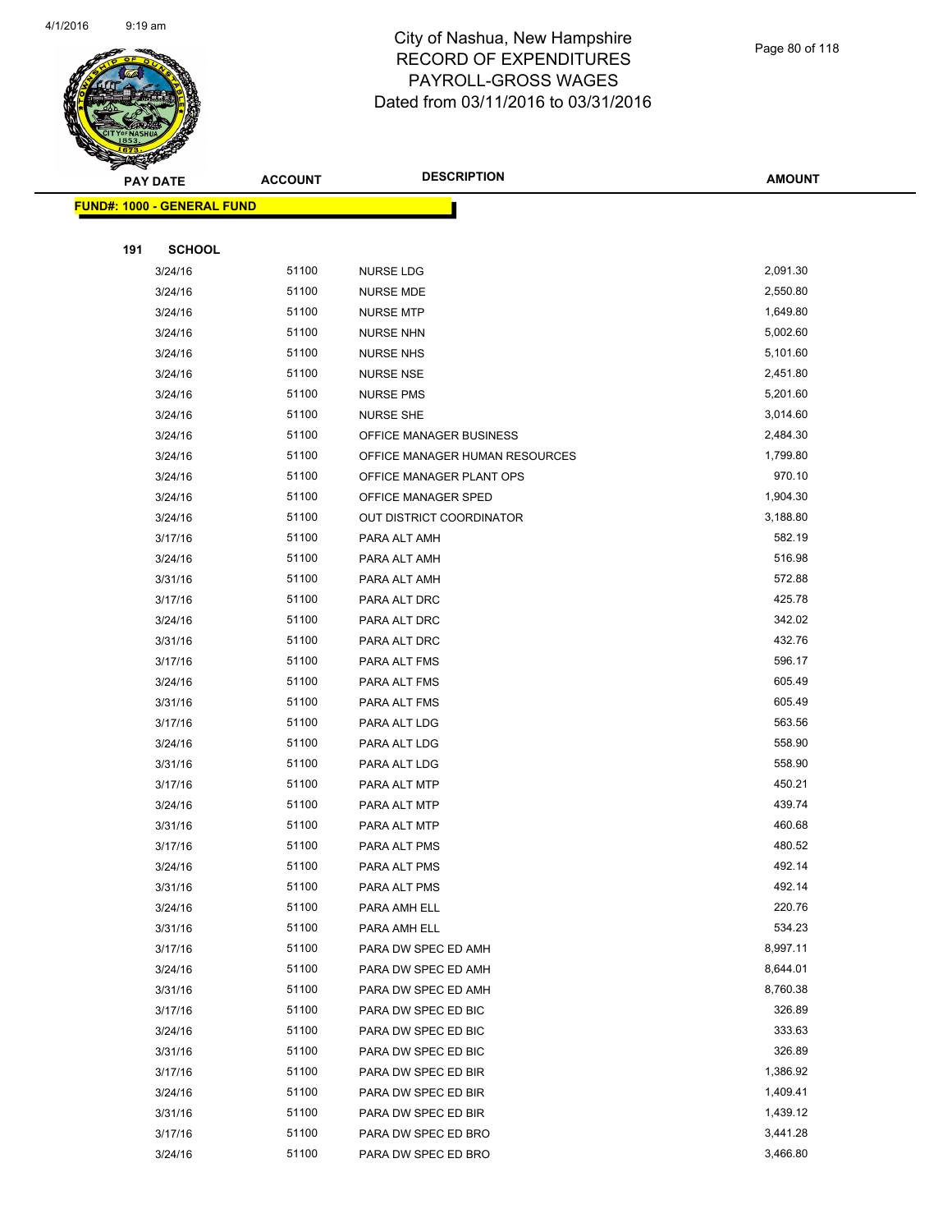

|     | <mark>FUND#: 1000 - GENERAL FUND</mark> |                |                                            |                    |
|-----|-----------------------------------------|----------------|--------------------------------------------|--------------------|
|     |                                         |                |                                            |                    |
| 191 | <b>SCHOOL</b>                           |                |                                            |                    |
|     | 3/24/16                                 | 51100          | <b>NURSE LDG</b>                           | 2,091.30           |
|     | 3/24/16                                 | 51100          | NURSE MDE                                  | 2,550.80           |
|     | 3/24/16                                 | 51100          | <b>NURSE MTP</b>                           | 1,649.80           |
|     | 3/24/16                                 | 51100          | <b>NURSE NHN</b>                           | 5,002.60           |
|     | 3/24/16                                 | 51100          | <b>NURSE NHS</b>                           | 5,101.60           |
|     | 3/24/16                                 | 51100          | <b>NURSE NSE</b>                           | 2,451.80           |
|     | 3/24/16                                 | 51100          | <b>NURSE PMS</b>                           | 5,201.60           |
|     | 3/24/16                                 | 51100          | <b>NURSE SHE</b>                           | 3,014.60           |
|     | 3/24/16                                 | 51100          | OFFICE MANAGER BUSINESS                    | 2,484.30           |
|     | 3/24/16                                 | 51100          | OFFICE MANAGER HUMAN RESOURCES             | 1,799.80           |
|     | 3/24/16                                 | 51100          | OFFICE MANAGER PLANT OPS                   | 970.10             |
|     | 3/24/16                                 | 51100          | OFFICE MANAGER SPED                        | 1,904.30           |
|     | 3/24/16                                 | 51100          | OUT DISTRICT COORDINATOR                   | 3,188.80           |
|     | 3/17/16                                 | 51100          | PARA ALT AMH                               | 582.19             |
|     | 3/24/16                                 | 51100          | PARA ALT AMH                               | 516.98             |
|     | 3/31/16                                 | 51100          | PARA ALT AMH                               | 572.88             |
|     | 3/17/16                                 | 51100          | PARA ALT DRC                               | 425.78             |
|     | 3/24/16                                 | 51100          | PARA ALT DRC                               | 342.02             |
|     | 3/31/16                                 | 51100          | PARA ALT DRC                               | 432.76             |
|     | 3/17/16                                 | 51100          | PARA ALT FMS                               | 596.17             |
|     | 3/24/16                                 | 51100          | PARA ALT FMS                               | 605.49             |
|     | 3/31/16                                 | 51100          | PARA ALT FMS                               | 605.49             |
|     | 3/17/16                                 | 51100          | PARA ALT LDG                               | 563.56             |
|     | 3/24/16                                 | 51100          | PARA ALT LDG                               | 558.90             |
|     | 3/31/16                                 | 51100          | PARA ALT LDG                               | 558.90             |
|     | 3/17/16                                 | 51100          | PARA ALT MTP                               | 450.21             |
|     | 3/24/16                                 | 51100          | PARA ALT MTP                               | 439.74             |
|     | 3/31/16                                 | 51100          | PARA ALT MTP                               | 460.68             |
|     | 3/17/16                                 | 51100          | PARA ALT PMS                               | 480.52             |
|     | 3/24/16                                 | 51100          | PARA ALT PMS                               | 492.14             |
|     | 3/31/16                                 | 51100          | PARA ALT PMS                               | 492.14             |
|     | 3/24/16                                 | 51100          | PARA AMH ELL                               | 220.76             |
|     | 3/31/16                                 | 51100          | PARA AMH ELL                               | 534.23<br>8,997.11 |
|     | 3/17/16                                 | 51100<br>51100 | PARA DW SPEC ED AMH                        | 8,644.01           |
|     | 3/24/16<br>3/31/16                      | 51100          | PARA DW SPEC ED AMH<br>PARA DW SPEC ED AMH | 8,760.38           |
|     | 3/17/16                                 | 51100          | PARA DW SPEC ED BIC                        | 326.89             |
|     | 3/24/16                                 | 51100          | PARA DW SPEC ED BIC                        | 333.63             |
|     | 3/31/16                                 | 51100          | PARA DW SPEC ED BIC                        | 326.89             |
|     | 3/17/16                                 | 51100          | PARA DW SPEC ED BIR                        | 1,386.92           |
|     | 3/24/16                                 | 51100          | PARA DW SPEC ED BIR                        | 1,409.41           |
|     | 3/31/16                                 | 51100          | PARA DW SPEC ED BIR                        | 1,439.12           |
|     | 3/17/16                                 | 51100          | PARA DW SPEC ED BRO                        | 3,441.28           |
|     | 3/24/16                                 | 51100          | PARA DW SPEC ED BRO                        | 3,466.80           |
|     |                                         |                |                                            |                    |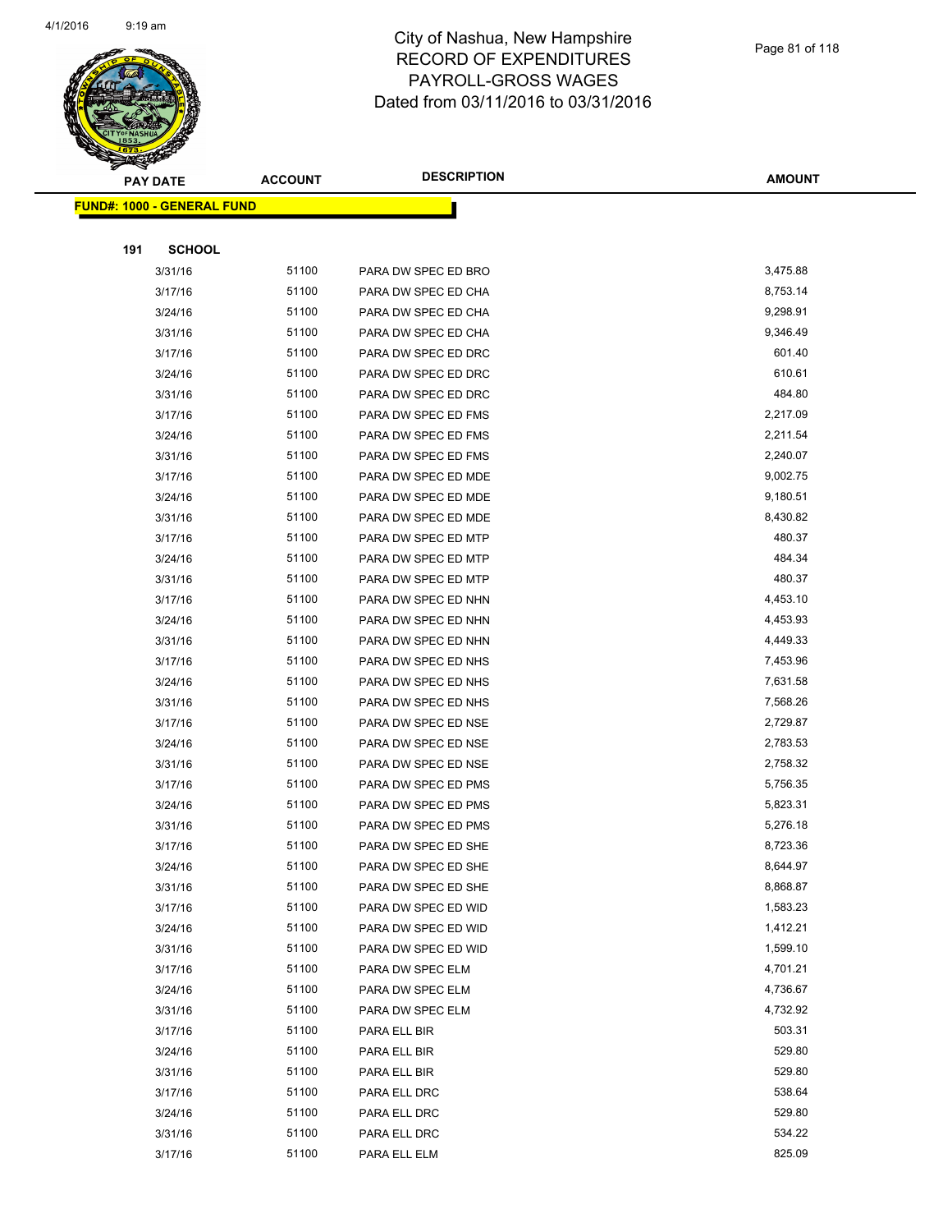

|     | <b>PAY DATE</b>                    | <b>ACCOUNT</b> | <b>DESCRIPTION</b>  | <b>AMOUNT</b> |
|-----|------------------------------------|----------------|---------------------|---------------|
|     | <u> FUND#: 1000 - GENERAL FUND</u> |                |                     |               |
|     |                                    |                |                     |               |
| 191 | <b>SCHOOL</b>                      |                |                     |               |
|     | 3/31/16                            | 51100          | PARA DW SPEC ED BRO | 3,475.88      |
|     | 3/17/16                            | 51100          | PARA DW SPEC ED CHA | 8,753.14      |
|     | 3/24/16                            | 51100          | PARA DW SPEC ED CHA | 9,298.91      |
|     | 3/31/16                            | 51100          | PARA DW SPEC ED CHA | 9,346.49      |
|     | 3/17/16                            | 51100          | PARA DW SPEC ED DRC | 601.40        |
|     | 3/24/16                            | 51100          | PARA DW SPEC ED DRC | 610.61        |
|     | 3/31/16                            | 51100          | PARA DW SPEC ED DRC | 484.80        |
|     | 3/17/16                            | 51100          | PARA DW SPEC ED FMS | 2,217.09      |
|     | 3/24/16                            | 51100          | PARA DW SPEC ED FMS | 2,211.54      |
|     | 3/31/16                            | 51100          | PARA DW SPEC ED FMS | 2,240.07      |
|     | 3/17/16                            | 51100          | PARA DW SPEC ED MDE | 9,002.75      |
|     | 3/24/16                            | 51100          | PARA DW SPEC ED MDE | 9,180.51      |
|     | 3/31/16                            | 51100          | PARA DW SPEC ED MDE | 8,430.82      |
|     | 3/17/16                            | 51100          | PARA DW SPEC ED MTP | 480.37        |
|     | 3/24/16                            | 51100          | PARA DW SPEC ED MTP | 484.34        |
|     | 3/31/16                            | 51100          | PARA DW SPEC ED MTP | 480.37        |
|     | 3/17/16                            | 51100          | PARA DW SPEC ED NHN | 4,453.10      |
|     | 3/24/16                            | 51100          | PARA DW SPEC ED NHN | 4,453.93      |
|     | 3/31/16                            | 51100          | PARA DW SPEC ED NHN | 4,449.33      |
|     | 3/17/16                            | 51100          | PARA DW SPEC ED NHS | 7,453.96      |
|     | 3/24/16                            | 51100          | PARA DW SPEC ED NHS | 7,631.58      |
|     | 3/31/16                            | 51100          | PARA DW SPEC ED NHS | 7,568.26      |
|     | 3/17/16                            | 51100          | PARA DW SPEC ED NSE | 2,729.87      |
|     | 3/24/16                            | 51100          | PARA DW SPEC ED NSE | 2,783.53      |
|     | 3/31/16                            | 51100          | PARA DW SPEC ED NSE | 2,758.32      |
|     | 3/17/16                            | 51100          | PARA DW SPEC ED PMS | 5,756.35      |
|     | 3/24/16                            | 51100          | PARA DW SPEC ED PMS | 5,823.31      |
|     | 3/31/16                            | 51100          | PARA DW SPEC ED PMS | 5,276.18      |
|     | 3/17/16                            | 51100          | PARA DW SPEC ED SHE | 8,723.36      |
|     | 3/24/16                            | 51100          | PARA DW SPEC ED SHE | 8,644.97      |
|     | 3/31/16                            | 51100          | PARA DW SPEC ED SHE | 8,868.87      |
|     | 3/17/16                            | 51100          | PARA DW SPEC ED WID | 1,583.23      |
|     | 3/24/16                            | 51100          | PARA DW SPEC ED WID | 1,412.21      |
|     | 3/31/16                            | 51100          | PARA DW SPEC ED WID | 1,599.10      |
|     | 3/17/16                            | 51100          | PARA DW SPEC ELM    | 4,701.21      |
|     | 3/24/16                            | 51100          | PARA DW SPEC ELM    | 4,736.67      |
|     | 3/31/16                            | 51100          | PARA DW SPEC ELM    | 4,732.92      |
|     | 3/17/16                            | 51100          | PARA ELL BIR        | 503.31        |
|     | 3/24/16                            | 51100          | PARA ELL BIR        | 529.80        |
|     | 3/31/16                            | 51100          | PARA ELL BIR        | 529.80        |
|     | 3/17/16                            | 51100          | PARA ELL DRC        | 538.64        |
|     | 3/24/16                            | 51100          | PARA ELL DRC        | 529.80        |
|     | 3/31/16                            | 51100          | PARA ELL DRC        | 534.22        |
|     | 3/17/16                            | 51100          | PARA ELL ELM        | 825.09        |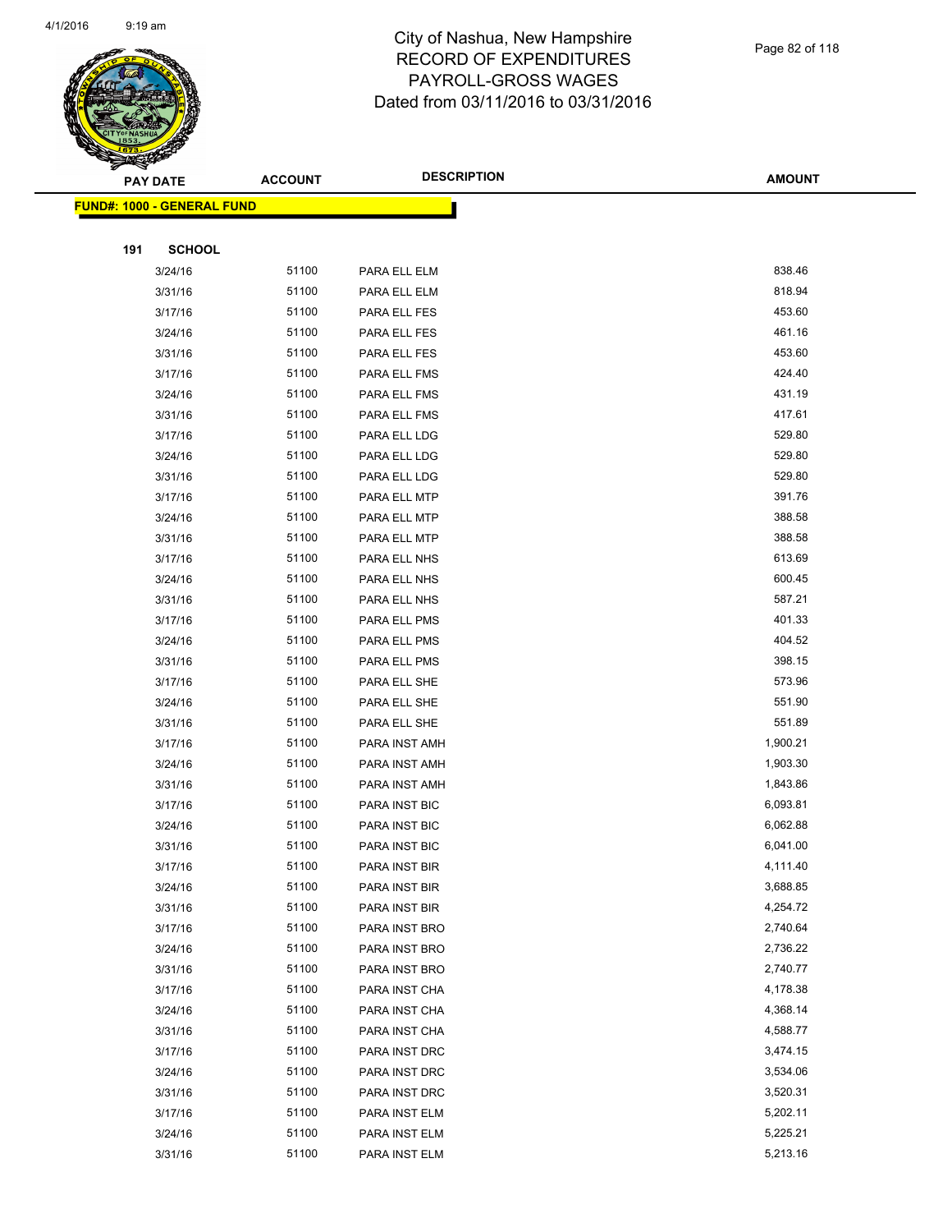

|     | <b>PAY DATE</b>                   | <b>ACCOUNT</b> | <b>DESCRIPTION</b> | <b>AMOUNT</b> |
|-----|-----------------------------------|----------------|--------------------|---------------|
|     | <b>FUND#: 1000 - GENERAL FUND</b> |                |                    |               |
|     |                                   |                |                    |               |
| 191 | <b>SCHOOL</b>                     |                |                    |               |
|     | 3/24/16                           | 51100          | PARA ELL ELM       | 838.46        |
|     | 3/31/16                           | 51100          | PARA ELL ELM       | 818.94        |
|     | 3/17/16                           | 51100          | PARA ELL FES       | 453.60        |
|     | 3/24/16                           | 51100          | PARA ELL FES       | 461.16        |
|     | 3/31/16                           | 51100          | PARA ELL FES       | 453.60        |
|     | 3/17/16                           | 51100          | PARA ELL FMS       | 424.40        |
|     | 3/24/16                           | 51100          | PARA ELL FMS       | 431.19        |
|     | 3/31/16                           | 51100          | PARA ELL FMS       | 417.61        |
|     | 3/17/16                           | 51100          | PARA ELL LDG       | 529.80        |
|     | 3/24/16                           | 51100          | PARA ELL LDG       | 529.80        |
|     | 3/31/16                           | 51100          | PARA ELL LDG       | 529.80        |
|     | 3/17/16                           | 51100          | PARA ELL MTP       | 391.76        |
|     | 3/24/16                           | 51100          | PARA ELL MTP       | 388.58        |
|     | 3/31/16                           | 51100          | PARA ELL MTP       | 388.58        |
|     | 3/17/16                           | 51100          | PARA ELL NHS       | 613.69        |
|     | 3/24/16                           | 51100          | PARA ELL NHS       | 600.45        |
|     | 3/31/16                           | 51100          | PARA ELL NHS       | 587.21        |
|     | 3/17/16                           | 51100          | PARA ELL PMS       | 401.33        |
|     | 3/24/16                           | 51100          | PARA ELL PMS       | 404.52        |
|     | 3/31/16                           | 51100          | PARA ELL PMS       | 398.15        |
|     | 3/17/16                           | 51100          | PARA ELL SHE       | 573.96        |
|     | 3/24/16                           | 51100          | PARA ELL SHE       | 551.90        |
|     | 3/31/16                           | 51100          | PARA ELL SHE       | 551.89        |
|     | 3/17/16                           | 51100          | PARA INST AMH      | 1,900.21      |
|     | 3/24/16                           | 51100          | PARA INST AMH      | 1,903.30      |
|     | 3/31/16                           | 51100          | PARA INST AMH      | 1,843.86      |
|     | 3/17/16                           | 51100          | PARA INST BIC      | 6,093.81      |
|     | 3/24/16                           | 51100          | PARA INST BIC      | 6,062.88      |
|     | 3/31/16                           | 51100          | PARA INST BIC      | 6,041.00      |
|     | 3/17/16                           | 51100          | PARA INST BIR      | 4,111.40      |
|     | 3/24/16                           | 51100          | PARA INST BIR      | 3,688.85      |
|     | 3/31/16                           | 51100          | PARA INST BIR      | 4,254.72      |
|     | 3/17/16                           | 51100          | PARA INST BRO      | 2,740.64      |
|     | 3/24/16                           | 51100          | PARA INST BRO      | 2,736.22      |
|     | 3/31/16                           | 51100          | PARA INST BRO      | 2,740.77      |
|     | 3/17/16                           | 51100          | PARA INST CHA      | 4,178.38      |
|     | 3/24/16                           | 51100          | PARA INST CHA      | 4,368.14      |
|     | 3/31/16                           | 51100          | PARA INST CHA      | 4,588.77      |
|     | 3/17/16                           | 51100          | PARA INST DRC      | 3,474.15      |
|     | 3/24/16                           | 51100          | PARA INST DRC      | 3,534.06      |
|     | 3/31/16                           | 51100          | PARA INST DRC      | 3,520.31      |
|     | 3/17/16                           | 51100          | PARA INST ELM      | 5,202.11      |
|     | 3/24/16                           | 51100          | PARA INST ELM      | 5,225.21      |
|     | 3/31/16                           | 51100          | PARA INST ELM      | 5,213.16      |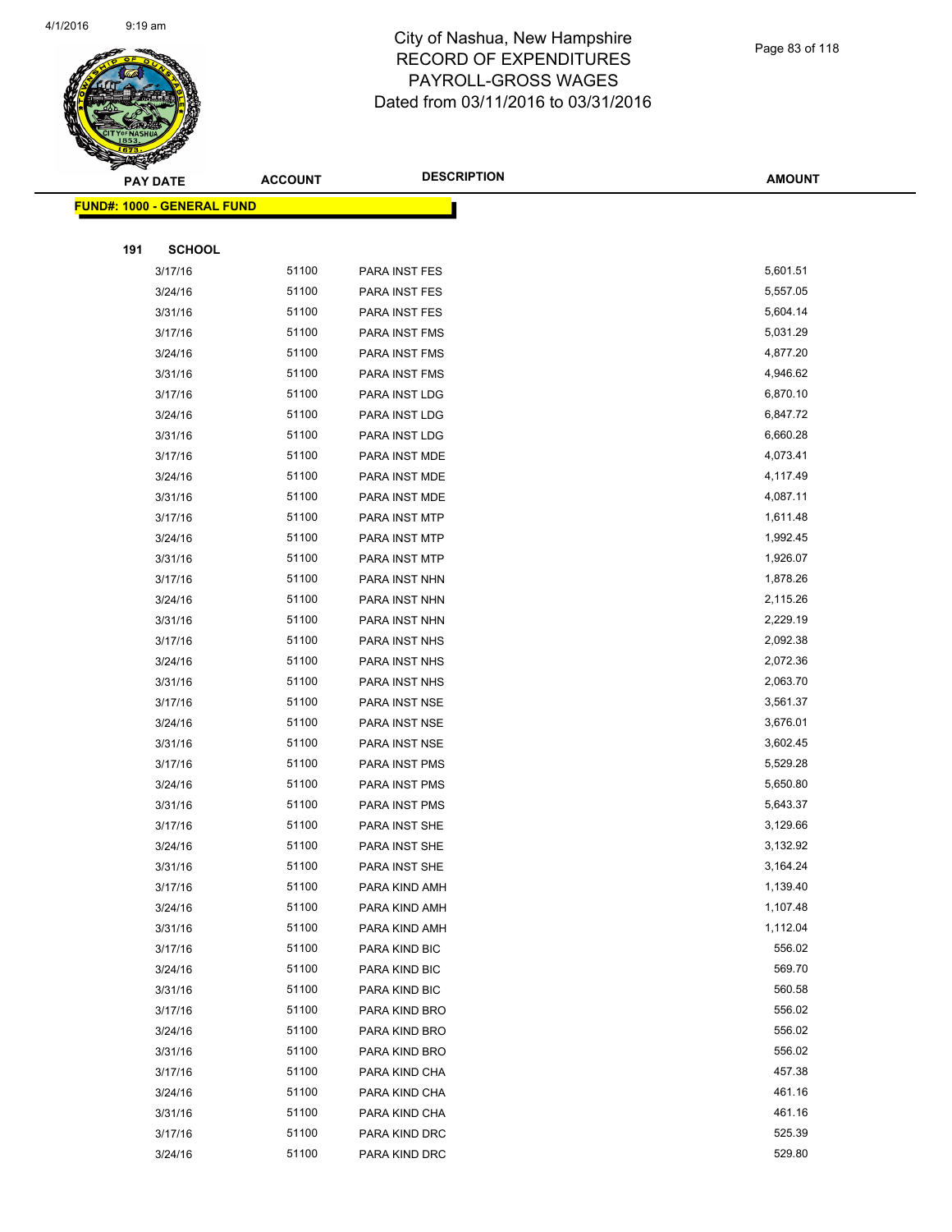

|     | <b>PAY DATE</b>                   | <b>ACCOUNT</b> | <b>DESCRIPTION</b> | <b>AMOUNT</b> |
|-----|-----------------------------------|----------------|--------------------|---------------|
|     | <b>FUND#: 1000 - GENERAL FUND</b> |                |                    |               |
|     |                                   |                |                    |               |
| 191 | <b>SCHOOL</b>                     |                |                    |               |
|     | 3/17/16                           | 51100          | PARA INST FES      | 5,601.51      |
|     | 3/24/16                           | 51100          | PARA INST FES      | 5,557.05      |
|     | 3/31/16                           | 51100          | PARA INST FES      | 5,604.14      |
|     | 3/17/16                           | 51100          | PARA INST FMS      | 5,031.29      |
|     | 3/24/16                           | 51100          | PARA INST FMS      | 4,877.20      |
|     | 3/31/16                           | 51100          | PARA INST FMS      | 4,946.62      |
|     | 3/17/16                           | 51100          | PARA INST LDG      | 6,870.10      |
|     | 3/24/16                           | 51100          | PARA INST LDG      | 6,847.72      |
|     | 3/31/16                           | 51100          | PARA INST LDG      | 6,660.28      |
|     | 3/17/16                           | 51100          | PARA INST MDE      | 4,073.41      |
|     | 3/24/16                           | 51100          | PARA INST MDE      | 4,117.49      |
|     | 3/31/16                           | 51100          | PARA INST MDE      | 4,087.11      |
|     | 3/17/16                           | 51100          | PARA INST MTP      | 1,611.48      |
|     | 3/24/16                           | 51100          | PARA INST MTP      | 1,992.45      |
|     | 3/31/16                           | 51100          | PARA INST MTP      | 1,926.07      |
|     | 3/17/16                           | 51100          | PARA INST NHN      | 1,878.26      |
|     | 3/24/16                           | 51100          | PARA INST NHN      | 2,115.26      |
|     | 3/31/16                           | 51100          | PARA INST NHN      | 2,229.19      |
|     | 3/17/16                           | 51100          | PARA INST NHS      | 2,092.38      |
|     | 3/24/16                           | 51100          | PARA INST NHS      | 2,072.36      |
|     | 3/31/16                           | 51100          | PARA INST NHS      | 2,063.70      |
|     | 3/17/16                           | 51100          | PARA INST NSE      | 3,561.37      |
|     | 3/24/16                           | 51100          | PARA INST NSE      | 3,676.01      |
|     | 3/31/16                           | 51100          | PARA INST NSE      | 3,602.45      |
|     | 3/17/16                           | 51100          | PARA INST PMS      | 5,529.28      |
|     | 3/24/16                           | 51100          | PARA INST PMS      | 5,650.80      |
|     | 3/31/16                           | 51100          | PARA INST PMS      | 5,643.37      |
|     | 3/17/16                           | 51100          | PARA INST SHE      | 3,129.66      |
|     | 3/24/16                           | 51100          | PARA INST SHE      | 3,132.92      |
|     | 3/31/16                           | 51100          | PARA INST SHE      | 3,164.24      |
|     | 3/17/16                           | 51100          | PARA KIND AMH      | 1,139.40      |
|     | 3/24/16                           | 51100          | PARA KIND AMH      | 1,107.48      |
|     | 3/31/16                           | 51100          | PARA KIND AMH      | 1,112.04      |
|     | 3/17/16                           | 51100          | PARA KIND BIC      | 556.02        |
|     | 3/24/16                           | 51100          | PARA KIND BIC      | 569.70        |
|     | 3/31/16                           | 51100          | PARA KIND BIC      | 560.58        |
|     | 3/17/16                           | 51100          | PARA KIND BRO      | 556.02        |
|     | 3/24/16                           | 51100          | PARA KIND BRO      | 556.02        |
|     | 3/31/16                           | 51100          | PARA KIND BRO      | 556.02        |
|     | 3/17/16                           | 51100          | PARA KIND CHA      | 457.38        |
|     | 3/24/16                           | 51100          | PARA KIND CHA      | 461.16        |
|     | 3/31/16                           | 51100          | PARA KIND CHA      | 461.16        |
|     | 3/17/16                           | 51100          | PARA KIND DRC      | 525.39        |
|     | 3/24/16                           | 51100          | PARA KIND DRC      | 529.80        |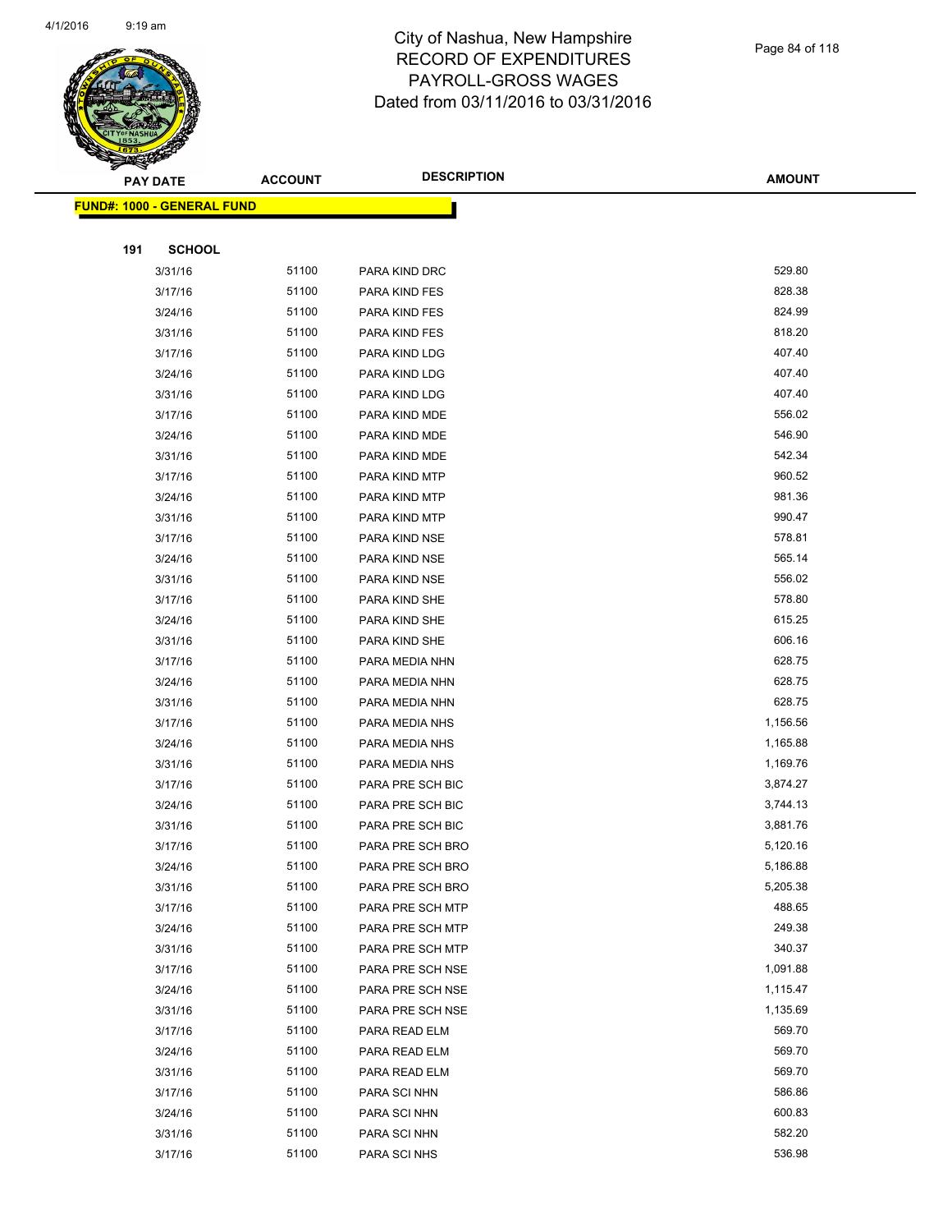

| ॼ   | <b>PAY DATE</b>                    | <b>ACCOUNT</b> | <b>DESCRIPTION</b> | <b>AMOUNT</b> |
|-----|------------------------------------|----------------|--------------------|---------------|
|     | <u> FUND#: 1000 - GENERAL FUND</u> |                |                    |               |
|     |                                    |                |                    |               |
| 191 | <b>SCHOOL</b>                      |                |                    |               |
|     | 3/31/16                            | 51100          | PARA KIND DRC      | 529.80        |
|     | 3/17/16                            | 51100          | PARA KIND FES      | 828.38        |
|     | 3/24/16                            | 51100          | PARA KIND FES      | 824.99        |
|     | 3/31/16                            | 51100          | PARA KIND FES      | 818.20        |
|     | 3/17/16                            | 51100          | PARA KIND LDG      | 407.40        |
|     | 3/24/16                            | 51100          | PARA KIND LDG      | 407.40        |
|     | 3/31/16                            | 51100          | PARA KIND LDG      | 407.40        |
|     | 3/17/16                            | 51100          | PARA KIND MDE      | 556.02        |
|     | 3/24/16                            | 51100          | PARA KIND MDE      | 546.90        |
|     | 3/31/16                            | 51100          | PARA KIND MDE      | 542.34        |
|     | 3/17/16                            | 51100          | PARA KIND MTP      | 960.52        |
|     | 3/24/16                            | 51100          | PARA KIND MTP      | 981.36        |
|     | 3/31/16                            | 51100          | PARA KIND MTP      | 990.47        |
|     | 3/17/16                            | 51100          | PARA KIND NSE      | 578.81        |
|     | 3/24/16                            | 51100          | PARA KIND NSE      | 565.14        |
|     | 3/31/16                            | 51100          | PARA KIND NSE      | 556.02        |
|     | 3/17/16                            | 51100          | PARA KIND SHE      | 578.80        |
|     | 3/24/16                            | 51100          | PARA KIND SHE      | 615.25        |
|     | 3/31/16                            | 51100          | PARA KIND SHE      | 606.16        |
|     | 3/17/16                            | 51100          | PARA MEDIA NHN     | 628.75        |
|     | 3/24/16                            | 51100          | PARA MEDIA NHN     | 628.75        |
|     | 3/31/16                            | 51100          | PARA MEDIA NHN     | 628.75        |
|     | 3/17/16                            | 51100          | PARA MEDIA NHS     | 1,156.56      |
|     | 3/24/16                            | 51100          | PARA MEDIA NHS     | 1,165.88      |
|     | 3/31/16                            | 51100          | PARA MEDIA NHS     | 1,169.76      |
|     | 3/17/16                            | 51100          | PARA PRE SCH BIC   | 3,874.27      |
|     | 3/24/16                            | 51100          | PARA PRE SCH BIC   | 3,744.13      |
|     | 3/31/16                            | 51100          | PARA PRE SCH BIC   | 3,881.76      |
|     | 3/17/16                            | 51100          | PARA PRE SCH BRO   | 5,120.16      |
|     | 3/24/16                            | 51100          | PARA PRE SCH BRO   | 5,186.88      |
|     | 3/31/16                            | 51100          | PARA PRE SCH BRO   | 5,205.38      |
|     | 3/17/16                            | 51100          | PARA PRE SCH MTP   | 488.65        |
|     | 3/24/16                            | 51100          | PARA PRE SCH MTP   | 249.38        |
|     | 3/31/16                            | 51100          | PARA PRE SCH MTP   | 340.37        |
|     | 3/17/16                            | 51100          | PARA PRE SCH NSE   | 1,091.88      |
|     | 3/24/16                            | 51100          | PARA PRE SCH NSE   | 1,115.47      |
|     | 3/31/16                            | 51100          | PARA PRE SCH NSE   | 1,135.69      |
|     | 3/17/16                            | 51100          | PARA READ ELM      | 569.70        |
|     | 3/24/16                            | 51100          | PARA READ ELM      | 569.70        |
|     | 3/31/16                            | 51100          | PARA READ ELM      | 569.70        |
|     | 3/17/16                            | 51100          | PARA SCI NHN       | 586.86        |
|     | 3/24/16                            | 51100          | PARA SCI NHN       | 600.83        |
|     | 3/31/16                            | 51100          | PARA SCI NHN       | 582.20        |
|     | 3/17/16                            | 51100          | PARA SCI NHS       | 536.98        |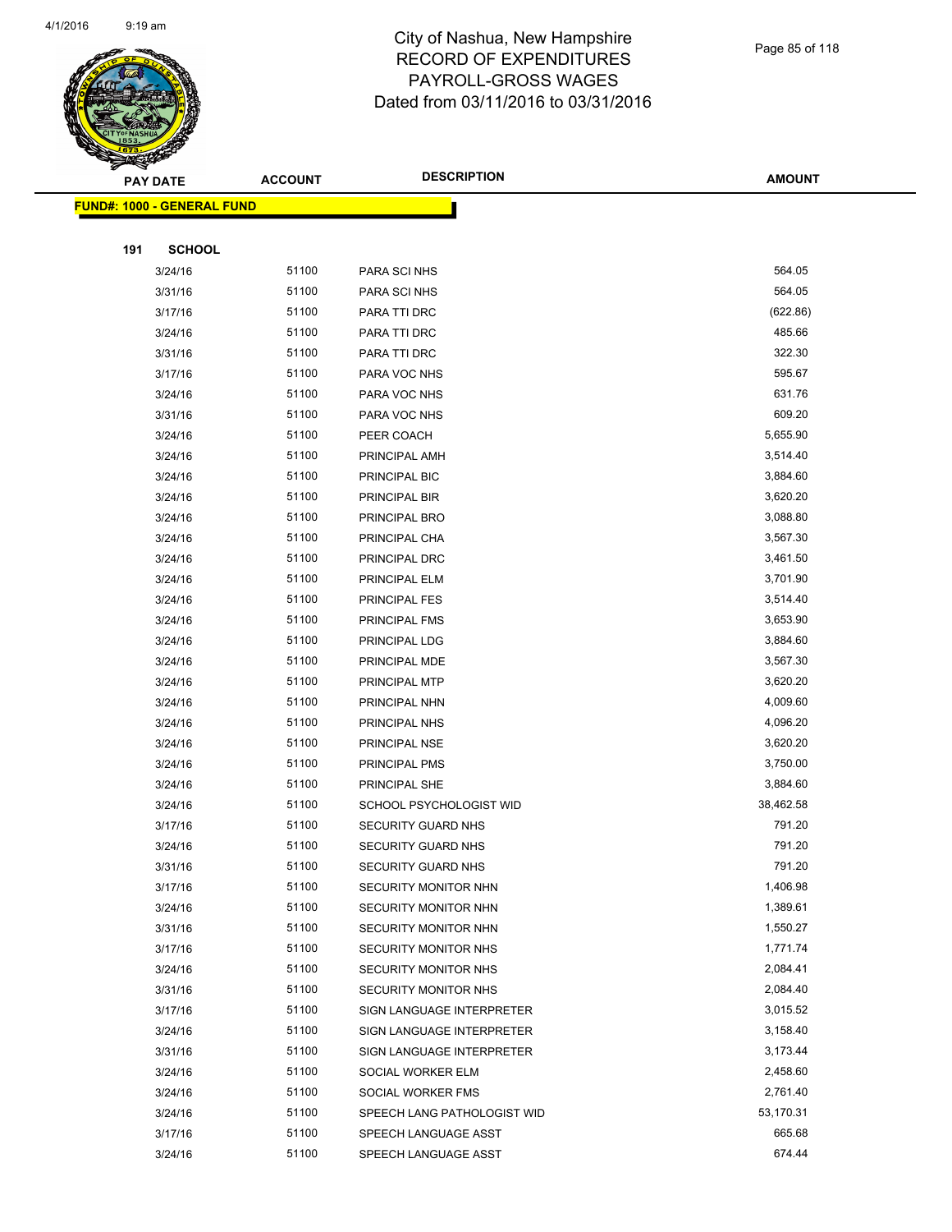

| <b>FUND#: 1000 - GENERAL FUND</b> |       |                             |           |  |
|-----------------------------------|-------|-----------------------------|-----------|--|
|                                   |       |                             |           |  |
| 191<br><b>SCHOOL</b>              |       |                             |           |  |
| 3/24/16                           | 51100 | PARA SCI NHS                | 564.05    |  |
| 3/31/16                           | 51100 | PARA SCI NHS                | 564.05    |  |
| 3/17/16                           | 51100 | PARA TTI DRC                | (622.86)  |  |
| 3/24/16                           | 51100 | PARA TTI DRC                | 485.66    |  |
| 3/31/16                           | 51100 | PARA TTI DRC                | 322.30    |  |
| 3/17/16                           | 51100 | PARA VOC NHS                | 595.67    |  |
| 3/24/16                           | 51100 | PARA VOC NHS                | 631.76    |  |
| 3/31/16                           | 51100 | PARA VOC NHS                | 609.20    |  |
| 3/24/16                           | 51100 | PEER COACH                  | 5,655.90  |  |
| 3/24/16                           | 51100 | PRINCIPAL AMH               | 3,514.40  |  |
| 3/24/16                           | 51100 | PRINCIPAL BIC               | 3,884.60  |  |
| 3/24/16                           | 51100 | PRINCIPAL BIR               | 3,620.20  |  |
| 3/24/16                           | 51100 | PRINCIPAL BRO               | 3,088.80  |  |
| 3/24/16                           | 51100 | PRINCIPAL CHA               | 3,567.30  |  |
| 3/24/16                           | 51100 | PRINCIPAL DRC               | 3,461.50  |  |
| 3/24/16                           | 51100 | PRINCIPAL ELM               | 3,701.90  |  |
| 3/24/16                           | 51100 | <b>PRINCIPAL FES</b>        | 3,514.40  |  |
| 3/24/16                           | 51100 | PRINCIPAL FMS               | 3,653.90  |  |
| 3/24/16                           | 51100 | PRINCIPAL LDG               | 3,884.60  |  |
| 3/24/16                           | 51100 | PRINCIPAL MDE               | 3,567.30  |  |
| 3/24/16                           | 51100 | PRINCIPAL MTP               | 3,620.20  |  |
| 3/24/16                           | 51100 | PRINCIPAL NHN               | 4,009.60  |  |
| 3/24/16                           | 51100 | PRINCIPAL NHS               | 4,096.20  |  |
| 3/24/16                           | 51100 | PRINCIPAL NSE               | 3,620.20  |  |
| 3/24/16                           | 51100 | PRINCIPAL PMS               | 3,750.00  |  |
| 3/24/16                           | 51100 | PRINCIPAL SHE               | 3,884.60  |  |
| 3/24/16                           | 51100 | SCHOOL PSYCHOLOGIST WID     | 38,462.58 |  |
| 3/17/16                           | 51100 | SECURITY GUARD NHS          | 791.20    |  |
| 3/24/16                           | 51100 | SECURITY GUARD NHS          | 791.20    |  |
| 3/31/16                           | 51100 | <b>SECURITY GUARD NHS</b>   | 791.20    |  |
| 3/17/16                           | 51100 | SECURITY MONITOR NHN        | 1,406.98  |  |
| 3/24/16                           | 51100 | SECURITY MONITOR NHN        | 1,389.61  |  |
| 3/31/16                           | 51100 | SECURITY MONITOR NHN        | 1,550.27  |  |
| 3/17/16                           | 51100 | SECURITY MONITOR NHS        | 1,771.74  |  |
| 3/24/16                           | 51100 | SECURITY MONITOR NHS        | 2,084.41  |  |
| 3/31/16                           | 51100 | SECURITY MONITOR NHS        | 2,084.40  |  |
| 3/17/16                           | 51100 | SIGN LANGUAGE INTERPRETER   | 3,015.52  |  |
| 3/24/16                           | 51100 | SIGN LANGUAGE INTERPRETER   | 3,158.40  |  |
| 3/31/16                           | 51100 | SIGN LANGUAGE INTERPRETER   | 3,173.44  |  |
| 3/24/16                           | 51100 | SOCIAL WORKER ELM           | 2,458.60  |  |
| 3/24/16                           | 51100 | SOCIAL WORKER FMS           | 2,761.40  |  |
| 3/24/16                           | 51100 | SPEECH LANG PATHOLOGIST WID | 53,170.31 |  |
| 3/17/16                           | 51100 | SPEECH LANGUAGE ASST        | 665.68    |  |
| 3/24/16                           | 51100 | SPEECH LANGUAGE ASST        | 674.44    |  |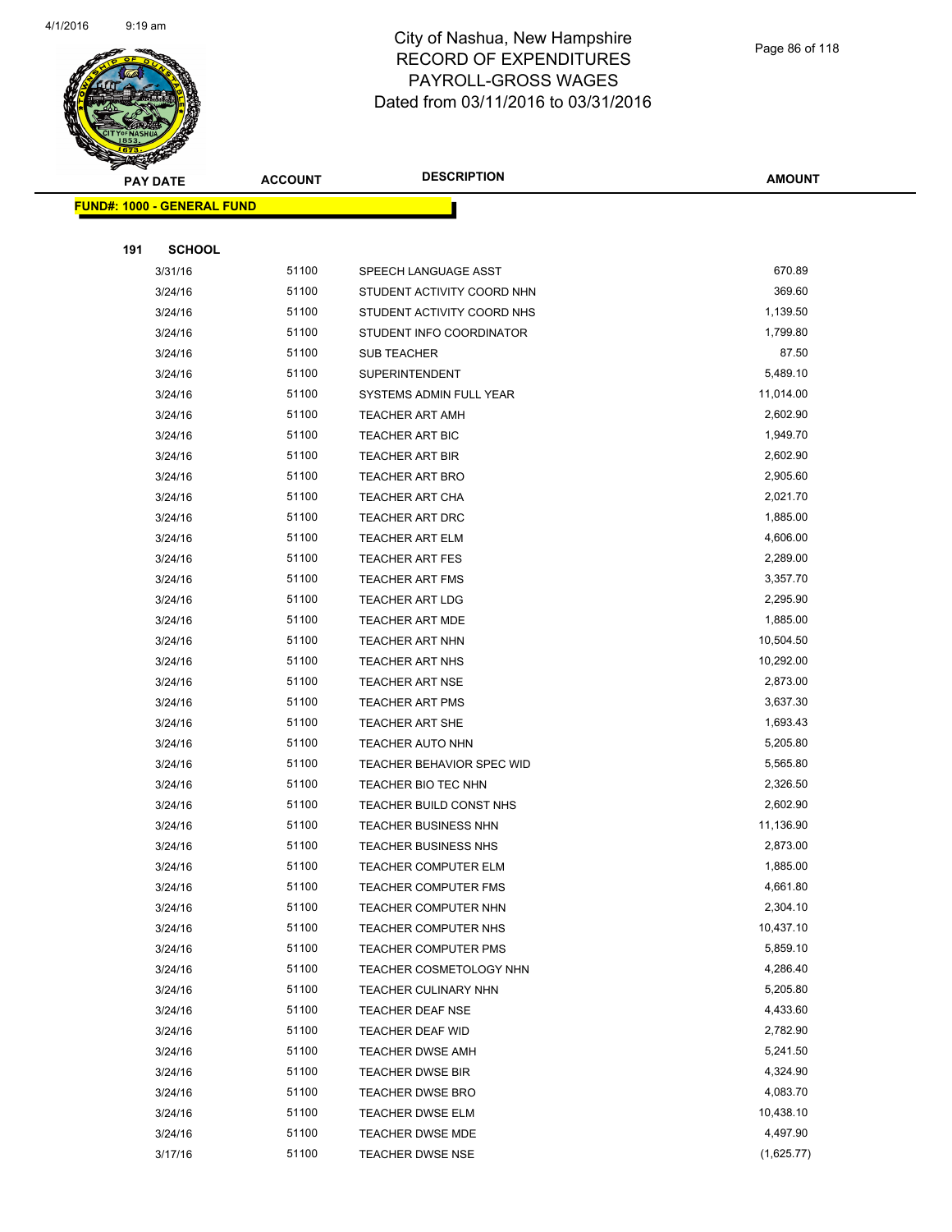

|     | <u> FUND#: 1000 - GENERAL FUND</u> |                |                                                     |                       |
|-----|------------------------------------|----------------|-----------------------------------------------------|-----------------------|
|     |                                    |                |                                                     |                       |
| 191 | <b>SCHOOL</b>                      |                |                                                     |                       |
|     | 3/31/16                            | 51100          | SPEECH LANGUAGE ASST                                | 670.89                |
|     | 3/24/16                            | 51100          | STUDENT ACTIVITY COORD NHN                          | 369.60                |
|     | 3/24/16                            | 51100          | STUDENT ACTIVITY COORD NHS                          | 1,139.50              |
|     | 3/24/16                            | 51100          | STUDENT INFO COORDINATOR                            | 1,799.80              |
|     | 3/24/16                            | 51100          | <b>SUB TEACHER</b>                                  | 87.50                 |
|     | 3/24/16                            | 51100          | <b>SUPERINTENDENT</b>                               | 5,489.10              |
|     | 3/24/16                            | 51100          | SYSTEMS ADMIN FULL YEAR                             | 11,014.00             |
|     | 3/24/16                            | 51100          | <b>TEACHER ART AMH</b>                              | 2,602.90              |
|     | 3/24/16                            | 51100          | <b>TEACHER ART BIC</b>                              | 1,949.70              |
|     | 3/24/16                            | 51100          | <b>TEACHER ART BIR</b>                              | 2,602.90              |
|     | 3/24/16                            | 51100          | <b>TEACHER ART BRO</b>                              | 2,905.60              |
|     | 3/24/16                            | 51100          | <b>TEACHER ART CHA</b>                              | 2,021.70              |
|     | 3/24/16                            | 51100          | <b>TEACHER ART DRC</b>                              | 1,885.00              |
|     | 3/24/16                            | 51100          | <b>TEACHER ART ELM</b>                              | 4,606.00              |
|     | 3/24/16                            | 51100          | <b>TEACHER ART FES</b>                              | 2,289.00              |
|     | 3/24/16                            | 51100          | <b>TEACHER ART FMS</b>                              | 3,357.70              |
|     | 3/24/16                            | 51100          | <b>TEACHER ART LDG</b>                              | 2,295.90              |
|     | 3/24/16                            | 51100          | <b>TEACHER ART MDE</b>                              | 1,885.00              |
|     | 3/24/16                            | 51100          | <b>TEACHER ART NHN</b>                              | 10,504.50             |
|     | 3/24/16                            | 51100          | TEACHER ART NHS                                     | 10,292.00             |
|     | 3/24/16                            | 51100          | <b>TEACHER ART NSE</b>                              | 2,873.00              |
|     | 3/24/16                            | 51100          | <b>TEACHER ART PMS</b>                              | 3,637.30              |
|     | 3/24/16                            | 51100          | <b>TEACHER ART SHE</b>                              | 1,693.43              |
|     | 3/24/16                            | 51100          | <b>TEACHER AUTO NHN</b>                             | 5,205.80              |
|     | 3/24/16                            | 51100          | <b>TEACHER BEHAVIOR SPEC WID</b>                    | 5,565.80              |
|     | 3/24/16                            | 51100          | TEACHER BIO TEC NHN                                 | 2,326.50              |
|     | 3/24/16                            | 51100          | TEACHER BUILD CONST NHS                             | 2,602.90              |
|     | 3/24/16                            | 51100          | <b>TEACHER BUSINESS NHN</b>                         | 11,136.90             |
|     | 3/24/16                            | 51100          | <b>TEACHER BUSINESS NHS</b>                         | 2,873.00              |
|     | 3/24/16                            | 51100          | TEACHER COMPUTER ELM                                | 1,885.00              |
|     | 3/24/16                            | 51100          | TEACHER COMPUTER FMS                                | 4,661.80              |
|     | 3/24/16                            | 51100<br>51100 | <b>TEACHER COMPUTER NHN</b>                         | 2,304.10              |
|     | 3/24/16                            | 51100          | TEACHER COMPUTER NHS<br><b>TEACHER COMPUTER PMS</b> | 10,437.10<br>5,859.10 |
|     | 3/24/16                            | 51100          |                                                     | 4,286.40              |
|     | 3/24/16<br>3/24/16                 | 51100          | TEACHER COSMETOLOGY NHN<br>TEACHER CULINARY NHN     | 5,205.80              |
|     | 3/24/16                            | 51100          | TEACHER DEAF NSE                                    | 4,433.60              |
|     | 3/24/16                            | 51100          | TEACHER DEAF WID                                    | 2,782.90              |
|     | 3/24/16                            | 51100          | <b>TEACHER DWSE AMH</b>                             | 5,241.50              |
|     | 3/24/16                            | 51100          | <b>TEACHER DWSE BIR</b>                             | 4,324.90              |
|     | 3/24/16                            | 51100          | <b>TEACHER DWSE BRO</b>                             | 4,083.70              |
|     | 3/24/16                            | 51100          | <b>TEACHER DWSE ELM</b>                             | 10,438.10             |
|     | 3/24/16                            | 51100          | TEACHER DWSE MDE                                    | 4,497.90              |
|     | 3/17/16                            | 51100          | <b>TEACHER DWSE NSE</b>                             | (1,625.77)            |
|     |                                    |                |                                                     |                       |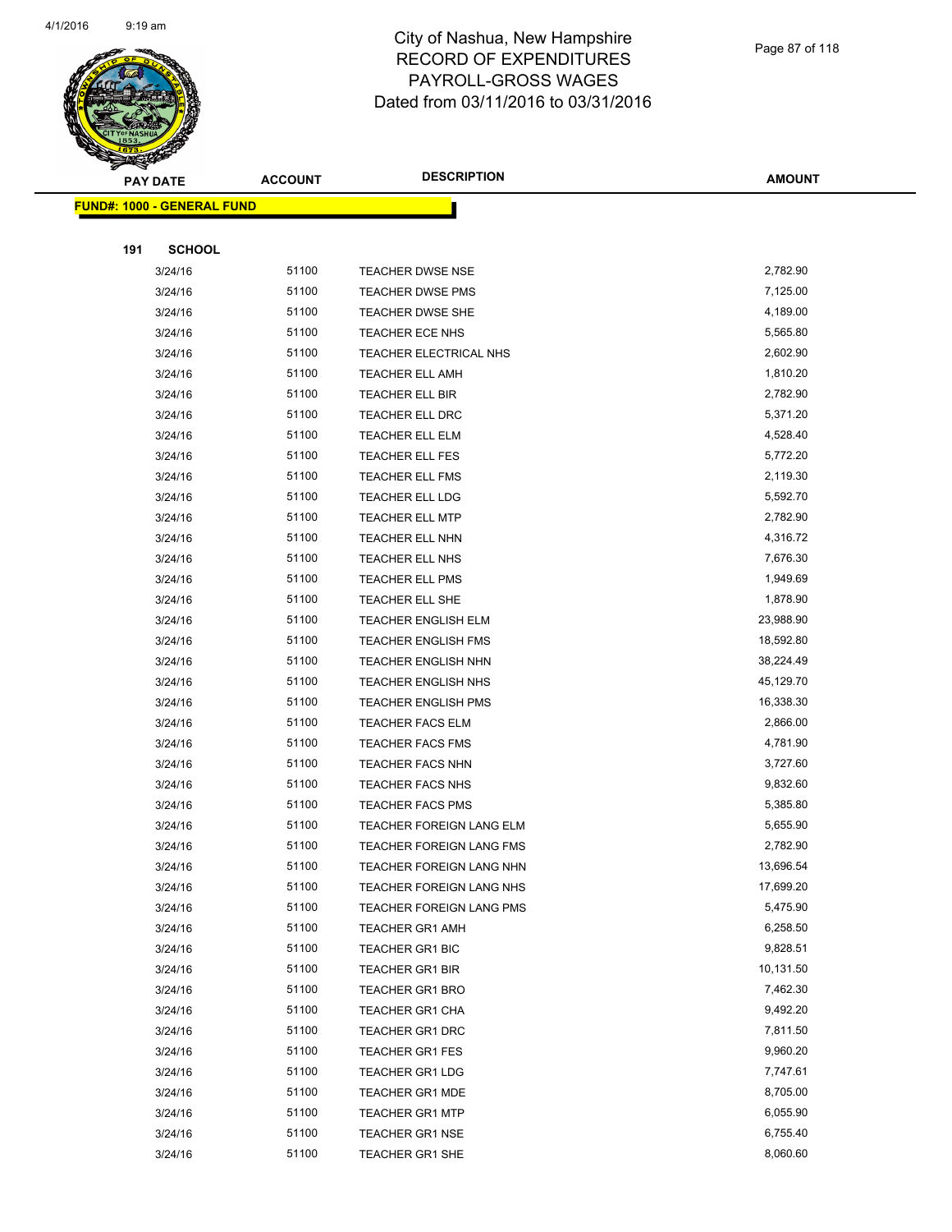

|     | <u> FUND#: 1000 - GENERAL FUND</u> |       |                            |           |  |
|-----|------------------------------------|-------|----------------------------|-----------|--|
|     |                                    |       |                            |           |  |
| 191 | <b>SCHOOL</b>                      |       |                            |           |  |
|     | 3/24/16                            | 51100 | <b>TEACHER DWSE NSE</b>    | 2,782.90  |  |
|     | 3/24/16                            | 51100 | <b>TEACHER DWSE PMS</b>    | 7,125.00  |  |
|     | 3/24/16                            | 51100 | <b>TEACHER DWSE SHE</b>    | 4,189.00  |  |
|     | 3/24/16                            | 51100 | TEACHER ECE NHS            | 5,565.80  |  |
|     | 3/24/16                            | 51100 | TEACHER ELECTRICAL NHS     | 2,602.90  |  |
|     | 3/24/16                            | 51100 | <b>TEACHER ELL AMH</b>     | 1,810.20  |  |
|     | 3/24/16                            | 51100 | <b>TEACHER ELL BIR</b>     | 2,782.90  |  |
|     | 3/24/16                            | 51100 | <b>TEACHER ELL DRC</b>     | 5,371.20  |  |
|     | 3/24/16                            | 51100 | TEACHER ELL ELM            | 4,528.40  |  |
|     | 3/24/16                            | 51100 | TEACHER ELL FES            | 5,772.20  |  |
|     | 3/24/16                            | 51100 | <b>TEACHER ELL FMS</b>     | 2,119.30  |  |
|     | 3/24/16                            | 51100 | <b>TEACHER ELL LDG</b>     | 5,592.70  |  |
|     | 3/24/16                            | 51100 | <b>TEACHER ELL MTP</b>     | 2,782.90  |  |
|     | 3/24/16                            | 51100 | <b>TEACHER ELL NHN</b>     | 4,316.72  |  |
|     | 3/24/16                            | 51100 | TEACHER ELL NHS            | 7,676.30  |  |
|     | 3/24/16                            | 51100 | <b>TEACHER ELL PMS</b>     | 1,949.69  |  |
|     | 3/24/16                            | 51100 | TEACHER ELL SHE            | 1,878.90  |  |
|     | 3/24/16                            | 51100 | <b>TEACHER ENGLISH ELM</b> | 23,988.90 |  |
|     | 3/24/16                            | 51100 | <b>TEACHER ENGLISH FMS</b> | 18,592.80 |  |
|     | 3/24/16                            | 51100 | <b>TEACHER ENGLISH NHN</b> | 38,224.49 |  |
|     | 3/24/16                            | 51100 | <b>TEACHER ENGLISH NHS</b> | 45,129.70 |  |
|     | 3/24/16                            | 51100 | <b>TEACHER ENGLISH PMS</b> | 16,338.30 |  |
|     | 3/24/16                            | 51100 | <b>TEACHER FACS ELM</b>    | 2,866.00  |  |
|     | 3/24/16                            | 51100 | <b>TEACHER FACS FMS</b>    | 4,781.90  |  |
|     | 3/24/16                            | 51100 | <b>TEACHER FACS NHN</b>    | 3,727.60  |  |
|     | 3/24/16                            | 51100 | <b>TEACHER FACS NHS</b>    | 9,832.60  |  |
|     | 3/24/16                            | 51100 | <b>TEACHER FACS PMS</b>    | 5,385.80  |  |
|     | 3/24/16                            | 51100 | TEACHER FOREIGN LANG ELM   | 5,655.90  |  |
|     | 3/24/16                            | 51100 | TEACHER FOREIGN LANG FMS   | 2,782.90  |  |
|     | 3/24/16                            | 51100 | TEACHER FOREIGN LANG NHN   | 13,696.54 |  |
|     | 3/24/16                            | 51100 | TEACHER FOREIGN LANG NHS   | 17,699.20 |  |
|     | 3/24/16                            | 51100 | TEACHER FOREIGN LANG PMS   | 5,475.90  |  |
|     | 3/24/16                            | 51100 | <b>TEACHER GR1 AMH</b>     | 6,258.50  |  |
|     | 3/24/16                            | 51100 | TEACHER GR1 BIC            | 9,828.51  |  |
|     | 3/24/16                            | 51100 | <b>TEACHER GR1 BIR</b>     | 10,131.50 |  |
|     | 3/24/16                            | 51100 | <b>TEACHER GR1 BRO</b>     | 7,462.30  |  |
|     | 3/24/16                            | 51100 | <b>TEACHER GR1 CHA</b>     | 9,492.20  |  |
|     | 3/24/16                            | 51100 | TEACHER GR1 DRC            | 7,811.50  |  |
|     | 3/24/16                            | 51100 | <b>TEACHER GR1 FES</b>     | 9,960.20  |  |
|     | 3/24/16                            | 51100 | <b>TEACHER GR1 LDG</b>     | 7,747.61  |  |
|     | 3/24/16                            | 51100 | <b>TEACHER GR1 MDE</b>     | 8,705.00  |  |
|     | 3/24/16                            | 51100 | <b>TEACHER GR1 MTP</b>     | 6,055.90  |  |
|     | 3/24/16                            | 51100 | <b>TEACHER GR1 NSE</b>     | 6,755.40  |  |
|     | 3/24/16                            | 51100 | TEACHER GR1 SHE            | 8,060.60  |  |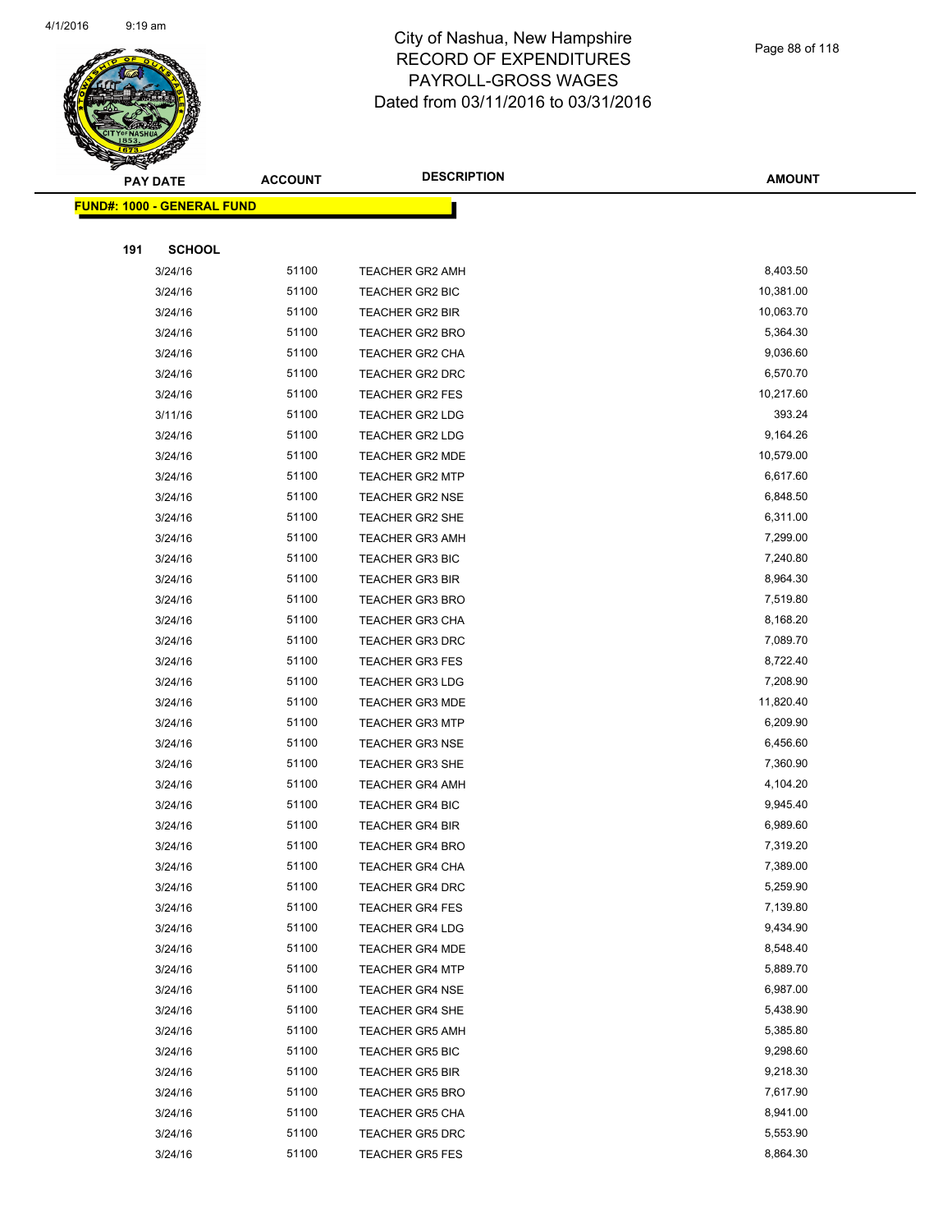

|     | <b>PAY DATE</b>                   | <b>ACCOUNT</b> | <b>DESCRIPTION</b>     | <b>AMOUNT</b> |
|-----|-----------------------------------|----------------|------------------------|---------------|
|     | <b>FUND#: 1000 - GENERAL FUND</b> |                |                        |               |
|     |                                   |                |                        |               |
| 191 | <b>SCHOOL</b>                     |                |                        |               |
|     | 3/24/16                           | 51100          | TEACHER GR2 AMH        | 8,403.50      |
|     | 3/24/16                           | 51100          | <b>TEACHER GR2 BIC</b> | 10,381.00     |
|     | 3/24/16                           | 51100          | <b>TEACHER GR2 BIR</b> | 10,063.70     |
|     | 3/24/16                           | 51100          | <b>TEACHER GR2 BRO</b> | 5,364.30      |
|     | 3/24/16                           | 51100          | TEACHER GR2 CHA        | 9,036.60      |
|     | 3/24/16                           | 51100          | TEACHER GR2 DRC        | 6,570.70      |
|     | 3/24/16                           | 51100          | <b>TEACHER GR2 FES</b> | 10,217.60     |
|     | 3/11/16                           | 51100          | TEACHER GR2 LDG        | 393.24        |
|     | 3/24/16                           | 51100          | <b>TEACHER GR2 LDG</b> | 9,164.26      |
|     | 3/24/16                           | 51100          | <b>TEACHER GR2 MDE</b> | 10,579.00     |
|     | 3/24/16                           | 51100          | <b>TEACHER GR2 MTP</b> | 6,617.60      |
|     | 3/24/16                           | 51100          | <b>TEACHER GR2 NSE</b> | 6,848.50      |
|     | 3/24/16                           | 51100          | TEACHER GR2 SHE        | 6,311.00      |
|     | 3/24/16                           | 51100          | <b>TEACHER GR3 AMH</b> | 7,299.00      |
|     | 3/24/16                           | 51100          | <b>TEACHER GR3 BIC</b> | 7,240.80      |
|     | 3/24/16                           | 51100          | <b>TEACHER GR3 BIR</b> | 8,964.30      |
|     | 3/24/16                           | 51100          | <b>TEACHER GR3 BRO</b> | 7,519.80      |
|     | 3/24/16                           | 51100          | TEACHER GR3 CHA        | 8,168.20      |
|     | 3/24/16                           | 51100          | <b>TEACHER GR3 DRC</b> | 7,089.70      |
|     | 3/24/16                           | 51100          | <b>TEACHER GR3 FES</b> | 8,722.40      |
|     | 3/24/16                           | 51100          | <b>TEACHER GR3 LDG</b> | 7,208.90      |
|     | 3/24/16                           | 51100          | <b>TEACHER GR3 MDE</b> | 11,820.40     |
|     | 3/24/16                           | 51100          | <b>TEACHER GR3 MTP</b> | 6,209.90      |
|     | 3/24/16                           | 51100          | <b>TEACHER GR3 NSE</b> | 6,456.60      |
|     | 3/24/16                           | 51100          | TEACHER GR3 SHE        | 7,360.90      |
|     | 3/24/16                           | 51100          | <b>TEACHER GR4 AMH</b> | 4,104.20      |
|     | 3/24/16                           | 51100          | <b>TEACHER GR4 BIC</b> | 9,945.40      |
|     | 3/24/16                           | 51100          | <b>TEACHER GR4 BIR</b> | 6,989.60      |
|     | 3/24/16                           | 51100          | <b>TEACHER GR4 BRO</b> | 7,319.20      |
|     | 3/24/16                           | 51100          | TEACHER GR4 CHA        | 7,389.00      |
|     | 3/24/16                           | 51100          | <b>TEACHER GR4 DRC</b> | 5,259.90      |
|     | 3/24/16                           | 51100          | <b>TEACHER GR4 FES</b> | 7,139.80      |
|     | 3/24/16                           | 51100          | TEACHER GR4 LDG        | 9,434.90      |
|     | 3/24/16                           | 51100          | <b>TEACHER GR4 MDE</b> | 8,548.40      |
|     | 3/24/16                           | 51100          | <b>TEACHER GR4 MTP</b> | 5,889.70      |
|     | 3/24/16                           | 51100          | <b>TEACHER GR4 NSE</b> | 6,987.00      |
|     | 3/24/16                           | 51100          | <b>TEACHER GR4 SHE</b> | 5,438.90      |
|     | 3/24/16                           | 51100          | <b>TEACHER GR5 AMH</b> | 5,385.80      |
|     | 3/24/16                           | 51100          | <b>TEACHER GR5 BIC</b> | 9,298.60      |
|     | 3/24/16                           | 51100          | <b>TEACHER GR5 BIR</b> | 9,218.30      |
|     | 3/24/16                           | 51100          | TEACHER GR5 BRO        | 7,617.90      |
|     | 3/24/16                           | 51100          | <b>TEACHER GR5 CHA</b> | 8,941.00      |
|     | 3/24/16                           | 51100          | TEACHER GR5 DRC        | 5,553.90      |
|     | 3/24/16                           | 51100          | <b>TEACHER GR5 FES</b> | 8,864.30      |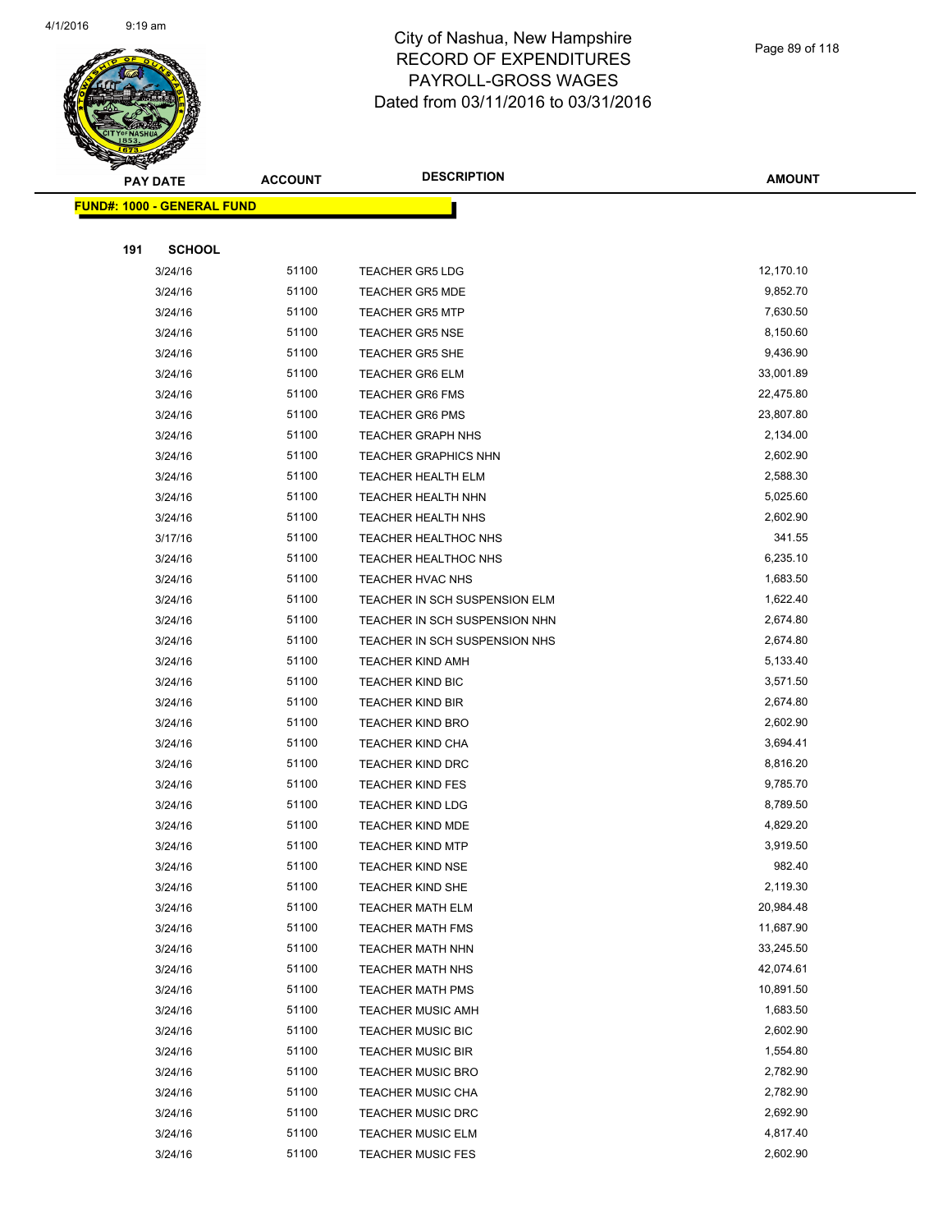

Page 89 of 118

| <b>PAY DATE</b> |                                   | <b>ACCOUNT</b> | <b>DESCRIPTION</b>            | AMOUNT    |
|-----------------|-----------------------------------|----------------|-------------------------------|-----------|
|                 | <b>FUND#: 1000 - GENERAL FUND</b> |                |                               |           |
|                 |                                   |                |                               |           |
| 191             | <b>SCHOOL</b>                     |                |                               |           |
|                 | 3/24/16                           | 51100          | <b>TEACHER GR5 LDG</b>        | 12,170.10 |
|                 | 3/24/16                           | 51100          | <b>TEACHER GR5 MDE</b>        | 9,852.70  |
|                 | 3/24/16                           | 51100          | <b>TEACHER GR5 MTP</b>        | 7,630.50  |
|                 | 3/24/16                           | 51100          | <b>TEACHER GR5 NSE</b>        | 8,150.60  |
|                 | 3/24/16                           | 51100          | <b>TEACHER GR5 SHE</b>        | 9,436.90  |
|                 | 3/24/16                           | 51100          | <b>TEACHER GR6 ELM</b>        | 33,001.89 |
|                 | 3/24/16                           | 51100          | <b>TEACHER GR6 FMS</b>        | 22,475.80 |
|                 | 3/24/16                           | 51100          | <b>TEACHER GR6 PMS</b>        | 23,807.80 |
|                 | 3/24/16                           | 51100          | <b>TEACHER GRAPH NHS</b>      | 2,134.00  |
|                 | 3/24/16                           | 51100          | <b>TEACHER GRAPHICS NHN</b>   | 2,602.90  |
|                 | 3/24/16                           | 51100          | <b>TEACHER HEALTH ELM</b>     | 2,588.30  |
|                 | 3/24/16                           | 51100          | TEACHER HEALTH NHN            | 5,025.60  |
|                 | 3/24/16                           | 51100          | <b>TEACHER HEALTH NHS</b>     | 2,602.90  |
|                 | 3/17/16                           | 51100          | <b>TEACHER HEALTHOC NHS</b>   | 341.55    |
|                 | 3/24/16                           | 51100          | TEACHER HEALTHOC NHS          | 6,235.10  |
|                 | 3/24/16                           | 51100          | TEACHER HVAC NHS              | 1,683.50  |
|                 | 3/24/16                           | 51100          | TEACHER IN SCH SUSPENSION ELM | 1,622.40  |
|                 | 3/24/16                           | 51100          | TEACHER IN SCH SUSPENSION NHN | 2,674.80  |
|                 | 3/24/16                           | 51100          | TEACHER IN SCH SUSPENSION NHS | 2,674.80  |
|                 | 3/24/16                           | 51100          | <b>TEACHER KIND AMH</b>       | 5,133.40  |
|                 | 3/24/16                           | 51100          | <b>TEACHER KIND BIC</b>       | 3,571.50  |
|                 | 3/24/16                           | 51100          | <b>TEACHER KIND BIR</b>       | 2,674.80  |
|                 | 3/24/16                           | 51100          | <b>TEACHER KIND BRO</b>       | 2,602.90  |
|                 | 3/24/16                           | 51100          | <b>TEACHER KIND CHA</b>       | 3,694.41  |
|                 | 3/24/16                           | 51100          | <b>TEACHER KIND DRC</b>       | 8,816.20  |
|                 | 3/24/16                           | 51100          | <b>TEACHER KIND FES</b>       | 9,785.70  |
|                 | 3/24/16                           | 51100          | <b>TEACHER KIND LDG</b>       | 8,789.50  |
|                 | 3/24/16                           | 51100          | <b>TEACHER KIND MDE</b>       | 4,829.20  |
|                 | 3/24/16                           | 51100          | <b>TEACHER KIND MTP</b>       | 3,919.50  |
|                 | 3/24/16                           | 51100          | TEACHER KIND NSE              | 982.40    |
|                 | 3/24/16                           | 51100          | <b>TEACHER KIND SHE</b>       | 2,119.30  |
|                 | 3/24/16                           | 51100          | <b>TEACHER MATH ELM</b>       | 20,984.48 |
|                 | 3/24/16                           | 51100          | TEACHER MATH FMS              | 11,687.90 |
|                 | 3/24/16                           | 51100          | TEACHER MATH NHN              | 33,245.50 |
|                 | 3/24/16                           | 51100          | TEACHER MATH NHS              | 42,074.61 |
|                 | 3/24/16                           | 51100          | <b>TEACHER MATH PMS</b>       | 10,891.50 |
|                 | 3/24/16                           | 51100          | <b>TEACHER MUSIC AMH</b>      | 1,683.50  |
|                 | 3/24/16                           | 51100          | <b>TEACHER MUSIC BIC</b>      | 2,602.90  |
|                 | 3/24/16                           | 51100          | <b>TEACHER MUSIC BIR</b>      | 1,554.80  |
|                 | 3/24/16                           | 51100          | <b>TEACHER MUSIC BRO</b>      | 2,782.90  |
|                 | 3/24/16                           | 51100          | TEACHER MUSIC CHA             | 2,782.90  |
|                 | 3/24/16                           | 51100          | <b>TEACHER MUSIC DRC</b>      | 2,692.90  |
|                 | 3/24/16                           | 51100          | <b>TEACHER MUSIC ELM</b>      | 4,817.40  |
|                 | 3/24/16                           | 51100          | <b>TEACHER MUSIC FES</b>      | 2,602.90  |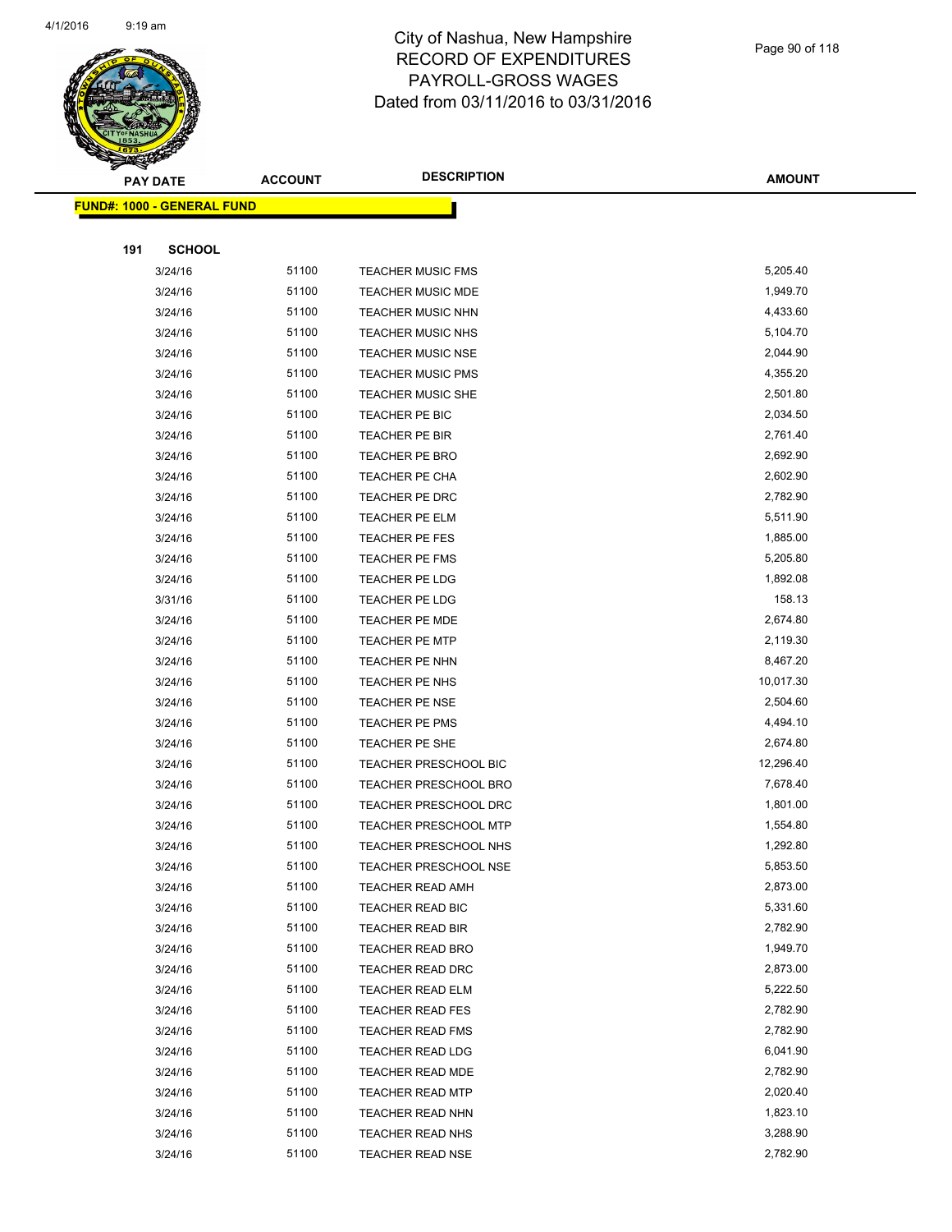

|     | <b>PAY DATE</b>                   | <b>ACCOUNT</b> | <b>DESCRIPTION</b>           | <b>AMOUNT</b> |
|-----|-----------------------------------|----------------|------------------------------|---------------|
|     | <b>FUND#: 1000 - GENERAL FUND</b> |                |                              |               |
|     |                                   |                |                              |               |
| 191 | <b>SCHOOL</b>                     |                |                              |               |
|     | 3/24/16                           | 51100          | <b>TEACHER MUSIC FMS</b>     | 5,205.40      |
|     | 3/24/16                           | 51100          | <b>TEACHER MUSIC MDE</b>     | 1,949.70      |
|     | 3/24/16                           | 51100          | <b>TEACHER MUSIC NHN</b>     | 4,433.60      |
|     | 3/24/16                           | 51100          | <b>TEACHER MUSIC NHS</b>     | 5,104.70      |
|     | 3/24/16                           | 51100          | <b>TEACHER MUSIC NSE</b>     | 2,044.90      |
|     | 3/24/16                           | 51100          | <b>TEACHER MUSIC PMS</b>     | 4,355.20      |
|     | 3/24/16                           | 51100          | <b>TEACHER MUSIC SHE</b>     | 2,501.80      |
|     | 3/24/16                           | 51100          | TEACHER PE BIC               | 2,034.50      |
|     | 3/24/16                           | 51100          | TEACHER PE BIR               | 2,761.40      |
|     | 3/24/16                           | 51100          | <b>TEACHER PE BRO</b>        | 2,692.90      |
|     | 3/24/16                           | 51100          | TEACHER PE CHA               | 2,602.90      |
|     | 3/24/16                           | 51100          | TEACHER PE DRC               | 2,782.90      |
|     | 3/24/16                           | 51100          | <b>TEACHER PE ELM</b>        | 5,511.90      |
|     | 3/24/16                           | 51100          | TEACHER PE FES               | 1,885.00      |
|     | 3/24/16                           | 51100          | <b>TEACHER PE FMS</b>        | 5,205.80      |
|     | 3/24/16                           | 51100          | TEACHER PE LDG               | 1,892.08      |
|     | 3/31/16                           | 51100          | TEACHER PE LDG               | 158.13        |
|     | 3/24/16                           | 51100          | TEACHER PE MDE               | 2,674.80      |
|     | 3/24/16                           | 51100          | <b>TEACHER PE MTP</b>        | 2,119.30      |
|     | 3/24/16                           | 51100          | <b>TEACHER PE NHN</b>        | 8,467.20      |
|     | 3/24/16                           | 51100          | TEACHER PE NHS               | 10,017.30     |
|     | 3/24/16                           | 51100          | <b>TEACHER PE NSE</b>        | 2,504.60      |
|     | 3/24/16                           | 51100          | TEACHER PE PMS               | 4,494.10      |
|     | 3/24/16                           | 51100          | TEACHER PE SHE               | 2,674.80      |
|     | 3/24/16                           | 51100          | <b>TEACHER PRESCHOOL BIC</b> | 12,296.40     |
|     | 3/24/16                           | 51100          | <b>TEACHER PRESCHOOL BRO</b> | 7,678.40      |
|     | 3/24/16                           | 51100          | TEACHER PRESCHOOL DRC        | 1,801.00      |
|     | 3/24/16                           | 51100          | TEACHER PRESCHOOL MTP        | 1,554.80      |
|     | 3/24/16                           | 51100          | TEACHER PRESCHOOL NHS        | 1,292.80      |
|     | 3/24/16                           | 51100          | TEACHER PRESCHOOL NSE        | 5,853.50      |
|     | 3/24/16                           | 51100          | <b>TEACHER READ AMH</b>      | 2,873.00      |
|     | 3/24/16                           | 51100          | TEACHER READ BIC             | 5,331.60      |
|     | 3/24/16                           | 51100          | <b>TEACHER READ BIR</b>      | 2,782.90      |
|     | 3/24/16                           | 51100          | <b>TEACHER READ BRO</b>      | 1,949.70      |
|     | 3/24/16                           | 51100          | <b>TEACHER READ DRC</b>      | 2,873.00      |
|     | 3/24/16                           | 51100          | <b>TEACHER READ ELM</b>      | 5,222.50      |
|     | 3/24/16                           | 51100          | <b>TEACHER READ FES</b>      | 2,782.90      |
|     | 3/24/16                           | 51100          | <b>TEACHER READ FMS</b>      | 2,782.90      |
|     | 3/24/16                           | 51100          | TEACHER READ LDG             | 6,041.90      |
|     | 3/24/16                           | 51100          | <b>TEACHER READ MDE</b>      | 2,782.90      |
|     | 3/24/16                           | 51100          | <b>TEACHER READ MTP</b>      | 2,020.40      |
|     | 3/24/16                           | 51100          | TEACHER READ NHN             | 1,823.10      |
|     | 3/24/16                           | 51100          | TEACHER READ NHS             | 3,288.90      |
|     | 3/24/16                           | 51100          | <b>TEACHER READ NSE</b>      | 2,782.90      |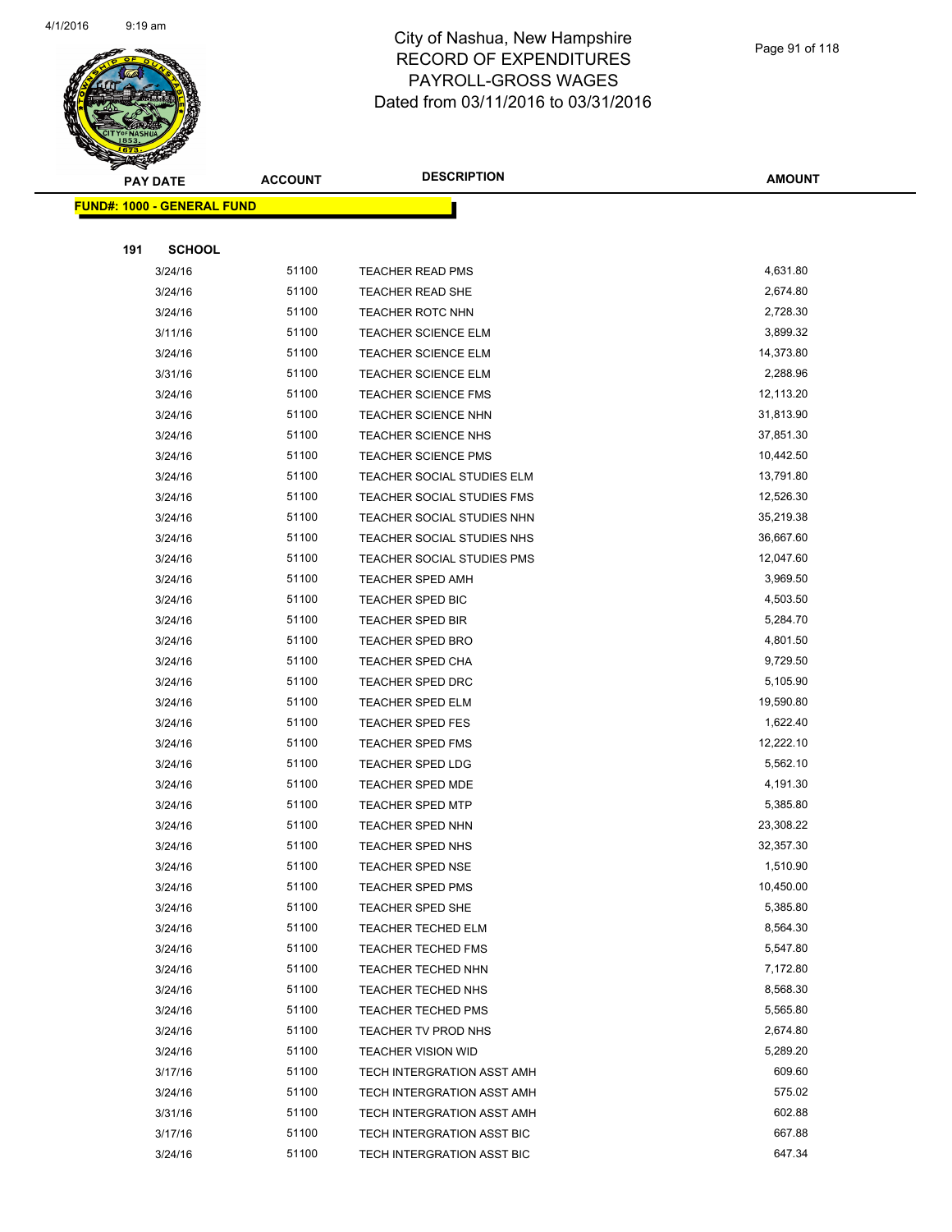

|     | <b>PAY DATE</b>                    | <b>ACCOUNT</b> | <b>DESCRIPTION</b>         | <b>AMOUNT</b> |
|-----|------------------------------------|----------------|----------------------------|---------------|
|     | <u> FUND#: 1000 - GENERAL FUND</u> |                |                            |               |
|     |                                    |                |                            |               |
| 191 | <b>SCHOOL</b>                      |                |                            |               |
|     | 3/24/16                            | 51100          | <b>TEACHER READ PMS</b>    | 4,631.80      |
|     | 3/24/16                            | 51100          | <b>TEACHER READ SHE</b>    | 2,674.80      |
|     | 3/24/16                            | 51100          | TEACHER ROTC NHN           | 2,728.30      |
|     | 3/11/16                            | 51100          | <b>TEACHER SCIENCE ELM</b> | 3,899.32      |
|     | 3/24/16                            | 51100          | <b>TEACHER SCIENCE ELM</b> | 14,373.80     |
|     | 3/31/16                            | 51100          | TEACHER SCIENCE ELM        | 2,288.96      |
|     | 3/24/16                            | 51100          | <b>TEACHER SCIENCE FMS</b> | 12,113.20     |
|     | 3/24/16                            | 51100          | <b>TEACHER SCIENCE NHN</b> | 31,813.90     |
|     | 3/24/16                            | 51100          | <b>TEACHER SCIENCE NHS</b> | 37,851.30     |
|     | 3/24/16                            | 51100          | <b>TEACHER SCIENCE PMS</b> | 10,442.50     |
|     | 3/24/16                            | 51100          | TEACHER SOCIAL STUDIES ELM | 13,791.80     |
|     | 3/24/16                            | 51100          | TEACHER SOCIAL STUDIES FMS | 12,526.30     |
|     | 3/24/16                            | 51100          | TEACHER SOCIAL STUDIES NHN | 35,219.38     |
|     | 3/24/16                            | 51100          | TEACHER SOCIAL STUDIES NHS | 36,667.60     |
|     | 3/24/16                            | 51100          | TEACHER SOCIAL STUDIES PMS | 12,047.60     |
|     | 3/24/16                            | 51100          | <b>TEACHER SPED AMH</b>    | 3,969.50      |
|     | 3/24/16                            | 51100          | TEACHER SPED BIC           | 4,503.50      |
|     | 3/24/16                            | 51100          | TEACHER SPED BIR           | 5,284.70      |
|     | 3/24/16                            | 51100          | <b>TEACHER SPED BRO</b>    | 4,801.50      |
|     | 3/24/16                            | 51100          | <b>TEACHER SPED CHA</b>    | 9,729.50      |
|     | 3/24/16                            | 51100          | TEACHER SPED DRC           | 5,105.90      |
|     | 3/24/16                            | 51100          | <b>TEACHER SPED ELM</b>    | 19,590.80     |
|     | 3/24/16                            | 51100          | TEACHER SPED FES           | 1,622.40      |
|     | 3/24/16                            | 51100          | <b>TEACHER SPED FMS</b>    | 12,222.10     |
|     | 3/24/16                            | 51100          | TEACHER SPED LDG           | 5,562.10      |
|     | 3/24/16                            | 51100          | TEACHER SPED MDE           | 4,191.30      |
|     | 3/24/16                            | 51100          | <b>TEACHER SPED MTP</b>    | 5,385.80      |
|     | 3/24/16                            | 51100          | TEACHER SPED NHN           | 23,308.22     |
|     | 3/24/16                            | 51100          | <b>TEACHER SPED NHS</b>    | 32,357.30     |
|     | 3/24/16                            | 51100          | TEACHER SPED NSE           | 1,510.90      |
|     | 3/24/16                            | 51100          | <b>TEACHER SPED PMS</b>    | 10,450.00     |
|     | 3/24/16                            | 51100          | TEACHER SPED SHE           | 5,385.80      |
|     | 3/24/16                            | 51100          | <b>TEACHER TECHED ELM</b>  | 8,564.30      |
|     | 3/24/16                            | 51100          | <b>TEACHER TECHED FMS</b>  | 5,547.80      |
|     | 3/24/16                            | 51100          | <b>TEACHER TECHED NHN</b>  | 7,172.80      |
|     | 3/24/16                            | 51100          | TEACHER TECHED NHS         | 8,568.30      |
|     | 3/24/16                            | 51100          | <b>TEACHER TECHED PMS</b>  | 5,565.80      |
|     | 3/24/16                            | 51100          | TEACHER TV PROD NHS        | 2,674.80      |
|     | 3/24/16                            | 51100          | <b>TEACHER VISION WID</b>  | 5,289.20      |
|     | 3/17/16                            | 51100          | TECH INTERGRATION ASST AMH | 609.60        |
|     | 3/24/16                            | 51100          | TECH INTERGRATION ASST AMH | 575.02        |
|     | 3/31/16                            | 51100          | TECH INTERGRATION ASST AMH | 602.88        |
|     | 3/17/16                            | 51100          | TECH INTERGRATION ASST BIC | 667.88        |
|     | 3/24/16                            | 51100          | TECH INTERGRATION ASST BIC | 647.34        |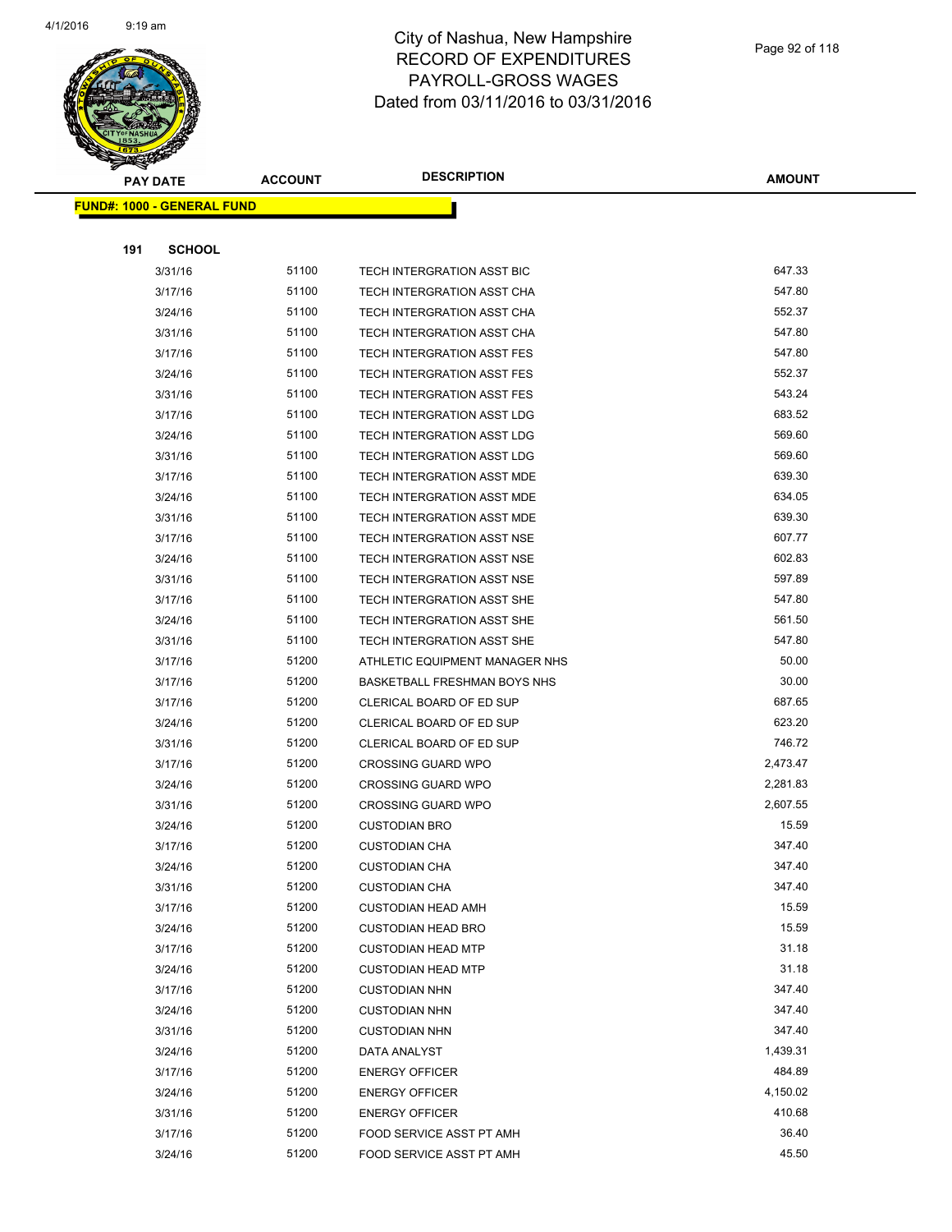

|     | <b>PAY DATE</b>                    | <b>ACCOUNT</b> | <b>DESCRIPTION</b>                  | <b>AMOUNT</b> |
|-----|------------------------------------|----------------|-------------------------------------|---------------|
|     | <u> FUND#: 1000 - GENERAL FUND</u> |                |                                     |               |
|     |                                    |                |                                     |               |
| 191 | <b>SCHOOL</b>                      |                |                                     |               |
|     | 3/31/16                            | 51100          | TECH INTERGRATION ASST BIC          | 647.33        |
|     | 3/17/16                            | 51100          | TECH INTERGRATION ASST CHA          | 547.80        |
|     | 3/24/16                            | 51100          | TECH INTERGRATION ASST CHA          | 552.37        |
|     | 3/31/16                            | 51100          | TECH INTERGRATION ASST CHA          | 547.80        |
|     | 3/17/16                            | 51100          | <b>TECH INTERGRATION ASST FES</b>   | 547.80        |
|     | 3/24/16                            | 51100          | <b>TECH INTERGRATION ASST FES</b>   | 552.37        |
|     | 3/31/16                            | 51100          | TECH INTERGRATION ASST FES          | 543.24        |
|     | 3/17/16                            | 51100          | TECH INTERGRATION ASST LDG          | 683.52        |
|     | 3/24/16                            | 51100          | TECH INTERGRATION ASST LDG          | 569.60        |
|     | 3/31/16                            | 51100          | TECH INTERGRATION ASST LDG          | 569.60        |
|     | 3/17/16                            | 51100          | <b>TECH INTERGRATION ASST MDE</b>   | 639.30        |
|     | 3/24/16                            | 51100          | TECH INTERGRATION ASST MDE          | 634.05        |
|     | 3/31/16                            | 51100          | TECH INTERGRATION ASST MDE          | 639.30        |
|     | 3/17/16                            | 51100          | TECH INTERGRATION ASST NSE          | 607.77        |
|     | 3/24/16                            | 51100          | TECH INTERGRATION ASST NSE          | 602.83        |
|     | 3/31/16                            | 51100          | TECH INTERGRATION ASST NSE          | 597.89        |
|     | 3/17/16                            | 51100          | TECH INTERGRATION ASST SHE          | 547.80        |
|     | 3/24/16                            | 51100          | TECH INTERGRATION ASST SHE          | 561.50        |
|     | 3/31/16                            | 51100          | TECH INTERGRATION ASST SHE          | 547.80        |
|     | 3/17/16                            | 51200          | ATHLETIC EQUIPMENT MANAGER NHS      | 50.00         |
|     | 3/17/16                            | 51200          | <b>BASKETBALL FRESHMAN BOYS NHS</b> | 30.00         |
|     | 3/17/16                            | 51200          | CLERICAL BOARD OF ED SUP            | 687.65        |
|     | 3/24/16                            | 51200          | CLERICAL BOARD OF ED SUP            | 623.20        |
|     | 3/31/16                            | 51200          | CLERICAL BOARD OF ED SUP            | 746.72        |
|     | 3/17/16                            | 51200          | <b>CROSSING GUARD WPO</b>           | 2,473.47      |
|     | 3/24/16                            | 51200          | <b>CROSSING GUARD WPO</b>           | 2,281.83      |
|     | 3/31/16                            | 51200          | <b>CROSSING GUARD WPO</b>           | 2,607.55      |
|     | 3/24/16                            | 51200          | <b>CUSTODIAN BRO</b>                | 15.59         |
|     | 3/17/16                            | 51200          | <b>CUSTODIAN CHA</b>                | 347.40        |
|     | 3/24/16                            | 51200          | <b>CUSTODIAN CHA</b>                | 347.40        |
|     | 3/31/16                            | 51200          | <b>CUSTODIAN CHA</b>                | 347.40        |
|     | 3/17/16                            | 51200          | <b>CUSTODIAN HEAD AMH</b>           | 15.59         |
|     | 3/24/16                            | 51200          | <b>CUSTODIAN HEAD BRO</b>           | 15.59         |
|     | 3/17/16                            | 51200          | <b>CUSTODIAN HEAD MTP</b>           | 31.18         |
|     | 3/24/16                            | 51200          | <b>CUSTODIAN HEAD MTP</b>           | 31.18         |
|     | 3/17/16                            | 51200          | <b>CUSTODIAN NHN</b>                | 347.40        |
|     | 3/24/16                            | 51200          | <b>CUSTODIAN NHN</b>                | 347.40        |
|     | 3/31/16                            | 51200          | <b>CUSTODIAN NHN</b>                | 347.40        |
|     | 3/24/16                            | 51200          | DATA ANALYST                        | 1,439.31      |
|     | 3/17/16                            | 51200          | <b>ENERGY OFFICER</b>               | 484.89        |
|     | 3/24/16                            | 51200          | <b>ENERGY OFFICER</b>               | 4,150.02      |
|     | 3/31/16                            | 51200          | <b>ENERGY OFFICER</b>               | 410.68        |
|     | 3/17/16                            | 51200          | FOOD SERVICE ASST PT AMH            | 36.40         |
|     | 3/24/16                            | 51200          | FOOD SERVICE ASST PT AMH            | 45.50         |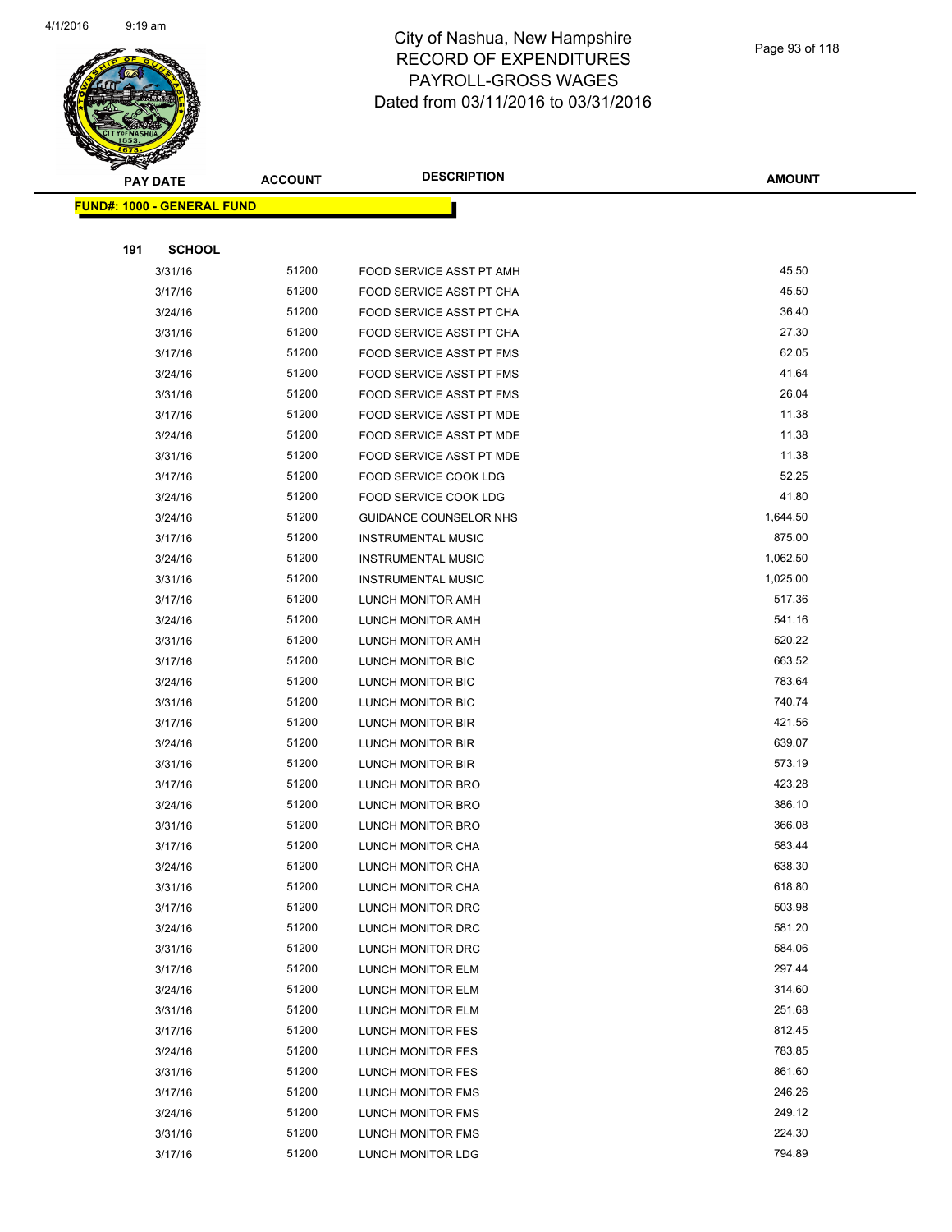

|     | <b>PAY DATE</b>                    | <b>ACCOUNT</b> | <b>DESCRIPTION</b>           | <b>AMOUNT</b> |
|-----|------------------------------------|----------------|------------------------------|---------------|
|     | <u> FUND#: 1000 - GENERAL FUND</u> |                |                              |               |
|     |                                    |                |                              |               |
| 191 | <b>SCHOOL</b>                      |                |                              |               |
|     | 3/31/16                            | 51200          | FOOD SERVICE ASST PT AMH     | 45.50         |
|     | 3/17/16                            | 51200          | FOOD SERVICE ASST PT CHA     | 45.50         |
|     | 3/24/16                            | 51200          | FOOD SERVICE ASST PT CHA     | 36.40         |
|     | 3/31/16                            | 51200          | FOOD SERVICE ASST PT CHA     | 27.30         |
|     | 3/17/16                            | 51200          | FOOD SERVICE ASST PT FMS     | 62.05         |
|     | 3/24/16                            | 51200          | FOOD SERVICE ASST PT FMS     | 41.64         |
|     | 3/31/16                            | 51200          | FOOD SERVICE ASST PT FMS     | 26.04         |
|     | 3/17/16                            | 51200          | FOOD SERVICE ASST PT MDE     | 11.38         |
|     | 3/24/16                            | 51200          | FOOD SERVICE ASST PT MDE     | 11.38         |
|     | 3/31/16                            | 51200          | FOOD SERVICE ASST PT MDE     | 11.38         |
|     | 3/17/16                            | 51200          | <b>FOOD SERVICE COOK LDG</b> | 52.25         |
|     | 3/24/16                            | 51200          | FOOD SERVICE COOK LDG        | 41.80         |
|     | 3/24/16                            | 51200          | GUIDANCE COUNSELOR NHS       | 1,644.50      |
|     | 3/17/16                            | 51200          | <b>INSTRUMENTAL MUSIC</b>    | 875.00        |
|     | 3/24/16                            | 51200          | <b>INSTRUMENTAL MUSIC</b>    | 1,062.50      |
|     | 3/31/16                            | 51200          | <b>INSTRUMENTAL MUSIC</b>    | 1,025.00      |
|     | 3/17/16                            | 51200          | LUNCH MONITOR AMH            | 517.36        |
|     | 3/24/16                            | 51200          | LUNCH MONITOR AMH            | 541.16        |
|     | 3/31/16                            | 51200          | LUNCH MONITOR AMH            | 520.22        |
|     | 3/17/16                            | 51200          | LUNCH MONITOR BIC            | 663.52        |
|     | 3/24/16                            | 51200          | LUNCH MONITOR BIC            | 783.64        |
|     | 3/31/16                            | 51200          | LUNCH MONITOR BIC            | 740.74        |
|     | 3/17/16                            | 51200          | LUNCH MONITOR BIR            | 421.56        |
|     | 3/24/16                            | 51200          | LUNCH MONITOR BIR            | 639.07        |
|     | 3/31/16                            | 51200          | LUNCH MONITOR BIR            | 573.19        |
|     | 3/17/16                            | 51200          | LUNCH MONITOR BRO            | 423.28        |
|     | 3/24/16                            | 51200          | LUNCH MONITOR BRO            | 386.10        |
|     | 3/31/16                            | 51200          | LUNCH MONITOR BRO            | 366.08        |
|     | 3/17/16                            | 51200          | LUNCH MONITOR CHA            | 583.44        |
|     | 3/24/16                            | 51200          | LUNCH MONITOR CHA            | 638.30        |
|     | 3/31/16                            | 51200          | LUNCH MONITOR CHA            | 618.80        |
|     | 3/17/16                            | 51200          | LUNCH MONITOR DRC            | 503.98        |
|     | 3/24/16                            | 51200          | LUNCH MONITOR DRC            | 581.20        |
|     | 3/31/16                            | 51200          | LUNCH MONITOR DRC            | 584.06        |
|     | 3/17/16                            | 51200          | LUNCH MONITOR ELM            | 297.44        |
|     | 3/24/16                            | 51200          | LUNCH MONITOR ELM            | 314.60        |
|     | 3/31/16                            | 51200          | LUNCH MONITOR ELM            | 251.68        |
|     | 3/17/16                            | 51200          | LUNCH MONITOR FES            | 812.45        |
|     | 3/24/16                            | 51200          | LUNCH MONITOR FES            | 783.85        |
|     | 3/31/16                            | 51200          | LUNCH MONITOR FES            | 861.60        |
|     | 3/17/16                            | 51200          | <b>LUNCH MONITOR FMS</b>     | 246.26        |
|     | 3/24/16                            | 51200          | LUNCH MONITOR FMS            | 249.12        |
|     | 3/31/16                            | 51200          | LUNCH MONITOR FMS            | 224.30        |
|     | 3/17/16                            | 51200          | LUNCH MONITOR LDG            | 794.89        |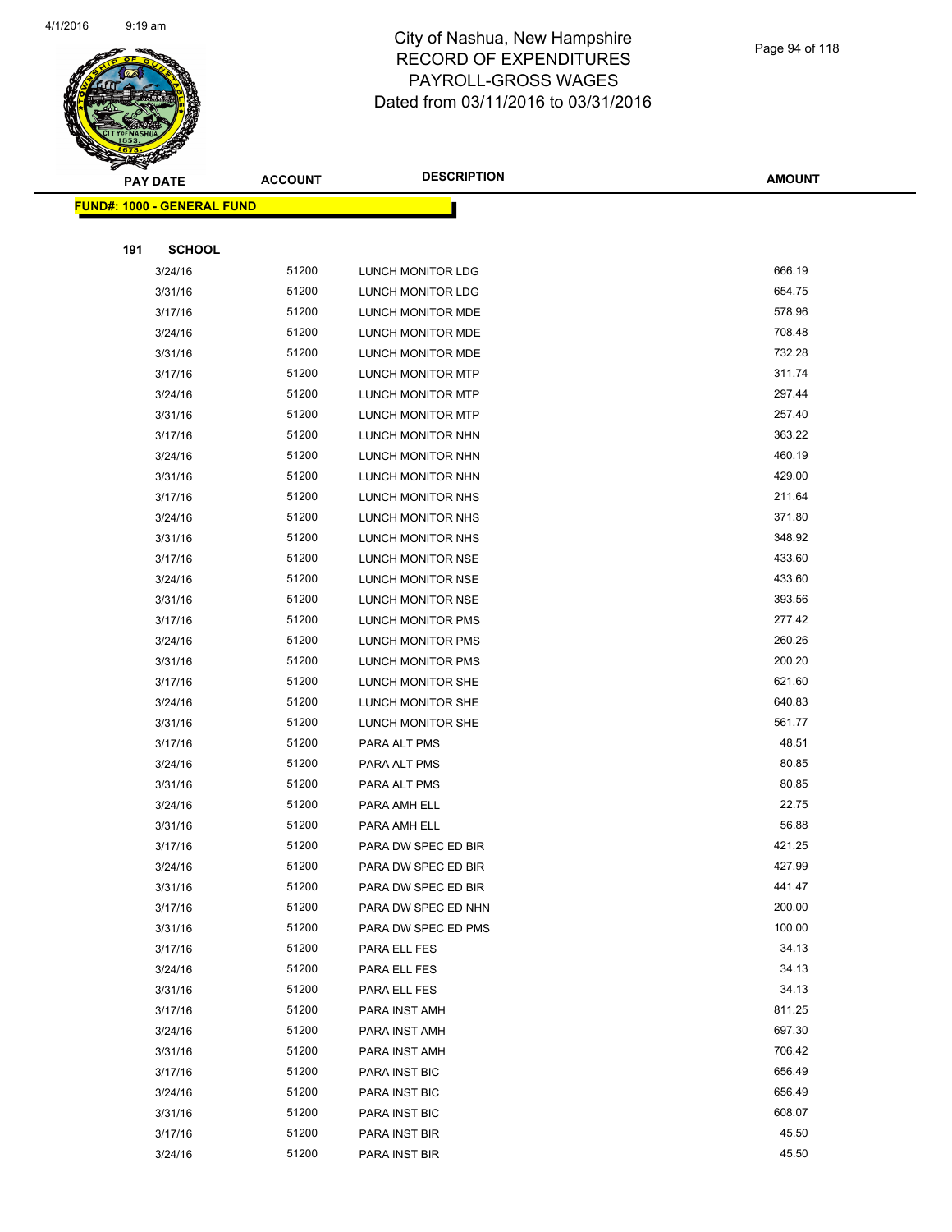

| ॼ   | <b>PAY DATE</b>                   | <b>ACCOUNT</b> | <b>DESCRIPTION</b>       | <b>AMOUNT</b> |
|-----|-----------------------------------|----------------|--------------------------|---------------|
|     | <b>FUND#: 1000 - GENERAL FUND</b> |                |                          |               |
|     |                                   |                |                          |               |
| 191 | <b>SCHOOL</b>                     |                |                          |               |
|     | 3/24/16                           | 51200          | <b>LUNCH MONITOR LDG</b> | 666.19        |
|     | 3/31/16                           | 51200          | LUNCH MONITOR LDG        | 654.75        |
|     | 3/17/16                           | 51200          | LUNCH MONITOR MDE        | 578.96        |
|     | 3/24/16                           | 51200          | LUNCH MONITOR MDE        | 708.48        |
|     | 3/31/16                           | 51200          | LUNCH MONITOR MDE        | 732.28        |
|     | 3/17/16                           | 51200          | LUNCH MONITOR MTP        | 311.74        |
|     | 3/24/16                           | 51200          | LUNCH MONITOR MTP        | 297.44        |
|     | 3/31/16                           | 51200          | <b>LUNCH MONITOR MTP</b> | 257.40        |
|     | 3/17/16                           | 51200          | LUNCH MONITOR NHN        | 363.22        |
|     | 3/24/16                           | 51200          | LUNCH MONITOR NHN        | 460.19        |
|     | 3/31/16                           | 51200          | LUNCH MONITOR NHN        | 429.00        |
|     | 3/17/16                           | 51200          | LUNCH MONITOR NHS        | 211.64        |
|     | 3/24/16                           | 51200          | LUNCH MONITOR NHS        | 371.80        |
|     | 3/31/16                           | 51200          | LUNCH MONITOR NHS        | 348.92        |
|     | 3/17/16                           | 51200          | LUNCH MONITOR NSE        | 433.60        |
|     | 3/24/16                           | 51200          | LUNCH MONITOR NSE        | 433.60        |
|     | 3/31/16                           | 51200          | LUNCH MONITOR NSE        | 393.56        |
|     | 3/17/16                           | 51200          | LUNCH MONITOR PMS        | 277.42        |
|     | 3/24/16                           | 51200          | LUNCH MONITOR PMS        | 260.26        |
|     | 3/31/16                           | 51200          | <b>LUNCH MONITOR PMS</b> | 200.20        |
|     | 3/17/16                           | 51200          | LUNCH MONITOR SHE        | 621.60        |
|     | 3/24/16                           | 51200          | LUNCH MONITOR SHE        | 640.83        |
|     | 3/31/16                           | 51200          | LUNCH MONITOR SHE        | 561.77        |
|     | 3/17/16                           | 51200          | PARA ALT PMS             | 48.51         |
|     | 3/24/16                           | 51200          | PARA ALT PMS             | 80.85         |
|     | 3/31/16                           | 51200          | PARA ALT PMS             | 80.85         |
|     | 3/24/16                           | 51200          | PARA AMH ELL             | 22.75         |
|     | 3/31/16                           | 51200          | PARA AMH ELL             | 56.88         |
|     | 3/17/16                           | 51200          | PARA DW SPEC ED BIR      | 421.25        |
|     | 3/24/16                           | 51200          | PARA DW SPEC ED BIR      | 427.99        |
|     | 3/31/16                           | 51200          | PARA DW SPEC ED BIR      | 441.47        |
|     | 3/17/16                           | 51200          | PARA DW SPEC ED NHN      | 200.00        |
|     | 3/31/16                           | 51200          | PARA DW SPEC ED PMS      | 100.00        |
|     | 3/17/16                           | 51200          | PARA ELL FES             | 34.13         |
|     | 3/24/16                           | 51200          | PARA ELL FES             | 34.13         |
|     | 3/31/16                           | 51200          | PARA ELL FES             | 34.13         |
|     | 3/17/16                           | 51200          | PARA INST AMH            | 811.25        |
|     | 3/24/16                           | 51200          | PARA INST AMH            | 697.30        |
|     | 3/31/16                           | 51200          | PARA INST AMH            | 706.42        |
|     | 3/17/16                           | 51200          | <b>PARA INST BIC</b>     | 656.49        |
|     | 3/24/16                           | 51200          | PARA INST BIC            | 656.49        |
|     | 3/31/16                           | 51200          | PARA INST BIC            | 608.07        |
|     | 3/17/16                           | 51200          | PARA INST BIR            | 45.50         |
|     | 3/24/16                           | 51200          | PARA INST BIR            | 45.50         |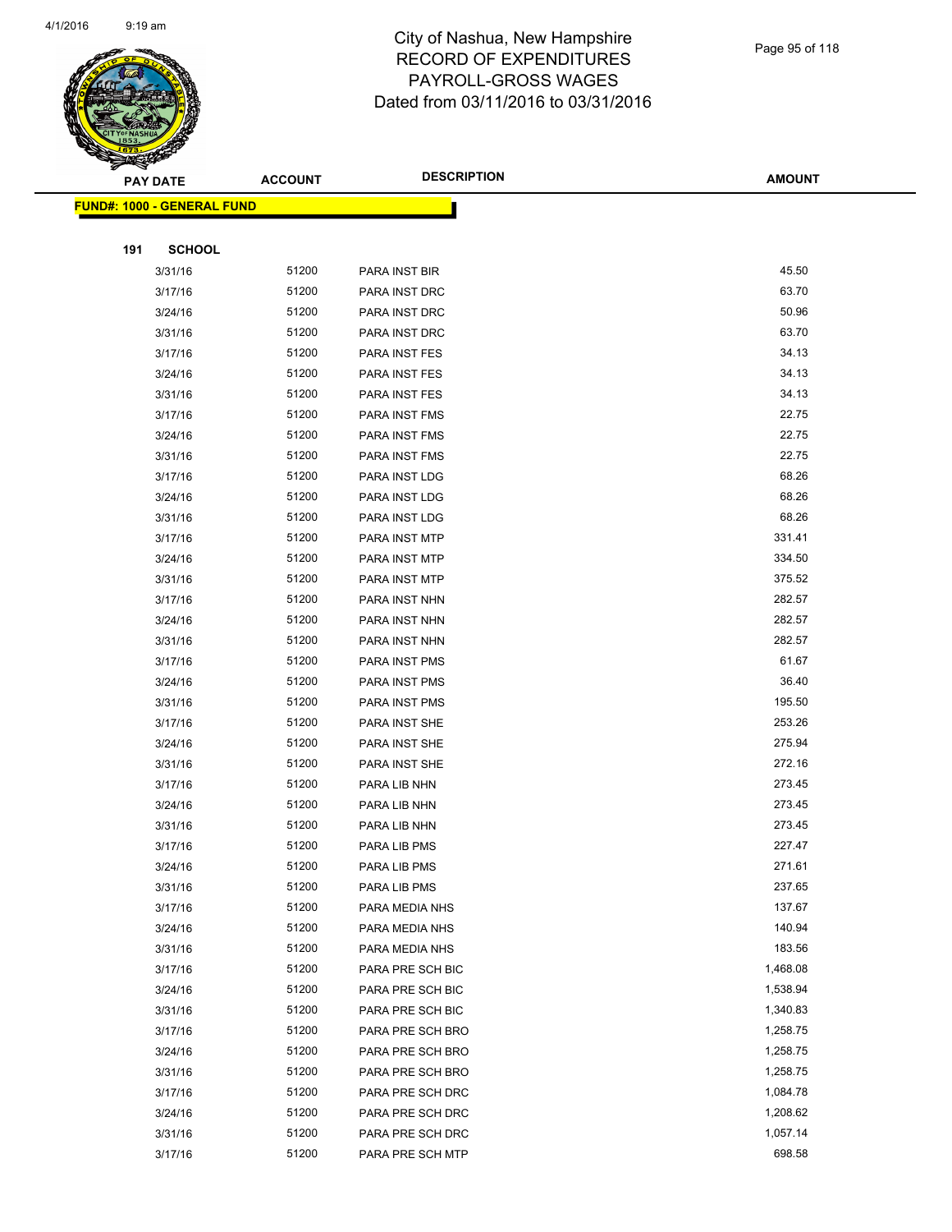

|     | <b>PAY DATE</b>                   | <b>ACCOUNT</b> | <b>DESCRIPTION</b> | <b>AMOUNT</b> |
|-----|-----------------------------------|----------------|--------------------|---------------|
|     | <b>FUND#: 1000 - GENERAL FUND</b> |                |                    |               |
|     |                                   |                |                    |               |
| 191 | <b>SCHOOL</b>                     |                |                    |               |
|     | 3/31/16                           | 51200          | PARA INST BIR      | 45.50         |
|     | 3/17/16                           | 51200          | PARA INST DRC      | 63.70         |
|     | 3/24/16                           | 51200          | PARA INST DRC      | 50.96         |
|     | 3/31/16                           | 51200          | PARA INST DRC      | 63.70         |
|     | 3/17/16                           | 51200          | PARA INST FES      | 34.13         |
|     | 3/24/16                           | 51200          | PARA INST FES      | 34.13         |
|     | 3/31/16                           | 51200          | PARA INST FES      | 34.13         |
|     | 3/17/16                           | 51200          | PARA INST FMS      | 22.75         |
|     | 3/24/16                           | 51200          | PARA INST FMS      | 22.75         |
|     | 3/31/16                           | 51200          | PARA INST FMS      | 22.75         |
|     | 3/17/16                           | 51200          | PARA INST LDG      | 68.26         |
|     | 3/24/16                           | 51200          | PARA INST LDG      | 68.26         |
|     | 3/31/16                           | 51200          | PARA INST LDG      | 68.26         |
|     | 3/17/16                           | 51200          | PARA INST MTP      | 331.41        |
|     | 3/24/16                           | 51200          | PARA INST MTP      | 334.50        |
|     | 3/31/16                           | 51200          | PARA INST MTP      | 375.52        |
|     | 3/17/16                           | 51200          | PARA INST NHN      | 282.57        |
|     | 3/24/16                           | 51200          | PARA INST NHN      | 282.57        |
|     | 3/31/16                           | 51200          | PARA INST NHN      | 282.57        |
|     | 3/17/16                           | 51200          | PARA INST PMS      | 61.67         |
|     | 3/24/16                           | 51200          | PARA INST PMS      | 36.40         |
|     | 3/31/16                           | 51200          | PARA INST PMS      | 195.50        |
|     | 3/17/16                           | 51200          | PARA INST SHE      | 253.26        |
|     | 3/24/16                           | 51200          | PARA INST SHE      | 275.94        |
|     | 3/31/16                           | 51200          | PARA INST SHE      | 272.16        |
|     | 3/17/16                           | 51200          | PARA LIB NHN       | 273.45        |
|     | 3/24/16                           | 51200          | PARA LIB NHN       | 273.45        |
|     | 3/31/16                           | 51200          | PARA LIB NHN       | 273.45        |
|     | 3/17/16                           | 51200          | PARA LIB PMS       | 227.47        |
|     | 3/24/16                           | 51200          | PARA LIB PMS       | 271.61        |
|     | 3/31/16                           | 51200          | PARA LIB PMS       | 237.65        |
|     | 3/17/16                           | 51200          | PARA MEDIA NHS     | 137.67        |
|     | 3/24/16                           | 51200          | PARA MEDIA NHS     | 140.94        |
|     | 3/31/16                           | 51200          | PARA MEDIA NHS     | 183.56        |
|     | 3/17/16                           | 51200          | PARA PRE SCH BIC   | 1,468.08      |
|     | 3/24/16                           | 51200          | PARA PRE SCH BIC   | 1,538.94      |
|     | 3/31/16                           | 51200          | PARA PRE SCH BIC   | 1,340.83      |
|     | 3/17/16                           | 51200          | PARA PRE SCH BRO   | 1,258.75      |
|     | 3/24/16                           | 51200          | PARA PRE SCH BRO   | 1,258.75      |
|     | 3/31/16                           | 51200          | PARA PRE SCH BRO   | 1,258.75      |
|     | 3/17/16                           | 51200          | PARA PRE SCH DRC   | 1,084.78      |
|     | 3/24/16                           | 51200          | PARA PRE SCH DRC   | 1,208.62      |
|     | 3/31/16                           | 51200          | PARA PRE SCH DRC   | 1,057.14      |
|     | 3/17/16                           | 51200          | PARA PRE SCH MTP   | 698.58        |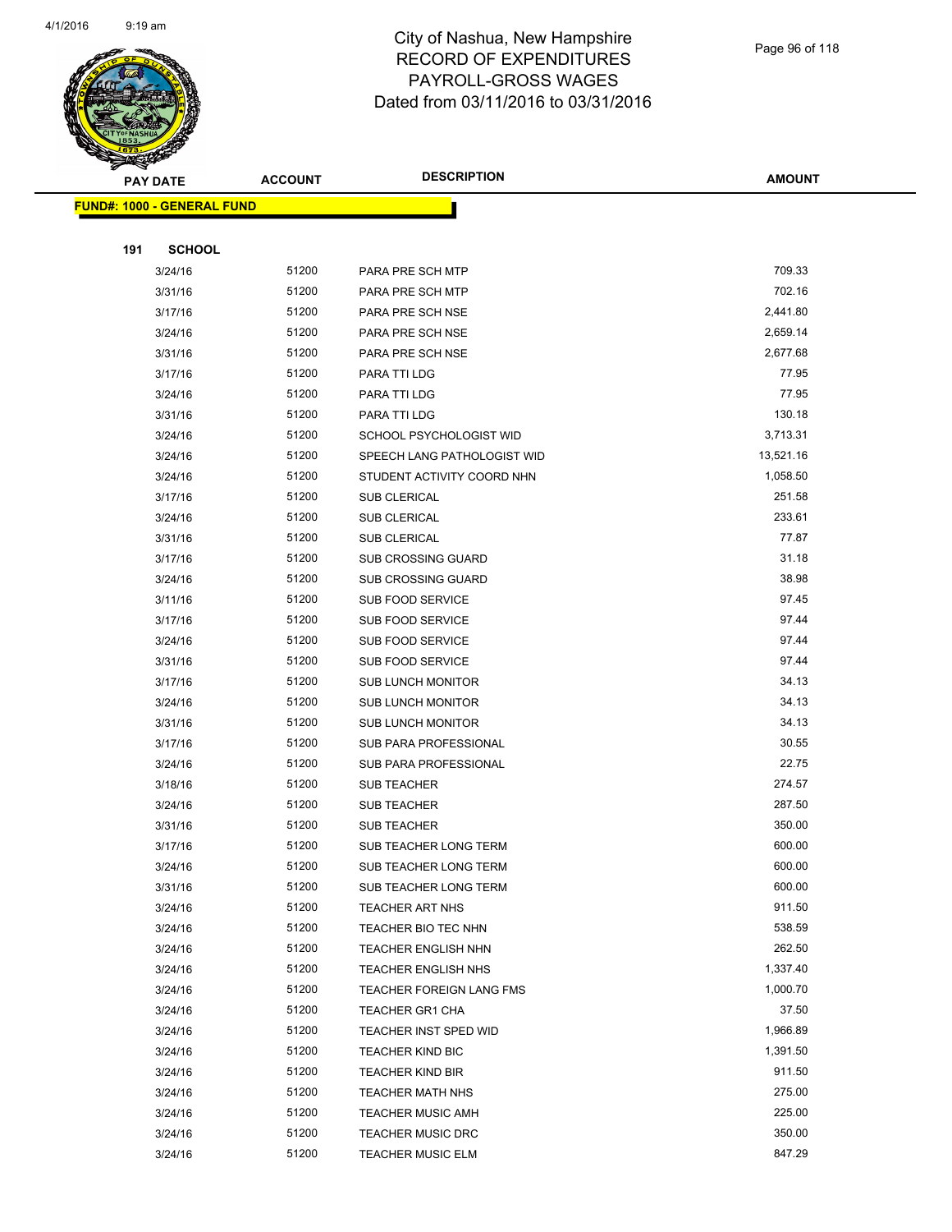

Page 96 of 118

|     | <b>PAY DATE</b>                    | <b>ACCOUNT</b> | <b>DESCRIPTION</b>              | <b>AMOUNT</b> |
|-----|------------------------------------|----------------|---------------------------------|---------------|
|     | <u> FUND#: 1000 - GENERAL FUND</u> |                |                                 |               |
|     |                                    |                |                                 |               |
| 191 | <b>SCHOOL</b>                      |                |                                 |               |
|     | 3/24/16                            | 51200          | PARA PRE SCH MTP                | 709.33        |
|     | 3/31/16                            | 51200          | PARA PRE SCH MTP                | 702.16        |
|     | 3/17/16                            | 51200          | PARA PRE SCH NSE                | 2,441.80      |
|     | 3/24/16                            | 51200          | PARA PRE SCH NSE                | 2,659.14      |
|     | 3/31/16                            | 51200          | PARA PRE SCH NSE                | 2,677.68      |
|     | 3/17/16                            | 51200          | PARA TTI LDG                    | 77.95         |
|     | 3/24/16                            | 51200          | PARA TTI LDG                    | 77.95         |
|     | 3/31/16                            | 51200          | PARA TTI LDG                    | 130.18        |
|     | 3/24/16                            | 51200          | SCHOOL PSYCHOLOGIST WID         | 3,713.31      |
|     | 3/24/16                            | 51200          | SPEECH LANG PATHOLOGIST WID     | 13,521.16     |
|     | 3/24/16                            | 51200          | STUDENT ACTIVITY COORD NHN      | 1,058.50      |
|     | 3/17/16                            | 51200          | <b>SUB CLERICAL</b>             | 251.58        |
|     | 3/24/16                            | 51200          | SUB CLERICAL                    | 233.61        |
|     | 3/31/16                            | 51200          | SUB CLERICAL                    | 77.87         |
|     | 3/17/16                            | 51200          | SUB CROSSING GUARD              | 31.18         |
|     | 3/24/16                            | 51200          | <b>SUB CROSSING GUARD</b>       | 38.98         |
|     | 3/11/16                            | 51200          | <b>SUB FOOD SERVICE</b>         | 97.45         |
|     | 3/17/16                            | 51200          | <b>SUB FOOD SERVICE</b>         | 97.44         |
|     | 3/24/16                            | 51200          | SUB FOOD SERVICE                | 97.44         |
|     | 3/31/16                            | 51200          | SUB FOOD SERVICE                | 97.44         |
|     | 3/17/16                            | 51200          | <b>SUB LUNCH MONITOR</b>        | 34.13         |
|     | 3/24/16                            | 51200          | <b>SUB LUNCH MONITOR</b>        | 34.13         |
|     | 3/31/16                            | 51200          | <b>SUB LUNCH MONITOR</b>        | 34.13         |
|     | 3/17/16                            | 51200          | SUB PARA PROFESSIONAL           | 30.55         |
|     | 3/24/16                            | 51200          | SUB PARA PROFESSIONAL           | 22.75         |
|     | 3/18/16                            | 51200          | <b>SUB TEACHER</b>              | 274.57        |
|     | 3/24/16                            | 51200          | <b>SUB TEACHER</b>              | 287.50        |
|     | 3/31/16                            | 51200          | SUB TEACHER                     | 350.00        |
|     | 3/17/16                            | 51200          | SUB TEACHER LONG TERM           | 600.00        |
|     | 3/24/16                            | 51200          | SUB TEACHER LONG TERM           | 600.00        |
|     | 3/31/16                            | 51200          | SUB TEACHER LONG TERM           | 600.00        |
|     | 3/24/16                            | 51200          | TEACHER ART NHS                 | 911.50        |
|     | 3/24/16                            | 51200          | TEACHER BIO TEC NHN             | 538.59        |
|     | 3/24/16                            | 51200          | <b>TEACHER ENGLISH NHN</b>      | 262.50        |
|     | 3/24/16                            | 51200          | <b>TEACHER ENGLISH NHS</b>      | 1,337.40      |
|     | 3/24/16                            | 51200          | <b>TEACHER FOREIGN LANG FMS</b> | 1,000.70      |
|     | 3/24/16                            | 51200          | <b>TEACHER GR1 CHA</b>          | 37.50         |
|     | 3/24/16                            | 51200          | <b>TEACHER INST SPED WID</b>    | 1,966.89      |
|     | 3/24/16                            | 51200          | <b>TEACHER KIND BIC</b>         | 1,391.50      |
|     | 3/24/16                            | 51200          | <b>TEACHER KIND BIR</b>         | 911.50        |
|     | 3/24/16                            | 51200          | <b>TEACHER MATH NHS</b>         | 275.00        |
|     | 3/24/16                            | 51200          | <b>TEACHER MUSIC AMH</b>        | 225.00        |
|     | 3/24/16                            | 51200          | <b>TEACHER MUSIC DRC</b>        | 350.00        |
|     | 3/24/16                            | 51200          | <b>TEACHER MUSIC ELM</b>        | 847.29        |
|     |                                    |                |                                 |               |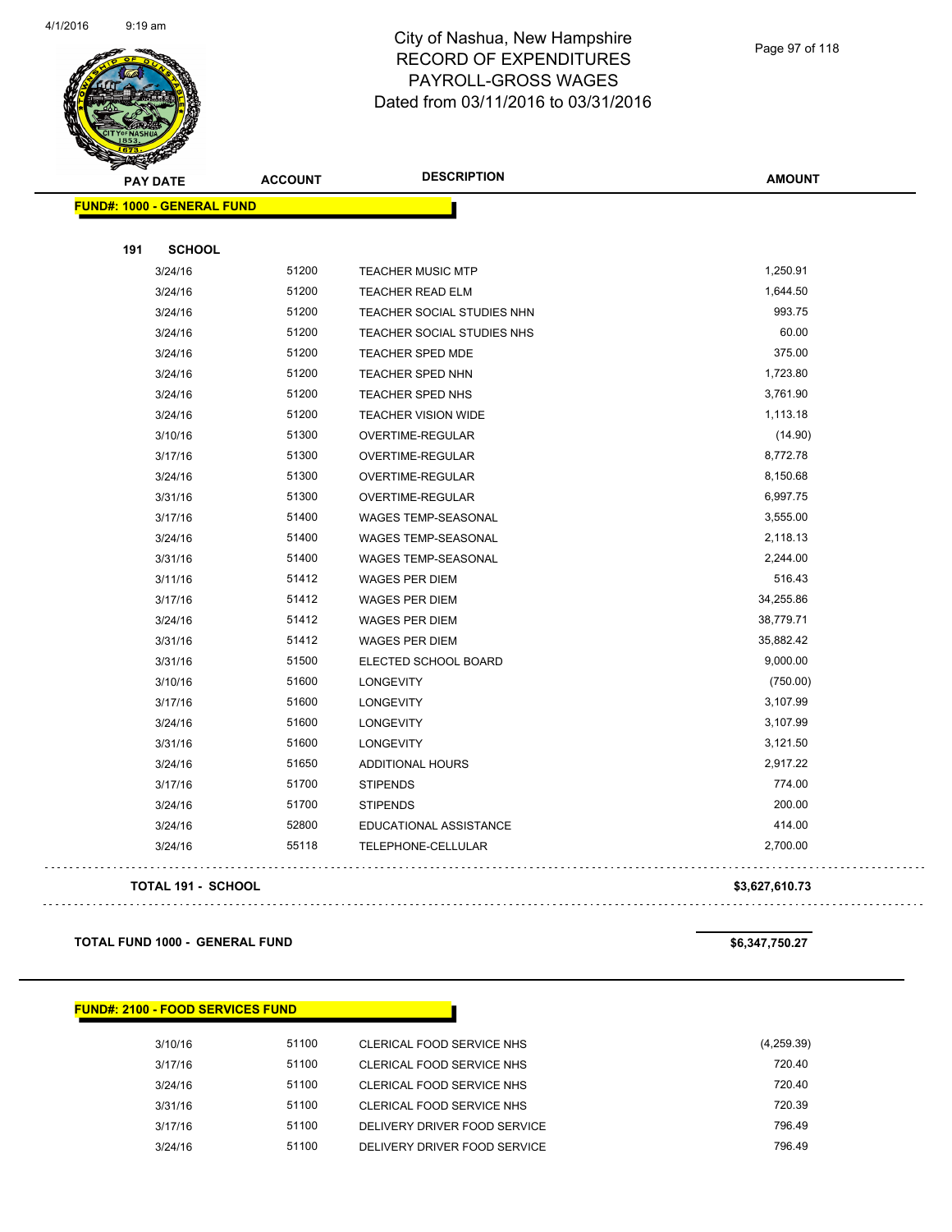

Page 97 of 118

| <b>PAY DATE</b>                   | <b>ACCOUNT</b> | <b>DESCRIPTION</b>         | <b>AMOUNT</b> |
|-----------------------------------|----------------|----------------------------|---------------|
| <b>FUND#: 1000 - GENERAL FUND</b> |                |                            |               |
| 191<br><b>SCHOOL</b>              |                |                            |               |
| 3/24/16                           | 51200          | <b>TEACHER MUSIC MTP</b>   | 1,250.91      |
| 3/24/16                           | 51200          | <b>TEACHER READ ELM</b>    | 1,644.50      |
| 3/24/16                           | 51200          | TEACHER SOCIAL STUDIES NHN | 993.75        |
| 3/24/16                           | 51200          | TEACHER SOCIAL STUDIES NHS | 60.00         |
| 3/24/16                           | 51200          | <b>TEACHER SPED MDE</b>    | 375.00        |
| 3/24/16                           | 51200          | <b>TEACHER SPED NHN</b>    | 1,723.80      |
| 3/24/16                           | 51200          | TEACHER SPED NHS           | 3,761.90      |
| 3/24/16                           | 51200          | <b>TEACHER VISION WIDE</b> | 1,113.18      |
| 3/10/16                           | 51300          | OVERTIME-REGULAR           | (14.90)       |
| 3/17/16                           | 51300          | OVERTIME-REGULAR           | 8,772.78      |
| 3/24/16                           | 51300          | OVERTIME-REGULAR           | 8,150.68      |
| 3/31/16                           | 51300          | OVERTIME-REGULAR           | 6,997.75      |
| 3/17/16                           | 51400          | WAGES TEMP-SEASONAL        | 3,555.00      |
| 3/24/16                           | 51400          | WAGES TEMP-SEASONAL        | 2,118.13      |
| 3/31/16                           | 51400          | WAGES TEMP-SEASONAL        | 2,244.00      |
| 3/11/16                           | 51412          | <b>WAGES PER DIEM</b>      | 516.43        |
| 3/17/16                           | 51412          | <b>WAGES PER DIEM</b>      | 34,255.86     |
| 3/24/16                           | 51412          | <b>WAGES PER DIEM</b>      | 38,779.71     |
| 3/31/16                           | 51412          | <b>WAGES PER DIEM</b>      | 35,882.42     |
| 3/31/16                           | 51500          | ELECTED SCHOOL BOARD       | 9,000.00      |
| 3/10/16                           | 51600          | <b>LONGEVITY</b>           | (750.00)      |
| 3/17/16                           | 51600          | <b>LONGEVITY</b>           | 3,107.99      |
| 3/24/16                           | 51600          | <b>LONGEVITY</b>           | 3,107.99      |
| 3/31/16                           | 51600          | <b>LONGEVITY</b>           | 3,121.50      |
| 3/24/16                           | 51650          | ADDITIONAL HOURS           | 2,917.22      |
| 3/17/16                           | 51700          | <b>STIPENDS</b>            | 774.00        |
| 3/24/16                           | 51700          | <b>STIPENDS</b>            | 200.00        |
| 3/24/16                           | 52800          | EDUCATIONAL ASSISTANCE     | 414.00        |
| 3/24/16                           | 55118          | TELEPHONE-CELLULAR         | 2,700.00      |

**TOTAL 191 - SCHOOL \$3,627,610.73**

**TOTAL FUND 1000 - GENERAL FUND \$6,347,750.27** 

**FUND#: 2100 - FOOD SERVICES FUND**

| 3/10/16 | 51100 | CLERICAL FOOD SERVICE NHS    | (4,259.39) |
|---------|-------|------------------------------|------------|
| 3/17/16 | 51100 | CLERICAL FOOD SERVICE NHS    | 720.40     |
| 3/24/16 | 51100 | CLERICAL FOOD SERVICE NHS    | 720.40     |
| 3/31/16 | 51100 | CLERICAL FOOD SERVICE NHS    | 720.39     |
| 3/17/16 | 51100 | DELIVERY DRIVER FOOD SERVICE | 796.49     |
| 3/24/16 | 51100 | DELIVERY DRIVER FOOD SERVICE | 796.49     |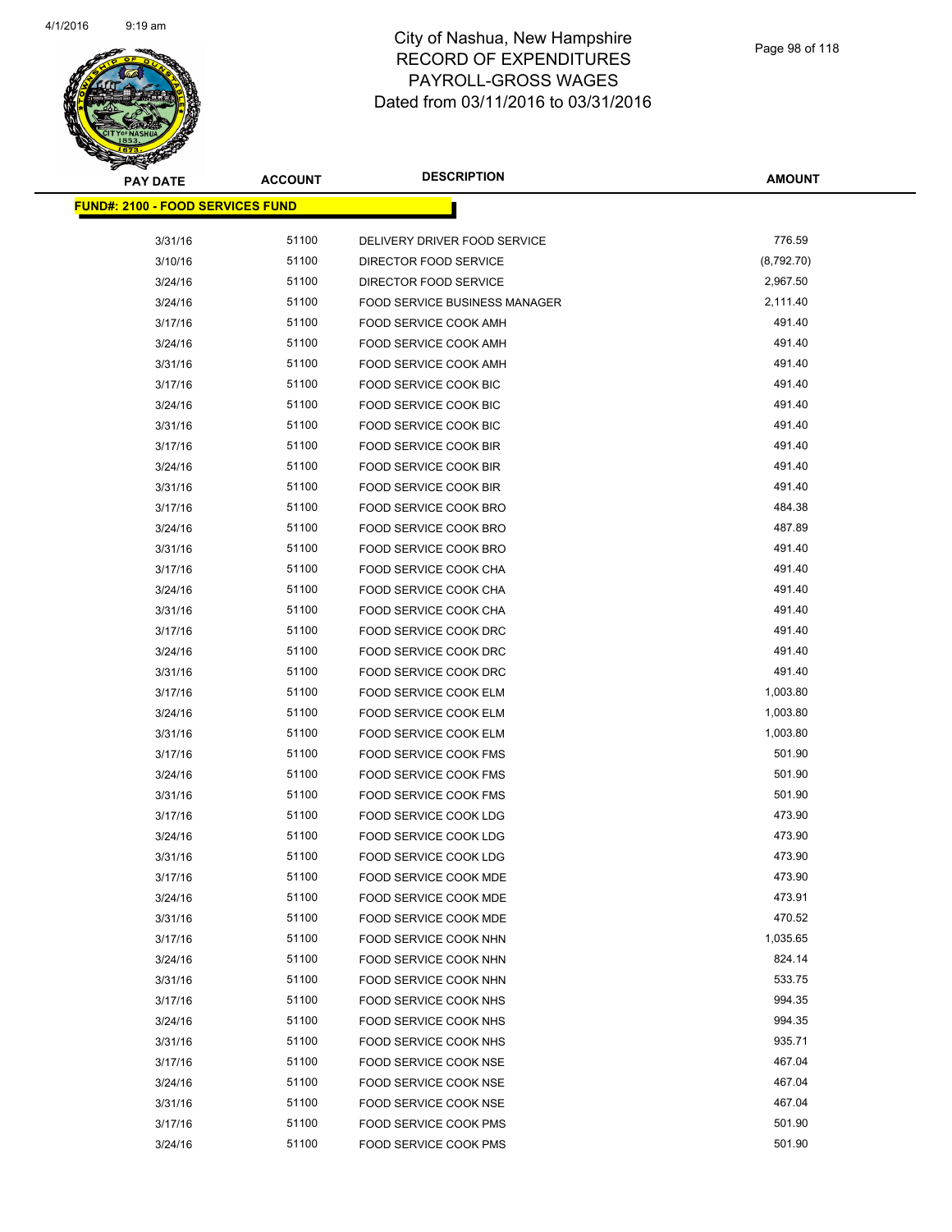

| PAY DATE                                 | <b>ACCOUNT</b> | <b>DESCRIPTION</b>            | <b>AMOUNT</b> |
|------------------------------------------|----------------|-------------------------------|---------------|
| <u> FUND#: 2100 - FOOD SERVICES FUND</u> |                |                               |               |
|                                          |                |                               |               |
| 3/31/16                                  | 51100          | DELIVERY DRIVER FOOD SERVICE  | 776.59        |
| 3/10/16                                  | 51100          | DIRECTOR FOOD SERVICE         | (8,792.70)    |
| 3/24/16                                  | 51100          | DIRECTOR FOOD SERVICE         | 2,967.50      |
| 3/24/16                                  | 51100          | FOOD SERVICE BUSINESS MANAGER | 2,111.40      |
| 3/17/16                                  | 51100          | FOOD SERVICE COOK AMH         | 491.40        |
| 3/24/16                                  | 51100          | FOOD SERVICE COOK AMH         | 491.40        |
| 3/31/16                                  | 51100          | FOOD SERVICE COOK AMH         | 491.40        |
| 3/17/16                                  | 51100          | <b>FOOD SERVICE COOK BIC</b>  | 491.40        |
| 3/24/16                                  | 51100          | FOOD SERVICE COOK BIC         | 491.40        |
| 3/31/16                                  | 51100          | FOOD SERVICE COOK BIC         | 491.40        |
| 3/17/16                                  | 51100          | FOOD SERVICE COOK BIR         | 491.40        |
| 3/24/16                                  | 51100          | FOOD SERVICE COOK BIR         | 491.40        |
| 3/31/16                                  | 51100          | FOOD SERVICE COOK BIR         | 491.40        |
| 3/17/16                                  | 51100          | FOOD SERVICE COOK BRO         | 484.38        |
| 3/24/16                                  | 51100          | FOOD SERVICE COOK BRO         | 487.89        |
| 3/31/16                                  | 51100          | FOOD SERVICE COOK BRO         | 491.40        |
| 3/17/16                                  | 51100          | FOOD SERVICE COOK CHA         | 491.40        |
| 3/24/16                                  | 51100          | FOOD SERVICE COOK CHA         | 491.40        |
| 3/31/16                                  | 51100          | FOOD SERVICE COOK CHA         | 491.40        |
| 3/17/16                                  | 51100          | FOOD SERVICE COOK DRC         | 491.40        |
| 3/24/16                                  | 51100          | FOOD SERVICE COOK DRC         | 491.40        |
| 3/31/16                                  | 51100          | FOOD SERVICE COOK DRC         | 491.40        |
| 3/17/16                                  | 51100          | FOOD SERVICE COOK ELM         | 1,003.80      |
| 3/24/16                                  | 51100          | FOOD SERVICE COOK ELM         | 1,003.80      |
| 3/31/16                                  | 51100          | FOOD SERVICE COOK ELM         | 1,003.80      |
| 3/17/16                                  | 51100          | FOOD SERVICE COOK FMS         | 501.90        |
| 3/24/16                                  | 51100          | FOOD SERVICE COOK FMS         | 501.90        |
| 3/31/16                                  | 51100          | <b>FOOD SERVICE COOK FMS</b>  | 501.90        |
| 3/17/16                                  | 51100          | FOOD SERVICE COOK LDG         | 473.90        |
| 3/24/16                                  | 51100          | <b>FOOD SERVICE COOK LDG</b>  | 473.90        |
| 3/31/16                                  | 51100          | FOOD SERVICE COOK LDG         | 473.90        |
| 3/17/16                                  | 51100          | FOOD SERVICE COOK MDE         | 473.90        |
| 3/24/16                                  | 51100          | FOOD SERVICE COOK MDE         | 473.91        |
| 3/31/16                                  | 51100          | FOOD SERVICE COOK MDE         | 470.52        |
| 3/17/16                                  | 51100          | FOOD SERVICE COOK NHN         | 1,035.65      |
| 3/24/16                                  | 51100          | FOOD SERVICE COOK NHN         | 824.14        |
| 3/31/16                                  | 51100          | FOOD SERVICE COOK NHN         | 533.75        |
| 3/17/16                                  | 51100          | FOOD SERVICE COOK NHS         | 994.35        |
| 3/24/16                                  | 51100          | FOOD SERVICE COOK NHS         | 994.35        |
| 3/31/16                                  | 51100          | FOOD SERVICE COOK NHS         | 935.71        |
| 3/17/16                                  | 51100          | FOOD SERVICE COOK NSE         | 467.04        |
| 3/24/16                                  | 51100          | FOOD SERVICE COOK NSE         | 467.04        |
| 3/31/16                                  | 51100          | FOOD SERVICE COOK NSE         | 467.04        |
| 3/17/16                                  | 51100          | FOOD SERVICE COOK PMS         | 501.90        |
| 3/24/16                                  | 51100          | FOOD SERVICE COOK PMS         | 501.90        |
|                                          |                |                               |               |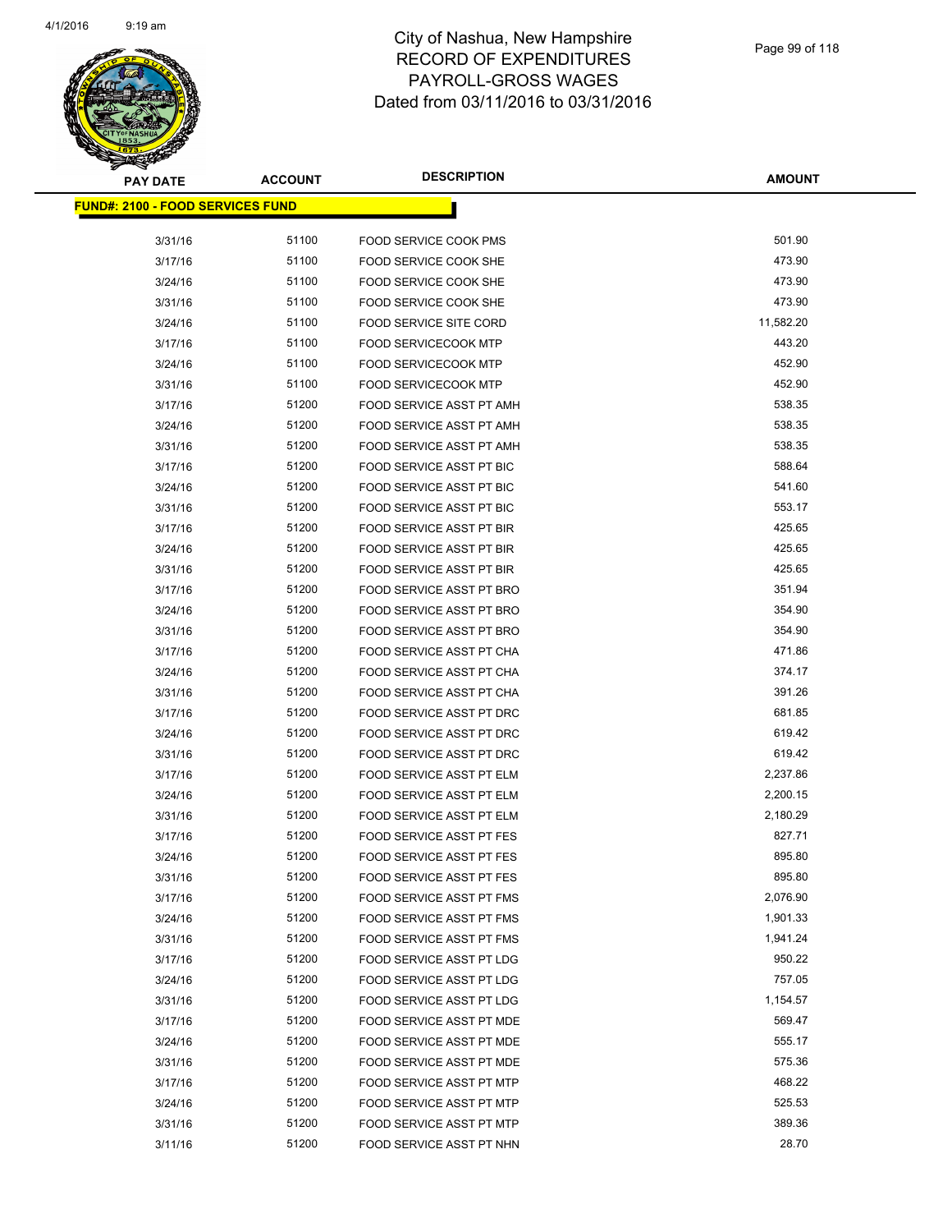

| <b>PAY DATE</b>                          | <b>ACCOUNT</b> | <b>DESCRIPTION</b>                                          | <b>AMOUNT</b>      |
|------------------------------------------|----------------|-------------------------------------------------------------|--------------------|
| <u> FUND#: 2100 - FOOD SERVICES FUND</u> |                |                                                             |                    |
| 3/31/16                                  | 51100          | <b>FOOD SERVICE COOK PMS</b>                                | 501.90             |
| 3/17/16                                  | 51100          | FOOD SERVICE COOK SHE                                       | 473.90             |
| 3/24/16                                  | 51100          | FOOD SERVICE COOK SHE                                       | 473.90             |
| 3/31/16                                  | 51100          | FOOD SERVICE COOK SHE                                       | 473.90             |
| 3/24/16                                  | 51100          | <b>FOOD SERVICE SITE CORD</b>                               | 11,582.20          |
| 3/17/16                                  | 51100          | <b>FOOD SERVICECOOK MTP</b>                                 | 443.20             |
| 3/24/16                                  | 51100          | <b>FOOD SERVICECOOK MTP</b>                                 | 452.90             |
| 3/31/16                                  | 51100          | <b>FOOD SERVICECOOK MTP</b>                                 | 452.90             |
| 3/17/16                                  | 51200          | FOOD SERVICE ASST PT AMH                                    | 538.35             |
| 3/24/16                                  | 51200          | FOOD SERVICE ASST PT AMH                                    | 538.35             |
| 3/31/16                                  | 51200          | FOOD SERVICE ASST PT AMH                                    | 538.35             |
| 3/17/16                                  | 51200          | FOOD SERVICE ASST PT BIC                                    | 588.64             |
| 3/24/16                                  | 51200          | <b>FOOD SERVICE ASST PT BIC</b>                             | 541.60             |
| 3/31/16                                  | 51200          | FOOD SERVICE ASST PT BIC                                    | 553.17             |
| 3/17/16                                  | 51200          | <b>FOOD SERVICE ASST PT BIR</b>                             | 425.65             |
| 3/24/16                                  | 51200          | FOOD SERVICE ASST PT BIR                                    | 425.65             |
| 3/31/16                                  | 51200          | <b>FOOD SERVICE ASST PT BIR</b>                             | 425.65             |
| 3/17/16                                  | 51200          | FOOD SERVICE ASST PT BRO                                    | 351.94             |
| 3/24/16                                  | 51200          | FOOD SERVICE ASST PT BRO                                    | 354.90             |
| 3/31/16                                  | 51200          | FOOD SERVICE ASST PT BRO                                    | 354.90             |
| 3/17/16                                  | 51200          | FOOD SERVICE ASST PT CHA                                    | 471.86             |
| 3/24/16                                  | 51200          | FOOD SERVICE ASST PT CHA                                    | 374.17             |
| 3/31/16                                  | 51200          | FOOD SERVICE ASST PT CHA                                    | 391.26             |
| 3/17/16                                  | 51200          | FOOD SERVICE ASST PT DRC                                    | 681.85             |
| 3/24/16                                  | 51200          | FOOD SERVICE ASST PT DRC                                    | 619.42             |
| 3/31/16                                  | 51200          | FOOD SERVICE ASST PT DRC                                    | 619.42             |
| 3/17/16                                  | 51200          | FOOD SERVICE ASST PT ELM                                    | 2,237.86           |
| 3/24/16                                  | 51200          | FOOD SERVICE ASST PT ELM                                    | 2,200.15           |
| 3/31/16                                  | 51200          | FOOD SERVICE ASST PT ELM                                    | 2,180.29           |
| 3/17/16                                  | 51200          | <b>FOOD SERVICE ASST PT FES</b>                             | 827.71             |
| 3/24/16                                  | 51200          | <b>FOOD SERVICE ASST PT FES</b>                             | 895.80             |
| 3/31/16                                  | 51200          | FOOD SERVICE ASST PT FES                                    | 895.80             |
| 3/17/16                                  | 51200          | <b>FOOD SERVICE ASST PT FMS</b>                             | 2,076.90           |
| 3/24/16                                  | 51200          | FOOD SERVICE ASST PT FMS                                    | 1,901.33           |
| 3/31/16                                  | 51200          | <b>FOOD SERVICE ASST PT FMS</b>                             | 1,941.24           |
| 3/17/16                                  | 51200          | FOOD SERVICE ASST PT LDG                                    | 950.22             |
| 3/24/16                                  | 51200          | FOOD SERVICE ASST PT LDG                                    | 757.05<br>1,154.57 |
| 3/31/16                                  | 51200          | FOOD SERVICE ASST PT LDG                                    |                    |
| 3/17/16<br>3/24/16                       | 51200<br>51200 | FOOD SERVICE ASST PT MDE<br><b>FOOD SERVICE ASST PT MDE</b> | 569.47<br>555.17   |
| 3/31/16                                  | 51200          | <b>FOOD SERVICE ASST PT MDE</b>                             | 575.36             |
| 3/17/16                                  | 51200          | FOOD SERVICE ASST PT MTP                                    | 468.22             |
| 3/24/16                                  | 51200          | FOOD SERVICE ASST PT MTP                                    | 525.53             |
| 3/31/16                                  | 51200          | FOOD SERVICE ASST PT MTP                                    | 389.36             |
| 3/11/16                                  | 51200          | FOOD SERVICE ASST PT NHN                                    | 28.70              |
|                                          |                |                                                             |                    |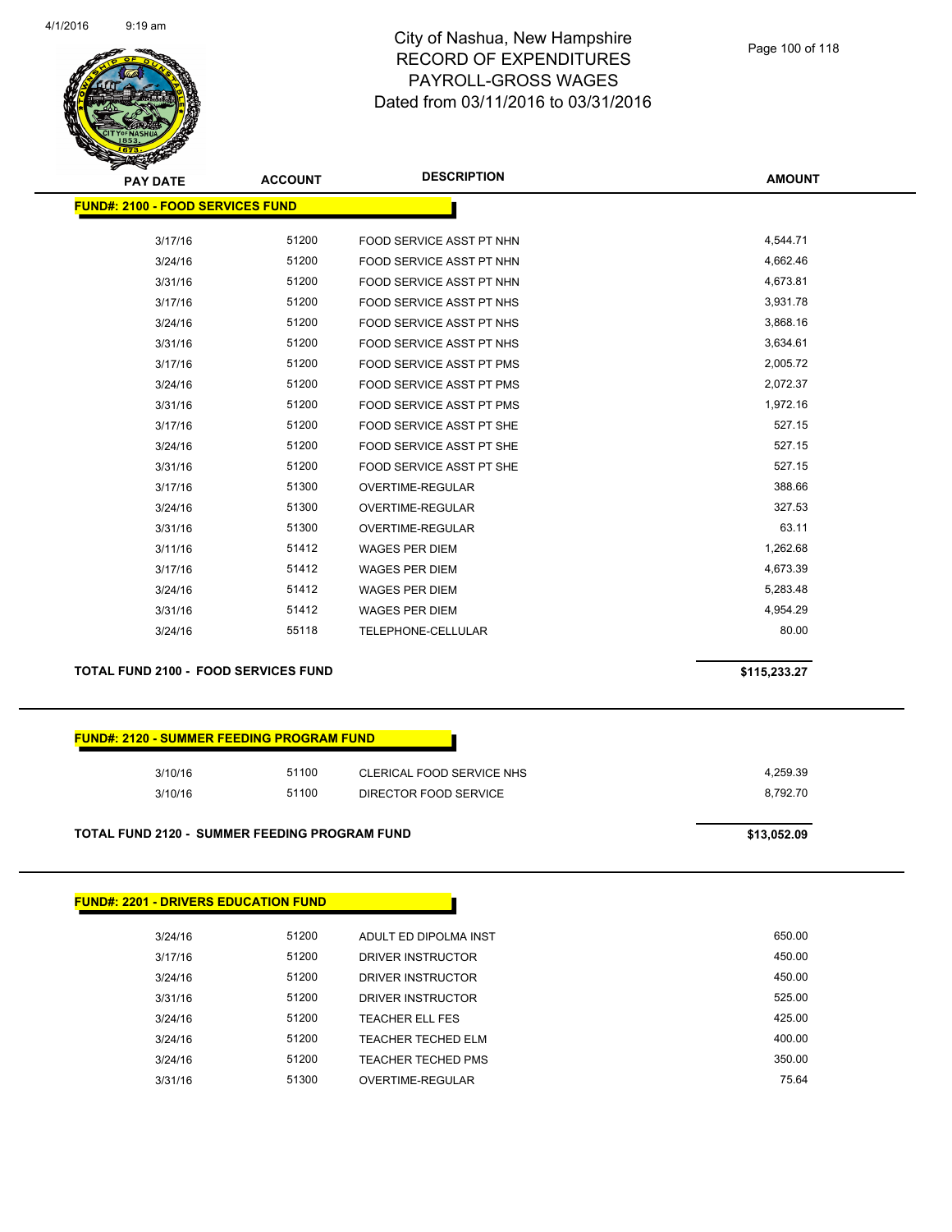

| <b>PAY DATE</b>                          | <b>ACCOUNT</b> | <b>DESCRIPTION</b>              | <b>AMOUNT</b> |
|------------------------------------------|----------------|---------------------------------|---------------|
| <u> FUND#: 2100 - FOOD SERVICES FUND</u> |                |                                 |               |
| 3/17/16                                  | 51200          | FOOD SERVICE ASST PT NHN        | 4,544.71      |
| 3/24/16                                  | 51200          | FOOD SERVICE ASST PT NHN        | 4,662.46      |
| 3/31/16                                  | 51200          | FOOD SERVICE ASST PT NHN        | 4,673.81      |
| 3/17/16                                  | 51200          | FOOD SERVICE ASST PT NHS        | 3,931.78      |
| 3/24/16                                  | 51200          | FOOD SERVICE ASST PT NHS        | 3,868.16      |
| 3/31/16                                  | 51200          | FOOD SERVICE ASST PT NHS        | 3,634.61      |
| 3/17/16                                  | 51200          | <b>FOOD SERVICE ASST PT PMS</b> | 2,005.72      |
| 3/24/16                                  | 51200          | FOOD SERVICE ASST PT PMS        | 2,072.37      |
| 3/31/16                                  | 51200          | <b>FOOD SERVICE ASST PT PMS</b> | 1,972.16      |
| 3/17/16                                  | 51200          | <b>FOOD SERVICE ASST PT SHE</b> | 527.15        |
| 3/24/16                                  | 51200          | FOOD SERVICE ASST PT SHE        | 527.15        |
| 3/31/16                                  | 51200          | FOOD SERVICE ASST PT SHE        | 527.15        |
| 3/17/16                                  | 51300          | <b>OVERTIME-REGULAR</b>         | 388.66        |
| 3/24/16                                  | 51300          | OVERTIME-REGULAR                | 327.53        |
| 3/31/16                                  | 51300          | <b>OVERTIME-REGULAR</b>         | 63.11         |
| 3/11/16                                  | 51412          | <b>WAGES PER DIEM</b>           | 1,262.68      |
| 3/17/16                                  | 51412          | <b>WAGES PER DIEM</b>           | 4,673.39      |
| 3/24/16                                  | 51412          | <b>WAGES PER DIEM</b>           | 5,283.48      |
| 3/31/16                                  | 51412          | <b>WAGES PER DIEM</b>           | 4,954.29      |
| 3/24/16                                  | 55118          | TELEPHONE-CELLULAR              | 80.00         |
|                                          |                |                                 |               |

**TOTAL FUND 2100 - FOOD SERVICES FUND \$115,233.27** 

#### **FUND#: 2120 - SUMMER FEEDING PROGRAM FUND**

| 3/10/16 | 51100 | CLERICAL FOOD SERVICE NHS | 4.259.39 |
|---------|-------|---------------------------|----------|
| 3/10/16 | 51100 | DIRECTOR FOOD SERVICE     | 8.792.70 |
|         |       |                           |          |
|         |       |                           |          |

#### **TOTAL FUND 2120 - SUMMER FEEDING PROGRAM FUND \$13,052.09**

| <b>FUND#: 2201 - DRIVERS EDUCATION FUND</b> |       |                           |        |
|---------------------------------------------|-------|---------------------------|--------|
| 3/24/16                                     | 51200 | ADULT ED DIPOLMA INST     | 650.00 |
| 3/17/16                                     | 51200 | DRIVER INSTRUCTOR         | 450.00 |
| 3/24/16                                     | 51200 | DRIVER INSTRUCTOR         | 450.00 |
| 3/31/16                                     | 51200 | DRIVER INSTRUCTOR         | 525.00 |
| 3/24/16                                     | 51200 | <b>TEACHER ELL FES</b>    | 425.00 |
| 3/24/16                                     | 51200 | <b>TEACHER TECHED ELM</b> | 400.00 |
| 3/24/16                                     | 51200 | <b>TEACHER TECHED PMS</b> | 350.00 |
| 3/31/16                                     | 51300 | OVERTIME-REGULAR          | 75.64  |
|                                             |       |                           |        |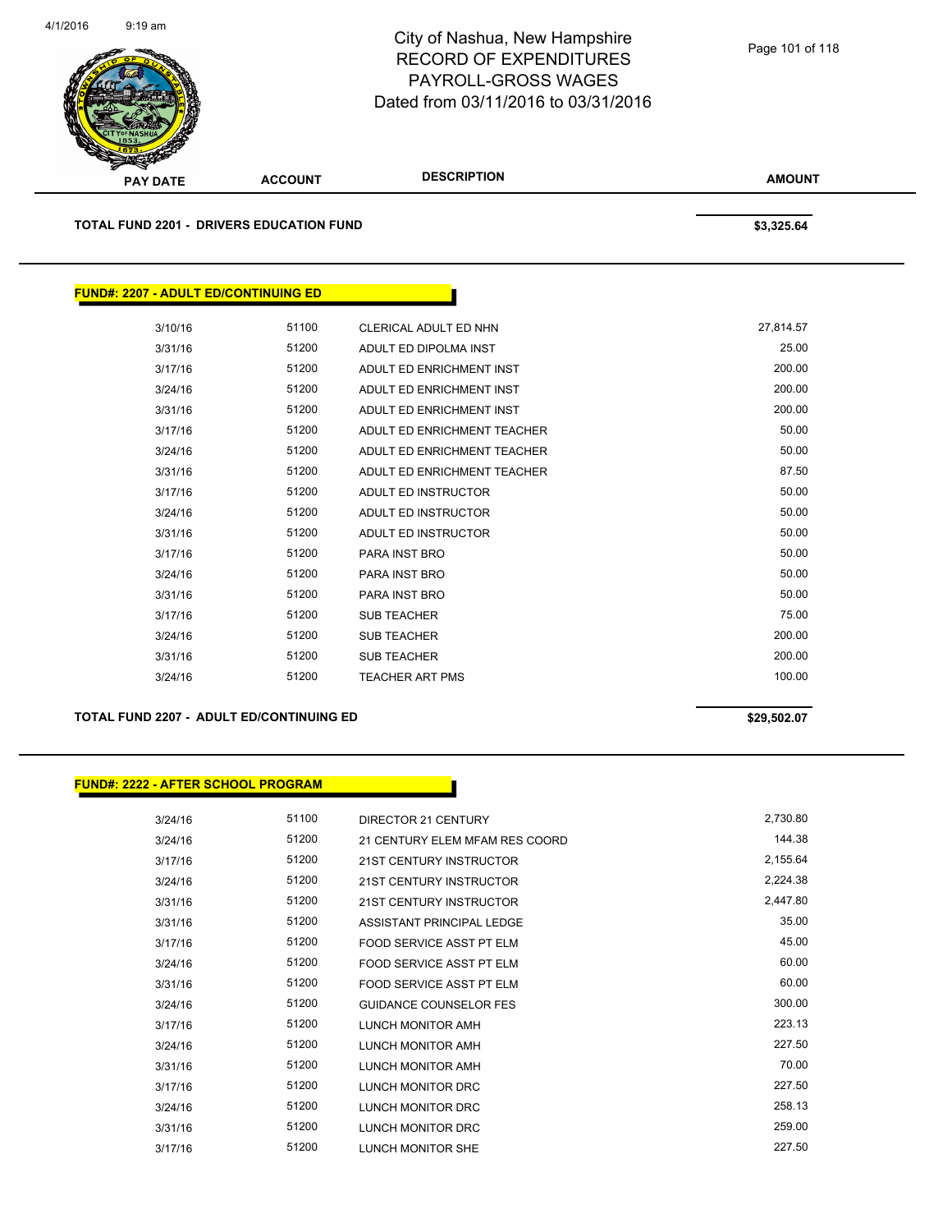

**TOTAL FUND 2201 - DRIVERS EDUCATION FUND \$3,325.64** 

| <b>FUND#: 2207 - ADULT ED/CONTINUING ED</b> |       |                             |           |
|---------------------------------------------|-------|-----------------------------|-----------|
|                                             |       |                             |           |
| 3/10/16                                     | 51100 | CLERICAL ADULT ED NHN       | 27,814.57 |
| 3/31/16                                     | 51200 | ADULT ED DIPOLMA INST       | 25.00     |
| 3/17/16                                     | 51200 | ADULT ED ENRICHMENT INST    | 200.00    |
| 3/24/16                                     | 51200 | ADULT ED ENRICHMENT INST    | 200.00    |
| 3/31/16                                     | 51200 | ADULT ED ENRICHMENT INST    | 200.00    |
| 3/17/16                                     | 51200 | ADULT ED ENRICHMENT TEACHER | 50.00     |
| 3/24/16                                     | 51200 | ADULT ED ENRICHMENT TEACHER | 50.00     |
| 3/31/16                                     | 51200 | ADULT ED ENRICHMENT TEACHER | 87.50     |
| 3/17/16                                     | 51200 | ADULT ED INSTRUCTOR         | 50.00     |
| 3/24/16                                     | 51200 | ADULT ED INSTRUCTOR         | 50.00     |
| 3/31/16                                     | 51200 | ADULT ED INSTRUCTOR         | 50.00     |
| 3/17/16                                     | 51200 | PARA INST BRO               | 50.00     |
| 3/24/16                                     | 51200 | PARA INST BRO               | 50.00     |
| 3/31/16                                     | 51200 | PARA INST BRO               | 50.00     |
| 3/17/16                                     | 51200 | <b>SUB TEACHER</b>          | 75.00     |
| 3/24/16                                     | 51200 | <b>SUB TEACHER</b>          | 200.00    |
| 3/31/16                                     | 51200 | <b>SUB TEACHER</b>          | 200.00    |
| 3/24/16                                     | 51200 | <b>TEACHER ART PMS</b>      | 100.00    |
|                                             |       |                             |           |

TOTAL FUND 2207 - ADULT ED/CONTINUING ED **\$29,502.07** \$29,502.07

|                |       | <b>FUND#: 2222 - AFTER SCHOOL PROGRAM</b> |
|----------------|-------|-------------------------------------------|
| <b>DIRECTO</b> | 51100 | 3/24/16                                   |
| 21 CENTL       | 51200 | 3/24/16                                   |

| 3/24/16 | 51100 | <b>DIRECTOR 21 CENTURY</b>     | 2,730.80 |
|---------|-------|--------------------------------|----------|
| 3/24/16 | 51200 | 21 CENTURY ELEM MFAM RES COORD | 144.38   |
| 3/17/16 | 51200 | <b>21ST CENTURY INSTRUCTOR</b> | 2,155.64 |
| 3/24/16 | 51200 | 21ST CENTURY INSTRUCTOR        | 2,224.38 |
| 3/31/16 | 51200 | <b>21ST CENTURY INSTRUCTOR</b> | 2,447.80 |
| 3/31/16 | 51200 | ASSISTANT PRINCIPAL LEDGE      | 35.00    |
| 3/17/16 | 51200 | FOOD SERVICE ASST PT ELM       | 45.00    |
| 3/24/16 | 51200 | FOOD SERVICE ASST PT ELM       | 60.00    |
| 3/31/16 | 51200 | FOOD SERVICE ASST PT ELM       | 60.00    |
| 3/24/16 | 51200 | <b>GUIDANCE COUNSELOR FES</b>  | 300.00   |
| 3/17/16 | 51200 | LUNCH MONITOR AMH              | 223.13   |
| 3/24/16 | 51200 | LUNCH MONITOR AMH              | 227.50   |
| 3/31/16 | 51200 | LUNCH MONITOR AMH              | 70.00    |
| 3/17/16 | 51200 | LUNCH MONITOR DRC              | 227.50   |
| 3/24/16 | 51200 | LUNCH MONITOR DRC              | 258.13   |
| 3/31/16 | 51200 | LUNCH MONITOR DRC              | 259.00   |
| 3/17/16 | 51200 | <b>LUNCH MONITOR SHE</b>       | 227.50   |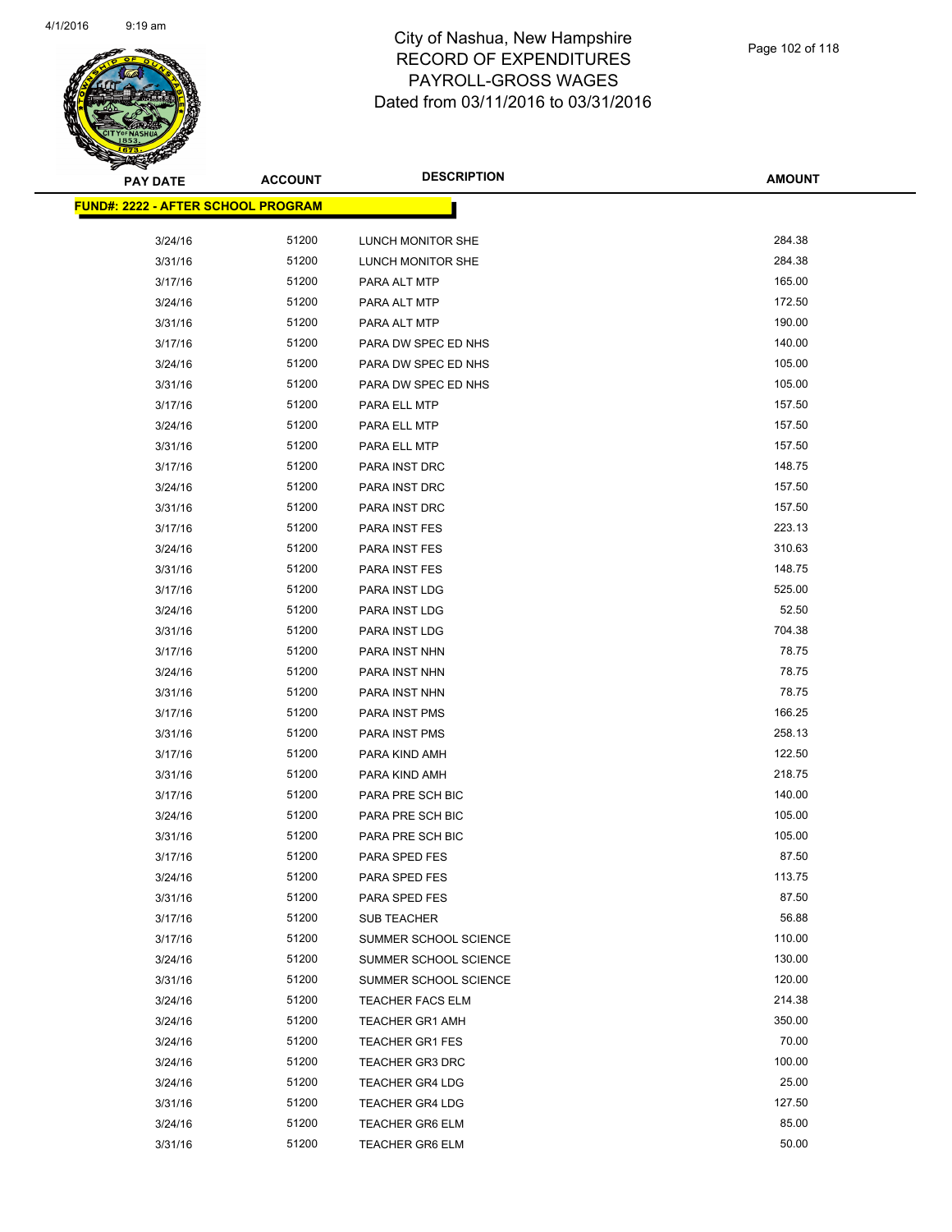

| <u> FUND#: 2222 - AFTER SCHOOL PROGRAM</u> |                |                         |                |
|--------------------------------------------|----------------|-------------------------|----------------|
| 3/24/16                                    | 51200          | LUNCH MONITOR SHE       | 284.38         |
| 3/31/16                                    | 51200          | LUNCH MONITOR SHE       | 284.38         |
| 3/17/16                                    | 51200          | PARA ALT MTP            | 165.00         |
| 3/24/16                                    | 51200          | PARA ALT MTP            | 172.50         |
| 3/31/16                                    | 51200          | PARA ALT MTP            | 190.00         |
| 3/17/16                                    | 51200          | PARA DW SPEC ED NHS     | 140.00         |
| 3/24/16                                    | 51200          | PARA DW SPEC ED NHS     | 105.00         |
| 3/31/16                                    | 51200          | PARA DW SPEC ED NHS     | 105.00         |
| 3/17/16                                    | 51200          | PARA ELL MTP            | 157.50         |
| 3/24/16                                    | 51200          | PARA ELL MTP            | 157.50         |
| 3/31/16                                    | 51200          | PARA ELL MTP            | 157.50         |
| 3/17/16                                    | 51200          | PARA INST DRC           | 148.75         |
| 3/24/16                                    | 51200          | PARA INST DRC           | 157.50         |
| 3/31/16                                    | 51200          | PARA INST DRC           | 157.50         |
| 3/17/16                                    | 51200          | PARA INST FES           | 223.13         |
| 3/24/16                                    | 51200          | PARA INST FES           | 310.63         |
| 3/31/16                                    | 51200          | PARA INST FES           | 148.75         |
| 3/17/16                                    | 51200          | PARA INST LDG           | 525.00         |
| 3/24/16                                    | 51200          | PARA INST LDG           | 52.50          |
| 3/31/16                                    | 51200          | PARA INST LDG           | 704.38         |
| 3/17/16                                    | 51200          | PARA INST NHN           | 78.75          |
| 3/24/16                                    | 51200          | PARA INST NHN           | 78.75          |
| 3/31/16                                    | 51200          | PARA INST NHN           | 78.75          |
| 3/17/16                                    | 51200          | <b>PARA INST PMS</b>    | 166.25         |
| 3/31/16                                    | 51200          | <b>PARA INST PMS</b>    | 258.13         |
| 3/17/16                                    | 51200          | PARA KIND AMH           | 122.50         |
| 3/31/16                                    | 51200          | PARA KIND AMH           | 218.75         |
| 3/17/16                                    | 51200          | PARA PRE SCH BIC        | 140.00         |
| 3/24/16                                    | 51200          | PARA PRE SCH BIC        | 105.00         |
| 3/31/16                                    | 51200          | PARA PRE SCH BIC        | 105.00         |
| 3/17/16                                    | 51200          | PARA SPED FES           | 87.50          |
| 3/24/16                                    | 51200          | PARA SPED FES           | 113.75         |
| 3/31/16                                    | 51200          | PARA SPED FES           | 87.50          |
| 3/17/16                                    | 51200          | <b>SUB TEACHER</b>      | 56.88          |
| 3/17/16                                    | 51200          | SUMMER SCHOOL SCIENCE   | 110.00         |
| 3/24/16                                    | 51200          | SUMMER SCHOOL SCIENCE   | 130.00         |
| 3/31/16                                    | 51200          | SUMMER SCHOOL SCIENCE   | 120.00         |
| 3/24/16                                    | 51200          | <b>TEACHER FACS ELM</b> | 214.38         |
| 3/24/16                                    | 51200          | <b>TEACHER GR1 AMH</b>  | 350.00         |
| 3/24/16                                    | 51200          | <b>TEACHER GR1 FES</b>  | 70.00          |
| 3/24/16                                    | 51200          | <b>TEACHER GR3 DRC</b>  | 100.00         |
| 3/24/16                                    | 51200          | <b>TEACHER GR4 LDG</b>  | 25.00          |
| 3/31/16                                    | 51200          | <b>TEACHER GR4 LDG</b>  | 127.50         |
| 3/24/16                                    | 51200<br>51200 | <b>TEACHER GR6 ELM</b>  | 85.00<br>50.00 |
| 3/31/16                                    |                | <b>TEACHER GR6 ELM</b>  |                |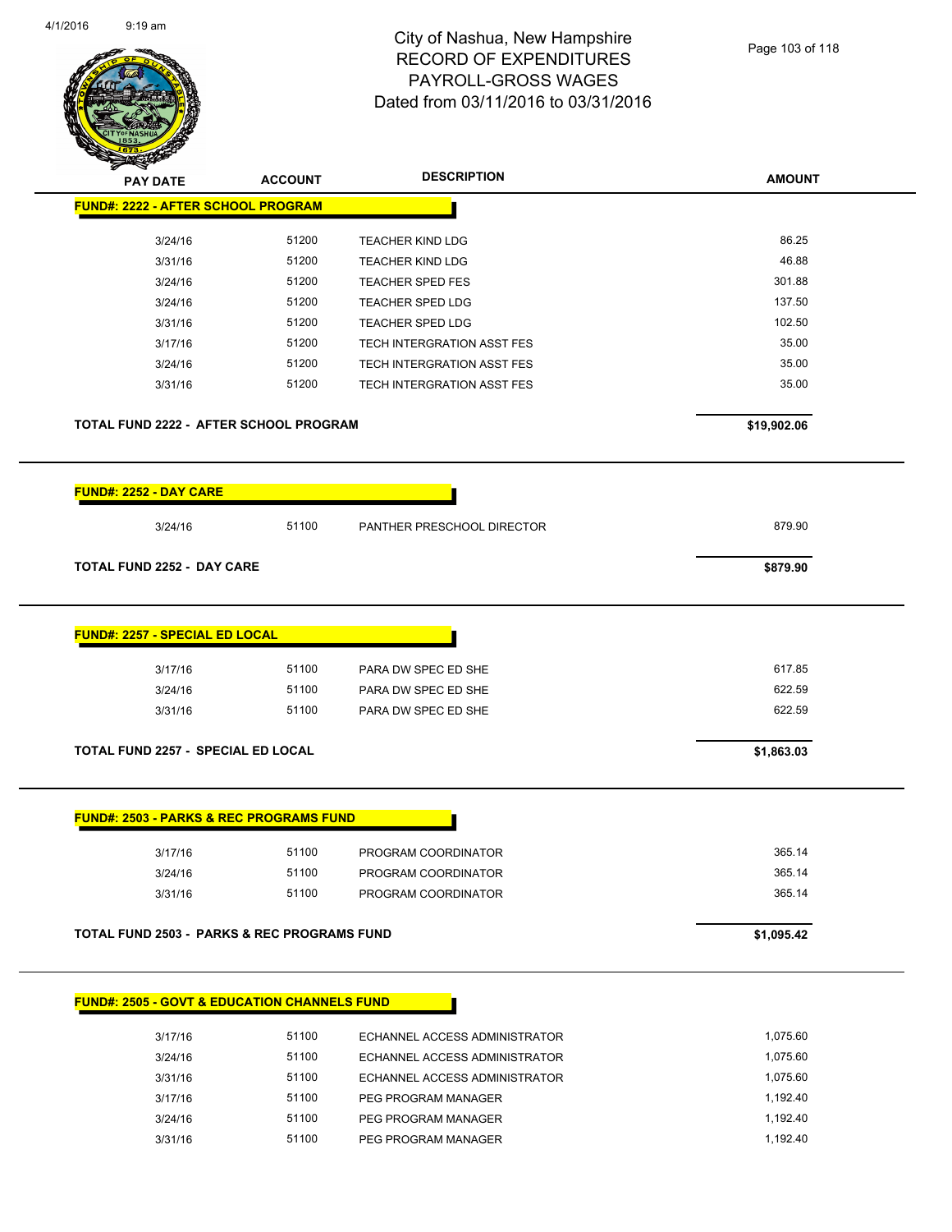

|                                                                                                                                   | <b>ACCOUNT</b>          | <b>DESCRIPTION</b>                                                | <b>AMOUNT</b>              |
|-----------------------------------------------------------------------------------------------------------------------------------|-------------------------|-------------------------------------------------------------------|----------------------------|
| <b>FUND#: 2222 - AFTER SCHOOL PROGRAM</b>                                                                                         |                         |                                                                   |                            |
| 3/24/16                                                                                                                           | 51200                   | <b>TEACHER KIND LDG</b>                                           | 86.25                      |
| 3/31/16                                                                                                                           | 51200                   | <b>TEACHER KIND LDG</b>                                           | 46.88                      |
| 3/24/16                                                                                                                           | 51200                   | <b>TEACHER SPED FES</b>                                           | 301.88                     |
| 3/24/16                                                                                                                           | 51200                   | <b>TEACHER SPED LDG</b>                                           | 137.50                     |
| 3/31/16                                                                                                                           | 51200                   | <b>TEACHER SPED LDG</b>                                           | 102.50                     |
| 3/17/16                                                                                                                           | 51200                   | TECH INTERGRATION ASST FES                                        | 35.00                      |
| 3/24/16                                                                                                                           | 51200                   | TECH INTERGRATION ASST FES                                        | 35.00                      |
| 3/31/16                                                                                                                           | 51200                   | TECH INTERGRATION ASST FES                                        | 35.00                      |
| TOTAL FUND 2222 - AFTER SCHOOL PROGRAM                                                                                            |                         |                                                                   | \$19,902.06                |
| <b>FUND#: 2252 - DAY CARE</b>                                                                                                     |                         |                                                                   |                            |
| 3/24/16                                                                                                                           | 51100                   | PANTHER PRESCHOOL DIRECTOR                                        | 879.90                     |
| <b>TOTAL FUND 2252 - DAY CARE</b>                                                                                                 |                         |                                                                   | \$879.90                   |
|                                                                                                                                   |                         |                                                                   |                            |
| 3/17/16<br>3/24/16<br>3/31/16                                                                                                     | 51100<br>51100<br>51100 | PARA DW SPEC ED SHE<br>PARA DW SPEC ED SHE<br>PARA DW SPEC ED SHE | 617.85<br>622.59<br>622.59 |
|                                                                                                                                   |                         |                                                                   | \$1,863.03                 |
| <b>FUND#: 2257 - SPECIAL ED LOCAL</b><br>TOTAL FUND 2257 - SPECIAL ED LOCAL<br><b>FUND#: 2503 - PARKS &amp; REC PROGRAMS FUND</b> |                         |                                                                   |                            |
| 3/17/16                                                                                                                           | 51100                   | PROGRAM COORDINATOR                                               | 365.14                     |
| 3/24/16                                                                                                                           | 51100                   | PROGRAM COORDINATOR                                               | 365.14                     |
| 3/31/16                                                                                                                           | 51100                   | PROGRAM COORDINATOR                                               | 365.14                     |

| 3/17/16 | 51100 | ECHANNEL ACCESS ADMINISTRATOR | 1.075.60 |
|---------|-------|-------------------------------|----------|
| 3/24/16 | 51100 | ECHANNEL ACCESS ADMINISTRATOR | 1.075.60 |
| 3/31/16 | 51100 | ECHANNEL ACCESS ADMINISTRATOR | 1.075.60 |
| 3/17/16 | 51100 | PEG PROGRAM MANAGER           | 1.192.40 |
| 3/24/16 | 51100 | PEG PROGRAM MANAGER           | 1.192.40 |
| 3/31/16 | 51100 | PEG PROGRAM MANAGER           | 1.192.40 |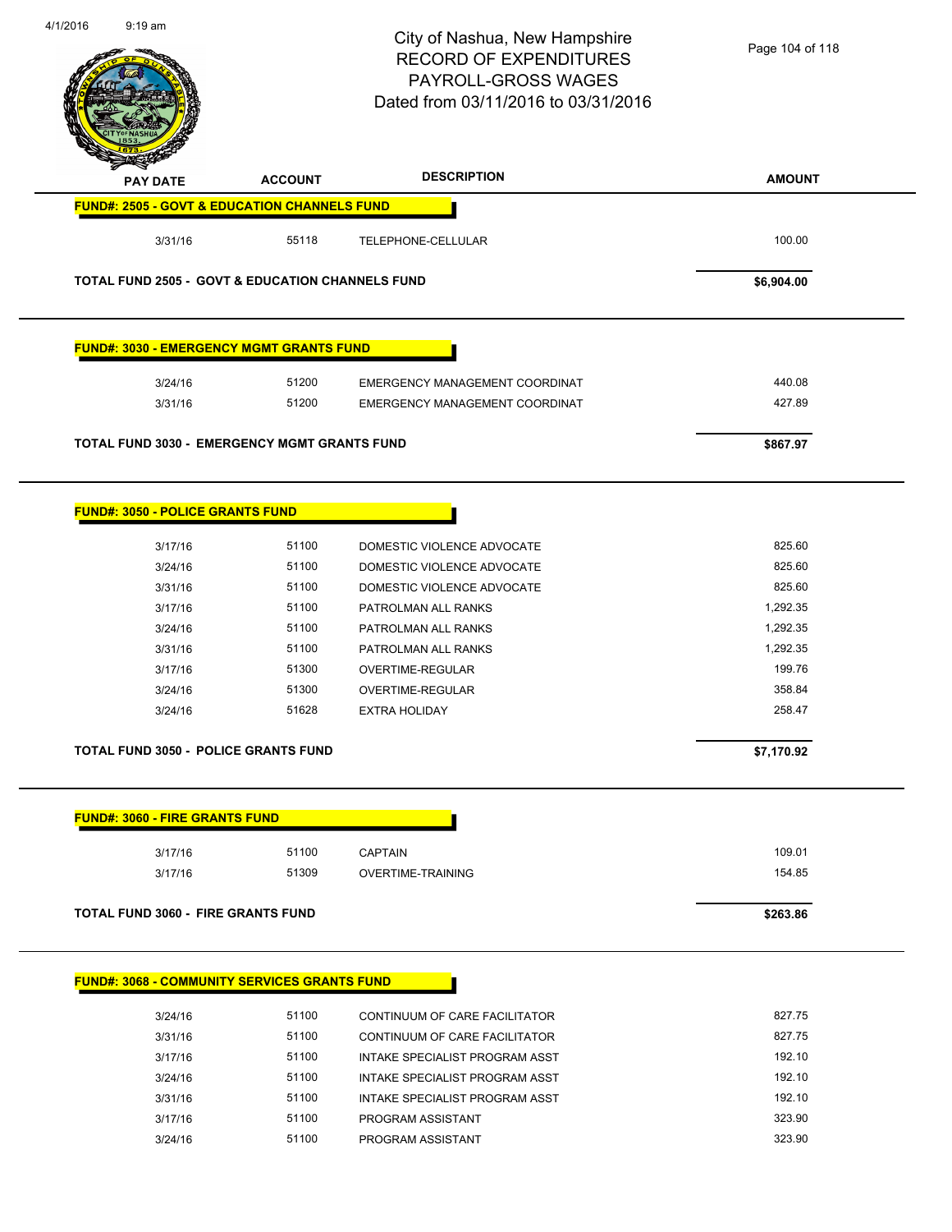

3/17/16 51100 PROGRAM ASSISTANT 323.90 3/24/16 51100 PROGRAM ASSISTANT 323.90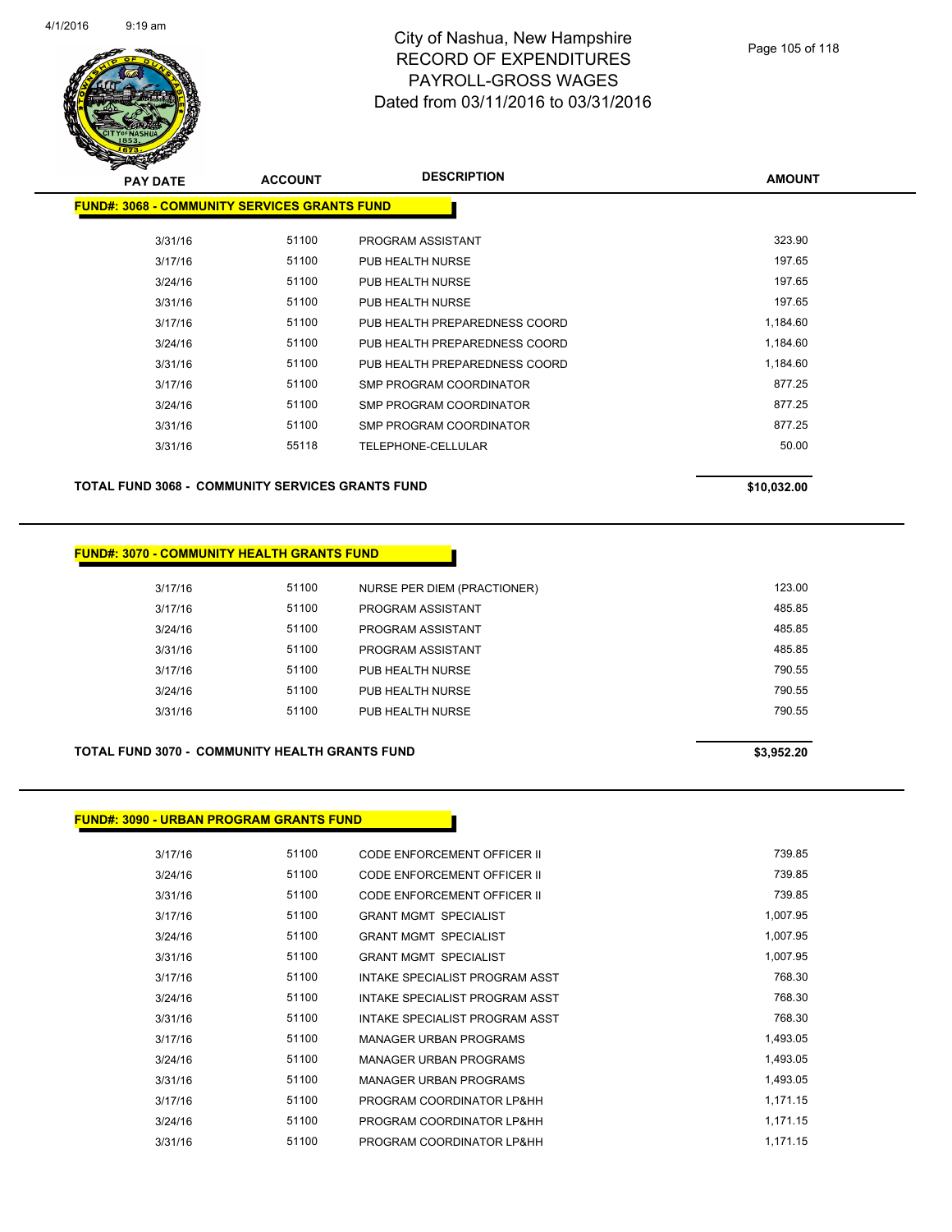

| <b>PAY DATE</b>                               | <b>ACCOUNT</b> | <b>DESCRIPTION</b>            | <b>AMOUNT</b> |
|-----------------------------------------------|----------------|-------------------------------|---------------|
| FUND#: 3068 - COMMUNITY SERVICES GRANTS FUNDI |                |                               |               |
|                                               |                |                               |               |
| 3/31/16                                       | 51100          | PROGRAM ASSISTANT             | 323.90        |
| 3/17/16                                       | 51100          | PUB HEALTH NURSE              | 197.65        |
| 3/24/16                                       | 51100          | PUB HEALTH NURSE              | 197.65        |
| 3/31/16                                       | 51100          | PUB HEALTH NURSE              | 197.65        |
| 3/17/16                                       | 51100          | PUB HEALTH PREPAREDNESS COORD | 1,184.60      |
| 3/24/16                                       | 51100          | PUB HEALTH PREPAREDNESS COORD | 1,184.60      |
| 3/31/16                                       | 51100          | PUB HEALTH PREPAREDNESS COORD | 1,184.60      |
| 3/17/16                                       | 51100          | SMP PROGRAM COORDINATOR       | 877.25        |
| 3/24/16                                       | 51100          | SMP PROGRAM COORDINATOR       | 877.25        |
| 3/31/16                                       | 51100          | SMP PROGRAM COORDINATOR       | 877.25        |
| 3/31/16                                       | 55118          | TELEPHONE-CELLULAR            | 50.00         |
|                                               |                |                               |               |

**TOTAL FUND 3068 - COMMUNITY SERVICES GRANTS FUND \$10,032.00** 

#### **FUND#: 3070 - COMMUNITY HEALTH GRANTS FUND**

| 3/17/16 | 51100 | NURSE PER DIEM (PRACTIONER) | 123.00 |
|---------|-------|-----------------------------|--------|
| 3/17/16 | 51100 | PROGRAM ASSISTANT           | 485.85 |
| 3/24/16 | 51100 | PROGRAM ASSISTANT           | 485.85 |
| 3/31/16 | 51100 | PROGRAM ASSISTANT           | 485.85 |
| 3/17/16 | 51100 | PUB HEALTH NURSE            | 790.55 |
| 3/24/16 | 51100 | PUB HEALTH NURSE            | 790.55 |
| 3/31/16 | 51100 | PUB HEALTH NURSE            | 790.55 |
|         |       |                             |        |

#### **TOTAL FUND 3070 - COMMUNITY HEALTH GRANTS FUND \$3,952.20**

**FUND#: 3090 - URBAN PROGRAM GRANTS FUND**

| 3/17/16 | 51100 | CODE ENFORCEMENT OFFICER II    | 739.85   |
|---------|-------|--------------------------------|----------|
| 3/24/16 | 51100 | CODE ENFORCEMENT OFFICER II    | 739.85   |
| 3/31/16 | 51100 | CODE ENFORCEMENT OFFICER II    | 739.85   |
| 3/17/16 | 51100 | <b>GRANT MGMT SPECIALIST</b>   | 1,007.95 |
| 3/24/16 | 51100 | <b>GRANT MGMT SPECIALIST</b>   | 1,007.95 |
| 3/31/16 | 51100 | <b>GRANT MGMT SPECIALIST</b>   | 1,007.95 |
| 3/17/16 | 51100 | INTAKE SPECIALIST PROGRAM ASST | 768.30   |
| 3/24/16 | 51100 | INTAKE SPECIALIST PROGRAM ASST | 768.30   |
| 3/31/16 | 51100 | INTAKE SPECIALIST PROGRAM ASST | 768.30   |
| 3/17/16 | 51100 | MANAGER URBAN PROGRAMS         | 1,493.05 |
| 3/24/16 | 51100 | MANAGER URBAN PROGRAMS         | 1,493.05 |
| 3/31/16 | 51100 | MANAGER URBAN PROGRAMS         | 1,493.05 |
| 3/17/16 | 51100 | PROGRAM COORDINATOR LP&HH      | 1.171.15 |
| 3/24/16 | 51100 | PROGRAM COORDINATOR LP&HH      | 1,171.15 |
| 3/31/16 | 51100 | PROGRAM COORDINATOR LP&HH      | 1.171.15 |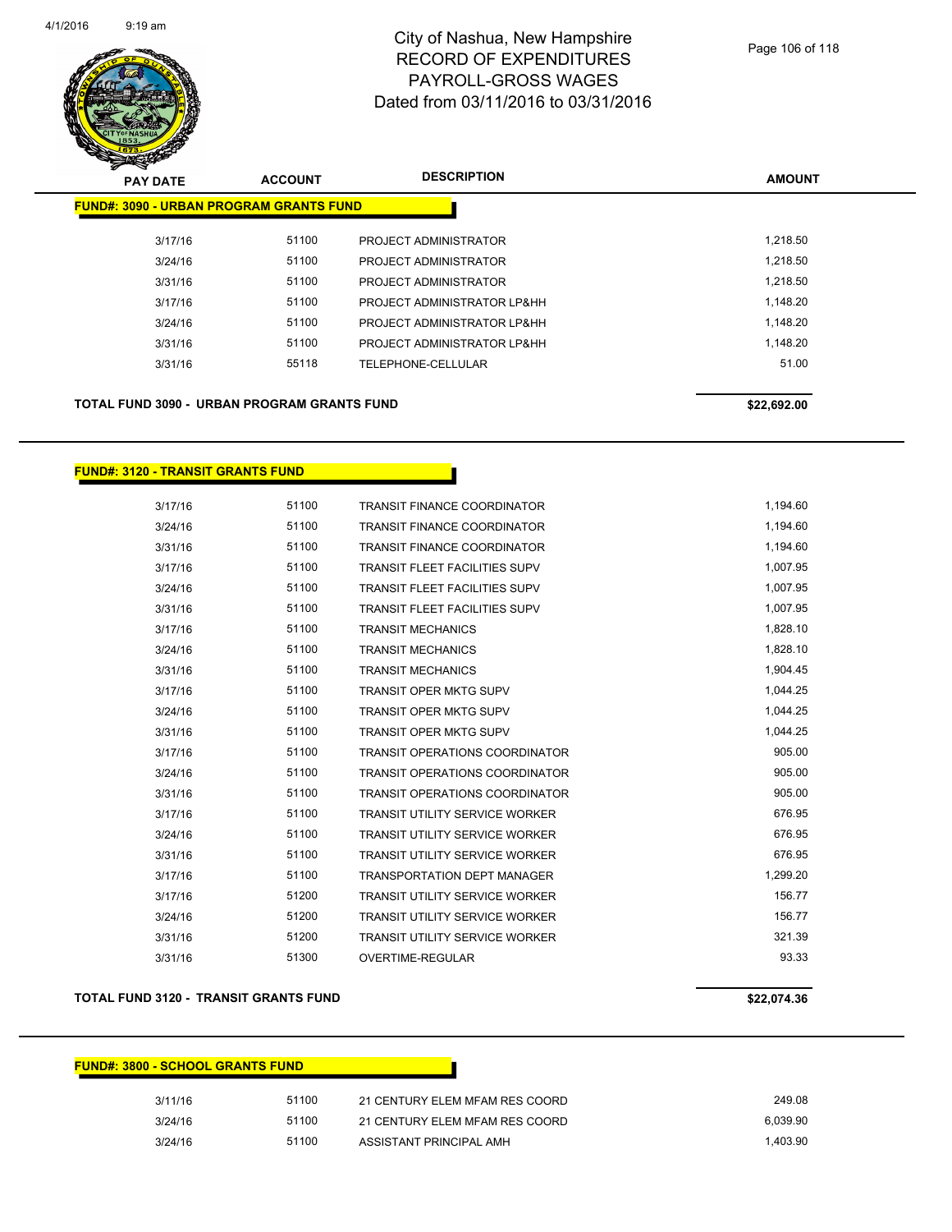

| $\mathbf{z}$<br>$\tilde{\phantom{a}}$<br><b>PAY DATE</b> | <b>ACCOUNT</b>                                 | <b>DESCRIPTION</b>          | <b>AMOUNT</b> |
|----------------------------------------------------------|------------------------------------------------|-----------------------------|---------------|
|                                                          | <b>FUND#: 3090 - URBAN PROGRAM GRANTS FUND</b> |                             |               |
| 3/17/16                                                  | 51100                                          | PROJECT ADMINISTRATOR       | 1,218.50      |
| 3/24/16                                                  | 51100                                          | PROJECT ADMINISTRATOR       | 1,218.50      |
| 3/31/16                                                  | 51100                                          | PROJECT ADMINISTRATOR       | 1.218.50      |
| 3/17/16                                                  | 51100                                          | PROJECT ADMINISTRATOR LP&HH | 1,148.20      |
| 3/24/16                                                  | 51100                                          | PROJECT ADMINISTRATOR LP&HH | 1,148.20      |
| 3/31/16                                                  | 51100                                          | PROJECT ADMINISTRATOR LP&HH | 1,148.20      |
| 3/31/16                                                  | 55118                                          | TELEPHONE-CELLULAR          | 51.00         |
|                                                          |                                                |                             |               |

TOTAL FUND 3090 - URBAN PROGRAM GRANTS FUND<br>
\$22,692.00

#### **FUND#: 3120 - TRANSIT GRANTS FUND**

| 3/17/16 | 51100 | <b>TRANSIT FINANCE COORDINATOR</b>    | 1,194.60 |
|---------|-------|---------------------------------------|----------|
| 3/24/16 | 51100 | <b>TRANSIT FINANCE COORDINATOR</b>    | 1,194.60 |
| 3/31/16 | 51100 | <b>TRANSIT FINANCE COORDINATOR</b>    | 1,194.60 |
| 3/17/16 | 51100 | <b>TRANSIT FLEET FACILITIES SUPV</b>  | 1,007.95 |
| 3/24/16 | 51100 | <b>TRANSIT FLEET FACILITIES SUPV</b>  | 1,007.95 |
| 3/31/16 | 51100 | <b>TRANSIT FLEET FACILITIES SUPV</b>  | 1,007.95 |
| 3/17/16 | 51100 | <b>TRANSIT MECHANICS</b>              | 1,828.10 |
| 3/24/16 | 51100 | <b>TRANSIT MECHANICS</b>              | 1,828.10 |
| 3/31/16 | 51100 | <b>TRANSIT MECHANICS</b>              | 1,904.45 |
| 3/17/16 | 51100 | <b>TRANSIT OPER MKTG SUPV</b>         | 1,044.25 |
| 3/24/16 | 51100 | <b>TRANSIT OPER MKTG SUPV</b>         | 1,044.25 |
| 3/31/16 | 51100 | <b>TRANSIT OPER MKTG SUPV</b>         | 1,044.25 |
| 3/17/16 | 51100 | <b>TRANSIT OPERATIONS COORDINATOR</b> | 905.00   |
| 3/24/16 | 51100 | <b>TRANSIT OPERATIONS COORDINATOR</b> | 905.00   |
| 3/31/16 | 51100 | <b>TRANSIT OPERATIONS COORDINATOR</b> | 905.00   |
| 3/17/16 | 51100 | <b>TRANSIT UTILITY SERVICE WORKER</b> | 676.95   |
| 3/24/16 | 51100 | <b>TRANSIT UTILITY SERVICE WORKER</b> | 676.95   |
| 3/31/16 | 51100 | <b>TRANSIT UTILITY SERVICE WORKER</b> | 676.95   |
| 3/17/16 | 51100 | <b>TRANSPORTATION DEPT MANAGER</b>    | 1,299.20 |
| 3/17/16 | 51200 | <b>TRANSIT UTILITY SERVICE WORKER</b> | 156.77   |
| 3/24/16 | 51200 | <b>TRANSIT UTILITY SERVICE WORKER</b> | 156.77   |
| 3/31/16 | 51200 | <b>TRANSIT UTILITY SERVICE WORKER</b> | 321.39   |
| 3/31/16 | 51300 | OVERTIME-REGULAR                      | 93.33    |

#### **TOTAL FUND 3120 - TRANSIT GRANTS FUND \$22,074.36**

| <b>FUND#: 3800 - SCHOOL GRANTS FUND</b> |       |                                |          |  |  |
|-----------------------------------------|-------|--------------------------------|----------|--|--|
| 3/11/16                                 | 51100 | 21 CENTURY ELEM MFAM RES COORD | 249.08   |  |  |
| 3/24/16                                 | 51100 | 21 CENTURY ELEM MFAM RES COORD | 6.039.90 |  |  |
| 3/24/16                                 | 51100 | ASSISTANT PRINCIPAL AMH        | 1.403.90 |  |  |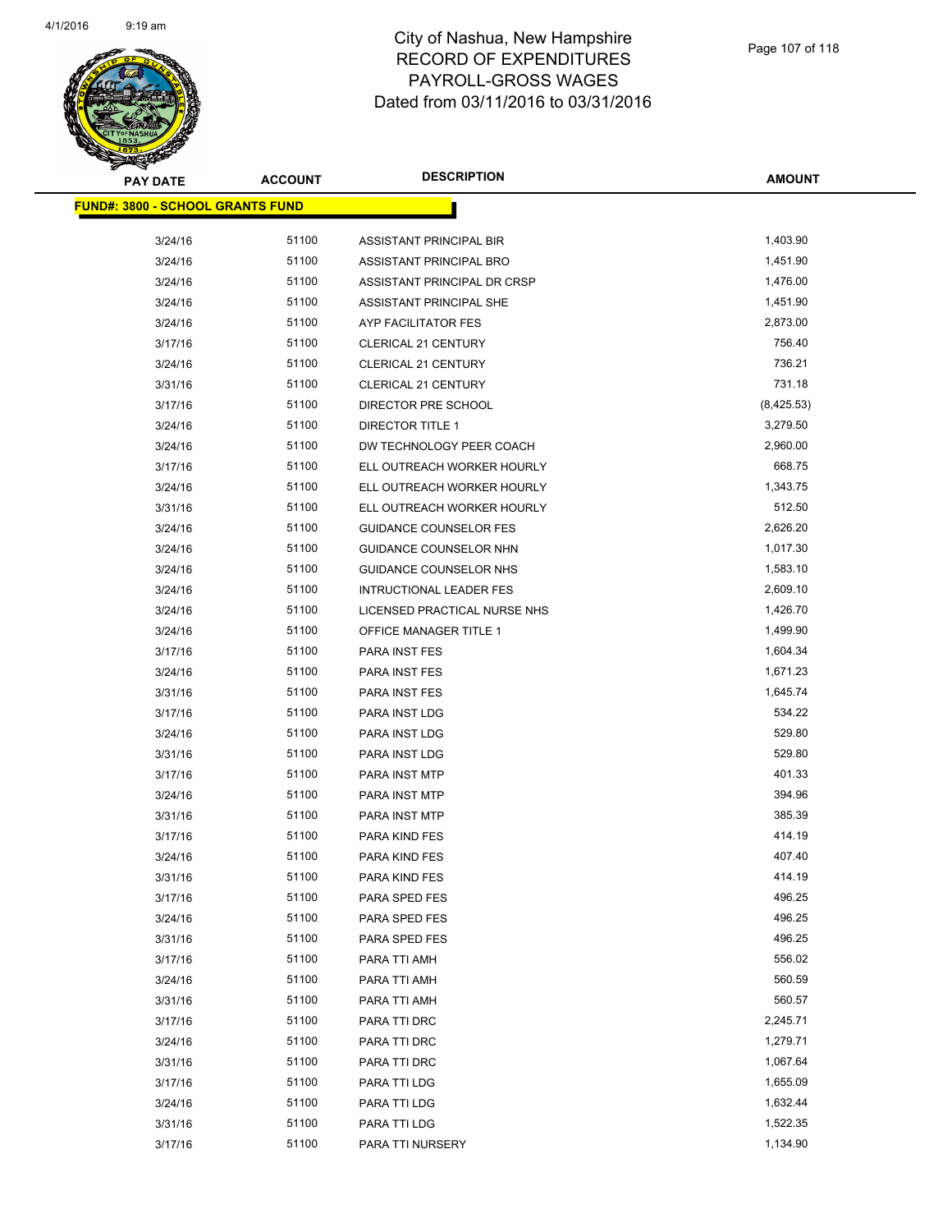

| <u> FUND#: 3800 - SCHOOL GRANTS FUND</u> |       |                                |            |
|------------------------------------------|-------|--------------------------------|------------|
| 3/24/16                                  | 51100 | ASSISTANT PRINCIPAL BIR        | 1,403.90   |
| 3/24/16                                  | 51100 | ASSISTANT PRINCIPAL BRO        | 1,451.90   |
| 3/24/16                                  | 51100 | ASSISTANT PRINCIPAL DR CRSP    | 1,476.00   |
| 3/24/16                                  | 51100 | ASSISTANT PRINCIPAL SHE        | 1,451.90   |
| 3/24/16                                  | 51100 | AYP FACILITATOR FES            | 2,873.00   |
| 3/17/16                                  | 51100 | <b>CLERICAL 21 CENTURY</b>     | 756.40     |
| 3/24/16                                  | 51100 | <b>CLERICAL 21 CENTURY</b>     | 736.21     |
| 3/31/16                                  | 51100 | <b>CLERICAL 21 CENTURY</b>     | 731.18     |
| 3/17/16                                  | 51100 | DIRECTOR PRE SCHOOL            | (8,425.53) |
| 3/24/16                                  | 51100 | <b>DIRECTOR TITLE 1</b>        | 3,279.50   |
| 3/24/16                                  | 51100 | DW TECHNOLOGY PEER COACH       | 2,960.00   |
| 3/17/16                                  | 51100 | ELL OUTREACH WORKER HOURLY     | 668.75     |
| 3/24/16                                  | 51100 | ELL OUTREACH WORKER HOURLY     | 1,343.75   |
| 3/31/16                                  | 51100 | ELL OUTREACH WORKER HOURLY     | 512.50     |
| 3/24/16                                  | 51100 | <b>GUIDANCE COUNSELOR FES</b>  | 2,626.20   |
| 3/24/16                                  | 51100 | GUIDANCE COUNSELOR NHN         | 1,017.30   |
| 3/24/16                                  | 51100 | GUIDANCE COUNSELOR NHS         | 1,583.10   |
| 3/24/16                                  | 51100 | <b>INTRUCTIONAL LEADER FES</b> | 2,609.10   |
| 3/24/16                                  | 51100 | LICENSED PRACTICAL NURSE NHS   | 1,426.70   |
| 3/24/16                                  | 51100 | OFFICE MANAGER TITLE 1         | 1,499.90   |
| 3/17/16                                  | 51100 | PARA INST FES                  | 1,604.34   |
| 3/24/16                                  | 51100 | PARA INST FES                  | 1,671.23   |
| 3/31/16                                  | 51100 | PARA INST FES                  | 1,645.74   |
| 3/17/16                                  | 51100 | PARA INST LDG                  | 534.22     |
| 3/24/16                                  | 51100 | PARA INST LDG                  | 529.80     |
| 3/31/16                                  | 51100 | PARA INST LDG                  | 529.80     |
| 3/17/16                                  | 51100 | PARA INST MTP                  | 401.33     |
| 3/24/16                                  | 51100 | PARA INST MTP                  | 394.96     |
| 3/31/16                                  | 51100 | PARA INST MTP                  | 385.39     |
| 3/17/16                                  | 51100 | PARA KIND FES                  | 414.19     |
| 3/24/16                                  | 51100 | PARA KIND FES                  | 407.40     |
| 3/31/16                                  | 51100 | PARA KIND FES                  | 414.19     |
| 3/17/16                                  | 51100 | PARA SPED FES                  | 496.25     |
| 3/24/16                                  | 51100 | PARA SPED FES                  | 496.25     |
| 3/31/16                                  | 51100 | PARA SPED FES                  | 496.25     |
| 3/17/16                                  | 51100 | PARA TTI AMH                   | 556.02     |
| 3/24/16                                  | 51100 | PARA TTI AMH                   | 560.59     |
| 3/31/16                                  | 51100 | PARA TTI AMH                   | 560.57     |
| 3/17/16                                  | 51100 | PARA TTI DRC                   | 2,245.71   |
| 3/24/16                                  | 51100 | PARA TTI DRC                   | 1,279.71   |
| 3/31/16                                  | 51100 | PARA TTI DRC                   | 1,067.64   |
| 3/17/16                                  | 51100 | PARA TTI LDG                   | 1,655.09   |
| 3/24/16                                  | 51100 | PARA TTI LDG                   | 1,632.44   |
| 3/31/16                                  | 51100 | PARA TTI LDG                   | 1,522.35   |
| 3/17/16                                  | 51100 | PARA TTI NURSERY               | 1,134.90   |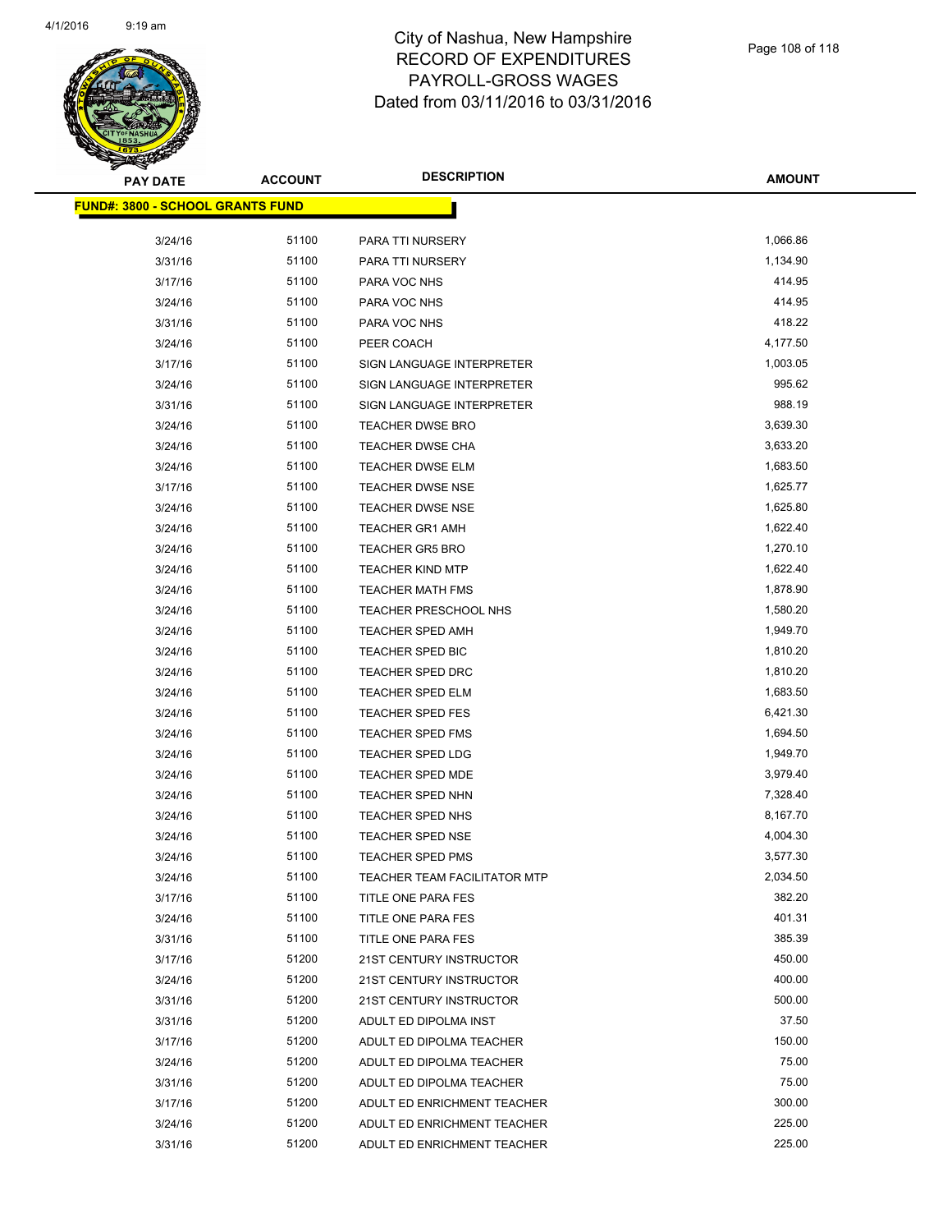

| <u> FUND#: 3800 - SCHOOL GRANTS FUND</u> |       |                                     |          |
|------------------------------------------|-------|-------------------------------------|----------|
|                                          |       |                                     |          |
| 3/24/16                                  | 51100 | PARA TTI NURSERY                    | 1,066.86 |
| 3/31/16                                  | 51100 | PARA TTI NURSERY                    | 1,134.90 |
| 3/17/16                                  | 51100 | PARA VOC NHS                        | 414.95   |
| 3/24/16                                  | 51100 | PARA VOC NHS                        | 414.95   |
| 3/31/16                                  | 51100 | PARA VOC NHS                        | 418.22   |
| 3/24/16                                  | 51100 | PEER COACH                          | 4,177.50 |
| 3/17/16                                  | 51100 | SIGN LANGUAGE INTERPRETER           | 1,003.05 |
| 3/24/16                                  | 51100 | SIGN LANGUAGE INTERPRETER           | 995.62   |
| 3/31/16                                  | 51100 | SIGN LANGUAGE INTERPRETER           | 988.19   |
| 3/24/16                                  | 51100 | <b>TEACHER DWSE BRO</b>             | 3,639.30 |
| 3/24/16                                  | 51100 | TEACHER DWSE CHA                    | 3,633.20 |
| 3/24/16                                  | 51100 | <b>TEACHER DWSE ELM</b>             | 1,683.50 |
| 3/17/16                                  | 51100 | <b>TEACHER DWSE NSE</b>             | 1,625.77 |
| 3/24/16                                  | 51100 | <b>TEACHER DWSE NSE</b>             | 1,625.80 |
| 3/24/16                                  | 51100 | <b>TEACHER GR1 AMH</b>              | 1,622.40 |
| 3/24/16                                  | 51100 | <b>TEACHER GR5 BRO</b>              | 1,270.10 |
| 3/24/16                                  | 51100 | <b>TEACHER KIND MTP</b>             | 1,622.40 |
| 3/24/16                                  | 51100 | <b>TEACHER MATH FMS</b>             | 1,878.90 |
| 3/24/16                                  | 51100 | TEACHER PRESCHOOL NHS               | 1,580.20 |
| 3/24/16                                  | 51100 | <b>TEACHER SPED AMH</b>             | 1,949.70 |
| 3/24/16                                  | 51100 | TEACHER SPED BIC                    | 1,810.20 |
| 3/24/16                                  | 51100 | TEACHER SPED DRC                    | 1,810.20 |
| 3/24/16                                  | 51100 | <b>TEACHER SPED ELM</b>             | 1,683.50 |
| 3/24/16                                  | 51100 | <b>TEACHER SPED FES</b>             | 6,421.30 |
| 3/24/16                                  | 51100 | TEACHER SPED FMS                    | 1,694.50 |
| 3/24/16                                  | 51100 | <b>TEACHER SPED LDG</b>             | 1,949.70 |
| 3/24/16                                  | 51100 | TEACHER SPED MDE                    | 3,979.40 |
| 3/24/16                                  | 51100 | <b>TEACHER SPED NHN</b>             | 7,328.40 |
| 3/24/16                                  | 51100 | TEACHER SPED NHS                    | 8,167.70 |
| 3/24/16                                  | 51100 | <b>TEACHER SPED NSE</b>             | 4,004.30 |
| 3/24/16                                  | 51100 | <b>TEACHER SPED PMS</b>             | 3,577.30 |
| 3/24/16                                  | 51100 | <b>TEACHER TEAM FACILITATOR MTP</b> | 2,034.50 |
| 3/17/16                                  | 51100 | TITLE ONE PARA FES                  | 382.20   |
| 3/24/16                                  | 51100 | TITLE ONE PARA FES                  | 401.31   |
| 3/31/16                                  | 51100 | TITLE ONE PARA FES                  | 385.39   |
| 3/17/16                                  | 51200 | 21ST CENTURY INSTRUCTOR             | 450.00   |
| 3/24/16                                  | 51200 | 21ST CENTURY INSTRUCTOR             | 400.00   |
| 3/31/16                                  | 51200 | 21ST CENTURY INSTRUCTOR             | 500.00   |
| 3/31/16                                  | 51200 | ADULT ED DIPOLMA INST               | 37.50    |
| 3/17/16                                  | 51200 | ADULT ED DIPOLMA TEACHER            | 150.00   |
| 3/24/16                                  | 51200 | ADULT ED DIPOLMA TEACHER            | 75.00    |
| 3/31/16                                  | 51200 | ADULT ED DIPOLMA TEACHER            | 75.00    |
| 3/17/16                                  | 51200 | ADULT ED ENRICHMENT TEACHER         | 300.00   |
| 3/24/16                                  | 51200 | ADULT ED ENRICHMENT TEACHER         | 225.00   |
| 3/31/16                                  | 51200 | ADULT ED ENRICHMENT TEACHER         | 225.00   |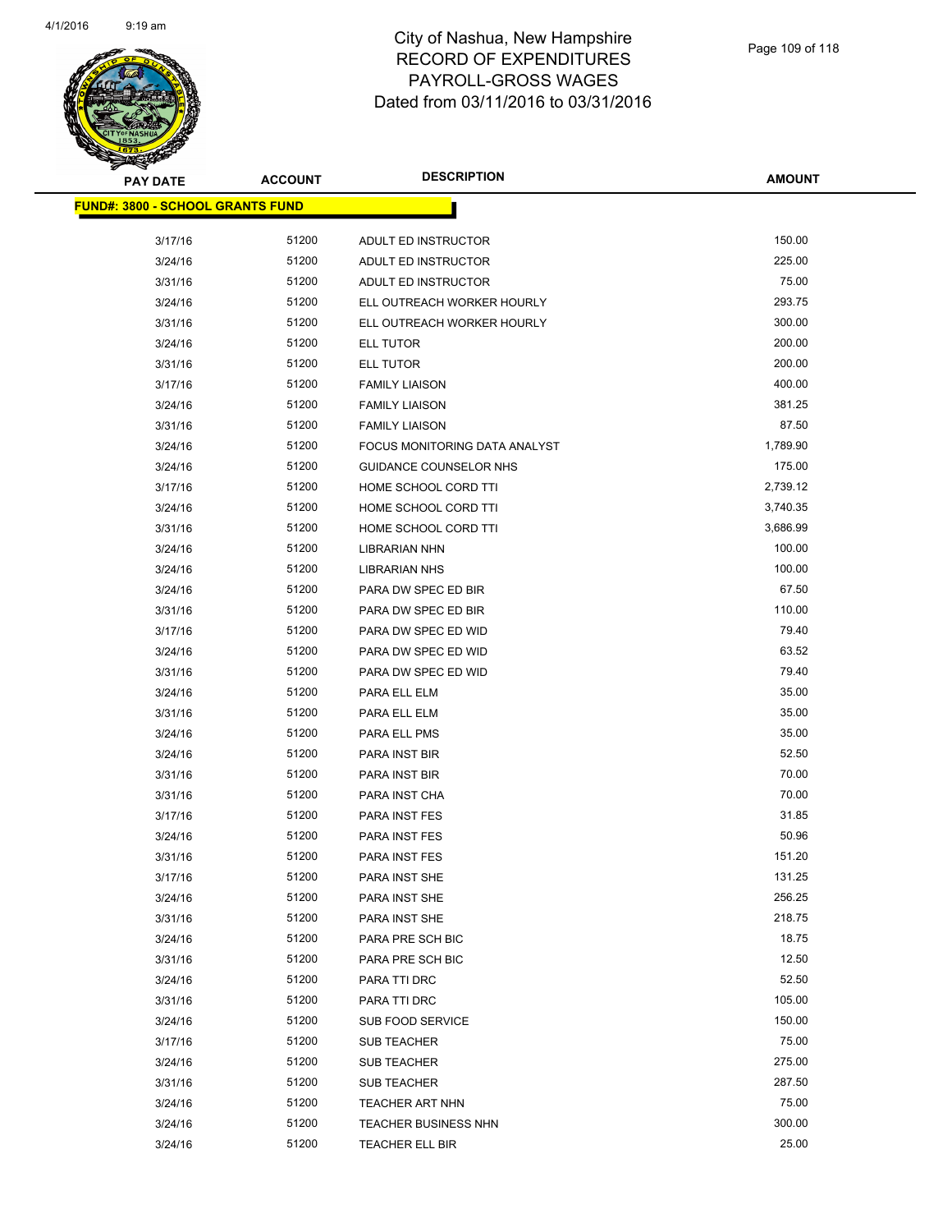

**AMOUNT**

| <u> FUND#: 3800 - SCHOOL GRANTS FUND</u> |                |                               |                  |
|------------------------------------------|----------------|-------------------------------|------------------|
|                                          |                |                               |                  |
| 3/17/16                                  | 51200          | ADULT ED INSTRUCTOR           | 150.00           |
| 3/24/16                                  | 51200          | ADULT ED INSTRUCTOR           | 225.00           |
| 3/31/16                                  | 51200          | ADULT ED INSTRUCTOR           | 75.00            |
| 3/24/16                                  | 51200          | ELL OUTREACH WORKER HOURLY    | 293.75           |
| 3/31/16                                  | 51200          | ELL OUTREACH WORKER HOURLY    | 300.00           |
| 3/24/16                                  | 51200          | ELL TUTOR                     | 200.00           |
| 3/31/16                                  | 51200          | ELL TUTOR                     | 200.00           |
| 3/17/16                                  | 51200          | <b>FAMILY LIAISON</b>         | 400.00           |
| 3/24/16                                  | 51200          | <b>FAMILY LIAISON</b>         | 381.25           |
| 3/31/16                                  | 51200          | <b>FAMILY LIAISON</b>         | 87.50            |
| 3/24/16                                  | 51200          | FOCUS MONITORING DATA ANALYST | 1,789.90         |
| 3/24/16                                  | 51200          | GUIDANCE COUNSELOR NHS        | 175.00           |
| 3/17/16                                  | 51200          | HOME SCHOOL CORD TTI          | 2,739.12         |
| 3/24/16                                  | 51200          | HOME SCHOOL CORD TTI          | 3,740.35         |
| 3/31/16                                  | 51200          | HOME SCHOOL CORD TTI          | 3,686.99         |
| 3/24/16                                  | 51200          | LIBRARIAN NHN                 | 100.00           |
| 3/24/16                                  | 51200          | LIBRARIAN NHS                 | 100.00           |
| 3/24/16                                  | 51200          | PARA DW SPEC ED BIR           | 67.50            |
| 3/31/16                                  | 51200          | PARA DW SPEC ED BIR           | 110.00           |
| 3/17/16                                  | 51200          | PARA DW SPEC ED WID           | 79.40            |
| 3/24/16                                  | 51200          | PARA DW SPEC ED WID           | 63.52            |
| 3/31/16                                  | 51200          | PARA DW SPEC ED WID           | 79.40            |
| 3/24/16                                  | 51200          | PARA ELL ELM                  | 35.00            |
| 3/31/16                                  | 51200          | PARA ELL ELM                  | 35.00            |
| 3/24/16                                  | 51200          | PARA ELL PMS                  | 35.00            |
| 3/24/16                                  | 51200          | PARA INST BIR                 | 52.50            |
| 3/31/16                                  | 51200          | PARA INST BIR                 | 70.00            |
| 3/31/16                                  | 51200          | PARA INST CHA                 | 70.00            |
| 3/17/16                                  | 51200          | PARA INST FES                 | 31.85            |
| 3/24/16                                  | 51200          | PARA INST FES                 | 50.96            |
| 3/31/16                                  | 51200          | PARA INST FES                 | 151.20           |
| 3/17/16                                  | 51200          | PARA INST SHE                 | 131.25           |
| 3/24/16                                  | 51200          | PARA INST SHE                 | 256.25           |
| 3/31/16                                  | 51200          | PARA INST SHE                 | 218.75           |
| 3/24/16                                  | 51200          | PARA PRE SCH BIC              | 18.75            |
| 3/31/16                                  | 51200          | PARA PRE SCH BIC              | 12.50            |
| 3/24/16                                  | 51200          | PARA TTI DRC                  | 52.50            |
| 3/31/16                                  | 51200          | PARA TTI DRC                  | 105.00           |
| 3/24/16                                  | 51200          | SUB FOOD SERVICE              | 150.00           |
| 3/17/16                                  | 51200          | <b>SUB TEACHER</b>            | 75.00            |
| 3/24/16                                  | 51200          | SUB TEACHER                   | 275.00<br>287.50 |
| 3/31/16                                  | 51200<br>51200 | SUB TEACHER                   | 75.00            |
| 3/24/16                                  | 51200          | <b>TEACHER ART NHN</b>        | 300.00           |
| 3/24/16                                  | 51200          | TEACHER BUSINESS NHN          | 25.00            |
| 3/24/16                                  |                | <b>TEACHER ELL BIR</b>        |                  |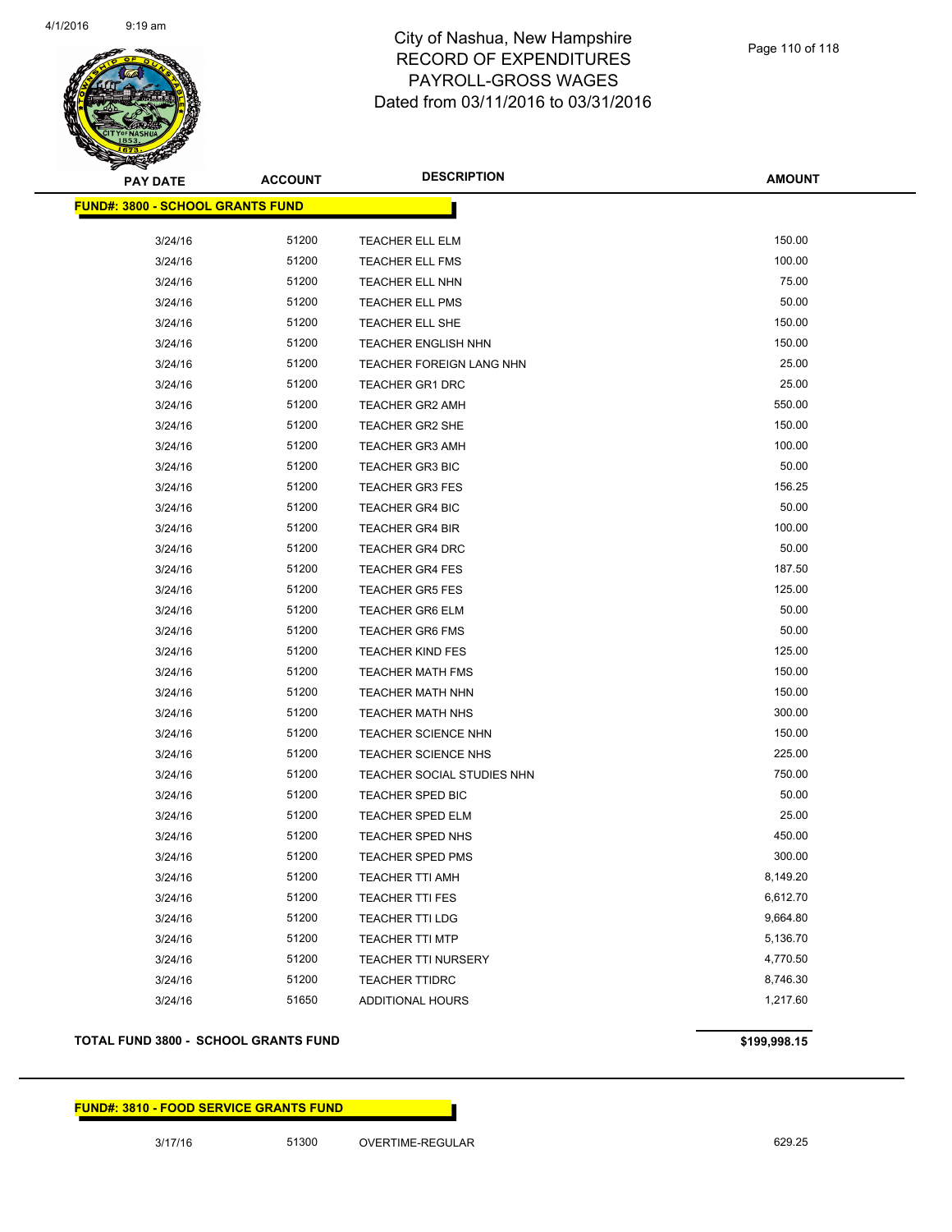

**AMOUNT**

| <u> FUND#: 3800 - SCHOOL GRANTS FUND</u> |       |                            |          |
|------------------------------------------|-------|----------------------------|----------|
| 3/24/16                                  | 51200 | TEACHER ELL ELM            | 150.00   |
| 3/24/16                                  | 51200 | <b>TEACHER ELL FMS</b>     | 100.00   |
| 3/24/16                                  | 51200 | TEACHER ELL NHN            | 75.00    |
| 3/24/16                                  | 51200 | <b>TEACHER ELL PMS</b>     | 50.00    |
| 3/24/16                                  | 51200 | TEACHER ELL SHE            | 150.00   |
| 3/24/16                                  | 51200 | <b>TEACHER ENGLISH NHN</b> | 150.00   |
| 3/24/16                                  | 51200 | TEACHER FOREIGN LANG NHN   | 25.00    |
| 3/24/16                                  | 51200 | <b>TEACHER GR1 DRC</b>     | 25.00    |
| 3/24/16                                  | 51200 | <b>TEACHER GR2 AMH</b>     | 550.00   |
| 3/24/16                                  | 51200 | <b>TEACHER GR2 SHE</b>     | 150.00   |
| 3/24/16                                  | 51200 | <b>TEACHER GR3 AMH</b>     | 100.00   |
| 3/24/16                                  | 51200 | <b>TEACHER GR3 BIC</b>     | 50.00    |
| 3/24/16                                  | 51200 | <b>TEACHER GR3 FES</b>     | 156.25   |
| 3/24/16                                  | 51200 | <b>TEACHER GR4 BIC</b>     | 50.00    |
| 3/24/16                                  | 51200 | <b>TEACHER GR4 BIR</b>     | 100.00   |
| 3/24/16                                  | 51200 | <b>TEACHER GR4 DRC</b>     | 50.00    |
| 3/24/16                                  | 51200 | <b>TEACHER GR4 FES</b>     | 187.50   |
| 3/24/16                                  | 51200 | <b>TEACHER GR5 FES</b>     | 125.00   |
| 3/24/16                                  | 51200 | <b>TEACHER GR6 ELM</b>     | 50.00    |
| 3/24/16                                  | 51200 | <b>TEACHER GR6 FMS</b>     | 50.00    |
| 3/24/16                                  | 51200 | <b>TEACHER KIND FES</b>    | 125.00   |
| 3/24/16                                  | 51200 | <b>TEACHER MATH FMS</b>    | 150.00   |
| 3/24/16                                  | 51200 | <b>TEACHER MATH NHN</b>    | 150.00   |
| 3/24/16                                  | 51200 | <b>TEACHER MATH NHS</b>    | 300.00   |
| 3/24/16                                  | 51200 | <b>TEACHER SCIENCE NHN</b> | 150.00   |
| 3/24/16                                  | 51200 | <b>TEACHER SCIENCE NHS</b> | 225.00   |
| 3/24/16                                  | 51200 | TEACHER SOCIAL STUDIES NHN | 750.00   |
| 3/24/16                                  | 51200 | TEACHER SPED BIC           | 50.00    |
| 3/24/16                                  | 51200 | <b>TEACHER SPED ELM</b>    | 25.00    |
| 3/24/16                                  | 51200 | TEACHER SPED NHS           | 450.00   |
| 3/24/16                                  | 51200 | <b>TEACHER SPED PMS</b>    | 300.00   |
| 3/24/16                                  | 51200 | <b>TEACHER TTI AMH</b>     | 8,149.20 |
| 3/24/16                                  | 51200 | TEACHER TTI FES            | 6,612.70 |
| 3/24/16                                  | 51200 | <b>TEACHER TTI LDG</b>     | 9,664.80 |
| 3/24/16                                  | 51200 | <b>TEACHER TTI MTP</b>     | 5,136.70 |
| 3/24/16                                  | 51200 | TEACHER TTI NURSERY        | 4,770.50 |
| 3/24/16                                  | 51200 | <b>TEACHER TTIDRC</b>      | 8,746.30 |
| 3/24/16                                  | 51650 | ADDITIONAL HOURS           | 1,217.60 |

### **TOTAL FUND 3800 - SCHOOL GRANTS FUND \$199,998.15**

### **FUND#: 3810 - FOOD SERVICE GRANTS FUND**

3/17/16 51300 OVERTIME-REGULAR 629.25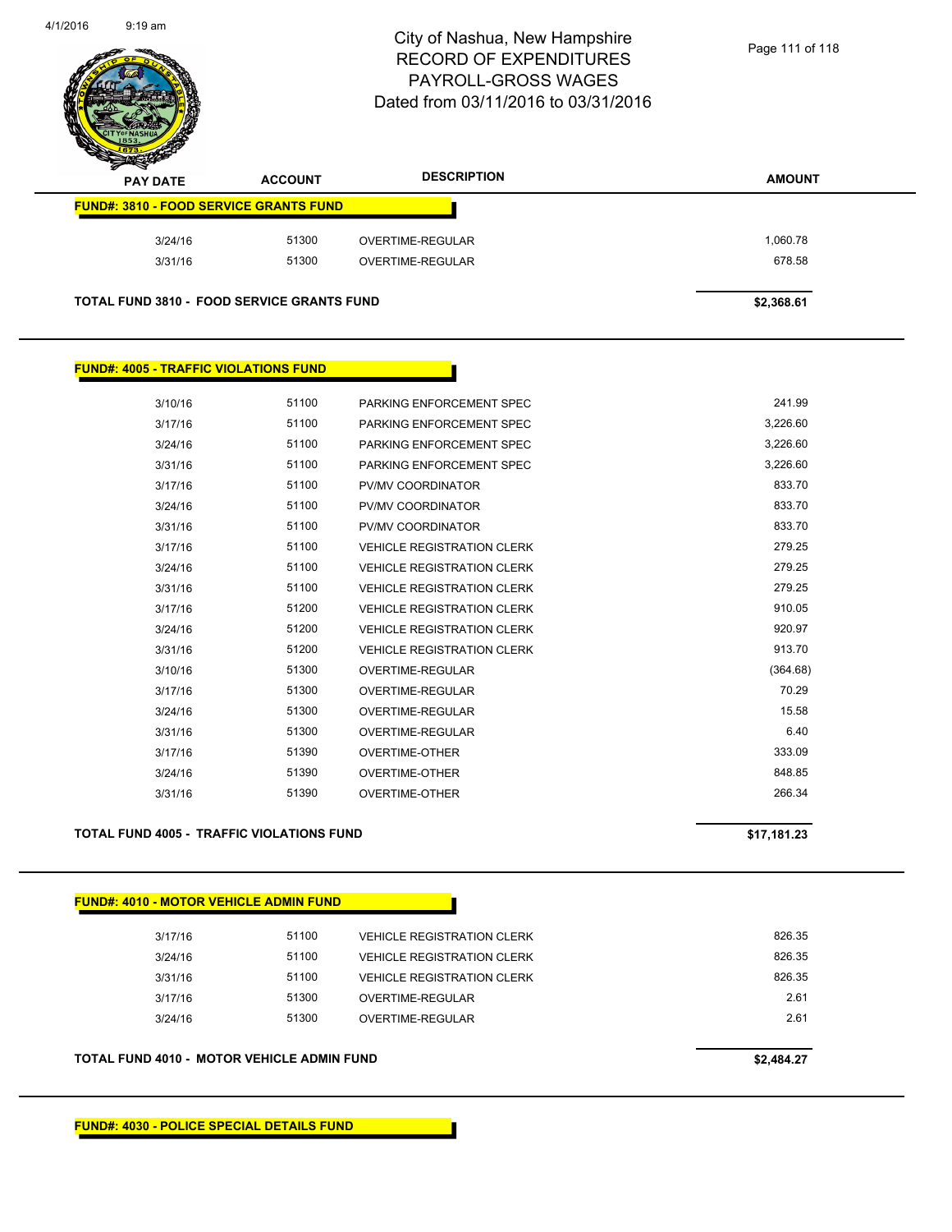

| s<br>$\tilde{\phantom{a}}$<br><b>PAY DATE</b>     | <b>ACCOUNT</b> | <b>DESCRIPTION</b> | <b>AMOUNT</b> |
|---------------------------------------------------|----------------|--------------------|---------------|
| <b>FUND#: 3810 - FOOD SERVICE GRANTS FUND</b>     |                |                    |               |
| 3/24/16                                           | 51300          | OVERTIME-REGULAR   | 1,060.78      |
| 3/31/16                                           | 51300          | OVERTIME-REGULAR   | 678.58        |
| <b>TOTAL FUND 3810 - FOOD SERVICE GRANTS FUND</b> |                |                    | \$2,368.61    |

### **FUND#: 4005 - TRAFFIC VIOLATIONS FUND**

| 3/10/16 | 51100 | PARKING ENFORCEMENT SPEC          | 241.99   |
|---------|-------|-----------------------------------|----------|
| 3/17/16 | 51100 | PARKING ENFORCEMENT SPEC          | 3,226.60 |
| 3/24/16 | 51100 | PARKING ENFORCEMENT SPEC          | 3,226.60 |
| 3/31/16 | 51100 | PARKING ENFORCEMENT SPEC          | 3,226.60 |
| 3/17/16 | 51100 | PV/MV COORDINATOR                 | 833.70   |
| 3/24/16 | 51100 | PV/MV COORDINATOR                 | 833.70   |
| 3/31/16 | 51100 | PV/MV COORDINATOR                 | 833.70   |
| 3/17/16 | 51100 | <b>VEHICLE REGISTRATION CLERK</b> | 279.25   |
| 3/24/16 | 51100 | <b>VEHICLE REGISTRATION CLERK</b> | 279.25   |
| 3/31/16 | 51100 | <b>VEHICLE REGISTRATION CLERK</b> | 279.25   |
| 3/17/16 | 51200 | <b>VEHICLE REGISTRATION CLERK</b> | 910.05   |
| 3/24/16 | 51200 | <b>VEHICLE REGISTRATION CLERK</b> | 920.97   |
| 3/31/16 | 51200 | <b>VEHICLE REGISTRATION CLERK</b> | 913.70   |
| 3/10/16 | 51300 | OVERTIME-REGULAR                  | (364.68) |
| 3/17/16 | 51300 | OVERTIME-REGULAR                  | 70.29    |
| 3/24/16 | 51300 | OVERTIME-REGULAR                  | 15.58    |
| 3/31/16 | 51300 | OVERTIME-REGULAR                  | 6.40     |
| 3/17/16 | 51390 | OVERTIME-OTHER                    | 333.09   |
| 3/24/16 | 51390 | <b>OVERTIME-OTHER</b>             | 848.85   |
| 3/31/16 | 51390 | OVERTIME-OTHER                    | 266.34   |
|         |       |                                   |          |

### **TOTAL FUND 4005 - TRAFFIC VIOLATIONS FUND \$17,181.23**

| 3/17/16                                           | 51100      | <b>VEHICLE REGISTRATION CLERK</b> | 826.35 |
|---------------------------------------------------|------------|-----------------------------------|--------|
| 3/24/16                                           | 51100      | <b>VEHICLE REGISTRATION CLERK</b> | 826.35 |
| 3/31/16                                           | 51100      | <b>VEHICLE REGISTRATION CLERK</b> | 826.35 |
| 3/17/16                                           | 51300      | OVERTIME-REGULAR                  | 2.61   |
| 3/24/16                                           | 51300      | OVERTIME-REGULAR                  | 2.61   |
|                                                   |            |                                   |        |
| <b>TOTAL FUND 4010 - MOTOR VEHICLE ADMIN FUND</b> | \$2,484.27 |                                   |        |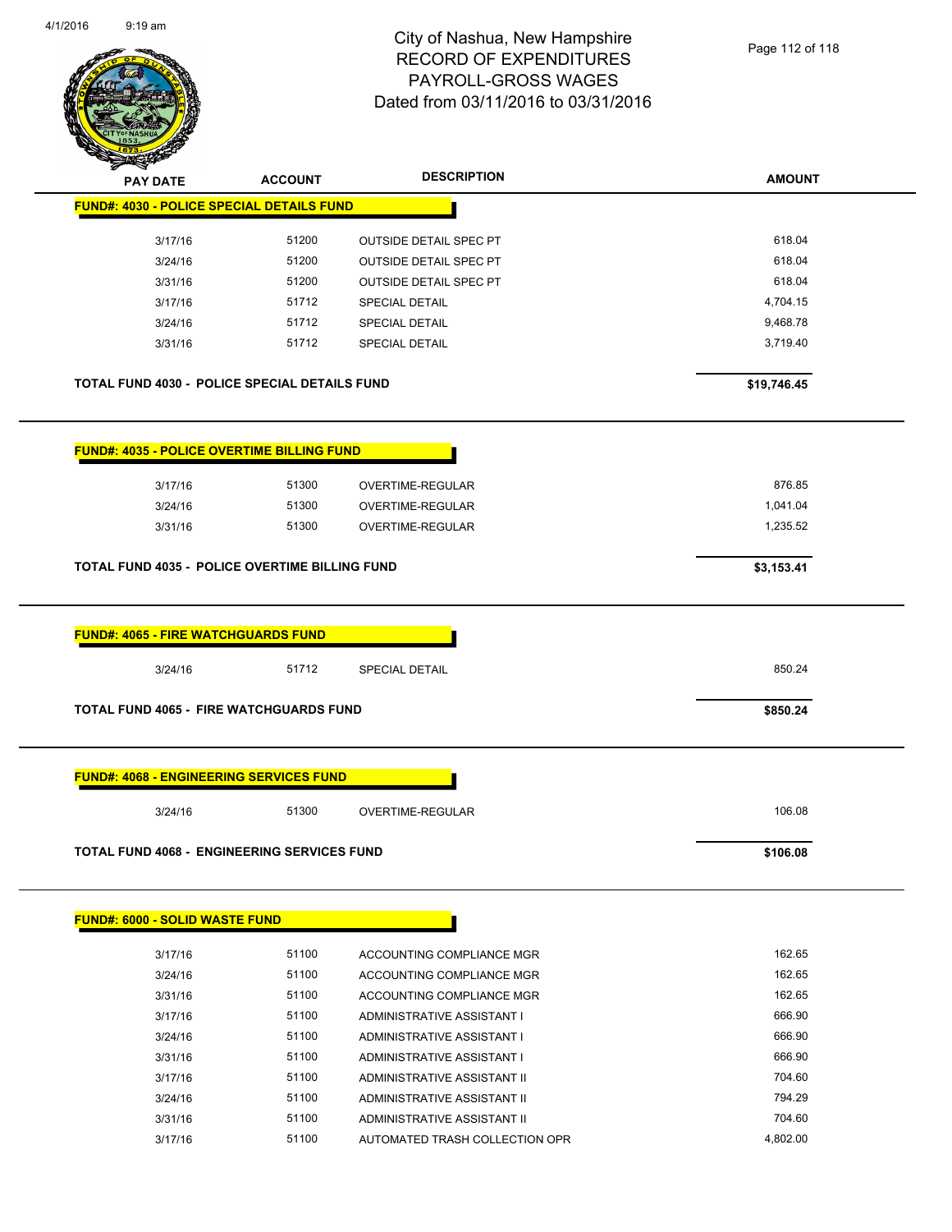

| <b>ACCOUNT</b>                                 | <b>DESCRIPTION</b>                         | <b>AMOUNT</b>                                                                                                                                                                                                                                                                               |
|------------------------------------------------|--------------------------------------------|---------------------------------------------------------------------------------------------------------------------------------------------------------------------------------------------------------------------------------------------------------------------------------------------|
|                                                |                                            |                                                                                                                                                                                                                                                                                             |
| 51200                                          |                                            | 618.04                                                                                                                                                                                                                                                                                      |
| 51200                                          | <b>OUTSIDE DETAIL SPEC PT</b>              | 618.04                                                                                                                                                                                                                                                                                      |
| 51200                                          | <b>OUTSIDE DETAIL SPEC PT</b>              | 618.04                                                                                                                                                                                                                                                                                      |
| 51712                                          | <b>SPECIAL DETAIL</b>                      | 4,704.15                                                                                                                                                                                                                                                                                    |
| 51712                                          | <b>SPECIAL DETAIL</b>                      | 9,468.78                                                                                                                                                                                                                                                                                    |
| 51712                                          | <b>SPECIAL DETAIL</b>                      | 3,719.40                                                                                                                                                                                                                                                                                    |
|                                                |                                            | \$19,746.45                                                                                                                                                                                                                                                                                 |
|                                                |                                            |                                                                                                                                                                                                                                                                                             |
| 51300                                          | OVERTIME-REGULAR                           | 876.85                                                                                                                                                                                                                                                                                      |
| 51300                                          | OVERTIME-REGULAR                           | 1,041.04                                                                                                                                                                                                                                                                                    |
| 51300                                          | OVERTIME-REGULAR                           | 1,235.52                                                                                                                                                                                                                                                                                    |
|                                                |                                            | \$3,153.41                                                                                                                                                                                                                                                                                  |
|                                                |                                            |                                                                                                                                                                                                                                                                                             |
| 51712                                          | SPECIAL DETAIL                             | 850.24                                                                                                                                                                                                                                                                                      |
|                                                |                                            | \$850.24                                                                                                                                                                                                                                                                                    |
| <b>FUND#: 4068 - ENGINEERING SERVICES FUND</b> |                                            |                                                                                                                                                                                                                                                                                             |
|                                                |                                            |                                                                                                                                                                                                                                                                                             |
| 51300                                          | OVERTIME-REGULAR                           | 106.08                                                                                                                                                                                                                                                                                      |
|                                                | <b>FUND#: 4065 - FIRE WATCHGUARDS FUND</b> | <b>FUND#: 4030 - POLICE SPECIAL DETAILS FUND</b><br><b>OUTSIDE DETAIL SPEC PT</b><br>TOTAL FUND 4030 - POLICE SPECIAL DETAILS FUND<br><b>FUND#: 4035 - POLICE OVERTIME BILLING FUND</b><br>TOTAL FUND 4035 - POLICE OVERTIME BILLING FUND<br><b>TOTAL FUND 4065 - FIRE WATCHGUARDS FUND</b> |

| 3/17/16 | 51100 | ACCOUNTING COMPLIANCE MGR      | 162.65   |
|---------|-------|--------------------------------|----------|
| 3/24/16 | 51100 | ACCOUNTING COMPLIANCE MGR      | 162.65   |
| 3/31/16 | 51100 | ACCOUNTING COMPLIANCE MGR      | 162.65   |
| 3/17/16 | 51100 | ADMINISTRATIVE ASSISTANT I     | 666.90   |
| 3/24/16 | 51100 | ADMINISTRATIVE ASSISTANT I     | 666.90   |
| 3/31/16 | 51100 | ADMINISTRATIVE ASSISTANT I     | 666.90   |
| 3/17/16 | 51100 | ADMINISTRATIVE ASSISTANT II    | 704.60   |
| 3/24/16 | 51100 | ADMINISTRATIVE ASSISTANT II    | 794.29   |
| 3/31/16 | 51100 | ADMINISTRATIVE ASSISTANT II    | 704.60   |
| 3/17/16 | 51100 | AUTOMATED TRASH COLLECTION OPR | 4.802.00 |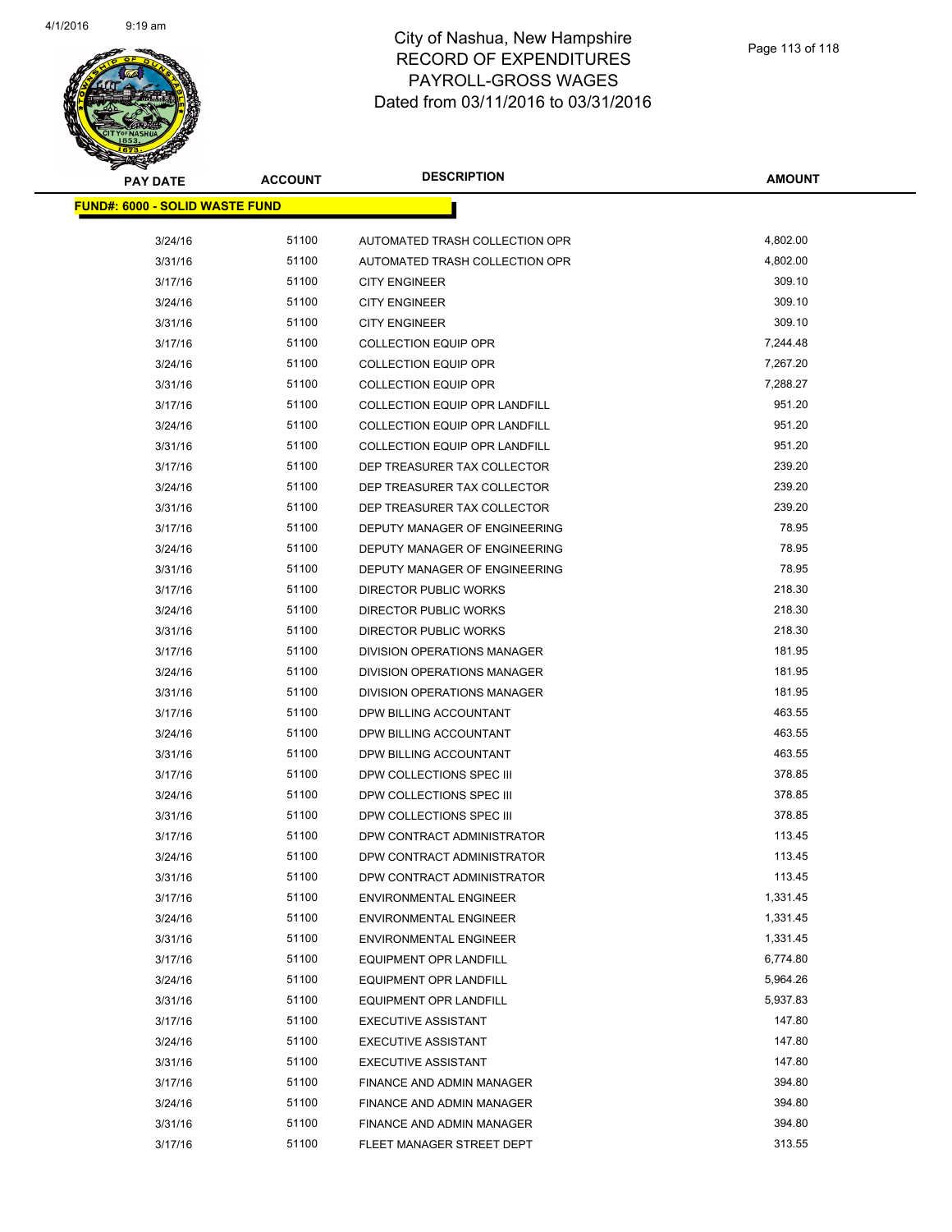

| <b>PAY DATE</b>                        | <b>ACCOUNT</b> | <b>DESCRIPTION</b>                   | <b>AMOUNT</b> |
|----------------------------------------|----------------|--------------------------------------|---------------|
| <u> FUND#: 6000 - SOLID WASTE FUND</u> |                |                                      |               |
|                                        |                |                                      |               |
| 3/24/16                                | 51100          | AUTOMATED TRASH COLLECTION OPR       | 4,802.00      |
| 3/31/16                                | 51100          | AUTOMATED TRASH COLLECTION OPR       | 4,802.00      |
| 3/17/16                                | 51100          | <b>CITY ENGINEER</b>                 | 309.10        |
| 3/24/16                                | 51100          | <b>CITY ENGINEER</b>                 | 309.10        |
| 3/31/16                                | 51100          | <b>CITY ENGINEER</b>                 | 309.10        |
| 3/17/16                                | 51100          | <b>COLLECTION EQUIP OPR</b>          | 7,244.48      |
| 3/24/16                                | 51100          | <b>COLLECTION EQUIP OPR</b>          | 7,267.20      |
| 3/31/16                                | 51100          | <b>COLLECTION EQUIP OPR</b>          | 7,288.27      |
| 3/17/16                                | 51100          | <b>COLLECTION EQUIP OPR LANDFILL</b> | 951.20        |
| 3/24/16                                | 51100          | COLLECTION EQUIP OPR LANDFILL        | 951.20        |
| 3/31/16                                | 51100          | <b>COLLECTION EQUIP OPR LANDFILL</b> | 951.20        |
| 3/17/16                                | 51100          | DEP TREASURER TAX COLLECTOR          | 239.20        |
| 3/24/16                                | 51100          | DEP TREASURER TAX COLLECTOR          | 239.20        |
| 3/31/16                                | 51100          | DEP TREASURER TAX COLLECTOR          | 239.20        |
| 3/17/16                                | 51100          | DEPUTY MANAGER OF ENGINEERING        | 78.95         |
| 3/24/16                                | 51100          | DEPUTY MANAGER OF ENGINEERING        | 78.95         |
| 3/31/16                                | 51100          | DEPUTY MANAGER OF ENGINEERING        | 78.95         |
| 3/17/16                                | 51100          | DIRECTOR PUBLIC WORKS                | 218.30        |
| 3/24/16                                | 51100          | <b>DIRECTOR PUBLIC WORKS</b>         | 218.30        |
| 3/31/16                                | 51100          | <b>DIRECTOR PUBLIC WORKS</b>         | 218.30        |
| 3/17/16                                | 51100          | DIVISION OPERATIONS MANAGER          | 181.95        |
| 3/24/16                                | 51100          | DIVISION OPERATIONS MANAGER          | 181.95        |
| 3/31/16                                | 51100          | DIVISION OPERATIONS MANAGER          | 181.95        |
| 3/17/16                                | 51100          | DPW BILLING ACCOUNTANT               | 463.55        |
| 3/24/16                                | 51100          | DPW BILLING ACCOUNTANT               | 463.55        |
| 3/31/16                                | 51100          | DPW BILLING ACCOUNTANT               | 463.55        |
| 3/17/16                                | 51100          | DPW COLLECTIONS SPEC III             | 378.85        |
| 3/24/16                                | 51100          | DPW COLLECTIONS SPEC III             | 378.85        |
| 3/31/16                                | 51100          | DPW COLLECTIONS SPEC III             | 378.85        |
| 3/17/16                                | 51100          | DPW CONTRACT ADMINISTRATOR           | 113.45        |
| 3/24/16                                | 51100          | DPW CONTRACT ADMINISTRATOR           | 113.45        |
| 3/31/16                                | 51100          | DPW CONTRACT ADMINISTRATOR           | 113.45        |
| 3/17/16                                | 51100          | <b>ENVIRONMENTAL ENGINEER</b>        | 1,331.45      |
| 3/24/16                                | 51100          | <b>ENVIRONMENTAL ENGINEER</b>        | 1,331.45      |
| 3/31/16                                | 51100          | <b>ENVIRONMENTAL ENGINEER</b>        | 1,331.45      |
| 3/17/16                                | 51100          | <b>EQUIPMENT OPR LANDFILL</b>        | 6,774.80      |
| 3/24/16                                | 51100          | <b>EQUIPMENT OPR LANDFILL</b>        | 5,964.26      |
| 3/31/16                                | 51100          | <b>EQUIPMENT OPR LANDFILL</b>        | 5,937.83      |
| 3/17/16                                | 51100          | EXECUTIVE ASSISTANT                  | 147.80        |
| 3/24/16                                | 51100          | <b>EXECUTIVE ASSISTANT</b>           | 147.80        |
| 3/31/16                                | 51100          | <b>EXECUTIVE ASSISTANT</b>           | 147.80        |
| 3/17/16                                | 51100          | FINANCE AND ADMIN MANAGER            | 394.80        |
| 3/24/16                                | 51100          | FINANCE AND ADMIN MANAGER            | 394.80        |
| 3/31/16                                | 51100          | FINANCE AND ADMIN MANAGER            | 394.80        |
| 3/17/16                                | 51100          | FLEET MANAGER STREET DEPT            | 313.55        |
|                                        |                |                                      |               |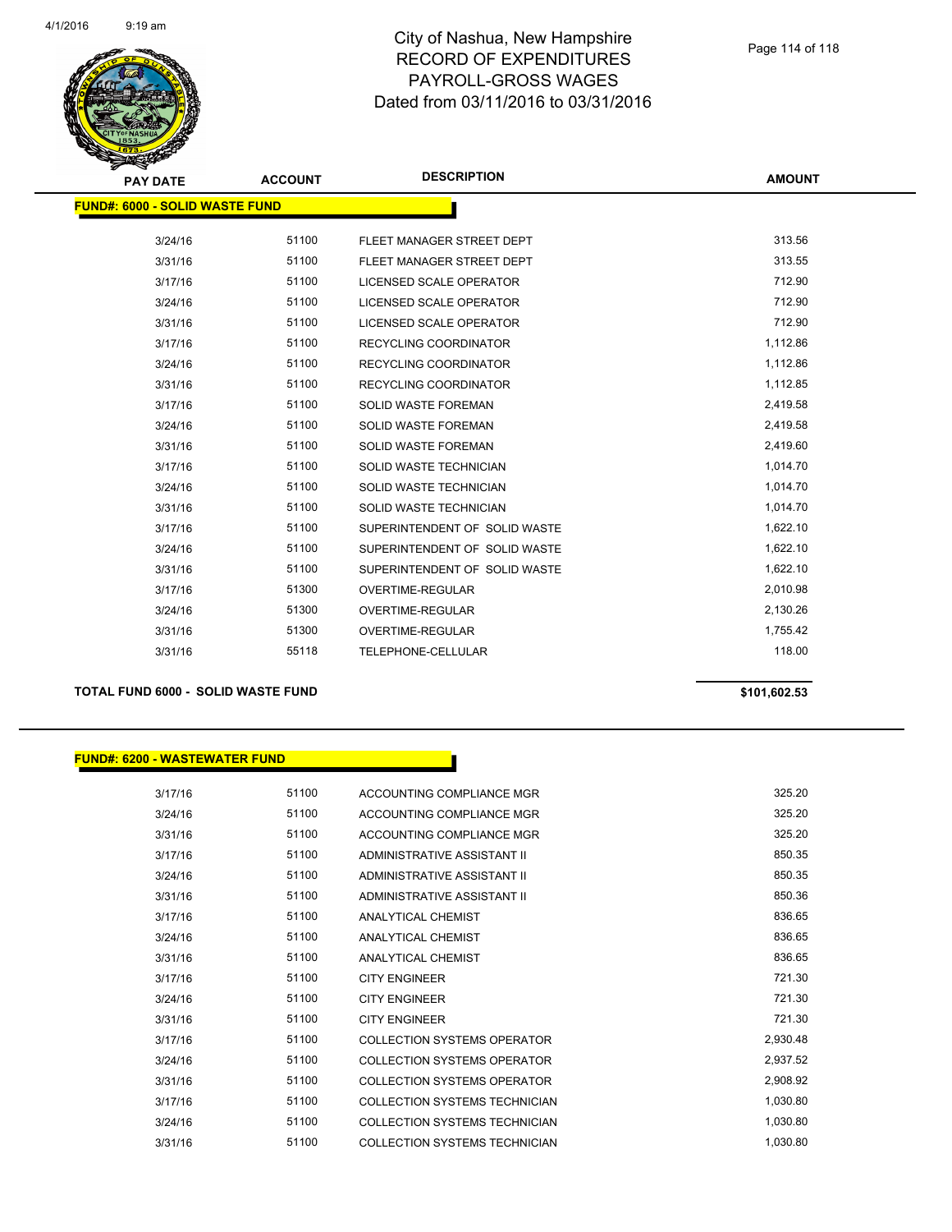

| <b>PAY DATE</b>                       | <b>ACCOUNT</b> | <b>DESCRIPTION</b>             | <b>AMOUNT</b> |
|---------------------------------------|----------------|--------------------------------|---------------|
| <b>FUND#: 6000 - SOLID WASTE FUND</b> |                |                                |               |
| 3/24/16                               | 51100          | FLEET MANAGER STREET DEPT      | 313.56        |
| 3/31/16                               | 51100          | FLEET MANAGER STREET DEPT      | 313.55        |
| 3/17/16                               | 51100          | <b>LICENSED SCALE OPERATOR</b> | 712.90        |
| 3/24/16                               | 51100          | LICENSED SCALE OPERATOR        | 712.90        |
| 3/31/16                               | 51100          | LICENSED SCALE OPERATOR        | 712.90        |
| 3/17/16                               | 51100          | RECYCLING COORDINATOR          | 1,112.86      |
| 3/24/16                               | 51100          | RECYCLING COORDINATOR          | 1,112.86      |
| 3/31/16                               | 51100          | <b>RECYCLING COORDINATOR</b>   | 1,112.85      |
| 3/17/16                               | 51100          | <b>SOLID WASTE FOREMAN</b>     | 2,419.58      |
| 3/24/16                               | 51100          | SOLID WASTE FOREMAN            | 2,419.58      |
| 3/31/16                               | 51100          | SOLID WASTE FOREMAN            | 2,419.60      |
| 3/17/16                               | 51100          | SOLID WASTE TECHNICIAN         | 1,014.70      |
| 3/24/16                               | 51100          | <b>SOLID WASTE TECHNICIAN</b>  | 1,014.70      |
| 3/31/16                               | 51100          | SOLID WASTE TECHNICIAN         | 1,014.70      |
| 3/17/16                               | 51100          | SUPERINTENDENT OF SOLID WASTE  | 1,622.10      |
| 3/24/16                               | 51100          | SUPERINTENDENT OF SOLID WASTE  | 1,622.10      |
| 3/31/16                               | 51100          | SUPERINTENDENT OF SOLID WASTE  | 1,622.10      |
| 3/17/16                               | 51300          | <b>OVERTIME-REGULAR</b>        | 2,010.98      |
| 3/24/16                               | 51300          | OVERTIME-REGULAR               | 2,130.26      |
| 3/31/16                               | 51300          | OVERTIME-REGULAR               | 1,755.42      |
| 3/31/16                               | 55118          | TELEPHONE-CELLULAR             | 118.00        |
|                                       |                |                                |               |

### **TOTAL FUND 6000 - SOLID WASTE FUND \$101,602.53**

#### **FUND#: 6200 - WASTEWATER FUND**

3/17/16 51100 ACCOUNTING COMPLIANCE MGR 325.20 3/24/16 51100 ACCOUNTING COMPLIANCE MGR 325.20 3/31/16 51100 ACCOUNTING COMPLIANCE MGR 325.20 3/17/16 51100 ADMINISTRATIVE ASSISTANT II 850.35 3/24/16 51100 ADMINISTRATIVE ASSISTANT II 850.35 3/31/16 51100 ADMINISTRATIVE ASSISTANT II 850.36 3/17/16 51100 ANALYTICAL CHEMIST 836.65 3/24/16 51100 ANALYTICAL CHEMIST 836.65 3/31/16 51100 ANALYTICAL CHEMIST 836.65 3/17/16 51100 CITY ENGINEER 721.30 3/24/16 51100 CITY ENGINEER 721.30 3/31/16 51100 CITY ENGINEER 721.30 3/17/16 51100 COLLECTION SYSTEMS OPERATOR 2,930.48 3/24/16 51100 COLLECTION SYSTEMS OPERATOR 2,937.52 3/31/16 51100 COLLECTION SYSTEMS OPERATOR 2,908.92 3/17/16 51100 COLLECTION SYSTEMS TECHNICIAN 1,030.80 3/24/16 51100 COLLECTION SYSTEMS TECHNICIAN 1,030.80 3/31/16 51100 COLLECTION SYSTEMS TECHNICIAN 512010 1,030.80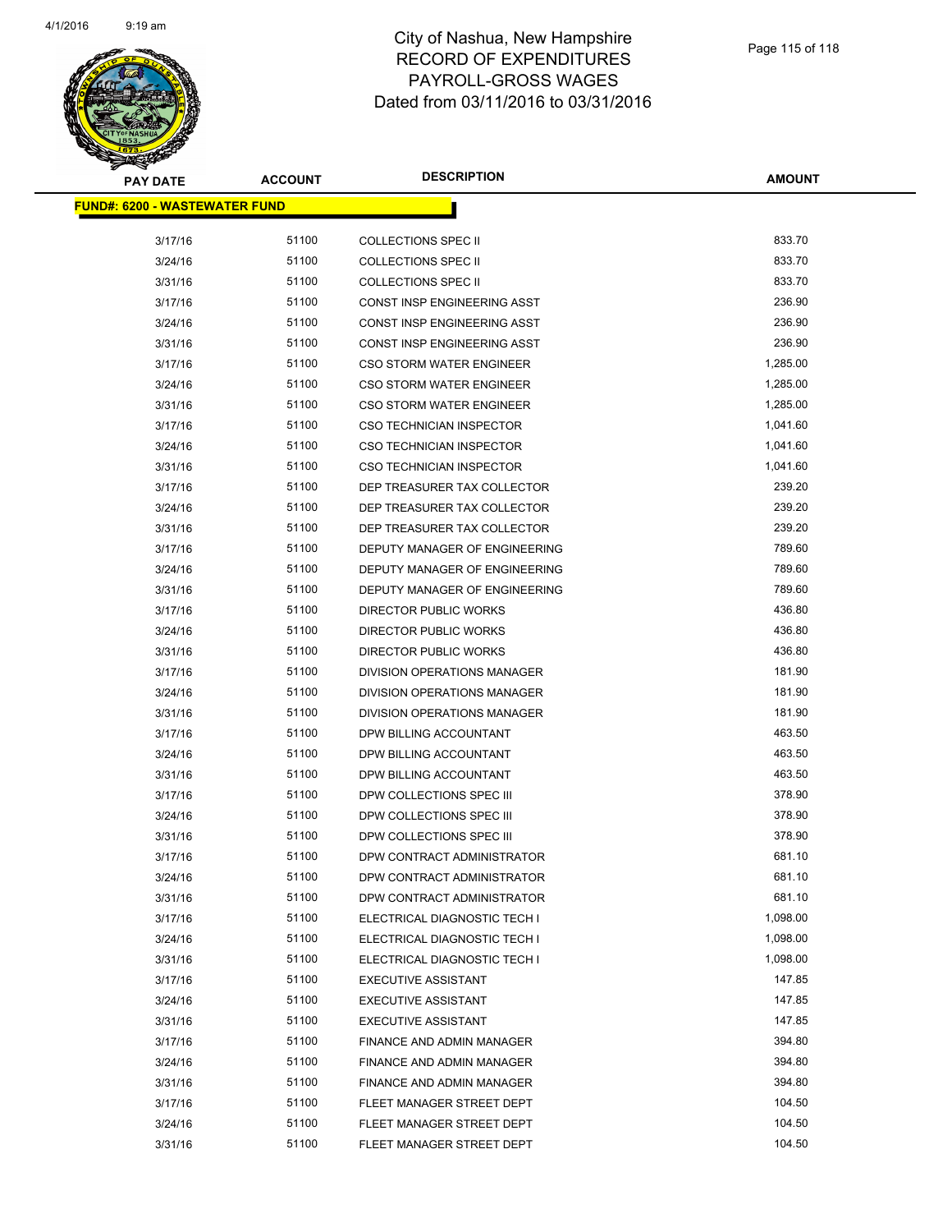

| PAY DATE                              | <b>ACCOUNT</b> | <b>DESCRIPTION</b>              | <b>AMOUNT</b> |
|---------------------------------------|----------------|---------------------------------|---------------|
| <u> FUND#: 6200 - WASTEWATER FUND</u> |                |                                 |               |
|                                       |                |                                 |               |
| 3/17/16                               | 51100          | COLLECTIONS SPEC II             | 833.70        |
| 3/24/16                               | 51100          | <b>COLLECTIONS SPEC II</b>      | 833.70        |
| 3/31/16                               | 51100          | <b>COLLECTIONS SPEC II</b>      | 833.70        |
| 3/17/16                               | 51100          | CONST INSP ENGINEERING ASST     | 236.90        |
| 3/24/16                               | 51100          | CONST INSP ENGINEERING ASST     | 236.90        |
| 3/31/16                               | 51100          | CONST INSP ENGINEERING ASST     | 236.90        |
| 3/17/16                               | 51100          | <b>CSO STORM WATER ENGINEER</b> | 1,285.00      |
| 3/24/16                               | 51100          | <b>CSO STORM WATER ENGINEER</b> | 1,285.00      |
| 3/31/16                               | 51100          | <b>CSO STORM WATER ENGINEER</b> | 1,285.00      |
| 3/17/16                               | 51100          | <b>CSO TECHNICIAN INSPECTOR</b> | 1,041.60      |
| 3/24/16                               | 51100          | <b>CSO TECHNICIAN INSPECTOR</b> | 1,041.60      |
| 3/31/16                               | 51100          | CSO TECHNICIAN INSPECTOR        | 1,041.60      |
| 3/17/16                               | 51100          | DEP TREASURER TAX COLLECTOR     | 239.20        |
| 3/24/16                               | 51100          | DEP TREASURER TAX COLLECTOR     | 239.20        |
| 3/31/16                               | 51100          | DEP TREASURER TAX COLLECTOR     | 239.20        |
| 3/17/16                               | 51100          | DEPUTY MANAGER OF ENGINEERING   | 789.60        |
| 3/24/16                               | 51100          | DEPUTY MANAGER OF ENGINEERING   | 789.60        |
| 3/31/16                               | 51100          | DEPUTY MANAGER OF ENGINEERING   | 789.60        |
| 3/17/16                               | 51100          | DIRECTOR PUBLIC WORKS           | 436.80        |
| 3/24/16                               | 51100          | DIRECTOR PUBLIC WORKS           | 436.80        |
| 3/31/16                               | 51100          | DIRECTOR PUBLIC WORKS           | 436.80        |
| 3/17/16                               | 51100          | DIVISION OPERATIONS MANAGER     | 181.90        |
| 3/24/16                               | 51100          | DIVISION OPERATIONS MANAGER     | 181.90        |
| 3/31/16                               | 51100          | DIVISION OPERATIONS MANAGER     | 181.90        |
| 3/17/16                               | 51100          | DPW BILLING ACCOUNTANT          | 463.50        |
| 3/24/16                               | 51100          | DPW BILLING ACCOUNTANT          | 463.50        |
| 3/31/16                               | 51100          | DPW BILLING ACCOUNTANT          | 463.50        |
| 3/17/16                               | 51100          | DPW COLLECTIONS SPEC III        | 378.90        |
| 3/24/16                               | 51100          | DPW COLLECTIONS SPEC III        | 378.90        |
| 3/31/16                               | 51100          | DPW COLLECTIONS SPEC III        | 378.90        |
| 3/17/16                               | 51100          | DPW CONTRACT ADMINISTRATOR      | 681.10        |
| 3/24/16                               | 51100          | DPW CONTRACT ADMINISTRATOR      | 681.10        |
| 3/31/16                               | 51100          | DPW CONTRACT ADMINISTRATOR      | 681.10        |
| 3/17/16                               | 51100          | ELECTRICAL DIAGNOSTIC TECH I    | 1,098.00      |
| 3/24/16                               | 51100          | ELECTRICAL DIAGNOSTIC TECH I    | 1,098.00      |
| 3/31/16                               | 51100          | ELECTRICAL DIAGNOSTIC TECH I    | 1,098.00      |
| 3/17/16                               | 51100          | <b>EXECUTIVE ASSISTANT</b>      | 147.85        |
| 3/24/16                               | 51100          | <b>EXECUTIVE ASSISTANT</b>      | 147.85        |
| 3/31/16                               | 51100          | <b>EXECUTIVE ASSISTANT</b>      | 147.85        |
| 3/17/16                               | 51100          | FINANCE AND ADMIN MANAGER       | 394.80        |
| 3/24/16                               | 51100          | FINANCE AND ADMIN MANAGER       | 394.80        |
| 3/31/16                               | 51100          | FINANCE AND ADMIN MANAGER       | 394.80        |
| 3/17/16                               | 51100          | FLEET MANAGER STREET DEPT       | 104.50        |
| 3/24/16                               | 51100          | FLEET MANAGER STREET DEPT       | 104.50        |
| 3/31/16                               | 51100          | FLEET MANAGER STREET DEPT       | 104.50        |
|                                       |                |                                 |               |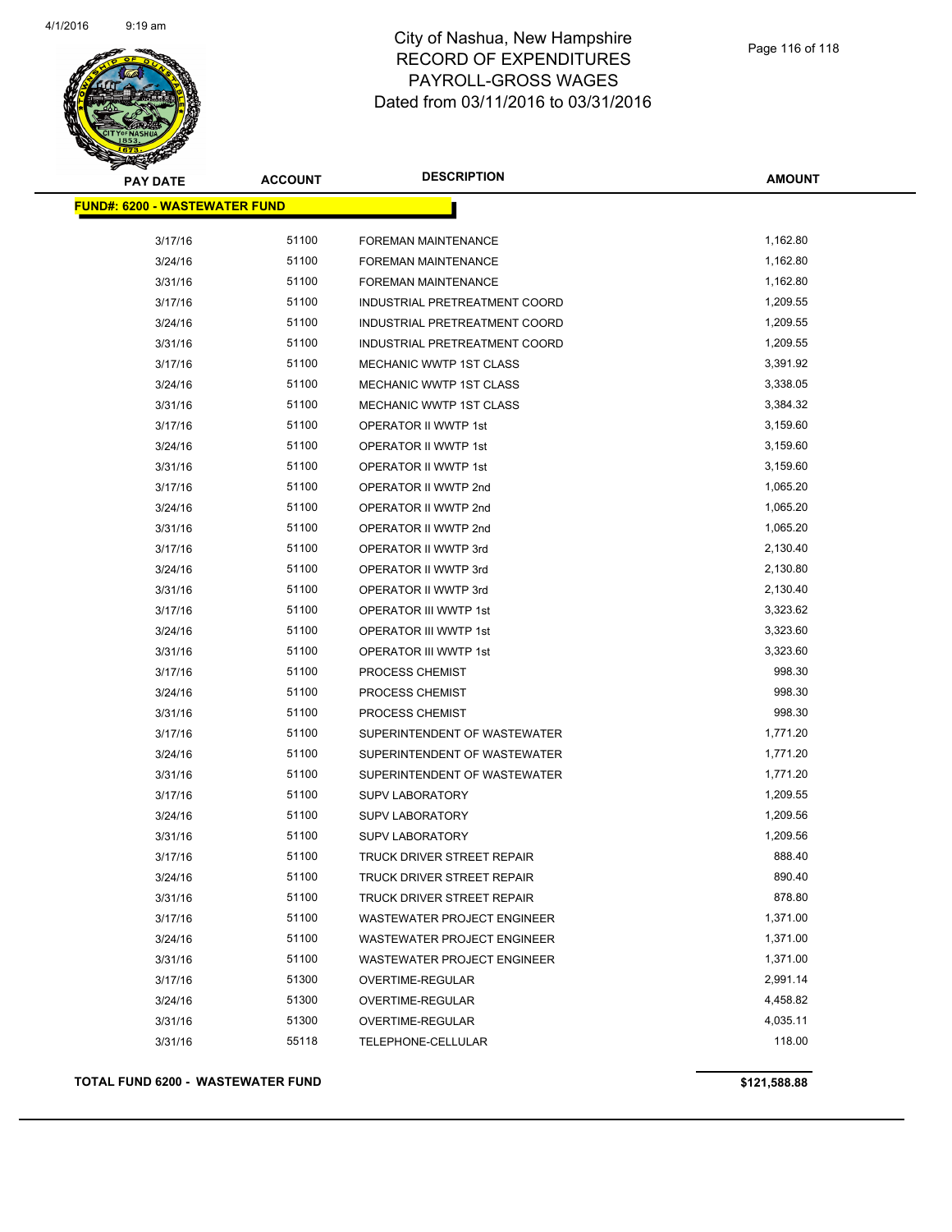

| <b>PAY DATE</b>                      | <b>ACCOUNT</b> | <b>DESCRIPTION</b>                 | <b>AMOUNT</b> |
|--------------------------------------|----------------|------------------------------------|---------------|
| <b>FUND#: 6200 - WASTEWATER FUND</b> |                |                                    |               |
| 3/17/16                              | 51100          | FOREMAN MAINTENANCE                | 1,162.80      |
| 3/24/16                              | 51100          | FOREMAN MAINTENANCE                | 1,162.80      |
| 3/31/16                              | 51100          | FOREMAN MAINTENANCE                | 1,162.80      |
| 3/17/16                              | 51100          | INDUSTRIAL PRETREATMENT COORD      | 1,209.55      |
| 3/24/16                              | 51100          | INDUSTRIAL PRETREATMENT COORD      | 1,209.55      |
| 3/31/16                              | 51100          | INDUSTRIAL PRETREATMENT COORD      | 1,209.55      |
| 3/17/16                              | 51100          | MECHANIC WWTP 1ST CLASS            | 3,391.92      |
| 3/24/16                              | 51100          | MECHANIC WWTP 1ST CLASS            | 3,338.05      |
| 3/31/16                              | 51100          | MECHANIC WWTP 1ST CLASS            | 3,384.32      |
| 3/17/16                              | 51100          | OPERATOR II WWTP 1st               | 3,159.60      |
| 3/24/16                              | 51100          | OPERATOR II WWTP 1st               | 3,159.60      |
| 3/31/16                              | 51100          | OPERATOR II WWTP 1st               | 3,159.60      |
| 3/17/16                              | 51100          | OPERATOR II WWTP 2nd               | 1,065.20      |
| 3/24/16                              | 51100          | OPERATOR II WWTP 2nd               | 1,065.20      |
| 3/31/16                              | 51100          | OPERATOR II WWTP 2nd               | 1,065.20      |
| 3/17/16                              | 51100          | OPERATOR II WWTP 3rd               | 2,130.40      |
| 3/24/16                              | 51100          | OPERATOR II WWTP 3rd               | 2,130.80      |
| 3/31/16                              | 51100          | OPERATOR II WWTP 3rd               | 2,130.40      |
| 3/17/16                              | 51100          | OPERATOR III WWTP 1st              | 3,323.62      |
| 3/24/16                              | 51100          | OPERATOR III WWTP 1st              | 3,323.60      |
| 3/31/16                              | 51100          | OPERATOR III WWTP 1st              | 3,323.60      |
| 3/17/16                              | 51100          | <b>PROCESS CHEMIST</b>             | 998.30        |
| 3/24/16                              | 51100          | PROCESS CHEMIST                    | 998.30        |
| 3/31/16                              | 51100          | PROCESS CHEMIST                    | 998.30        |
| 3/17/16                              | 51100          | SUPERINTENDENT OF WASTEWATER       | 1,771.20      |
| 3/24/16                              | 51100          | SUPERINTENDENT OF WASTEWATER       | 1,771.20      |
| 3/31/16                              | 51100          | SUPERINTENDENT OF WASTEWATER       | 1,771.20      |
| 3/17/16                              | 51100          | <b>SUPV LABORATORY</b>             | 1,209.55      |
| 3/24/16                              | 51100          | <b>SUPV LABORATORY</b>             | 1,209.56      |
| 3/31/16                              | 51100          | <b>SUPV LABORATORY</b>             | 1,209.56      |
| 3/17/16                              | 51100          | TRUCK DRIVER STREET REPAIR         | 888.40        |
| 3/24/16                              | 51100          | TRUCK DRIVER STREET REPAIR         | 890.40        |
| 3/31/16                              | 51100          | TRUCK DRIVER STREET REPAIR         | 878.80        |
| 3/17/16                              | 51100          | <b>WASTEWATER PROJECT ENGINEER</b> | 1,371.00      |
| 3/24/16                              | 51100          | <b>WASTEWATER PROJECT ENGINEER</b> | 1,371.00      |
| 3/31/16                              | 51100          | WASTEWATER PROJECT ENGINEER        | 1,371.00      |
| 3/17/16                              | 51300          | OVERTIME-REGULAR                   | 2,991.14      |
| 3/24/16                              | 51300          | OVERTIME-REGULAR                   | 4,458.82      |
| 3/31/16                              | 51300          | OVERTIME-REGULAR                   | 4,035.11      |
| 3/31/16                              | 55118          | TELEPHONE-CELLULAR                 | 118.00        |
|                                      |                |                                    |               |

### **TOTAL FUND 6200 - WASTEWATER FUND \$121,588.88**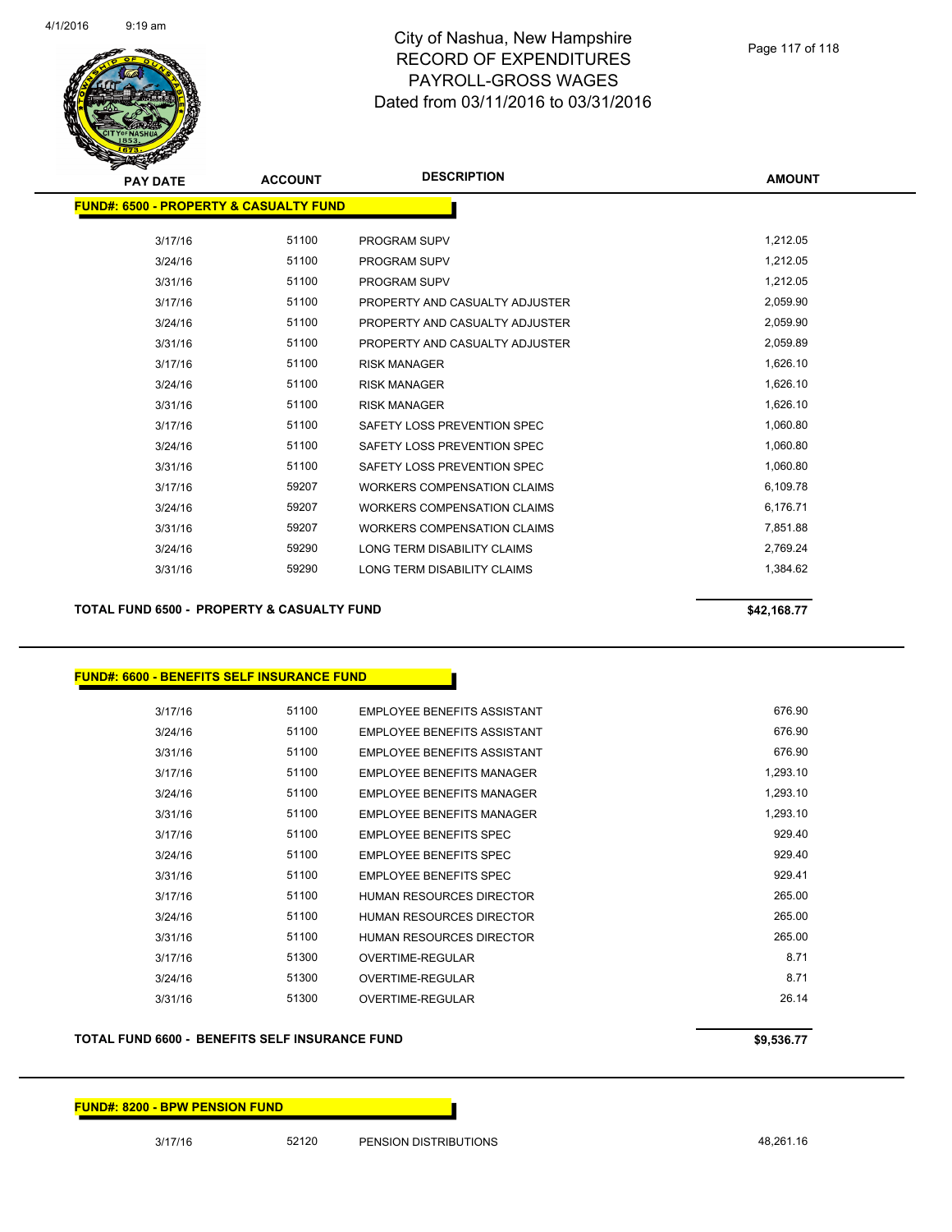

| <b>PAY DATE</b>                                   | <b>ACCOUNT</b> | <b>DESCRIPTION</b>                 | <b>AMOUNT</b> |
|---------------------------------------------------|----------------|------------------------------------|---------------|
| <b>FUND#: 6500 - PROPERTY &amp; CASUALTY FUND</b> |                |                                    |               |
| 3/17/16                                           | 51100          | <b>PROGRAM SUPV</b>                | 1,212.05      |
| 3/24/16                                           | 51100          | <b>PROGRAM SUPV</b>                | 1,212.05      |
| 3/31/16                                           | 51100          | <b>PROGRAM SUPV</b>                | 1,212.05      |
| 3/17/16                                           | 51100          | PROPERTY AND CASUALTY ADJUSTER     | 2,059.90      |
| 3/24/16                                           | 51100          | PROPERTY AND CASUALTY ADJUSTER     | 2,059.90      |
| 3/31/16                                           | 51100          | PROPERTY AND CASUALTY ADJUSTER     | 2,059.89      |
| 3/17/16                                           | 51100          | <b>RISK MANAGER</b>                | 1,626.10      |
| 3/24/16                                           | 51100          | <b>RISK MANAGER</b>                | 1,626.10      |
| 3/31/16                                           | 51100          | <b>RISK MANAGER</b>                | 1,626.10      |
| 3/17/16                                           | 51100          | SAFETY LOSS PREVENTION SPEC        | 1,060.80      |
| 3/24/16                                           | 51100          | SAFETY LOSS PREVENTION SPEC        | 1,060.80      |
| 3/31/16                                           | 51100          | SAFETY LOSS PREVENTION SPEC        | 1,060.80      |
| 3/17/16                                           | 59207          | <b>WORKERS COMPENSATION CLAIMS</b> | 6,109.78      |
| 3/24/16                                           | 59207          | <b>WORKERS COMPENSATION CLAIMS</b> | 6,176.71      |
| 3/31/16                                           | 59207          | <b>WORKERS COMPENSATION CLAIMS</b> | 7,851.88      |
| 3/24/16                                           | 59290          | LONG TERM DISABILITY CLAIMS        | 2,769.24      |
| 3/31/16                                           | 59290          | LONG TERM DISABILITY CLAIMS        | 1,384.62      |
|                                                   |                |                                    |               |

TOTAL FUND 6500 - PROPERTY & CASUALTY FUND<br>
\$42,168.77

### **FUND#: 6600 - BENEFITS SELF INSURANCE FUND**

| 3/17/16 | 51100 | <b>FMPLOYEE BENEEITS ASSISTANT</b> | 676.90   |
|---------|-------|------------------------------------|----------|
| 3/24/16 | 51100 | <b>EMPLOYEE BENEFITS ASSISTANT</b> | 676.90   |
| 3/31/16 | 51100 | <b>EMPLOYEE BENEFITS ASSISTANT</b> | 676.90   |
| 3/17/16 | 51100 | <b>FMPLOYEE BENEEITS MANAGER</b>   | 1,293.10 |
| 3/24/16 | 51100 | EMPLOYEE BENEFITS MANAGER          | 1.293.10 |
| 3/31/16 | 51100 | <b>FMPLOYEE BENEEITS MANAGER</b>   | 1,293.10 |
| 3/17/16 | 51100 | <b>EMPLOYEE BENEFITS SPEC</b>      | 929.40   |
| 3/24/16 | 51100 | <b>EMPLOYEE BENEFITS SPEC</b>      | 929.40   |
| 3/31/16 | 51100 | EMPLOYEE BENEFITS SPEC             | 929.41   |
| 3/17/16 | 51100 | <b>HUMAN RESOURCES DIRECTOR</b>    | 265.00   |
| 3/24/16 | 51100 | <b>HUMAN RESOURCES DIRECTOR</b>    | 265.00   |
| 3/31/16 | 51100 | <b>HUMAN RESOURCES DIRECTOR</b>    | 265.00   |
| 3/17/16 | 51300 | OVERTIME-REGULAR                   | 8.71     |
| 3/24/16 | 51300 | OVERTIME-REGULAR                   | 8.71     |
| 3/31/16 | 51300 | OVERTIME-REGULAR                   | 26.14    |
|         |       |                                    |          |

#### **TOTAL FUND 6600 - BENEFITS SELF INSURANCE FUND \$9,536.77**

### **FUND#: 8200 - BPW PENSION FUND**